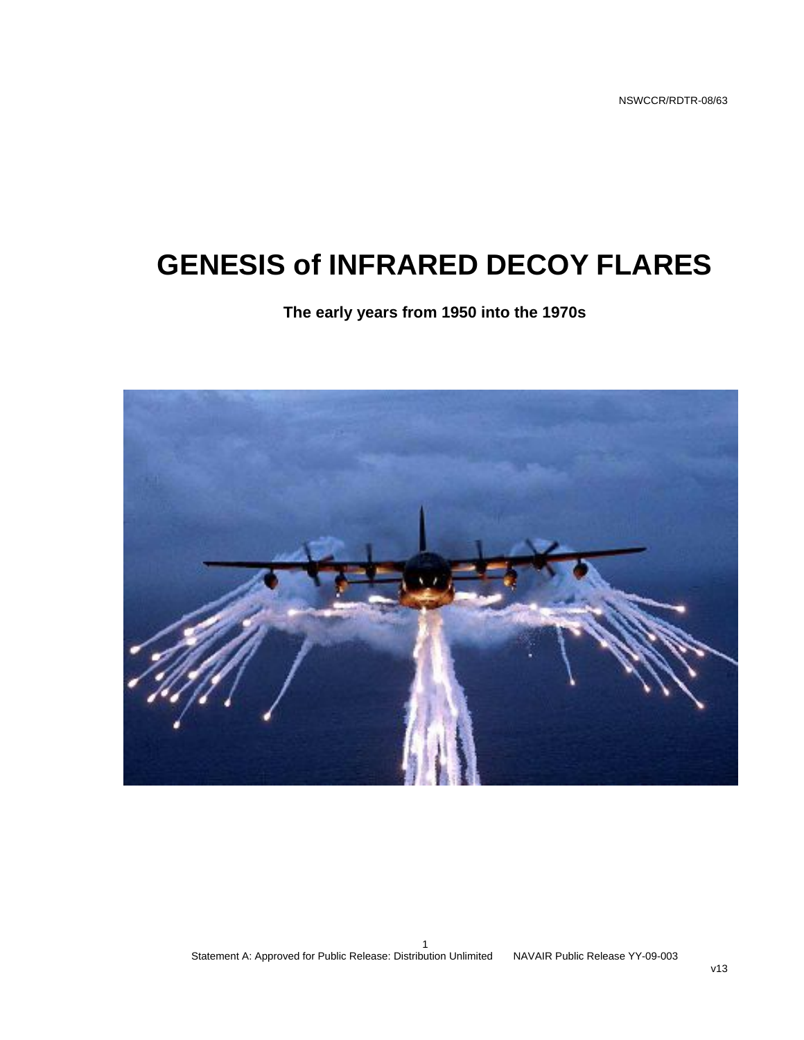# **GENESIS of INFRARED DECOY FLARES**

#### **The early years from 1950 into the 1970s**

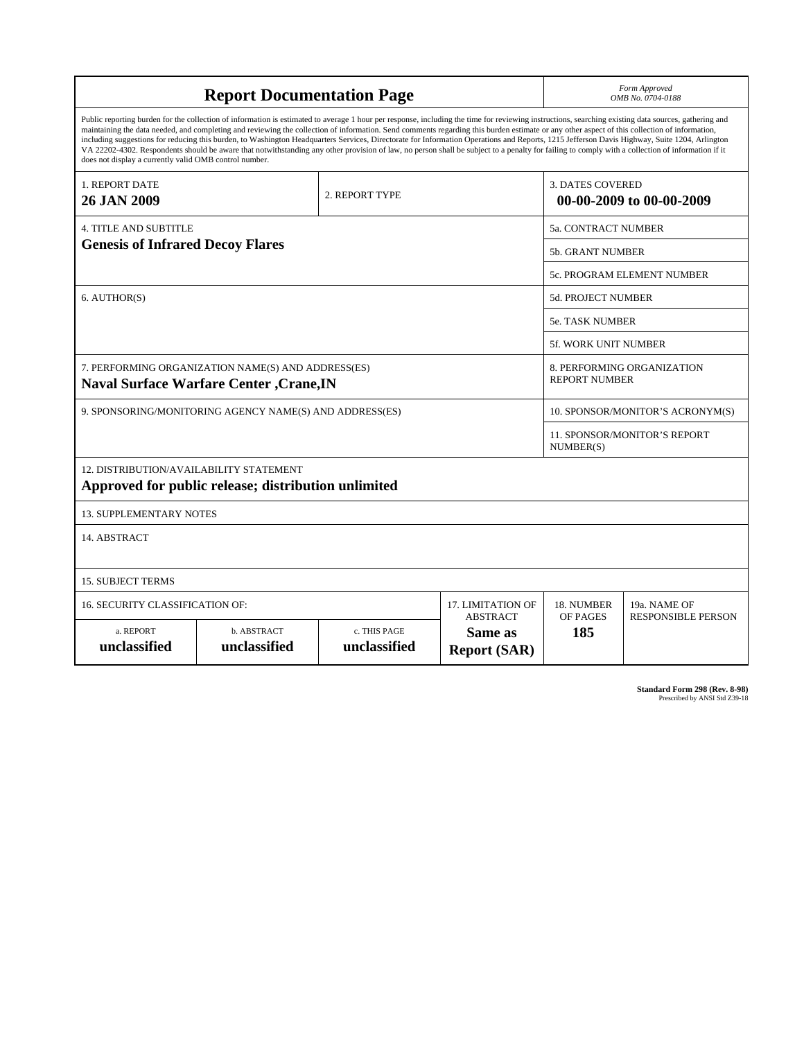| <b>Report Documentation Page</b>                                                                      |                                                                                                                                                                                                                                                                                                                                                                                                                                                                                                                                                                                                                                                                                                                                                                                                          |                                                    | Form Approved<br>OMB No. 0704-0188 |                                           |                          |
|-------------------------------------------------------------------------------------------------------|----------------------------------------------------------------------------------------------------------------------------------------------------------------------------------------------------------------------------------------------------------------------------------------------------------------------------------------------------------------------------------------------------------------------------------------------------------------------------------------------------------------------------------------------------------------------------------------------------------------------------------------------------------------------------------------------------------------------------------------------------------------------------------------------------------|----------------------------------------------------|------------------------------------|-------------------------------------------|--------------------------|
| does not display a currently valid OMB control number.                                                | Public reporting burden for the collection of information is estimated to average 1 hour per response, including the time for reviewing instructions, searching existing data sources, gathering and<br>maintaining the data needed, and completing and reviewing the collection of information. Send comments regarding this burden estimate or any other aspect of this collection of information,<br>including suggestions for reducing this burden, to Washington Headquarters Services, Directorate for Information Operations and Reports, 1215 Jefferson Davis Highway, Suite 1204, Arlington<br>VA 22202-4302. Respondents should be aware that notwithstanding any other provision of law, no person shall be subject to a penalty for failing to comply with a collection of information if it |                                                    |                                    |                                           |                          |
| <b>1. REPORT DATE</b><br>26 JAN 2009                                                                  |                                                                                                                                                                                                                                                                                                                                                                                                                                                                                                                                                                                                                                                                                                                                                                                                          | 2. REPORT TYPE                                     |                                    | <b>3. DATES COVERED</b>                   | 00-00-2009 to 00-00-2009 |
| <b>4. TITLE AND SUBTITLE</b>                                                                          |                                                                                                                                                                                                                                                                                                                                                                                                                                                                                                                                                                                                                                                                                                                                                                                                          |                                                    | <b>5a. CONTRACT NUMBER</b>         |                                           |                          |
| <b>Genesis of Infrared Decoy Flares</b>                                                               |                                                                                                                                                                                                                                                                                                                                                                                                                                                                                                                                                                                                                                                                                                                                                                                                          | 5b. GRANT NUMBER                                   |                                    |                                           |                          |
|                                                                                                       |                                                                                                                                                                                                                                                                                                                                                                                                                                                                                                                                                                                                                                                                                                                                                                                                          |                                                    |                                    | <b>5c. PROGRAM ELEMENT NUMBER</b>         |                          |
| 6. AUTHOR(S)                                                                                          |                                                                                                                                                                                                                                                                                                                                                                                                                                                                                                                                                                                                                                                                                                                                                                                                          |                                                    |                                    | 5d. PROJECT NUMBER                        |                          |
|                                                                                                       |                                                                                                                                                                                                                                                                                                                                                                                                                                                                                                                                                                                                                                                                                                                                                                                                          |                                                    | <b>5e. TASK NUMBER</b>             |                                           |                          |
|                                                                                                       |                                                                                                                                                                                                                                                                                                                                                                                                                                                                                                                                                                                                                                                                                                                                                                                                          |                                                    |                                    | 5f. WORK UNIT NUMBER                      |                          |
| 7. PERFORMING ORGANIZATION NAME(S) AND ADDRESS(ES)<br><b>Naval Surface Warfare Center , Crane, IN</b> |                                                                                                                                                                                                                                                                                                                                                                                                                                                                                                                                                                                                                                                                                                                                                                                                          | 8. PERFORMING ORGANIZATION<br><b>REPORT NUMBER</b> |                                    |                                           |                          |
| 9. SPONSORING/MONITORING AGENCY NAME(S) AND ADDRESS(ES)                                               |                                                                                                                                                                                                                                                                                                                                                                                                                                                                                                                                                                                                                                                                                                                                                                                                          |                                                    |                                    | 10. SPONSOR/MONITOR'S ACRONYM(S)          |                          |
|                                                                                                       |                                                                                                                                                                                                                                                                                                                                                                                                                                                                                                                                                                                                                                                                                                                                                                                                          |                                                    |                                    | 11. SPONSOR/MONITOR'S REPORT<br>NUMBER(S) |                          |
| 12. DISTRIBUTION/AVAILABILITY STATEMENT                                                               | Approved for public release; distribution unlimited                                                                                                                                                                                                                                                                                                                                                                                                                                                                                                                                                                                                                                                                                                                                                      |                                                    |                                    |                                           |                          |
| <b>13. SUPPLEMENTARY NOTES</b>                                                                        |                                                                                                                                                                                                                                                                                                                                                                                                                                                                                                                                                                                                                                                                                                                                                                                                          |                                                    |                                    |                                           |                          |
| 14. ABSTRACT                                                                                          |                                                                                                                                                                                                                                                                                                                                                                                                                                                                                                                                                                                                                                                                                                                                                                                                          |                                                    |                                    |                                           |                          |
| <b>15. SUBJECT TERMS</b>                                                                              |                                                                                                                                                                                                                                                                                                                                                                                                                                                                                                                                                                                                                                                                                                                                                                                                          |                                                    |                                    |                                           |                          |
| 16. SECURITY CLASSIFICATION OF:                                                                       |                                                                                                                                                                                                                                                                                                                                                                                                                                                                                                                                                                                                                                                                                                                                                                                                          | 17. LIMITATION OF<br><b>ABSTRACT</b>               | 18. NUMBER<br>OF PAGES             | 19a. NAME OF<br><b>RESPONSIBLE PERSON</b> |                          |
| a. REPORT<br>unclassified                                                                             | <b>b. ABSTRACT</b><br>unclassified                                                                                                                                                                                                                                                                                                                                                                                                                                                                                                                                                                                                                                                                                                                                                                       | c. THIS PAGE<br>unclassified                       | Same as<br><b>Report (SAR)</b>     | 185                                       |                          |

**Standard Form 298 (Rev. 8-98)**<br>Prescribed by ANSI Std Z39-18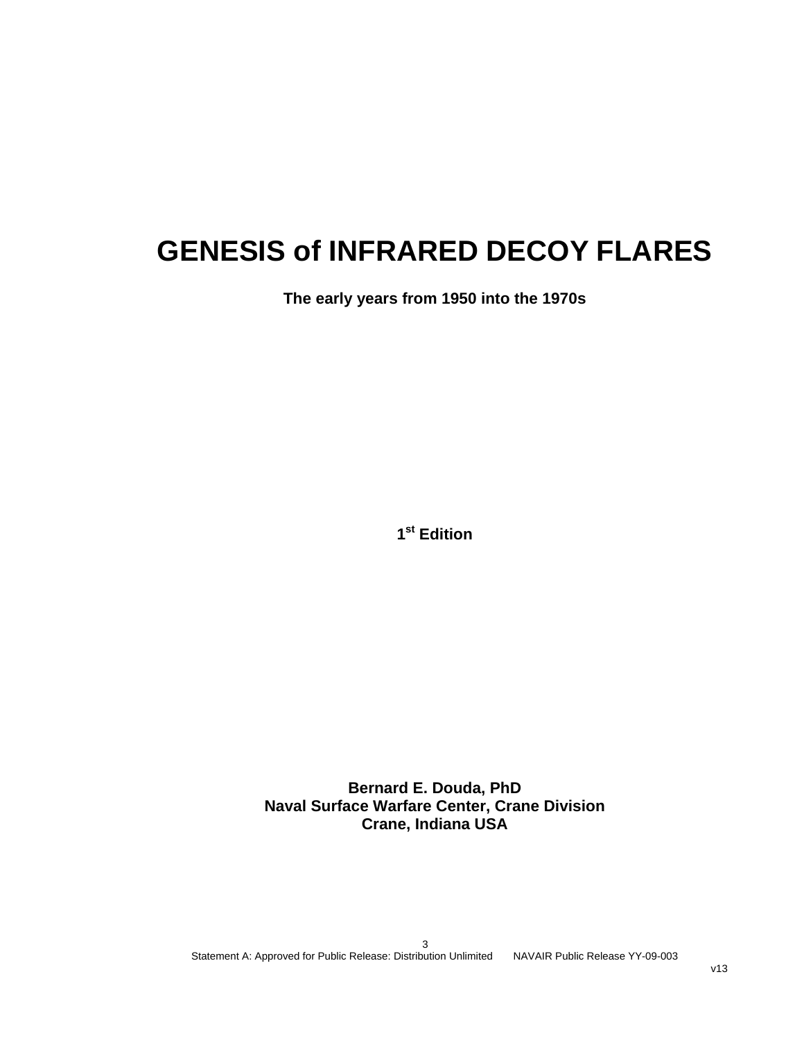# **GENESIS of INFRARED DECOY FLARES**

**The early years from 1950 into the 1970s** 

**1st Edition** 

**Bernard E. Douda, PhD Naval Surface Warfare Center, Crane Division Crane, Indiana USA**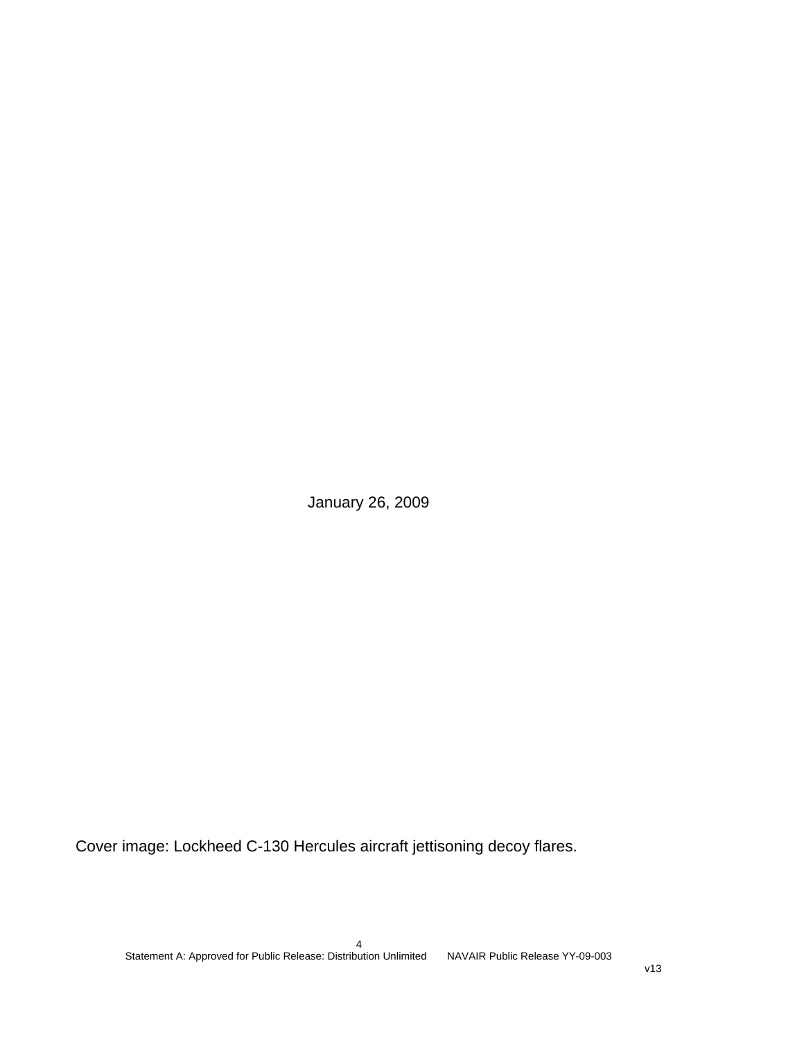January 26, 2009

Cover image: Lockheed C-130 Hercules aircraft jettisoning decoy flares.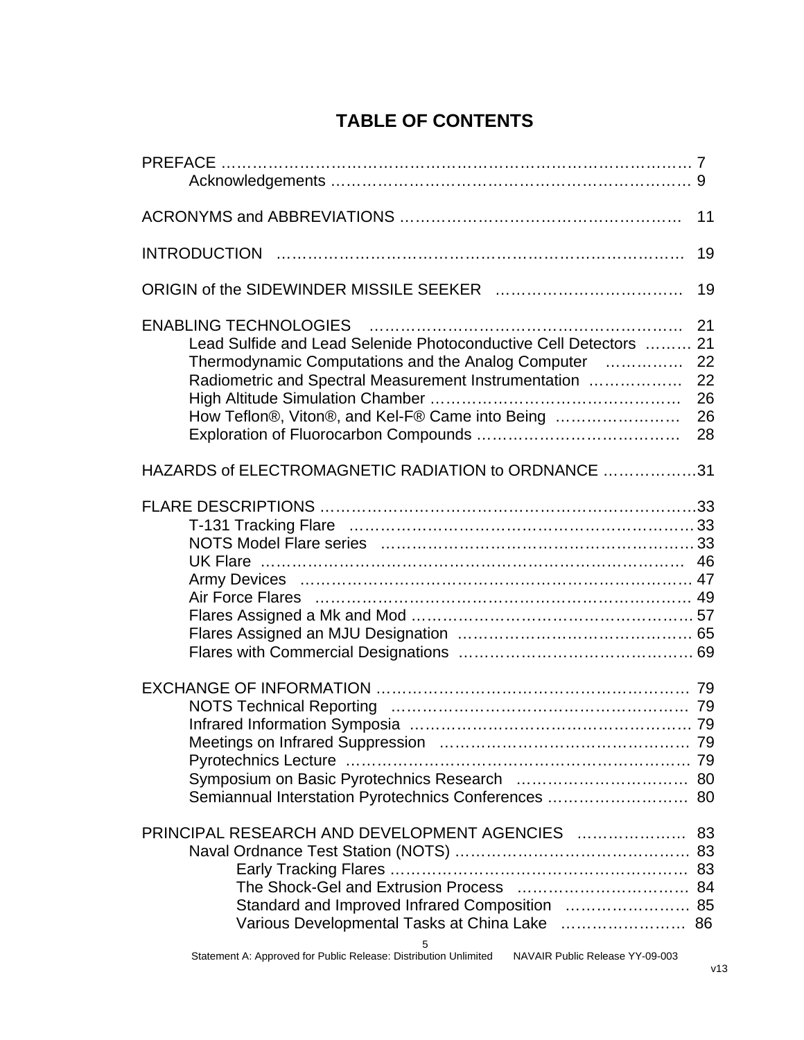|                                                                                                                                                                                                                                    | 11                               |
|------------------------------------------------------------------------------------------------------------------------------------------------------------------------------------------------------------------------------------|----------------------------------|
|                                                                                                                                                                                                                                    | 19                               |
|                                                                                                                                                                                                                                    | 19                               |
| Lead Sulfide and Lead Selenide Photoconductive Cell Detectors  21<br>Thermodynamic Computations and the Analog Computer<br>Radiometric and Spectral Measurement Instrumentation<br>How Teflon®, Viton®, and Kel-F® Came into Being | 21<br>22<br>22<br>26<br>26<br>28 |
| HAZARDS of ELECTROMAGNETIC RADIATION to ORDNANCE 31                                                                                                                                                                                |                                  |
|                                                                                                                                                                                                                                    |                                  |
| Semiannual Interstation Pyrotechnics Conferences  80                                                                                                                                                                               |                                  |
| Standard and Improved Infrared Composition  85<br>Various Developmental Tasks at China Lake  86<br>5                                                                                                                               |                                  |

### **TABLE OF CONTENTS**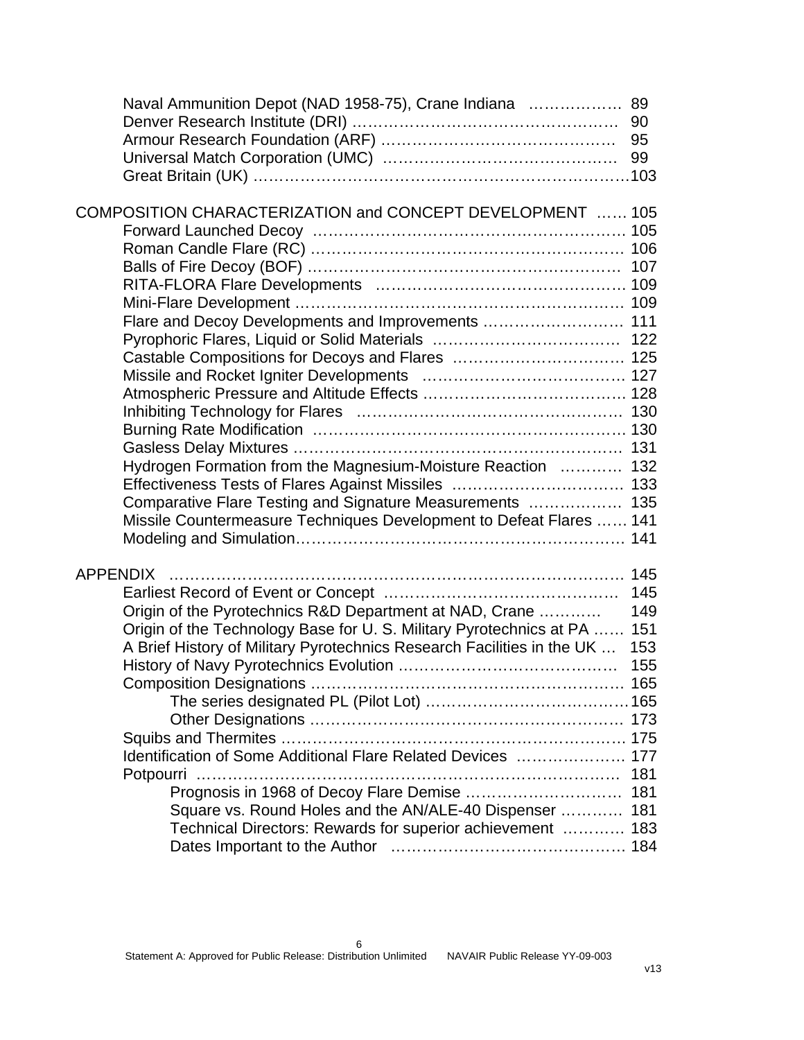| Naval Ammunition Depot (NAD 1958-75), Crane Indiana  89                  |     |
|--------------------------------------------------------------------------|-----|
|                                                                          |     |
|                                                                          |     |
|                                                                          |     |
|                                                                          |     |
| COMPOSITION CHARACTERIZATION and CONCEPT DEVELOPMENT  105                |     |
|                                                                          |     |
|                                                                          |     |
|                                                                          |     |
|                                                                          |     |
|                                                                          |     |
| Flare and Decoy Developments and Improvements  111                       |     |
|                                                                          |     |
|                                                                          |     |
|                                                                          |     |
|                                                                          |     |
|                                                                          |     |
|                                                                          |     |
|                                                                          |     |
|                                                                          |     |
| Hydrogen Formation from the Magnesium-Moisture Reaction  132             |     |
|                                                                          |     |
| Comparative Flare Testing and Signature Measurements  135                |     |
| Missile Countermeasure Techniques Development to Defeat Flares  141      |     |
|                                                                          |     |
| <b>APPENDIX</b>                                                          |     |
|                                                                          | 145 |
| Origin of the Pyrotechnics R&D Department at NAD, Crane                  | 149 |
| Origin of the Technology Base for U. S. Military Pyrotechnics at PA  151 |     |
| A Brief History of Military Pyrotechnics Research Facilities in the UK   | 153 |
|                                                                          | 155 |
|                                                                          |     |
|                                                                          |     |
|                                                                          |     |
|                                                                          |     |
| Identification of Some Additional Flare Related Devices  177             |     |
|                                                                          | 181 |
|                                                                          |     |
| Prognosis in 1968 of Decoy Flare Demise  181                             |     |
| Square vs. Round Holes and the AN/ALE-40 Dispenser                       | 181 |
| Technical Directors: Rewards for superior achievement  183               |     |
|                                                                          |     |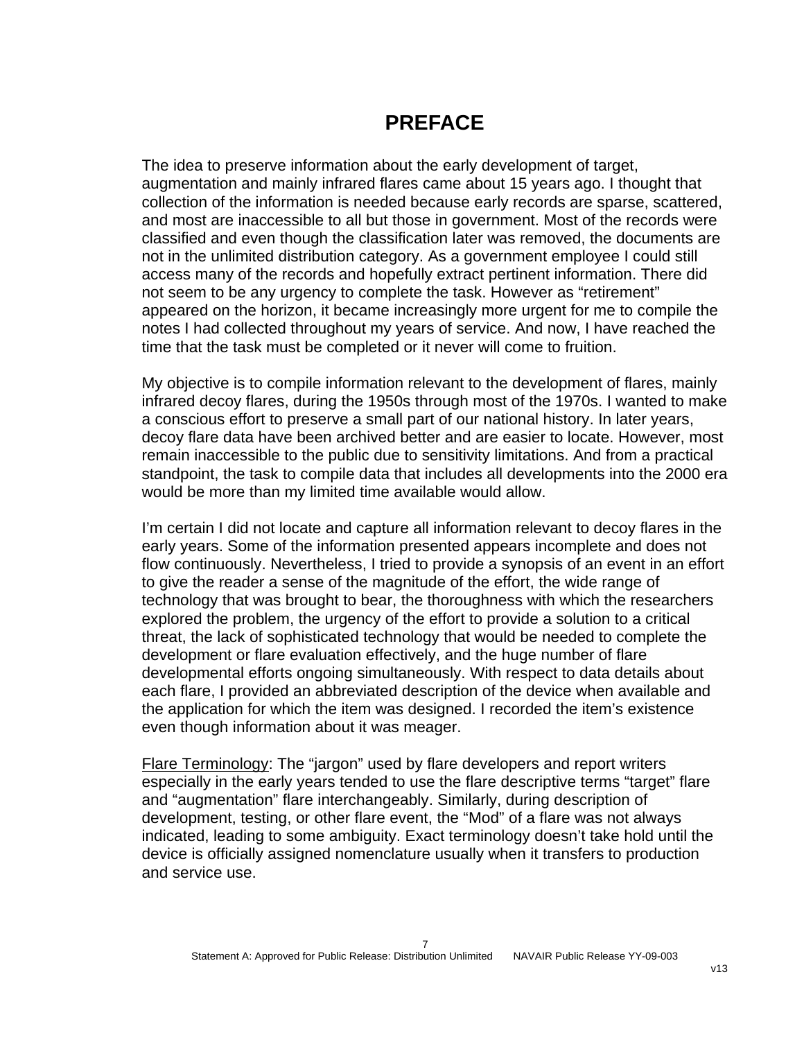### **PREFACE**

The idea to preserve information about the early development of target, augmentation and mainly infrared flares came about 15 years ago. I thought that collection of the information is needed because early records are sparse, scattered, and most are inaccessible to all but those in government. Most of the records were classified and even though the classification later was removed, the documents are not in the unlimited distribution category. As a government employee I could still access many of the records and hopefully extract pertinent information. There did not seem to be any urgency to complete the task. However as "retirement" appeared on the horizon, it became increasingly more urgent for me to compile the notes I had collected throughout my years of service. And now, I have reached the time that the task must be completed or it never will come to fruition.

My objective is to compile information relevant to the development of flares, mainly infrared decoy flares, during the 1950s through most of the 1970s. I wanted to make a conscious effort to preserve a small part of our national history. In later years, decoy flare data have been archived better and are easier to locate. However, most remain inaccessible to the public due to sensitivity limitations. And from a practical standpoint, the task to compile data that includes all developments into the 2000 era would be more than my limited time available would allow.

I'm certain I did not locate and capture all information relevant to decoy flares in the early years. Some of the information presented appears incomplete and does not flow continuously. Nevertheless, I tried to provide a synopsis of an event in an effort to give the reader a sense of the magnitude of the effort, the wide range of technology that was brought to bear, the thoroughness with which the researchers explored the problem, the urgency of the effort to provide a solution to a critical threat, the lack of sophisticated technology that would be needed to complete the development or flare evaluation effectively, and the huge number of flare developmental efforts ongoing simultaneously. With respect to data details about each flare, I provided an abbreviated description of the device when available and the application for which the item was designed. I recorded the item's existence even though information about it was meager.

Flare Terminology: The "jargon" used by flare developers and report writers especially in the early years tended to use the flare descriptive terms "target" flare and "augmentation" flare interchangeably. Similarly, during description of development, testing, or other flare event, the "Mod" of a flare was not always indicated, leading to some ambiguity. Exact terminology doesn't take hold until the device is officially assigned nomenclature usually when it transfers to production and service use.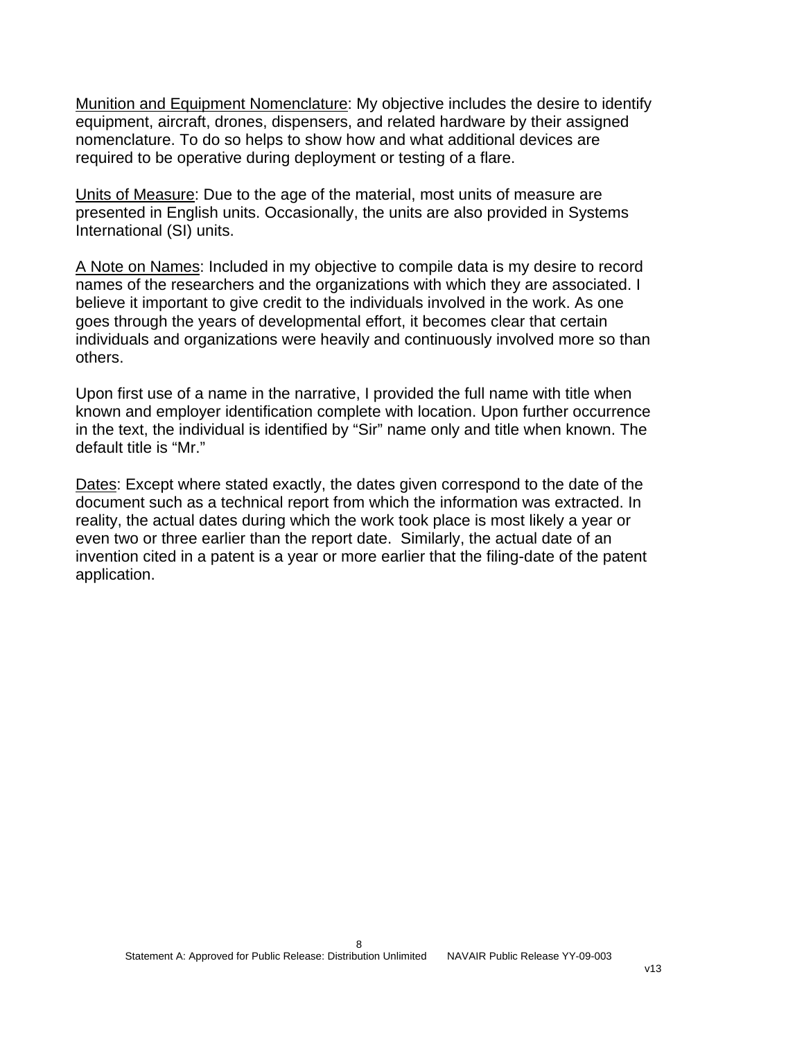Munition and Equipment Nomenclature: My objective includes the desire to identify equipment, aircraft, drones, dispensers, and related hardware by their assigned nomenclature. To do so helps to show how and what additional devices are required to be operative during deployment or testing of a flare.

Units of Measure: Due to the age of the material, most units of measure are presented in English units. Occasionally, the units are also provided in Systems International (SI) units.

A Note on Names: Included in my objective to compile data is my desire to record names of the researchers and the organizations with which they are associated. I believe it important to give credit to the individuals involved in the work. As one goes through the years of developmental effort, it becomes clear that certain individuals and organizations were heavily and continuously involved more so than others.

Upon first use of a name in the narrative, I provided the full name with title when known and employer identification complete with location. Upon further occurrence in the text, the individual is identified by "Sir" name only and title when known. The default title is "Mr."

Dates: Except where stated exactly, the dates given correspond to the date of the document such as a technical report from which the information was extracted. In reality, the actual dates during which the work took place is most likely a year or even two or three earlier than the report date. Similarly, the actual date of an invention cited in a patent is a year or more earlier that the filing-date of the patent application.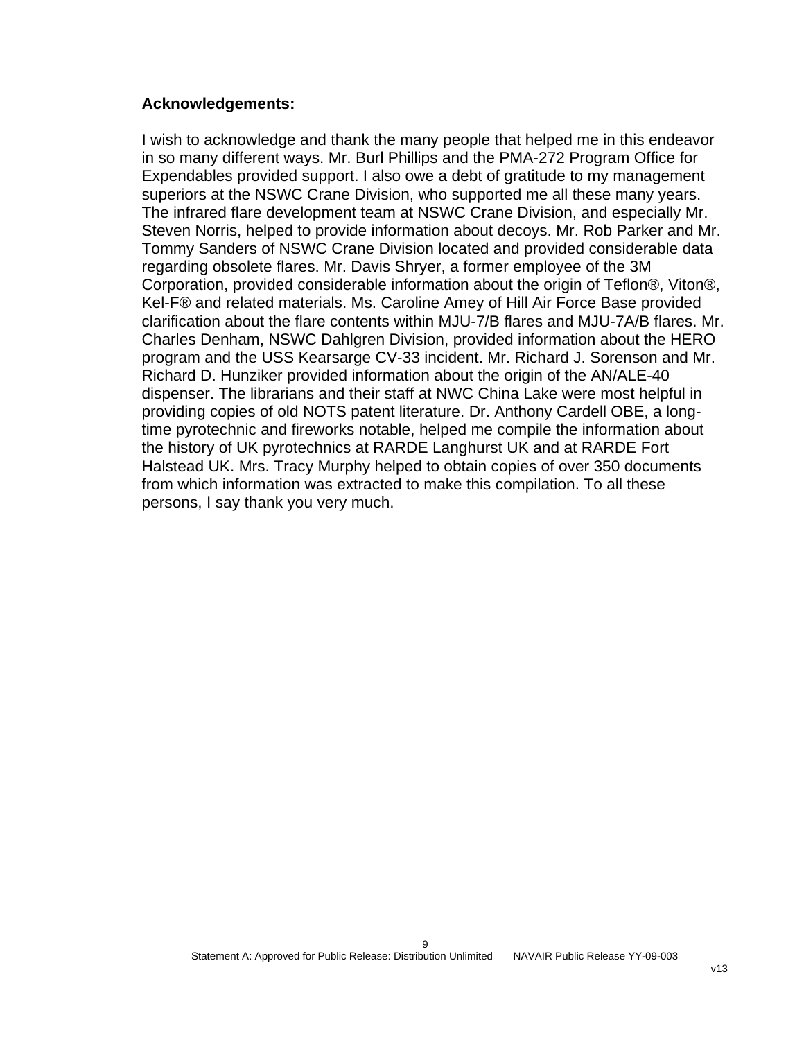#### **Acknowledgements:**

I wish to acknowledge and thank the many people that helped me in this endeavor in so many different ways. Mr. Burl Phillips and the PMA-272 Program Office for Expendables provided support. I also owe a debt of gratitude to my management superiors at the NSWC Crane Division, who supported me all these many years. The infrared flare development team at NSWC Crane Division, and especially Mr. Steven Norris, helped to provide information about decoys. Mr. Rob Parker and Mr. Tommy Sanders of NSWC Crane Division located and provided considerable data regarding obsolete flares. Mr. Davis Shryer, a former employee of the 3M Corporation, provided considerable information about the origin of Teflon®, Viton®, Kel-F® and related materials. Ms. Caroline Amey of Hill Air Force Base provided clarification about the flare contents within MJU-7/B flares and MJU-7A/B flares. Mr. Charles Denham, NSWC Dahlgren Division, provided information about the HERO program and the USS Kearsarge CV-33 incident. Mr. Richard J. Sorenson and Mr. Richard D. Hunziker provided information about the origin of the AN/ALE-40 dispenser. The librarians and their staff at NWC China Lake were most helpful in providing copies of old NOTS patent literature. Dr. Anthony Cardell OBE, a longtime pyrotechnic and fireworks notable, helped me compile the information about the history of UK pyrotechnics at RARDE Langhurst UK and at RARDE Fort Halstead UK. Mrs. Tracy Murphy helped to obtain copies of over 350 documents from which information was extracted to make this compilation. To all these persons, I say thank you very much.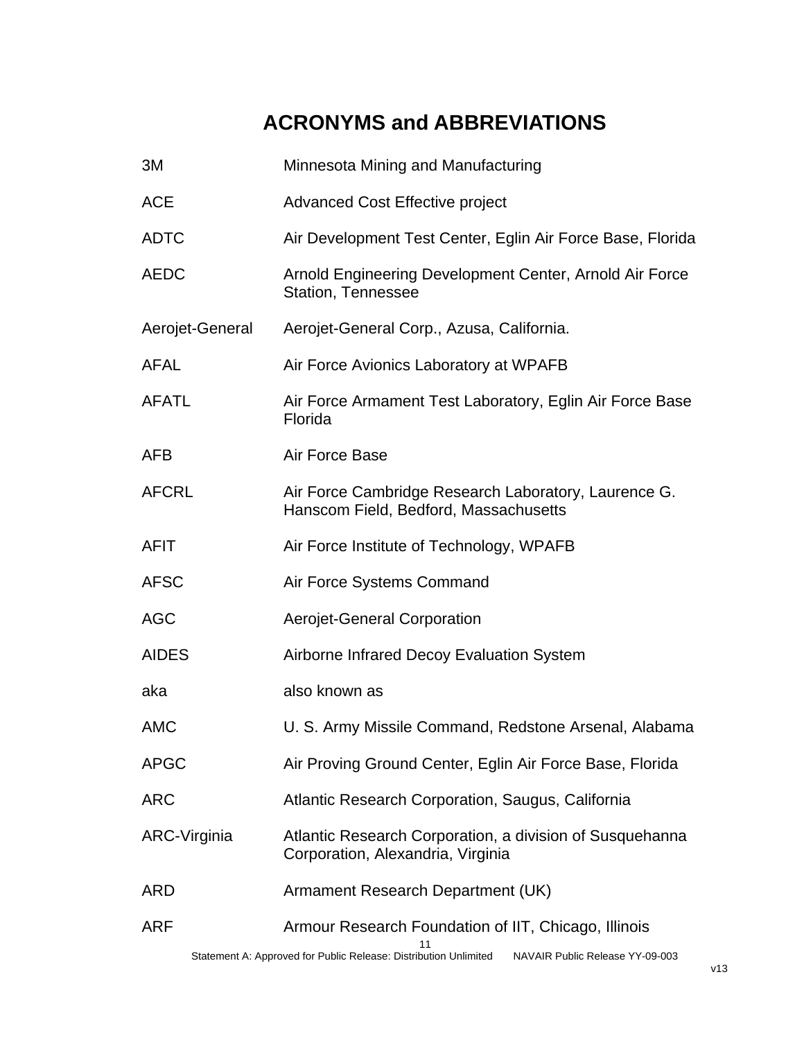# **ACRONYMS and ABBREVIATIONS**

| 3M              | Minnesota Mining and Manufacturing                                                                                                                          |
|-----------------|-------------------------------------------------------------------------------------------------------------------------------------------------------------|
| <b>ACE</b>      | <b>Advanced Cost Effective project</b>                                                                                                                      |
| <b>ADTC</b>     | Air Development Test Center, Eglin Air Force Base, Florida                                                                                                  |
| <b>AEDC</b>     | Arnold Engineering Development Center, Arnold Air Force<br>Station, Tennessee                                                                               |
| Aerojet-General | Aerojet-General Corp., Azusa, California.                                                                                                                   |
| <b>AFAL</b>     | Air Force Avionics Laboratory at WPAFB                                                                                                                      |
| <b>AFATL</b>    | Air Force Armament Test Laboratory, Eglin Air Force Base<br>Florida                                                                                         |
| <b>AFB</b>      | Air Force Base                                                                                                                                              |
| <b>AFCRL</b>    | Air Force Cambridge Research Laboratory, Laurence G.<br>Hanscom Field, Bedford, Massachusetts                                                               |
| <b>AFIT</b>     | Air Force Institute of Technology, WPAFB                                                                                                                    |
| <b>AFSC</b>     | Air Force Systems Command                                                                                                                                   |
| <b>AGC</b>      | Aerojet-General Corporation                                                                                                                                 |
| <b>AIDES</b>    | Airborne Infrared Decoy Evaluation System                                                                                                                   |
| aka             | also known as                                                                                                                                               |
| <b>AMC</b>      | U. S. Army Missile Command, Redstone Arsenal, Alabama                                                                                                       |
| <b>APGC</b>     | Air Proving Ground Center, Eglin Air Force Base, Florida                                                                                                    |
| <b>ARC</b>      | Atlantic Research Corporation, Saugus, California                                                                                                           |
| ARC-Virginia    | Atlantic Research Corporation, a division of Susquehanna<br>Corporation, Alexandria, Virginia                                                               |
| <b>ARD</b>      | Armament Research Department (UK)                                                                                                                           |
| <b>ARF</b>      | Armour Research Foundation of IIT, Chicago, Illinois<br>Statement A: Approved for Public Release: Distribution Unlimited<br>NAVAIR Public Release YY-09-003 |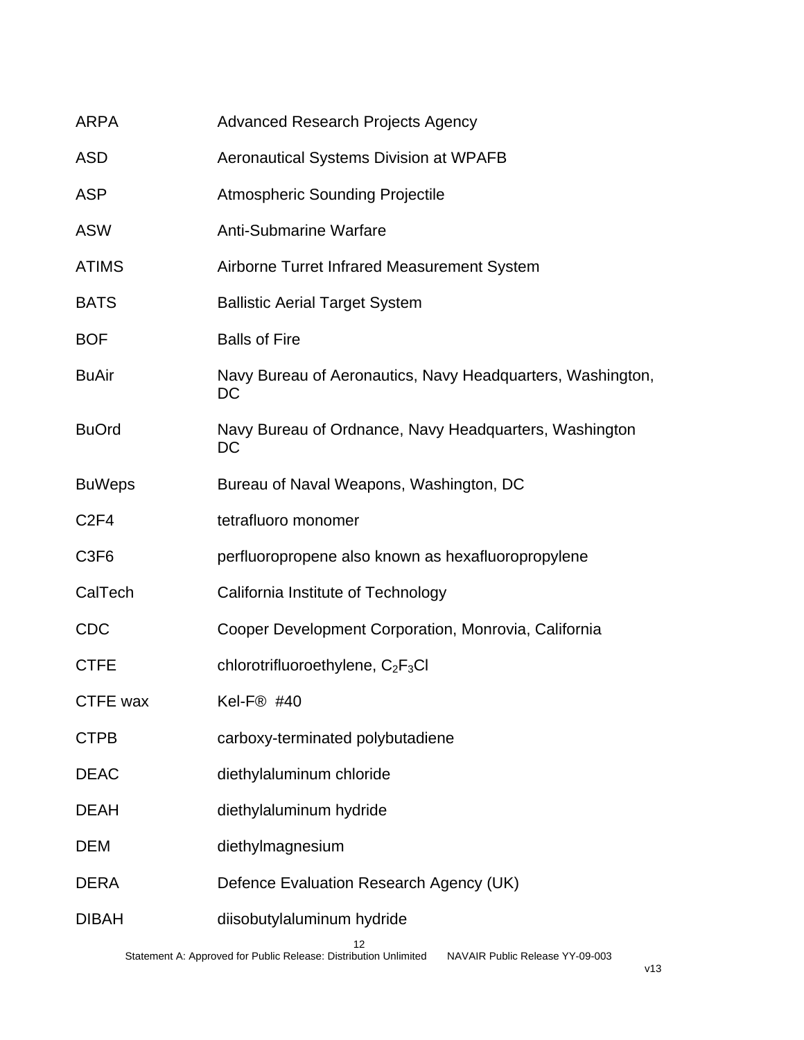| <b>ARPA</b>      | <b>Advanced Research Projects Agency</b>                         |
|------------------|------------------------------------------------------------------|
| <b>ASD</b>       | <b>Aeronautical Systems Division at WPAFB</b>                    |
| <b>ASP</b>       | <b>Atmospheric Sounding Projectile</b>                           |
| <b>ASW</b>       | <b>Anti-Submarine Warfare</b>                                    |
| <b>ATIMS</b>     | Airborne Turret Infrared Measurement System                      |
| <b>BATS</b>      | <b>Ballistic Aerial Target System</b>                            |
| <b>BOF</b>       | <b>Balls of Fire</b>                                             |
| <b>BuAir</b>     | Navy Bureau of Aeronautics, Navy Headquarters, Washington,<br>DC |
| <b>BuOrd</b>     | Navy Bureau of Ordnance, Navy Headquarters, Washington<br>DC     |
| <b>BuWeps</b>    | Bureau of Naval Weapons, Washington, DC                          |
| C <sub>2F4</sub> | tetrafluoro monomer                                              |
| C <sub>3F6</sub> | perfluoropropene also known as hexafluoropropylene               |
| CalTech          | California Institute of Technology                               |
| <b>CDC</b>       | Cooper Development Corporation, Monrovia, California             |
| <b>CTFE</b>      | chlorotrifluoroethylene, C <sub>2</sub> F <sub>3</sub> CI        |
| CTFE wax         | Kel-F® #40                                                       |
| <b>CTPB</b>      | carboxy-terminated polybutadiene                                 |
| <b>DEAC</b>      | diethylaluminum chloride                                         |
| <b>DEAH</b>      | diethylaluminum hydride                                          |
| <b>DEM</b>       | diethylmagnesium                                                 |
| <b>DERA</b>      | Defence Evaluation Research Agency (UK)                          |
| <b>DIBAH</b>     | diisobutylaluminum hydride                                       |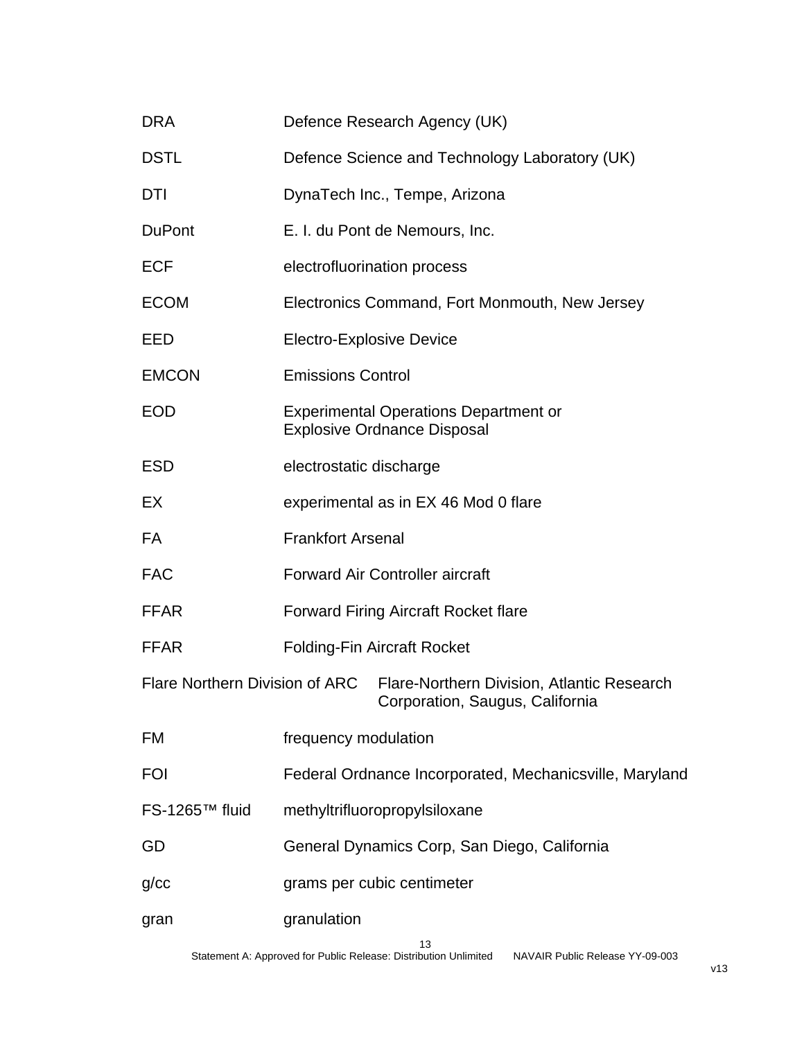| <b>DRA</b>                     | Defence Research Agency (UK)                                                       |
|--------------------------------|------------------------------------------------------------------------------------|
| <b>DSTL</b>                    | Defence Science and Technology Laboratory (UK)                                     |
| <b>DTI</b>                     | DynaTech Inc., Tempe, Arizona                                                      |
| <b>DuPont</b>                  | E. I. du Pont de Nemours, Inc.                                                     |
| <b>ECF</b>                     | electrofluorination process                                                        |
| <b>ECOM</b>                    | Electronics Command, Fort Monmouth, New Jersey                                     |
| EED                            | <b>Electro-Explosive Device</b>                                                    |
| <b>EMCON</b>                   | <b>Emissions Control</b>                                                           |
| <b>EOD</b>                     | <b>Experimental Operations Department or</b><br><b>Explosive Ordnance Disposal</b> |
| <b>ESD</b>                     | electrostatic discharge                                                            |
| EX                             | experimental as in EX 46 Mod 0 flare                                               |
| <b>FA</b>                      | <b>Frankfort Arsenal</b>                                                           |
| <b>FAC</b>                     | <b>Forward Air Controller aircraft</b>                                             |
| <b>FFAR</b>                    | <b>Forward Firing Aircraft Rocket flare</b>                                        |
| <b>FFAR</b>                    | <b>Folding-Fin Aircraft Rocket</b>                                                 |
| Flare Northern Division of ARC | Flare-Northern Division, Atlantic Research<br>Corporation, Saugus, California      |
| FM                             | frequency modulation                                                               |
| <b>FOI</b>                     | Federal Ordnance Incorporated, Mechanicsville, Maryland                            |
| FS-1265™ fluid                 | methyltrifluoropropylsiloxane                                                      |
| GD                             | General Dynamics Corp, San Diego, California                                       |
| g/cc                           | grams per cubic centimeter                                                         |
| gran                           | granulation                                                                        |
|                                | 13                                                                                 |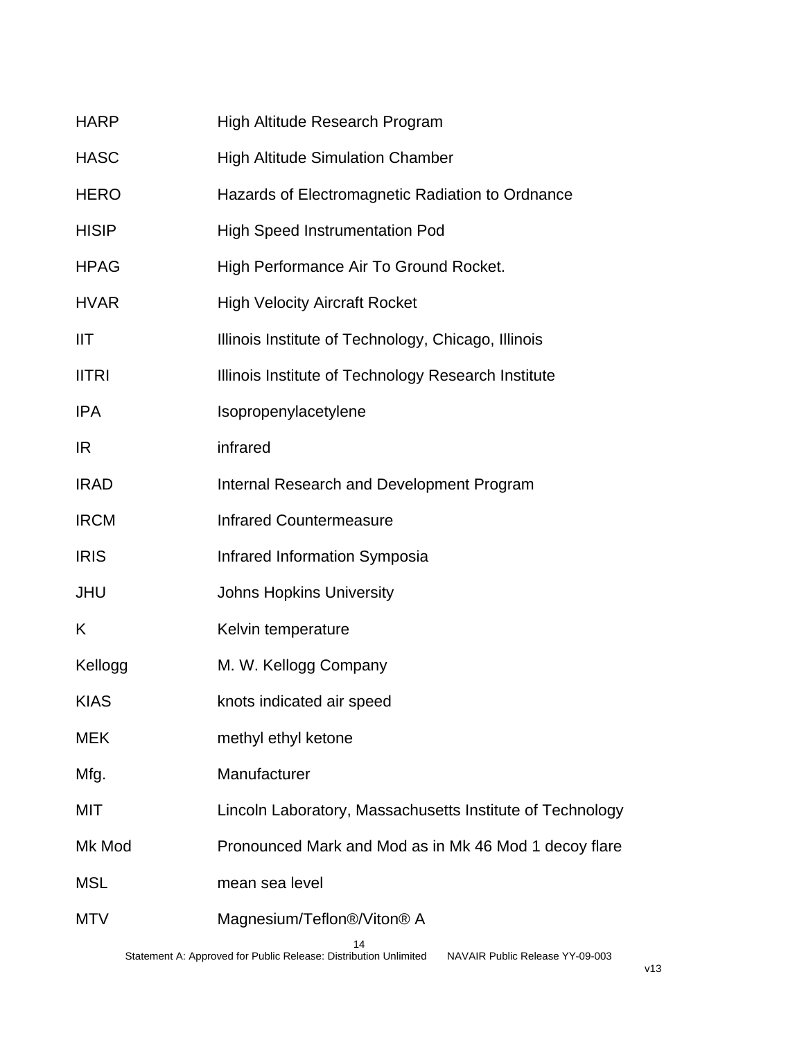| <b>HARP</b>  | High Altitude Research Program                            |
|--------------|-----------------------------------------------------------|
| <b>HASC</b>  | <b>High Altitude Simulation Chamber</b>                   |
| <b>HERO</b>  | Hazards of Electromagnetic Radiation to Ordnance          |
| <b>HISIP</b> | <b>High Speed Instrumentation Pod</b>                     |
| <b>HPAG</b>  | High Performance Air To Ground Rocket.                    |
| <b>HVAR</b>  | <b>High Velocity Aircraft Rocket</b>                      |
| IIT          | Illinois Institute of Technology, Chicago, Illinois       |
| <b>IITRI</b> | Illinois Institute of Technology Research Institute       |
| <b>IPA</b>   | Isopropenylacetylene                                      |
| <b>IR</b>    | infrared                                                  |
| <b>IRAD</b>  | Internal Research and Development Program                 |
| <b>IRCM</b>  | <b>Infrared Countermeasure</b>                            |
| <b>IRIS</b>  | Infrared Information Symposia                             |
| <b>JHU</b>   | <b>Johns Hopkins University</b>                           |
| K            | Kelvin temperature                                        |
| Kellogg      | M. W. Kellogg Company                                     |
| <b>KIAS</b>  | knots indicated air speed                                 |
| MEK          | methyl ethyl ketone                                       |
| Mfg.         | Manufacturer                                              |
| MIT          | Lincoln Laboratory, Massachusetts Institute of Technology |
| Mk Mod       | Pronounced Mark and Mod as in Mk 46 Mod 1 decoy flare     |
| <b>MSL</b>   | mean sea level                                            |
| MTV          | Magnesium/Teflon®/Viton® A<br>14                          |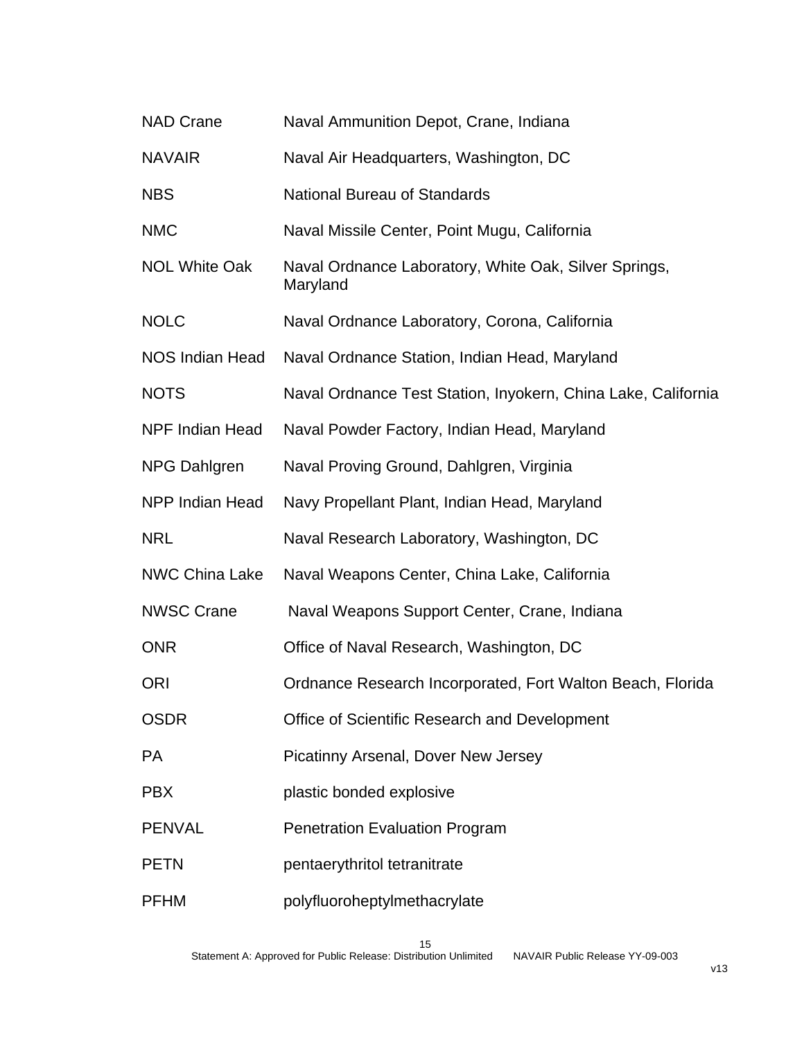| <b>NAD Crane</b>       | Naval Ammunition Depot, Crane, Indiana                            |
|------------------------|-------------------------------------------------------------------|
| <b>NAVAIR</b>          | Naval Air Headquarters, Washington, DC                            |
| <b>NBS</b>             | <b>National Bureau of Standards</b>                               |
| <b>NMC</b>             | Naval Missile Center, Point Mugu, California                      |
| <b>NOL White Oak</b>   | Naval Ordnance Laboratory, White Oak, Silver Springs,<br>Maryland |
| <b>NOLC</b>            | Naval Ordnance Laboratory, Corona, California                     |
| NOS Indian Head        | Naval Ordnance Station, Indian Head, Maryland                     |
| <b>NOTS</b>            | Naval Ordnance Test Station, Inyokern, China Lake, California     |
| NPF Indian Head        | Naval Powder Factory, Indian Head, Maryland                       |
| <b>NPG Dahlgren</b>    | Naval Proving Ground, Dahlgren, Virginia                          |
| <b>NPP Indian Head</b> | Navy Propellant Plant, Indian Head, Maryland                      |
| <b>NRL</b>             | Naval Research Laboratory, Washington, DC                         |
| <b>NWC China Lake</b>  | Naval Weapons Center, China Lake, California                      |
| <b>NWSC Crane</b>      | Naval Weapons Support Center, Crane, Indiana                      |
| <b>ONR</b>             | Office of Naval Research, Washington, DC                          |
| <b>ORI</b>             | Ordnance Research Incorporated, Fort Walton Beach, Florida        |
| <b>OSDR</b>            | Office of Scientific Research and Development                     |
| <b>PA</b>              | Picatinny Arsenal, Dover New Jersey                               |
| <b>PBX</b>             | plastic bonded explosive                                          |
| <b>PENVAL</b>          | <b>Penetration Evaluation Program</b>                             |
| <b>PETN</b>            | pentaerythritol tetranitrate                                      |
| <b>PFHM</b>            | polyfluoroheptylmethacrylate                                      |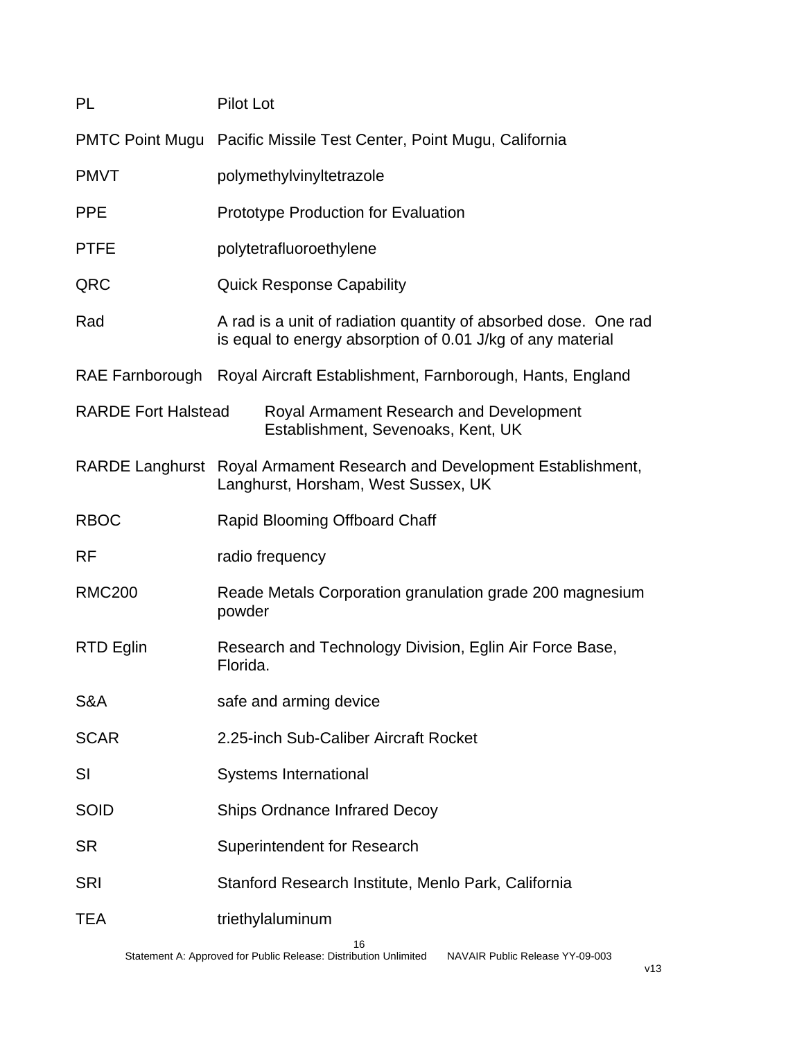| PL                         | <b>Pilot Lot</b>                                                                                                              |  |
|----------------------------|-------------------------------------------------------------------------------------------------------------------------------|--|
|                            | PMTC Point Mugu Pacific Missile Test Center, Point Mugu, California                                                           |  |
| <b>PMVT</b>                | polymethylvinyltetrazole                                                                                                      |  |
| <b>PPE</b>                 | <b>Prototype Production for Evaluation</b>                                                                                    |  |
| <b>PTFE</b>                | polytetrafluoroethylene                                                                                                       |  |
| QRC                        | <b>Quick Response Capability</b>                                                                                              |  |
| Rad                        | A rad is a unit of radiation quantity of absorbed dose. One rad<br>is equal to energy absorption of 0.01 J/kg of any material |  |
|                            | RAE Farnborough Royal Aircraft Establishment, Farnborough, Hants, England                                                     |  |
| <b>RARDE Fort Halstead</b> | Royal Armament Research and Development<br>Establishment, Sevenoaks, Kent, UK                                                 |  |
|                            | RARDE Langhurst Royal Armament Research and Development Establishment,<br>Langhurst, Horsham, West Sussex, UK                 |  |
| <b>RBOC</b>                | Rapid Blooming Offboard Chaff                                                                                                 |  |
| <b>RF</b>                  | radio frequency                                                                                                               |  |
| <b>RMC200</b>              | Reade Metals Corporation granulation grade 200 magnesium<br>powder                                                            |  |
| RTD Eglin                  | Research and Technology Division, Eglin Air Force Base,<br>Florida.                                                           |  |
| S&A                        | safe and arming device                                                                                                        |  |
| <b>SCAR</b>                | 2.25-inch Sub-Caliber Aircraft Rocket                                                                                         |  |
| SI                         | <b>Systems International</b>                                                                                                  |  |
| <b>SOID</b>                | <b>Ships Ordnance Infrared Decoy</b>                                                                                          |  |
| <b>SR</b>                  | Superintendent for Research                                                                                                   |  |
| <b>SRI</b>                 | Stanford Research Institute, Menlo Park, California                                                                           |  |
| TEA                        | triethylaluminum                                                                                                              |  |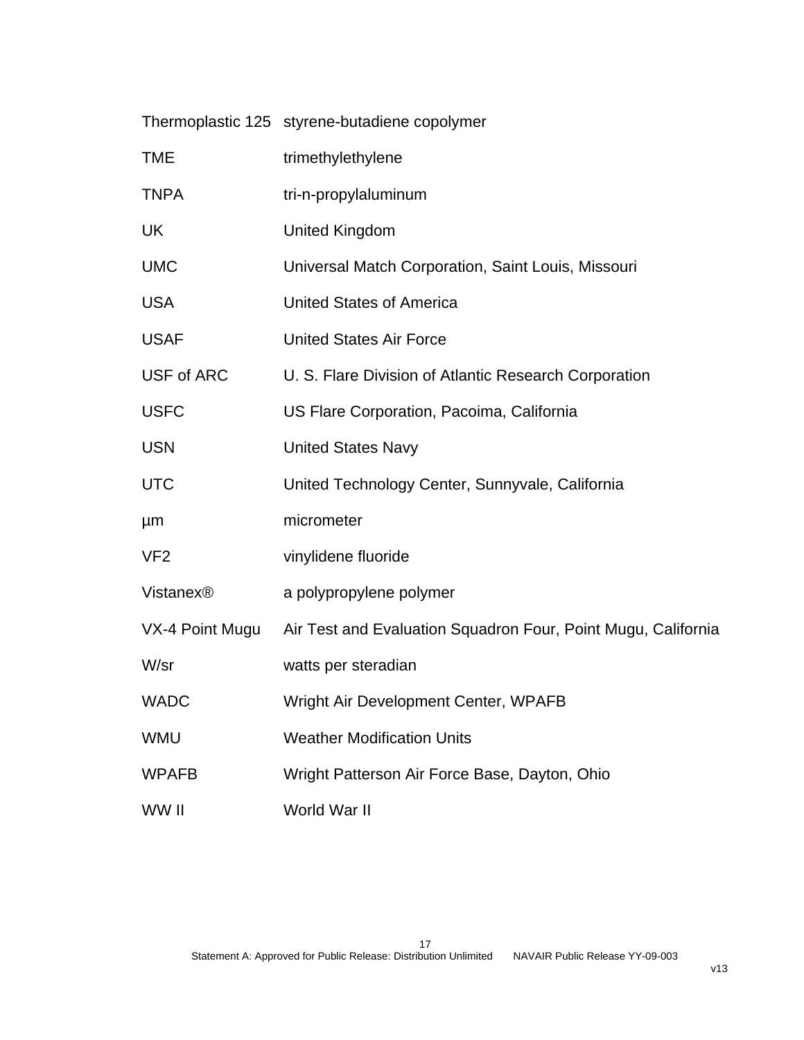|                       | Thermoplastic 125 styrene-butadiene copolymer                 |
|-----------------------|---------------------------------------------------------------|
| <b>TME</b>            | trimethylethylene                                             |
| <b>TNPA</b>           | tri-n-propylaluminum                                          |
| UK                    | <b>United Kingdom</b>                                         |
| <b>UMC</b>            | Universal Match Corporation, Saint Louis, Missouri            |
| <b>USA</b>            | <b>United States of America</b>                               |
| <b>USAF</b>           | <b>United States Air Force</b>                                |
| <b>USF of ARC</b>     | U. S. Flare Division of Atlantic Research Corporation         |
| <b>USFC</b>           | US Flare Corporation, Pacoima, California                     |
| <b>USN</b>            | <b>United States Navy</b>                                     |
| <b>UTC</b>            | United Technology Center, Sunnyvale, California               |
| μm                    | micrometer                                                    |
| VF <sub>2</sub>       | vinylidene fluoride                                           |
| Vistanex <sup>®</sup> | a polypropylene polymer                                       |
| VX-4 Point Mugu       | Air Test and Evaluation Squadron Four, Point Mugu, California |
| W/sr                  | watts per steradian                                           |
| <b>WADC</b>           | Wright Air Development Center, WPAFB                          |
| <b>WMU</b>            | <b>Weather Modification Units</b>                             |
| <b>WPAFB</b>          | Wright Patterson Air Force Base, Dayton, Ohio                 |
| WW II                 | World War II                                                  |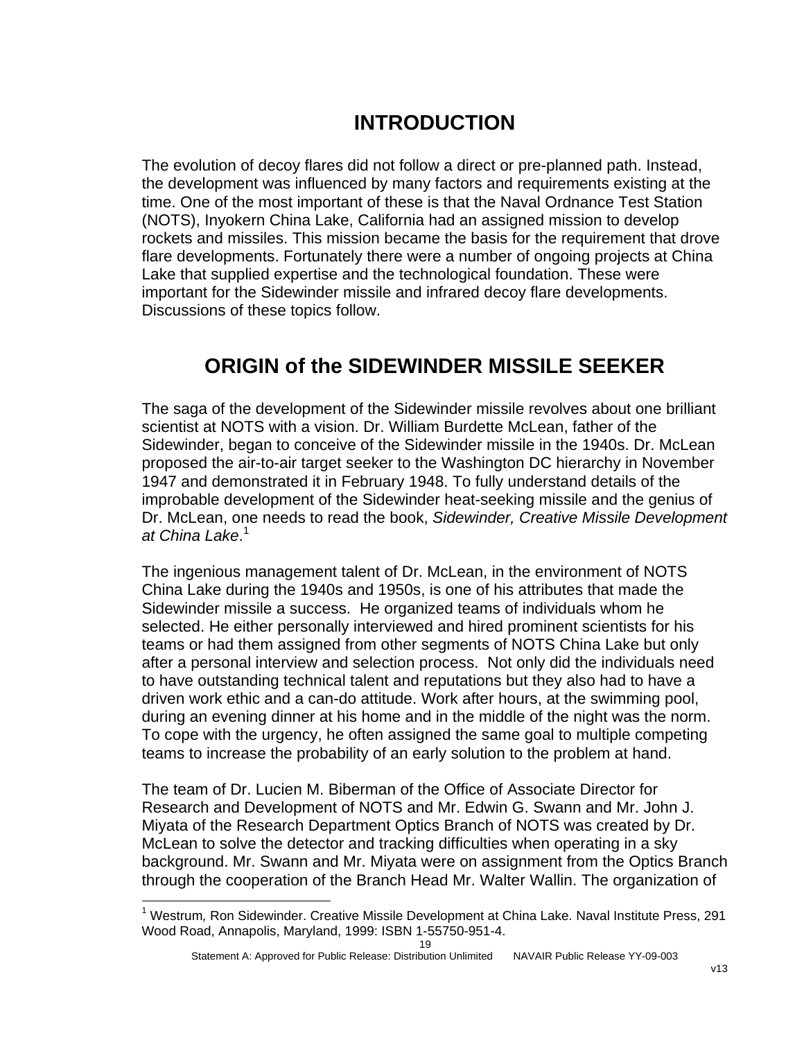## **INTRODUCTION**

The evolution of decoy flares did not follow a direct or pre-planned path. Instead, the development was influenced by many factors and requirements existing at the time. One of the most important of these is that the Naval Ordnance Test Station (NOTS), Inyokern China Lake, California had an assigned mission to develop rockets and missiles. This mission became the basis for the requirement that drove flare developments. Fortunately there were a number of ongoing projects at China Lake that supplied expertise and the technological foundation. These were important for the Sidewinder missile and infrared decoy flare developments. Discussions of these topics follow.

### **ORIGIN of the SIDEWINDER MISSILE SEEKER**

The saga of the development of the Sidewinder missile revolves about one brilliant scientist at NOTS with a vision. Dr. William Burdette McLean, father of the Sidewinder, began to conceive of the Sidewinder missile in the 1940s. Dr. McLean proposed the air-to-air target seeker to the Washington DC hierarchy in November 1947 and demonstrated it in February 1948. To fully understand details of the improbable development of the Sidewinder heat-seeking missile and the genius of Dr. McLean, one needs to read the book, *Sidewinder, Creative Missile Development at China Lake*. [1](#page-19-0)

The ingenious management talent of Dr. McLean, in the environment of NOTS China Lake during the 1940s and 1950s, is one of his attributes that made the Sidewinder missile a success. He organized teams of individuals whom he selected. He either personally interviewed and hired prominent scientists for his teams or had them assigned from other segments of NOTS China Lake but only after a personal interview and selection process. Not only did the individuals need to have outstanding technical talent and reputations but they also had to have a driven work ethic and a can-do attitude. Work after hours, at the swimming pool, during an evening dinner at his home and in the middle of the night was the norm. To cope with the urgency, he often assigned the same goal to multiple competing teams to increase the probability of an early solution to the problem at hand.

The team of Dr. Lucien M. Biberman of the Office of Associate Director for Research and Development of NOTS and Mr. Edwin G. Swann and Mr. John J. Miyata of the Research Department Optics Branch of NOTS was created by Dr. McLean to solve the detector and tracking difficulties when operating in a sky background. Mr. Swann and Mr. Miyata were on assignment from the Optics Branch through the cooperation of the Branch Head Mr. Walter Wallin. The organization of

 $\overline{a}$ 

<span id="page-19-0"></span><sup>1</sup> Westrum*,* Ron Sidewinder. Creative Missile Development at China Lake*.* Naval Institute Press, 291 Wood Road, Annapolis, Maryland, 1999: ISBN 1-55750-951-4.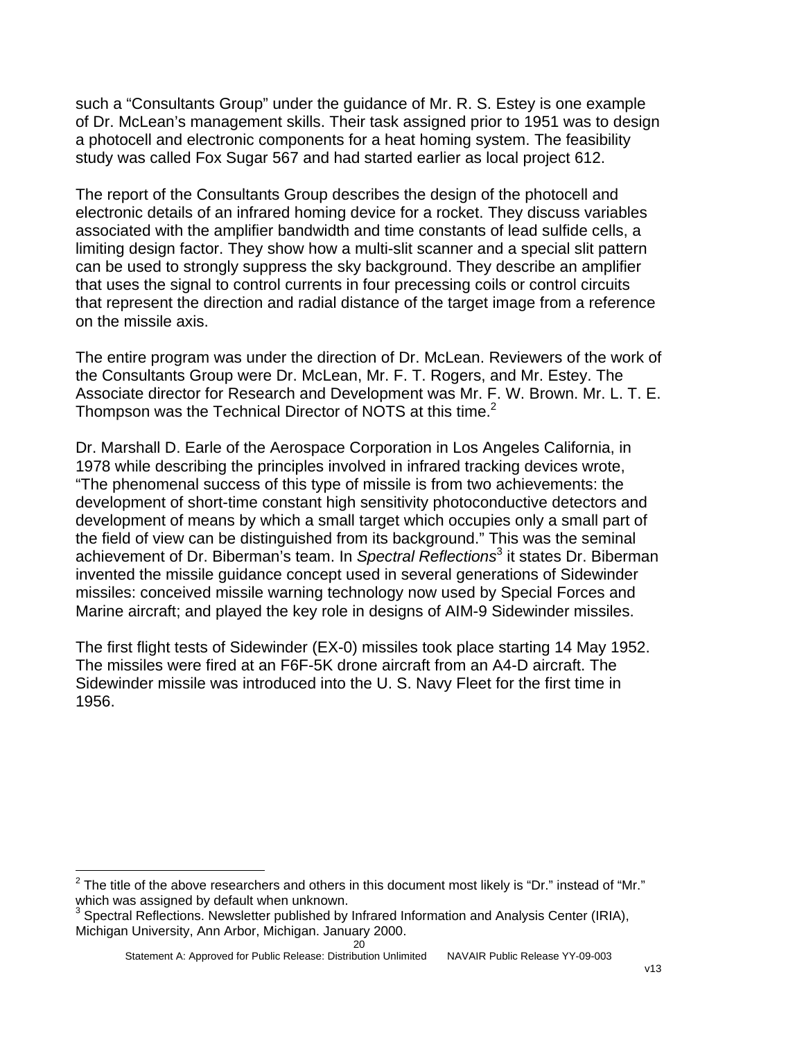such a "Consultants Group" under the guidance of Mr. R. S. Estey is one example of Dr. McLean's management skills. Their task assigned prior to 1951 was to design a photocell and electronic components for a heat homing system. The feasibility study was called Fox Sugar 567 and had started earlier as local project 612.

The report of the Consultants Group describes the design of the photocell and electronic details of an infrared homing device for a rocket. They discuss variables associated with the amplifier bandwidth and time constants of lead sulfide cells, a limiting design factor. They show how a multi-slit scanner and a special slit pattern can be used to strongly suppress the sky background. They describe an amplifier that uses the signal to control currents in four precessing coils or control circuits that represent the direction and radial distance of the target image from a reference on the missile axis.

The entire program was under the direction of Dr. McLean. Reviewers of the work of the Consultants Group were Dr. McLean, Mr. F. T. Rogers, and Mr. Estey. The Associate director for Research and Development was Mr. F. W. Brown. Mr. L. T. E. Thompson was the Technical Director of NOTS at this time. $2$ 

Dr. Marshall D. Earle of the Aerospace Corporation in Los Angeles California, in 1978 while describing the principles involved in infrared tracking devices wrote, "The phenomenal success of this type of missile is from two achievements: the development of short-time constant high sensitivity photoconductive detectors and development of means by which a small target which occupies only a small part of the field of view can be distinguished from its background." This was the seminal achievement of Dr. Biberman's team. In *Spectral Reflections*<sup>[3](#page-20-1)</sup> it states Dr. Biberman invented the missile guidance concept used in several generations of Sidewinder missiles: conceived missile warning technology now used by Special Forces and Marine aircraft; and played the key role in designs of AIM-9 Sidewinder missiles.

The first flight tests of Sidewinder (EX-0) missiles took place starting 14 May 1952. The missiles were fired at an F6F-5K drone aircraft from an A4-D aircraft. The Sidewinder missile was introduced into the U. S. Navy Fleet for the first time in 1956.

l

<span id="page-20-0"></span><sup>2</sup> The title of the above researchers and others in this document most likely is "Dr." instead of "Mr." which was assigned by default when unknown.

<span id="page-20-1"></span><sup>&</sup>lt;sup>3</sup> Spectral Reflections. Newsletter published by Infrared Information and Analysis Center (IRIA), Michigan University, Ann Arbor, Michigan. January 2000.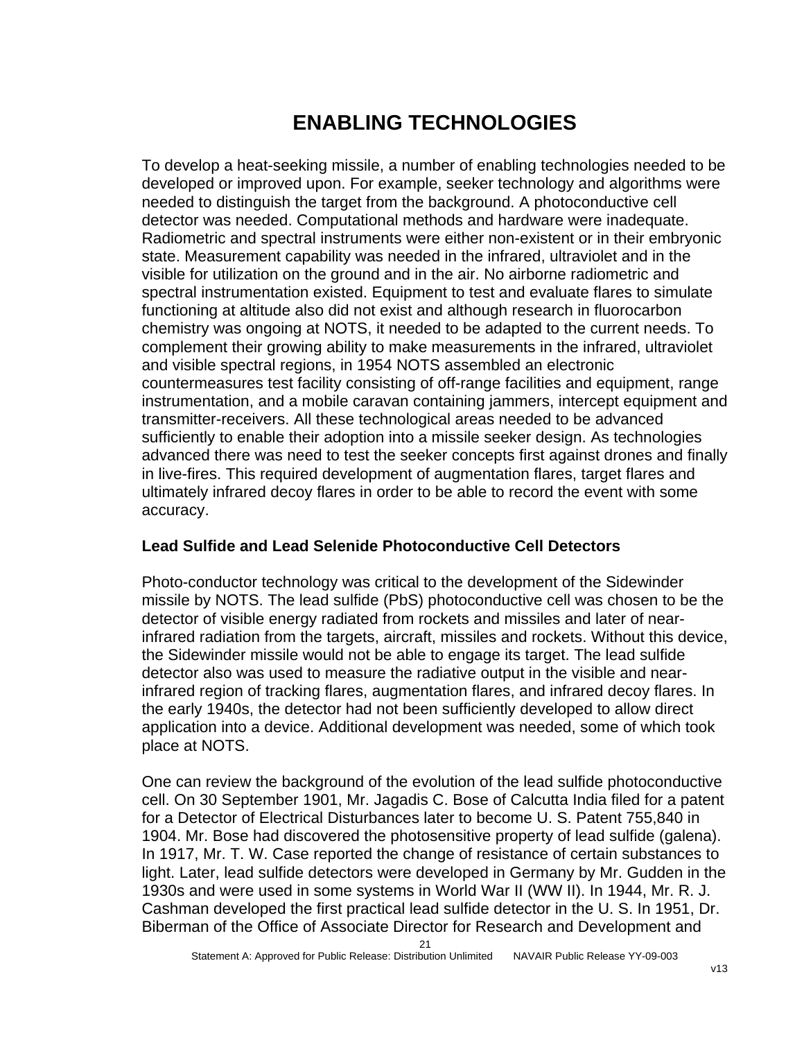## **ENABLING TECHNOLOGIES**

To develop a heat-seeking missile, a number of enabling technologies needed to be developed or improved upon. For example, seeker technology and algorithms were needed to distinguish the target from the background. A photoconductive cell detector was needed. Computational methods and hardware were inadequate. Radiometric and spectral instruments were either non-existent or in their embryonic state. Measurement capability was needed in the infrared, ultraviolet and in the visible for utilization on the ground and in the air. No airborne radiometric and spectral instrumentation existed. Equipment to test and evaluate flares to simulate functioning at altitude also did not exist and although research in fluorocarbon chemistry was ongoing at NOTS, it needed to be adapted to the current needs. To complement their growing ability to make measurements in the infrared, ultraviolet and visible spectral regions, in 1954 NOTS assembled an electronic countermeasures test facility consisting of off-range facilities and equipment, range instrumentation, and a mobile caravan containing jammers, intercept equipment and transmitter-receivers. All these technological areas needed to be advanced sufficiently to enable their adoption into a missile seeker design. As technologies advanced there was need to test the seeker concepts first against drones and finally in live-fires. This required development of augmentation flares, target flares and ultimately infrared decoy flares in order to be able to record the event with some accuracy.

#### **Lead Sulfide and Lead Selenide Photoconductive Cell Detectors**

Photo-conductor technology was critical to the development of the Sidewinder missile by NOTS. The lead sulfide (PbS) photoconductive cell was chosen to be the detector of visible energy radiated from rockets and missiles and later of nearinfrared radiation from the targets, aircraft, missiles and rockets. Without this device, the Sidewinder missile would not be able to engage its target. The lead sulfide detector also was used to measure the radiative output in the visible and nearinfrared region of tracking flares, augmentation flares, and infrared decoy flares. In the early 1940s, the detector had not been sufficiently developed to allow direct application into a device. Additional development was needed, some of which took place at NOTS.

One can review the background of the evolution of the lead sulfide photoconductive cell. On 30 September 1901, Mr. Jagadis C. Bose of Calcutta India filed for a patent for a Detector of Electrical Disturbances later to become U. S. Patent 755,840 in 1904. Mr. Bose had discovered the photosensitive property of lead sulfide (galena). In 1917, Mr. T. W. Case reported the change of resistance of certain substances to light. Later, lead sulfide detectors were developed in Germany by Mr. Gudden in the 1930s and were used in some systems in World War II (WW II). In 1944, Mr. R. J. Cashman developed the first practical lead sulfide detector in the U. S. In 1951, Dr. Biberman of the Office of Associate Director for Research and Development and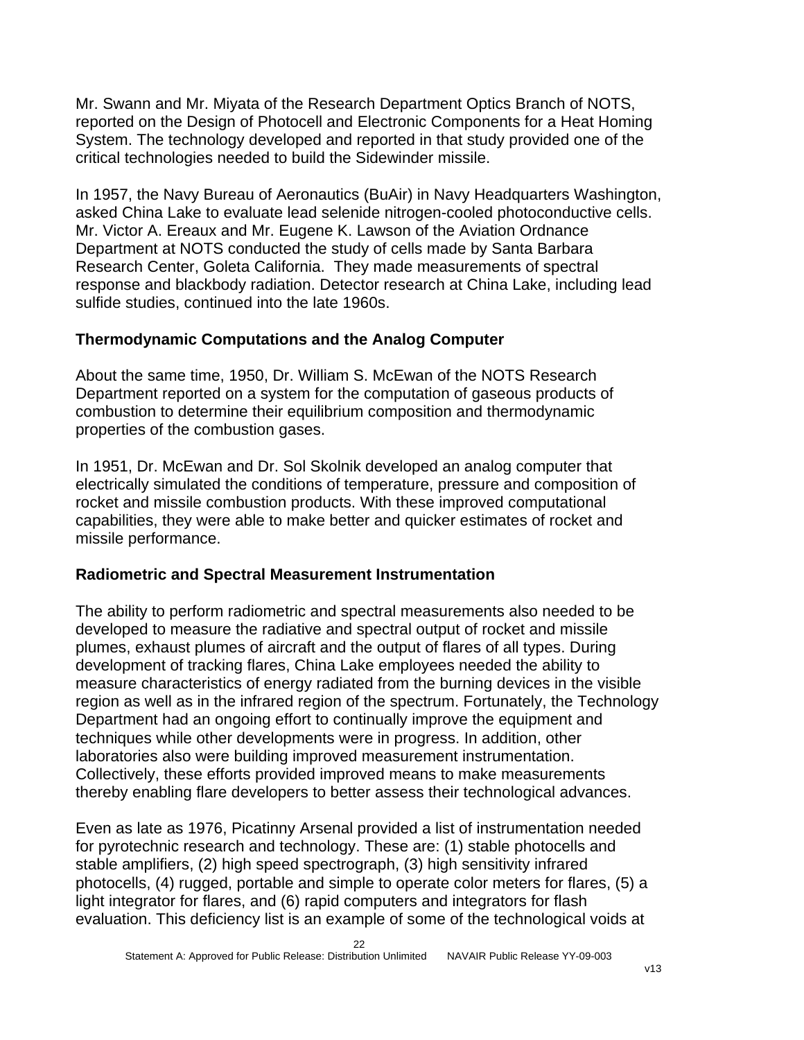Mr. Swann and Mr. Miyata of the Research Department Optics Branch of NOTS, reported on the Design of Photocell and Electronic Components for a Heat Homing System. The technology developed and reported in that study provided one of the critical technologies needed to build the Sidewinder missile.

In 1957, the Navy Bureau of Aeronautics (BuAir) in Navy Headquarters Washington, asked China Lake to evaluate lead selenide nitrogen-cooled photoconductive cells. Mr. Victor A. Ereaux and Mr. Eugene K. Lawson of the Aviation Ordnance Department at NOTS conducted the study of cells made by Santa Barbara Research Center, Goleta California. They made measurements of spectral response and blackbody radiation. Detector research at China Lake, including lead sulfide studies, continued into the late 1960s.

#### **Thermodynamic Computations and the Analog Computer**

About the same time, 1950, Dr. William S. McEwan of the NOTS Research Department reported on a system for the computation of gaseous products of combustion to determine their equilibrium composition and thermodynamic properties of the combustion gases.

In 1951, Dr. McEwan and Dr. Sol Skolnik developed an analog computer that electrically simulated the conditions of temperature, pressure and composition of rocket and missile combustion products. With these improved computational capabilities, they were able to make better and quicker estimates of rocket and missile performance.

#### **Radiometric and Spectral Measurement Instrumentation**

The ability to perform radiometric and spectral measurements also needed to be developed to measure the radiative and spectral output of rocket and missile plumes, exhaust plumes of aircraft and the output of flares of all types. During development of tracking flares, China Lake employees needed the ability to measure characteristics of energy radiated from the burning devices in the visible region as well as in the infrared region of the spectrum. Fortunately, the Technology Department had an ongoing effort to continually improve the equipment and techniques while other developments were in progress. In addition, other laboratories also were building improved measurement instrumentation. Collectively, these efforts provided improved means to make measurements thereby enabling flare developers to better assess their technological advances.

Even as late as 1976, Picatinny Arsenal provided a list of instrumentation needed for pyrotechnic research and technology. These are: (1) stable photocells and stable amplifiers, (2) high speed spectrograph, (3) high sensitivity infrared photocells, (4) rugged, portable and simple to operate color meters for flares, (5) a light integrator for flares, and (6) rapid computers and integrators for flash evaluation. This deficiency list is an example of some of the technological voids at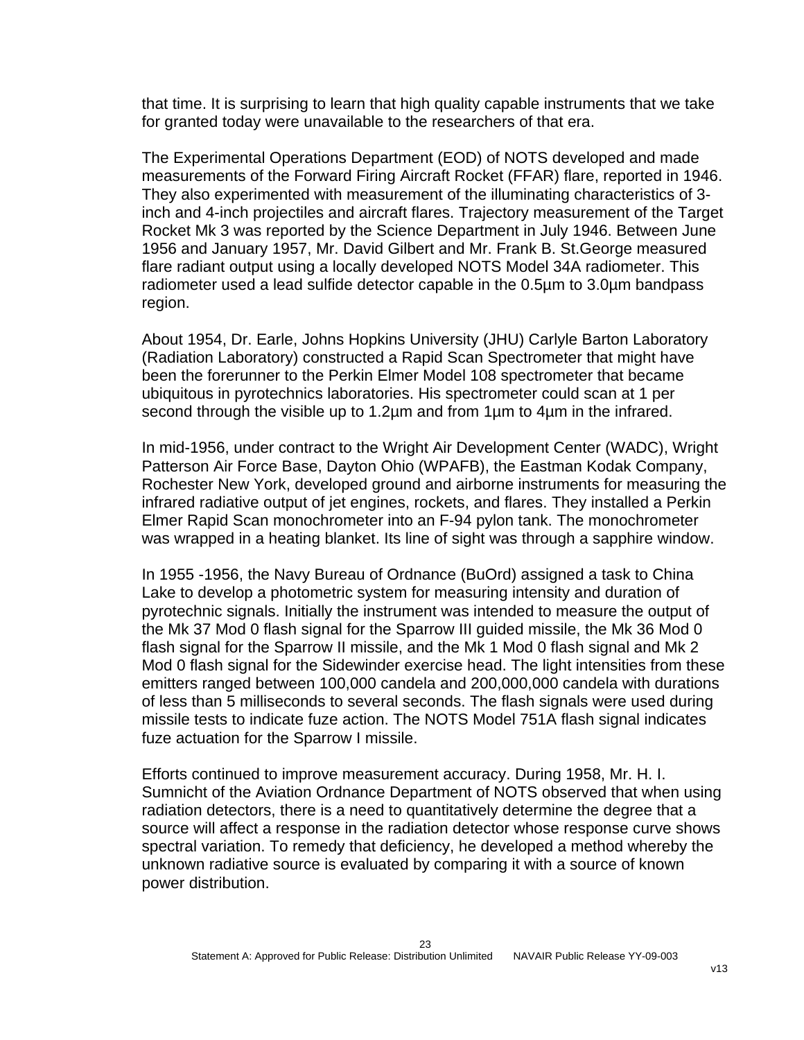that time. It is surprising to learn that high quality capable instruments that we take for granted today were unavailable to the researchers of that era.

The Experimental Operations Department (EOD) of NOTS developed and made measurements of the Forward Firing Aircraft Rocket (FFAR) flare, reported in 1946. They also experimented with measurement of the illuminating characteristics of 3 inch and 4-inch projectiles and aircraft flares. Trajectory measurement of the Target Rocket Mk 3 was reported by the Science Department in July 1946. Between June 1956 and January 1957, Mr. David Gilbert and Mr. Frank B. St.George measured flare radiant output using a locally developed NOTS Model 34A radiometer. This radiometer used a lead sulfide detector capable in the 0.5µm to 3.0µm bandpass region.

About 1954, Dr. Earle, Johns Hopkins University (JHU) Carlyle Barton Laboratory (Radiation Laboratory) constructed a Rapid Scan Spectrometer that might have been the forerunner to the Perkin Elmer Model 108 spectrometer that became ubiquitous in pyrotechnics laboratories. His spectrometer could scan at 1 per second through the visible up to 1.2µm and from 1µm to 4µm in the infrared.

In mid-1956, under contract to the Wright Air Development Center (WADC), Wright Patterson Air Force Base, Dayton Ohio (WPAFB), the Eastman Kodak Company, Rochester New York, developed ground and airborne instruments for measuring the infrared radiative output of jet engines, rockets, and flares. They installed a Perkin Elmer Rapid Scan monochrometer into an F-94 pylon tank. The monochrometer was wrapped in a heating blanket. Its line of sight was through a sapphire window.

In 1955 -1956, the Navy Bureau of Ordnance (BuOrd) assigned a task to China Lake to develop a photometric system for measuring intensity and duration of pyrotechnic signals. Initially the instrument was intended to measure the output of the Mk 37 Mod 0 flash signal for the Sparrow III guided missile, the Mk 36 Mod 0 flash signal for the Sparrow II missile, and the Mk 1 Mod 0 flash signal and Mk 2 Mod 0 flash signal for the Sidewinder exercise head. The light intensities from these emitters ranged between 100,000 candela and 200,000,000 candela with durations of less than 5 milliseconds to several seconds. The flash signals were used during missile tests to indicate fuze action. The NOTS Model 751A flash signal indicates fuze actuation for the Sparrow I missile.

Efforts continued to improve measurement accuracy. During 1958, Mr. H. I. Sumnicht of the Aviation Ordnance Department of NOTS observed that when using radiation detectors, there is a need to quantitatively determine the degree that a source will affect a response in the radiation detector whose response curve shows spectral variation. To remedy that deficiency, he developed a method whereby the unknown radiative source is evaluated by comparing it with a source of known power distribution.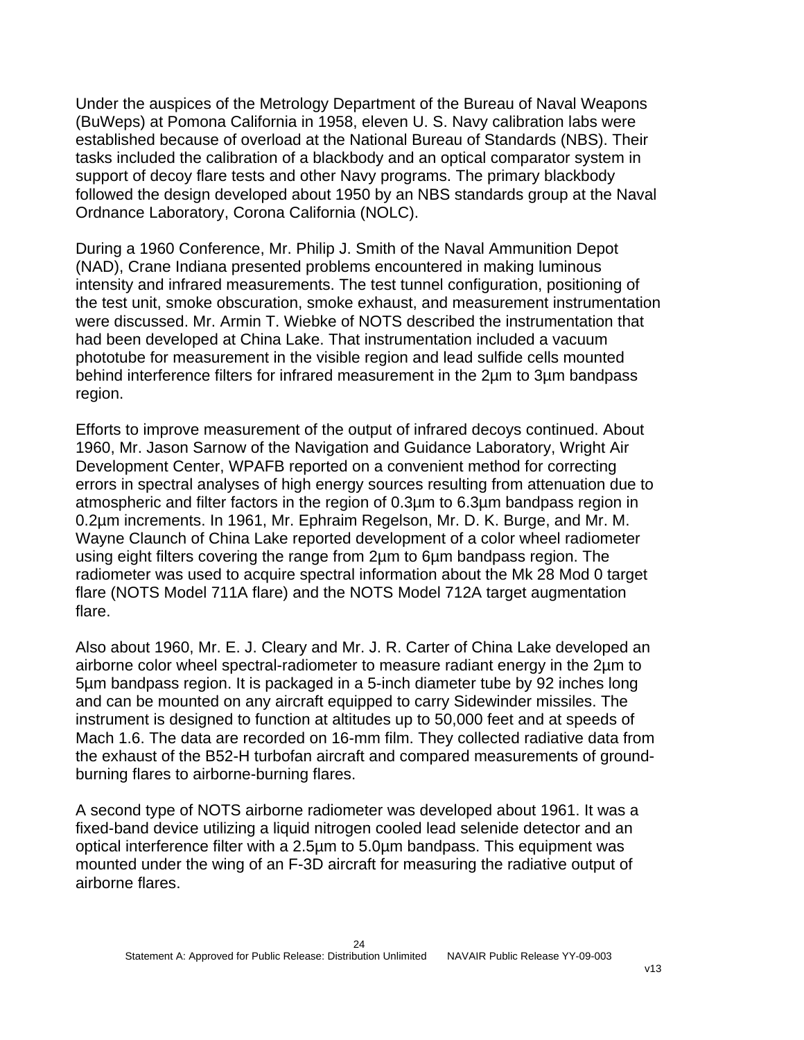Under the auspices of the Metrology Department of the Bureau of Naval Weapons (BuWeps) at Pomona California in 1958, eleven U. S. Navy calibration labs were established because of overload at the National Bureau of Standards (NBS). Their tasks included the calibration of a blackbody and an optical comparator system in support of decoy flare tests and other Navy programs. The primary blackbody followed the design developed about 1950 by an NBS standards group at the Naval Ordnance Laboratory, Corona California (NOLC).

During a 1960 Conference, Mr. Philip J. Smith of the Naval Ammunition Depot (NAD), Crane Indiana presented problems encountered in making luminous intensity and infrared measurements. The test tunnel configuration, positioning of the test unit, smoke obscuration, smoke exhaust, and measurement instrumentation were discussed. Mr. Armin T. Wiebke of NOTS described the instrumentation that had been developed at China Lake. That instrumentation included a vacuum phototube for measurement in the visible region and lead sulfide cells mounted behind interference filters for infrared measurement in the 2µm to 3µm bandpass region.

Efforts to improve measurement of the output of infrared decoys continued. About 1960, Mr. Jason Sarnow of the Navigation and Guidance Laboratory, Wright Air Development Center, WPAFB reported on a convenient method for correcting errors in spectral analyses of high energy sources resulting from attenuation due to atmospheric and filter factors in the region of 0.3µm to 6.3µm bandpass region in 0.2µm increments. In 1961, Mr. Ephraim Regelson, Mr. D. K. Burge, and Mr. M. Wayne Claunch of China Lake reported development of a color wheel radiometer using eight filters covering the range from 2µm to 6µm bandpass region. The radiometer was used to acquire spectral information about the Mk 28 Mod 0 target flare (NOTS Model 711A flare) and the NOTS Model 712A target augmentation flare.

Also about 1960, Mr. E. J. Cleary and Mr. J. R. Carter of China Lake developed an airborne color wheel spectral-radiometer to measure radiant energy in the 2µm to 5µm bandpass region. It is packaged in a 5-inch diameter tube by 92 inches long and can be mounted on any aircraft equipped to carry Sidewinder missiles. The instrument is designed to function at altitudes up to 50,000 feet and at speeds of Mach 1.6. The data are recorded on 16-mm film. They collected radiative data from the exhaust of the B52-H turbofan aircraft and compared measurements of groundburning flares to airborne-burning flares.

A second type of NOTS airborne radiometer was developed about 1961. It was a fixed-band device utilizing a liquid nitrogen cooled lead selenide detector and an optical interference filter with a 2.5µm to 5.0µm bandpass. This equipment was mounted under the wing of an F-3D aircraft for measuring the radiative output of airborne flares.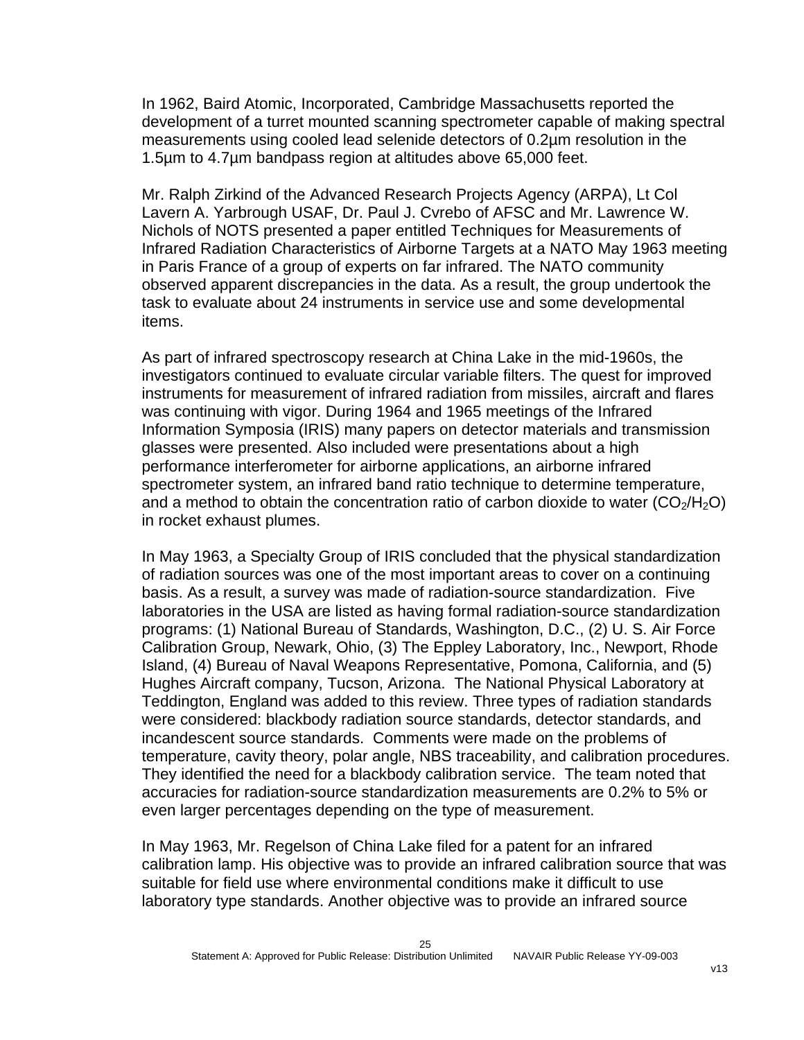In 1962, Baird Atomic, Incorporated, Cambridge Massachusetts reported the development of a turret mounted scanning spectrometer capable of making spectral measurements using cooled lead selenide detectors of 0.2µm resolution in the 1.5µm to 4.7µm bandpass region at altitudes above 65,000 feet.

Mr. Ralph Zirkind of the Advanced Research Projects Agency (ARPA), Lt Col Lavern A. Yarbrough USAF, Dr. Paul J. Cvrebo of AFSC and Mr. Lawrence W. Nichols of NOTS presented a paper entitled Techniques for Measurements of Infrared Radiation Characteristics of Airborne Targets at a NATO May 1963 meeting in Paris France of a group of experts on far infrared. The NATO community observed apparent discrepancies in the data. As a result, the group undertook the task to evaluate about 24 instruments in service use and some developmental items.

As part of infrared spectroscopy research at China Lake in the mid-1960s, the investigators continued to evaluate circular variable filters. The quest for improved instruments for measurement of infrared radiation from missiles, aircraft and flares was continuing with vigor. During 1964 and 1965 meetings of the Infrared Information Symposia (IRIS) many papers on detector materials and transmission glasses were presented. Also included were presentations about a high performance interferometer for airborne applications, an airborne infrared spectrometer system, an infrared band ratio technique to determine temperature, and a method to obtain the concentration ratio of carbon dioxide to water  $(CO<sub>2</sub>/H<sub>2</sub>O)$ in rocket exhaust plumes.

In May 1963, a Specialty Group of IRIS concluded that the physical standardization of radiation sources was one of the most important areas to cover on a continuing basis. As a result, a survey was made of radiation-source standardization. Five laboratories in the USA are listed as having formal radiation-source standardization programs: (1) National Bureau of Standards, Washington, D.C., (2) U. S. Air Force Calibration Group, Newark, Ohio, (3) The Eppley Laboratory, Inc., Newport, Rhode Island, (4) Bureau of Naval Weapons Representative, Pomona, California, and (5) Hughes Aircraft company, Tucson, Arizona. The National Physical Laboratory at Teddington, England was added to this review. Three types of radiation standards were considered: blackbody radiation source standards, detector standards, and incandescent source standards. Comments were made on the problems of temperature, cavity theory, polar angle, NBS traceability, and calibration procedures. They identified the need for a blackbody calibration service. The team noted that accuracies for radiation-source standardization measurements are 0.2% to 5% or even larger percentages depending on the type of measurement.

In May 1963, Mr. Regelson of China Lake filed for a patent for an infrared calibration lamp. His objective was to provide an infrared calibration source that was suitable for field use where environmental conditions make it difficult to use laboratory type standards. Another objective was to provide an infrared source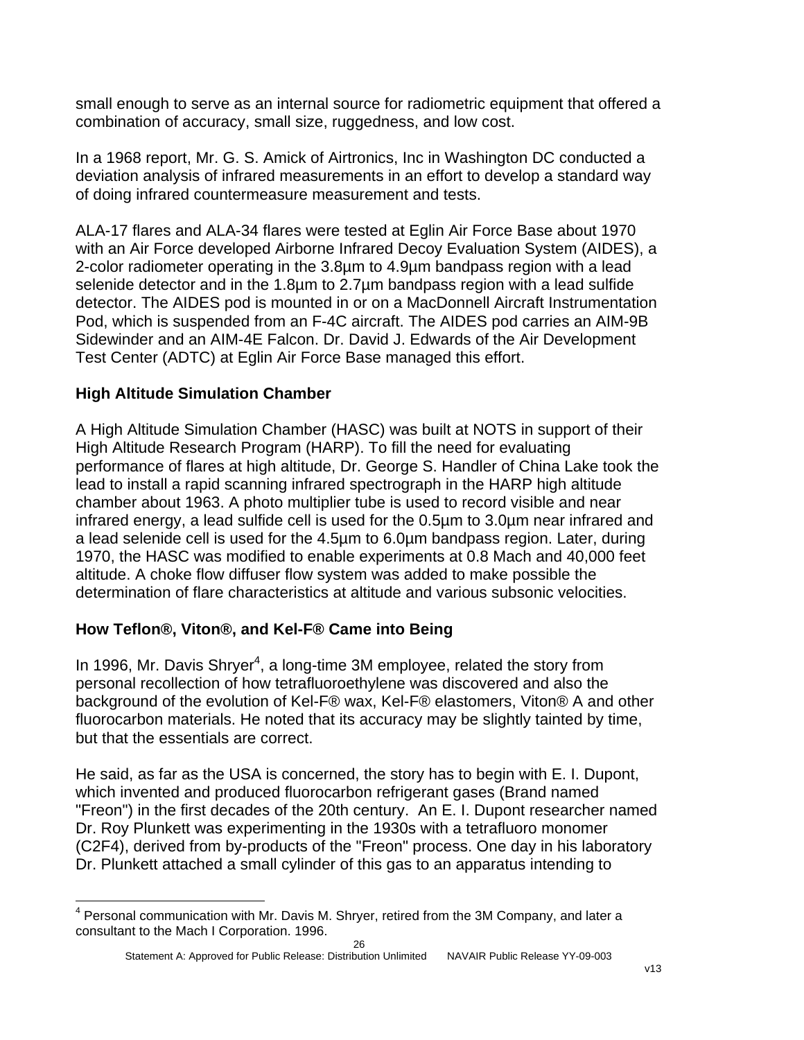small enough to serve as an internal source for radiometric equipment that offered a combination of accuracy, small size, ruggedness, and low cost.

In a 1968 report, Mr. G. S. Amick of Airtronics, Inc in Washington DC conducted a deviation analysis of infrared measurements in an effort to develop a standard way of doing infrared countermeasure measurement and tests.

ALA-17 flares and ALA-34 flares were tested at Eglin Air Force Base about 1970 with an Air Force developed Airborne Infrared Decoy Evaluation System (AIDES), a 2-color radiometer operating in the 3.8µm to 4.9µm bandpass region with a lead selenide detector and in the 1.8µm to 2.7µm bandpass region with a lead sulfide detector. The AIDES pod is mounted in or on a MacDonnell Aircraft Instrumentation Pod, which is suspended from an F-4C aircraft. The AIDES pod carries an AIM-9B Sidewinder and an AIM-4E Falcon. Dr. David J. Edwards of the Air Development Test Center (ADTC) at Eglin Air Force Base managed this effort.

#### **High Altitude Simulation Chamber**

A High Altitude Simulation Chamber (HASC) was built at NOTS in support of their High Altitude Research Program (HARP). To fill the need for evaluating performance of flares at high altitude, Dr. George S. Handler of China Lake took the lead to install a rapid scanning infrared spectrograph in the HARP high altitude chamber about 1963. A photo multiplier tube is used to record visible and near infrared energy, a lead sulfide cell is used for the 0.5µm to 3.0µm near infrared and a lead selenide cell is used for the 4.5µm to 6.0µm bandpass region. Later, during 1970, the HASC was modified to enable experiments at 0.8 Mach and 40,000 feet altitude. A choke flow diffuser flow system was added to make possible the determination of flare characteristics at altitude and various subsonic velocities.

#### **How Teflon®, Viton®, and Kel-F® Came into Being**

In 1996, Mr. Davis Shryer<sup>[4](#page-26-0)</sup>, a long-time 3M employee, related the story from personal recollection of how tetrafluoroethylene was discovered and also the background of the evolution of Kel-F® wax, Kel-F® elastomers, Viton® A and other fluorocarbon materials. He noted that its accuracy may be slightly tainted by time, but that the essentials are correct.

He said, as far as the USA is concerned, the story has to begin with E. I. Dupont, which invented and produced fluorocarbon refrigerant gases (Brand named "Freon") in the first decades of the 20th century. An E. I. Dupont researcher named Dr. Roy Plunkett was experimenting in the 1930s with a tetrafluoro monomer (C2F4), derived from by-products of the "Freon" process. One day in his laboratory Dr. Plunkett attached a small cylinder of this gas to an apparatus intending to

<span id="page-26-0"></span>l <sup>4</sup> Personal communication with Mr. Davis M. Shryer, retired from the 3M Company, and later a consultant to the Mach I Corporation. 1996.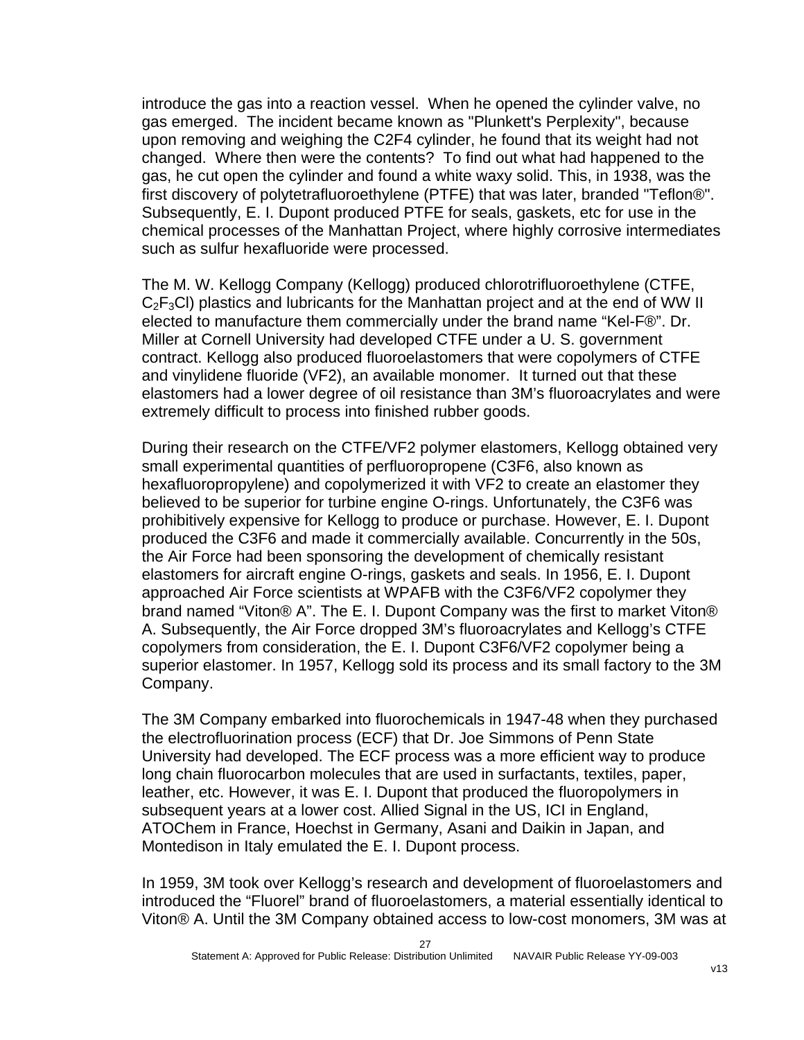introduce the gas into a reaction vessel. When he opened the cylinder valve, no gas emerged. The incident became known as "Plunkett's Perplexity", because upon removing and weighing the C2F4 cylinder, he found that its weight had not changed. Where then were the contents? To find out what had happened to the gas, he cut open the cylinder and found a white waxy solid. This, in 1938, was the first discovery of polytetrafluoroethylene (PTFE) that was later, branded "Teflon®". Subsequently, E. I. Dupont produced PTFE for seals, gaskets, etc for use in the chemical processes of the Manhattan Project, where highly corrosive intermediates such as sulfur hexafluoride were processed.

The M. W. Kellogg Company (Kellogg) produced chlorotrifluoroethylene (CTFE,  $C_2F_3Cl$ ) plastics and lubricants for the Manhattan project and at the end of WW II elected to manufacture them commercially under the brand name "Kel-F®". Dr. Miller at Cornell University had developed CTFE under a U. S. government contract. Kellogg also produced fluoroelastomers that were copolymers of CTFE and vinylidene fluoride (VF2), an available monomer. It turned out that these elastomers had a lower degree of oil resistance than 3M's fluoroacrylates and were extremely difficult to process into finished rubber goods.

During their research on the CTFE/VF2 polymer elastomers, Kellogg obtained very small experimental quantities of perfluoropropene (C3F6, also known as hexafluoropropylene) and copolymerized it with VF2 to create an elastomer they believed to be superior for turbine engine O-rings. Unfortunately, the C3F6 was prohibitively expensive for Kellogg to produce or purchase. However, E. I. Dupont produced the C3F6 and made it commercially available. Concurrently in the 50s, the Air Force had been sponsoring the development of chemically resistant elastomers for aircraft engine O-rings, gaskets and seals. In 1956, E. I. Dupont approached Air Force scientists at WPAFB with the C3F6/VF2 copolymer they brand named "Viton® A". The E. I. Dupont Company was the first to market Viton® A. Subsequently, the Air Force dropped 3M's fluoroacrylates and Kellogg's CTFE copolymers from consideration, the E. I. Dupont C3F6/VF2 copolymer being a superior elastomer. In 1957, Kellogg sold its process and its small factory to the 3M Company.

The 3M Company embarked into fluorochemicals in 1947-48 when they purchased the electrofluorination process (ECF) that Dr. Joe Simmons of Penn State University had developed. The ECF process was a more efficient way to produce long chain fluorocarbon molecules that are used in surfactants, textiles, paper, leather, etc. However, it was E. I. Dupont that produced the fluoropolymers in subsequent years at a lower cost. Allied Signal in the US, ICI in England, ATOChem in France, Hoechst in Germany, Asani and Daikin in Japan, and Montedison in Italy emulated the E. I. Dupont process.

In 1959, 3M took over Kellogg's research and development of fluoroelastomers and introduced the "Fluorel" brand of fluoroelastomers, a material essentially identical to Viton® A. Until the 3M Company obtained access to low-cost monomers, 3M was at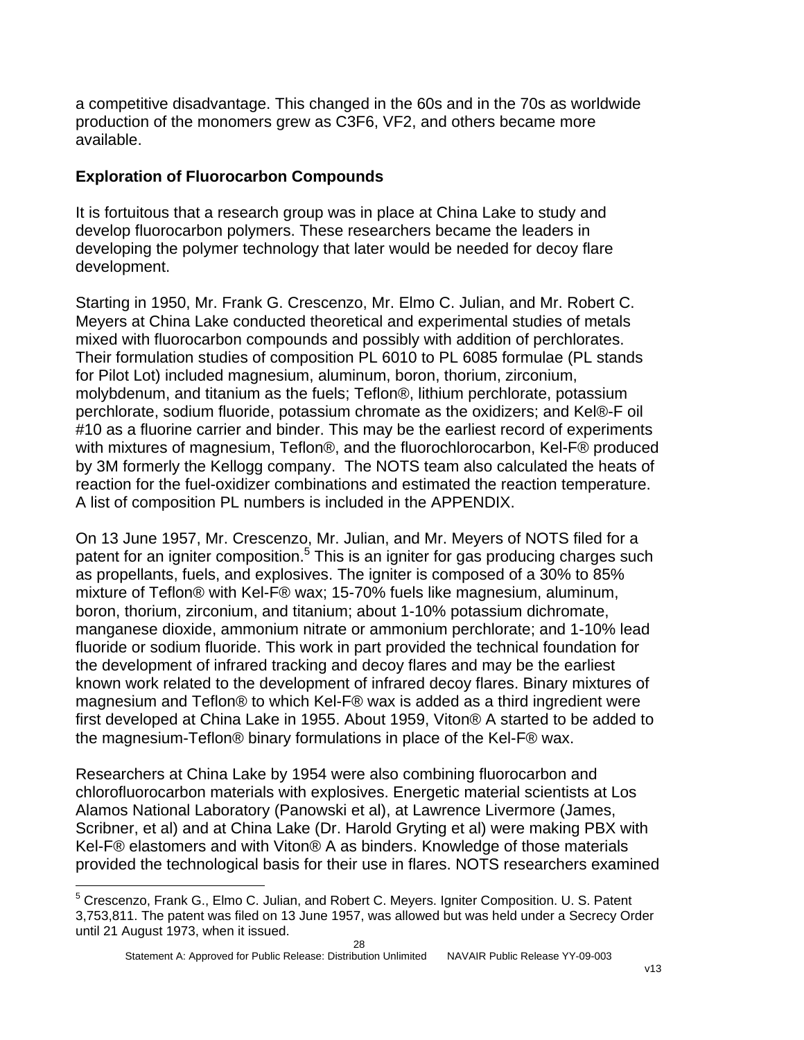a competitive disadvantage. This changed in the 60s and in the 70s as worldwide production of the monomers grew as C3F6, VF2, and others became more available.

#### **Exploration of Fluorocarbon Compounds**

l

It is fortuitous that a research group was in place at China Lake to study and develop fluorocarbon polymers. These researchers became the leaders in developing the polymer technology that later would be needed for decoy flare development.

Starting in 1950, Mr. Frank G. Crescenzo, Mr. Elmo C. Julian, and Mr. Robert C. Meyers at China Lake conducted theoretical and experimental studies of metals mixed with fluorocarbon compounds and possibly with addition of perchlorates. Their formulation studies of composition PL 6010 to PL 6085 formulae (PL stands for Pilot Lot) included magnesium, aluminum, boron, thorium, zirconium, molybdenum, and titanium as the fuels; Teflon®, lithium perchlorate, potassium perchlorate, sodium fluoride, potassium chromate as the oxidizers; and Kel®-F oil #10 as a fluorine carrier and binder. This may be the earliest record of experiments with mixtures of magnesium, Teflon®, and the fluorochlorocarbon, Kel-F® produced by 3M formerly the Kellogg company. The NOTS team also calculated the heats of reaction for the fuel-oxidizer combinations and estimated the reaction temperature. A list of composition PL numbers is included in the APPENDIX.

On 13 June 1957, Mr. Crescenzo, Mr. Julian, and Mr. Meyers of NOTS filed for a patent for an igniter composition.<sup>[5](#page-28-0)</sup> This is an igniter for gas producing charges such as propellants, fuels, and explosives. The igniter is composed of a 30% to 85% mixture of Teflon® with Kel-F® wax; 15-70% fuels like magnesium, aluminum, boron, thorium, zirconium, and titanium; about 1-10% potassium dichromate, manganese dioxide, ammonium nitrate or ammonium perchlorate; and 1-10% lead fluoride or sodium fluoride. This work in part provided the technical foundation for the development of infrared tracking and decoy flares and may be the earliest known work related to the development of infrared decoy flares. Binary mixtures of magnesium and Teflon® to which Kel-F® wax is added as a third ingredient were first developed at China Lake in 1955. About 1959, Viton® A started to be added to the magnesium-Teflon® binary formulations in place of the Kel-F® wax.

Researchers at China Lake by 1954 were also combining fluorocarbon and chlorofluorocarbon materials with explosives. Energetic material scientists at Los Alamos National Laboratory (Panowski et al), at Lawrence Livermore (James, Scribner, et al) and at China Lake (Dr. Harold Gryting et al) were making PBX with Kel-F® elastomers and with Viton® A as binders. Knowledge of those materials provided the technological basis for their use in flares. NOTS researchers examined

<span id="page-28-0"></span><sup>&</sup>lt;sup>5</sup> Crescenzo, Frank G., Elmo C. Julian, and Robert C. Meyers. Igniter Composition. U. S. Patent 3,753,811. The patent was filed on 13 June 1957, was allowed but was held under a Secrecy Order until 21 August 1973, when it issued.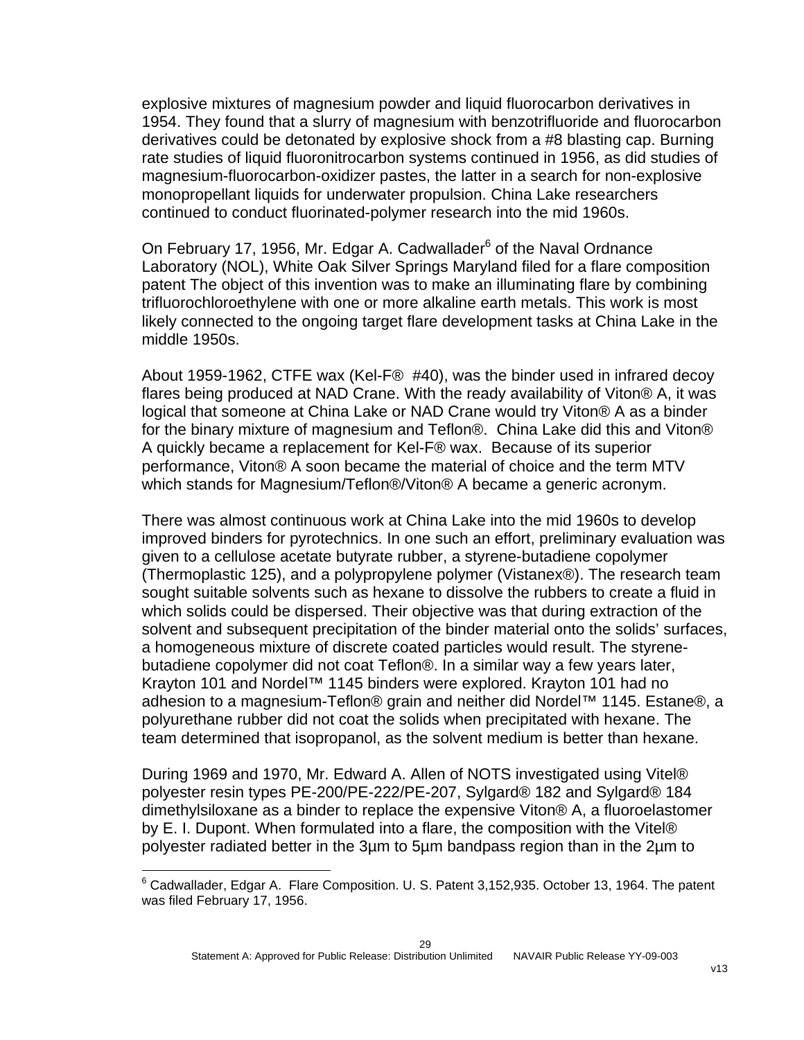explosive mixtures of magnesium powder and liquid fluorocarbon derivatives in 1954. They found that a slurry of magnesium with benzotrifluoride and fluorocarbon derivatives could be detonated by explosive shock from a #8 blasting cap. Burning rate studies of liquid fluoronitrocarbon systems continued in 1956, as did studies of magnesium-fluorocarbon-oxidizer pastes, the latter in a search for non-explosive monopropellant liquids for underwater propulsion. China Lake researchers continued to conduct fluorinated-polymer research into the mid 1960s.

On February 17, 195[6](#page-29-0), Mr. Edgar A. Cadwallader<sup>6</sup> of the Naval Ordnance Laboratory (NOL), White Oak Silver Springs Maryland filed for a flare composition patent The object of this invention was to make an illuminating flare by combining trifluorochloroethylene with one or more alkaline earth metals. This work is most likely connected to the ongoing target flare development tasks at China Lake in the middle 1950s.

About 1959-1962, CTFE wax (Kel-F® #40), was the binder used in infrared decoy flares being produced at NAD Crane. With the ready availability of Viton® A, it was logical that someone at China Lake or NAD Crane would try Viton® A as a binder for the binary mixture of magnesium and Teflon®. China Lake did this and Viton® A quickly became a replacement for Kel-F® wax. Because of its superior performance, Viton® A soon became the material of choice and the term MTV which stands for Magnesium/Teflon®/Viton® A became a generic acronym.

There was almost continuous work at China Lake into the mid 1960s to develop improved binders for pyrotechnics. In one such an effort, preliminary evaluation was given to a cellulose acetate butyrate rubber, a styrene-butadiene copolymer (Thermoplastic 125), and a polypropylene polymer (Vistanex®). The research team sought suitable solvents such as hexane to dissolve the rubbers to create a fluid in which solids could be dispersed. Their objective was that during extraction of the solvent and subsequent precipitation of the binder material onto the solids' surfaces, a homogeneous mixture of discrete coated particles would result. The styrenebutadiene copolymer did not coat Teflon®. In a similar way a few years later, Krayton 101 and Nordel™ 1145 binders were explored. Krayton 101 had no adhesion to a magnesium-Teflon® grain and neither did Nordel™ 1145. Estane®, a polyurethane rubber did not coat the solids when precipitated with hexane. The team determined that isopropanol, as the solvent medium is better than hexane.

During 1969 and 1970, Mr. Edward A. Allen of NOTS investigated using Vitel® polyester resin types PE-200/PE-222/PE-207, Sylgard® 182 and Sylgard® 184 dimethylsiloxane as a binder to replace the expensive Viton® A, a fluoroelastomer by E. I. Dupont. When formulated into a flare, the composition with the Vitel® polyester radiated better in the 3µm to 5µm bandpass region than in the 2µm to

1

<span id="page-29-0"></span> $^6$  Cadwallader, Edgar A. Flare Composition. U. S. Patent 3,152,935. October 13, 1964. The patent was filed February 17, 1956.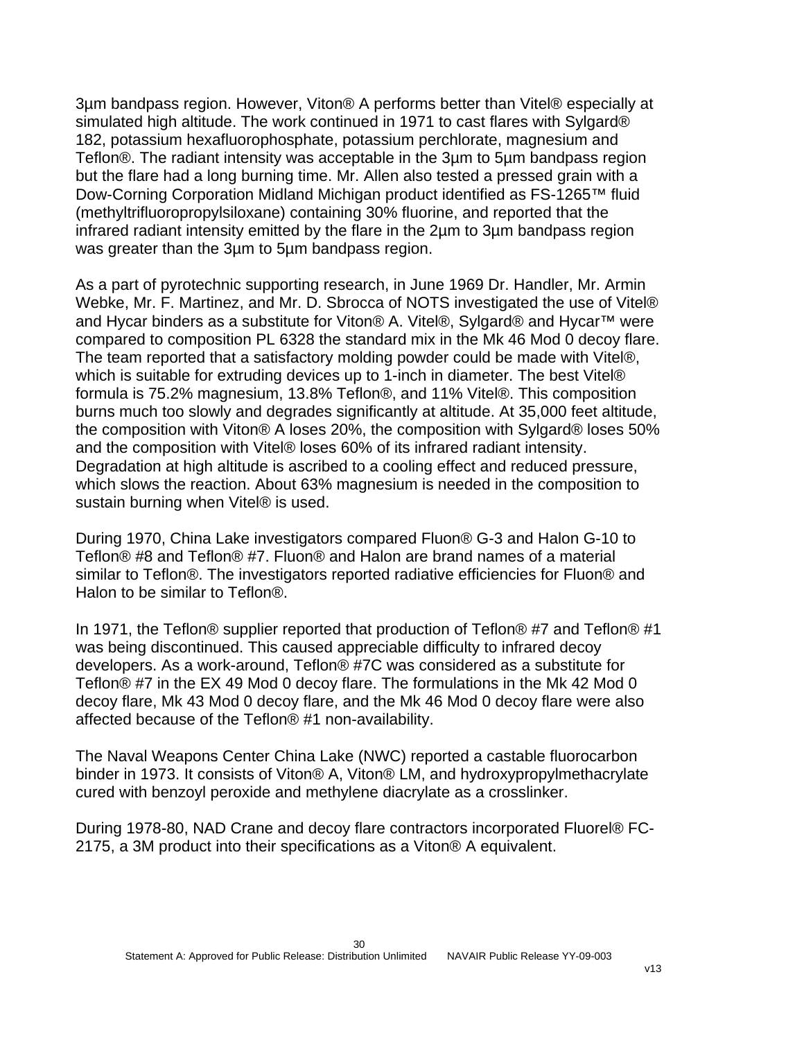3µm bandpass region. However, Viton® A performs better than Vitel® especially at simulated high altitude. The work continued in 1971 to cast flares with Sylgard® 182, potassium hexafluorophosphate, potassium perchlorate, magnesium and Teflon®. The radiant intensity was acceptable in the 3µm to 5µm bandpass region but the flare had a long burning time. Mr. Allen also tested a pressed grain with a Dow-Corning Corporation Midland Michigan product identified as FS-1265™ fluid (methyltrifluoropropylsiloxane) containing 30% fluorine, and reported that the infrared radiant intensity emitted by the flare in the 2µm to 3µm bandpass region was greater than the 3µm to 5µm bandpass region.

As a part of pyrotechnic supporting research, in June 1969 Dr. Handler, Mr. Armin Webke, Mr. F. Martinez, and Mr. D. Sbrocca of NOTS investigated the use of Vitel® and Hycar binders as a substitute for Viton® A. Vitel®, Sylgard® and Hycar™ were compared to composition PL 6328 the standard mix in the Mk 46 Mod 0 decoy flare. The team reported that a satisfactory molding powder could be made with Vitel®, which is suitable for extruding devices up to 1-inch in diameter. The best Vitel® formula is 75.2% magnesium, 13.8% Teflon®, and 11% Vitel®. This composition burns much too slowly and degrades significantly at altitude. At 35,000 feet altitude, the composition with Viton® A loses 20%, the composition with Sylgard® loses 50% and the composition with Vitel® loses 60% of its infrared radiant intensity. Degradation at high altitude is ascribed to a cooling effect and reduced pressure, which slows the reaction. About 63% magnesium is needed in the composition to sustain burning when Vitel® is used.

During 1970, China Lake investigators compared Fluon® G-3 and Halon G-10 to Teflon® #8 and Teflon® #7. Fluon® and Halon are brand names of a material similar to Teflon®. The investigators reported radiative efficiencies for Fluon® and Halon to be similar to Teflon®.

In 1971, the Teflon® supplier reported that production of Teflon® #7 and Teflon® #1 was being discontinued. This caused appreciable difficulty to infrared decoy developers. As a work-around, Teflon® #7C was considered as a substitute for Teflon® #7 in the EX 49 Mod 0 decoy flare. The formulations in the Mk 42 Mod 0 decoy flare, Mk 43 Mod 0 decoy flare, and the Mk 46 Mod 0 decoy flare were also affected because of the Teflon® #1 non-availability.

The Naval Weapons Center China Lake (NWC) reported a castable fluorocarbon binder in 1973. It consists of Viton® A, Viton® LM, and hydroxypropylmethacrylate cured with benzoyl peroxide and methylene diacrylate as a crosslinker.

During 1978-80, NAD Crane and decoy flare contractors incorporated Fluorel® FC-2175, a 3M product into their specifications as a Viton® A equivalent.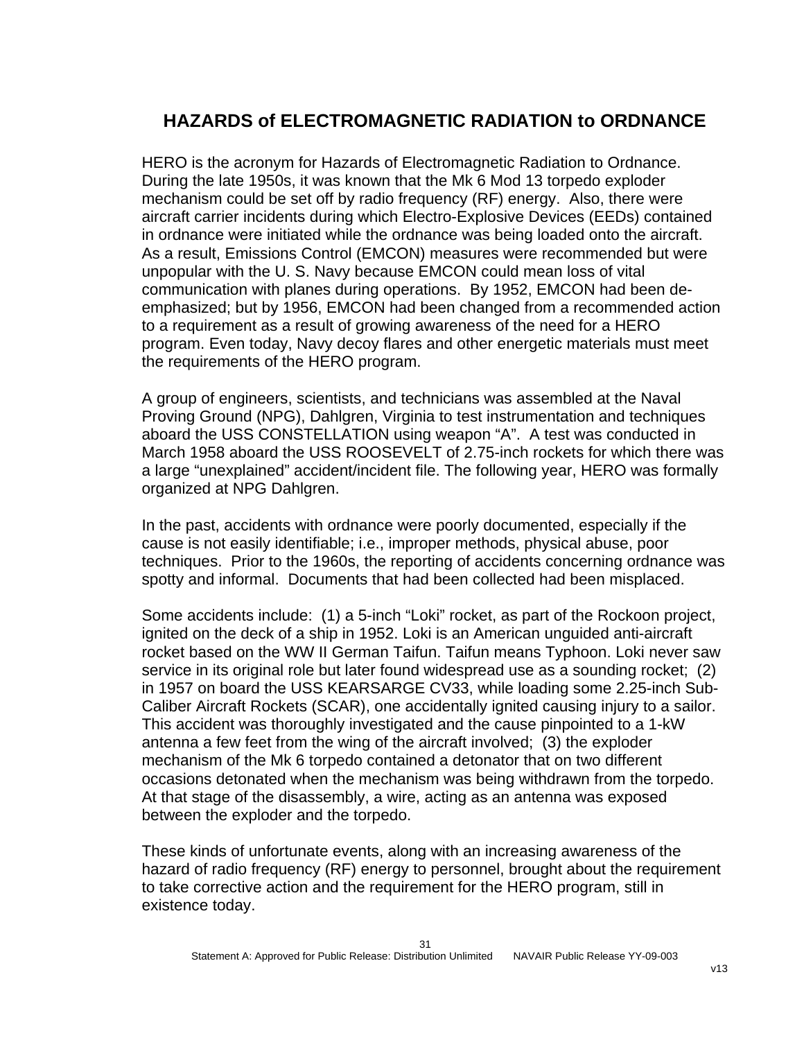### **HAZARDS of ELECTROMAGNETIC RADIATION to ORDNANCE**

HERO is the acronym for Hazards of Electromagnetic Radiation to Ordnance. During the late 1950s, it was known that the Mk 6 Mod 13 torpedo exploder mechanism could be set off by radio frequency (RF) energy. Also, there were aircraft carrier incidents during which Electro-Explosive Devices (EEDs) contained in ordnance were initiated while the ordnance was being loaded onto the aircraft. As a result, Emissions Control (EMCON) measures were recommended but were unpopular with the U. S. Navy because EMCON could mean loss of vital communication with planes during operations. By 1952, EMCON had been deemphasized; but by 1956, EMCON had been changed from a recommended action to a requirement as a result of growing awareness of the need for a HERO program. Even today, Navy decoy flares and other energetic materials must meet the requirements of the HERO program.

A group of engineers, scientists, and technicians was assembled at the Naval Proving Ground (NPG), Dahlgren, Virginia to test instrumentation and techniques aboard the USS CONSTELLATION using weapon "A". A test was conducted in March 1958 aboard the USS ROOSEVELT of 2.75-inch rockets for which there was a large "unexplained" accident/incident file. The following year, HERO was formally organized at NPG Dahlgren.

In the past, accidents with ordnance were poorly documented, especially if the cause is not easily identifiable; i.e., improper methods, physical abuse, poor techniques. Prior to the 1960s, the reporting of accidents concerning ordnance was spotty and informal. Documents that had been collected had been misplaced.

Some accidents include: (1) a 5-inch "Loki" rocket, as part of the Rockoon project, ignited on the deck of a ship in 1952. Loki is an American unguided anti-aircraft rocket based on the WW II German Taifun. Taifun means Typhoon. Loki never saw service in its original role but later found widespread use as a sounding rocket; (2) in 1957 on board the USS KEARSARGE CV33, while loading some 2.25-inch Sub-Caliber Aircraft Rockets (SCAR), one accidentally ignited causing injury to a sailor. This accident was thoroughly investigated and the cause pinpointed to a 1-kW antenna a few feet from the wing of the aircraft involved; (3) the exploder mechanism of the Mk 6 torpedo contained a detonator that on two different occasions detonated when the mechanism was being withdrawn from the torpedo. At that stage of the disassembly, a wire, acting as an antenna was exposed between the exploder and the torpedo.

These kinds of unfortunate events, along with an increasing awareness of the hazard of radio frequency (RF) energy to personnel, brought about the requirement to take corrective action and the requirement for the HERO program, still in existence today.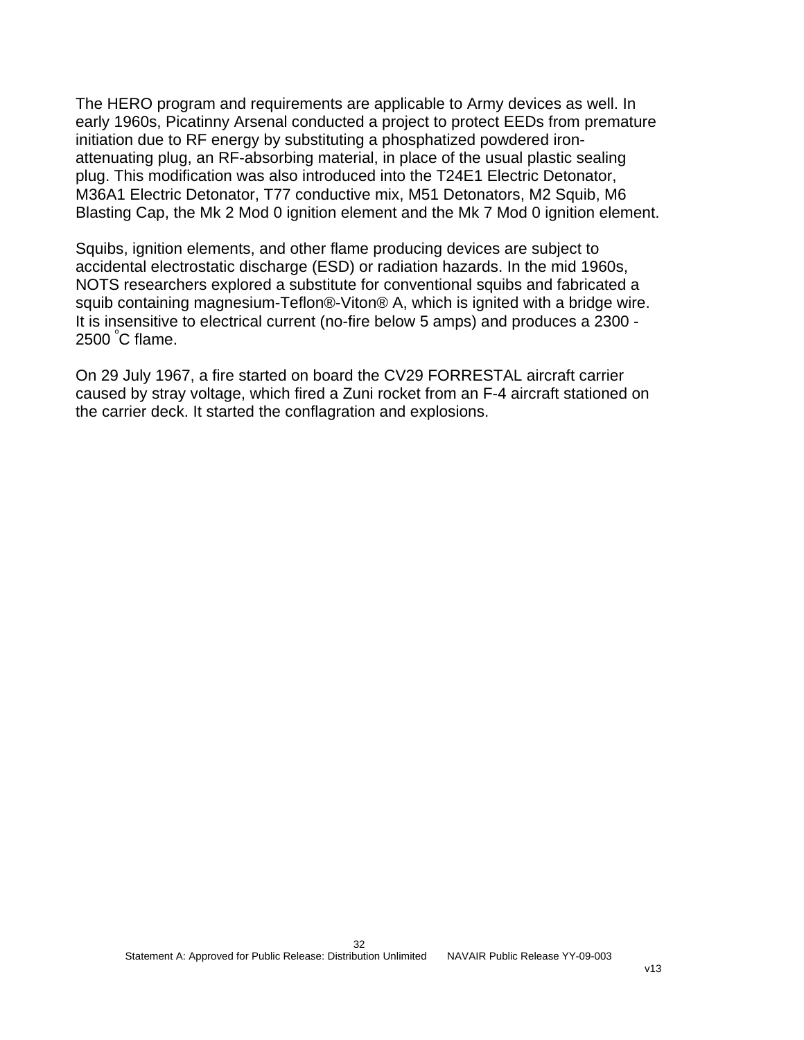The HERO program and requirements are applicable to Army devices as well. In early 1960s, Picatinny Arsenal conducted a project to protect EEDs from premature initiation due to RF energy by substituting a phosphatized powdered ironattenuating plug, an RF-absorbing material, in place of the usual plastic sealing plug. This modification was also introduced into the T24E1 Electric Detonator, M36A1 Electric Detonator, T77 conductive mix, M51 Detonators, M2 Squib, M6 Blasting Cap, the Mk 2 Mod 0 ignition element and the Mk 7 Mod 0 ignition element.

Squibs, ignition elements, and other flame producing devices are subject to accidental electrostatic discharge (ESD) or radiation hazards. In the mid 1960s, NOTS researchers explored a substitute for conventional squibs and fabricated a squib containing magnesium-Teflon®-Viton® A, which is ignited with a bridge wire. It is insensitive to electrical current (no-fire below 5 amps) and produces a 2300 - 2500 $^{\circ}$ C flame.

On 29 July 1967, a fire started on board the CV29 FORRESTAL aircraft carrier caused by stray voltage, which fired a Zuni rocket from an F-4 aircraft stationed on the carrier deck. It started the conflagration and explosions.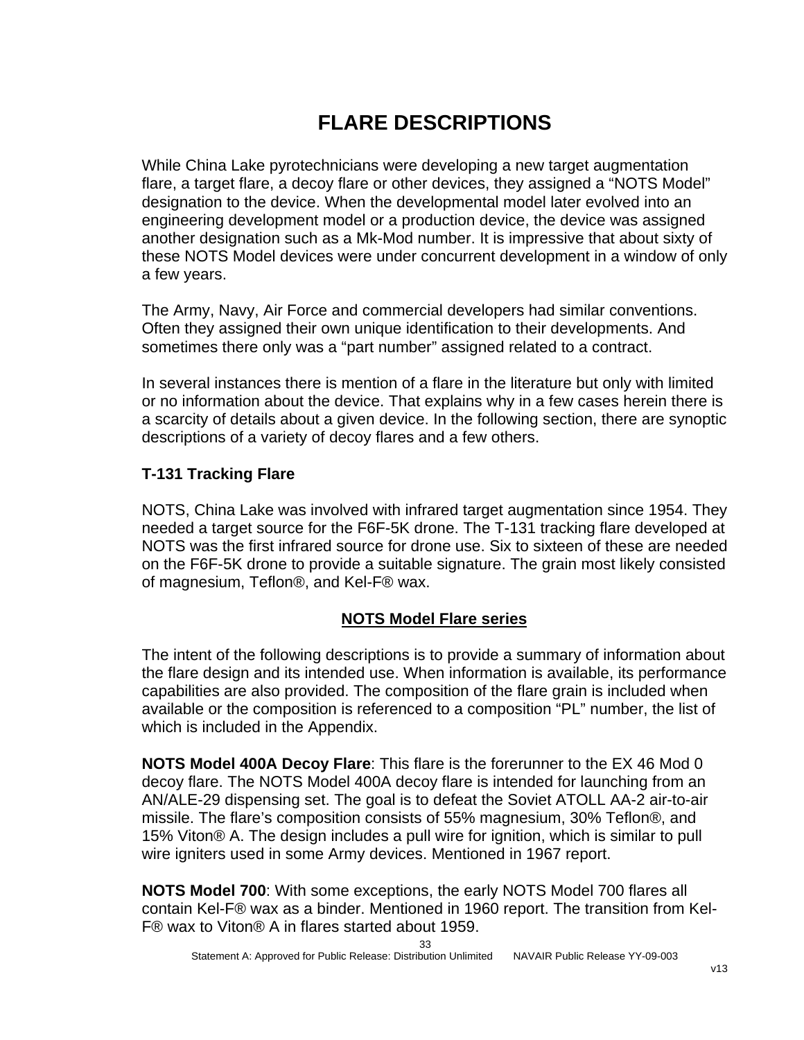# **FLARE DESCRIPTIONS**

While China Lake pyrotechnicians were developing a new target augmentation flare, a target flare, a decoy flare or other devices, they assigned a "NOTS Model" designation to the device. When the developmental model later evolved into an engineering development model or a production device, the device was assigned another designation such as a Mk-Mod number. It is impressive that about sixty of these NOTS Model devices were under concurrent development in a window of only a few years.

The Army, Navy, Air Force and commercial developers had similar conventions. Often they assigned their own unique identification to their developments. And sometimes there only was a "part number" assigned related to a contract.

In several instances there is mention of a flare in the literature but only with limited or no information about the device. That explains why in a few cases herein there is a scarcity of details about a given device. In the following section, there are synoptic descriptions of a variety of decoy flares and a few others.

#### **T-131 Tracking Flare**

NOTS, China Lake was involved with infrared target augmentation since 1954. They needed a target source for the F6F-5K drone. The T-131 tracking flare developed at NOTS was the first infrared source for drone use. Six to sixteen of these are needed on the F6F-5K drone to provide a suitable signature. The grain most likely consisted of magnesium, Teflon®, and Kel-F® wax.

#### **NOTS Model Flare series**

The intent of the following descriptions is to provide a summary of information about the flare design and its intended use. When information is available, its performance capabilities are also provided. The composition of the flare grain is included when available or the composition is referenced to a composition "PL" number, the list of which is included in the Appendix.

**NOTS Model 400A Decoy Flare**: This flare is the forerunner to the EX 46 Mod 0 decoy flare. The NOTS Model 400A decoy flare is intended for launching from an AN/ALE-29 dispensing set. The goal is to defeat the Soviet ATOLL AA-2 air-to-air missile. The flare's composition consists of 55% magnesium, 30% Teflon®, and 15% Viton® A. The design includes a pull wire for ignition, which is similar to pull wire igniters used in some Army devices. Mentioned in 1967 report.

**NOTS Model 700**: With some exceptions, the early NOTS Model 700 flares all contain Kel-F® wax as a binder. Mentioned in 1960 report. The transition from Kel-F® wax to Viton® A in flares started about 1959.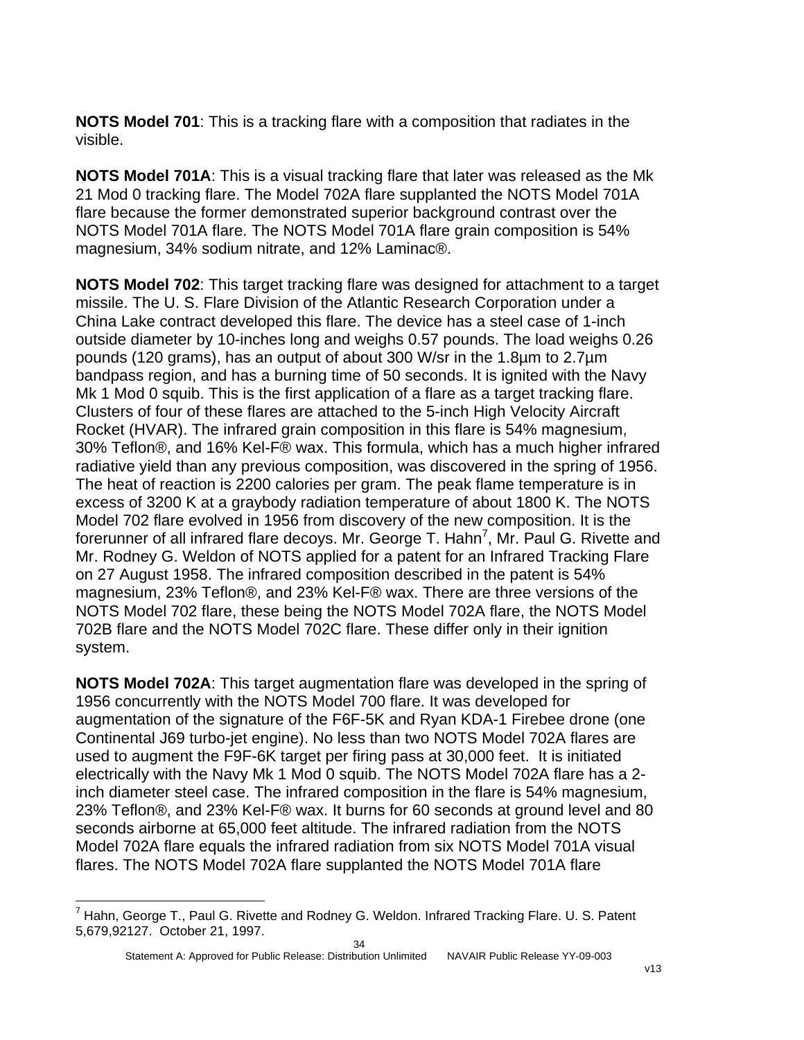**NOTS Model 701**: This is a tracking flare with a composition that radiates in the visible.

**NOTS Model 701A**: This is a visual tracking flare that later was released as the Mk 21 Mod 0 tracking flare. The Model 702A flare supplanted the NOTS Model 701A flare because the former demonstrated superior background contrast over the NOTS Model 701A flare. The NOTS Model 701A flare grain composition is 54% magnesium, 34% sodium nitrate, and 12% Laminac®.

**NOTS Model 702**: This target tracking flare was designed for attachment to a target missile. The U. S. Flare Division of the Atlantic Research Corporation under a China Lake contract developed this flare. The device has a steel case of 1-inch outside diameter by 10-inches long and weighs 0.57 pounds. The load weighs 0.26 pounds (120 grams), has an output of about 300 W/sr in the 1.8µm to 2.7µm bandpass region, and has a burning time of 50 seconds. It is ignited with the Navy Mk 1 Mod 0 squib. This is the first application of a flare as a target tracking flare. Clusters of four of these flares are attached to the 5-inch High Velocity Aircraft Rocket (HVAR). The infrared grain composition in this flare is 54% magnesium, 30% Teflon®, and 16% Kel-F® wax. This formula, which has a much higher infrared radiative yield than any previous composition, was discovered in the spring of 1956. The heat of reaction is 2200 calories per gram. The peak flame temperature is in excess of 3200 K at a graybody radiation temperature of about 1800 K. The NOTS Model 702 flare evolved in 1956 from discovery of the new composition. It is the forerunner of all infrared flare decoys. Mr. George T. Hahn<sup>[7](#page-34-0)</sup>, Mr. Paul G. Rivette and Mr. Rodney G. Weldon of NOTS applied for a patent for an Infrared Tracking Flare on 27 August 1958. The infrared composition described in the patent is 54% magnesium, 23% Teflon®, and 23% Kel-F® wax. There are three versions of the NOTS Model 702 flare, these being the NOTS Model 702A flare, the NOTS Model 702B flare and the NOTS Model 702C flare. These differ only in their ignition system.

**NOTS Model 702A**: This target augmentation flare was developed in the spring of 1956 concurrently with the NOTS Model 700 flare. It was developed for augmentation of the signature of the F6F-5K and Ryan KDA-1 Firebee drone (one Continental J69 turbo-jet engine). No less than two NOTS Model 702A flares are used to augment the F9F-6K target per firing pass at 30,000 feet. It is initiated electrically with the Navy Mk 1 Mod 0 squib. The NOTS Model 702A flare has a 2 inch diameter steel case. The infrared composition in the flare is 54% magnesium, 23% Teflon®, and 23% Kel-F® wax. It burns for 60 seconds at ground level and 80 seconds airborne at 65,000 feet altitude. The infrared radiation from the NOTS Model 702A flare equals the infrared radiation from six NOTS Model 701A visual flares. The NOTS Model 702A flare supplanted the NOTS Model 701A flare

l

<span id="page-34-0"></span> $^7$  Hahn, George T., Paul G. Rivette and Rodney G. Weldon. Infrared Tracking Flare. U. S. Patent 5,679,92127. October 21, 1997.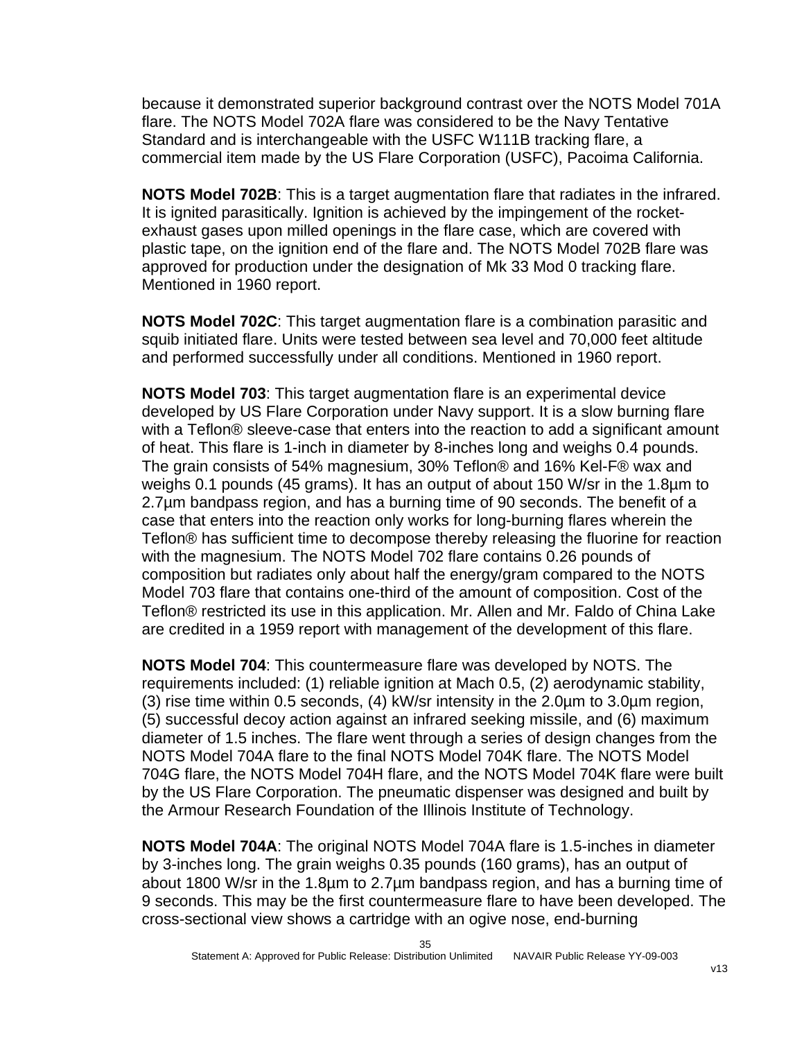because it demonstrated superior background contrast over the NOTS Model 701A flare. The NOTS Model 702A flare was considered to be the Navy Tentative Standard and is interchangeable with the USFC W111B tracking flare, a commercial item made by the US Flare Corporation (USFC), Pacoima California.

**NOTS Model 702B**: This is a target augmentation flare that radiates in the infrared. It is ignited parasitically. Ignition is achieved by the impingement of the rocketexhaust gases upon milled openings in the flare case, which are covered with plastic tape, on the ignition end of the flare and. The NOTS Model 702B flare was approved for production under the designation of Mk 33 Mod 0 tracking flare. Mentioned in 1960 report.

**NOTS Model 702C**: This target augmentation flare is a combination parasitic and squib initiated flare. Units were tested between sea level and 70,000 feet altitude and performed successfully under all conditions. Mentioned in 1960 report.

**NOTS Model 703**: This target augmentation flare is an experimental device developed by US Flare Corporation under Navy support. It is a slow burning flare with a Teflon® sleeve-case that enters into the reaction to add a significant amount of heat. This flare is 1-inch in diameter by 8-inches long and weighs 0.4 pounds. The grain consists of 54% magnesium, 30% Teflon® and 16% Kel-F® wax and weighs 0.1 pounds (45 grams). It has an output of about 150 W/sr in the 1.8µm to 2.7µm bandpass region, and has a burning time of 90 seconds. The benefit of a case that enters into the reaction only works for long-burning flares wherein the Teflon® has sufficient time to decompose thereby releasing the fluorine for reaction with the magnesium. The NOTS Model 702 flare contains 0.26 pounds of composition but radiates only about half the energy/gram compared to the NOTS Model 703 flare that contains one-third of the amount of composition. Cost of the Teflon® restricted its use in this application. Mr. Allen and Mr. Faldo of China Lake are credited in a 1959 report with management of the development of this flare.

**NOTS Model 704**: This countermeasure flare was developed by NOTS. The requirements included: (1) reliable ignition at Mach 0.5, (2) aerodynamic stability, (3) rise time within 0.5 seconds, (4) kW/sr intensity in the 2.0µm to 3.0µm region, (5) successful decoy action against an infrared seeking missile, and (6) maximum diameter of 1.5 inches. The flare went through a series of design changes from the NOTS Model 704A flare to the final NOTS Model 704K flare. The NOTS Model 704G flare, the NOTS Model 704H flare, and the NOTS Model 704K flare were built by the US Flare Corporation. The pneumatic dispenser was designed and built by the Armour Research Foundation of the Illinois Institute of Technology.

**NOTS Model 704A**: The original NOTS Model 704A flare is 1.5-inches in diameter by 3-inches long. The grain weighs 0.35 pounds (160 grams), has an output of about 1800 W/sr in the 1.8µm to 2.7µm bandpass region, and has a burning time of 9 seconds. This may be the first countermeasure flare to have been developed. The cross-sectional view shows a cartridge with an ogive nose, end-burning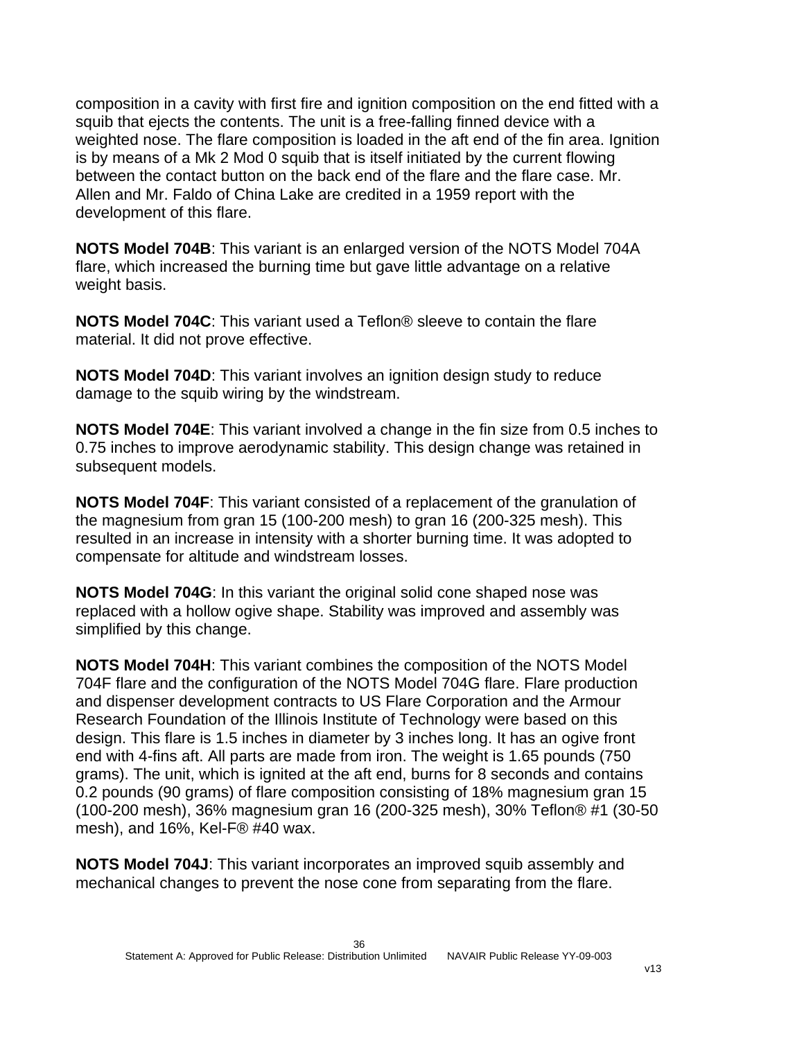composition in a cavity with first fire and ignition composition on the end fitted with a squib that ejects the contents. The unit is a free-falling finned device with a weighted nose. The flare composition is loaded in the aft end of the fin area. Ignition is by means of a Mk 2 Mod 0 squib that is itself initiated by the current flowing between the contact button on the back end of the flare and the flare case. Mr. Allen and Mr. Faldo of China Lake are credited in a 1959 report with the development of this flare.

**NOTS Model 704B**: This variant is an enlarged version of the NOTS Model 704A flare, which increased the burning time but gave little advantage on a relative weight basis.

**NOTS Model 704C**: This variant used a Teflon® sleeve to contain the flare material. It did not prove effective.

**NOTS Model 704D**: This variant involves an ignition design study to reduce damage to the squib wiring by the windstream.

**NOTS Model 704E**: This variant involved a change in the fin size from 0.5 inches to 0.75 inches to improve aerodynamic stability. This design change was retained in subsequent models.

**NOTS Model 704F**: This variant consisted of a replacement of the granulation of the magnesium from gran 15 (100-200 mesh) to gran 16 (200-325 mesh). This resulted in an increase in intensity with a shorter burning time. It was adopted to compensate for altitude and windstream losses.

**NOTS Model 704G**: In this variant the original solid cone shaped nose was replaced with a hollow ogive shape. Stability was improved and assembly was simplified by this change.

**NOTS Model 704H**: This variant combines the composition of the NOTS Model 704F flare and the configuration of the NOTS Model 704G flare. Flare production and dispenser development contracts to US Flare Corporation and the Armour Research Foundation of the Illinois Institute of Technology were based on this design. This flare is 1.5 inches in diameter by 3 inches long. It has an ogive front end with 4-fins aft. All parts are made from iron. The weight is 1.65 pounds (750 grams). The unit, which is ignited at the aft end, burns for 8 seconds and contains 0.2 pounds (90 grams) of flare composition consisting of 18% magnesium gran 15 (100-200 mesh), 36% magnesium gran 16 (200-325 mesh), 30% Teflon® #1 (30-50 mesh), and 16%, Kel-F® #40 wax.

**NOTS Model 704J**: This variant incorporates an improved squib assembly and mechanical changes to prevent the nose cone from separating from the flare.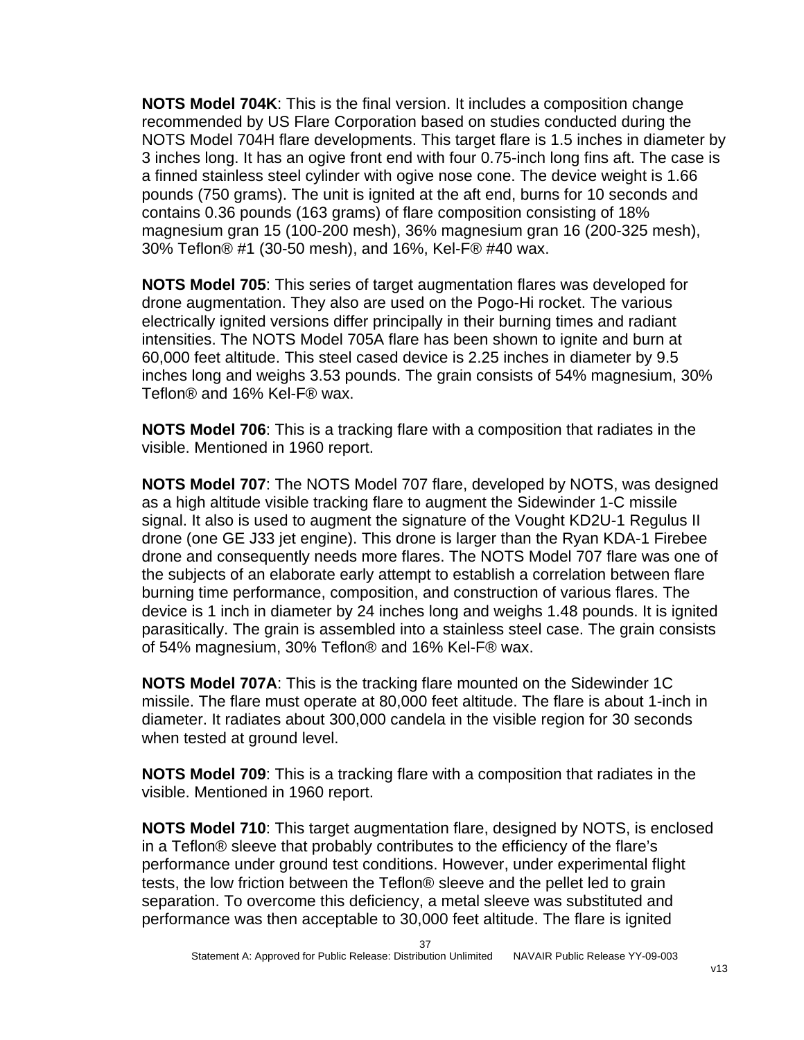**NOTS Model 704K**: This is the final version. It includes a composition change recommended by US Flare Corporation based on studies conducted during the NOTS Model 704H flare developments. This target flare is 1.5 inches in diameter by 3 inches long. It has an ogive front end with four 0.75-inch long fins aft. The case is a finned stainless steel cylinder with ogive nose cone. The device weight is 1.66 pounds (750 grams). The unit is ignited at the aft end, burns for 10 seconds and contains 0.36 pounds (163 grams) of flare composition consisting of 18% magnesium gran 15 (100-200 mesh), 36% magnesium gran 16 (200-325 mesh), 30% Teflon® #1 (30-50 mesh), and 16%, Kel-F® #40 wax.

**NOTS Model 705**: This series of target augmentation flares was developed for drone augmentation. They also are used on the Pogo-Hi rocket. The various electrically ignited versions differ principally in their burning times and radiant intensities. The NOTS Model 705A flare has been shown to ignite and burn at 60,000 feet altitude. This steel cased device is 2.25 inches in diameter by 9.5 inches long and weighs 3.53 pounds. The grain consists of 54% magnesium, 30% Teflon® and 16% Kel-F® wax.

**NOTS Model 706**: This is a tracking flare with a composition that radiates in the visible. Mentioned in 1960 report.

**NOTS Model 707**: The NOTS Model 707 flare, developed by NOTS, was designed as a high altitude visible tracking flare to augment the Sidewinder 1-C missile signal. It also is used to augment the signature of the Vought KD2U-1 Regulus II drone (one GE J33 jet engine). This drone is larger than the Ryan KDA-1 Firebee drone and consequently needs more flares. The NOTS Model 707 flare was one of the subjects of an elaborate early attempt to establish a correlation between flare burning time performance, composition, and construction of various flares. The device is 1 inch in diameter by 24 inches long and weighs 1.48 pounds. It is ignited parasitically. The grain is assembled into a stainless steel case. The grain consists of 54% magnesium, 30% Teflon® and 16% Kel-F® wax.

**NOTS Model 707A**: This is the tracking flare mounted on the Sidewinder 1C missile. The flare must operate at 80,000 feet altitude. The flare is about 1-inch in diameter. It radiates about 300,000 candela in the visible region for 30 seconds when tested at ground level.

**NOTS Model 709**: This is a tracking flare with a composition that radiates in the visible. Mentioned in 1960 report.

**NOTS Model 710**: This target augmentation flare, designed by NOTS, is enclosed in a Teflon® sleeve that probably contributes to the efficiency of the flare's performance under ground test conditions. However, under experimental flight tests, the low friction between the Teflon® sleeve and the pellet led to grain separation. To overcome this deficiency, a metal sleeve was substituted and performance was then acceptable to 30,000 feet altitude. The flare is ignited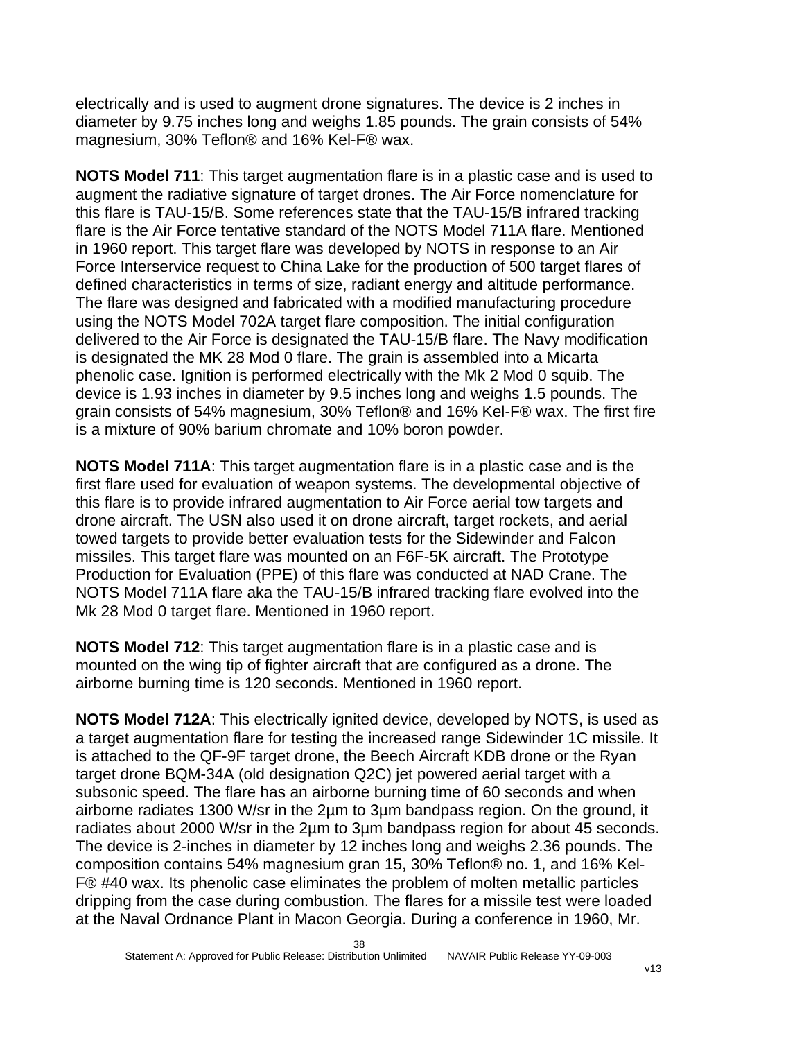electrically and is used to augment drone signatures. The device is 2 inches in diameter by 9.75 inches long and weighs 1.85 pounds. The grain consists of 54% magnesium, 30% Teflon® and 16% Kel-F® wax.

**NOTS Model 711**: This target augmentation flare is in a plastic case and is used to augment the radiative signature of target drones. The Air Force nomenclature for this flare is TAU-15/B. Some references state that the TAU-15/B infrared tracking flare is the Air Force tentative standard of the NOTS Model 711A flare. Mentioned in 1960 report. This target flare was developed by NOTS in response to an Air Force Interservice request to China Lake for the production of 500 target flares of defined characteristics in terms of size, radiant energy and altitude performance. The flare was designed and fabricated with a modified manufacturing procedure using the NOTS Model 702A target flare composition. The initial configuration delivered to the Air Force is designated the TAU-15/B flare. The Navy modification is designated the MK 28 Mod 0 flare. The grain is assembled into a Micarta phenolic case. Ignition is performed electrically with the Mk 2 Mod 0 squib. The device is 1.93 inches in diameter by 9.5 inches long and weighs 1.5 pounds. The grain consists of 54% magnesium, 30% Teflon® and 16% Kel-F® wax. The first fire is a mixture of 90% barium chromate and 10% boron powder.

**NOTS Model 711A**: This target augmentation flare is in a plastic case and is the first flare used for evaluation of weapon systems. The developmental objective of this flare is to provide infrared augmentation to Air Force aerial tow targets and drone aircraft. The USN also used it on drone aircraft, target rockets, and aerial towed targets to provide better evaluation tests for the Sidewinder and Falcon missiles. This target flare was mounted on an F6F-5K aircraft. The Prototype Production for Evaluation (PPE) of this flare was conducted at NAD Crane. The NOTS Model 711A flare aka the TAU-15/B infrared tracking flare evolved into the Mk 28 Mod 0 target flare. Mentioned in 1960 report.

**NOTS Model 712**: This target augmentation flare is in a plastic case and is mounted on the wing tip of fighter aircraft that are configured as a drone. The airborne burning time is 120 seconds. Mentioned in 1960 report.

**NOTS Model 712A**: This electrically ignited device, developed by NOTS, is used as a target augmentation flare for testing the increased range Sidewinder 1C missile. It is attached to the QF-9F target drone, the Beech Aircraft KDB drone or the Ryan target drone BQM-34A (old designation Q2C) jet powered aerial target with a subsonic speed. The flare has an airborne burning time of 60 seconds and when airborne radiates 1300 W/sr in the 2µm to 3µm bandpass region. On the ground, it radiates about 2000 W/sr in the 2µm to 3µm bandpass region for about 45 seconds. The device is 2-inches in diameter by 12 inches long and weighs 2.36 pounds. The composition contains 54% magnesium gran 15, 30% Teflon® no. 1, and 16% Kel-F® #40 wax. Its phenolic case eliminates the problem of molten metallic particles dripping from the case during combustion. The flares for a missile test were loaded at the Naval Ordnance Plant in Macon Georgia. During a conference in 1960, Mr.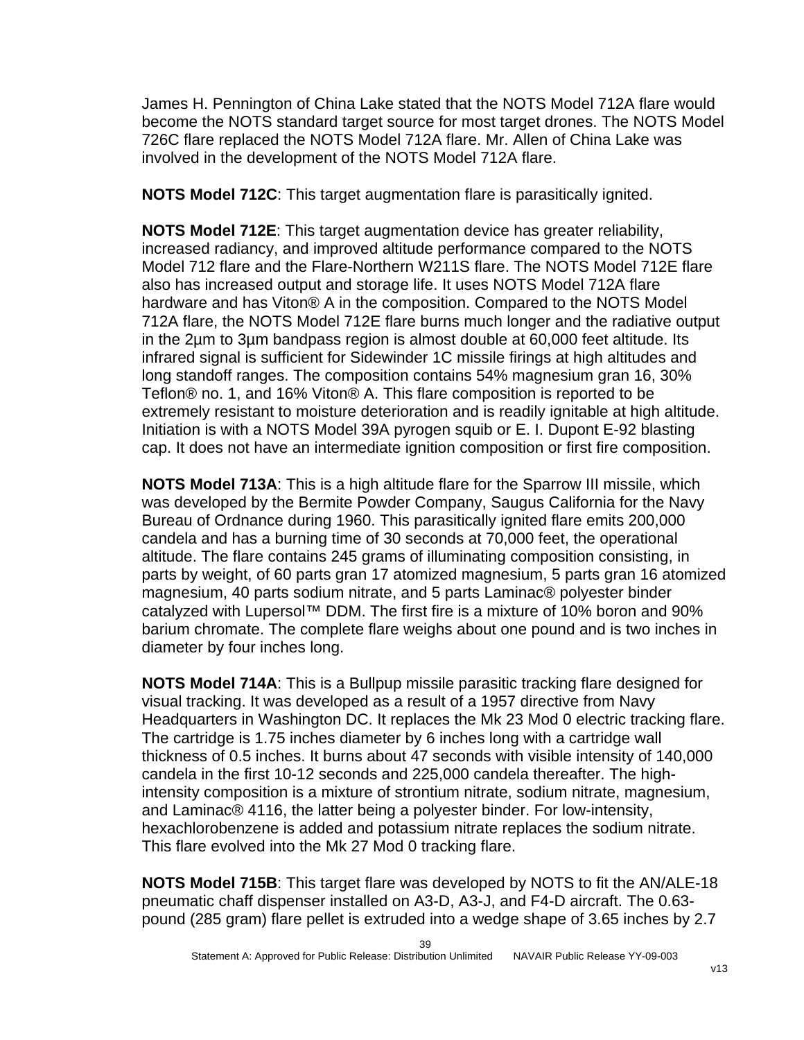James H. Pennington of China Lake stated that the NOTS Model 712A flare would become the NOTS standard target source for most target drones. The NOTS Model 726C flare replaced the NOTS Model 712A flare. Mr. Allen of China Lake was involved in the development of the NOTS Model 712A flare.

**NOTS Model 712C**: This target augmentation flare is parasitically ignited.

**NOTS Model 712E**: This target augmentation device has greater reliability, increased radiancy, and improved altitude performance compared to the NOTS Model 712 flare and the Flare-Northern W211S flare. The NOTS Model 712E flare also has increased output and storage life. It uses NOTS Model 712A flare hardware and has Viton® A in the composition. Compared to the NOTS Model 712A flare, the NOTS Model 712E flare burns much longer and the radiative output in the 2µm to 3µm bandpass region is almost double at 60,000 feet altitude. Its infrared signal is sufficient for Sidewinder 1C missile firings at high altitudes and long standoff ranges. The composition contains 54% magnesium gran 16, 30% Teflon® no. 1, and 16% Viton® A. This flare composition is reported to be extremely resistant to moisture deterioration and is readily ignitable at high altitude. Initiation is with a NOTS Model 39A pyrogen squib or E. I. Dupont E-92 blasting cap. It does not have an intermediate ignition composition or first fire composition.

**NOTS Model 713A**: This is a high altitude flare for the Sparrow III missile, which was developed by the Bermite Powder Company, Saugus California for the Navy Bureau of Ordnance during 1960. This parasitically ignited flare emits 200,000 candela and has a burning time of 30 seconds at 70,000 feet, the operational altitude. The flare contains 245 grams of illuminating composition consisting, in parts by weight, of 60 parts gran 17 atomized magnesium, 5 parts gran 16 atomized magnesium, 40 parts sodium nitrate, and 5 parts Laminac® polyester binder catalyzed with Lupersol™ DDM. The first fire is a mixture of 10% boron and 90% barium chromate. The complete flare weighs about one pound and is two inches in diameter by four inches long.

**NOTS Model 714A**: This is a Bullpup missile parasitic tracking flare designed for visual tracking. It was developed as a result of a 1957 directive from Navy Headquarters in Washington DC. It replaces the Mk 23 Mod 0 electric tracking flare. The cartridge is 1.75 inches diameter by 6 inches long with a cartridge wall thickness of 0.5 inches. It burns about 47 seconds with visible intensity of 140,000 candela in the first 10-12 seconds and 225,000 candela thereafter. The highintensity composition is a mixture of strontium nitrate, sodium nitrate, magnesium, and Laminac® 4116, the latter being a polyester binder. For low-intensity, hexachlorobenzene is added and potassium nitrate replaces the sodium nitrate. This flare evolved into the Mk 27 Mod 0 tracking flare.

**NOTS Model 715B**: This target flare was developed by NOTS to fit the AN/ALE-18 pneumatic chaff dispenser installed on A3-D, A3-J, and F4-D aircraft. The 0.63 pound (285 gram) flare pellet is extruded into a wedge shape of 3.65 inches by 2.7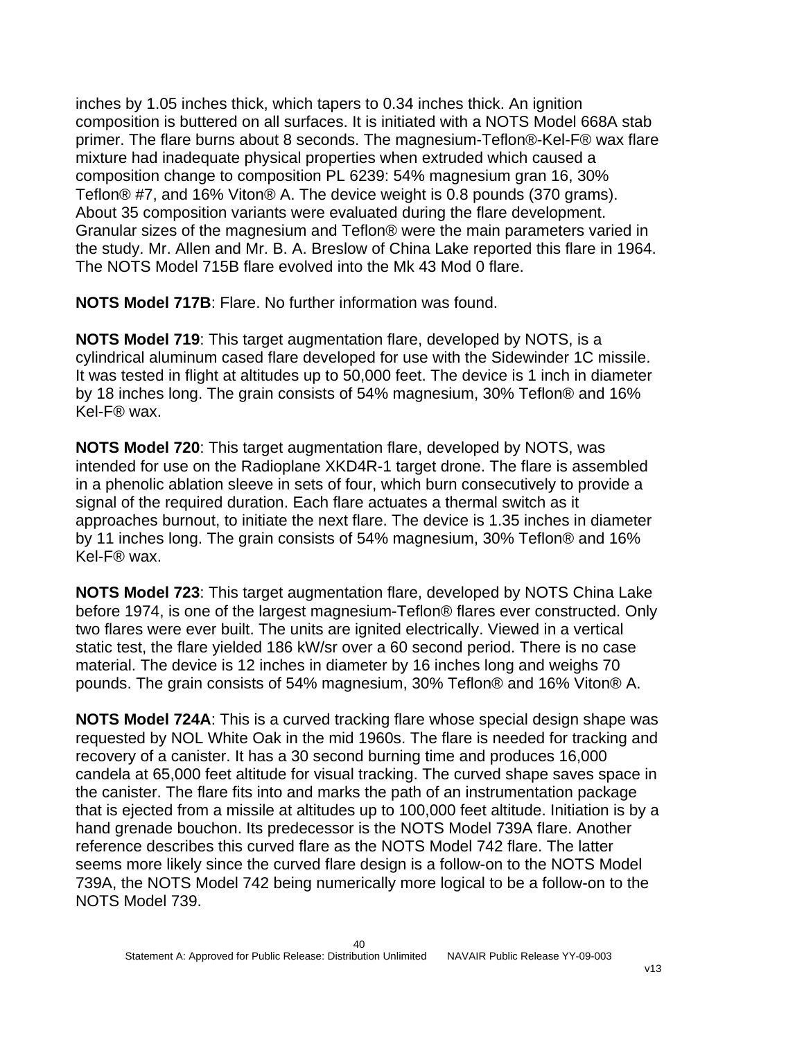inches by 1.05 inches thick, which tapers to 0.34 inches thick. An ignition composition is buttered on all surfaces. It is initiated with a NOTS Model 668A stab primer. The flare burns about 8 seconds. The magnesium-Teflon®-Kel-F® wax flare mixture had inadequate physical properties when extruded which caused a composition change to composition PL 6239: 54% magnesium gran 16, 30% Teflon® #7, and 16% Viton® A. The device weight is 0.8 pounds (370 grams). About 35 composition variants were evaluated during the flare development. Granular sizes of the magnesium and Teflon® were the main parameters varied in the study. Mr. Allen and Mr. B. A. Breslow of China Lake reported this flare in 1964. The NOTS Model 715B flare evolved into the Mk 43 Mod 0 flare.

**NOTS Model 717B**: Flare. No further information was found.

**NOTS Model 719**: This target augmentation flare, developed by NOTS, is a cylindrical aluminum cased flare developed for use with the Sidewinder 1C missile. It was tested in flight at altitudes up to 50,000 feet. The device is 1 inch in diameter by 18 inches long. The grain consists of 54% magnesium, 30% Teflon® and 16% Kel-F® wax.

**NOTS Model 720**: This target augmentation flare, developed by NOTS, was intended for use on the Radioplane XKD4R-1 target drone. The flare is assembled in a phenolic ablation sleeve in sets of four, which burn consecutively to provide a signal of the required duration. Each flare actuates a thermal switch as it approaches burnout, to initiate the next flare. The device is 1.35 inches in diameter by 11 inches long. The grain consists of 54% magnesium, 30% Teflon® and 16% Kel-F® wax.

**NOTS Model 723**: This target augmentation flare, developed by NOTS China Lake before 1974, is one of the largest magnesium-Teflon® flares ever constructed. Only two flares were ever built. The units are ignited electrically. Viewed in a vertical static test, the flare yielded 186 kW/sr over a 60 second period. There is no case material. The device is 12 inches in diameter by 16 inches long and weighs 70 pounds. The grain consists of 54% magnesium, 30% Teflon® and 16% Viton® A.

**NOTS Model 724A**: This is a curved tracking flare whose special design shape was requested by NOL White Oak in the mid 1960s. The flare is needed for tracking and recovery of a canister. It has a 30 second burning time and produces 16,000 candela at 65,000 feet altitude for visual tracking. The curved shape saves space in the canister. The flare fits into and marks the path of an instrumentation package that is ejected from a missile at altitudes up to 100,000 feet altitude. Initiation is by a hand grenade bouchon. Its predecessor is the NOTS Model 739A flare. Another reference describes this curved flare as the NOTS Model 742 flare. The latter seems more likely since the curved flare design is a follow-on to the NOTS Model 739A, the NOTS Model 742 being numerically more logical to be a follow-on to the NOTS Model 739.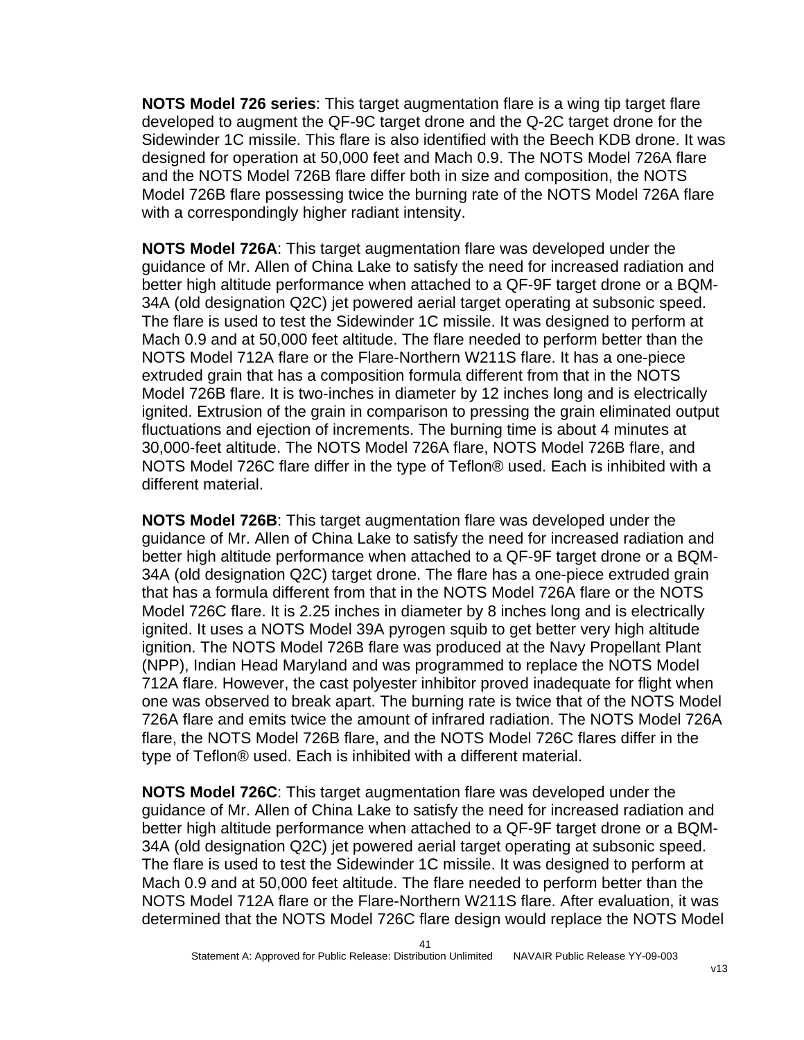**NOTS Model 726 series**: This target augmentation flare is a wing tip target flare developed to augment the QF-9C target drone and the Q-2C target drone for the Sidewinder 1C missile. This flare is also identified with the Beech KDB drone. It was designed for operation at 50,000 feet and Mach 0.9. The NOTS Model 726A flare and the NOTS Model 726B flare differ both in size and composition, the NOTS Model 726B flare possessing twice the burning rate of the NOTS Model 726A flare with a correspondingly higher radiant intensity.

**NOTS Model 726A**: This target augmentation flare was developed under the guidance of Mr. Allen of China Lake to satisfy the need for increased radiation and better high altitude performance when attached to a QF-9F target drone or a BQM-34A (old designation Q2C) jet powered aerial target operating at subsonic speed. The flare is used to test the Sidewinder 1C missile. It was designed to perform at Mach 0.9 and at 50,000 feet altitude. The flare needed to perform better than the NOTS Model 712A flare or the Flare-Northern W211S flare. It has a one-piece extruded grain that has a composition formula different from that in the NOTS Model 726B flare. It is two-inches in diameter by 12 inches long and is electrically ignited. Extrusion of the grain in comparison to pressing the grain eliminated output fluctuations and ejection of increments. The burning time is about 4 minutes at 30,000-feet altitude. The NOTS Model 726A flare, NOTS Model 726B flare, and NOTS Model 726C flare differ in the type of Teflon® used. Each is inhibited with a different material.

**NOTS Model 726B**: This target augmentation flare was developed under the guidance of Mr. Allen of China Lake to satisfy the need for increased radiation and better high altitude performance when attached to a QF-9F target drone or a BQM-34A (old designation Q2C) target drone. The flare has a one-piece extruded grain that has a formula different from that in the NOTS Model 726A flare or the NOTS Model 726C flare. It is 2.25 inches in diameter by 8 inches long and is electrically ignited. It uses a NOTS Model 39A pyrogen squib to get better very high altitude ignition. The NOTS Model 726B flare was produced at the Navy Propellant Plant (NPP), Indian Head Maryland and was programmed to replace the NOTS Model 712A flare. However, the cast polyester inhibitor proved inadequate for flight when one was observed to break apart. The burning rate is twice that of the NOTS Model 726A flare and emits twice the amount of infrared radiation. The NOTS Model 726A flare, the NOTS Model 726B flare, and the NOTS Model 726C flares differ in the type of Teflon® used. Each is inhibited with a different material.

**NOTS Model 726C**: This target augmentation flare was developed under the guidance of Mr. Allen of China Lake to satisfy the need for increased radiation and better high altitude performance when attached to a QF-9F target drone or a BQM-34A (old designation Q2C) jet powered aerial target operating at subsonic speed. The flare is used to test the Sidewinder 1C missile. It was designed to perform at Mach 0.9 and at 50,000 feet altitude. The flare needed to perform better than the NOTS Model 712A flare or the Flare-Northern W211S flare. After evaluation, it was determined that the NOTS Model 726C flare design would replace the NOTS Model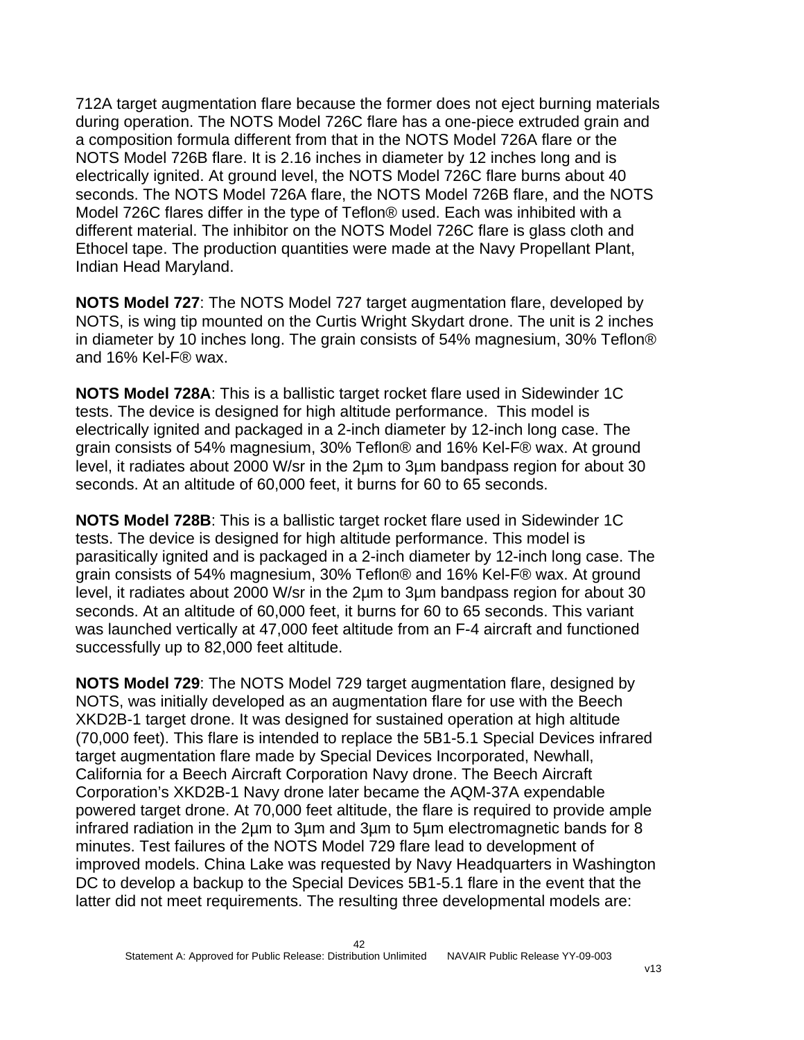712A target augmentation flare because the former does not eject burning materials during operation. The NOTS Model 726C flare has a one-piece extruded grain and a composition formula different from that in the NOTS Model 726A flare or the NOTS Model 726B flare. It is 2.16 inches in diameter by 12 inches long and is electrically ignited. At ground level, the NOTS Model 726C flare burns about 40 seconds. The NOTS Model 726A flare, the NOTS Model 726B flare, and the NOTS Model 726C flares differ in the type of Teflon® used. Each was inhibited with a different material. The inhibitor on the NOTS Model 726C flare is glass cloth and Ethocel tape. The production quantities were made at the Navy Propellant Plant, Indian Head Maryland.

**NOTS Model 727**: The NOTS Model 727 target augmentation flare, developed by NOTS, is wing tip mounted on the Curtis Wright Skydart drone. The unit is 2 inches in diameter by 10 inches long. The grain consists of 54% magnesium, 30% Teflon® and 16% Kel-F® wax.

**NOTS Model 728A**: This is a ballistic target rocket flare used in Sidewinder 1C tests. The device is designed for high altitude performance. This model is electrically ignited and packaged in a 2-inch diameter by 12-inch long case. The grain consists of 54% magnesium, 30% Teflon® and 16% Kel-F® wax. At ground level, it radiates about 2000 W/sr in the 2µm to 3µm bandpass region for about 30 seconds. At an altitude of 60,000 feet, it burns for 60 to 65 seconds.

**NOTS Model 728B**: This is a ballistic target rocket flare used in Sidewinder 1C tests. The device is designed for high altitude performance. This model is parasitically ignited and is packaged in a 2-inch diameter by 12-inch long case. The grain consists of 54% magnesium, 30% Teflon® and 16% Kel-F® wax. At ground level, it radiates about 2000 W/sr in the 2µm to 3µm bandpass region for about 30 seconds. At an altitude of 60,000 feet, it burns for 60 to 65 seconds. This variant was launched vertically at 47,000 feet altitude from an F-4 aircraft and functioned successfully up to 82,000 feet altitude.

**NOTS Model 729**: The NOTS Model 729 target augmentation flare, designed by NOTS, was initially developed as an augmentation flare for use with the Beech XKD2B-1 target drone. It was designed for sustained operation at high altitude (70,000 feet). This flare is intended to replace the 5B1-5.1 Special Devices infrared target augmentation flare made by Special Devices Incorporated, Newhall, California for a Beech Aircraft Corporation Navy drone. The Beech Aircraft Corporation's XKD2B-1 Navy drone later became the AQM-37A expendable powered target drone. At 70,000 feet altitude, the flare is required to provide ample infrared radiation in the 2µm to 3µm and 3µm to 5µm electromagnetic bands for 8 minutes. Test failures of the NOTS Model 729 flare lead to development of improved models. China Lake was requested by Navy Headquarters in Washington DC to develop a backup to the Special Devices 5B1-5.1 flare in the event that the latter did not meet requirements. The resulting three developmental models are: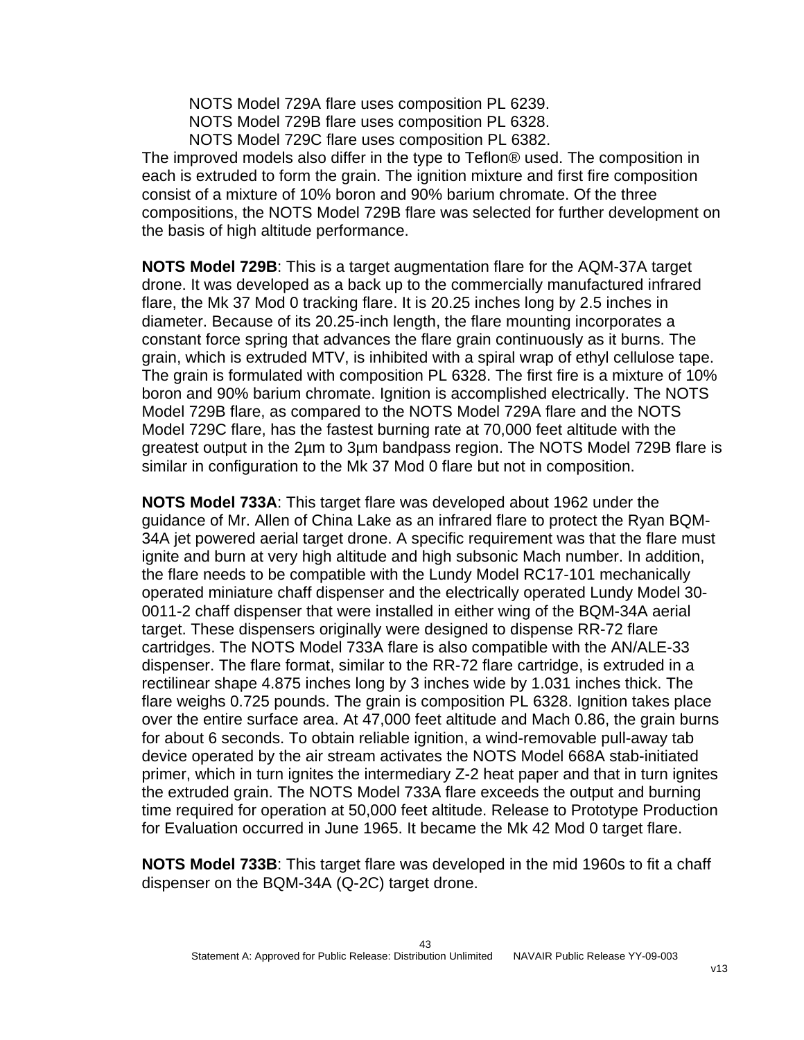NOTS Model 729A flare uses composition PL 6239.

NOTS Model 729B flare uses composition PL 6328.

NOTS Model 729C flare uses composition PL 6382.

The improved models also differ in the type to Teflon® used. The composition in each is extruded to form the grain. The ignition mixture and first fire composition consist of a mixture of 10% boron and 90% barium chromate. Of the three compositions, the NOTS Model 729B flare was selected for further development on the basis of high altitude performance.

**NOTS Model 729B**: This is a target augmentation flare for the AQM-37A target drone. It was developed as a back up to the commercially manufactured infrared flare, the Mk 37 Mod 0 tracking flare. It is 20.25 inches long by 2.5 inches in diameter. Because of its 20.25-inch length, the flare mounting incorporates a constant force spring that advances the flare grain continuously as it burns. The grain, which is extruded MTV, is inhibited with a spiral wrap of ethyl cellulose tape. The grain is formulated with composition PL 6328. The first fire is a mixture of 10% boron and 90% barium chromate. Ignition is accomplished electrically. The NOTS Model 729B flare, as compared to the NOTS Model 729A flare and the NOTS Model 729C flare, has the fastest burning rate at 70,000 feet altitude with the greatest output in the 2µm to 3µm bandpass region. The NOTS Model 729B flare is similar in configuration to the Mk 37 Mod 0 flare but not in composition.

**NOTS Model 733A**: This target flare was developed about 1962 under the guidance of Mr. Allen of China Lake as an infrared flare to protect the Ryan BQM-34A jet powered aerial target drone. A specific requirement was that the flare must ignite and burn at very high altitude and high subsonic Mach number. In addition, the flare needs to be compatible with the Lundy Model RC17-101 mechanically operated miniature chaff dispenser and the electrically operated Lundy Model 30- 0011-2 chaff dispenser that were installed in either wing of the BQM-34A aerial target. These dispensers originally were designed to dispense RR-72 flare cartridges. The NOTS Model 733A flare is also compatible with the AN/ALE-33 dispenser. The flare format, similar to the RR-72 flare cartridge, is extruded in a rectilinear shape 4.875 inches long by 3 inches wide by 1.031 inches thick. The flare weighs 0.725 pounds. The grain is composition PL 6328. Ignition takes place over the entire surface area. At 47,000 feet altitude and Mach 0.86, the grain burns for about 6 seconds. To obtain reliable ignition, a wind-removable pull-away tab device operated by the air stream activates the NOTS Model 668A stab-initiated primer, which in turn ignites the intermediary Z-2 heat paper and that in turn ignites the extruded grain. The NOTS Model 733A flare exceeds the output and burning time required for operation at 50,000 feet altitude. Release to Prototype Production for Evaluation occurred in June 1965. It became the Mk 42 Mod 0 target flare.

**NOTS Model 733B**: This target flare was developed in the mid 1960s to fit a chaff dispenser on the BQM-34A (Q-2C) target drone.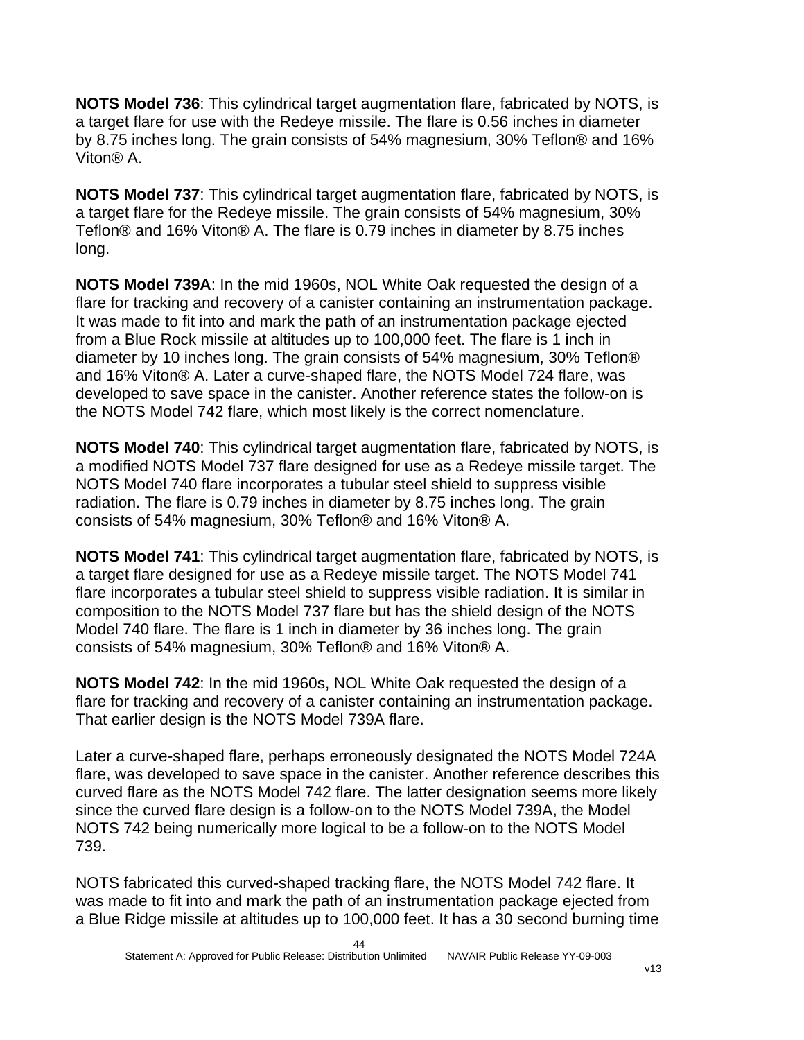**NOTS Model 736**: This cylindrical target augmentation flare, fabricated by NOTS, is a target flare for use with the Redeye missile. The flare is 0.56 inches in diameter by 8.75 inches long. The grain consists of 54% magnesium, 30% Teflon® and 16% Viton® A.

**NOTS Model 737**: This cylindrical target augmentation flare, fabricated by NOTS, is a target flare for the Redeye missile. The grain consists of 54% magnesium, 30% Teflon® and 16% Viton® A. The flare is 0.79 inches in diameter by 8.75 inches long.

**NOTS Model 739A**: In the mid 1960s, NOL White Oak requested the design of a flare for tracking and recovery of a canister containing an instrumentation package. It was made to fit into and mark the path of an instrumentation package ejected from a Blue Rock missile at altitudes up to 100,000 feet. The flare is 1 inch in diameter by 10 inches long. The grain consists of 54% magnesium, 30% Teflon® and 16% Viton® A. Later a curve-shaped flare, the NOTS Model 724 flare, was developed to save space in the canister. Another reference states the follow-on is the NOTS Model 742 flare, which most likely is the correct nomenclature.

**NOTS Model 740**: This cylindrical target augmentation flare, fabricated by NOTS, is a modified NOTS Model 737 flare designed for use as a Redeye missile target. The NOTS Model 740 flare incorporates a tubular steel shield to suppress visible radiation. The flare is 0.79 inches in diameter by 8.75 inches long. The grain consists of 54% magnesium, 30% Teflon® and 16% Viton® A.

**NOTS Model 741**: This cylindrical target augmentation flare, fabricated by NOTS, is a target flare designed for use as a Redeye missile target. The NOTS Model 741 flare incorporates a tubular steel shield to suppress visible radiation. It is similar in composition to the NOTS Model 737 flare but has the shield design of the NOTS Model 740 flare. The flare is 1 inch in diameter by 36 inches long. The grain consists of 54% magnesium, 30% Teflon® and 16% Viton® A.

**NOTS Model 742**: In the mid 1960s, NOL White Oak requested the design of a flare for tracking and recovery of a canister containing an instrumentation package. That earlier design is the NOTS Model 739A flare.

Later a curve-shaped flare, perhaps erroneously designated the NOTS Model 724A flare, was developed to save space in the canister. Another reference describes this curved flare as the NOTS Model 742 flare. The latter designation seems more likely since the curved flare design is a follow-on to the NOTS Model 739A, the Model NOTS 742 being numerically more logical to be a follow-on to the NOTS Model 739.

NOTS fabricated this curved-shaped tracking flare, the NOTS Model 742 flare. It was made to fit into and mark the path of an instrumentation package ejected from a Blue Ridge missile at altitudes up to 100,000 feet. It has a 30 second burning time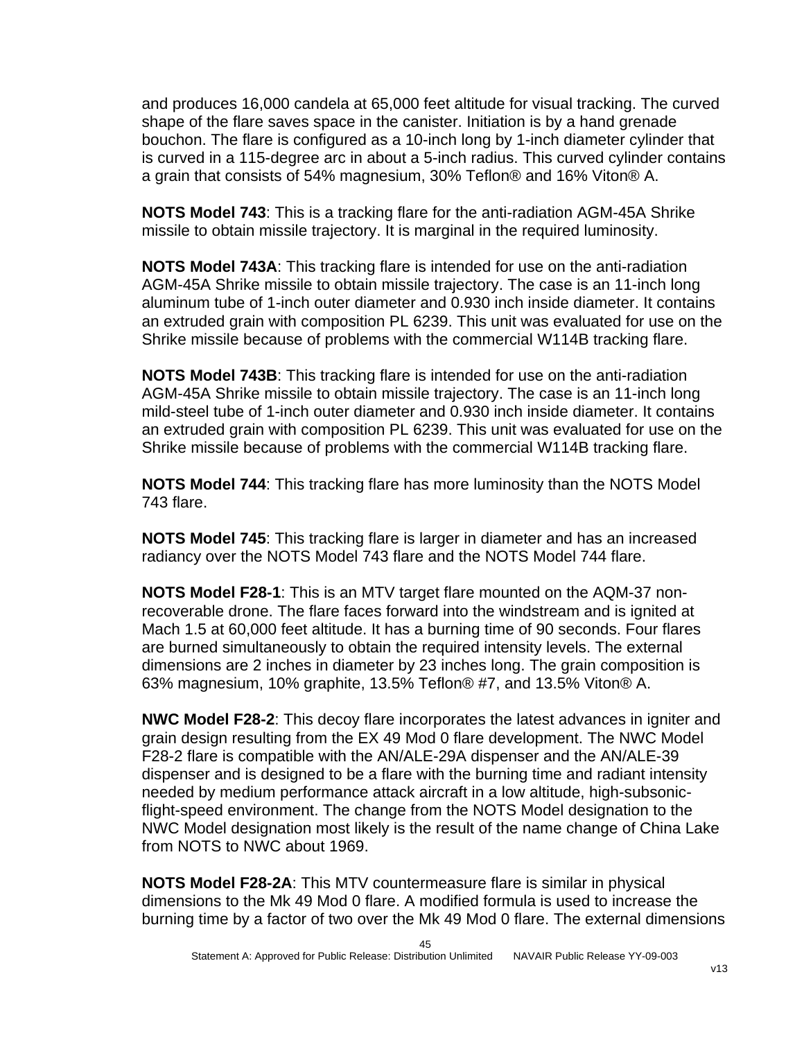and produces 16,000 candela at 65,000 feet altitude for visual tracking. The curved shape of the flare saves space in the canister. Initiation is by a hand grenade bouchon. The flare is configured as a 10-inch long by 1-inch diameter cylinder that is curved in a 115-degree arc in about a 5-inch radius. This curved cylinder contains a grain that consists of 54% magnesium, 30% Teflon® and 16% Viton® A.

**NOTS Model 743**: This is a tracking flare for the anti-radiation AGM-45A Shrike missile to obtain missile trajectory. It is marginal in the required luminosity.

**NOTS Model 743A**: This tracking flare is intended for use on the anti-radiation AGM-45A Shrike missile to obtain missile trajectory. The case is an 11-inch long aluminum tube of 1-inch outer diameter and 0.930 inch inside diameter. It contains an extruded grain with composition PL 6239. This unit was evaluated for use on the Shrike missile because of problems with the commercial W114B tracking flare.

**NOTS Model 743B**: This tracking flare is intended for use on the anti-radiation AGM-45A Shrike missile to obtain missile trajectory. The case is an 11-inch long mild-steel tube of 1-inch outer diameter and 0.930 inch inside diameter. It contains an extruded grain with composition PL 6239. This unit was evaluated for use on the Shrike missile because of problems with the commercial W114B tracking flare.

**NOTS Model 744**: This tracking flare has more luminosity than the NOTS Model 743 flare.

**NOTS Model 745**: This tracking flare is larger in diameter and has an increased radiancy over the NOTS Model 743 flare and the NOTS Model 744 flare.

**NOTS Model F28-1**: This is an MTV target flare mounted on the AQM-37 nonrecoverable drone. The flare faces forward into the windstream and is ignited at Mach 1.5 at 60,000 feet altitude. It has a burning time of 90 seconds. Four flares are burned simultaneously to obtain the required intensity levels. The external dimensions are 2 inches in diameter by 23 inches long. The grain composition is 63% magnesium, 10% graphite, 13.5% Teflon® #7, and 13.5% Viton® A.

**NWC Model F28-2**: This decoy flare incorporates the latest advances in igniter and grain design resulting from the EX 49 Mod 0 flare development. The NWC Model F28-2 flare is compatible with the AN/ALE-29A dispenser and the AN/ALE-39 dispenser and is designed to be a flare with the burning time and radiant intensity needed by medium performance attack aircraft in a low altitude, high-subsonicflight-speed environment. The change from the NOTS Model designation to the NWC Model designation most likely is the result of the name change of China Lake from NOTS to NWC about 1969.

**NOTS Model F28-2A**: This MTV countermeasure flare is similar in physical dimensions to the Mk 49 Mod 0 flare. A modified formula is used to increase the burning time by a factor of two over the Mk 49 Mod 0 flare. The external dimensions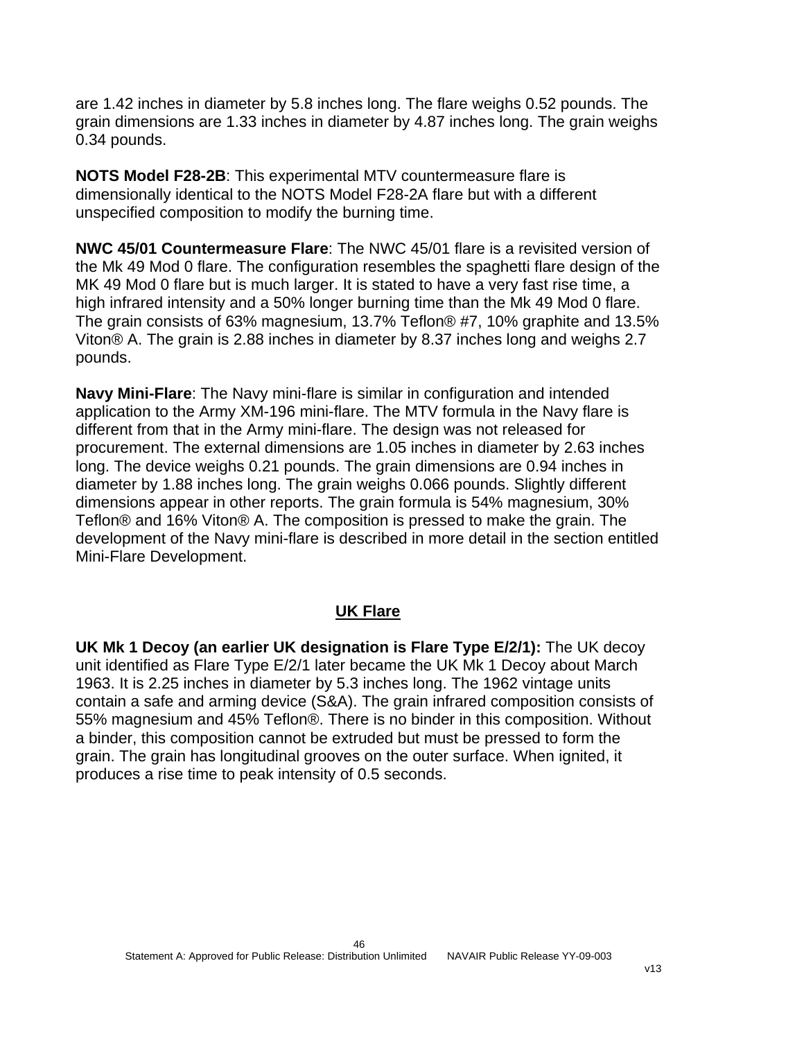are 1.42 inches in diameter by 5.8 inches long. The flare weighs 0.52 pounds. The grain dimensions are 1.33 inches in diameter by 4.87 inches long. The grain weighs 0.34 pounds.

**NOTS Model F28-2B**: This experimental MTV countermeasure flare is dimensionally identical to the NOTS Model F28-2A flare but with a different unspecified composition to modify the burning time.

**NWC 45/01 Countermeasure Flare**: The NWC 45/01 flare is a revisited version of the Mk 49 Mod 0 flare. The configuration resembles the spaghetti flare design of the MK 49 Mod 0 flare but is much larger. It is stated to have a very fast rise time, a high infrared intensity and a 50% longer burning time than the Mk 49 Mod 0 flare. The grain consists of 63% magnesium, 13.7% Teflon® #7, 10% graphite and 13.5% Viton® A. The grain is 2.88 inches in diameter by 8.37 inches long and weighs 2.7 pounds.

**Navy Mini-Flare**: The Navy mini-flare is similar in configuration and intended application to the Army XM-196 mini-flare. The MTV formula in the Navy flare is different from that in the Army mini-flare. The design was not released for procurement. The external dimensions are 1.05 inches in diameter by 2.63 inches long. The device weighs 0.21 pounds. The grain dimensions are 0.94 inches in diameter by 1.88 inches long. The grain weighs 0.066 pounds. Slightly different dimensions appear in other reports. The grain formula is 54% magnesium, 30% Teflon® and 16% Viton® A. The composition is pressed to make the grain. The development of the Navy mini-flare is described in more detail in the section entitled Mini-Flare Development.

#### **UK Flare**

**UK Mk 1 Decoy (an earlier UK designation is Flare Type E/2/1):** The UK decoy unit identified as Flare Type E/2/1 later became the UK Mk 1 Decoy about March 1963. It is 2.25 inches in diameter by 5.3 inches long. The 1962 vintage units contain a safe and arming device (S&A). The grain infrared composition consists of 55% magnesium and 45% Teflon®. There is no binder in this composition. Without a binder, this composition cannot be extruded but must be pressed to form the grain. The grain has longitudinal grooves on the outer surface. When ignited, it produces a rise time to peak intensity of 0.5 seconds.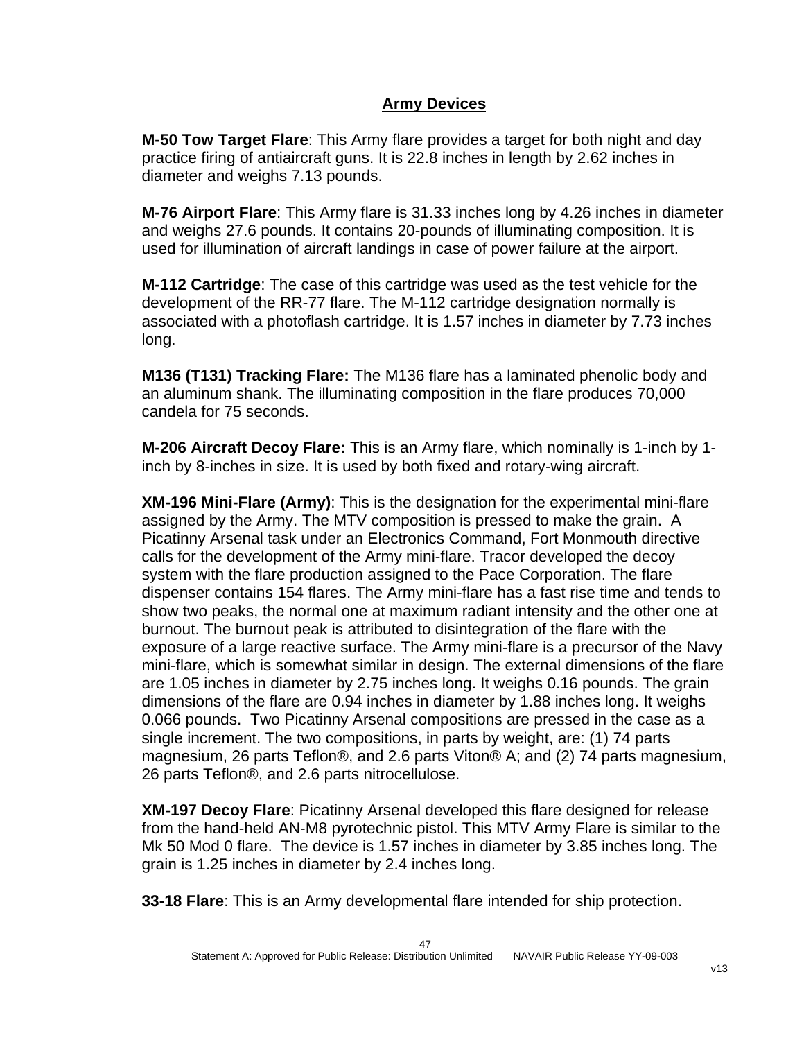### **Army Devices**

**M-50 Tow Target Flare**: This Army flare provides a target for both night and day practice firing of antiaircraft guns. It is 22.8 inches in length by 2.62 inches in diameter and weighs 7.13 pounds.

**M-76 Airport Flare**: This Army flare is 31.33 inches long by 4.26 inches in diameter and weighs 27.6 pounds. It contains 20-pounds of illuminating composition. It is used for illumination of aircraft landings in case of power failure at the airport.

**M-112 Cartridge**: The case of this cartridge was used as the test vehicle for the development of the RR-77 flare. The M-112 cartridge designation normally is associated with a photoflash cartridge. It is 1.57 inches in diameter by 7.73 inches long.

**M136 (T131) Tracking Flare:** The M136 flare has a laminated phenolic body and an aluminum shank. The illuminating composition in the flare produces 70,000 candela for 75 seconds.

**M-206 Aircraft Decoy Flare:** This is an Army flare, which nominally is 1-inch by 1 inch by 8-inches in size. It is used by both fixed and rotary-wing aircraft.

**XM-196 Mini-Flare (Army)**: This is the designation for the experimental mini-flare assigned by the Army. The MTV composition is pressed to make the grain. A Picatinny Arsenal task under an Electronics Command, Fort Monmouth directive calls for the development of the Army mini-flare. Tracor developed the decoy system with the flare production assigned to the Pace Corporation. The flare dispenser contains 154 flares. The Army mini-flare has a fast rise time and tends to show two peaks, the normal one at maximum radiant intensity and the other one at burnout. The burnout peak is attributed to disintegration of the flare with the exposure of a large reactive surface. The Army mini-flare is a precursor of the Navy mini-flare, which is somewhat similar in design. The external dimensions of the flare are 1.05 inches in diameter by 2.75 inches long. It weighs 0.16 pounds. The grain dimensions of the flare are 0.94 inches in diameter by 1.88 inches long. It weighs 0.066 pounds. Two Picatinny Arsenal compositions are pressed in the case as a single increment. The two compositions, in parts by weight, are: (1) 74 parts magnesium, 26 parts Teflon®, and 2.6 parts Viton® A; and (2) 74 parts magnesium, 26 parts Teflon®, and 2.6 parts nitrocellulose.

**XM-197 Decoy Flare**: Picatinny Arsenal developed this flare designed for release from the hand-held AN-M8 pyrotechnic pistol. This MTV Army Flare is similar to the Mk 50 Mod 0 flare. The device is 1.57 inches in diameter by 3.85 inches long. The grain is 1.25 inches in diameter by 2.4 inches long.

**33-18 Flare**: This is an Army developmental flare intended for ship protection.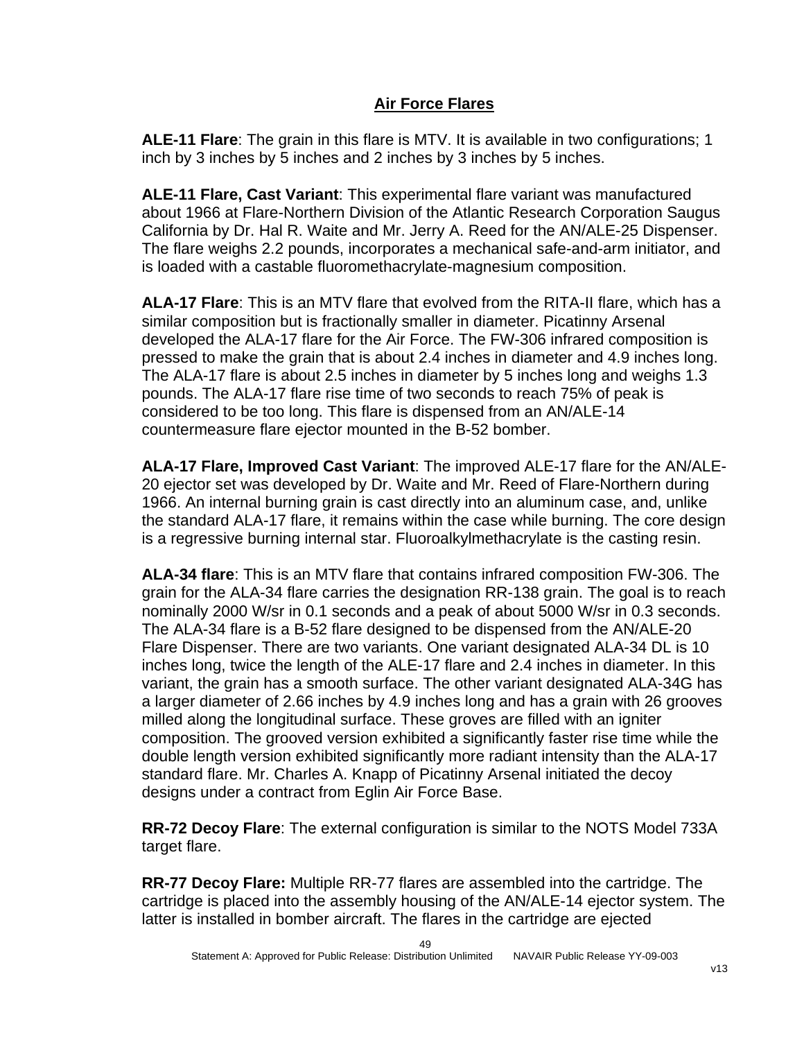# **Air Force Flares**

**ALE-11 Flare**: The grain in this flare is MTV. It is available in two configurations; 1 inch by 3 inches by 5 inches and 2 inches by 3 inches by 5 inches.

**ALE-11 Flare, Cast Variant**: This experimental flare variant was manufactured about 1966 at Flare-Northern Division of the Atlantic Research Corporation Saugus California by Dr. Hal R. Waite and Mr. Jerry A. Reed for the AN/ALE-25 Dispenser. The flare weighs 2.2 pounds, incorporates a mechanical safe-and-arm initiator, and is loaded with a castable fluoromethacrylate-magnesium composition.

**ALA-17 Flare**: This is an MTV flare that evolved from the RITA-II flare, which has a similar composition but is fractionally smaller in diameter. Picatinny Arsenal developed the ALA-17 flare for the Air Force. The FW-306 infrared composition is pressed to make the grain that is about 2.4 inches in diameter and 4.9 inches long. The ALA-17 flare is about 2.5 inches in diameter by 5 inches long and weighs 1.3 pounds. The ALA-17 flare rise time of two seconds to reach 75% of peak is considered to be too long. This flare is dispensed from an AN/ALE-14 countermeasure flare ejector mounted in the B-52 bomber.

**ALA-17 Flare, Improved Cast Variant**: The improved ALE-17 flare for the AN/ALE-20 ejector set was developed by Dr. Waite and Mr. Reed of Flare-Northern during 1966. An internal burning grain is cast directly into an aluminum case, and, unlike the standard ALA-17 flare, it remains within the case while burning. The core design is a regressive burning internal star. Fluoroalkylmethacrylate is the casting resin.

**ALA-34 flare**: This is an MTV flare that contains infrared composition FW-306. The grain for the ALA-34 flare carries the designation RR-138 grain. The goal is to reach nominally 2000 W/sr in 0.1 seconds and a peak of about 5000 W/sr in 0.3 seconds. The ALA-34 flare is a B-52 flare designed to be dispensed from the AN/ALE-20 Flare Dispenser. There are two variants. One variant designated ALA-34 DL is 10 inches long, twice the length of the ALE-17 flare and 2.4 inches in diameter. In this variant, the grain has a smooth surface. The other variant designated ALA-34G has a larger diameter of 2.66 inches by 4.9 inches long and has a grain with 26 grooves milled along the longitudinal surface. These groves are filled with an igniter composition. The grooved version exhibited a significantly faster rise time while the double length version exhibited significantly more radiant intensity than the ALA-17 standard flare. Mr. Charles A. Knapp of Picatinny Arsenal initiated the decoy designs under a contract from Eglin Air Force Base.

**RR-72 Decoy Flare**: The external configuration is similar to the NOTS Model 733A target flare.

**RR-77 Decoy Flare:** Multiple RR-77 flares are assembled into the cartridge. The cartridge is placed into the assembly housing of the AN/ALE-14 ejector system. The latter is installed in bomber aircraft. The flares in the cartridge are ejected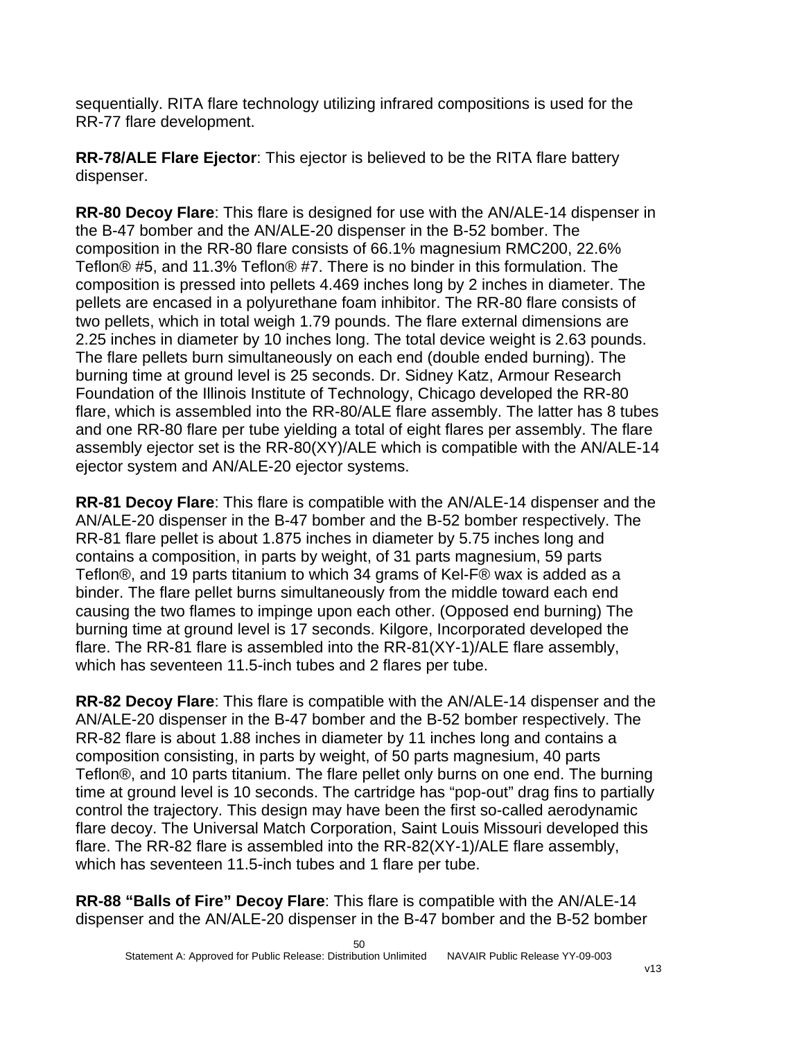sequentially. RITA flare technology utilizing infrared compositions is used for the RR-77 flare development.

**RR-78/ALE Flare Ejector**: This ejector is believed to be the RITA flare battery dispenser.

**RR-80 Decoy Flare**: This flare is designed for use with the AN/ALE-14 dispenser in the B-47 bomber and the AN/ALE-20 dispenser in the B-52 bomber. The composition in the RR-80 flare consists of 66.1% magnesium RMC200, 22.6% Teflon® #5, and 11.3% Teflon® #7. There is no binder in this formulation. The composition is pressed into pellets 4.469 inches long by 2 inches in diameter. The pellets are encased in a polyurethane foam inhibitor. The RR-80 flare consists of two pellets, which in total weigh 1.79 pounds. The flare external dimensions are 2.25 inches in diameter by 10 inches long. The total device weight is 2.63 pounds. The flare pellets burn simultaneously on each end (double ended burning). The burning time at ground level is 25 seconds. Dr. Sidney Katz, Armour Research Foundation of the Illinois Institute of Technology, Chicago developed the RR-80 flare, which is assembled into the RR-80/ALE flare assembly. The latter has 8 tubes and one RR-80 flare per tube yielding a total of eight flares per assembly. The flare assembly ejector set is the RR-80(XY)/ALE which is compatible with the AN/ALE-14 ejector system and AN/ALE-20 ejector systems.

**RR-81 Decoy Flare**: This flare is compatible with the AN/ALE-14 dispenser and the AN/ALE-20 dispenser in the B-47 bomber and the B-52 bomber respectively. The RR-81 flare pellet is about 1.875 inches in diameter by 5.75 inches long and contains a composition, in parts by weight, of 31 parts magnesium, 59 parts Teflon®, and 19 parts titanium to which 34 grams of Kel-F® wax is added as a binder. The flare pellet burns simultaneously from the middle toward each end causing the two flames to impinge upon each other. (Opposed end burning) The burning time at ground level is 17 seconds. Kilgore, Incorporated developed the flare. The RR-81 flare is assembled into the RR-81(XY-1)/ALE flare assembly, which has seventeen 11.5-inch tubes and 2 flares per tube.

**RR-82 Decoy Flare**: This flare is compatible with the AN/ALE-14 dispenser and the AN/ALE-20 dispenser in the B-47 bomber and the B-52 bomber respectively. The RR-82 flare is about 1.88 inches in diameter by 11 inches long and contains a composition consisting, in parts by weight, of 50 parts magnesium, 40 parts Teflon®, and 10 parts titanium. The flare pellet only burns on one end. The burning time at ground level is 10 seconds. The cartridge has "pop-out" drag fins to partially control the trajectory. This design may have been the first so-called aerodynamic flare decoy. The Universal Match Corporation, Saint Louis Missouri developed this flare. The RR-82 flare is assembled into the RR-82(XY-1)/ALE flare assembly, which has seventeen 11.5-inch tubes and 1 flare per tube.

**RR-88 "Balls of Fire" Decoy Flare**: This flare is compatible with the AN/ALE-14 dispenser and the AN/ALE-20 dispenser in the B-47 bomber and the B-52 bomber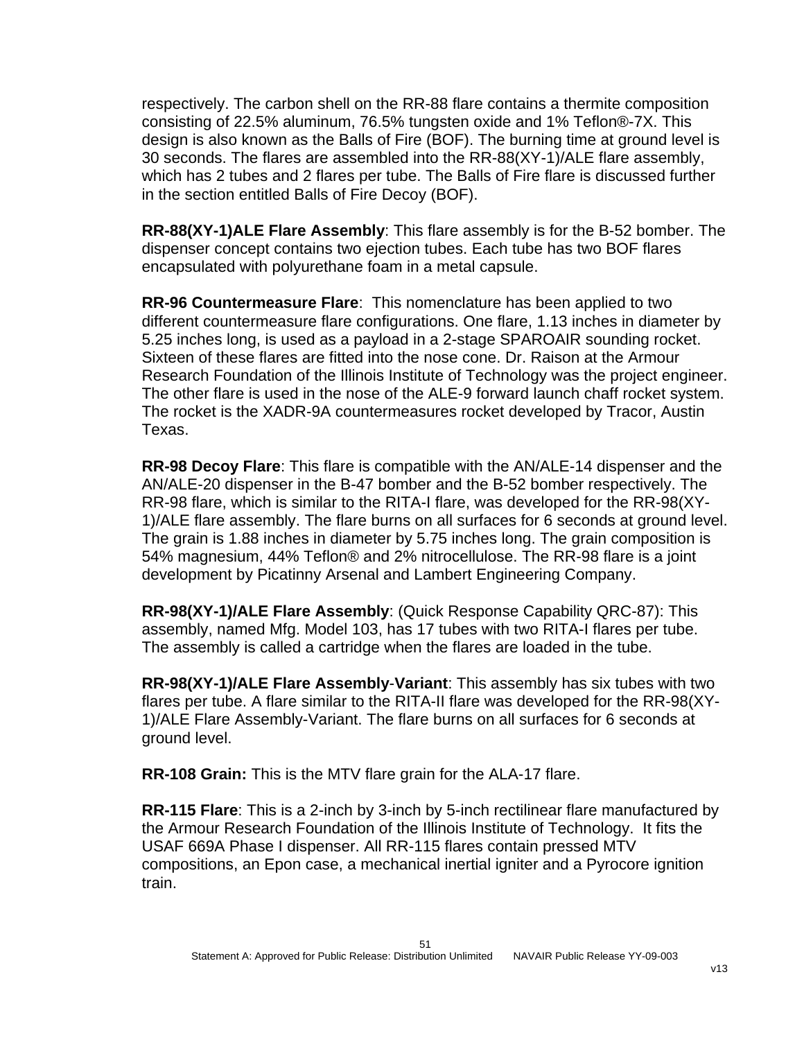respectively. The carbon shell on the RR-88 flare contains a thermite composition consisting of 22.5% aluminum, 76.5% tungsten oxide and 1% Teflon®-7X. This design is also known as the Balls of Fire (BOF). The burning time at ground level is 30 seconds. The flares are assembled into the RR-88(XY-1)/ALE flare assembly, which has 2 tubes and 2 flares per tube. The Balls of Fire flare is discussed further in the section entitled Balls of Fire Decoy (BOF).

**RR-88(XY-1)ALE Flare Assembly**: This flare assembly is for the B-52 bomber. The dispenser concept contains two ejection tubes. Each tube has two BOF flares encapsulated with polyurethane foam in a metal capsule.

**RR-96 Countermeasure Flare**: This nomenclature has been applied to two different countermeasure flare configurations. One flare, 1.13 inches in diameter by 5.25 inches long, is used as a payload in a 2-stage SPAROAIR sounding rocket. Sixteen of these flares are fitted into the nose cone. Dr. Raison at the Armour Research Foundation of the Illinois Institute of Technology was the project engineer. The other flare is used in the nose of the ALE-9 forward launch chaff rocket system. The rocket is the XADR-9A countermeasures rocket developed by Tracor, Austin Texas.

**RR-98 Decoy Flare**: This flare is compatible with the AN/ALE-14 dispenser and the AN/ALE-20 dispenser in the B-47 bomber and the B-52 bomber respectively. The RR-98 flare, which is similar to the RITA-I flare, was developed for the RR-98(XY-1)/ALE flare assembly. The flare burns on all surfaces for 6 seconds at ground level. The grain is 1.88 inches in diameter by 5.75 inches long. The grain composition is 54% magnesium, 44% Teflon® and 2% nitrocellulose. The RR-98 flare is a joint development by Picatinny Arsenal and Lambert Engineering Company.

**RR-98(XY-1)/ALE Flare Assembly**: (Quick Response Capability QRC-87): This assembly, named Mfg. Model 103, has 17 tubes with two RITA-I flares per tube. The assembly is called a cartridge when the flares are loaded in the tube.

**RR-98(XY-1)/ALE Flare Assembly**-**Variant**: This assembly has six tubes with two flares per tube. A flare similar to the RITA-II flare was developed for the RR-98(XY-1)/ALE Flare Assembly-Variant. The flare burns on all surfaces for 6 seconds at ground level.

**RR-108 Grain:** This is the MTV flare grain for the ALA-17 flare.

**RR-115 Flare**: This is a 2-inch by 3-inch by 5-inch rectilinear flare manufactured by the Armour Research Foundation of the Illinois Institute of Technology. It fits the USAF 669A Phase I dispenser. All RR-115 flares contain pressed MTV compositions, an Epon case, a mechanical inertial igniter and a Pyrocore ignition train.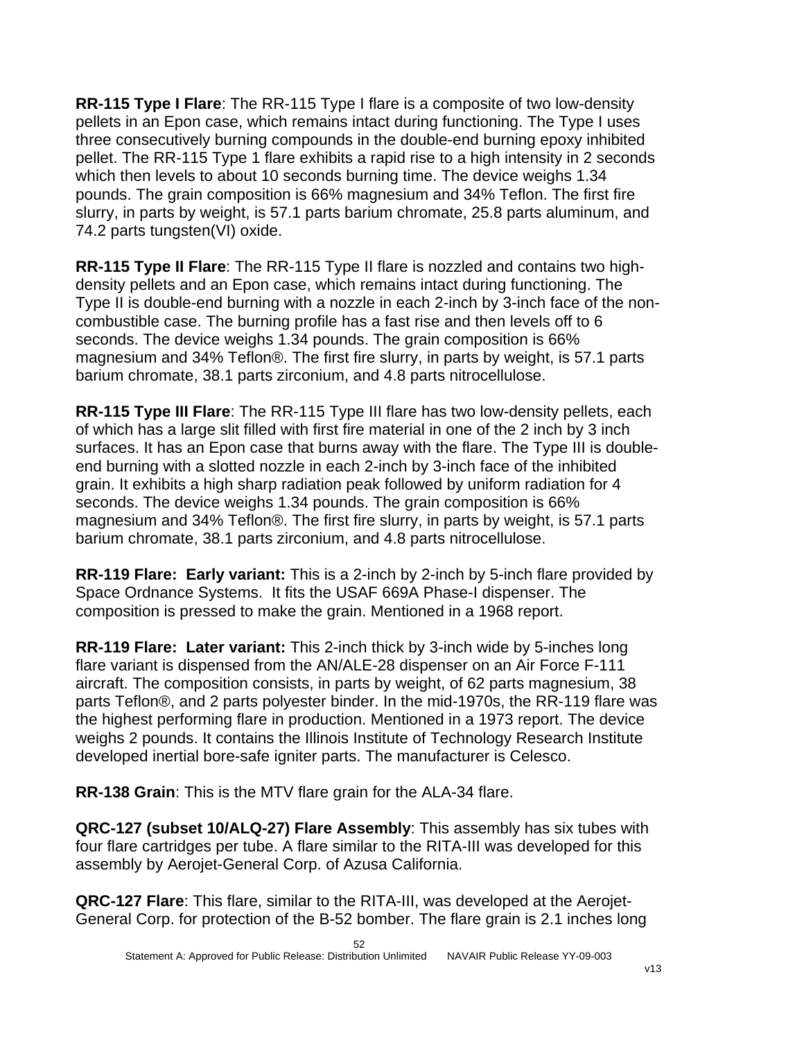**RR-115 Type I Flare**: The RR-115 Type I flare is a composite of two low-density pellets in an Epon case, which remains intact during functioning. The Type I uses three consecutively burning compounds in the double-end burning epoxy inhibited pellet. The RR-115 Type 1 flare exhibits a rapid rise to a high intensity in 2 seconds which then levels to about 10 seconds burning time. The device weighs 1.34 pounds. The grain composition is 66% magnesium and 34% Teflon. The first fire slurry, in parts by weight, is 57.1 parts barium chromate, 25.8 parts aluminum, and 74.2 parts tungsten(VI) oxide.

**RR-115 Type II Flare**: The RR-115 Type II flare is nozzled and contains two highdensity pellets and an Epon case, which remains intact during functioning. The Type II is double-end burning with a nozzle in each 2-inch by 3-inch face of the noncombustible case. The burning profile has a fast rise and then levels off to 6 seconds. The device weighs 1.34 pounds. The grain composition is 66% magnesium and 34% Teflon®. The first fire slurry, in parts by weight, is 57.1 parts barium chromate, 38.1 parts zirconium, and 4.8 parts nitrocellulose.

**RR-115 Type III Flare**: The RR-115 Type III flare has two low-density pellets, each of which has a large slit filled with first fire material in one of the 2 inch by 3 inch surfaces. It has an Epon case that burns away with the flare. The Type III is doubleend burning with a slotted nozzle in each 2-inch by 3-inch face of the inhibited grain. It exhibits a high sharp radiation peak followed by uniform radiation for 4 seconds. The device weighs 1.34 pounds. The grain composition is 66% magnesium and 34% Teflon®. The first fire slurry, in parts by weight, is 57.1 parts barium chromate, 38.1 parts zirconium, and 4.8 parts nitrocellulose.

**RR-119 Flare: Early variant:** This is a 2-inch by 2-inch by 5-inch flare provided by Space Ordnance Systems. It fits the USAF 669A Phase-I dispenser. The composition is pressed to make the grain. Mentioned in a 1968 report.

**RR-119 Flare: Later variant:** This 2-inch thick by 3-inch wide by 5-inches long flare variant is dispensed from the AN/ALE-28 dispenser on an Air Force F-111 aircraft. The composition consists, in parts by weight, of 62 parts magnesium, 38 parts Teflon®, and 2 parts polyester binder. In the mid-1970s, the RR-119 flare was the highest performing flare in production. Mentioned in a 1973 report. The device weighs 2 pounds. It contains the Illinois Institute of Technology Research Institute developed inertial bore-safe igniter parts. The manufacturer is Celesco.

**RR-138 Grain**: This is the MTV flare grain for the ALA-34 flare.

**QRC-127 (subset 10/ALQ-27) Flare Assembly**: This assembly has six tubes with four flare cartridges per tube. A flare similar to the RITA-III was developed for this assembly by Aerojet-General Corp. of Azusa California.

**QRC-127 Flare**: This flare, similar to the RITA-III, was developed at the Aerojet-General Corp. for protection of the B-52 bomber. The flare grain is 2.1 inches long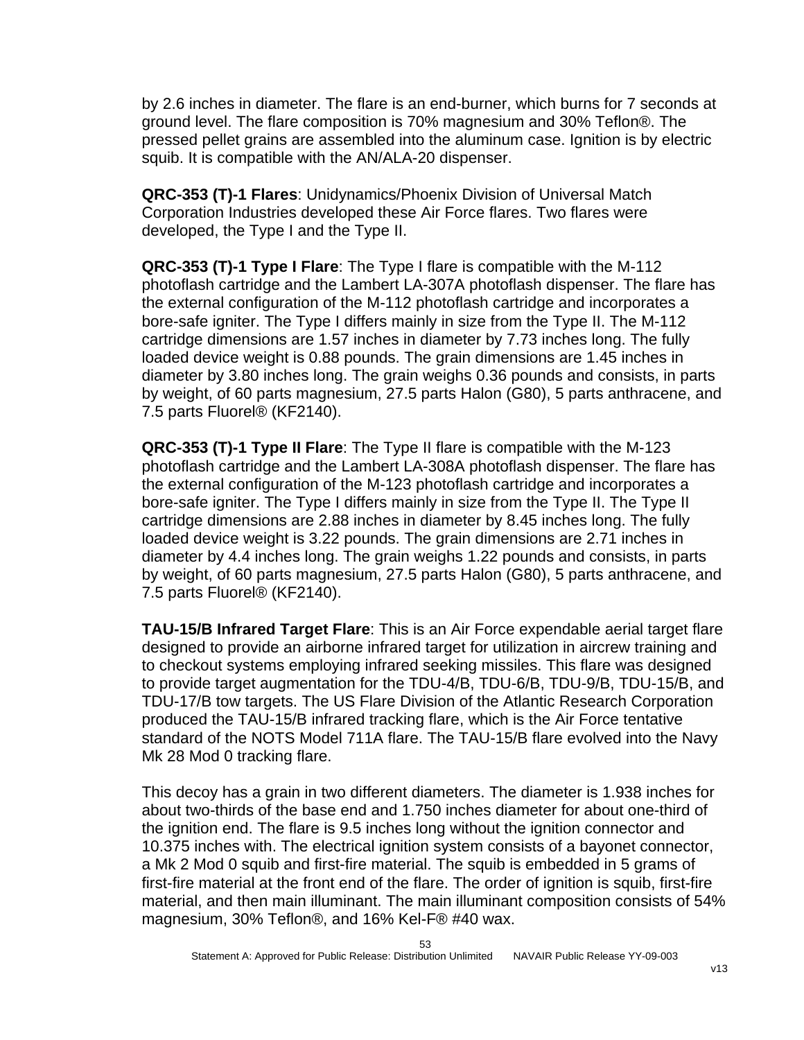by 2.6 inches in diameter. The flare is an end-burner, which burns for 7 seconds at ground level. The flare composition is 70% magnesium and 30% Teflon®. The pressed pellet grains are assembled into the aluminum case. Ignition is by electric squib. It is compatible with the AN/ALA-20 dispenser.

**QRC-353 (T)-1 Flares**: Unidynamics/Phoenix Division of Universal Match Corporation Industries developed these Air Force flares. Two flares were developed, the Type I and the Type II.

**QRC-353 (T)-1 Type I Flare**: The Type I flare is compatible with the M-112 photoflash cartridge and the Lambert LA-307A photoflash dispenser. The flare has the external configuration of the M-112 photoflash cartridge and incorporates a bore-safe igniter. The Type I differs mainly in size from the Type II. The M-112 cartridge dimensions are 1.57 inches in diameter by 7.73 inches long. The fully loaded device weight is 0.88 pounds. The grain dimensions are 1.45 inches in diameter by 3.80 inches long. The grain weighs 0.36 pounds and consists, in parts by weight, of 60 parts magnesium, 27.5 parts Halon (G80), 5 parts anthracene, and 7.5 parts Fluorel® (KF2140).

**QRC-353 (T)-1 Type II Flare**: The Type II flare is compatible with the M-123 photoflash cartridge and the Lambert LA-308A photoflash dispenser. The flare has the external configuration of the M-123 photoflash cartridge and incorporates a bore-safe igniter. The Type I differs mainly in size from the Type II. The Type II cartridge dimensions are 2.88 inches in diameter by 8.45 inches long. The fully loaded device weight is 3.22 pounds. The grain dimensions are 2.71 inches in diameter by 4.4 inches long. The grain weighs 1.22 pounds and consists, in parts by weight, of 60 parts magnesium, 27.5 parts Halon (G80), 5 parts anthracene, and 7.5 parts Fluorel® (KF2140).

**TAU-15/B Infrared Target Flare**: This is an Air Force expendable aerial target flare designed to provide an airborne infrared target for utilization in aircrew training and to checkout systems employing infrared seeking missiles. This flare was designed to provide target augmentation for the TDU-4/B, TDU-6/B, TDU-9/B, TDU-15/B, and TDU-17/B tow targets. The US Flare Division of the Atlantic Research Corporation produced the TAU-15/B infrared tracking flare, which is the Air Force tentative standard of the NOTS Model 711A flare. The TAU-15/B flare evolved into the Navy Mk 28 Mod 0 tracking flare.

This decoy has a grain in two different diameters. The diameter is 1.938 inches for about two-thirds of the base end and 1.750 inches diameter for about one-third of the ignition end. The flare is 9.5 inches long without the ignition connector and 10.375 inches with. The electrical ignition system consists of a bayonet connector, a Mk 2 Mod 0 squib and first-fire material. The squib is embedded in 5 grams of first-fire material at the front end of the flare. The order of ignition is squib, first-fire material, and then main illuminant. The main illuminant composition consists of 54% magnesium, 30% Teflon®, and 16% Kel-F® #40 wax.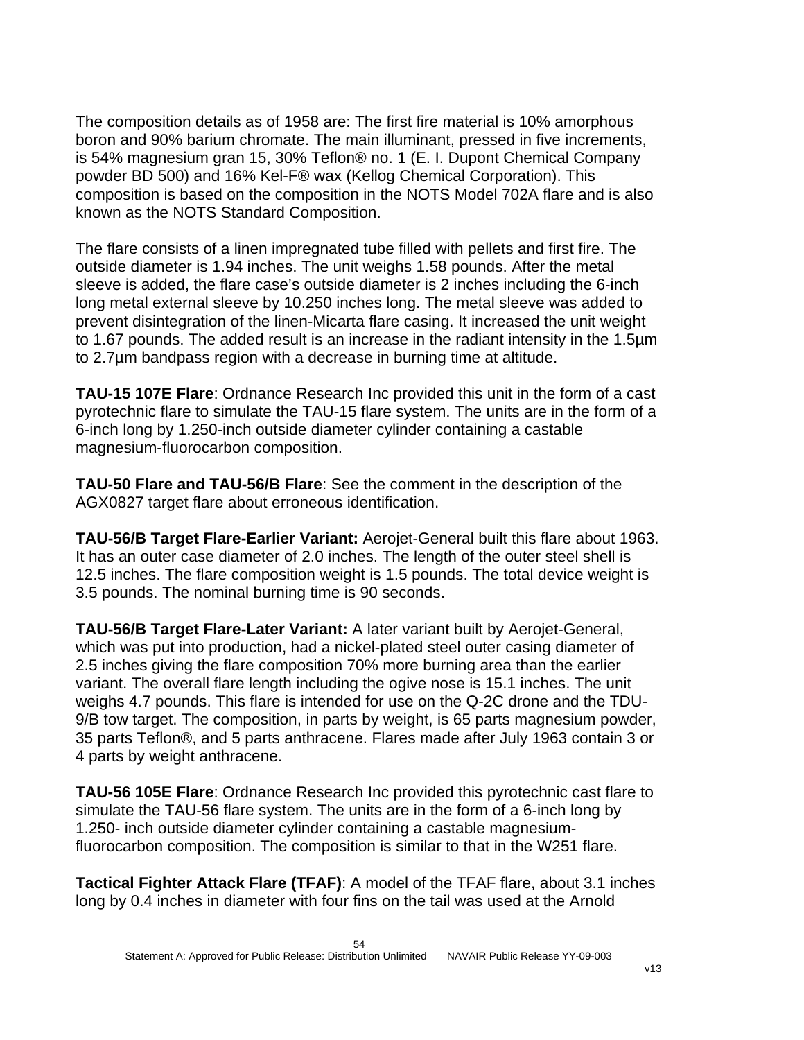The composition details as of 1958 are: The first fire material is 10% amorphous boron and 90% barium chromate. The main illuminant, pressed in five increments, is 54% magnesium gran 15, 30% Teflon® no. 1 (E. I. Dupont Chemical Company powder BD 500) and 16% Kel-F® wax (Kellog Chemical Corporation). This composition is based on the composition in the NOTS Model 702A flare and is also known as the NOTS Standard Composition.

The flare consists of a linen impregnated tube filled with pellets and first fire. The outside diameter is 1.94 inches. The unit weighs 1.58 pounds. After the metal sleeve is added, the flare case's outside diameter is 2 inches including the 6-inch long metal external sleeve by 10.250 inches long. The metal sleeve was added to prevent disintegration of the linen-Micarta flare casing. It increased the unit weight to 1.67 pounds. The added result is an increase in the radiant intensity in the 1.5µm to 2.7µm bandpass region with a decrease in burning time at altitude.

**TAU-15 107E Flare**: Ordnance Research Inc provided this unit in the form of a cast pyrotechnic flare to simulate the TAU-15 flare system. The units are in the form of a 6-inch long by 1.250-inch outside diameter cylinder containing a castable magnesium-fluorocarbon composition.

**TAU-50 Flare and TAU-56/B Flare**: See the comment in the description of the AGX0827 target flare about erroneous identification.

**TAU-56/B Target Flare-Earlier Variant:** Aerojet-General built this flare about 1963. It has an outer case diameter of 2.0 inches. The length of the outer steel shell is 12.5 inches. The flare composition weight is 1.5 pounds. The total device weight is 3.5 pounds. The nominal burning time is 90 seconds.

**TAU-56/B Target Flare-Later Variant:** A later variant built by Aerojet-General, which was put into production, had a nickel-plated steel outer casing diameter of 2.5 inches giving the flare composition 70% more burning area than the earlier variant. The overall flare length including the ogive nose is 15.1 inches. The unit weighs 4.7 pounds. This flare is intended for use on the Q-2C drone and the TDU-9/B tow target. The composition, in parts by weight, is 65 parts magnesium powder, 35 parts Teflon®, and 5 parts anthracene. Flares made after July 1963 contain 3 or 4 parts by weight anthracene.

**TAU-56 105E Flare**: Ordnance Research Inc provided this pyrotechnic cast flare to simulate the TAU-56 flare system. The units are in the form of a 6-inch long by 1.250- inch outside diameter cylinder containing a castable magnesiumfluorocarbon composition. The composition is similar to that in the W251 flare.

**Tactical Fighter Attack Flare (TFAF)**: A model of the TFAF flare, about 3.1 inches long by 0.4 inches in diameter with four fins on the tail was used at the Arnold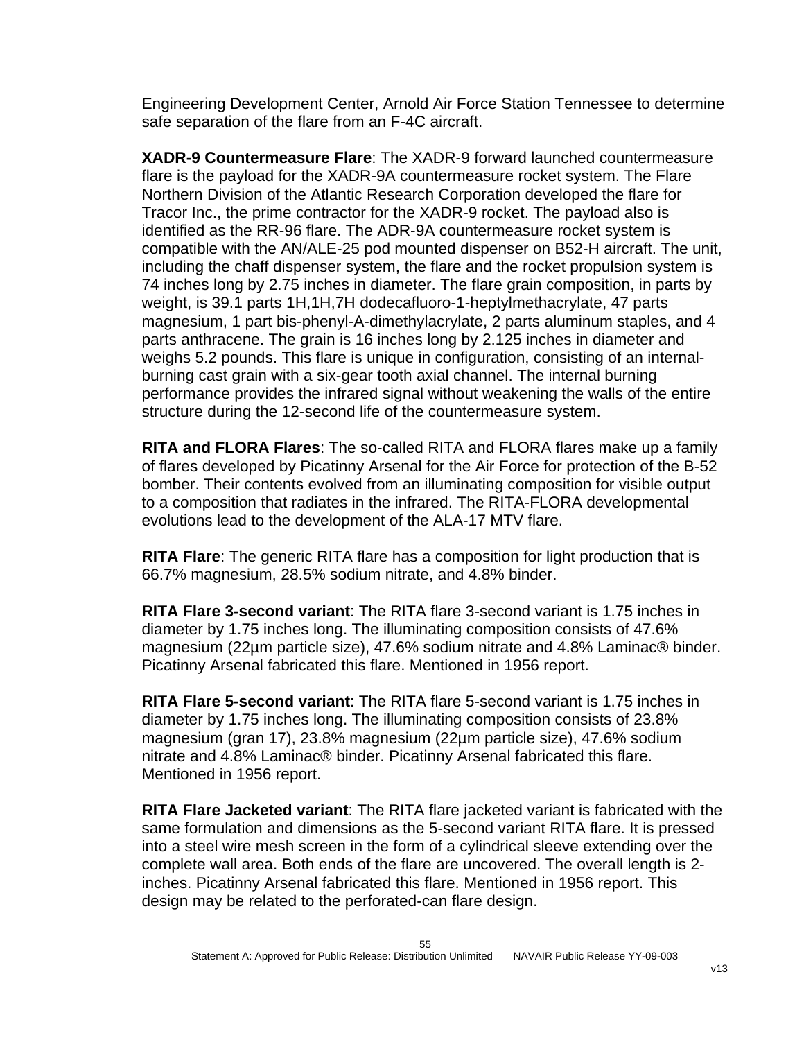Engineering Development Center, Arnold Air Force Station Tennessee to determine safe separation of the flare from an F-4C aircraft.

**XADR-9 Countermeasure Flare**: The XADR-9 forward launched countermeasure flare is the payload for the XADR-9A countermeasure rocket system. The Flare Northern Division of the Atlantic Research Corporation developed the flare for Tracor Inc., the prime contractor for the XADR-9 rocket. The payload also is identified as the RR-96 flare. The ADR-9A countermeasure rocket system is compatible with the AN/ALE-25 pod mounted dispenser on B52-H aircraft. The unit, including the chaff dispenser system, the flare and the rocket propulsion system is 74 inches long by 2.75 inches in diameter. The flare grain composition, in parts by weight, is 39.1 parts 1H,1H,7H dodecafluoro-1-heptylmethacrylate, 47 parts magnesium, 1 part bis-phenyl-A-dimethylacrylate, 2 parts aluminum staples, and 4 parts anthracene. The grain is 16 inches long by 2.125 inches in diameter and weighs 5.2 pounds. This flare is unique in configuration, consisting of an internalburning cast grain with a six-gear tooth axial channel. The internal burning performance provides the infrared signal without weakening the walls of the entire structure during the 12-second life of the countermeasure system.

**RITA and FLORA Flares**: The so-called RITA and FLORA flares make up a family of flares developed by Picatinny Arsenal for the Air Force for protection of the B-52 bomber. Their contents evolved from an illuminating composition for visible output to a composition that radiates in the infrared. The RITA-FLORA developmental evolutions lead to the development of the ALA-17 MTV flare.

**RITA Flare**: The generic RITA flare has a composition for light production that is 66.7% magnesium, 28.5% sodium nitrate, and 4.8% binder.

**RITA Flare 3-second variant**: The RITA flare 3-second variant is 1.75 inches in diameter by 1.75 inches long. The illuminating composition consists of 47.6% magnesium (22µm particle size), 47.6% sodium nitrate and 4.8% Laminac® binder. Picatinny Arsenal fabricated this flare. Mentioned in 1956 report.

**RITA Flare 5-second variant**: The RITA flare 5-second variant is 1.75 inches in diameter by 1.75 inches long. The illuminating composition consists of 23.8% magnesium (gran 17), 23.8% magnesium (22µm particle size), 47.6% sodium nitrate and 4.8% Laminac® binder. Picatinny Arsenal fabricated this flare. Mentioned in 1956 report.

**RITA Flare Jacketed variant**: The RITA flare jacketed variant is fabricated with the same formulation and dimensions as the 5-second variant RITA flare. It is pressed into a steel wire mesh screen in the form of a cylindrical sleeve extending over the complete wall area. Both ends of the flare are uncovered. The overall length is 2 inches. Picatinny Arsenal fabricated this flare. Mentioned in 1956 report. This design may be related to the perforated-can flare design.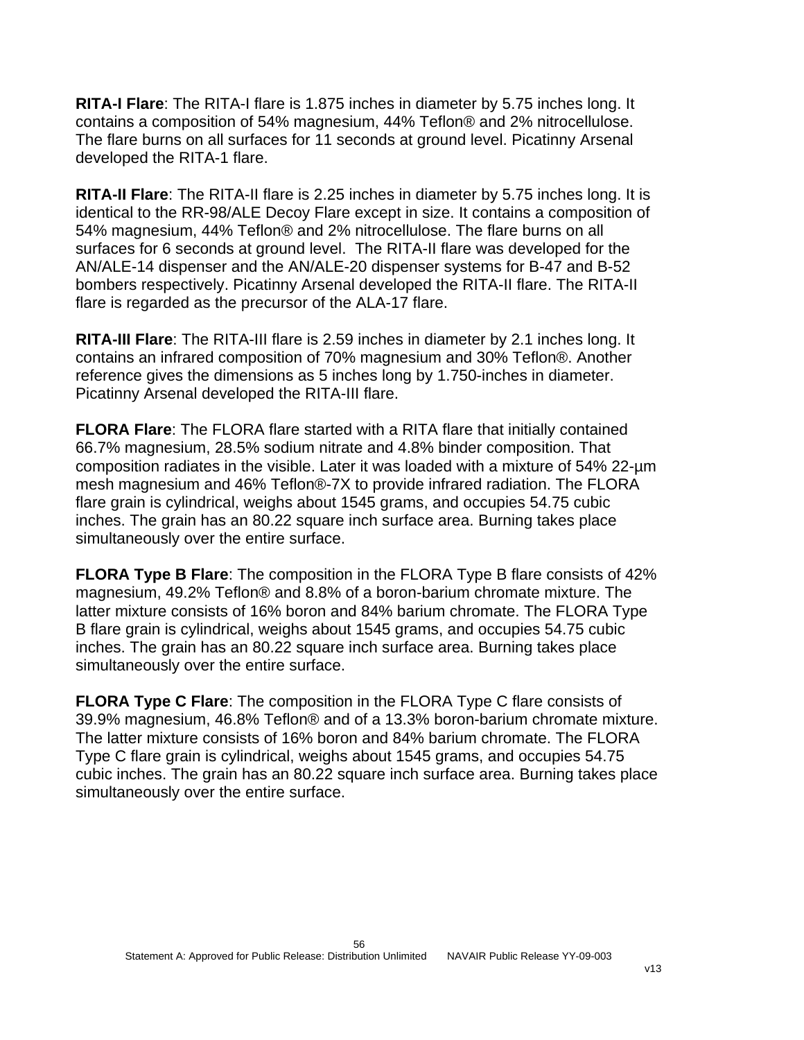**RITA-I Flare**: The RITA-I flare is 1.875 inches in diameter by 5.75 inches long. It contains a composition of 54% magnesium, 44% Teflon® and 2% nitrocellulose. The flare burns on all surfaces for 11 seconds at ground level. Picatinny Arsenal developed the RITA-1 flare.

**RITA-II Flare**: The RITA-II flare is 2.25 inches in diameter by 5.75 inches long. It is identical to the RR-98/ALE Decoy Flare except in size. It contains a composition of 54% magnesium, 44% Teflon® and 2% nitrocellulose. The flare burns on all surfaces for 6 seconds at ground level. The RITA-II flare was developed for the AN/ALE-14 dispenser and the AN/ALE-20 dispenser systems for B-47 and B-52 bombers respectively. Picatinny Arsenal developed the RITA-II flare. The RITA-II flare is regarded as the precursor of the ALA-17 flare.

**RITA-III Flare**: The RITA-III flare is 2.59 inches in diameter by 2.1 inches long. It contains an infrared composition of 70% magnesium and 30% Teflon®. Another reference gives the dimensions as 5 inches long by 1.750-inches in diameter. Picatinny Arsenal developed the RITA-III flare.

**FLORA Flare**: The FLORA flare started with a RITA flare that initially contained 66.7% magnesium, 28.5% sodium nitrate and 4.8% binder composition. That composition radiates in the visible. Later it was loaded with a mixture of 54% 22-µm mesh magnesium and 46% Teflon®-7X to provide infrared radiation. The FLORA flare grain is cylindrical, weighs about 1545 grams, and occupies 54.75 cubic inches. The grain has an 80.22 square inch surface area. Burning takes place simultaneously over the entire surface.

**FLORA Type B Flare**: The composition in the FLORA Type B flare consists of 42% magnesium, 49.2% Teflon® and 8.8% of a boron-barium chromate mixture. The latter mixture consists of 16% boron and 84% barium chromate. The FLORA Type B flare grain is cylindrical, weighs about 1545 grams, and occupies 54.75 cubic inches. The grain has an 80.22 square inch surface area. Burning takes place simultaneously over the entire surface.

**FLORA Type C Flare**: The composition in the FLORA Type C flare consists of 39.9% magnesium, 46.8% Teflon® and of a 13.3% boron-barium chromate mixture. The latter mixture consists of 16% boron and 84% barium chromate. The FLORA Type C flare grain is cylindrical, weighs about 1545 grams, and occupies 54.75 cubic inches. The grain has an 80.22 square inch surface area. Burning takes place simultaneously over the entire surface.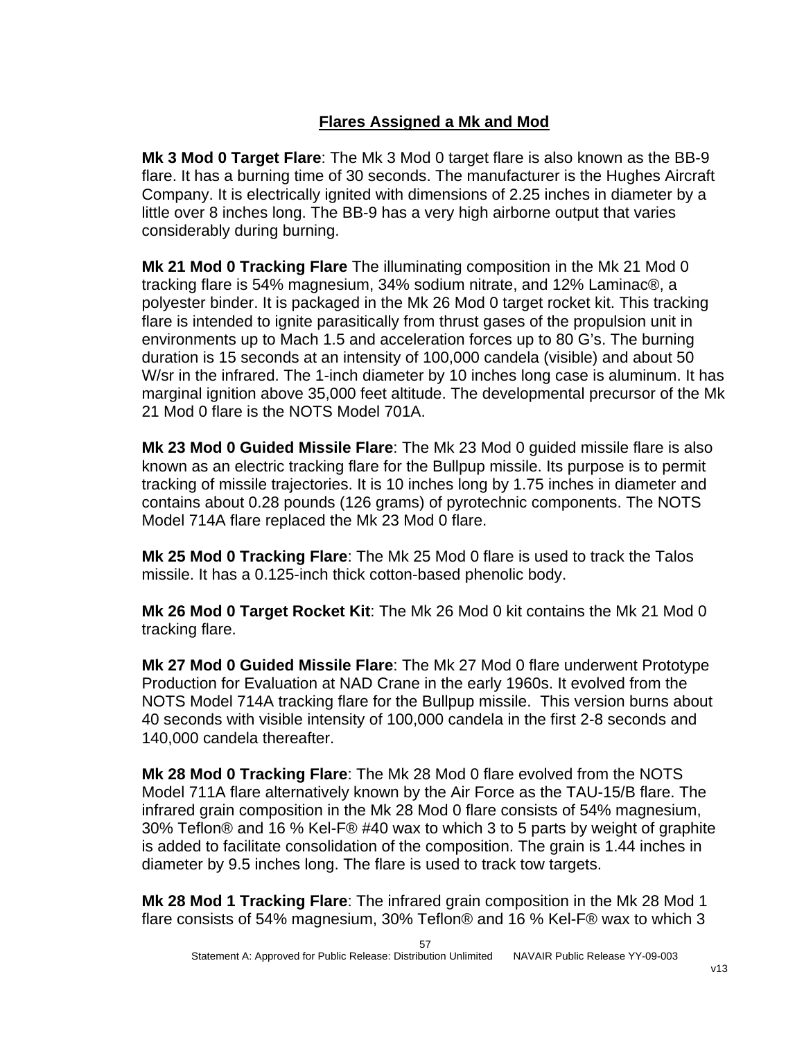# **Flares Assigned a Mk and Mod**

**Mk 3 Mod 0 Target Flare**: The Mk 3 Mod 0 target flare is also known as the BB-9 flare. It has a burning time of 30 seconds. The manufacturer is the Hughes Aircraft Company. It is electrically ignited with dimensions of 2.25 inches in diameter by a little over 8 inches long. The BB-9 has a very high airborne output that varies considerably during burning.

**Mk 21 Mod 0 Tracking Flare** The illuminating composition in the Mk 21 Mod 0 tracking flare is 54% magnesium, 34% sodium nitrate, and 12% Laminac®, a polyester binder. It is packaged in the Mk 26 Mod 0 target rocket kit. This tracking flare is intended to ignite parasitically from thrust gases of the propulsion unit in environments up to Mach 1.5 and acceleration forces up to 80 G's. The burning duration is 15 seconds at an intensity of 100,000 candela (visible) and about 50 W/sr in the infrared. The 1-inch diameter by 10 inches long case is aluminum. It has marginal ignition above 35,000 feet altitude. The developmental precursor of the Mk 21 Mod 0 flare is the NOTS Model 701A.

**Mk 23 Mod 0 Guided Missile Flare**: The Mk 23 Mod 0 guided missile flare is also known as an electric tracking flare for the Bullpup missile. Its purpose is to permit tracking of missile trajectories. It is 10 inches long by 1.75 inches in diameter and contains about 0.28 pounds (126 grams) of pyrotechnic components. The NOTS Model 714A flare replaced the Mk 23 Mod 0 flare.

**Mk 25 Mod 0 Tracking Flare**: The Mk 25 Mod 0 flare is used to track the Talos missile. It has a 0.125-inch thick cotton-based phenolic body.

**Mk 26 Mod 0 Target Rocket Kit**: The Mk 26 Mod 0 kit contains the Mk 21 Mod 0 tracking flare.

**Mk 27 Mod 0 Guided Missile Flare**: The Mk 27 Mod 0 flare underwent Prototype Production for Evaluation at NAD Crane in the early 1960s. It evolved from the NOTS Model 714A tracking flare for the Bullpup missile. This version burns about 40 seconds with visible intensity of 100,000 candela in the first 2-8 seconds and 140,000 candela thereafter.

**Mk 28 Mod 0 Tracking Flare**: The Mk 28 Mod 0 flare evolved from the NOTS Model 711A flare alternatively known by the Air Force as the TAU-15/B flare. The infrared grain composition in the Mk 28 Mod 0 flare consists of 54% magnesium, 30% Teflon® and 16 % Kel-F® #40 wax to which 3 to 5 parts by weight of graphite is added to facilitate consolidation of the composition. The grain is 1.44 inches in diameter by 9.5 inches long. The flare is used to track tow targets.

**Mk 28 Mod 1 Tracking Flare**: The infrared grain composition in the Mk 28 Mod 1 flare consists of 54% magnesium, 30% Teflon® and 16 % Kel-F® wax to which 3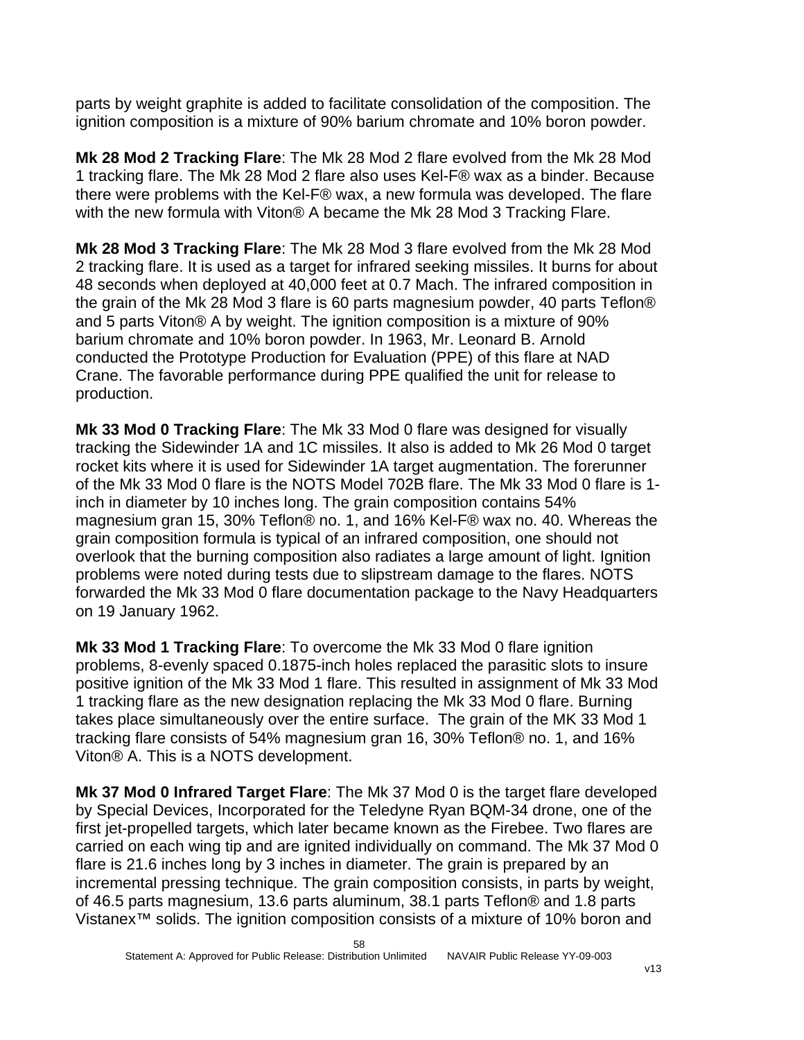parts by weight graphite is added to facilitate consolidation of the composition. The ignition composition is a mixture of 90% barium chromate and 10% boron powder.

**Mk 28 Mod 2 Tracking Flare**: The Mk 28 Mod 2 flare evolved from the Mk 28 Mod 1 tracking flare. The Mk 28 Mod 2 flare also uses Kel-F® wax as a binder. Because there were problems with the Kel-F® wax, a new formula was developed. The flare with the new formula with Viton® A became the Mk 28 Mod 3 Tracking Flare.

**Mk 28 Mod 3 Tracking Flare**: The Mk 28 Mod 3 flare evolved from the Mk 28 Mod 2 tracking flare. It is used as a target for infrared seeking missiles. It burns for about 48 seconds when deployed at 40,000 feet at 0.7 Mach. The infrared composition in the grain of the Mk 28 Mod 3 flare is 60 parts magnesium powder, 40 parts Teflon® and 5 parts Viton® A by weight. The ignition composition is a mixture of 90% barium chromate and 10% boron powder. In 1963, Mr. Leonard B. Arnold conducted the Prototype Production for Evaluation (PPE) of this flare at NAD Crane. The favorable performance during PPE qualified the unit for release to production.

**Mk 33 Mod 0 Tracking Flare**: The Mk 33 Mod 0 flare was designed for visually tracking the Sidewinder 1A and 1C missiles. It also is added to Mk 26 Mod 0 target rocket kits where it is used for Sidewinder 1A target augmentation. The forerunner of the Mk 33 Mod 0 flare is the NOTS Model 702B flare. The Mk 33 Mod 0 flare is 1 inch in diameter by 10 inches long. The grain composition contains 54% magnesium gran 15, 30% Teflon® no. 1, and 16% Kel-F® wax no. 40. Whereas the grain composition formula is typical of an infrared composition, one should not overlook that the burning composition also radiates a large amount of light. Ignition problems were noted during tests due to slipstream damage to the flares. NOTS forwarded the Mk 33 Mod 0 flare documentation package to the Navy Headquarters on 19 January 1962.

**Mk 33 Mod 1 Tracking Flare**: To overcome the Mk 33 Mod 0 flare ignition problems, 8-evenly spaced 0.1875-inch holes replaced the parasitic slots to insure positive ignition of the Mk 33 Mod 1 flare. This resulted in assignment of Mk 33 Mod 1 tracking flare as the new designation replacing the Mk 33 Mod 0 flare. Burning takes place simultaneously over the entire surface. The grain of the MK 33 Mod 1 tracking flare consists of 54% magnesium gran 16, 30% Teflon® no. 1, and 16% Viton® A. This is a NOTS development.

**Mk 37 Mod 0 Infrared Target Flare**: The Mk 37 Mod 0 is the target flare developed by Special Devices, Incorporated for the Teledyne Ryan BQM-34 drone, one of the first jet-propelled targets, which later became known as the Firebee. Two flares are carried on each wing tip and are ignited individually on command. The Mk 37 Mod 0 flare is 21.6 inches long by 3 inches in diameter. The grain is prepared by an incremental pressing technique. The grain composition consists, in parts by weight, of 46.5 parts magnesium, 13.6 parts aluminum, 38.1 parts Teflon® and 1.8 parts Vistanex™ solids. The ignition composition consists of a mixture of 10% boron and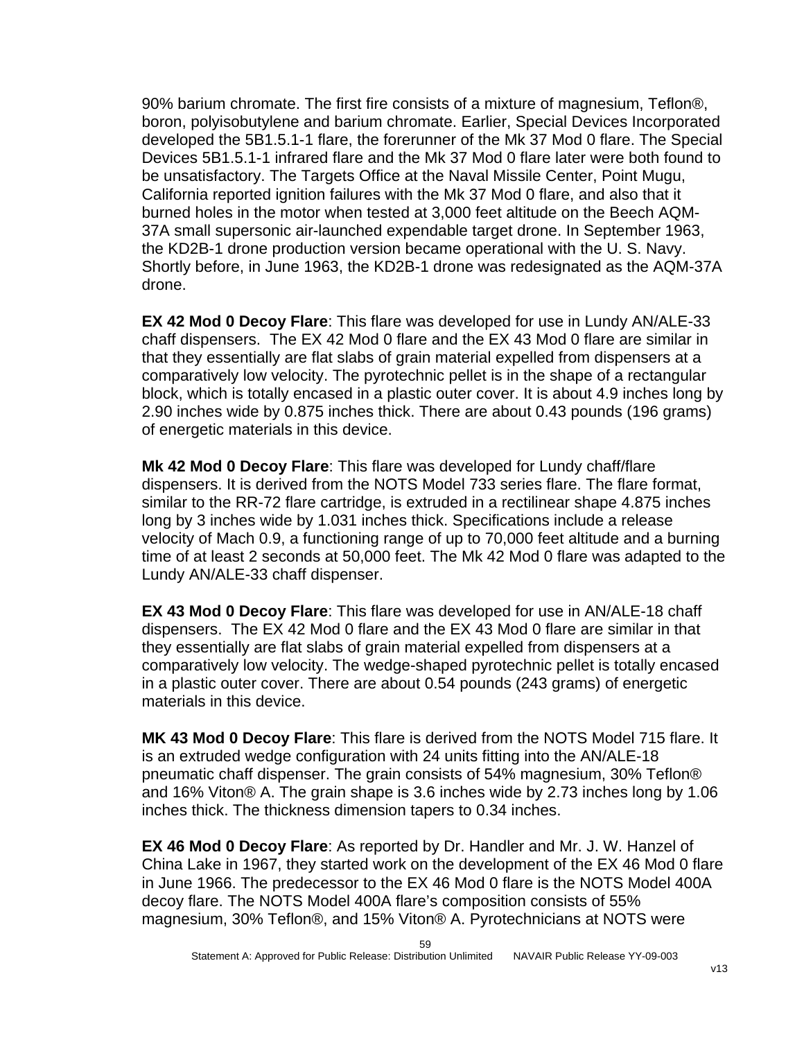90% barium chromate. The first fire consists of a mixture of magnesium, Teflon®, boron, polyisobutylene and barium chromate. Earlier, Special Devices Incorporated developed the 5B1.5.1-1 flare, the forerunner of the Mk 37 Mod 0 flare. The Special Devices 5B1.5.1-1 infrared flare and the Mk 37 Mod 0 flare later were both found to be unsatisfactory. The Targets Office at the Naval Missile Center, Point Mugu, California reported ignition failures with the Mk 37 Mod 0 flare, and also that it burned holes in the motor when tested at 3,000 feet altitude on the Beech AQM-37A small supersonic air-launched expendable target drone. In September 1963, the KD2B-1 drone production version became operational with the U. S. Navy. Shortly before, in June 1963, the KD2B-1 drone was redesignated as the AQM-37A drone.

**EX 42 Mod 0 Decoy Flare**: This flare was developed for use in Lundy AN/ALE-33 chaff dispensers. The EX 42 Mod 0 flare and the EX 43 Mod 0 flare are similar in that they essentially are flat slabs of grain material expelled from dispensers at a comparatively low velocity. The pyrotechnic pellet is in the shape of a rectangular block, which is totally encased in a plastic outer cover. It is about 4.9 inches long by 2.90 inches wide by 0.875 inches thick. There are about 0.43 pounds (196 grams) of energetic materials in this device.

**Mk 42 Mod 0 Decoy Flare**: This flare was developed for Lundy chaff/flare dispensers. It is derived from the NOTS Model 733 series flare. The flare format, similar to the RR-72 flare cartridge, is extruded in a rectilinear shape 4.875 inches long by 3 inches wide by 1.031 inches thick. Specifications include a release velocity of Mach 0.9, a functioning range of up to 70,000 feet altitude and a burning time of at least 2 seconds at 50,000 feet. The Mk 42 Mod 0 flare was adapted to the Lundy AN/ALE-33 chaff dispenser.

**EX 43 Mod 0 Decoy Flare**: This flare was developed for use in AN/ALE-18 chaff dispensers. The EX 42 Mod 0 flare and the EX 43 Mod 0 flare are similar in that they essentially are flat slabs of grain material expelled from dispensers at a comparatively low velocity. The wedge-shaped pyrotechnic pellet is totally encased in a plastic outer cover. There are about 0.54 pounds (243 grams) of energetic materials in this device.

**MK 43 Mod 0 Decoy Flare**: This flare is derived from the NOTS Model 715 flare. It is an extruded wedge configuration with 24 units fitting into the AN/ALE-18 pneumatic chaff dispenser. The grain consists of 54% magnesium, 30% Teflon® and 16% Viton® A. The grain shape is 3.6 inches wide by 2.73 inches long by 1.06 inches thick. The thickness dimension tapers to 0.34 inches.

**EX 46 Mod 0 Decoy Flare**: As reported by Dr. Handler and Mr. J. W. Hanzel of China Lake in 1967, they started work on the development of the EX 46 Mod 0 flare in June 1966. The predecessor to the EX 46 Mod 0 flare is the NOTS Model 400A decoy flare. The NOTS Model 400A flare's composition consists of 55% magnesium, 30% Teflon®, and 15% Viton® A. Pyrotechnicians at NOTS were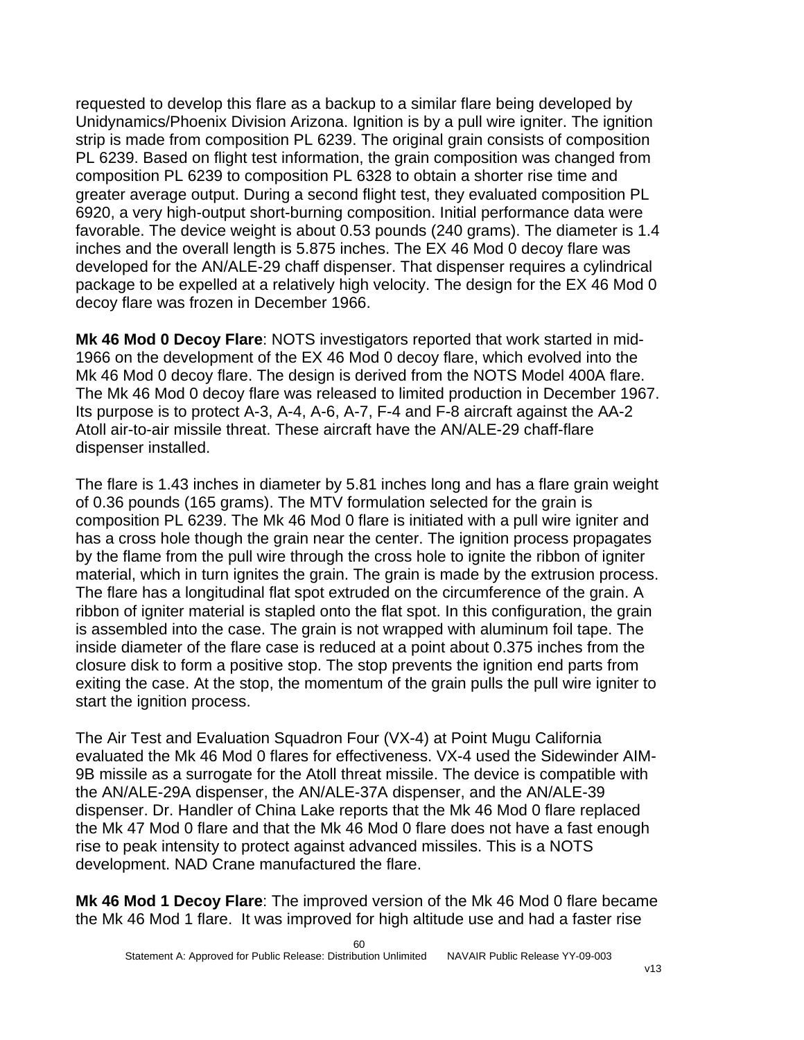requested to develop this flare as a backup to a similar flare being developed by Unidynamics/Phoenix Division Arizona. Ignition is by a pull wire igniter. The ignition strip is made from composition PL 6239. The original grain consists of composition PL 6239. Based on flight test information, the grain composition was changed from composition PL 6239 to composition PL 6328 to obtain a shorter rise time and greater average output. During a second flight test, they evaluated composition PL 6920, a very high-output short-burning composition. Initial performance data were favorable. The device weight is about 0.53 pounds (240 grams). The diameter is 1.4 inches and the overall length is 5.875 inches. The EX 46 Mod 0 decoy flare was developed for the AN/ALE-29 chaff dispenser. That dispenser requires a cylindrical package to be expelled at a relatively high velocity. The design for the EX 46 Mod 0 decoy flare was frozen in December 1966.

**Mk 46 Mod 0 Decoy Flare**: NOTS investigators reported that work started in mid-1966 on the development of the EX 46 Mod 0 decoy flare, which evolved into the Mk 46 Mod 0 decoy flare. The design is derived from the NOTS Model 400A flare. The Mk 46 Mod 0 decoy flare was released to limited production in December 1967. Its purpose is to protect A-3, A-4, A-6, A-7, F-4 and F-8 aircraft against the AA-2 Atoll air-to-air missile threat. These aircraft have the AN/ALE-29 chaff-flare dispenser installed.

The flare is 1.43 inches in diameter by 5.81 inches long and has a flare grain weight of 0.36 pounds (165 grams). The MTV formulation selected for the grain is composition PL 6239. The Mk 46 Mod 0 flare is initiated with a pull wire igniter and has a cross hole though the grain near the center. The ignition process propagates by the flame from the pull wire through the cross hole to ignite the ribbon of igniter material, which in turn ignites the grain. The grain is made by the extrusion process. The flare has a longitudinal flat spot extruded on the circumference of the grain. A ribbon of igniter material is stapled onto the flat spot. In this configuration, the grain is assembled into the case. The grain is not wrapped with aluminum foil tape. The inside diameter of the flare case is reduced at a point about 0.375 inches from the closure disk to form a positive stop. The stop prevents the ignition end parts from exiting the case. At the stop, the momentum of the grain pulls the pull wire igniter to start the ignition process.

The Air Test and Evaluation Squadron Four (VX-4) at Point Mugu California evaluated the Mk 46 Mod 0 flares for effectiveness. VX-4 used the Sidewinder AIM-9B missile as a surrogate for the Atoll threat missile. The device is compatible with the AN/ALE-29A dispenser, the AN/ALE-37A dispenser, and the AN/ALE-39 dispenser. Dr. Handler of China Lake reports that the Mk 46 Mod 0 flare replaced the Mk 47 Mod 0 flare and that the Mk 46 Mod 0 flare does not have a fast enough rise to peak intensity to protect against advanced missiles. This is a NOTS development. NAD Crane manufactured the flare.

**Mk 46 Mod 1 Decoy Flare**: The improved version of the Mk 46 Mod 0 flare became the Mk 46 Mod 1 flare. It was improved for high altitude use and had a faster rise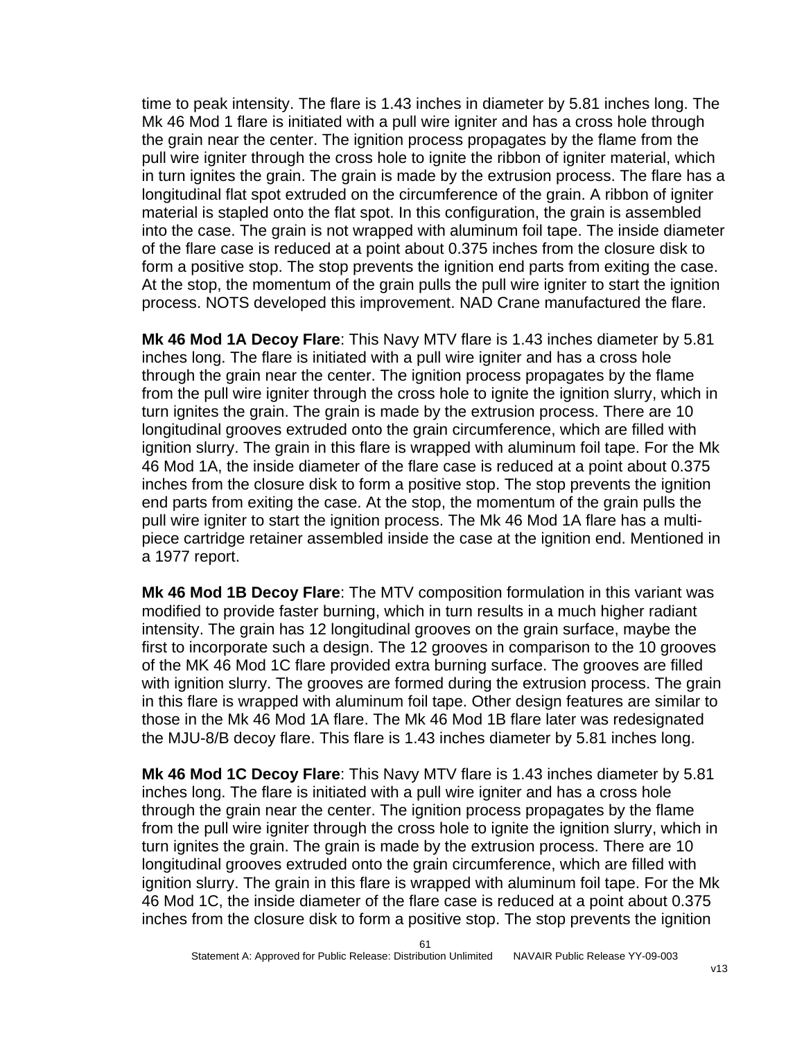time to peak intensity. The flare is 1.43 inches in diameter by 5.81 inches long. The Mk 46 Mod 1 flare is initiated with a pull wire igniter and has a cross hole through the grain near the center. The ignition process propagates by the flame from the pull wire igniter through the cross hole to ignite the ribbon of igniter material, which in turn ignites the grain. The grain is made by the extrusion process. The flare has a longitudinal flat spot extruded on the circumference of the grain. A ribbon of igniter material is stapled onto the flat spot. In this configuration, the grain is assembled into the case. The grain is not wrapped with aluminum foil tape. The inside diameter of the flare case is reduced at a point about 0.375 inches from the closure disk to form a positive stop. The stop prevents the ignition end parts from exiting the case. At the stop, the momentum of the grain pulls the pull wire igniter to start the ignition process. NOTS developed this improvement. NAD Crane manufactured the flare.

**Mk 46 Mod 1A Decoy Flare**: This Navy MTV flare is 1.43 inches diameter by 5.81 inches long. The flare is initiated with a pull wire igniter and has a cross hole through the grain near the center. The ignition process propagates by the flame from the pull wire igniter through the cross hole to ignite the ignition slurry, which in turn ignites the grain. The grain is made by the extrusion process. There are 10 longitudinal grooves extruded onto the grain circumference, which are filled with ignition slurry. The grain in this flare is wrapped with aluminum foil tape. For the Mk 46 Mod 1A, the inside diameter of the flare case is reduced at a point about 0.375 inches from the closure disk to form a positive stop. The stop prevents the ignition end parts from exiting the case. At the stop, the momentum of the grain pulls the pull wire igniter to start the ignition process. The Mk 46 Mod 1A flare has a multipiece cartridge retainer assembled inside the case at the ignition end. Mentioned in a 1977 report.

**Mk 46 Mod 1B Decoy Flare**: The MTV composition formulation in this variant was modified to provide faster burning, which in turn results in a much higher radiant intensity. The grain has 12 longitudinal grooves on the grain surface, maybe the first to incorporate such a design. The 12 grooves in comparison to the 10 grooves of the MK 46 Mod 1C flare provided extra burning surface. The grooves are filled with ignition slurry. The grooves are formed during the extrusion process. The grain in this flare is wrapped with aluminum foil tape. Other design features are similar to those in the Mk 46 Mod 1A flare. The Mk 46 Mod 1B flare later was redesignated the MJU-8/B decoy flare. This flare is 1.43 inches diameter by 5.81 inches long.

**Mk 46 Mod 1C Decoy Flare**: This Navy MTV flare is 1.43 inches diameter by 5.81 inches long. The flare is initiated with a pull wire igniter and has a cross hole through the grain near the center. The ignition process propagates by the flame from the pull wire igniter through the cross hole to ignite the ignition slurry, which in turn ignites the grain. The grain is made by the extrusion process. There are 10 longitudinal grooves extruded onto the grain circumference, which are filled with ignition slurry. The grain in this flare is wrapped with aluminum foil tape. For the Mk 46 Mod 1C, the inside diameter of the flare case is reduced at a point about 0.375 inches from the closure disk to form a positive stop. The stop prevents the ignition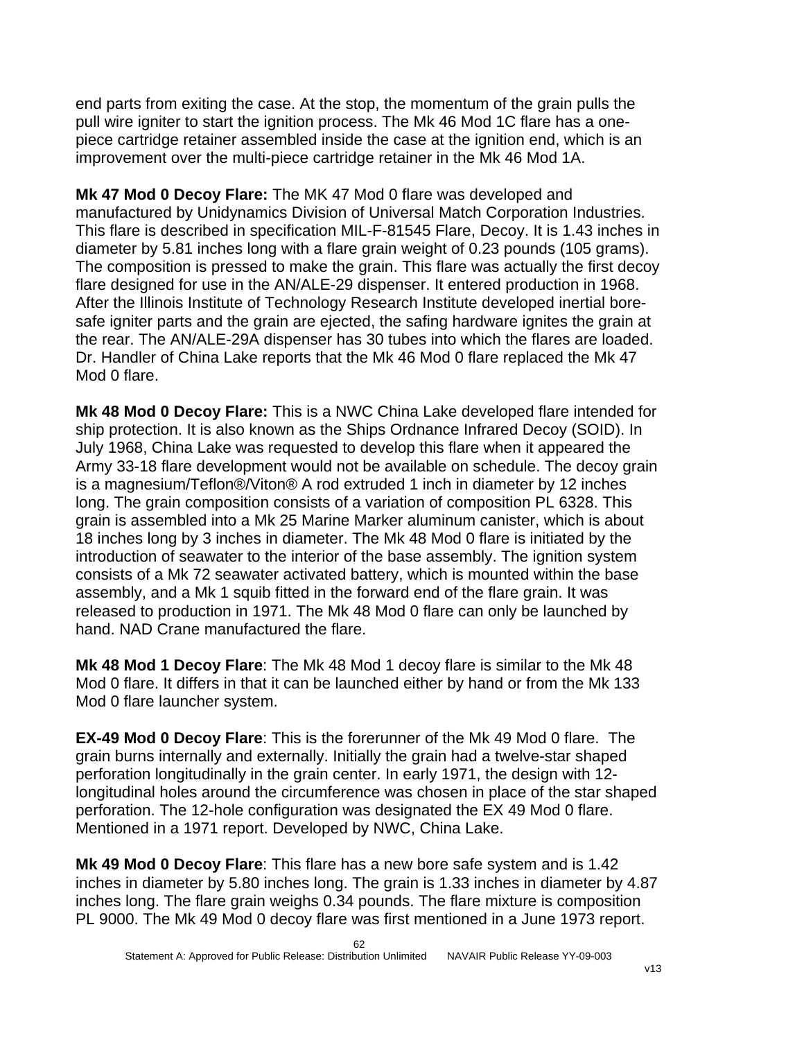end parts from exiting the case. At the stop, the momentum of the grain pulls the pull wire igniter to start the ignition process. The Mk 46 Mod 1C flare has a onepiece cartridge retainer assembled inside the case at the ignition end, which is an improvement over the multi-piece cartridge retainer in the Mk 46 Mod 1A.

**Mk 47 Mod 0 Decoy Flare:** The MK 47 Mod 0 flare was developed and manufactured by Unidynamics Division of Universal Match Corporation Industries. This flare is described in specification MIL-F-81545 Flare, Decoy. It is 1.43 inches in diameter by 5.81 inches long with a flare grain weight of 0.23 pounds (105 grams). The composition is pressed to make the grain. This flare was actually the first decoy flare designed for use in the AN/ALE-29 dispenser. It entered production in 1968. After the Illinois Institute of Technology Research Institute developed inertial boresafe igniter parts and the grain are ejected, the safing hardware ignites the grain at the rear. The AN/ALE-29A dispenser has 30 tubes into which the flares are loaded. Dr. Handler of China Lake reports that the Mk 46 Mod 0 flare replaced the Mk 47 Mod 0 flare.

**Mk 48 Mod 0 Decoy Flare:** This is a NWC China Lake developed flare intended for ship protection. It is also known as the Ships Ordnance Infrared Decoy (SOID). In July 1968, China Lake was requested to develop this flare when it appeared the Army 33-18 flare development would not be available on schedule. The decoy grain is a magnesium/Teflon®/Viton® A rod extruded 1 inch in diameter by 12 inches long. The grain composition consists of a variation of composition PL 6328. This grain is assembled into a Mk 25 Marine Marker aluminum canister, which is about 18 inches long by 3 inches in diameter. The Mk 48 Mod 0 flare is initiated by the introduction of seawater to the interior of the base assembly. The ignition system consists of a Mk 72 seawater activated battery, which is mounted within the base assembly, and a Mk 1 squib fitted in the forward end of the flare grain. It was released to production in 1971. The Mk 48 Mod 0 flare can only be launched by hand. NAD Crane manufactured the flare.

**Mk 48 Mod 1 Decoy Flare**: The Mk 48 Mod 1 decoy flare is similar to the Mk 48 Mod 0 flare. It differs in that it can be launched either by hand or from the Mk 133 Mod 0 flare launcher system.

**EX-49 Mod 0 Decoy Flare**: This is the forerunner of the Mk 49 Mod 0 flare. The grain burns internally and externally. Initially the grain had a twelve-star shaped perforation longitudinally in the grain center. In early 1971, the design with 12 longitudinal holes around the circumference was chosen in place of the star shaped perforation. The 12-hole configuration was designated the EX 49 Mod 0 flare. Mentioned in a 1971 report. Developed by NWC, China Lake.

**Mk 49 Mod 0 Decoy Flare**: This flare has a new bore safe system and is 1.42 inches in diameter by 5.80 inches long. The grain is 1.33 inches in diameter by 4.87 inches long. The flare grain weighs 0.34 pounds. The flare mixture is composition PL 9000. The Mk 49 Mod 0 decoy flare was first mentioned in a June 1973 report.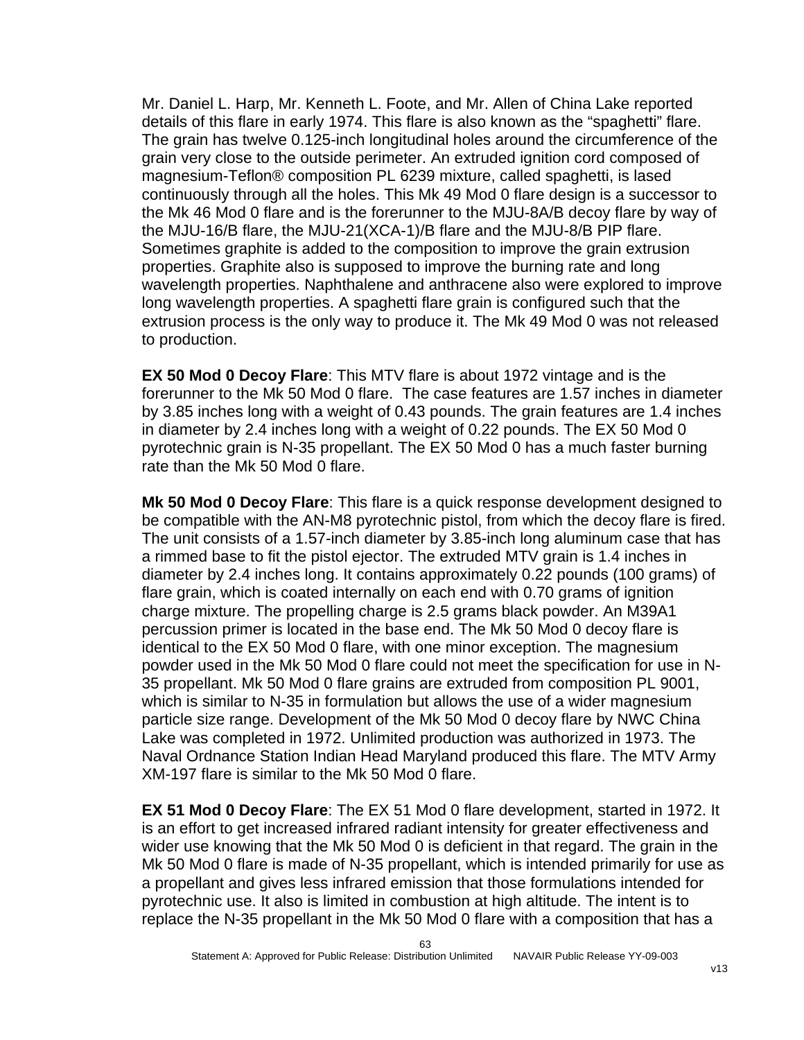Mr. Daniel L. Harp, Mr. Kenneth L. Foote, and Mr. Allen of China Lake reported details of this flare in early 1974. This flare is also known as the "spaghetti" flare. The grain has twelve 0.125-inch longitudinal holes around the circumference of the grain very close to the outside perimeter. An extruded ignition cord composed of magnesium-Teflon® composition PL 6239 mixture, called spaghetti, is lased continuously through all the holes. This Mk 49 Mod 0 flare design is a successor to the Mk 46 Mod 0 flare and is the forerunner to the MJU-8A/B decoy flare by way of the MJU-16/B flare, the MJU-21(XCA-1)/B flare and the MJU-8/B PIP flare. Sometimes graphite is added to the composition to improve the grain extrusion properties. Graphite also is supposed to improve the burning rate and long wavelength properties. Naphthalene and anthracene also were explored to improve long wavelength properties. A spaghetti flare grain is configured such that the extrusion process is the only way to produce it. The Mk 49 Mod 0 was not released to production.

**EX 50 Mod 0 Decoy Flare**: This MTV flare is about 1972 vintage and is the forerunner to the Mk 50 Mod 0 flare. The case features are 1.57 inches in diameter by 3.85 inches long with a weight of 0.43 pounds. The grain features are 1.4 inches in diameter by 2.4 inches long with a weight of 0.22 pounds. The EX 50 Mod 0 pyrotechnic grain is N-35 propellant. The EX 50 Mod 0 has a much faster burning rate than the Mk 50 Mod 0 flare.

**Mk 50 Mod 0 Decoy Flare**: This flare is a quick response development designed to be compatible with the AN-M8 pyrotechnic pistol, from which the decoy flare is fired. The unit consists of a 1.57-inch diameter by 3.85-inch long aluminum case that has a rimmed base to fit the pistol ejector. The extruded MTV grain is 1.4 inches in diameter by 2.4 inches long. It contains approximately 0.22 pounds (100 grams) of flare grain, which is coated internally on each end with 0.70 grams of ignition charge mixture. The propelling charge is 2.5 grams black powder. An M39A1 percussion primer is located in the base end. The Mk 50 Mod 0 decoy flare is identical to the EX 50 Mod 0 flare, with one minor exception. The magnesium powder used in the Mk 50 Mod 0 flare could not meet the specification for use in N-35 propellant. Mk 50 Mod 0 flare grains are extruded from composition PL 9001, which is similar to N-35 in formulation but allows the use of a wider magnesium particle size range. Development of the Mk 50 Mod 0 decoy flare by NWC China Lake was completed in 1972. Unlimited production was authorized in 1973. The Naval Ordnance Station Indian Head Maryland produced this flare. The MTV Army XM-197 flare is similar to the Mk 50 Mod 0 flare.

**EX 51 Mod 0 Decoy Flare**: The EX 51 Mod 0 flare development, started in 1972. It is an effort to get increased infrared radiant intensity for greater effectiveness and wider use knowing that the Mk 50 Mod 0 is deficient in that regard. The grain in the Mk 50 Mod 0 flare is made of N-35 propellant, which is intended primarily for use as a propellant and gives less infrared emission that those formulations intended for pyrotechnic use. It also is limited in combustion at high altitude. The intent is to replace the N-35 propellant in the Mk 50 Mod 0 flare with a composition that has a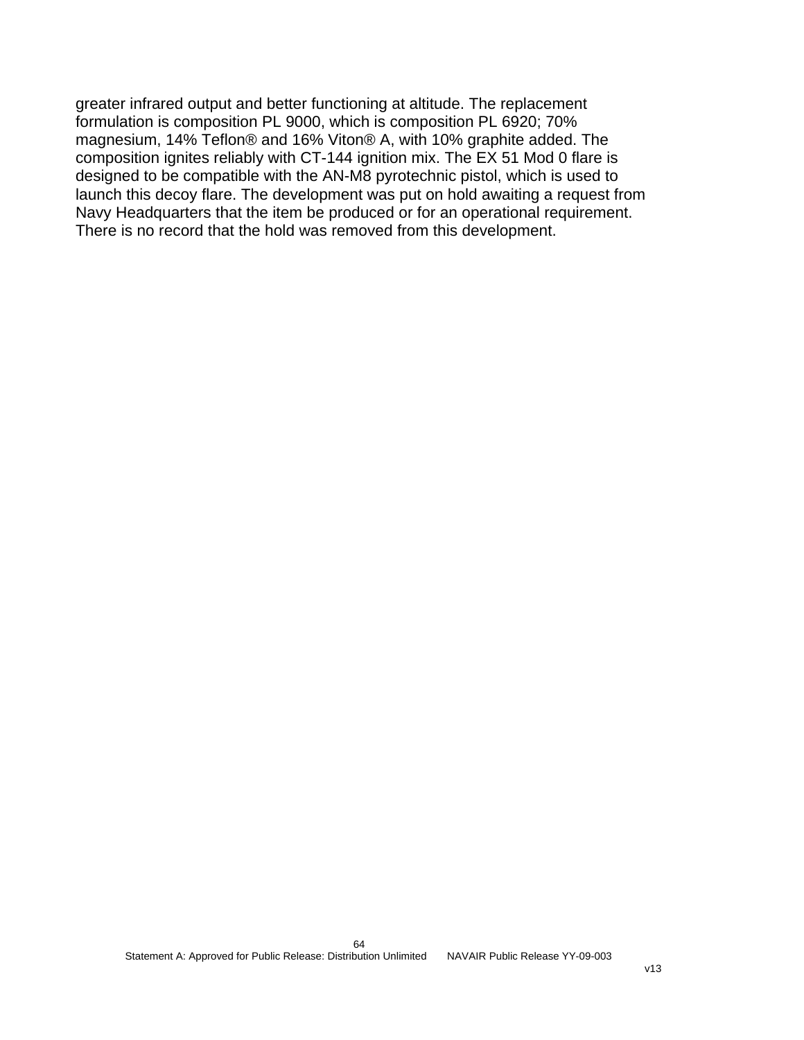greater infrared output and better functioning at altitude. The replacement formulation is composition PL 9000, which is composition PL 6920; 70% magnesium, 14% Teflon® and 16% Viton® A, with 10% graphite added. The composition ignites reliably with CT-144 ignition mix. The EX 51 Mod 0 flare is designed to be compatible with the AN-M8 pyrotechnic pistol, which is used to launch this decoy flare. The development was put on hold awaiting a request from Navy Headquarters that the item be produced or for an operational requirement. There is no record that the hold was removed from this development.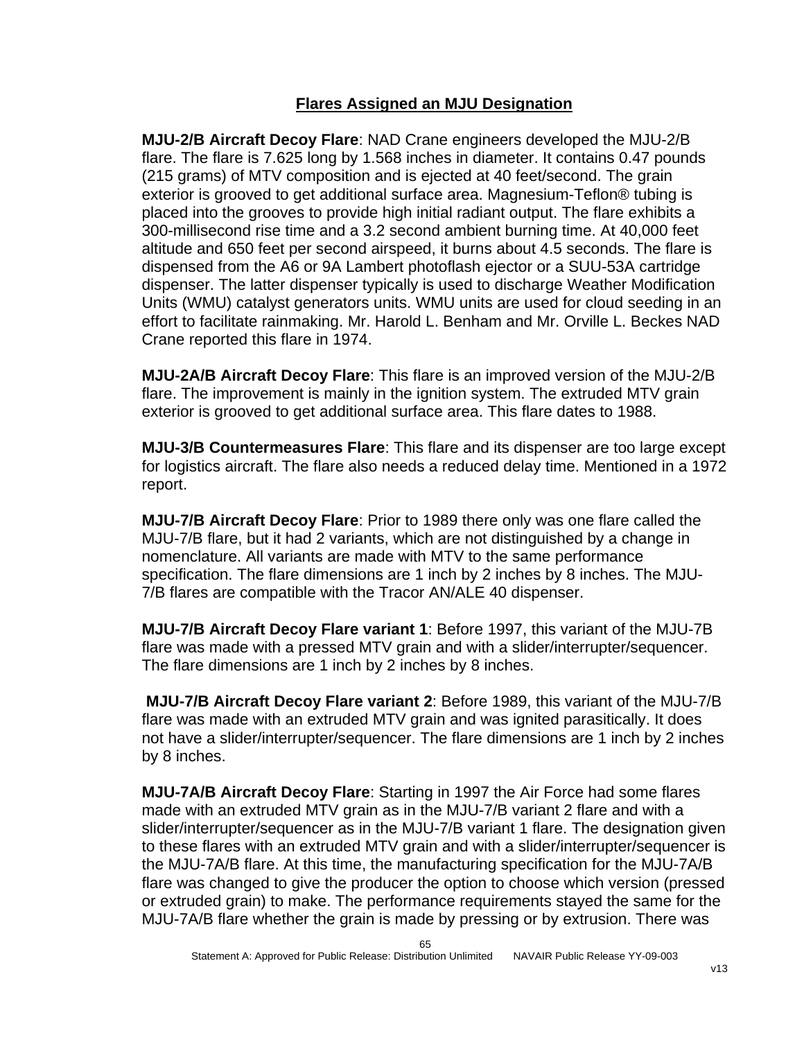### **Flares Assigned an MJU Designation**

**MJU-2/B Aircraft Decoy Flare**: NAD Crane engineers developed the MJU-2/B flare. The flare is 7.625 long by 1.568 inches in diameter. It contains 0.47 pounds (215 grams) of MTV composition and is ejected at 40 feet/second. The grain exterior is grooved to get additional surface area. Magnesium-Teflon® tubing is placed into the grooves to provide high initial radiant output. The flare exhibits a 300-millisecond rise time and a 3.2 second ambient burning time. At 40,000 feet altitude and 650 feet per second airspeed, it burns about 4.5 seconds. The flare is dispensed from the A6 or 9A Lambert photoflash ejector or a SUU-53A cartridge dispenser. The latter dispenser typically is used to discharge Weather Modification Units (WMU) catalyst generators units. WMU units are used for cloud seeding in an effort to facilitate rainmaking. Mr. Harold L. Benham and Mr. Orville L. Beckes NAD Crane reported this flare in 1974.

**MJU-2A/B Aircraft Decoy Flare**: This flare is an improved version of the MJU-2/B flare. The improvement is mainly in the ignition system. The extruded MTV grain exterior is grooved to get additional surface area. This flare dates to 1988.

**MJU-3/B Countermeasures Flare**: This flare and its dispenser are too large except for logistics aircraft. The flare also needs a reduced delay time. Mentioned in a 1972 report.

**MJU-7/B Aircraft Decoy Flare**: Prior to 1989 there only was one flare called the MJU-7/B flare, but it had 2 variants, which are not distinguished by a change in nomenclature. All variants are made with MTV to the same performance specification. The flare dimensions are 1 inch by 2 inches by 8 inches. The MJU-7/B flares are compatible with the Tracor AN/ALE 40 dispenser.

**MJU-7/B Aircraft Decoy Flare variant 1**: Before 1997, this variant of the MJU-7B flare was made with a pressed MTV grain and with a slider/interrupter/sequencer. The flare dimensions are 1 inch by 2 inches by 8 inches.

**MJU-7/B Aircraft Decoy Flare variant 2**: Before 1989, this variant of the MJU-7/B flare was made with an extruded MTV grain and was ignited parasitically. It does not have a slider/interrupter/sequencer. The flare dimensions are 1 inch by 2 inches by 8 inches.

**MJU-7A/B Aircraft Decoy Flare**: Starting in 1997 the Air Force had some flares made with an extruded MTV grain as in the MJU-7/B variant 2 flare and with a slider/interrupter/sequencer as in the MJU-7/B variant 1 flare. The designation given to these flares with an extruded MTV grain and with a slider/interrupter/sequencer is the MJU-7A/B flare. At this time, the manufacturing specification for the MJU-7A/B flare was changed to give the producer the option to choose which version (pressed or extruded grain) to make. The performance requirements stayed the same for the MJU-7A/B flare whether the grain is made by pressing or by extrusion. There was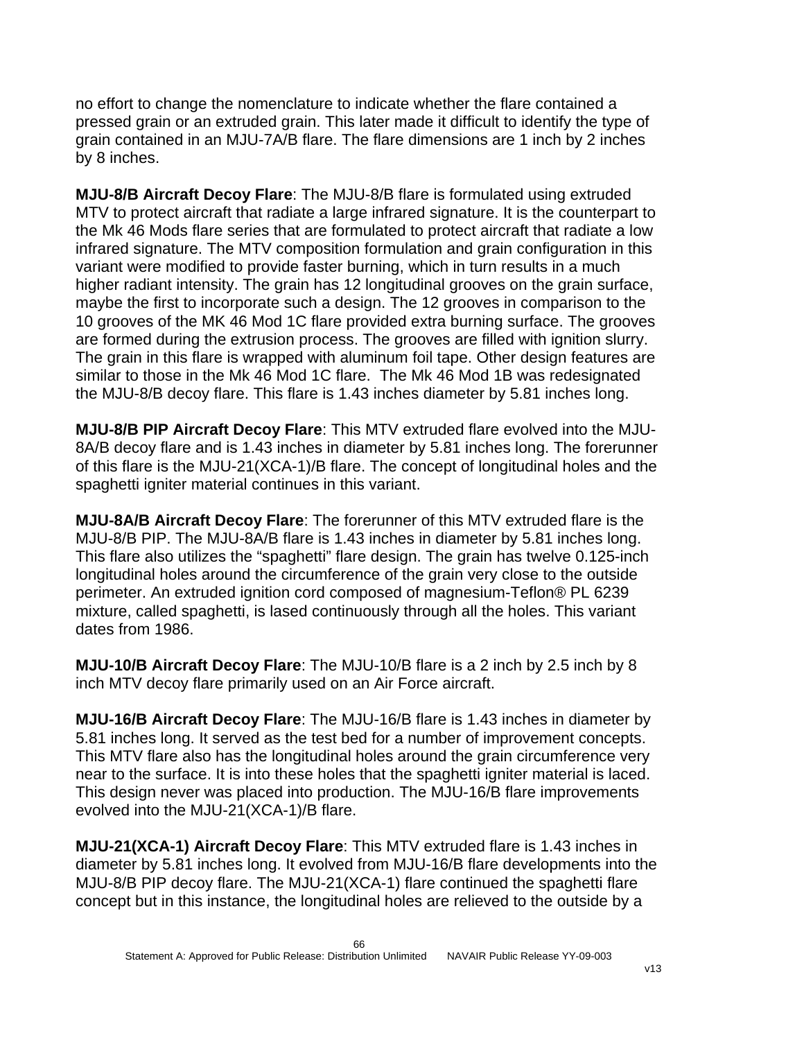no effort to change the nomenclature to indicate whether the flare contained a pressed grain or an extruded grain. This later made it difficult to identify the type of grain contained in an MJU-7A/B flare. The flare dimensions are 1 inch by 2 inches by 8 inches.

**MJU-8/B Aircraft Decoy Flare**: The MJU-8/B flare is formulated using extruded MTV to protect aircraft that radiate a large infrared signature. It is the counterpart to the Mk 46 Mods flare series that are formulated to protect aircraft that radiate a low infrared signature. The MTV composition formulation and grain configuration in this variant were modified to provide faster burning, which in turn results in a much higher radiant intensity. The grain has 12 longitudinal grooves on the grain surface, maybe the first to incorporate such a design. The 12 grooves in comparison to the 10 grooves of the MK 46 Mod 1C flare provided extra burning surface. The grooves are formed during the extrusion process. The grooves are filled with ignition slurry. The grain in this flare is wrapped with aluminum foil tape. Other design features are similar to those in the Mk 46 Mod 1C flare. The Mk 46 Mod 1B was redesignated the MJU-8/B decoy flare. This flare is 1.43 inches diameter by 5.81 inches long.

**MJU-8/B PIP Aircraft Decoy Flare**: This MTV extruded flare evolved into the MJU-8A/B decoy flare and is 1.43 inches in diameter by 5.81 inches long. The forerunner of this flare is the MJU-21(XCA-1)/B flare. The concept of longitudinal holes and the spaghetti igniter material continues in this variant.

**MJU-8A/B Aircraft Decoy Flare**: The forerunner of this MTV extruded flare is the MJU-8/B PIP. The MJU-8A/B flare is 1.43 inches in diameter by 5.81 inches long. This flare also utilizes the "spaghetti" flare design. The grain has twelve 0.125-inch longitudinal holes around the circumference of the grain very close to the outside perimeter. An extruded ignition cord composed of magnesium-Teflon® PL 6239 mixture, called spaghetti, is lased continuously through all the holes. This variant dates from 1986.

**MJU-10/B Aircraft Decoy Flare**: The MJU-10/B flare is a 2 inch by 2.5 inch by 8 inch MTV decoy flare primarily used on an Air Force aircraft.

**MJU-16/B Aircraft Decoy Flare**: The MJU-16/B flare is 1.43 inches in diameter by 5.81 inches long. It served as the test bed for a number of improvement concepts. This MTV flare also has the longitudinal holes around the grain circumference very near to the surface. It is into these holes that the spaghetti igniter material is laced. This design never was placed into production. The MJU-16/B flare improvements evolved into the MJU-21(XCA-1)/B flare.

**MJU-21(XCA-1) Aircraft Decoy Flare**: This MTV extruded flare is 1.43 inches in diameter by 5.81 inches long. It evolved from MJU-16/B flare developments into the MJU-8/B PIP decoy flare. The MJU-21(XCA-1) flare continued the spaghetti flare concept but in this instance, the longitudinal holes are relieved to the outside by a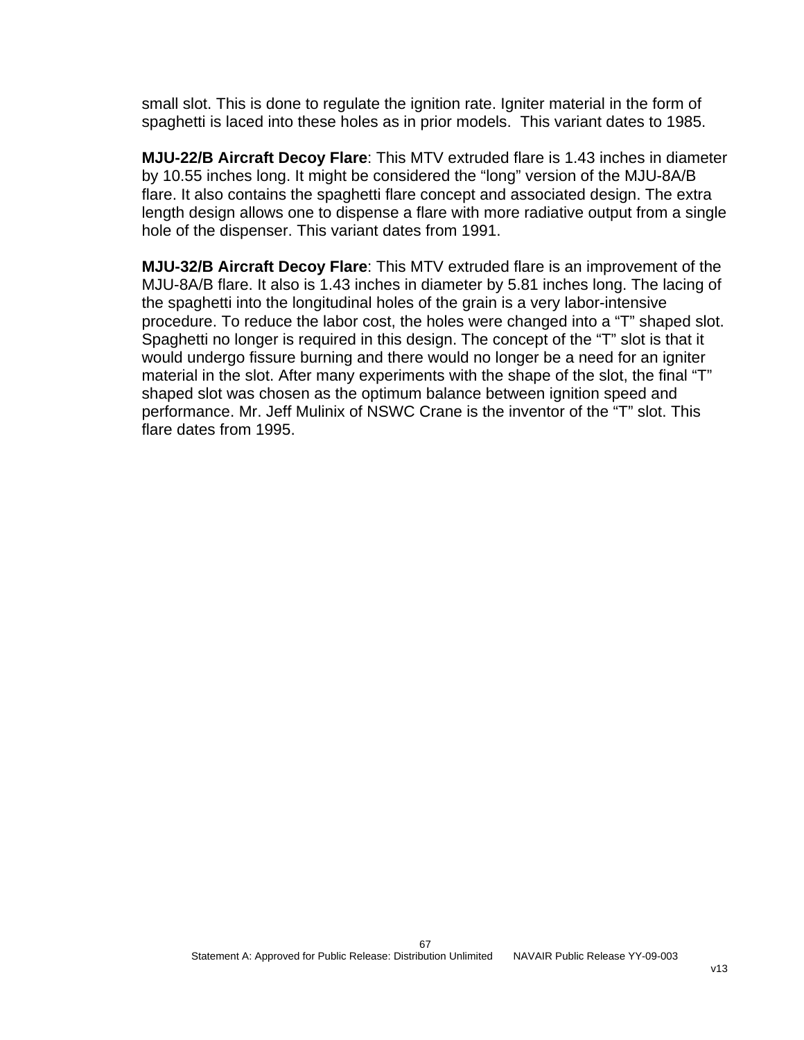small slot. This is done to regulate the ignition rate. Igniter material in the form of spaghetti is laced into these holes as in prior models. This variant dates to 1985.

**MJU-22/B Aircraft Decoy Flare**: This MTV extruded flare is 1.43 inches in diameter by 10.55 inches long. It might be considered the "long" version of the MJU-8A/B flare. It also contains the spaghetti flare concept and associated design. The extra length design allows one to dispense a flare with more radiative output from a single hole of the dispenser. This variant dates from 1991.

**MJU-32/B Aircraft Decoy Flare**: This MTV extruded flare is an improvement of the MJU-8A/B flare. It also is 1.43 inches in diameter by 5.81 inches long. The lacing of the spaghetti into the longitudinal holes of the grain is a very labor-intensive procedure. To reduce the labor cost, the holes were changed into a "T" shaped slot. Spaghetti no longer is required in this design. The concept of the "T" slot is that it would undergo fissure burning and there would no longer be a need for an igniter material in the slot. After many experiments with the shape of the slot, the final "T" shaped slot was chosen as the optimum balance between ignition speed and performance. Mr. Jeff Mulinix of NSWC Crane is the inventor of the "T" slot. This flare dates from 1995.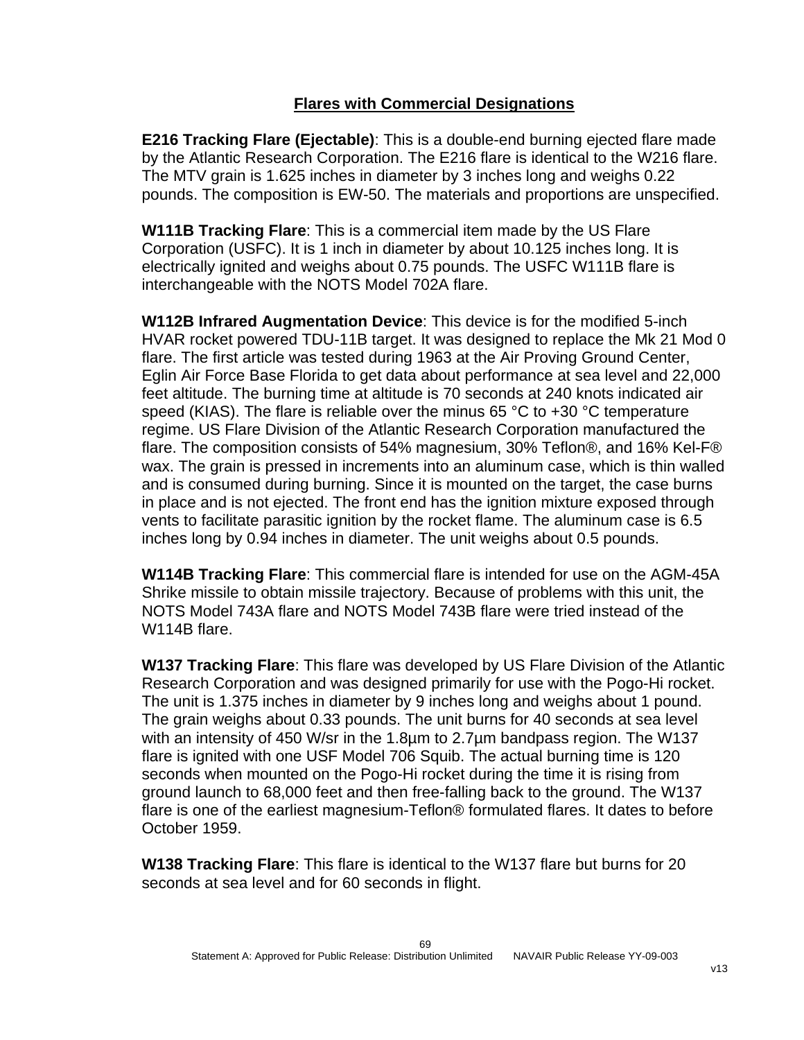## **Flares with Commercial Designations**

**E216 Tracking Flare (Ejectable)**: This is a double-end burning ejected flare made by the Atlantic Research Corporation. The E216 flare is identical to the W216 flare. The MTV grain is 1.625 inches in diameter by 3 inches long and weighs 0.22 pounds. The composition is EW-50. The materials and proportions are unspecified.

**W111B Tracking Flare**: This is a commercial item made by the US Flare Corporation (USFC). It is 1 inch in diameter by about 10.125 inches long. It is electrically ignited and weighs about 0.75 pounds. The USFC W111B flare is interchangeable with the NOTS Model 702A flare.

**W112B Infrared Augmentation Device**: This device is for the modified 5-inch HVAR rocket powered TDU-11B target. It was designed to replace the Mk 21 Mod 0 flare. The first article was tested during 1963 at the Air Proving Ground Center, Eglin Air Force Base Florida to get data about performance at sea level and 22,000 feet altitude. The burning time at altitude is 70 seconds at 240 knots indicated air speed (KIAS). The flare is reliable over the minus 65 °C to +30 °C temperature regime. US Flare Division of the Atlantic Research Corporation manufactured the flare. The composition consists of 54% magnesium, 30% Teflon®, and 16% Kel-F® wax. The grain is pressed in increments into an aluminum case, which is thin walled and is consumed during burning. Since it is mounted on the target, the case burns in place and is not ejected. The front end has the ignition mixture exposed through vents to facilitate parasitic ignition by the rocket flame. The aluminum case is 6.5 inches long by 0.94 inches in diameter. The unit weighs about 0.5 pounds.

**W114B Tracking Flare**: This commercial flare is intended for use on the AGM-45A Shrike missile to obtain missile trajectory. Because of problems with this unit, the NOTS Model 743A flare and NOTS Model 743B flare were tried instead of the W114B flare.

**W137 Tracking Flare**: This flare was developed by US Flare Division of the Atlantic Research Corporation and was designed primarily for use with the Pogo-Hi rocket. The unit is 1.375 inches in diameter by 9 inches long and weighs about 1 pound. The grain weighs about 0.33 pounds. The unit burns for 40 seconds at sea level with an intensity of 450 W/sr in the 1.8µm to 2.7µm bandpass region. The W137 flare is ignited with one USF Model 706 Squib. The actual burning time is 120 seconds when mounted on the Pogo-Hi rocket during the time it is rising from ground launch to 68,000 feet and then free-falling back to the ground. The W137 flare is one of the earliest magnesium-Teflon® formulated flares. It dates to before October 1959.

**W138 Tracking Flare**: This flare is identical to the W137 flare but burns for 20 seconds at sea level and for 60 seconds in flight.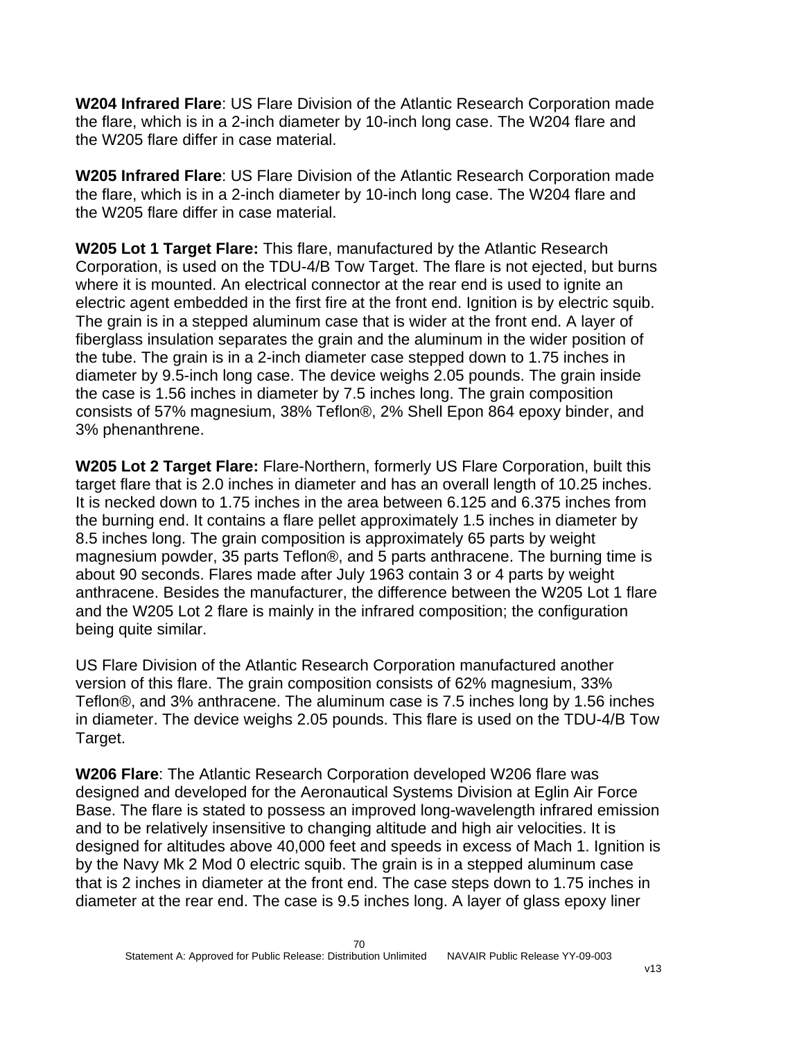**W204 Infrared Flare**: US Flare Division of the Atlantic Research Corporation made the flare, which is in a 2-inch diameter by 10-inch long case. The W204 flare and the W205 flare differ in case material.

**W205 Infrared Flare**: US Flare Division of the Atlantic Research Corporation made the flare, which is in a 2-inch diameter by 10-inch long case. The W204 flare and the W205 flare differ in case material.

**W205 Lot 1 Target Flare:** This flare, manufactured by the Atlantic Research Corporation, is used on the TDU-4/B Tow Target. The flare is not ejected, but burns where it is mounted. An electrical connector at the rear end is used to ignite an electric agent embedded in the first fire at the front end. Ignition is by electric squib. The grain is in a stepped aluminum case that is wider at the front end. A layer of fiberglass insulation separates the grain and the aluminum in the wider position of the tube. The grain is in a 2-inch diameter case stepped down to 1.75 inches in diameter by 9.5-inch long case. The device weighs 2.05 pounds. The grain inside the case is 1.56 inches in diameter by 7.5 inches long. The grain composition consists of 57% magnesium, 38% Teflon®, 2% Shell Epon 864 epoxy binder, and 3% phenanthrene.

**W205 Lot 2 Target Flare:** Flare-Northern, formerly US Flare Corporation, built this target flare that is 2.0 inches in diameter and has an overall length of 10.25 inches. It is necked down to 1.75 inches in the area between 6.125 and 6.375 inches from the burning end. It contains a flare pellet approximately 1.5 inches in diameter by 8.5 inches long. The grain composition is approximately 65 parts by weight magnesium powder, 35 parts Teflon®, and 5 parts anthracene. The burning time is about 90 seconds. Flares made after July 1963 contain 3 or 4 parts by weight anthracene. Besides the manufacturer, the difference between the W205 Lot 1 flare and the W205 Lot 2 flare is mainly in the infrared composition; the configuration being quite similar.

US Flare Division of the Atlantic Research Corporation manufactured another version of this flare. The grain composition consists of 62% magnesium, 33% Teflon®, and 3% anthracene. The aluminum case is 7.5 inches long by 1.56 inches in diameter. The device weighs 2.05 pounds. This flare is used on the TDU-4/B Tow Target.

**W206 Flare**: The Atlantic Research Corporation developed W206 flare was designed and developed for the Aeronautical Systems Division at Eglin Air Force Base. The flare is stated to possess an improved long-wavelength infrared emission and to be relatively insensitive to changing altitude and high air velocities. It is designed for altitudes above 40,000 feet and speeds in excess of Mach 1. Ignition is by the Navy Mk 2 Mod 0 electric squib. The grain is in a stepped aluminum case that is 2 inches in diameter at the front end. The case steps down to 1.75 inches in diameter at the rear end. The case is 9.5 inches long. A layer of glass epoxy liner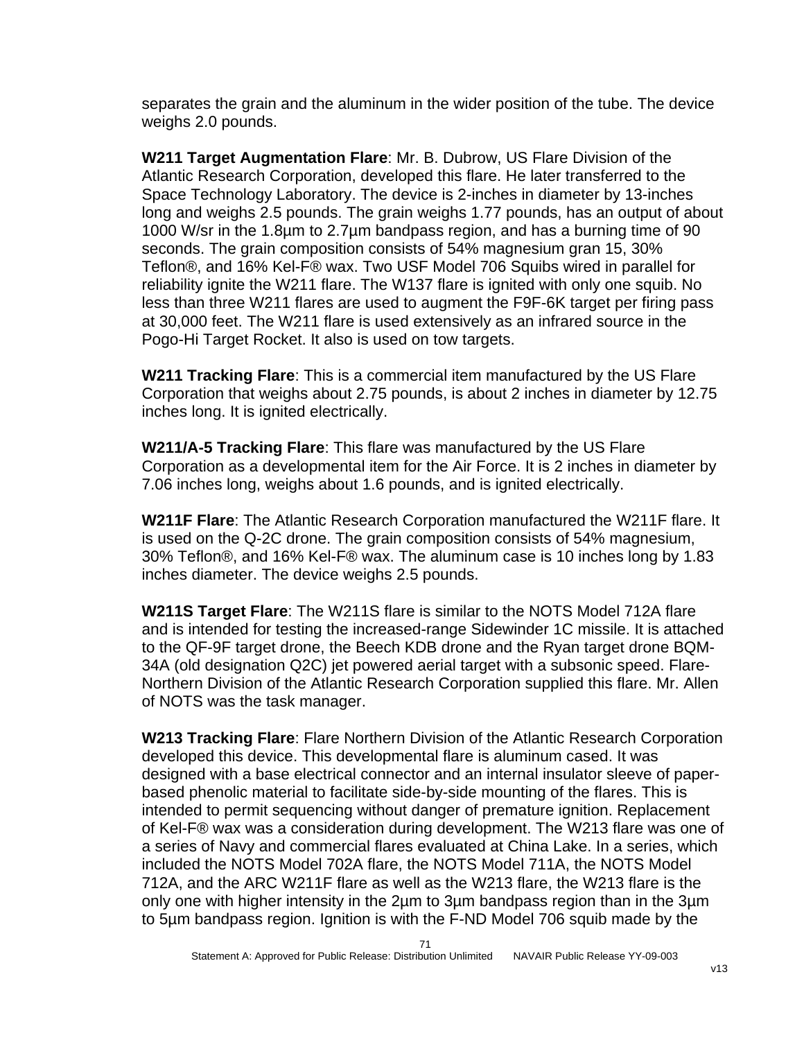separates the grain and the aluminum in the wider position of the tube. The device weighs 2.0 pounds.

**W211 Target Augmentation Flare**: Mr. B. Dubrow, US Flare Division of the Atlantic Research Corporation, developed this flare. He later transferred to the Space Technology Laboratory. The device is 2-inches in diameter by 13-inches long and weighs 2.5 pounds. The grain weighs 1.77 pounds, has an output of about 1000 W/sr in the 1.8µm to 2.7µm bandpass region, and has a burning time of 90 seconds. The grain composition consists of 54% magnesium gran 15, 30% Teflon®, and 16% Kel-F® wax. Two USF Model 706 Squibs wired in parallel for reliability ignite the W211 flare. The W137 flare is ignited with only one squib. No less than three W211 flares are used to augment the F9F-6K target per firing pass at 30,000 feet. The W211 flare is used extensively as an infrared source in the Pogo-Hi Target Rocket. It also is used on tow targets.

**W211 Tracking Flare**: This is a commercial item manufactured by the US Flare Corporation that weighs about 2.75 pounds, is about 2 inches in diameter by 12.75 inches long. It is ignited electrically.

**W211/A-5 Tracking Flare**: This flare was manufactured by the US Flare Corporation as a developmental item for the Air Force. It is 2 inches in diameter by 7.06 inches long, weighs about 1.6 pounds, and is ignited electrically.

**W211F Flare**: The Atlantic Research Corporation manufactured the W211F flare. It is used on the Q-2C drone. The grain composition consists of 54% magnesium, 30% Teflon®, and 16% Kel-F® wax. The aluminum case is 10 inches long by 1.83 inches diameter. The device weighs 2.5 pounds.

**W211S Target Flare**: The W211S flare is similar to the NOTS Model 712A flare and is intended for testing the increased-range Sidewinder 1C missile. It is attached to the QF-9F target drone, the Beech KDB drone and the Ryan target drone BQM-34A (old designation Q2C) jet powered aerial target with a subsonic speed. Flare-Northern Division of the Atlantic Research Corporation supplied this flare. Mr. Allen of NOTS was the task manager.

**W213 Tracking Flare**: Flare Northern Division of the Atlantic Research Corporation developed this device. This developmental flare is aluminum cased. It was designed with a base electrical connector and an internal insulator sleeve of paperbased phenolic material to facilitate side-by-side mounting of the flares. This is intended to permit sequencing without danger of premature ignition. Replacement of Kel-F® wax was a consideration during development. The W213 flare was one of a series of Navy and commercial flares evaluated at China Lake. In a series, which included the NOTS Model 702A flare, the NOTS Model 711A, the NOTS Model 712A, and the ARC W211F flare as well as the W213 flare, the W213 flare is the only one with higher intensity in the 2µm to 3µm bandpass region than in the 3µm to 5µm bandpass region. Ignition is with the F-ND Model 706 squib made by the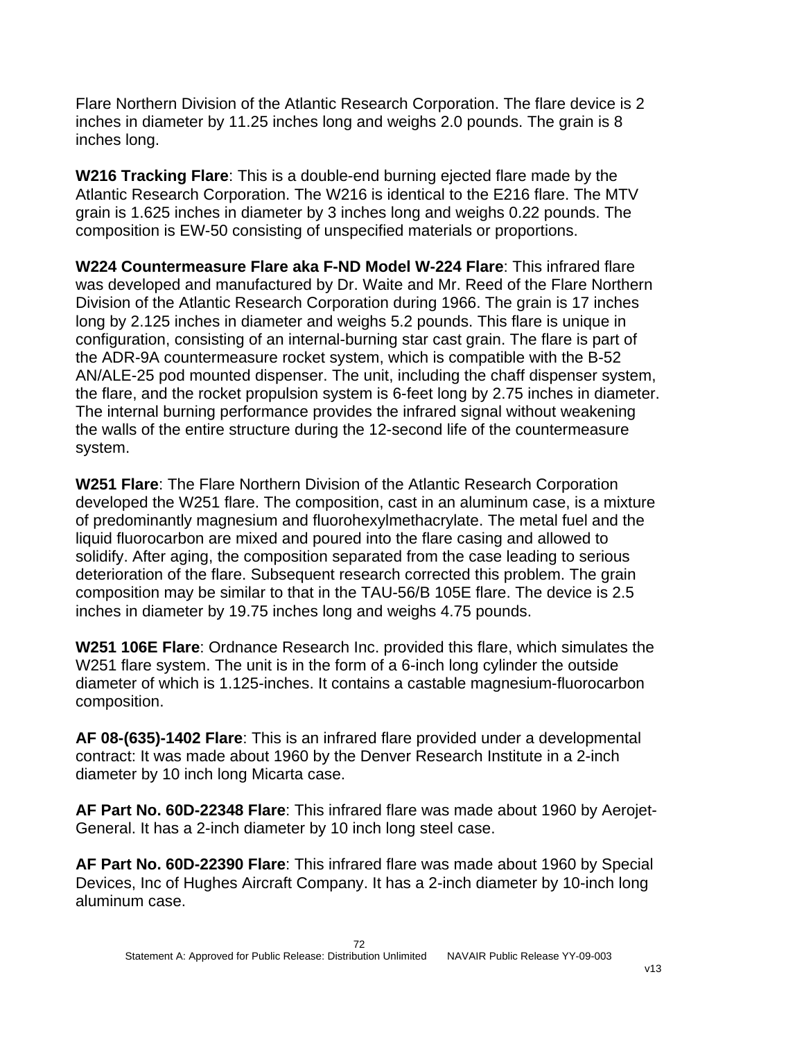Flare Northern Division of the Atlantic Research Corporation. The flare device is 2 inches in diameter by 11.25 inches long and weighs 2.0 pounds. The grain is 8 inches long.

**W216 Tracking Flare**: This is a double-end burning ejected flare made by the Atlantic Research Corporation. The W216 is identical to the E216 flare. The MTV grain is 1.625 inches in diameter by 3 inches long and weighs 0.22 pounds. The composition is EW-50 consisting of unspecified materials or proportions.

**W224 Countermeasure Flare aka F-ND Model W-224 Flare**: This infrared flare was developed and manufactured by Dr. Waite and Mr. Reed of the Flare Northern Division of the Atlantic Research Corporation during 1966. The grain is 17 inches long by 2.125 inches in diameter and weighs 5.2 pounds. This flare is unique in configuration, consisting of an internal-burning star cast grain. The flare is part of the ADR-9A countermeasure rocket system, which is compatible with the B-52 AN/ALE-25 pod mounted dispenser. The unit, including the chaff dispenser system, the flare, and the rocket propulsion system is 6-feet long by 2.75 inches in diameter. The internal burning performance provides the infrared signal without weakening the walls of the entire structure during the 12-second life of the countermeasure system.

**W251 Flare**: The Flare Northern Division of the Atlantic Research Corporation developed the W251 flare. The composition, cast in an aluminum case, is a mixture of predominantly magnesium and fluorohexylmethacrylate. The metal fuel and the liquid fluorocarbon are mixed and poured into the flare casing and allowed to solidify. After aging, the composition separated from the case leading to serious deterioration of the flare. Subsequent research corrected this problem. The grain composition may be similar to that in the TAU-56/B 105E flare. The device is 2.5 inches in diameter by 19.75 inches long and weighs 4.75 pounds.

**W251 106E Flare**: Ordnance Research Inc. provided this flare, which simulates the W251 flare system. The unit is in the form of a 6-inch long cylinder the outside diameter of which is 1.125-inches. It contains a castable magnesium-fluorocarbon composition.

**AF 08-(635)-1402 Flare**: This is an infrared flare provided under a developmental contract: It was made about 1960 by the Denver Research Institute in a 2-inch diameter by 10 inch long Micarta case.

**AF Part No. 60D-22348 Flare**: This infrared flare was made about 1960 by Aerojet-General. It has a 2-inch diameter by 10 inch long steel case.

**AF Part No. 60D-22390 Flare**: This infrared flare was made about 1960 by Special Devices, Inc of Hughes Aircraft Company. It has a 2-inch diameter by 10-inch long aluminum case.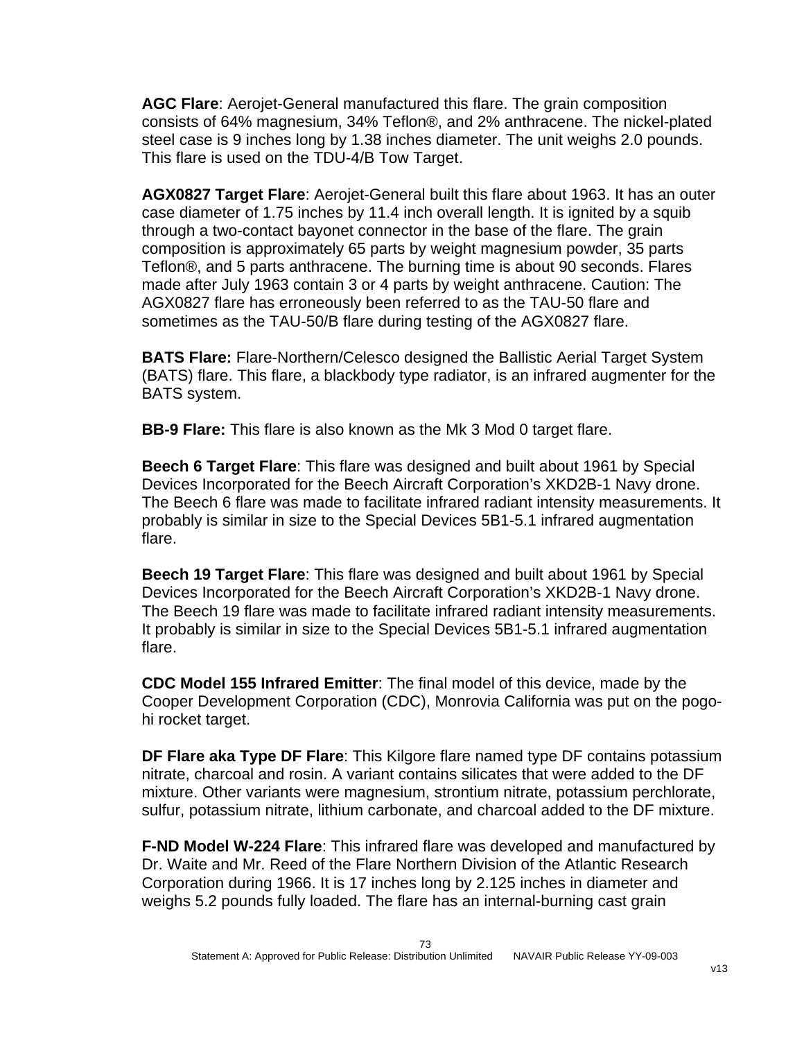**AGC Flare**: Aerojet-General manufactured this flare. The grain composition consists of 64% magnesium, 34% Teflon®, and 2% anthracene. The nickel-plated steel case is 9 inches long by 1.38 inches diameter. The unit weighs 2.0 pounds. This flare is used on the TDU-4/B Tow Target.

**AGX0827 Target Flare**: Aerojet-General built this flare about 1963. It has an outer case diameter of 1.75 inches by 11.4 inch overall length. It is ignited by a squib through a two-contact bayonet connector in the base of the flare. The grain composition is approximately 65 parts by weight magnesium powder, 35 parts Teflon®, and 5 parts anthracene. The burning time is about 90 seconds. Flares made after July 1963 contain 3 or 4 parts by weight anthracene. Caution: The AGX0827 flare has erroneously been referred to as the TAU-50 flare and sometimes as the TAU-50/B flare during testing of the AGX0827 flare.

**BATS Flare:** Flare-Northern/Celesco designed the Ballistic Aerial Target System (BATS) flare. This flare, a blackbody type radiator, is an infrared augmenter for the BATS system.

**BB-9 Flare:** This flare is also known as the Mk 3 Mod 0 target flare.

**Beech 6 Target Flare**: This flare was designed and built about 1961 by Special Devices Incorporated for the Beech Aircraft Corporation's XKD2B-1 Navy drone. The Beech 6 flare was made to facilitate infrared radiant intensity measurements. It probably is similar in size to the Special Devices 5B1-5.1 infrared augmentation flare.

**Beech 19 Target Flare**: This flare was designed and built about 1961 by Special Devices Incorporated for the Beech Aircraft Corporation's XKD2B-1 Navy drone. The Beech 19 flare was made to facilitate infrared radiant intensity measurements. It probably is similar in size to the Special Devices 5B1-5.1 infrared augmentation flare.

**CDC Model 155 Infrared Emitter**: The final model of this device, made by the Cooper Development Corporation (CDC), Monrovia California was put on the pogohi rocket target.

**DF Flare aka Type DF Flare**: This Kilgore flare named type DF contains potassium nitrate, charcoal and rosin. A variant contains silicates that were added to the DF mixture. Other variants were magnesium, strontium nitrate, potassium perchlorate, sulfur, potassium nitrate, lithium carbonate, and charcoal added to the DF mixture.

**F-ND Model W-224 Flare**: This infrared flare was developed and manufactured by Dr. Waite and Mr. Reed of the Flare Northern Division of the Atlantic Research Corporation during 1966. It is 17 inches long by 2.125 inches in diameter and weighs 5.2 pounds fully loaded. The flare has an internal-burning cast grain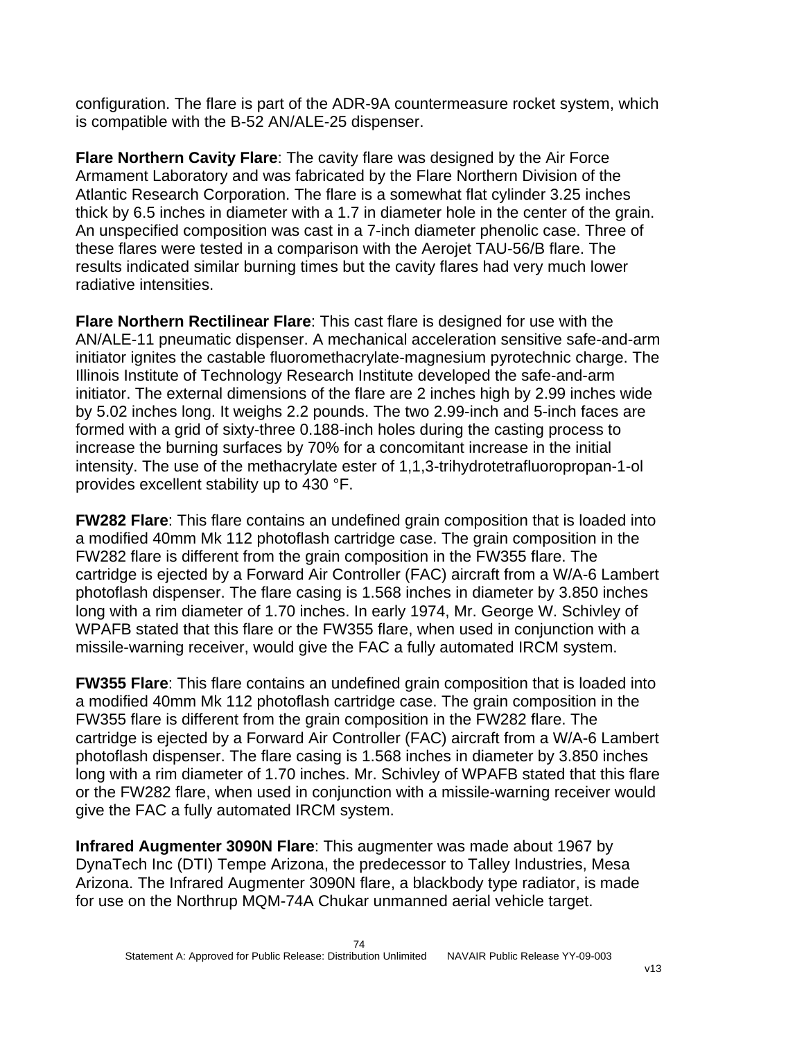configuration. The flare is part of the ADR-9A countermeasure rocket system, which is compatible with the B-52 AN/ALE-25 dispenser.

**Flare Northern Cavity Flare**: The cavity flare was designed by the Air Force Armament Laboratory and was fabricated by the Flare Northern Division of the Atlantic Research Corporation. The flare is a somewhat flat cylinder 3.25 inches thick by 6.5 inches in diameter with a 1.7 in diameter hole in the center of the grain. An unspecified composition was cast in a 7-inch diameter phenolic case. Three of these flares were tested in a comparison with the Aerojet TAU-56/B flare. The results indicated similar burning times but the cavity flares had very much lower radiative intensities.

**Flare Northern Rectilinear Flare**: This cast flare is designed for use with the AN/ALE-11 pneumatic dispenser. A mechanical acceleration sensitive safe-and-arm initiator ignites the castable fluoromethacrylate-magnesium pyrotechnic charge. The Illinois Institute of Technology Research Institute developed the safe-and-arm initiator. The external dimensions of the flare are 2 inches high by 2.99 inches wide by 5.02 inches long. It weighs 2.2 pounds. The two 2.99-inch and 5-inch faces are formed with a grid of sixty-three 0.188-inch holes during the casting process to increase the burning surfaces by 70% for a concomitant increase in the initial intensity. The use of the methacrylate ester of 1,1,3-trihydrotetrafluoropropan-1-ol provides excellent stability up to 430 °F.

**FW282 Flare**: This flare contains an undefined grain composition that is loaded into a modified 40mm Mk 112 photoflash cartridge case. The grain composition in the FW282 flare is different from the grain composition in the FW355 flare. The cartridge is ejected by a Forward Air Controller (FAC) aircraft from a W/A-6 Lambert photoflash dispenser. The flare casing is 1.568 inches in diameter by 3.850 inches long with a rim diameter of 1.70 inches. In early 1974, Mr. George W. Schivley of WPAFB stated that this flare or the FW355 flare, when used in conjunction with a missile-warning receiver, would give the FAC a fully automated IRCM system.

**FW355 Flare**: This flare contains an undefined grain composition that is loaded into a modified 40mm Mk 112 photoflash cartridge case. The grain composition in the FW355 flare is different from the grain composition in the FW282 flare. The cartridge is ejected by a Forward Air Controller (FAC) aircraft from a W/A-6 Lambert photoflash dispenser. The flare casing is 1.568 inches in diameter by 3.850 inches long with a rim diameter of 1.70 inches. Mr. Schivley of WPAFB stated that this flare or the FW282 flare, when used in conjunction with a missile-warning receiver would give the FAC a fully automated IRCM system.

**Infrared Augmenter 3090N Flare**: This augmenter was made about 1967 by DynaTech Inc (DTI) Tempe Arizona, the predecessor to Talley Industries, Mesa Arizona. The Infrared Augmenter 3090N flare, a blackbody type radiator, is made for use on the Northrup MQM-74A Chukar unmanned aerial vehicle target.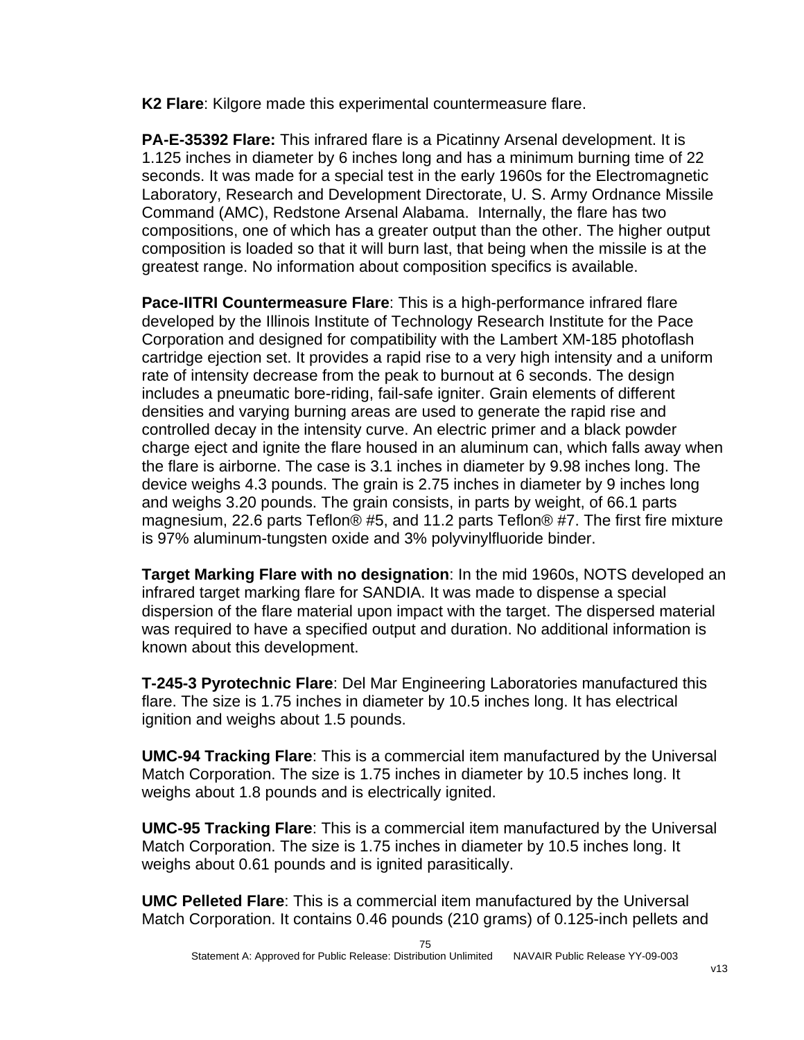**K2 Flare**: Kilgore made this experimental countermeasure flare.

**PA-E-35392 Flare:** This infrared flare is a Picatinny Arsenal development. It is 1.125 inches in diameter by 6 inches long and has a minimum burning time of 22 seconds. It was made for a special test in the early 1960s for the Electromagnetic Laboratory, Research and Development Directorate, U. S. Army Ordnance Missile Command (AMC), Redstone Arsenal Alabama. Internally, the flare has two compositions, one of which has a greater output than the other. The higher output composition is loaded so that it will burn last, that being when the missile is at the greatest range. No information about composition specifics is available.

**Pace-IITRI Countermeasure Flare**: This is a high-performance infrared flare developed by the Illinois Institute of Technology Research Institute for the Pace Corporation and designed for compatibility with the Lambert XM-185 photoflash cartridge ejection set. It provides a rapid rise to a very high intensity and a uniform rate of intensity decrease from the peak to burnout at 6 seconds. The design includes a pneumatic bore-riding, fail-safe igniter. Grain elements of different densities and varying burning areas are used to generate the rapid rise and controlled decay in the intensity curve. An electric primer and a black powder charge eject and ignite the flare housed in an aluminum can, which falls away when the flare is airborne. The case is 3.1 inches in diameter by 9.98 inches long. The device weighs 4.3 pounds. The grain is 2.75 inches in diameter by 9 inches long and weighs 3.20 pounds. The grain consists, in parts by weight, of 66.1 parts magnesium, 22.6 parts Teflon® #5, and 11.2 parts Teflon® #7. The first fire mixture is 97% aluminum-tungsten oxide and 3% polyvinylfluoride binder.

**Target Marking Flare with no designation**: In the mid 1960s, NOTS developed an infrared target marking flare for SANDIA. It was made to dispense a special dispersion of the flare material upon impact with the target. The dispersed material was required to have a specified output and duration. No additional information is known about this development.

**T-245-3 Pyrotechnic Flare**: Del Mar Engineering Laboratories manufactured this flare. The size is 1.75 inches in diameter by 10.5 inches long. It has electrical ignition and weighs about 1.5 pounds.

**UMC-94 Tracking Flare**: This is a commercial item manufactured by the Universal Match Corporation. The size is 1.75 inches in diameter by 10.5 inches long. It weighs about 1.8 pounds and is electrically ignited.

**UMC-95 Tracking Flare**: This is a commercial item manufactured by the Universal Match Corporation. The size is 1.75 inches in diameter by 10.5 inches long. It weighs about 0.61 pounds and is ignited parasitically.

**UMC Pelleted Flare**: This is a commercial item manufactured by the Universal Match Corporation. It contains 0.46 pounds (210 grams) of 0.125-inch pellets and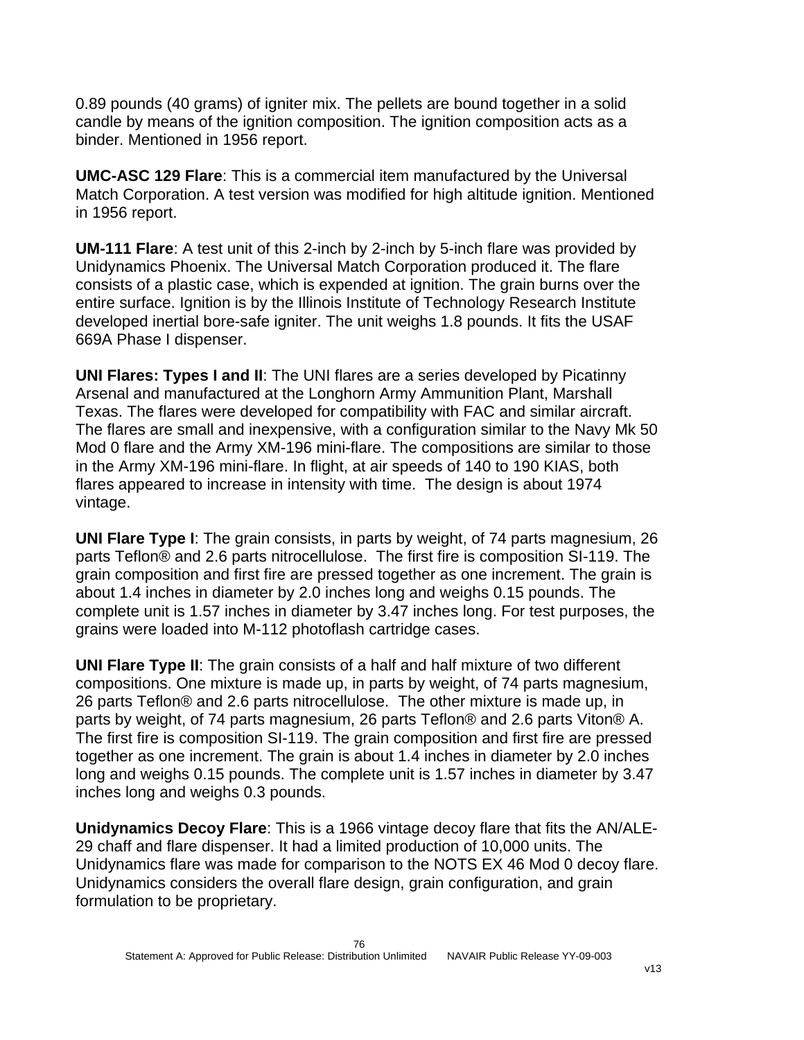0.89 pounds (40 grams) of igniter mix. The pellets are bound together in a solid candle by means of the ignition composition. The ignition composition acts as a binder. Mentioned in 1956 report.

**UMC-ASC 129 Flare**: This is a commercial item manufactured by the Universal Match Corporation. A test version was modified for high altitude ignition. Mentioned in 1956 report.

**UM-111 Flare**: A test unit of this 2-inch by 2-inch by 5-inch flare was provided by Unidynamics Phoenix. The Universal Match Corporation produced it. The flare consists of a plastic case, which is expended at ignition. The grain burns over the entire surface. Ignition is by the Illinois Institute of Technology Research Institute developed inertial bore-safe igniter. The unit weighs 1.8 pounds. It fits the USAF 669A Phase I dispenser.

**UNI Flares: Types I and II**: The UNI flares are a series developed by Picatinny Arsenal and manufactured at the Longhorn Army Ammunition Plant, Marshall Texas. The flares were developed for compatibility with FAC and similar aircraft. The flares are small and inexpensive, with a configuration similar to the Navy Mk 50 Mod 0 flare and the Army XM-196 mini-flare. The compositions are similar to those in the Army XM-196 mini-flare. In flight, at air speeds of 140 to 190 KIAS, both flares appeared to increase in intensity with time. The design is about 1974 vintage.

**UNI Flare Type I**: The grain consists, in parts by weight, of 74 parts magnesium, 26 parts Teflon® and 2.6 parts nitrocellulose. The first fire is composition SI-119. The grain composition and first fire are pressed together as one increment. The grain is about 1.4 inches in diameter by 2.0 inches long and weighs 0.15 pounds. The complete unit is 1.57 inches in diameter by 3.47 inches long. For test purposes, the grains were loaded into M-112 photoflash cartridge cases.

**UNI Flare Type II**: The grain consists of a half and half mixture of two different compositions. One mixture is made up, in parts by weight, of 74 parts magnesium, 26 parts Teflon® and 2.6 parts nitrocellulose. The other mixture is made up, in parts by weight, of 74 parts magnesium, 26 parts Teflon® and 2.6 parts Viton® A. The first fire is composition SI-119. The grain composition and first fire are pressed together as one increment. The grain is about 1.4 inches in diameter by 2.0 inches long and weighs 0.15 pounds. The complete unit is 1.57 inches in diameter by 3.47 inches long and weighs 0.3 pounds.

**Unidynamics Decoy Flare**: This is a 1966 vintage decoy flare that fits the AN/ALE-29 chaff and flare dispenser. It had a limited production of 10,000 units. The Unidynamics flare was made for comparison to the NOTS EX 46 Mod 0 decoy flare. Unidynamics considers the overall flare design, grain configuration, and grain formulation to be proprietary.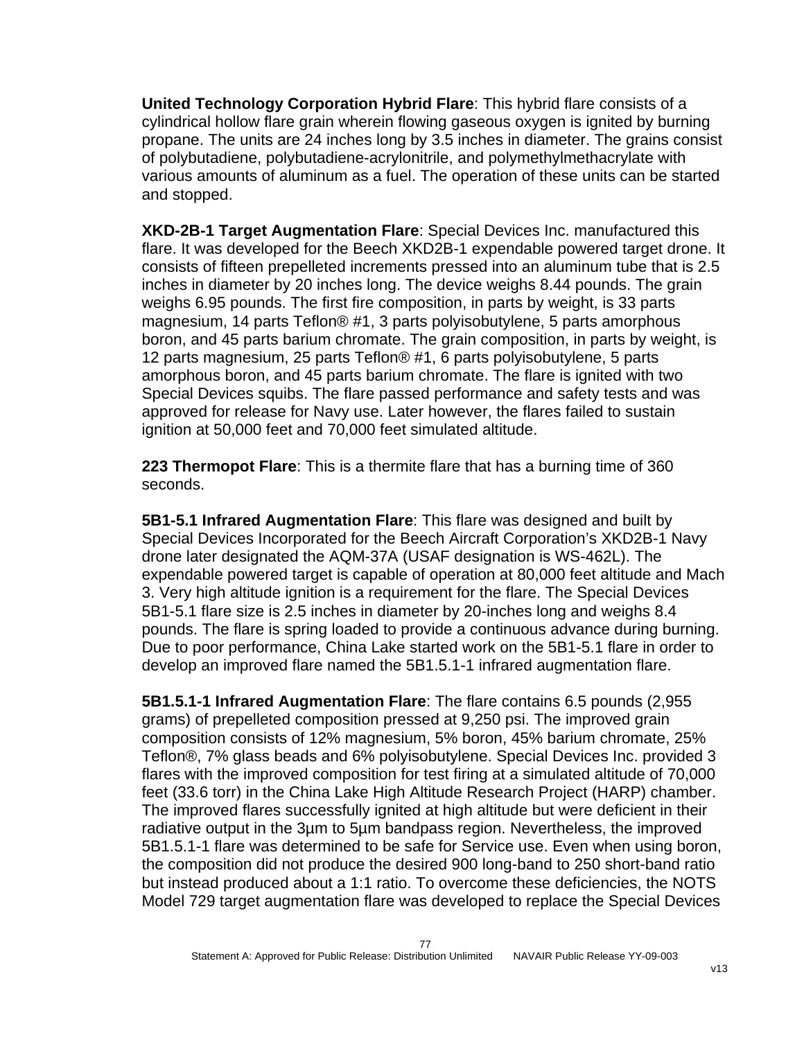**United Technology Corporation Hybrid Flare**: This hybrid flare consists of a cylindrical hollow flare grain wherein flowing gaseous oxygen is ignited by burning propane. The units are 24 inches long by 3.5 inches in diameter. The grains consist of polybutadiene, polybutadiene-acrylonitrile, and polymethylmethacrylate with various amounts of aluminum as a fuel. The operation of these units can be started and stopped.

**XKD-2B-1 Target Augmentation Flare**: Special Devices Inc. manufactured this flare. It was developed for the Beech XKD2B-1 expendable powered target drone. It consists of fifteen prepelleted increments pressed into an aluminum tube that is 2.5 inches in diameter by 20 inches long. The device weighs 8.44 pounds. The grain weighs 6.95 pounds. The first fire composition, in parts by weight, is 33 parts magnesium, 14 parts Teflon® #1, 3 parts polyisobutylene, 5 parts amorphous boron, and 45 parts barium chromate. The grain composition, in parts by weight, is 12 parts magnesium, 25 parts Teflon® #1, 6 parts polyisobutylene, 5 parts amorphous boron, and 45 parts barium chromate. The flare is ignited with two Special Devices squibs. The flare passed performance and safety tests and was approved for release for Navy use. Later however, the flares failed to sustain ignition at 50,000 feet and 70,000 feet simulated altitude.

**223 Thermopot Flare**: This is a thermite flare that has a burning time of 360 seconds.

**5B1-5.1 Infrared Augmentation Flare**: This flare was designed and built by Special Devices Incorporated for the Beech Aircraft Corporation's XKD2B-1 Navy drone later designated the AQM-37A (USAF designation is WS-462L). The expendable powered target is capable of operation at 80,000 feet altitude and Mach 3. Very high altitude ignition is a requirement for the flare. The Special Devices 5B1-5.1 flare size is 2.5 inches in diameter by 20-inches long and weighs 8.4 pounds. The flare is spring loaded to provide a continuous advance during burning. Due to poor performance, China Lake started work on the 5B1-5.1 flare in order to develop an improved flare named the 5B1.5.1-1 infrared augmentation flare.

**5B1.5.1-1 Infrared Augmentation Flare**: The flare contains 6.5 pounds (2,955 grams) of prepelleted composition pressed at 9,250 psi. The improved grain composition consists of 12% magnesium, 5% boron, 45% barium chromate, 25% Teflon®, 7% glass beads and 6% polyisobutylene. Special Devices Inc. provided 3 flares with the improved composition for test firing at a simulated altitude of 70,000 feet (33.6 torr) in the China Lake High Altitude Research Project (HARP) chamber. The improved flares successfully ignited at high altitude but were deficient in their radiative output in the 3µm to 5µm bandpass region. Nevertheless, the improved 5B1.5.1-1 flare was determined to be safe for Service use. Even when using boron, the composition did not produce the desired 900 long-band to 250 short-band ratio but instead produced about a 1:1 ratio. To overcome these deficiencies, the NOTS Model 729 target augmentation flare was developed to replace the Special Devices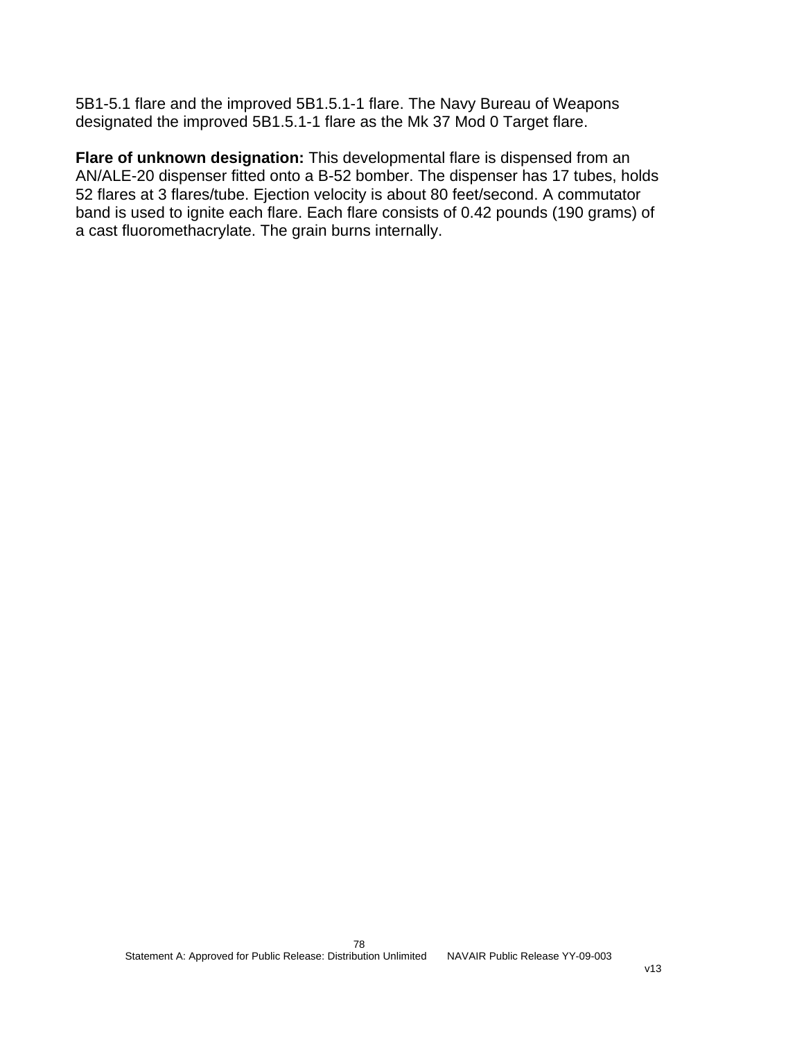5B1-5.1 flare and the improved 5B1.5.1-1 flare. The Navy Bureau of Weapons designated the improved 5B1.5.1-1 flare as the Mk 37 Mod 0 Target flare.

**Flare of unknown designation:** This developmental flare is dispensed from an AN/ALE-20 dispenser fitted onto a B-52 bomber. The dispenser has 17 tubes, holds 52 flares at 3 flares/tube. Ejection velocity is about 80 feet/second. A commutator band is used to ignite each flare. Each flare consists of 0.42 pounds (190 grams) of a cast fluoromethacrylate. The grain burns internally.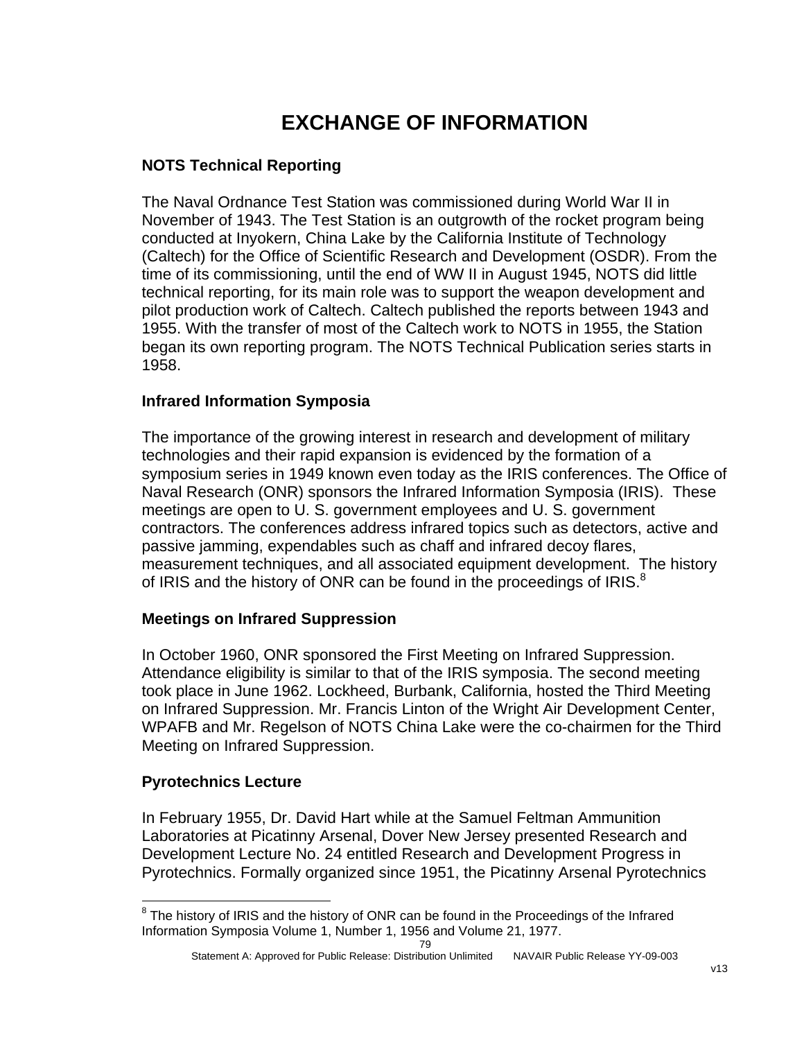# **EXCHANGE OF INFORMATION**

## **NOTS Technical Reporting**

The Naval Ordnance Test Station was commissioned during World War II in November of 1943. The Test Station is an outgrowth of the rocket program being conducted at Inyokern, China Lake by the California Institute of Technology (Caltech) for the Office of Scientific Research and Development (OSDR). From the time of its commissioning, until the end of WW II in August 1945, NOTS did little technical reporting, for its main role was to support the weapon development and pilot production work of Caltech. Caltech published the reports between 1943 and 1955. With the transfer of most of the Caltech work to NOTS in 1955, the Station began its own reporting program. The NOTS Technical Publication series starts in 1958.

## **Infrared Information Symposia**

The importance of the growing interest in research and development of military technologies and their rapid expansion is evidenced by the formation of a symposium series in 1949 known even today as the IRIS conferences. The Office of Naval Research (ONR) sponsors the Infrared Information Symposia (IRIS). These meetings are open to U. S. government employees and U. S. government contractors. The conferences address infrared topics such as detectors, active and passive jamming, expendables such as chaff and infrared decoy flares, measurement techniques, and all associated equipment development. The history of IRIS and the history of ONR can be found in the proceedings of IRIS.<sup>[8](#page-79-0)</sup>

### **Meetings on Infrared Suppression**

In October 1960, ONR sponsored the First Meeting on Infrared Suppression. Attendance eligibility is similar to that of the IRIS symposia. The second meeting took place in June 1962. Lockheed, Burbank, California, hosted the Third Meeting on Infrared Suppression. Mr. Francis Linton of the Wright Air Development Center, WPAFB and Mr. Regelson of NOTS China Lake were the co-chairmen for the Third Meeting on Infrared Suppression.

### **Pyrotechnics Lecture**

In February 1955, Dr. David Hart while at the Samuel Feltman Ammunition Laboratories at Picatinny Arsenal, Dover New Jersey presented Research and Development Lecture No. 24 entitled Research and Development Progress in Pyrotechnics. Formally organized since 1951, the Picatinny Arsenal Pyrotechnics

<span id="page-79-0"></span><sup>1</sup>  $8$  The history of IRIS and the history of ONR can be found in the Proceedings of the Infrared Information Symposia Volume 1, Number 1, 1956 and Volume 21, 1977.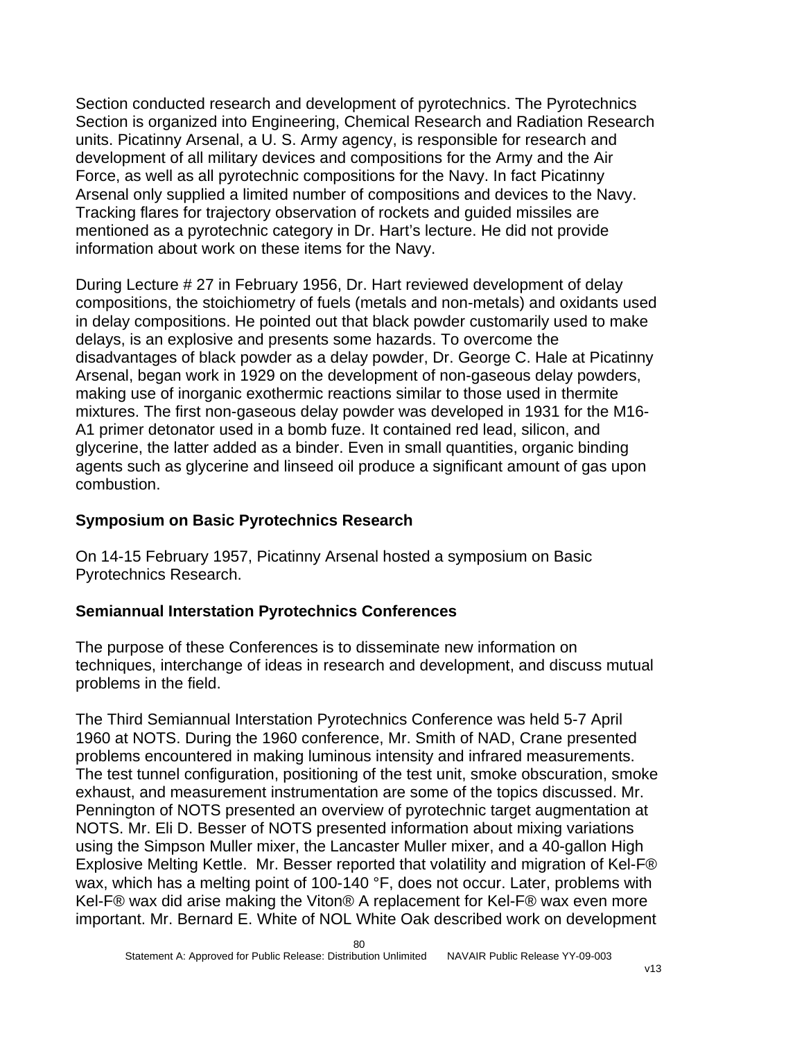Section conducted research and development of pyrotechnics. The Pyrotechnics Section is organized into Engineering, Chemical Research and Radiation Research units. Picatinny Arsenal, a U. S. Army agency, is responsible for research and development of all military devices and compositions for the Army and the Air Force, as well as all pyrotechnic compositions for the Navy. In fact Picatinny Arsenal only supplied a limited number of compositions and devices to the Navy. Tracking flares for trajectory observation of rockets and guided missiles are mentioned as a pyrotechnic category in Dr. Hart's lecture. He did not provide information about work on these items for the Navy.

During Lecture # 27 in February 1956, Dr. Hart reviewed development of delay compositions, the stoichiometry of fuels (metals and non-metals) and oxidants used in delay compositions. He pointed out that black powder customarily used to make delays, is an explosive and presents some hazards. To overcome the disadvantages of black powder as a delay powder, Dr. George C. Hale at Picatinny Arsenal, began work in 1929 on the development of non-gaseous delay powders, making use of inorganic exothermic reactions similar to those used in thermite mixtures. The first non-gaseous delay powder was developed in 1931 for the M16- A1 primer detonator used in a bomb fuze. It contained red lead, silicon, and glycerine, the latter added as a binder. Even in small quantities, organic binding agents such as glycerine and linseed oil produce a significant amount of gas upon combustion.

## **Symposium on Basic Pyrotechnics Research**

On 14-15 February 1957, Picatinny Arsenal hosted a symposium on Basic Pyrotechnics Research.

## **Semiannual Interstation Pyrotechnics Conferences**

The purpose of these Conferences is to disseminate new information on techniques, interchange of ideas in research and development, and discuss mutual problems in the field.

The Third Semiannual Interstation Pyrotechnics Conference was held 5-7 April 1960 at NOTS. During the 1960 conference, Mr. Smith of NAD, Crane presented problems encountered in making luminous intensity and infrared measurements. The test tunnel configuration, positioning of the test unit, smoke obscuration, smoke exhaust, and measurement instrumentation are some of the topics discussed. Mr. Pennington of NOTS presented an overview of pyrotechnic target augmentation at NOTS. Mr. Eli D. Besser of NOTS presented information about mixing variations using the Simpson Muller mixer, the Lancaster Muller mixer, and a 40-gallon High Explosive Melting Kettle. Mr. Besser reported that volatility and migration of Kel-F® wax, which has a melting point of 100-140 °F, does not occur. Later, problems with Kel-F® wax did arise making the Viton® A replacement for Kel-F® wax even more important. Mr. Bernard E. White of NOL White Oak described work on development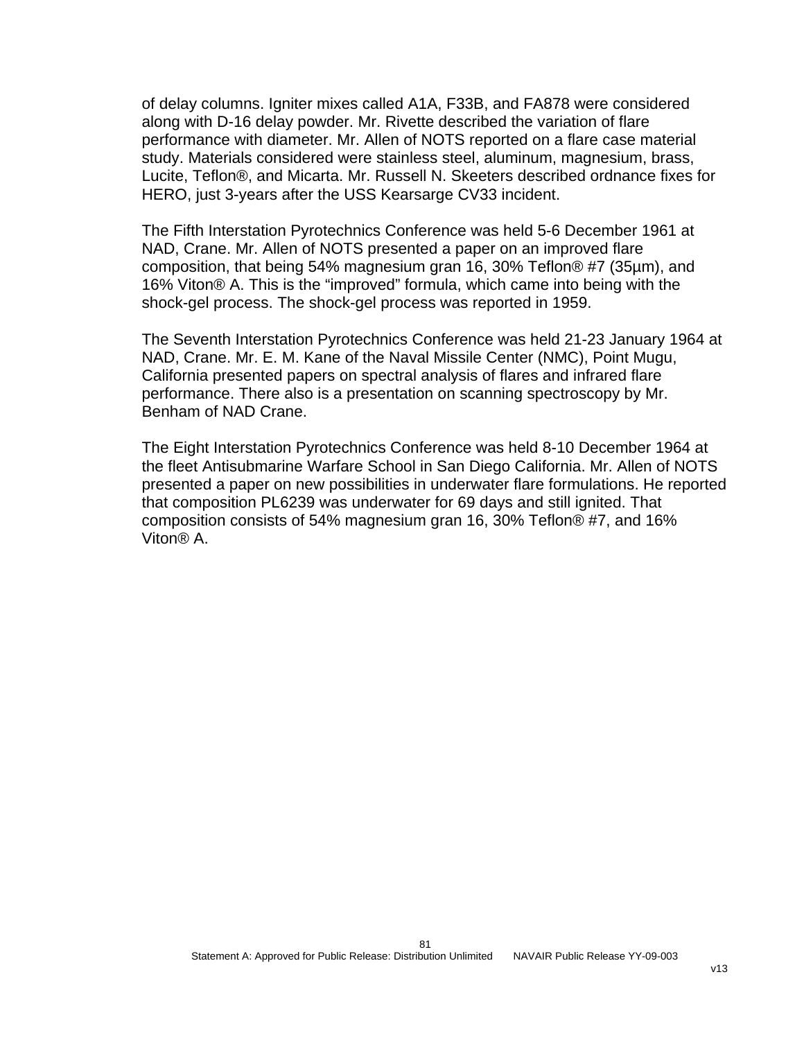of delay columns. Igniter mixes called A1A, F33B, and FA878 were considered along with D-16 delay powder. Mr. Rivette described the variation of flare performance with diameter. Mr. Allen of NOTS reported on a flare case material study. Materials considered were stainless steel, aluminum, magnesium, brass, Lucite, Teflon®, and Micarta. Mr. Russell N. Skeeters described ordnance fixes for HERO, just 3-years after the USS Kearsarge CV33 incident.

The Fifth Interstation Pyrotechnics Conference was held 5-6 December 1961 at NAD, Crane. Mr. Allen of NOTS presented a paper on an improved flare composition, that being 54% magnesium gran 16, 30% Teflon® #7 (35µm), and 16% Viton® A. This is the "improved" formula, which came into being with the shock-gel process. The shock-gel process was reported in 1959.

The Seventh Interstation Pyrotechnics Conference was held 21-23 January 1964 at NAD, Crane. Mr. E. M. Kane of the Naval Missile Center (NMC), Point Mugu, California presented papers on spectral analysis of flares and infrared flare performance. There also is a presentation on scanning spectroscopy by Mr. Benham of NAD Crane.

The Eight Interstation Pyrotechnics Conference was held 8-10 December 1964 at the fleet Antisubmarine Warfare School in San Diego California. Mr. Allen of NOTS presented a paper on new possibilities in underwater flare formulations. He reported that composition PL6239 was underwater for 69 days and still ignited. That composition consists of 54% magnesium gran 16, 30% Teflon® #7, and 16% Viton® A.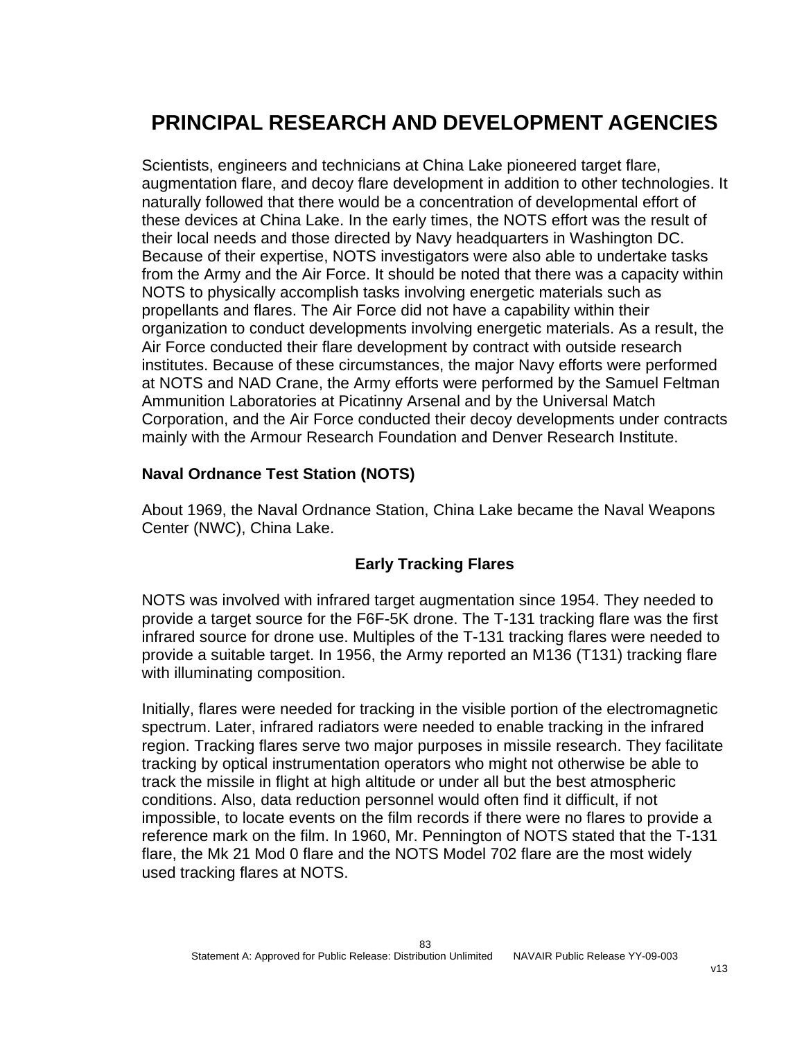# **PRINCIPAL RESEARCH AND DEVELOPMENT AGENCIES**

Scientists, engineers and technicians at China Lake pioneered target flare, augmentation flare, and decoy flare development in addition to other technologies. It naturally followed that there would be a concentration of developmental effort of these devices at China Lake. In the early times, the NOTS effort was the result of their local needs and those directed by Navy headquarters in Washington DC. Because of their expertise, NOTS investigators were also able to undertake tasks from the Army and the Air Force. It should be noted that there was a capacity within NOTS to physically accomplish tasks involving energetic materials such as propellants and flares. The Air Force did not have a capability within their organization to conduct developments involving energetic materials. As a result, the Air Force conducted their flare development by contract with outside research institutes. Because of these circumstances, the major Navy efforts were performed at NOTS and NAD Crane, the Army efforts were performed by the Samuel Feltman Ammunition Laboratories at Picatinny Arsenal and by the Universal Match Corporation, and the Air Force conducted their decoy developments under contracts mainly with the Armour Research Foundation and Denver Research Institute.

### **Naval Ordnance Test Station (NOTS)**

About 1969, the Naval Ordnance Station, China Lake became the Naval Weapons Center (NWC), China Lake.

### **Early Tracking Flares**

NOTS was involved with infrared target augmentation since 1954. They needed to provide a target source for the F6F-5K drone. The T-131 tracking flare was the first infrared source for drone use. Multiples of the T-131 tracking flares were needed to provide a suitable target. In 1956, the Army reported an M136 (T131) tracking flare with illuminating composition.

Initially, flares were needed for tracking in the visible portion of the electromagnetic spectrum. Later, infrared radiators were needed to enable tracking in the infrared region. Tracking flares serve two major purposes in missile research. They facilitate tracking by optical instrumentation operators who might not otherwise be able to track the missile in flight at high altitude or under all but the best atmospheric conditions. Also, data reduction personnel would often find it difficult, if not impossible, to locate events on the film records if there were no flares to provide a reference mark on the film. In 1960, Mr. Pennington of NOTS stated that the T-131 flare, the Mk 21 Mod 0 flare and the NOTS Model 702 flare are the most widely used tracking flares at NOTS.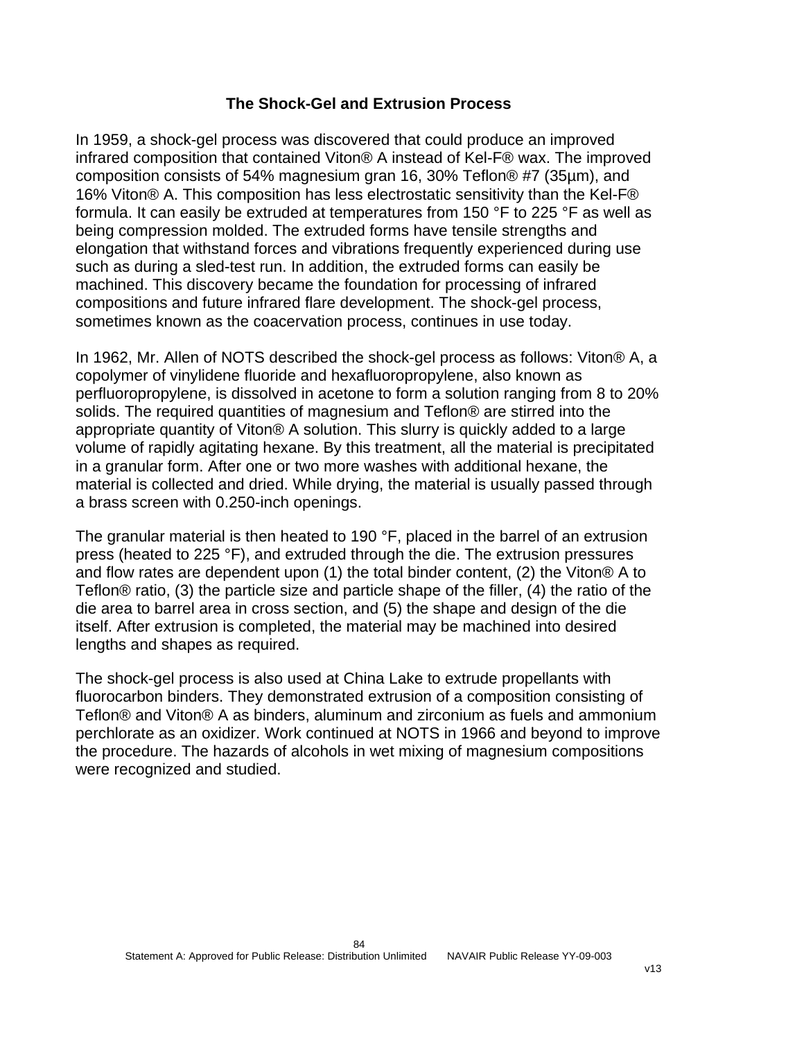### **The Shock-Gel and Extrusion Process**

In 1959, a shock-gel process was discovered that could produce an improved infrared composition that contained Viton® A instead of Kel-F® wax. The improved composition consists of 54% magnesium gran 16, 30% Teflon® #7 (35µm), and 16% Viton® A. This composition has less electrostatic sensitivity than the Kel-F® formula. It can easily be extruded at temperatures from 150 °F to 225 °F as well as being compression molded. The extruded forms have tensile strengths and elongation that withstand forces and vibrations frequently experienced during use such as during a sled-test run. In addition, the extruded forms can easily be machined. This discovery became the foundation for processing of infrared compositions and future infrared flare development. The shock-gel process, sometimes known as the coacervation process, continues in use today.

In 1962, Mr. Allen of NOTS described the shock-gel process as follows: Viton® A, a copolymer of vinylidene fluoride and hexafluoropropylene, also known as perfluoropropylene, is dissolved in acetone to form a solution ranging from 8 to 20% solids. The required quantities of magnesium and Teflon® are stirred into the appropriate quantity of Viton® A solution. This slurry is quickly added to a large volume of rapidly agitating hexane. By this treatment, all the material is precipitated in a granular form. After one or two more washes with additional hexane, the material is collected and dried. While drying, the material is usually passed through a brass screen with 0.250-inch openings.

The granular material is then heated to 190 °F, placed in the barrel of an extrusion press (heated to 225 °F), and extruded through the die. The extrusion pressures and flow rates are dependent upon (1) the total binder content, (2) the Viton® A to Teflon® ratio, (3) the particle size and particle shape of the filler, (4) the ratio of the die area to barrel area in cross section, and (5) the shape and design of the die itself. After extrusion is completed, the material may be machined into desired lengths and shapes as required.

The shock-gel process is also used at China Lake to extrude propellants with fluorocarbon binders. They demonstrated extrusion of a composition consisting of Teflon® and Viton® A as binders, aluminum and zirconium as fuels and ammonium perchlorate as an oxidizer. Work continued at NOTS in 1966 and beyond to improve the procedure. The hazards of alcohols in wet mixing of magnesium compositions were recognized and studied.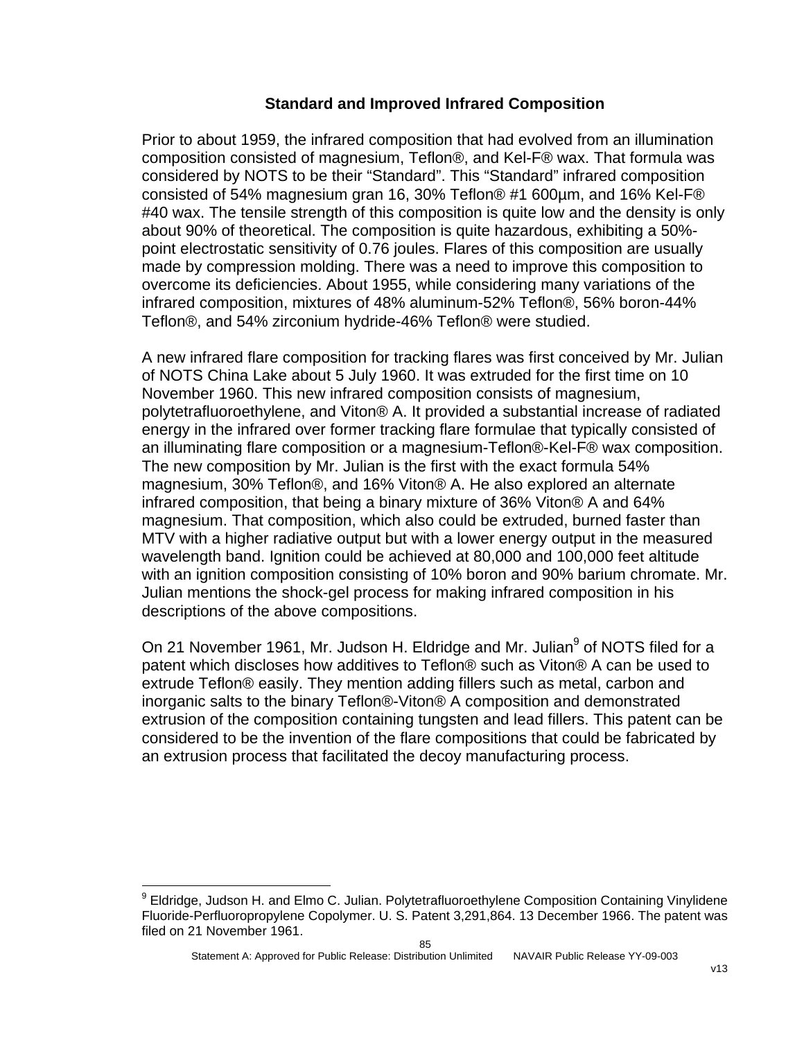#### **Standard and Improved Infrared Composition**

Prior to about 1959, the infrared composition that had evolved from an illumination composition consisted of magnesium, Teflon®, and Kel-F® wax. That formula was considered by NOTS to be their "Standard". This "Standard" infrared composition consisted of 54% magnesium gran 16, 30% Teflon® #1 600µm, and 16% Kel-F® #40 wax. The tensile strength of this composition is quite low and the density is only about 90% of theoretical. The composition is quite hazardous, exhibiting a 50% point electrostatic sensitivity of 0.76 joules. Flares of this composition are usually made by compression molding. There was a need to improve this composition to overcome its deficiencies. About 1955, while considering many variations of the infrared composition, mixtures of 48% aluminum-52% Teflon®, 56% boron-44% Teflon®, and 54% zirconium hydride-46% Teflon® were studied.

A new infrared flare composition for tracking flares was first conceived by Mr. Julian of NOTS China Lake about 5 July 1960. It was extruded for the first time on 10 November 1960. This new infrared composition consists of magnesium, polytetrafluoroethylene, and Viton® A. It provided a substantial increase of radiated energy in the infrared over former tracking flare formulae that typically consisted of an illuminating flare composition or a magnesium-Teflon®-Kel-F® wax composition. The new composition by Mr. Julian is the first with the exact formula 54% magnesium, 30% Teflon®, and 16% Viton® A. He also explored an alternate infrared composition, that being a binary mixture of 36% Viton® A and 64% magnesium. That composition, which also could be extruded, burned faster than MTV with a higher radiative output but with a lower energy output in the measured wavelength band. Ignition could be achieved at 80,000 and 100,000 feet altitude with an ignition composition consisting of 10% boron and 90% barium chromate. Mr. Julian mentions the shock-gel process for making infrared composition in his descriptions of the above compositions.

On 21 November 1[9](#page-85-0)61, Mr. Judson H. Eldridge and Mr. Julian<sup>9</sup> of NOTS filed for a patent which discloses how additives to Teflon® such as Viton® A can be used to extrude Teflon® easily. They mention adding fillers such as metal, carbon and inorganic salts to the binary Teflon®-Viton® A composition and demonstrated extrusion of the composition containing tungsten and lead fillers. This patent can be considered to be the invention of the flare compositions that could be fabricated by an extrusion process that facilitated the decoy manufacturing process.

1

<span id="page-85-0"></span><sup>&</sup>lt;sup>9</sup> Eldridge, Judson H. and Elmo C. Julian. Polytetrafluoroethylene Composition Containing Vinylidene Fluoride-Perfluoropropylene Copolymer. U. S. Patent 3,291,864. 13 December 1966. The patent was filed on 21 November 1961.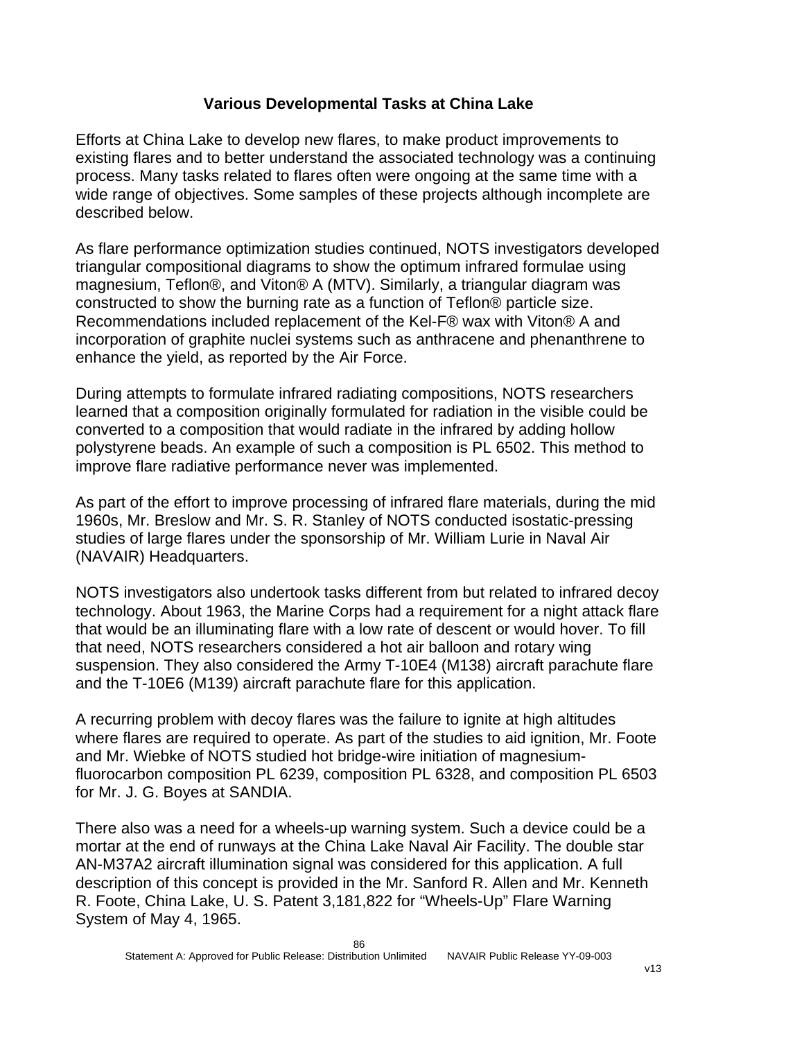## **Various Developmental Tasks at China Lake**

Efforts at China Lake to develop new flares, to make product improvements to existing flares and to better understand the associated technology was a continuing process. Many tasks related to flares often were ongoing at the same time with a wide range of objectives. Some samples of these projects although incomplete are described below.

As flare performance optimization studies continued, NOTS investigators developed triangular compositional diagrams to show the optimum infrared formulae using magnesium, Teflon®, and Viton® A (MTV). Similarly, a triangular diagram was constructed to show the burning rate as a function of Teflon® particle size. Recommendations included replacement of the Kel-F® wax with Viton® A and incorporation of graphite nuclei systems such as anthracene and phenanthrene to enhance the yield, as reported by the Air Force.

During attempts to formulate infrared radiating compositions, NOTS researchers learned that a composition originally formulated for radiation in the visible could be converted to a composition that would radiate in the infrared by adding hollow polystyrene beads. An example of such a composition is PL 6502. This method to improve flare radiative performance never was implemented.

As part of the effort to improve processing of infrared flare materials, during the mid 1960s, Mr. Breslow and Mr. S. R. Stanley of NOTS conducted isostatic-pressing studies of large flares under the sponsorship of Mr. William Lurie in Naval Air (NAVAIR) Headquarters.

NOTS investigators also undertook tasks different from but related to infrared decoy technology. About 1963, the Marine Corps had a requirement for a night attack flare that would be an illuminating flare with a low rate of descent or would hover. To fill that need, NOTS researchers considered a hot air balloon and rotary wing suspension. They also considered the Army T-10E4 (M138) aircraft parachute flare and the T-10E6 (M139) aircraft parachute flare for this application.

A recurring problem with decoy flares was the failure to ignite at high altitudes where flares are required to operate. As part of the studies to aid ignition, Mr. Foote and Mr. Wiebke of NOTS studied hot bridge-wire initiation of magnesiumfluorocarbon composition PL 6239, composition PL 6328, and composition PL 6503 for Mr. J. G. Boyes at SANDIA.

There also was a need for a wheels-up warning system. Such a device could be a mortar at the end of runways at the China Lake Naval Air Facility. The double star AN-M37A2 aircraft illumination signal was considered for this application. A full description of this concept is provided in the Mr. Sanford R. Allen and Mr. Kenneth R. Foote, China Lake, U. S. Patent 3,181,822 for "Wheels-Up" Flare Warning System of May 4, 1965.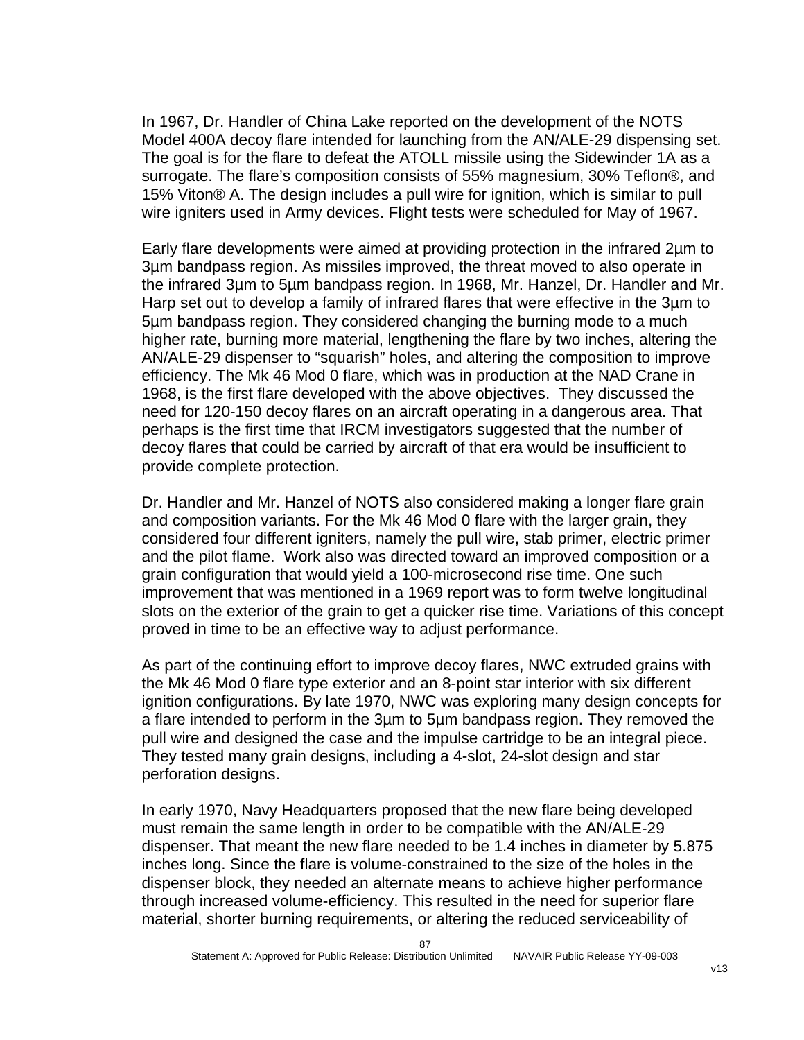In 1967, Dr. Handler of China Lake reported on the development of the NOTS Model 400A decoy flare intended for launching from the AN/ALE-29 dispensing set. The goal is for the flare to defeat the ATOLL missile using the Sidewinder 1A as a surrogate. The flare's composition consists of 55% magnesium, 30% Teflon®, and 15% Viton® A. The design includes a pull wire for ignition, which is similar to pull wire igniters used in Army devices. Flight tests were scheduled for May of 1967.

Early flare developments were aimed at providing protection in the infrared 2µm to 3µm bandpass region. As missiles improved, the threat moved to also operate in the infrared 3µm to 5µm bandpass region. In 1968, Mr. Hanzel, Dr. Handler and Mr. Harp set out to develop a family of infrared flares that were effective in the 3µm to 5µm bandpass region. They considered changing the burning mode to a much higher rate, burning more material, lengthening the flare by two inches, altering the AN/ALE-29 dispenser to "squarish" holes, and altering the composition to improve efficiency. The Mk 46 Mod 0 flare, which was in production at the NAD Crane in 1968, is the first flare developed with the above objectives. They discussed the need for 120-150 decoy flares on an aircraft operating in a dangerous area. That perhaps is the first time that IRCM investigators suggested that the number of decoy flares that could be carried by aircraft of that era would be insufficient to provide complete protection.

Dr. Handler and Mr. Hanzel of NOTS also considered making a longer flare grain and composition variants. For the Mk 46 Mod 0 flare with the larger grain, they considered four different igniters, namely the pull wire, stab primer, electric primer and the pilot flame. Work also was directed toward an improved composition or a grain configuration that would yield a 100-microsecond rise time. One such improvement that was mentioned in a 1969 report was to form twelve longitudinal slots on the exterior of the grain to get a quicker rise time. Variations of this concept proved in time to be an effective way to adjust performance.

As part of the continuing effort to improve decoy flares, NWC extruded grains with the Mk 46 Mod 0 flare type exterior and an 8-point star interior with six different ignition configurations. By late 1970, NWC was exploring many design concepts for a flare intended to perform in the 3µm to 5µm bandpass region. They removed the pull wire and designed the case and the impulse cartridge to be an integral piece. They tested many grain designs, including a 4-slot, 24-slot design and star perforation designs.

In early 1970, Navy Headquarters proposed that the new flare being developed must remain the same length in order to be compatible with the AN/ALE-29 dispenser. That meant the new flare needed to be 1.4 inches in diameter by 5.875 inches long. Since the flare is volume-constrained to the size of the holes in the dispenser block, they needed an alternate means to achieve higher performance through increased volume-efficiency. This resulted in the need for superior flare material, shorter burning requirements, or altering the reduced serviceability of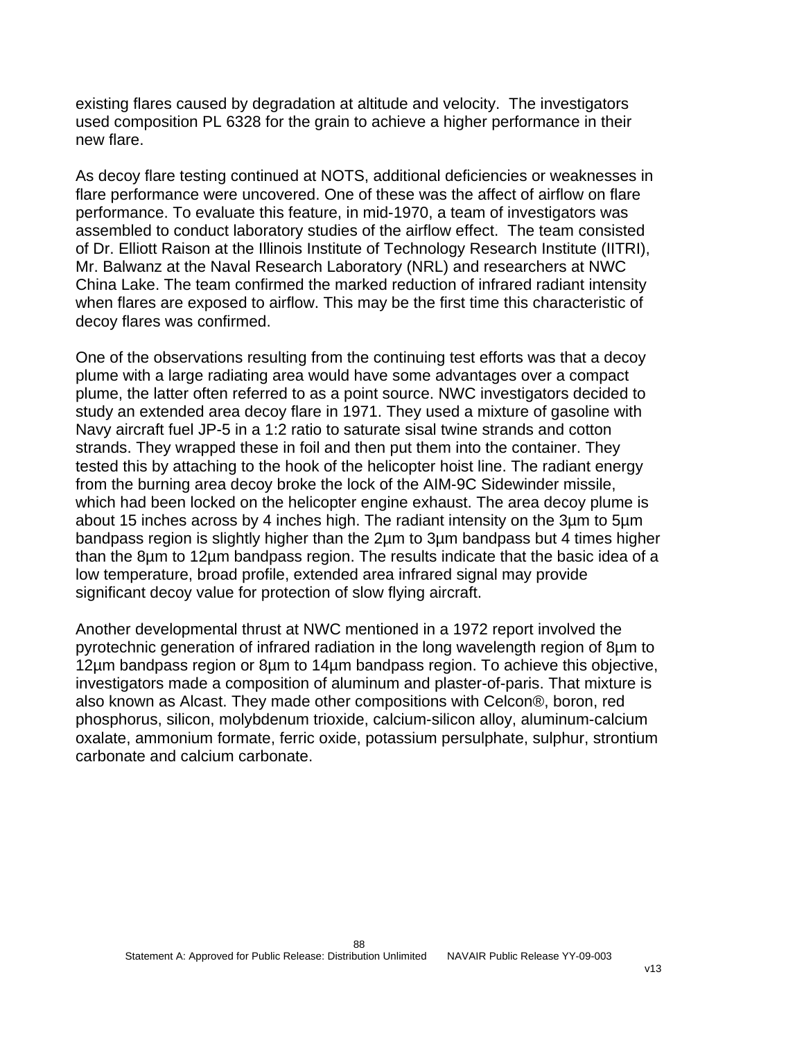existing flares caused by degradation at altitude and velocity. The investigators used composition PL 6328 for the grain to achieve a higher performance in their new flare.

As decoy flare testing continued at NOTS, additional deficiencies or weaknesses in flare performance were uncovered. One of these was the affect of airflow on flare performance. To evaluate this feature, in mid-1970, a team of investigators was assembled to conduct laboratory studies of the airflow effect. The team consisted of Dr. Elliott Raison at the Illinois Institute of Technology Research Institute (IITRI), Mr. Balwanz at the Naval Research Laboratory (NRL) and researchers at NWC China Lake. The team confirmed the marked reduction of infrared radiant intensity when flares are exposed to airflow. This may be the first time this characteristic of decoy flares was confirmed.

One of the observations resulting from the continuing test efforts was that a decoy plume with a large radiating area would have some advantages over a compact plume, the latter often referred to as a point source. NWC investigators decided to study an extended area decoy flare in 1971. They used a mixture of gasoline with Navy aircraft fuel JP-5 in a 1:2 ratio to saturate sisal twine strands and cotton strands. They wrapped these in foil and then put them into the container. They tested this by attaching to the hook of the helicopter hoist line. The radiant energy from the burning area decoy broke the lock of the AIM-9C Sidewinder missile, which had been locked on the helicopter engine exhaust. The area decoy plume is about 15 inches across by 4 inches high. The radiant intensity on the 3µm to 5µm bandpass region is slightly higher than the 2µm to 3µm bandpass but 4 times higher than the 8µm to 12µm bandpass region. The results indicate that the basic idea of a low temperature, broad profile, extended area infrared signal may provide significant decoy value for protection of slow flying aircraft.

Another developmental thrust at NWC mentioned in a 1972 report involved the pyrotechnic generation of infrared radiation in the long wavelength region of 8µm to 12µm bandpass region or 8µm to 14µm bandpass region. To achieve this objective, investigators made a composition of aluminum and plaster-of-paris. That mixture is also known as Alcast. They made other compositions with Celcon®, boron, red phosphorus, silicon, molybdenum trioxide, calcium-silicon alloy, aluminum-calcium oxalate, ammonium formate, ferric oxide, potassium persulphate, sulphur, strontium carbonate and calcium carbonate.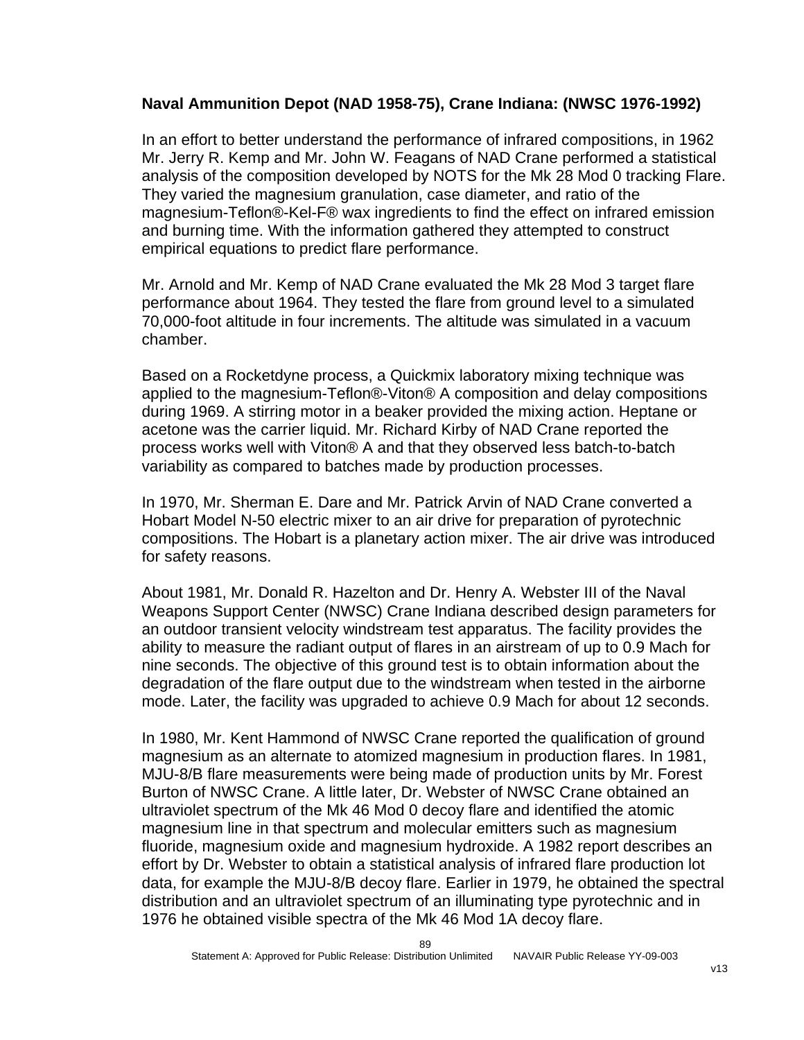## **Naval Ammunition Depot (NAD 1958-75), Crane Indiana: (NWSC 1976-1992)**

In an effort to better understand the performance of infrared compositions, in 1962 Mr. Jerry R. Kemp and Mr. John W. Feagans of NAD Crane performed a statistical analysis of the composition developed by NOTS for the Mk 28 Mod 0 tracking Flare. They varied the magnesium granulation, case diameter, and ratio of the magnesium-Teflon®-Kel-F® wax ingredients to find the effect on infrared emission and burning time. With the information gathered they attempted to construct empirical equations to predict flare performance.

Mr. Arnold and Mr. Kemp of NAD Crane evaluated the Mk 28 Mod 3 target flare performance about 1964. They tested the flare from ground level to a simulated 70,000-foot altitude in four increments. The altitude was simulated in a vacuum chamber.

Based on a Rocketdyne process, a Quickmix laboratory mixing technique was applied to the magnesium-Teflon®-Viton® A composition and delay compositions during 1969. A stirring motor in a beaker provided the mixing action. Heptane or acetone was the carrier liquid. Mr. Richard Kirby of NAD Crane reported the process works well with Viton® A and that they observed less batch-to-batch variability as compared to batches made by production processes.

In 1970, Mr. Sherman E. Dare and Mr. Patrick Arvin of NAD Crane converted a Hobart Model N-50 electric mixer to an air drive for preparation of pyrotechnic compositions. The Hobart is a planetary action mixer. The air drive was introduced for safety reasons.

About 1981, Mr. Donald R. Hazelton and Dr. Henry A. Webster III of the Naval Weapons Support Center (NWSC) Crane Indiana described design parameters for an outdoor transient velocity windstream test apparatus. The facility provides the ability to measure the radiant output of flares in an airstream of up to 0.9 Mach for nine seconds. The objective of this ground test is to obtain information about the degradation of the flare output due to the windstream when tested in the airborne mode. Later, the facility was upgraded to achieve 0.9 Mach for about 12 seconds.

In 1980, Mr. Kent Hammond of NWSC Crane reported the qualification of ground magnesium as an alternate to atomized magnesium in production flares. In 1981, MJU-8/B flare measurements were being made of production units by Mr. Forest Burton of NWSC Crane. A little later, Dr. Webster of NWSC Crane obtained an ultraviolet spectrum of the Mk 46 Mod 0 decoy flare and identified the atomic magnesium line in that spectrum and molecular emitters such as magnesium fluoride, magnesium oxide and magnesium hydroxide. A 1982 report describes an effort by Dr. Webster to obtain a statistical analysis of infrared flare production lot data, for example the MJU-8/B decoy flare. Earlier in 1979, he obtained the spectral distribution and an ultraviolet spectrum of an illuminating type pyrotechnic and in 1976 he obtained visible spectra of the Mk 46 Mod 1A decoy flare.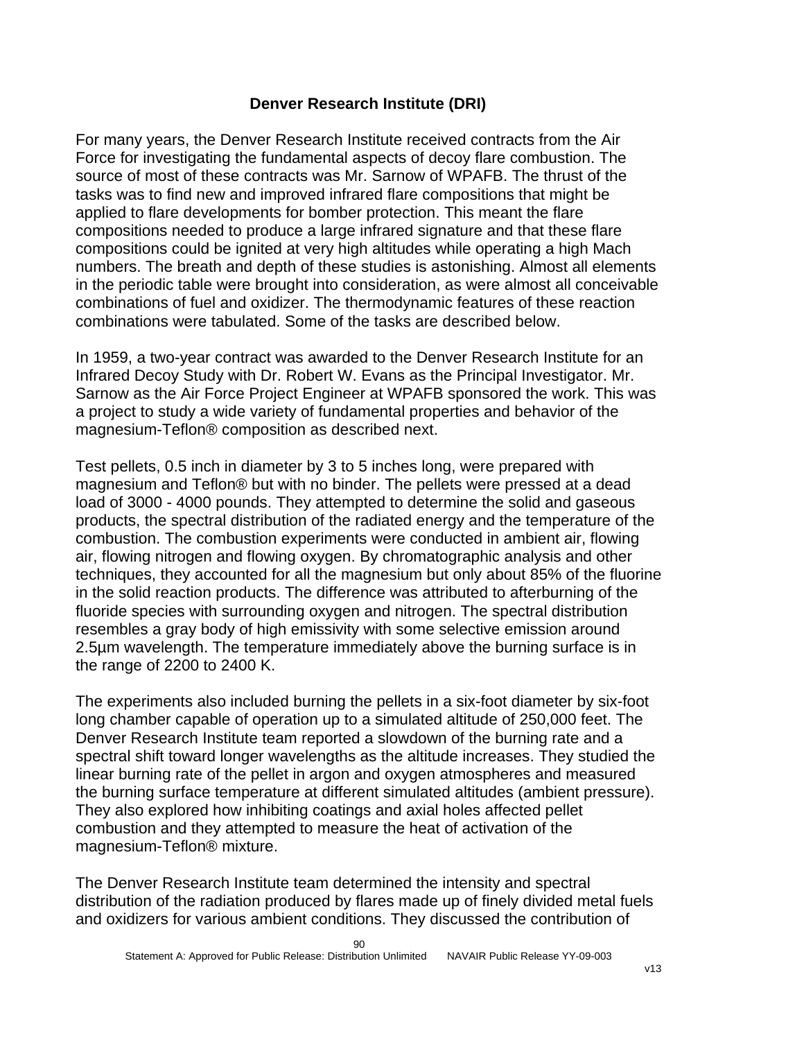#### **Denver Research Institute (DRI)**

For many years, the Denver Research Institute received contracts from the Air Force for investigating the fundamental aspects of decoy flare combustion. The source of most of these contracts was Mr. Sarnow of WPAFB. The thrust of the tasks was to find new and improved infrared flare compositions that might be applied to flare developments for bomber protection. This meant the flare compositions needed to produce a large infrared signature and that these flare compositions could be ignited at very high altitudes while operating a high Mach numbers. The breath and depth of these studies is astonishing. Almost all elements in the periodic table were brought into consideration, as were almost all conceivable combinations of fuel and oxidizer. The thermodynamic features of these reaction combinations were tabulated. Some of the tasks are described below.

In 1959, a two-year contract was awarded to the Denver Research Institute for an Infrared Decoy Study with Dr. Robert W. Evans as the Principal Investigator. Mr. Sarnow as the Air Force Project Engineer at WPAFB sponsored the work. This was a project to study a wide variety of fundamental properties and behavior of the magnesium-Teflon® composition as described next.

Test pellets, 0.5 inch in diameter by 3 to 5 inches long, were prepared with magnesium and Teflon® but with no binder. The pellets were pressed at a dead load of 3000 - 4000 pounds. They attempted to determine the solid and gaseous products, the spectral distribution of the radiated energy and the temperature of the combustion. The combustion experiments were conducted in ambient air, flowing air, flowing nitrogen and flowing oxygen. By chromatographic analysis and other techniques, they accounted for all the magnesium but only about 85% of the fluorine in the solid reaction products. The difference was attributed to afterburning of the fluoride species with surrounding oxygen and nitrogen. The spectral distribution resembles a gray body of high emissivity with some selective emission around 2.5µm wavelength. The temperature immediately above the burning surface is in the range of 2200 to 2400 K.

The experiments also included burning the pellets in a six-foot diameter by six-foot long chamber capable of operation up to a simulated altitude of 250,000 feet. The Denver Research Institute team reported a slowdown of the burning rate and a spectral shift toward longer wavelengths as the altitude increases. They studied the linear burning rate of the pellet in argon and oxygen atmospheres and measured the burning surface temperature at different simulated altitudes (ambient pressure). They also explored how inhibiting coatings and axial holes affected pellet combustion and they attempted to measure the heat of activation of the magnesium-Teflon® mixture.

The Denver Research Institute team determined the intensity and spectral distribution of the radiation produced by flares made up of finely divided metal fuels and oxidizers for various ambient conditions. They discussed the contribution of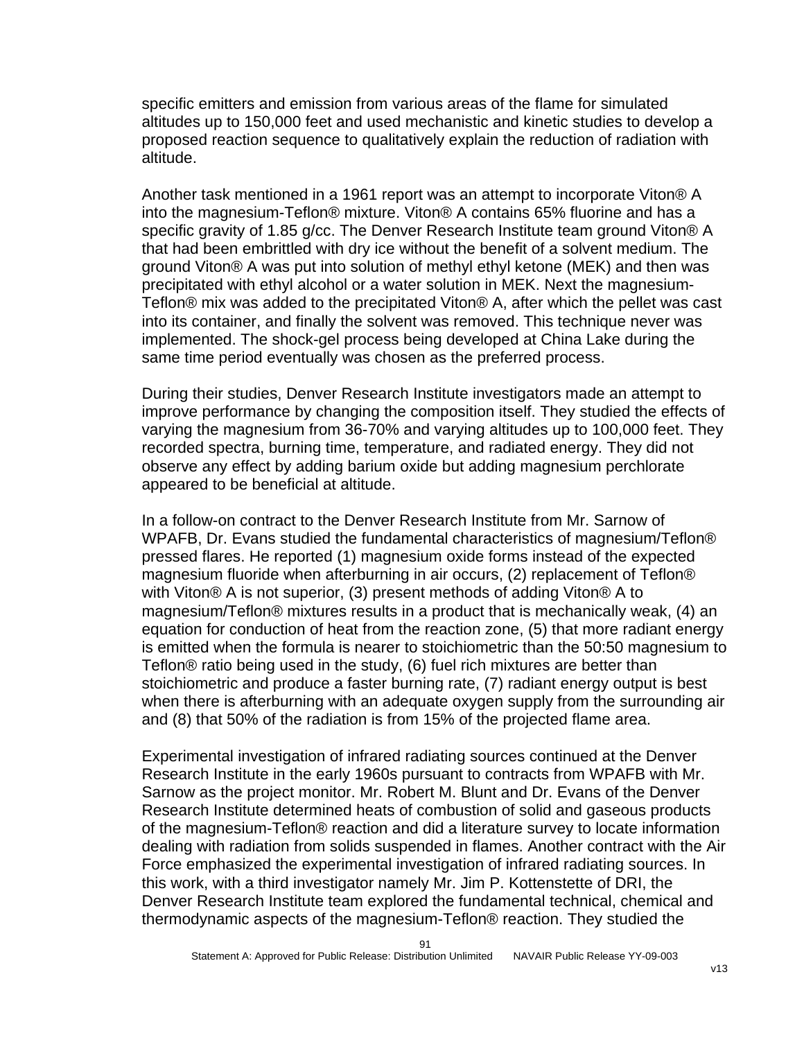specific emitters and emission from various areas of the flame for simulated altitudes up to 150,000 feet and used mechanistic and kinetic studies to develop a proposed reaction sequence to qualitatively explain the reduction of radiation with altitude.

Another task mentioned in a 1961 report was an attempt to incorporate Viton® A into the magnesium-Teflon® mixture. Viton® A contains 65% fluorine and has a specific gravity of 1.85 g/cc. The Denver Research Institute team ground Viton® A that had been embrittled with dry ice without the benefit of a solvent medium. The ground Viton® A was put into solution of methyl ethyl ketone (MEK) and then was precipitated with ethyl alcohol or a water solution in MEK. Next the magnesium-Teflon® mix was added to the precipitated Viton® A, after which the pellet was cast into its container, and finally the solvent was removed. This technique never was implemented. The shock-gel process being developed at China Lake during the same time period eventually was chosen as the preferred process.

During their studies, Denver Research Institute investigators made an attempt to improve performance by changing the composition itself. They studied the effects of varying the magnesium from 36-70% and varying altitudes up to 100,000 feet. They recorded spectra, burning time, temperature, and radiated energy. They did not observe any effect by adding barium oxide but adding magnesium perchlorate appeared to be beneficial at altitude.

In a follow-on contract to the Denver Research Institute from Mr. Sarnow of WPAFB, Dr. Evans studied the fundamental characteristics of magnesium/Teflon® pressed flares. He reported (1) magnesium oxide forms instead of the expected magnesium fluoride when afterburning in air occurs, (2) replacement of Teflon® with Viton® A is not superior, (3) present methods of adding Viton® A to magnesium/Teflon® mixtures results in a product that is mechanically weak, (4) an equation for conduction of heat from the reaction zone, (5) that more radiant energy is emitted when the formula is nearer to stoichiometric than the 50:50 magnesium to Teflon® ratio being used in the study, (6) fuel rich mixtures are better than stoichiometric and produce a faster burning rate, (7) radiant energy output is best when there is afterburning with an adequate oxygen supply from the surrounding air and (8) that 50% of the radiation is from 15% of the projected flame area.

Experimental investigation of infrared radiating sources continued at the Denver Research Institute in the early 1960s pursuant to contracts from WPAFB with Mr. Sarnow as the project monitor. Mr. Robert M. Blunt and Dr. Evans of the Denver Research Institute determined heats of combustion of solid and gaseous products of the magnesium-Teflon® reaction and did a literature survey to locate information dealing with radiation from solids suspended in flames. Another contract with the Air Force emphasized the experimental investigation of infrared radiating sources. In this work, with a third investigator namely Mr. Jim P. Kottenstette of DRI, the Denver Research Institute team explored the fundamental technical, chemical and thermodynamic aspects of the magnesium-Teflon® reaction. They studied the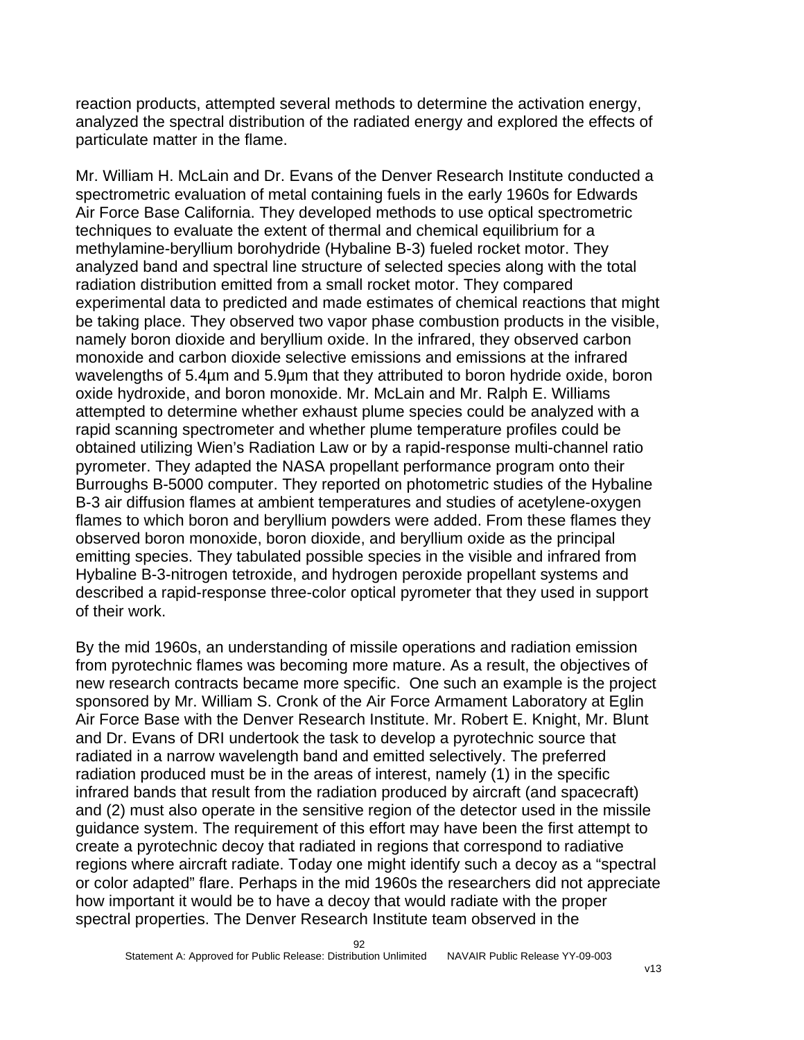reaction products, attempted several methods to determine the activation energy, analyzed the spectral distribution of the radiated energy and explored the effects of particulate matter in the flame.

Mr. William H. McLain and Dr. Evans of the Denver Research Institute conducted a spectrometric evaluation of metal containing fuels in the early 1960s for Edwards Air Force Base California. They developed methods to use optical spectrometric techniques to evaluate the extent of thermal and chemical equilibrium for a methylamine-beryllium borohydride (Hybaline B-3) fueled rocket motor. They analyzed band and spectral line structure of selected species along with the total radiation distribution emitted from a small rocket motor. They compared experimental data to predicted and made estimates of chemical reactions that might be taking place. They observed two vapor phase combustion products in the visible, namely boron dioxide and beryllium oxide. In the infrared, they observed carbon monoxide and carbon dioxide selective emissions and emissions at the infrared wavelengths of 5.4µm and 5.9µm that they attributed to boron hydride oxide, boron oxide hydroxide, and boron monoxide. Mr. McLain and Mr. Ralph E. Williams attempted to determine whether exhaust plume species could be analyzed with a rapid scanning spectrometer and whether plume temperature profiles could be obtained utilizing Wien's Radiation Law or by a rapid-response multi-channel ratio pyrometer. They adapted the NASA propellant performance program onto their Burroughs B-5000 computer. They reported on photometric studies of the Hybaline B-3 air diffusion flames at ambient temperatures and studies of acetylene-oxygen flames to which boron and beryllium powders were added. From these flames they observed boron monoxide, boron dioxide, and beryllium oxide as the principal emitting species. They tabulated possible species in the visible and infrared from Hybaline B-3-nitrogen tetroxide, and hydrogen peroxide propellant systems and described a rapid-response three-color optical pyrometer that they used in support of their work.

By the mid 1960s, an understanding of missile operations and radiation emission from pyrotechnic flames was becoming more mature. As a result, the objectives of new research contracts became more specific. One such an example is the project sponsored by Mr. William S. Cronk of the Air Force Armament Laboratory at Eglin Air Force Base with the Denver Research Institute. Mr. Robert E. Knight, Mr. Blunt and Dr. Evans of DRI undertook the task to develop a pyrotechnic source that radiated in a narrow wavelength band and emitted selectively. The preferred radiation produced must be in the areas of interest, namely (1) in the specific infrared bands that result from the radiation produced by aircraft (and spacecraft) and (2) must also operate in the sensitive region of the detector used in the missile guidance system. The requirement of this effort may have been the first attempt to create a pyrotechnic decoy that radiated in regions that correspond to radiative regions where aircraft radiate. Today one might identify such a decoy as a "spectral or color adapted" flare. Perhaps in the mid 1960s the researchers did not appreciate how important it would be to have a decoy that would radiate with the proper spectral properties. The Denver Research Institute team observed in the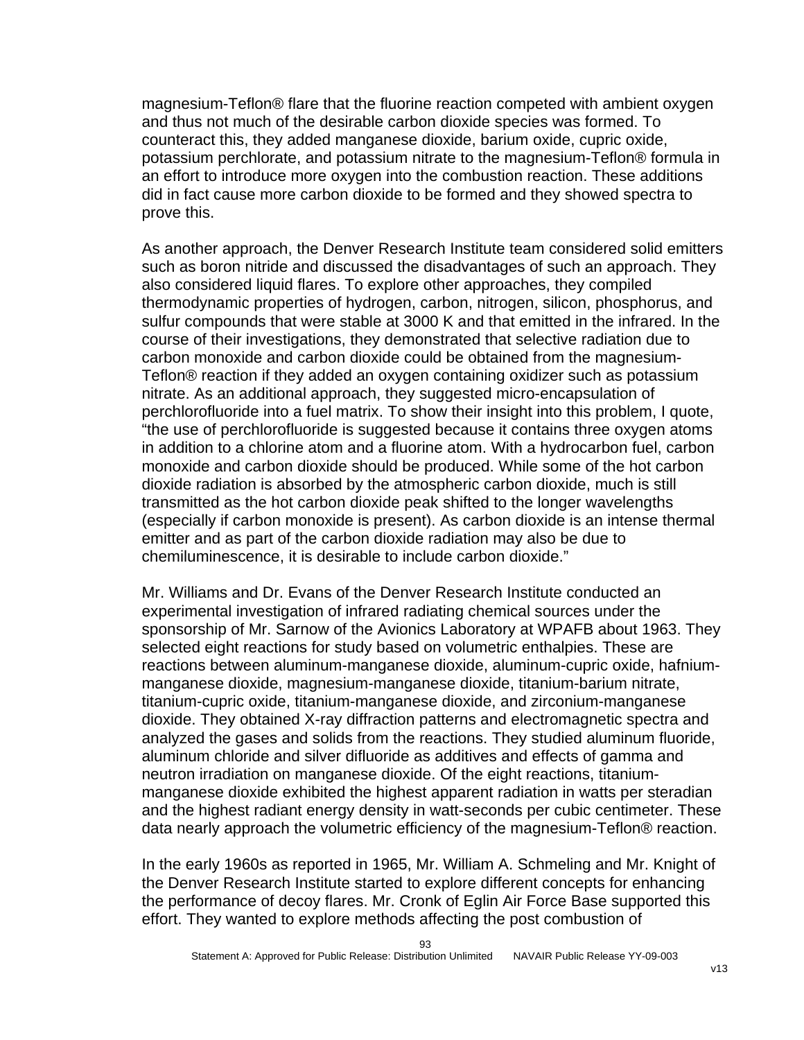magnesium-Teflon® flare that the fluorine reaction competed with ambient oxygen and thus not much of the desirable carbon dioxide species was formed. To counteract this, they added manganese dioxide, barium oxide, cupric oxide, potassium perchlorate, and potassium nitrate to the magnesium-Teflon® formula in an effort to introduce more oxygen into the combustion reaction. These additions did in fact cause more carbon dioxide to be formed and they showed spectra to prove this.

As another approach, the Denver Research Institute team considered solid emitters such as boron nitride and discussed the disadvantages of such an approach. They also considered liquid flares. To explore other approaches, they compiled thermodynamic properties of hydrogen, carbon, nitrogen, silicon, phosphorus, and sulfur compounds that were stable at 3000 K and that emitted in the infrared. In the course of their investigations, they demonstrated that selective radiation due to carbon monoxide and carbon dioxide could be obtained from the magnesium-Teflon® reaction if they added an oxygen containing oxidizer such as potassium nitrate. As an additional approach, they suggested micro-encapsulation of perchlorofluoride into a fuel matrix. To show their insight into this problem, I quote, "the use of perchlorofluoride is suggested because it contains three oxygen atoms in addition to a chlorine atom and a fluorine atom. With a hydrocarbon fuel, carbon monoxide and carbon dioxide should be produced. While some of the hot carbon dioxide radiation is absorbed by the atmospheric carbon dioxide, much is still transmitted as the hot carbon dioxide peak shifted to the longer wavelengths (especially if carbon monoxide is present). As carbon dioxide is an intense thermal emitter and as part of the carbon dioxide radiation may also be due to chemiluminescence, it is desirable to include carbon dioxide."

Mr. Williams and Dr. Evans of the Denver Research Institute conducted an experimental investigation of infrared radiating chemical sources under the sponsorship of Mr. Sarnow of the Avionics Laboratory at WPAFB about 1963. They selected eight reactions for study based on volumetric enthalpies. These are reactions between aluminum-manganese dioxide, aluminum-cupric oxide, hafniummanganese dioxide, magnesium-manganese dioxide, titanium-barium nitrate, titanium-cupric oxide, titanium-manganese dioxide, and zirconium-manganese dioxide. They obtained X-ray diffraction patterns and electromagnetic spectra and analyzed the gases and solids from the reactions. They studied aluminum fluoride, aluminum chloride and silver difluoride as additives and effects of gamma and neutron irradiation on manganese dioxide. Of the eight reactions, titaniummanganese dioxide exhibited the highest apparent radiation in watts per steradian and the highest radiant energy density in watt-seconds per cubic centimeter. These data nearly approach the volumetric efficiency of the magnesium-Teflon® reaction.

In the early 1960s as reported in 1965, Mr. William A. Schmeling and Mr. Knight of the Denver Research Institute started to explore different concepts for enhancing the performance of decoy flares. Mr. Cronk of Eglin Air Force Base supported this effort. They wanted to explore methods affecting the post combustion of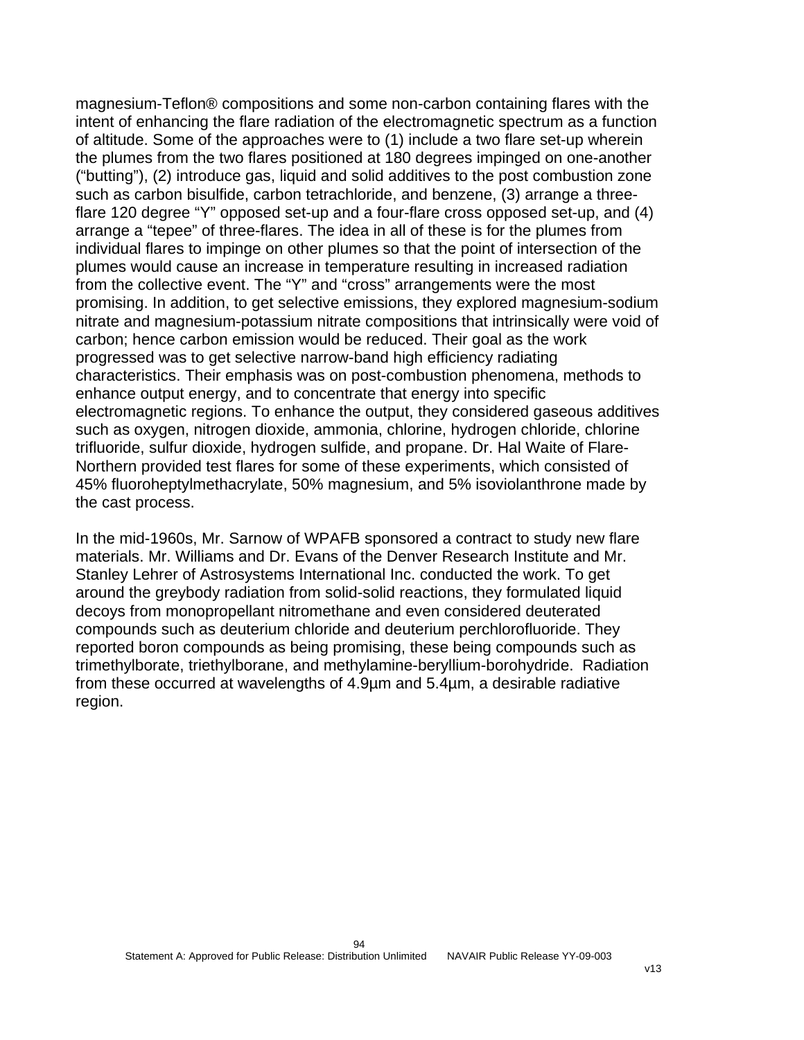magnesium-Teflon® compositions and some non-carbon containing flares with the intent of enhancing the flare radiation of the electromagnetic spectrum as a function of altitude. Some of the approaches were to (1) include a two flare set-up wherein the plumes from the two flares positioned at 180 degrees impinged on one-another ("butting"), (2) introduce gas, liquid and solid additives to the post combustion zone such as carbon bisulfide, carbon tetrachloride, and benzene, (3) arrange a threeflare 120 degree "Y" opposed set-up and a four-flare cross opposed set-up, and (4) arrange a "tepee" of three-flares. The idea in all of these is for the plumes from individual flares to impinge on other plumes so that the point of intersection of the plumes would cause an increase in temperature resulting in increased radiation from the collective event. The "Y" and "cross" arrangements were the most promising. In addition, to get selective emissions, they explored magnesium-sodium nitrate and magnesium-potassium nitrate compositions that intrinsically were void of carbon; hence carbon emission would be reduced. Their goal as the work progressed was to get selective narrow-band high efficiency radiating characteristics. Their emphasis was on post-combustion phenomena, methods to enhance output energy, and to concentrate that energy into specific electromagnetic regions. To enhance the output, they considered gaseous additives such as oxygen, nitrogen dioxide, ammonia, chlorine, hydrogen chloride, chlorine trifluoride, sulfur dioxide, hydrogen sulfide, and propane. Dr. Hal Waite of Flare-Northern provided test flares for some of these experiments, which consisted of 45% fluoroheptylmethacrylate, 50% magnesium, and 5% isoviolanthrone made by the cast process.

In the mid-1960s, Mr. Sarnow of WPAFB sponsored a contract to study new flare materials. Mr. Williams and Dr. Evans of the Denver Research Institute and Mr. Stanley Lehrer of Astrosystems International Inc. conducted the work. To get around the greybody radiation from solid-solid reactions, they formulated liquid decoys from monopropellant nitromethane and even considered deuterated compounds such as deuterium chloride and deuterium perchlorofluoride. They reported boron compounds as being promising, these being compounds such as trimethylborate, triethylborane, and methylamine-beryllium-borohydride. Radiation from these occurred at wavelengths of 4.9µm and 5.4µm, a desirable radiative region.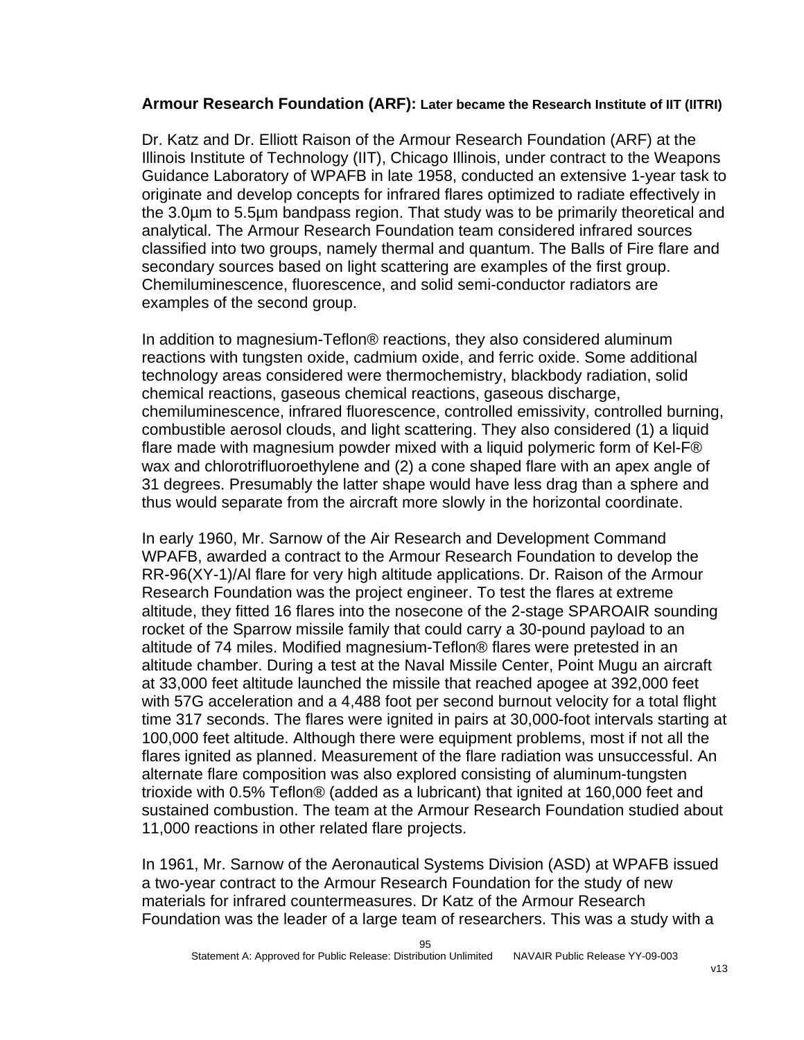#### **Armour Research Foundation (ARF): Later became the Research Institute of IIT (IITRI)**

Dr. Katz and Dr. Elliott Raison of the Armour Research Foundation (ARF) at the Illinois Institute of Technology (IIT), Chicago Illinois, under contract to the Weapons Guidance Laboratory of WPAFB in late 1958, conducted an extensive 1-year task to originate and develop concepts for infrared flares optimized to radiate effectively in the 3.0µm to 5.5µm bandpass region. That study was to be primarily theoretical and analytical. The Armour Research Foundation team considered infrared sources classified into two groups, namely thermal and quantum. The Balls of Fire flare and secondary sources based on light scattering are examples of the first group. Chemiluminescence, fluorescence, and solid semi-conductor radiators are examples of the second group.

In addition to magnesium-Teflon® reactions, they also considered aluminum reactions with tungsten oxide, cadmium oxide, and ferric oxide. Some additional technology areas considered were thermochemistry, blackbody radiation, solid chemical reactions, gaseous chemical reactions, gaseous discharge, chemiluminescence, infrared fluorescence, controlled emissivity, controlled burning, combustible aerosol clouds, and light scattering. They also considered (1) a liquid flare made with magnesium powder mixed with a liquid polymeric form of Kel-F® wax and chlorotrifluoroethylene and (2) a cone shaped flare with an apex angle of 31 degrees. Presumably the latter shape would have less drag than a sphere and thus would separate from the aircraft more slowly in the horizontal coordinate.

In early 1960, Mr. Sarnow of the Air Research and Development Command WPAFB, awarded a contract to the Armour Research Foundation to develop the RR-96(XY-1)/Al flare for very high altitude applications. Dr. Raison of the Armour Research Foundation was the project engineer. To test the flares at extreme altitude, they fitted 16 flares into the nosecone of the 2-stage SPAROAIR sounding rocket of the Sparrow missile family that could carry a 30-pound payload to an altitude of 74 miles. Modified magnesium-Teflon® flares were pretested in an altitude chamber. During a test at the Naval Missile Center, Point Mugu an aircraft at 33,000 feet altitude launched the missile that reached apogee at 392,000 feet with 57G acceleration and a 4,488 foot per second burnout velocity for a total flight time 317 seconds. The flares were ignited in pairs at 30,000-foot intervals starting at 100,000 feet altitude. Although there were equipment problems, most if not all the flares ignited as planned. Measurement of the flare radiation was unsuccessful. An alternate flare composition was also explored consisting of aluminum-tungsten trioxide with 0.5% Teflon® (added as a lubricant) that ignited at 160,000 feet and sustained combustion. The team at the Armour Research Foundation studied about 11,000 reactions in other related flare projects.

In 1961, Mr. Sarnow of the Aeronautical Systems Division (ASD) at WPAFB issued a two-year contract to the Armour Research Foundation for the study of new materials for infrared countermeasures. Dr Katz of the Armour Research Foundation was the leader of a large team of researchers. This was a study with a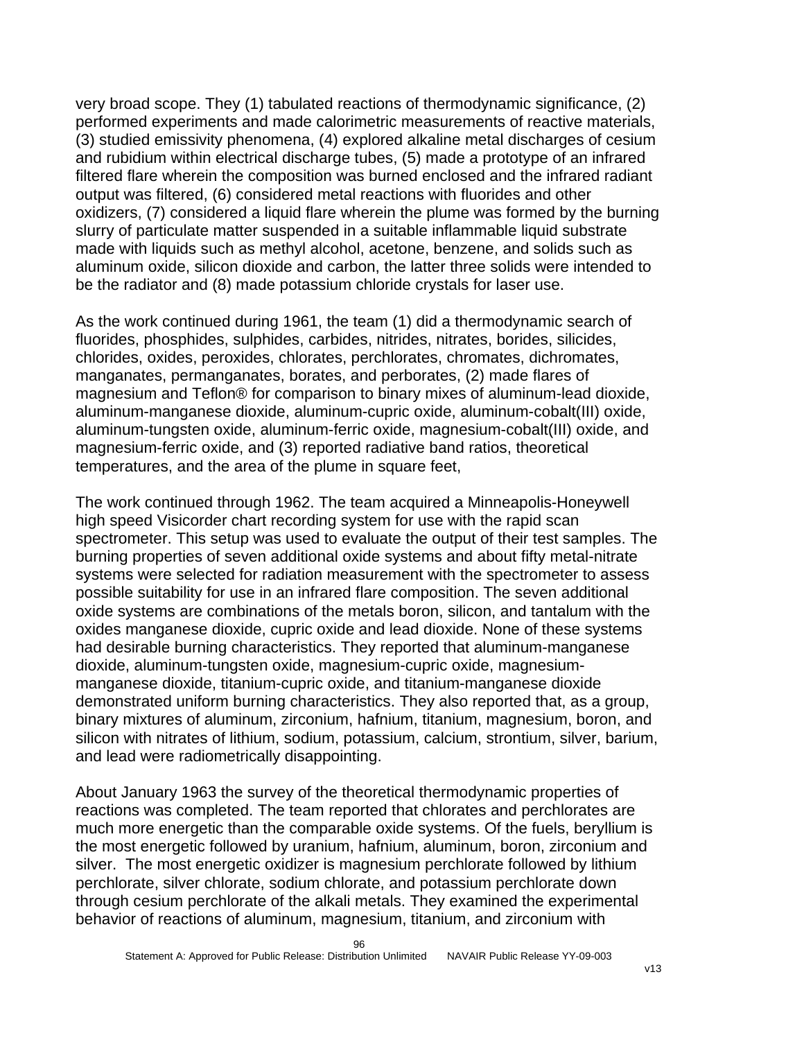very broad scope. They (1) tabulated reactions of thermodynamic significance, (2) performed experiments and made calorimetric measurements of reactive materials, (3) studied emissivity phenomena, (4) explored alkaline metal discharges of cesium and rubidium within electrical discharge tubes, (5) made a prototype of an infrared filtered flare wherein the composition was burned enclosed and the infrared radiant output was filtered, (6) considered metal reactions with fluorides and other oxidizers, (7) considered a liquid flare wherein the plume was formed by the burning slurry of particulate matter suspended in a suitable inflammable liquid substrate made with liquids such as methyl alcohol, acetone, benzene, and solids such as aluminum oxide, silicon dioxide and carbon, the latter three solids were intended to be the radiator and (8) made potassium chloride crystals for laser use.

As the work continued during 1961, the team (1) did a thermodynamic search of fluorides, phosphides, sulphides, carbides, nitrides, nitrates, borides, silicides, chlorides, oxides, peroxides, chlorates, perchlorates, chromates, dichromates, manganates, permanganates, borates, and perborates, (2) made flares of magnesium and Teflon® for comparison to binary mixes of aluminum-lead dioxide, aluminum-manganese dioxide, aluminum-cupric oxide, aluminum-cobalt(III) oxide, aluminum-tungsten oxide, aluminum-ferric oxide, magnesium-cobalt(III) oxide, and magnesium-ferric oxide, and (3) reported radiative band ratios, theoretical temperatures, and the area of the plume in square feet,

The work continued through 1962. The team acquired a Minneapolis-Honeywell high speed Visicorder chart recording system for use with the rapid scan spectrometer. This setup was used to evaluate the output of their test samples. The burning properties of seven additional oxide systems and about fifty metal-nitrate systems were selected for radiation measurement with the spectrometer to assess possible suitability for use in an infrared flare composition. The seven additional oxide systems are combinations of the metals boron, silicon, and tantalum with the oxides manganese dioxide, cupric oxide and lead dioxide. None of these systems had desirable burning characteristics. They reported that aluminum-manganese dioxide, aluminum-tungsten oxide, magnesium-cupric oxide, magnesiummanganese dioxide, titanium-cupric oxide, and titanium-manganese dioxide demonstrated uniform burning characteristics. They also reported that, as a group, binary mixtures of aluminum, zirconium, hafnium, titanium, magnesium, boron, and silicon with nitrates of lithium, sodium, potassium, calcium, strontium, silver, barium, and lead were radiometrically disappointing.

About January 1963 the survey of the theoretical thermodynamic properties of reactions was completed. The team reported that chlorates and perchlorates are much more energetic than the comparable oxide systems. Of the fuels, beryllium is the most energetic followed by uranium, hafnium, aluminum, boron, zirconium and silver. The most energetic oxidizer is magnesium perchlorate followed by lithium perchlorate, silver chlorate, sodium chlorate, and potassium perchlorate down through cesium perchlorate of the alkali metals. They examined the experimental behavior of reactions of aluminum, magnesium, titanium, and zirconium with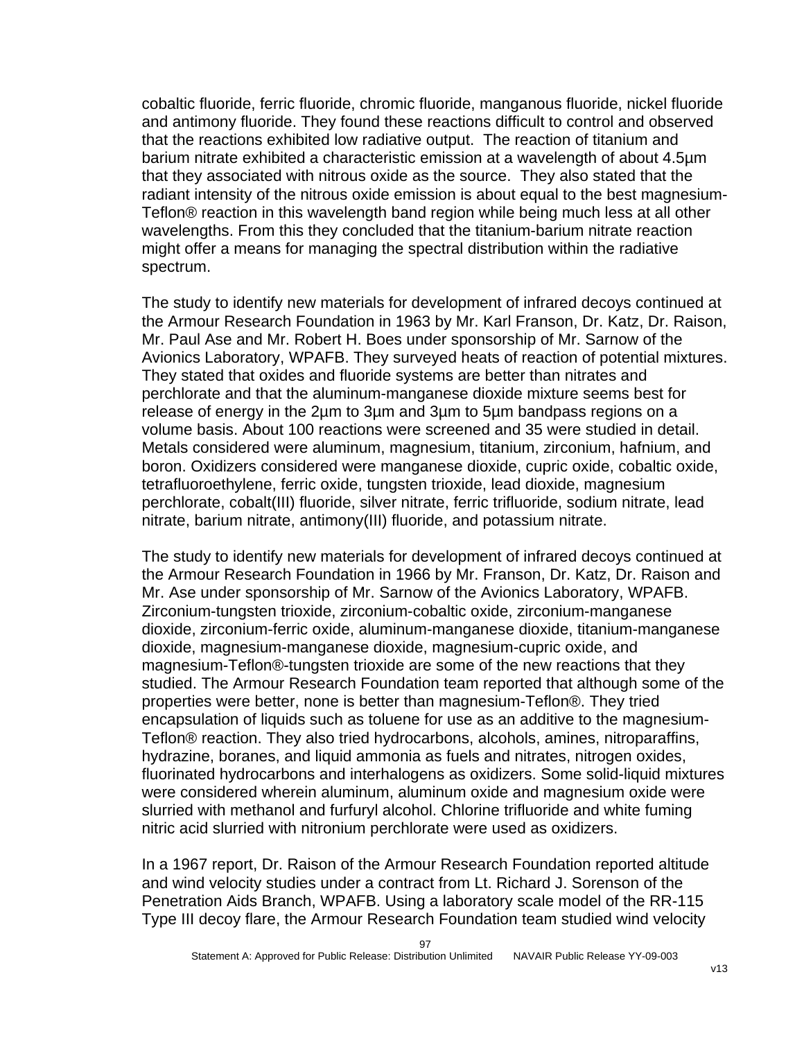cobaltic fluoride, ferric fluoride, chromic fluoride, manganous fluoride, nickel fluoride and antimony fluoride. They found these reactions difficult to control and observed that the reactions exhibited low radiative output. The reaction of titanium and barium nitrate exhibited a characteristic emission at a wavelength of about 4.5µm that they associated with nitrous oxide as the source. They also stated that the radiant intensity of the nitrous oxide emission is about equal to the best magnesium-Teflon® reaction in this wavelength band region while being much less at all other wavelengths. From this they concluded that the titanium-barium nitrate reaction might offer a means for managing the spectral distribution within the radiative spectrum.

The study to identify new materials for development of infrared decoys continued at the Armour Research Foundation in 1963 by Mr. Karl Franson, Dr. Katz, Dr. Raison, Mr. Paul Ase and Mr. Robert H. Boes under sponsorship of Mr. Sarnow of the Avionics Laboratory, WPAFB. They surveyed heats of reaction of potential mixtures. They stated that oxides and fluoride systems are better than nitrates and perchlorate and that the aluminum-manganese dioxide mixture seems best for release of energy in the 2µm to 3µm and 3µm to 5µm bandpass regions on a volume basis. About 100 reactions were screened and 35 were studied in detail. Metals considered were aluminum, magnesium, titanium, zirconium, hafnium, and boron. Oxidizers considered were manganese dioxide, cupric oxide, cobaltic oxide, tetrafluoroethylene, ferric oxide, tungsten trioxide, lead dioxide, magnesium perchlorate, cobalt(III) fluoride, silver nitrate, ferric trifluoride, sodium nitrate, lead nitrate, barium nitrate, antimony(III) fluoride, and potassium nitrate.

The study to identify new materials for development of infrared decoys continued at the Armour Research Foundation in 1966 by Mr. Franson, Dr. Katz, Dr. Raison and Mr. Ase under sponsorship of Mr. Sarnow of the Avionics Laboratory, WPAFB. Zirconium-tungsten trioxide, zirconium-cobaltic oxide, zirconium-manganese dioxide, zirconium-ferric oxide, aluminum-manganese dioxide, titanium-manganese dioxide, magnesium-manganese dioxide, magnesium-cupric oxide, and magnesium-Teflon®-tungsten trioxide are some of the new reactions that they studied. The Armour Research Foundation team reported that although some of the properties were better, none is better than magnesium-Teflon®. They tried encapsulation of liquids such as toluene for use as an additive to the magnesium-Teflon® reaction. They also tried hydrocarbons, alcohols, amines, nitroparaffins, hydrazine, boranes, and liquid ammonia as fuels and nitrates, nitrogen oxides, fluorinated hydrocarbons and interhalogens as oxidizers. Some solid-liquid mixtures were considered wherein aluminum, aluminum oxide and magnesium oxide were slurried with methanol and furfuryl alcohol. Chlorine trifluoride and white fuming nitric acid slurried with nitronium perchlorate were used as oxidizers.

In a 1967 report, Dr. Raison of the Armour Research Foundation reported altitude and wind velocity studies under a contract from Lt. Richard J. Sorenson of the Penetration Aids Branch, WPAFB. Using a laboratory scale model of the RR-115 Type III decoy flare, the Armour Research Foundation team studied wind velocity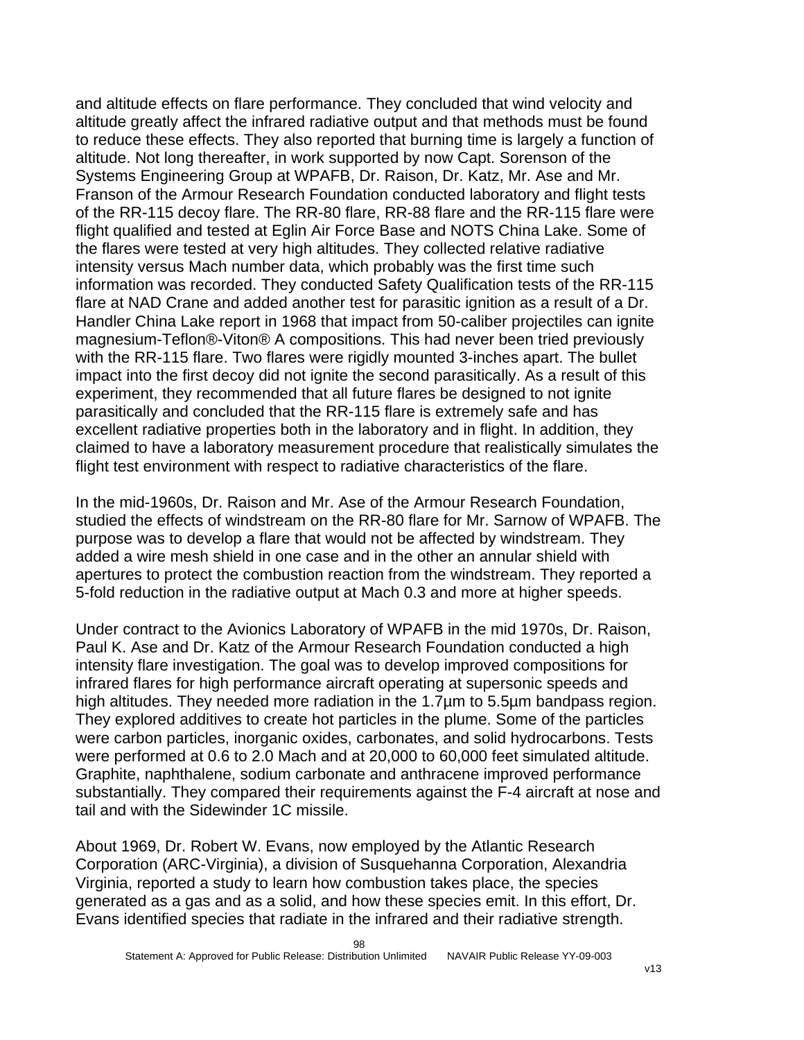and altitude effects on flare performance. They concluded that wind velocity and altitude greatly affect the infrared radiative output and that methods must be found to reduce these effects. They also reported that burning time is largely a function of altitude. Not long thereafter, in work supported by now Capt. Sorenson of the Systems Engineering Group at WPAFB, Dr. Raison, Dr. Katz, Mr. Ase and Mr. Franson of the Armour Research Foundation conducted laboratory and flight tests of the RR-115 decoy flare. The RR-80 flare, RR-88 flare and the RR-115 flare were flight qualified and tested at Eglin Air Force Base and NOTS China Lake. Some of the flares were tested at very high altitudes. They collected relative radiative intensity versus Mach number data, which probably was the first time such information was recorded. They conducted Safety Qualification tests of the RR-115 flare at NAD Crane and added another test for parasitic ignition as a result of a Dr. Handler China Lake report in 1968 that impact from 50-caliber projectiles can ignite magnesium-Teflon®-Viton® A compositions. This had never been tried previously with the RR-115 flare. Two flares were rigidly mounted 3-inches apart. The bullet impact into the first decoy did not ignite the second parasitically. As a result of this experiment, they recommended that all future flares be designed to not ignite parasitically and concluded that the RR-115 flare is extremely safe and has excellent radiative properties both in the laboratory and in flight. In addition, they claimed to have a laboratory measurement procedure that realistically simulates the flight test environment with respect to radiative characteristics of the flare.

In the mid-1960s, Dr. Raison and Mr. Ase of the Armour Research Foundation, studied the effects of windstream on the RR-80 flare for Mr. Sarnow of WPAFB. The purpose was to develop a flare that would not be affected by windstream. They added a wire mesh shield in one case and in the other an annular shield with apertures to protect the combustion reaction from the windstream. They reported a 5-fold reduction in the radiative output at Mach 0.3 and more at higher speeds.

Under contract to the Avionics Laboratory of WPAFB in the mid 1970s, Dr. Raison, Paul K. Ase and Dr. Katz of the Armour Research Foundation conducted a high intensity flare investigation. The goal was to develop improved compositions for infrared flares for high performance aircraft operating at supersonic speeds and high altitudes. They needed more radiation in the 1.7µm to 5.5µm bandpass region. They explored additives to create hot particles in the plume. Some of the particles were carbon particles, inorganic oxides, carbonates, and solid hydrocarbons. Tests were performed at 0.6 to 2.0 Mach and at 20,000 to 60,000 feet simulated altitude. Graphite, naphthalene, sodium carbonate and anthracene improved performance substantially. They compared their requirements against the F-4 aircraft at nose and tail and with the Sidewinder 1C missile.

About 1969, Dr. Robert W. Evans, now employed by the Atlantic Research Corporation (ARC-Virginia), a division of Susquehanna Corporation, Alexandria Virginia, reported a study to learn how combustion takes place, the species generated as a gas and as a solid, and how these species emit. In this effort, Dr. Evans identified species that radiate in the infrared and their radiative strength.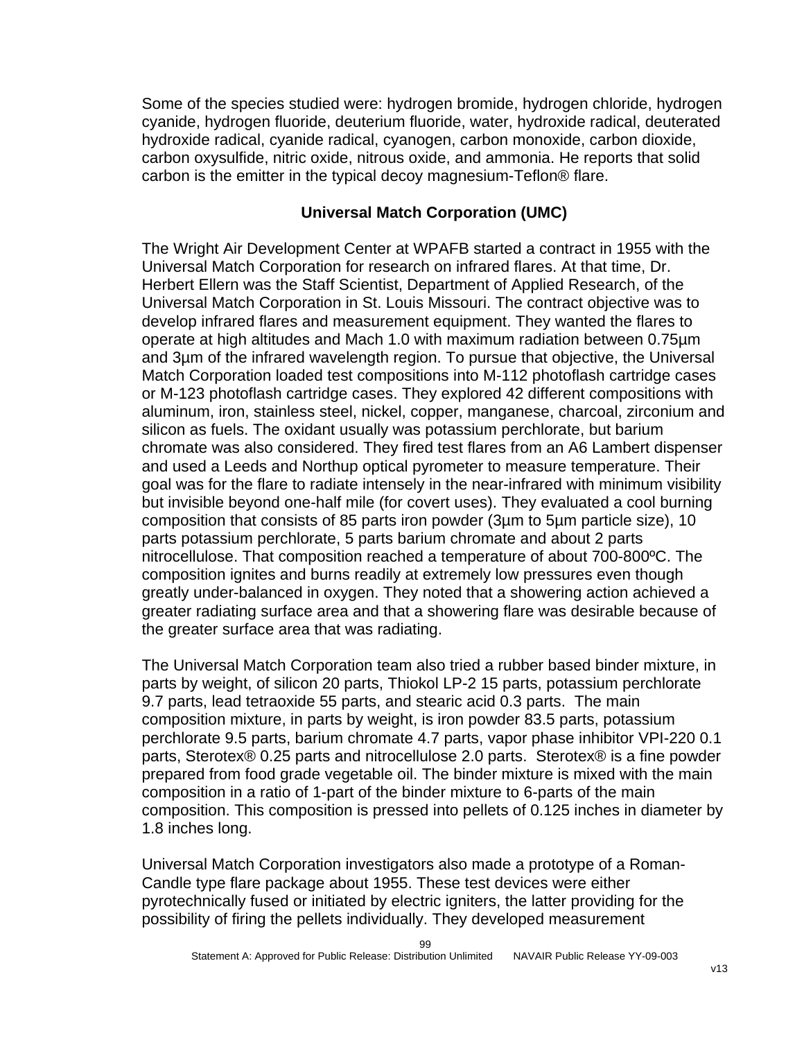Some of the species studied were: hydrogen bromide, hydrogen chloride, hydrogen cyanide, hydrogen fluoride, deuterium fluoride, water, hydroxide radical, deuterated hydroxide radical, cyanide radical, cyanogen, carbon monoxide, carbon dioxide, carbon oxysulfide, nitric oxide, nitrous oxide, and ammonia. He reports that solid carbon is the emitter in the typical decoy magnesium-Teflon® flare.

## **Universal Match Corporation (UMC)**

The Wright Air Development Center at WPAFB started a contract in 1955 with the Universal Match Corporation for research on infrared flares. At that time, Dr. Herbert Ellern was the Staff Scientist, Department of Applied Research, of the Universal Match Corporation in St. Louis Missouri. The contract objective was to develop infrared flares and measurement equipment. They wanted the flares to operate at high altitudes and Mach 1.0 with maximum radiation between 0.75µm and 3µm of the infrared wavelength region. To pursue that objective, the Universal Match Corporation loaded test compositions into M-112 photoflash cartridge cases or M-123 photoflash cartridge cases. They explored 42 different compositions with aluminum, iron, stainless steel, nickel, copper, manganese, charcoal, zirconium and silicon as fuels. The oxidant usually was potassium perchlorate, but barium chromate was also considered. They fired test flares from an A6 Lambert dispenser and used a Leeds and Northup optical pyrometer to measure temperature. Their goal was for the flare to radiate intensely in the near-infrared with minimum visibility but invisible beyond one-half mile (for covert uses). They evaluated a cool burning composition that consists of 85 parts iron powder (3µm to 5µm particle size), 10 parts potassium perchlorate, 5 parts barium chromate and about 2 parts nitrocellulose. That composition reached a temperature of about 700-800ºC. The composition ignites and burns readily at extremely low pressures even though greatly under-balanced in oxygen. They noted that a showering action achieved a greater radiating surface area and that a showering flare was desirable because of the greater surface area that was radiating.

The Universal Match Corporation team also tried a rubber based binder mixture, in parts by weight, of silicon 20 parts, Thiokol LP-2 15 parts, potassium perchlorate 9.7 parts, lead tetraoxide 55 parts, and stearic acid 0.3 parts. The main composition mixture, in parts by weight, is iron powder 83.5 parts, potassium perchlorate 9.5 parts, barium chromate 4.7 parts, vapor phase inhibitor VPI-220 0.1 parts, Sterotex® 0.25 parts and nitrocellulose 2.0 parts. Sterotex® is a fine powder prepared from food grade vegetable oil. The binder mixture is mixed with the main composition in a ratio of 1-part of the binder mixture to 6-parts of the main composition. This composition is pressed into pellets of 0.125 inches in diameter by 1.8 inches long.

Universal Match Corporation investigators also made a prototype of a Roman-Candle type flare package about 1955. These test devices were either pyrotechnically fused or initiated by electric igniters, the latter providing for the possibility of firing the pellets individually. They developed measurement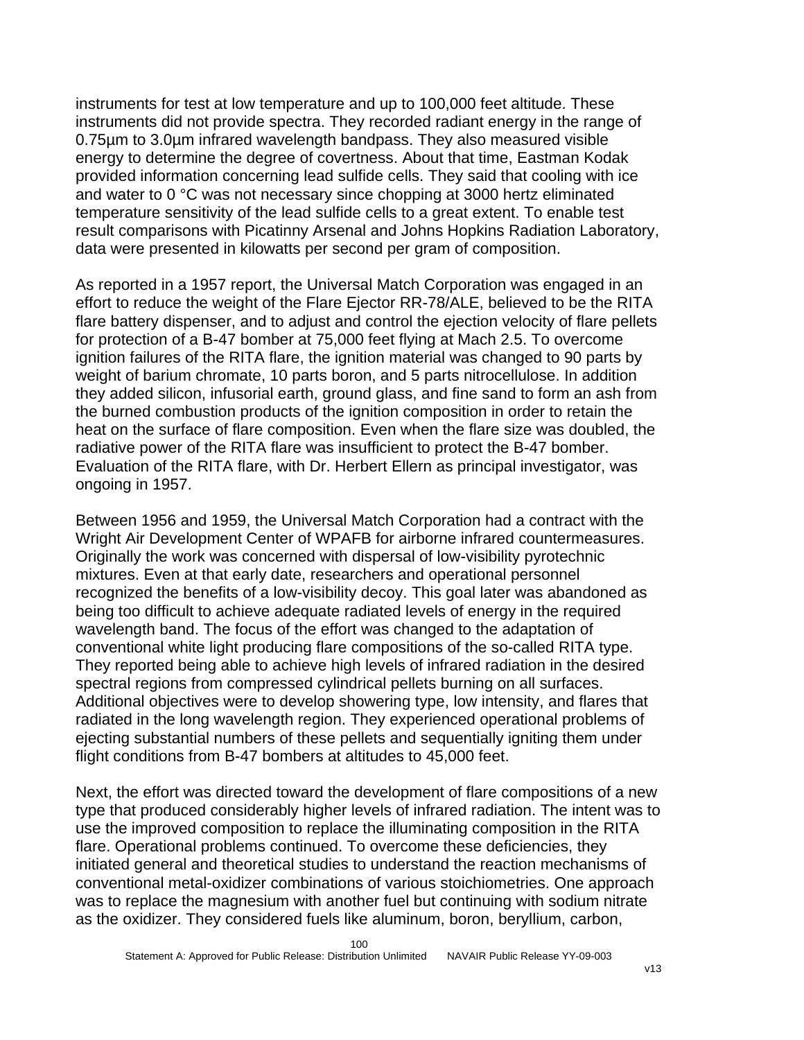instruments for test at low temperature and up to 100,000 feet altitude. These instruments did not provide spectra. They recorded radiant energy in the range of 0.75µm to 3.0µm infrared wavelength bandpass. They also measured visible energy to determine the degree of covertness. About that time, Eastman Kodak provided information concerning lead sulfide cells. They said that cooling with ice and water to 0 °C was not necessary since chopping at 3000 hertz eliminated temperature sensitivity of the lead sulfide cells to a great extent. To enable test result comparisons with Picatinny Arsenal and Johns Hopkins Radiation Laboratory, data were presented in kilowatts per second per gram of composition.

As reported in a 1957 report, the Universal Match Corporation was engaged in an effort to reduce the weight of the Flare Ejector RR-78/ALE, believed to be the RITA flare battery dispenser, and to adjust and control the ejection velocity of flare pellets for protection of a B-47 bomber at 75,000 feet flying at Mach 2.5. To overcome ignition failures of the RITA flare, the ignition material was changed to 90 parts by weight of barium chromate, 10 parts boron, and 5 parts nitrocellulose. In addition they added silicon, infusorial earth, ground glass, and fine sand to form an ash from the burned combustion products of the ignition composition in order to retain the heat on the surface of flare composition. Even when the flare size was doubled, the radiative power of the RITA flare was insufficient to protect the B-47 bomber. Evaluation of the RITA flare, with Dr. Herbert Ellern as principal investigator, was ongoing in 1957.

Between 1956 and 1959, the Universal Match Corporation had a contract with the Wright Air Development Center of WPAFB for airborne infrared countermeasures. Originally the work was concerned with dispersal of low-visibility pyrotechnic mixtures. Even at that early date, researchers and operational personnel recognized the benefits of a low-visibility decoy. This goal later was abandoned as being too difficult to achieve adequate radiated levels of energy in the required wavelength band. The focus of the effort was changed to the adaptation of conventional white light producing flare compositions of the so-called RITA type. They reported being able to achieve high levels of infrared radiation in the desired spectral regions from compressed cylindrical pellets burning on all surfaces. Additional objectives were to develop showering type, low intensity, and flares that radiated in the long wavelength region. They experienced operational problems of ejecting substantial numbers of these pellets and sequentially igniting them under flight conditions from B-47 bombers at altitudes to 45,000 feet.

Next, the effort was directed toward the development of flare compositions of a new type that produced considerably higher levels of infrared radiation. The intent was to use the improved composition to replace the illuminating composition in the RITA flare. Operational problems continued. To overcome these deficiencies, they initiated general and theoretical studies to understand the reaction mechanisms of conventional metal-oxidizer combinations of various stoichiometries. One approach was to replace the magnesium with another fuel but continuing with sodium nitrate as the oxidizer. They considered fuels like aluminum, boron, beryllium, carbon,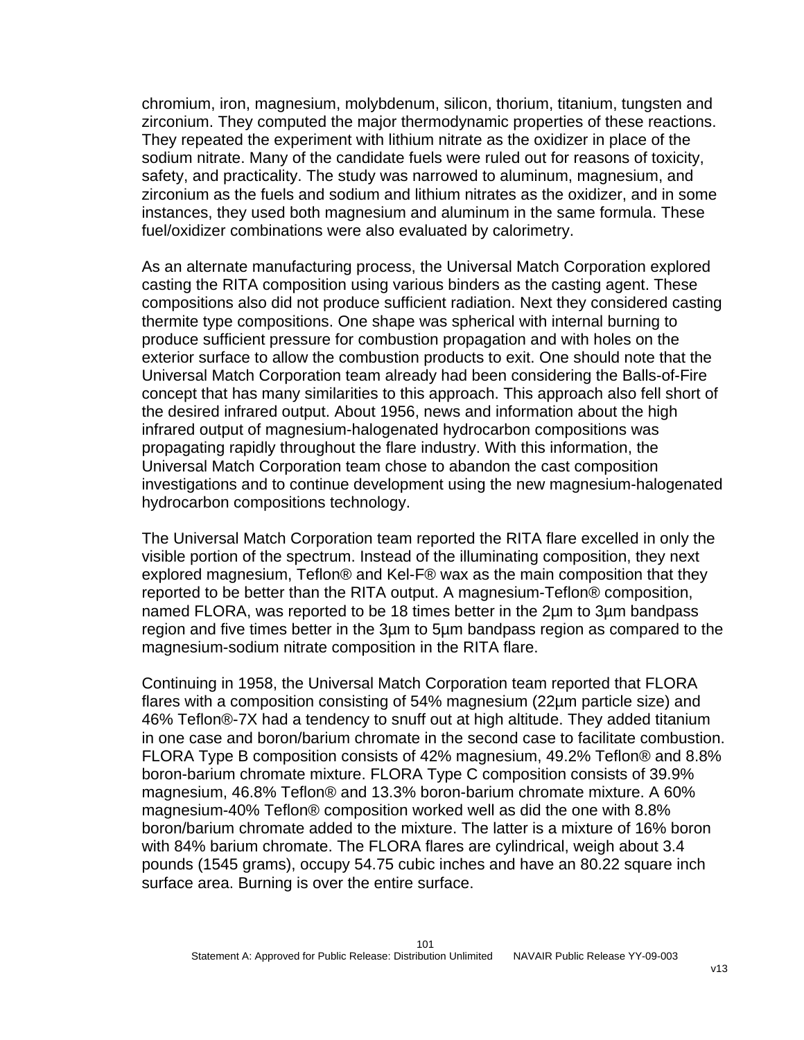chromium, iron, magnesium, molybdenum, silicon, thorium, titanium, tungsten and zirconium. They computed the major thermodynamic properties of these reactions. They repeated the experiment with lithium nitrate as the oxidizer in place of the sodium nitrate. Many of the candidate fuels were ruled out for reasons of toxicity, safety, and practicality. The study was narrowed to aluminum, magnesium, and zirconium as the fuels and sodium and lithium nitrates as the oxidizer, and in some instances, they used both magnesium and aluminum in the same formula. These fuel/oxidizer combinations were also evaluated by calorimetry.

As an alternate manufacturing process, the Universal Match Corporation explored casting the RITA composition using various binders as the casting agent. These compositions also did not produce sufficient radiation. Next they considered casting thermite type compositions. One shape was spherical with internal burning to produce sufficient pressure for combustion propagation and with holes on the exterior surface to allow the combustion products to exit. One should note that the Universal Match Corporation team already had been considering the Balls-of-Fire concept that has many similarities to this approach. This approach also fell short of the desired infrared output. About 1956, news and information about the high infrared output of magnesium-halogenated hydrocarbon compositions was propagating rapidly throughout the flare industry. With this information, the Universal Match Corporation team chose to abandon the cast composition investigations and to continue development using the new magnesium-halogenated hydrocarbon compositions technology.

The Universal Match Corporation team reported the RITA flare excelled in only the visible portion of the spectrum. Instead of the illuminating composition, they next explored magnesium, Teflon® and Kel-F® wax as the main composition that they reported to be better than the RITA output. A magnesium-Teflon® composition, named FLORA, was reported to be 18 times better in the 2µm to 3µm bandpass region and five times better in the 3µm to 5µm bandpass region as compared to the magnesium-sodium nitrate composition in the RITA flare.

Continuing in 1958, the Universal Match Corporation team reported that FLORA flares with a composition consisting of 54% magnesium (22µm particle size) and 46% Teflon®-7X had a tendency to snuff out at high altitude. They added titanium in one case and boron/barium chromate in the second case to facilitate combustion. FLORA Type B composition consists of 42% magnesium, 49.2% Teflon® and 8.8% boron-barium chromate mixture. FLORA Type C composition consists of 39.9% magnesium, 46.8% Teflon® and 13.3% boron-barium chromate mixture. A 60% magnesium-40% Teflon® composition worked well as did the one with 8.8% boron/barium chromate added to the mixture. The latter is a mixture of 16% boron with 84% barium chromate. The FLORA flares are cylindrical, weigh about 3.4 pounds (1545 grams), occupy 54.75 cubic inches and have an 80.22 square inch surface area. Burning is over the entire surface.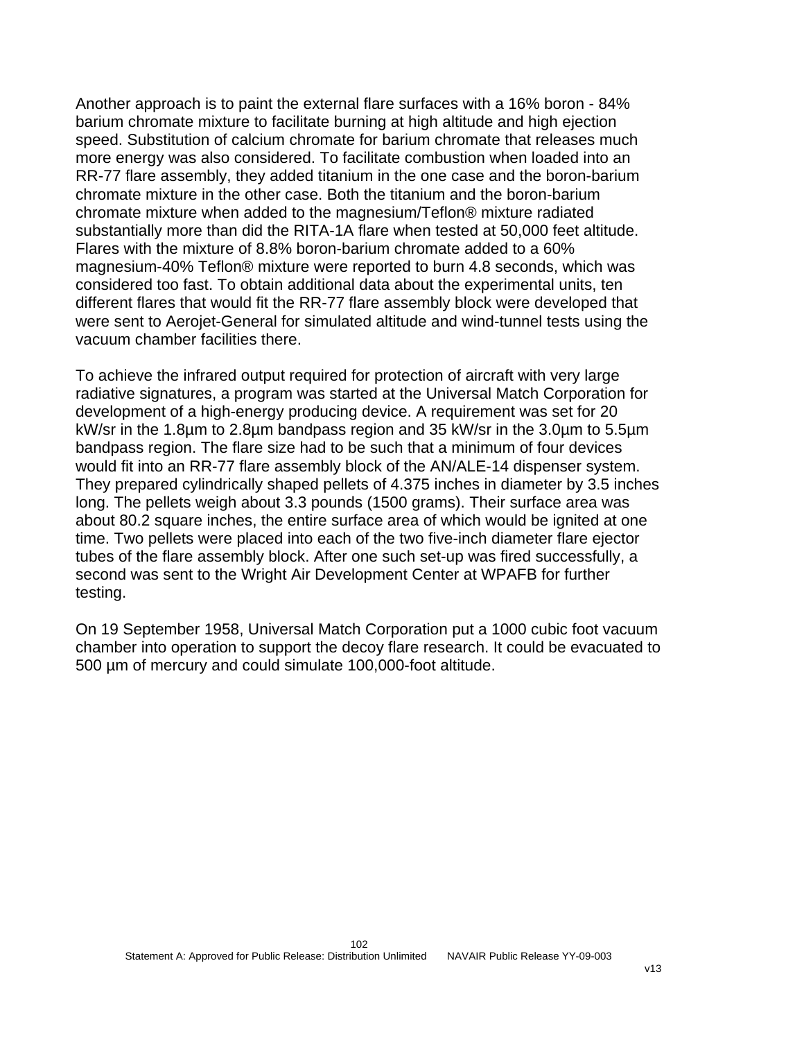Another approach is to paint the external flare surfaces with a 16% boron - 84% barium chromate mixture to facilitate burning at high altitude and high ejection speed. Substitution of calcium chromate for barium chromate that releases much more energy was also considered. To facilitate combustion when loaded into an RR-77 flare assembly, they added titanium in the one case and the boron-barium chromate mixture in the other case. Both the titanium and the boron-barium chromate mixture when added to the magnesium/Teflon® mixture radiated substantially more than did the RITA-1A flare when tested at 50,000 feet altitude. Flares with the mixture of 8.8% boron-barium chromate added to a 60% magnesium-40% Teflon® mixture were reported to burn 4.8 seconds, which was considered too fast. To obtain additional data about the experimental units, ten different flares that would fit the RR-77 flare assembly block were developed that were sent to Aerojet-General for simulated altitude and wind-tunnel tests using the vacuum chamber facilities there.

To achieve the infrared output required for protection of aircraft with very large radiative signatures, a program was started at the Universal Match Corporation for development of a high-energy producing device. A requirement was set for 20 kW/sr in the 1.8µm to 2.8µm bandpass region and 35 kW/sr in the 3.0µm to 5.5µm bandpass region. The flare size had to be such that a minimum of four devices would fit into an RR-77 flare assembly block of the AN/ALE-14 dispenser system. They prepared cylindrically shaped pellets of 4.375 inches in diameter by 3.5 inches long. The pellets weigh about 3.3 pounds (1500 grams). Their surface area was about 80.2 square inches, the entire surface area of which would be ignited at one time. Two pellets were placed into each of the two five-inch diameter flare ejector tubes of the flare assembly block. After one such set-up was fired successfully, a second was sent to the Wright Air Development Center at WPAFB for further testing.

On 19 September 1958, Universal Match Corporation put a 1000 cubic foot vacuum chamber into operation to support the decoy flare research. It could be evacuated to 500 µm of mercury and could simulate 100,000-foot altitude.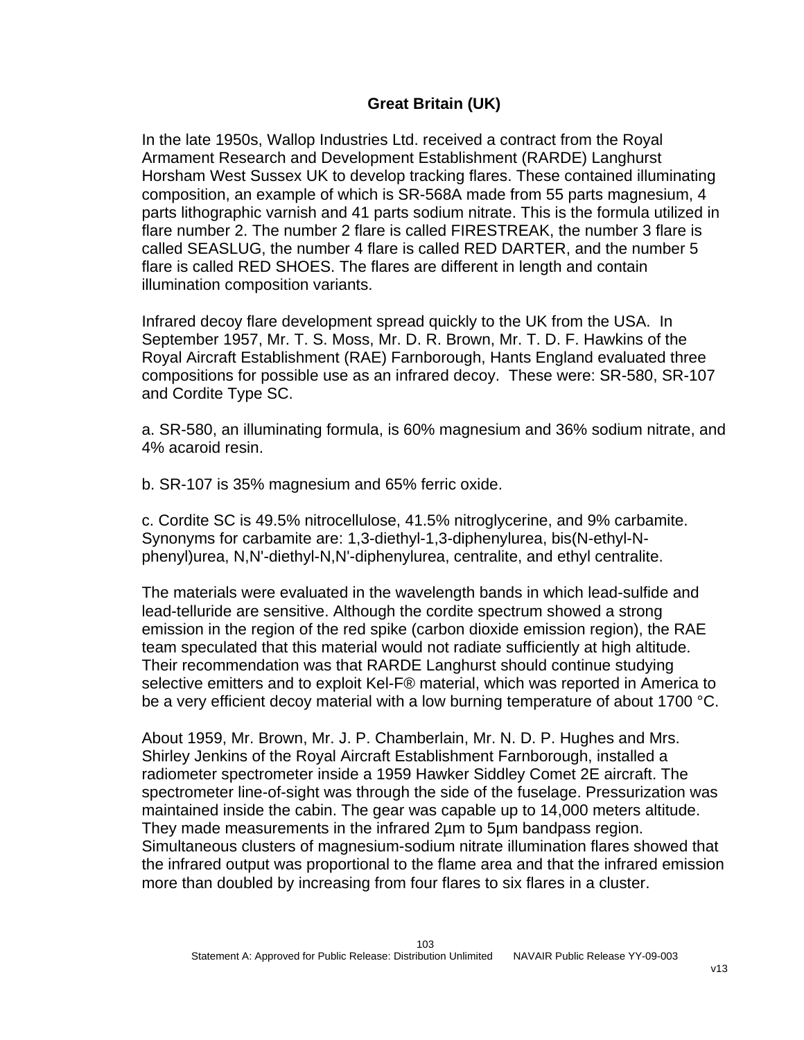## **Great Britain (UK)**

In the late 1950s, Wallop Industries Ltd. received a contract from the Royal Armament Research and Development Establishment (RARDE) Langhurst Horsham West Sussex UK to develop tracking flares. These contained illuminating composition, an example of which is SR-568A made from 55 parts magnesium, 4 parts lithographic varnish and 41 parts sodium nitrate. This is the formula utilized in flare number 2. The number 2 flare is called FIRESTREAK, the number 3 flare is called SEASLUG, the number 4 flare is called RED DARTER, and the number 5 flare is called RED SHOES. The flares are different in length and contain illumination composition variants.

Infrared decoy flare development spread quickly to the UK from the USA. In September 1957, Mr. T. S. Moss, Mr. D. R. Brown, Mr. T. D. F. Hawkins of the Royal Aircraft Establishment (RAE) Farnborough, Hants England evaluated three compositions for possible use as an infrared decoy. These were: SR-580, SR-107 and Cordite Type SC.

a. SR-580, an illuminating formula, is 60% magnesium and 36% sodium nitrate, and 4% acaroid resin.

b. SR-107 is 35% magnesium and 65% ferric oxide.

c. Cordite SC is 49.5% nitrocellulose, 41.5% nitroglycerine, and 9% carbamite. Synonyms for carbamite are: 1,3-diethyl-1,3-diphenylurea, bis(N-ethyl-Nphenyl)urea, N,N'-diethyl-N,N'-diphenylurea, centralite, and ethyl centralite.

The materials were evaluated in the wavelength bands in which lead-sulfide and lead-telluride are sensitive. Although the cordite spectrum showed a strong emission in the region of the red spike (carbon dioxide emission region), the RAE team speculated that this material would not radiate sufficiently at high altitude. Their recommendation was that RARDE Langhurst should continue studying selective emitters and to exploit Kel-F® material, which was reported in America to be a very efficient decoy material with a low burning temperature of about 1700 °C.

About 1959, Mr. Brown, Mr. J. P. Chamberlain, Mr. N. D. P. Hughes and Mrs. Shirley Jenkins of the Royal Aircraft Establishment Farnborough, installed a radiometer spectrometer inside a 1959 Hawker Siddley Comet 2E aircraft. The spectrometer line-of-sight was through the side of the fuselage. Pressurization was maintained inside the cabin. The gear was capable up to 14,000 meters altitude. They made measurements in the infrared 2µm to 5µm bandpass region. Simultaneous clusters of magnesium-sodium nitrate illumination flares showed that the infrared output was proportional to the flame area and that the infrared emission more than doubled by increasing from four flares to six flares in a cluster.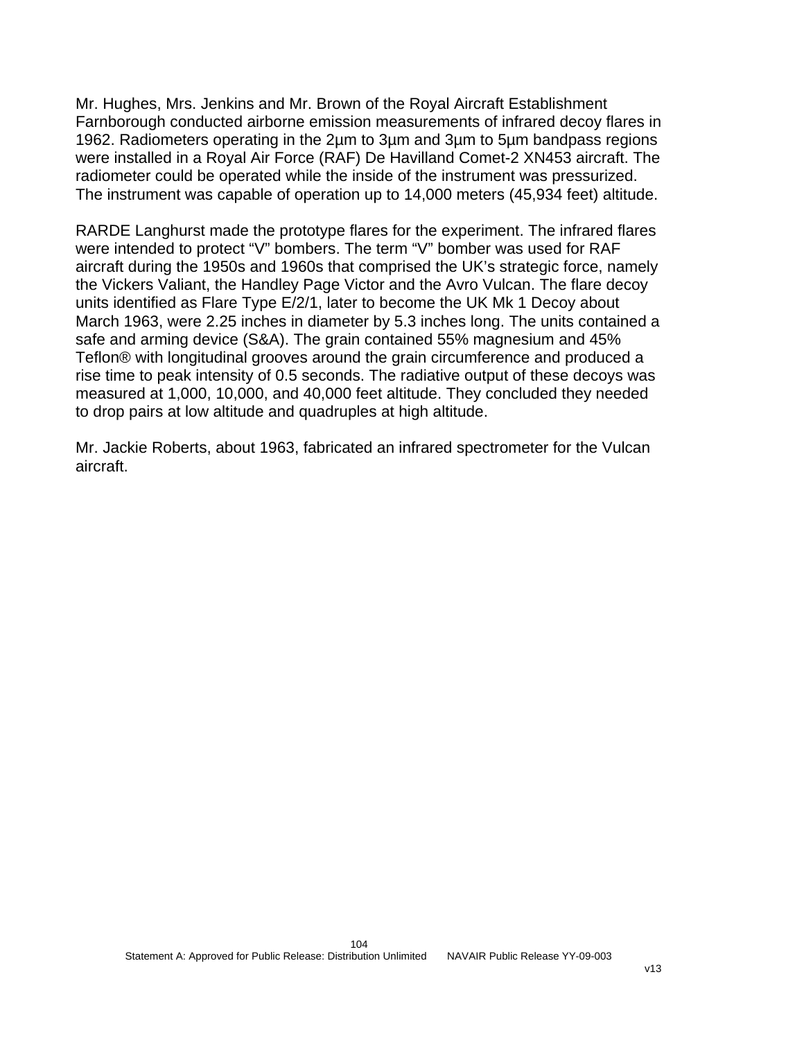Mr. Hughes, Mrs. Jenkins and Mr. Brown of the Royal Aircraft Establishment Farnborough conducted airborne emission measurements of infrared decoy flares in 1962. Radiometers operating in the 2µm to 3µm and 3µm to 5µm bandpass regions were installed in a Royal Air Force (RAF) De Havilland Comet-2 XN453 aircraft. The radiometer could be operated while the inside of the instrument was pressurized. The instrument was capable of operation up to 14,000 meters (45,934 feet) altitude.

RARDE Langhurst made the prototype flares for the experiment. The infrared flares were intended to protect "V" bombers. The term "V" bomber was used for RAF aircraft during the 1950s and 1960s that comprised the UK's strategic force, namely the Vickers Valiant, the Handley Page Victor and the Avro Vulcan. The flare decoy units identified as Flare Type E/2/1, later to become the UK Mk 1 Decoy about March 1963, were 2.25 inches in diameter by 5.3 inches long. The units contained a safe and arming device (S&A). The grain contained 55% magnesium and 45% Teflon® with longitudinal grooves around the grain circumference and produced a rise time to peak intensity of 0.5 seconds. The radiative output of these decoys was measured at 1,000, 10,000, and 40,000 feet altitude. They concluded they needed to drop pairs at low altitude and quadruples at high altitude.

Mr. Jackie Roberts, about 1963, fabricated an infrared spectrometer for the Vulcan aircraft.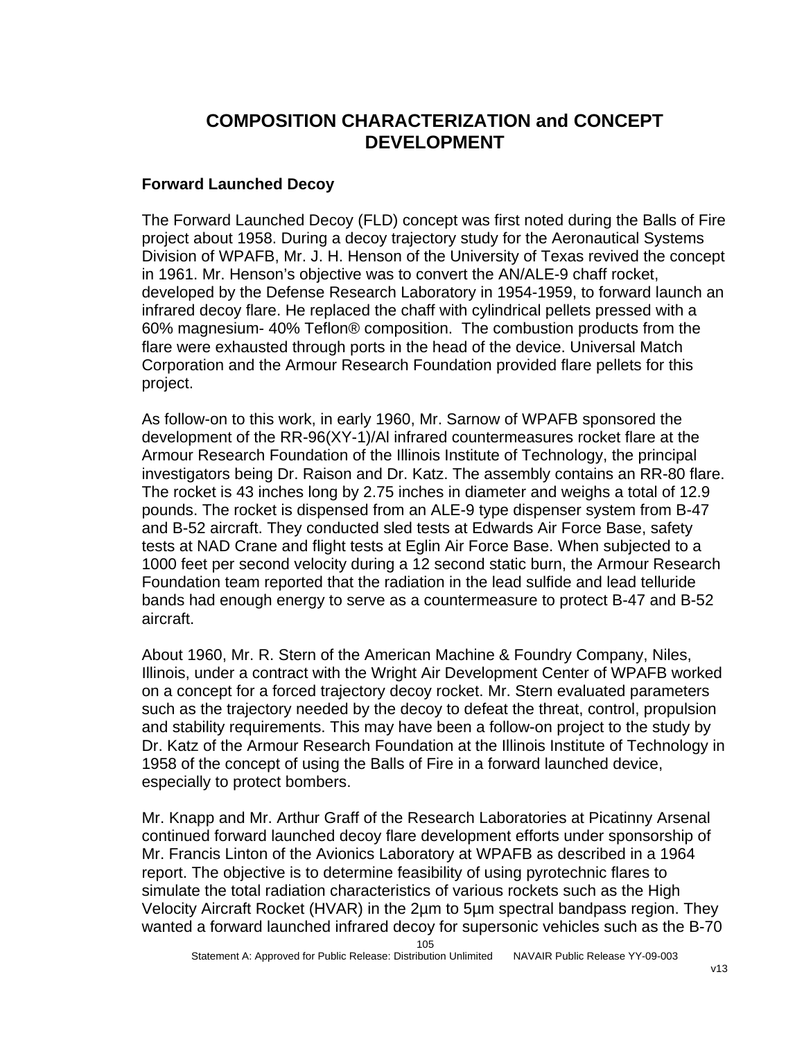## **COMPOSITION CHARACTERIZATION and CONCEPT DEVELOPMENT**

## **Forward Launched Decoy**

The Forward Launched Decoy (FLD) concept was first noted during the Balls of Fire project about 1958. During a decoy trajectory study for the Aeronautical Systems Division of WPAFB, Mr. J. H. Henson of the University of Texas revived the concept in 1961. Mr. Henson's objective was to convert the AN/ALE-9 chaff rocket, developed by the Defense Research Laboratory in 1954-1959, to forward launch an infrared decoy flare. He replaced the chaff with cylindrical pellets pressed with a 60% magnesium- 40% Teflon® composition. The combustion products from the flare were exhausted through ports in the head of the device. Universal Match Corporation and the Armour Research Foundation provided flare pellets for this project.

As follow-on to this work, in early 1960, Mr. Sarnow of WPAFB sponsored the development of the RR-96(XY-1)/Al infrared countermeasures rocket flare at the Armour Research Foundation of the Illinois Institute of Technology, the principal investigators being Dr. Raison and Dr. Katz. The assembly contains an RR-80 flare. The rocket is 43 inches long by 2.75 inches in diameter and weighs a total of 12.9 pounds. The rocket is dispensed from an ALE-9 type dispenser system from B-47 and B-52 aircraft. They conducted sled tests at Edwards Air Force Base, safety tests at NAD Crane and flight tests at Eglin Air Force Base. When subjected to a 1000 feet per second velocity during a 12 second static burn, the Armour Research Foundation team reported that the radiation in the lead sulfide and lead telluride bands had enough energy to serve as a countermeasure to protect B-47 and B-52 aircraft.

About 1960, Mr. R. Stern of the American Machine & Foundry Company, Niles, Illinois, under a contract with the Wright Air Development Center of WPAFB worked on a concept for a forced trajectory decoy rocket. Mr. Stern evaluated parameters such as the trajectory needed by the decoy to defeat the threat, control, propulsion and stability requirements. This may have been a follow-on project to the study by Dr. Katz of the Armour Research Foundation at the Illinois Institute of Technology in 1958 of the concept of using the Balls of Fire in a forward launched device, especially to protect bombers.

Mr. Knapp and Mr. Arthur Graff of the Research Laboratories at Picatinny Arsenal continued forward launched decoy flare development efforts under sponsorship of Mr. Francis Linton of the Avionics Laboratory at WPAFB as described in a 1964 report. The objective is to determine feasibility of using pyrotechnic flares to simulate the total radiation characteristics of various rockets such as the High Velocity Aircraft Rocket (HVAR) in the 2µm to 5µm spectral bandpass region. They wanted a forward launched infrared decoy for supersonic vehicles such as the B-70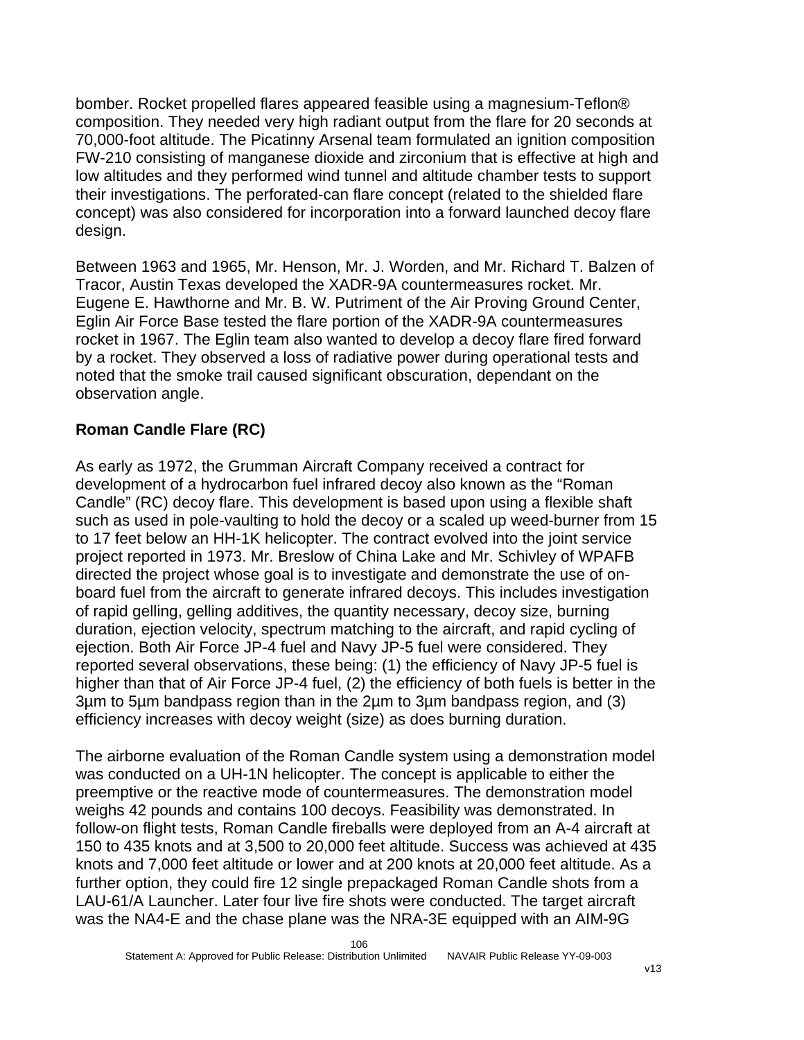bomber. Rocket propelled flares appeared feasible using a magnesium-Teflon® composition. They needed very high radiant output from the flare for 20 seconds at 70,000-foot altitude. The Picatinny Arsenal team formulated an ignition composition FW-210 consisting of manganese dioxide and zirconium that is effective at high and low altitudes and they performed wind tunnel and altitude chamber tests to support their investigations. The perforated-can flare concept (related to the shielded flare concept) was also considered for incorporation into a forward launched decoy flare design.

Between 1963 and 1965, Mr. Henson, Mr. J. Worden, and Mr. Richard T. Balzen of Tracor, Austin Texas developed the XADR-9A countermeasures rocket. Mr. Eugene E. Hawthorne and Mr. B. W. Putriment of the Air Proving Ground Center, Eglin Air Force Base tested the flare portion of the XADR-9A countermeasures rocket in 1967. The Eglin team also wanted to develop a decoy flare fired forward by a rocket. They observed a loss of radiative power during operational tests and noted that the smoke trail caused significant obscuration, dependant on the observation angle.

## **Roman Candle Flare (RC)**

As early as 1972, the Grumman Aircraft Company received a contract for development of a hydrocarbon fuel infrared decoy also known as the "Roman Candle" (RC) decoy flare. This development is based upon using a flexible shaft such as used in pole-vaulting to hold the decoy or a scaled up weed-burner from 15 to 17 feet below an HH-1K helicopter. The contract evolved into the joint service project reported in 1973. Mr. Breslow of China Lake and Mr. Schivley of WPAFB directed the project whose goal is to investigate and demonstrate the use of onboard fuel from the aircraft to generate infrared decoys. This includes investigation of rapid gelling, gelling additives, the quantity necessary, decoy size, burning duration, ejection velocity, spectrum matching to the aircraft, and rapid cycling of ejection. Both Air Force JP-4 fuel and Navy JP-5 fuel were considered. They reported several observations, these being: (1) the efficiency of Navy JP-5 fuel is higher than that of Air Force JP-4 fuel, (2) the efficiency of both fuels is better in the 3µm to 5µm bandpass region than in the 2µm to 3µm bandpass region, and (3) efficiency increases with decoy weight (size) as does burning duration.

The airborne evaluation of the Roman Candle system using a demonstration model was conducted on a UH-1N helicopter. The concept is applicable to either the preemptive or the reactive mode of countermeasures. The demonstration model weighs 42 pounds and contains 100 decoys. Feasibility was demonstrated. In follow-on flight tests, Roman Candle fireballs were deployed from an A-4 aircraft at 150 to 435 knots and at 3,500 to 20,000 feet altitude. Success was achieved at 435 knots and 7,000 feet altitude or lower and at 200 knots at 20,000 feet altitude. As a further option, they could fire 12 single prepackaged Roman Candle shots from a LAU-61/A Launcher. Later four live fire shots were conducted. The target aircraft was the NA4-E and the chase plane was the NRA-3E equipped with an AIM-9G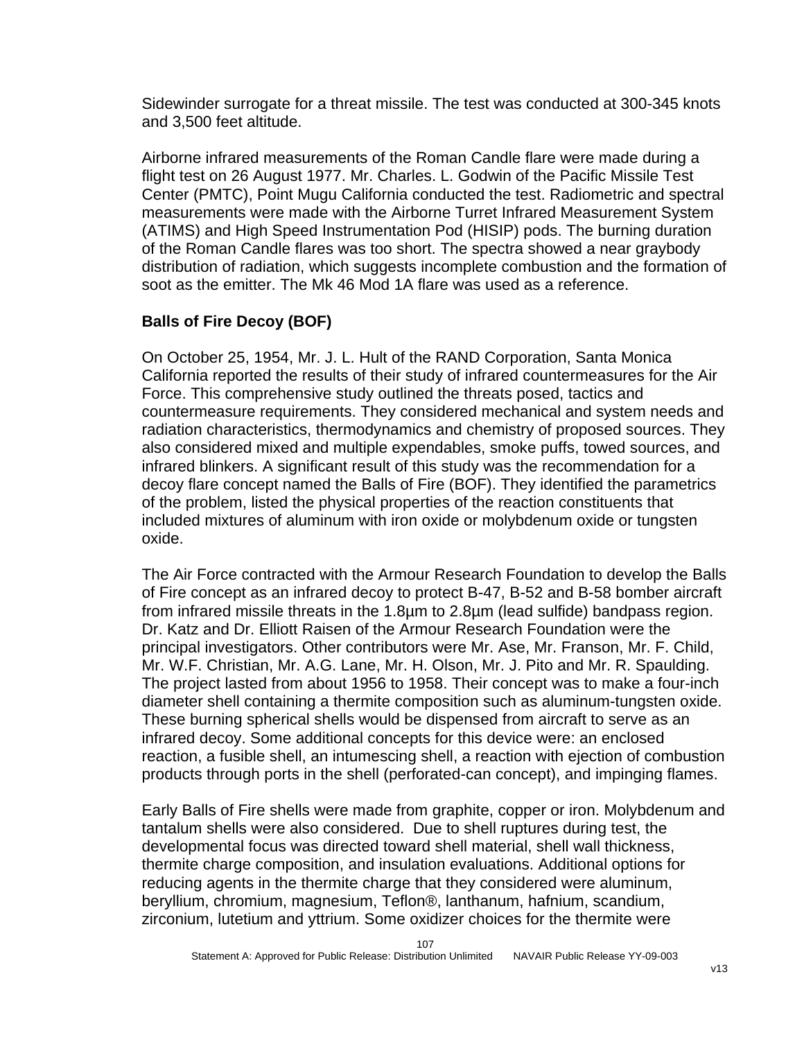Sidewinder surrogate for a threat missile. The test was conducted at 300-345 knots and 3,500 feet altitude.

Airborne infrared measurements of the Roman Candle flare were made during a flight test on 26 August 1977. Mr. Charles. L. Godwin of the Pacific Missile Test Center (PMTC), Point Mugu California conducted the test. Radiometric and spectral measurements were made with the Airborne Turret Infrared Measurement System (ATIMS) and High Speed Instrumentation Pod (HISIP) pods. The burning duration of the Roman Candle flares was too short. The spectra showed a near graybody distribution of radiation, which suggests incomplete combustion and the formation of soot as the emitter. The Mk 46 Mod 1A flare was used as a reference.

## **Balls of Fire Decoy (BOF)**

On October 25, 1954, Mr. J. L. Hult of the RAND Corporation, Santa Monica California reported the results of their study of infrared countermeasures for the Air Force. This comprehensive study outlined the threats posed, tactics and countermeasure requirements. They considered mechanical and system needs and radiation characteristics, thermodynamics and chemistry of proposed sources. They also considered mixed and multiple expendables, smoke puffs, towed sources, and infrared blinkers. A significant result of this study was the recommendation for a decoy flare concept named the Balls of Fire (BOF). They identified the parametrics of the problem, listed the physical properties of the reaction constituents that included mixtures of aluminum with iron oxide or molybdenum oxide or tungsten oxide.

The Air Force contracted with the Armour Research Foundation to develop the Balls of Fire concept as an infrared decoy to protect B-47, B-52 and B-58 bomber aircraft from infrared missile threats in the 1.8µm to 2.8µm (lead sulfide) bandpass region. Dr. Katz and Dr. Elliott Raisen of the Armour Research Foundation were the principal investigators. Other contributors were Mr. Ase, Mr. Franson, Mr. F. Child, Mr. W.F. Christian, Mr. A.G. Lane, Mr. H. Olson, Mr. J. Pito and Mr. R. Spaulding. The project lasted from about 1956 to 1958. Their concept was to make a four-inch diameter shell containing a thermite composition such as aluminum-tungsten oxide. These burning spherical shells would be dispensed from aircraft to serve as an infrared decoy. Some additional concepts for this device were: an enclosed reaction, a fusible shell, an intumescing shell, a reaction with ejection of combustion products through ports in the shell (perforated-can concept), and impinging flames.

Early Balls of Fire shells were made from graphite, copper or iron. Molybdenum and tantalum shells were also considered. Due to shell ruptures during test, the developmental focus was directed toward shell material, shell wall thickness, thermite charge composition, and insulation evaluations. Additional options for reducing agents in the thermite charge that they considered were aluminum, beryllium, chromium, magnesium, Teflon®, lanthanum, hafnium, scandium, zirconium, lutetium and yttrium. Some oxidizer choices for the thermite were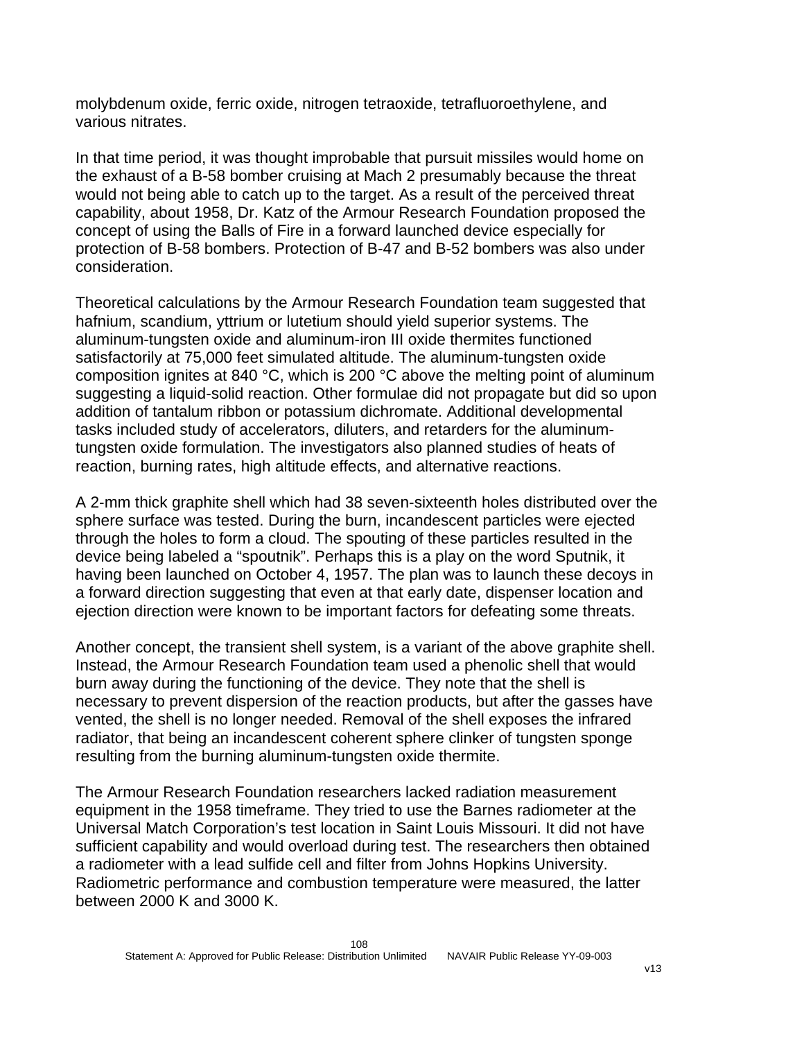molybdenum oxide, ferric oxide, nitrogen tetraoxide, tetrafluoroethylene, and various nitrates.

In that time period, it was thought improbable that pursuit missiles would home on the exhaust of a B-58 bomber cruising at Mach 2 presumably because the threat would not being able to catch up to the target. As a result of the perceived threat capability, about 1958, Dr. Katz of the Armour Research Foundation proposed the concept of using the Balls of Fire in a forward launched device especially for protection of B-58 bombers. Protection of B-47 and B-52 bombers was also under consideration.

Theoretical calculations by the Armour Research Foundation team suggested that hafnium, scandium, yttrium or lutetium should yield superior systems. The aluminum-tungsten oxide and aluminum-iron III oxide thermites functioned satisfactorily at 75,000 feet simulated altitude. The aluminum-tungsten oxide composition ignites at 840 °C, which is 200 °C above the melting point of aluminum suggesting a liquid-solid reaction. Other formulae did not propagate but did so upon addition of tantalum ribbon or potassium dichromate. Additional developmental tasks included study of accelerators, diluters, and retarders for the aluminumtungsten oxide formulation. The investigators also planned studies of heats of reaction, burning rates, high altitude effects, and alternative reactions.

A 2-mm thick graphite shell which had 38 seven-sixteenth holes distributed over the sphere surface was tested. During the burn, incandescent particles were ejected through the holes to form a cloud. The spouting of these particles resulted in the device being labeled a "spoutnik". Perhaps this is a play on the word Sputnik, it having been launched on October 4, 1957. The plan was to launch these decoys in a forward direction suggesting that even at that early date, dispenser location and ejection direction were known to be important factors for defeating some threats.

Another concept, the transient shell system, is a variant of the above graphite shell. Instead, the Armour Research Foundation team used a phenolic shell that would burn away during the functioning of the device. They note that the shell is necessary to prevent dispersion of the reaction products, but after the gasses have vented, the shell is no longer needed. Removal of the shell exposes the infrared radiator, that being an incandescent coherent sphere clinker of tungsten sponge resulting from the burning aluminum-tungsten oxide thermite.

The Armour Research Foundation researchers lacked radiation measurement equipment in the 1958 timeframe. They tried to use the Barnes radiometer at the Universal Match Corporation's test location in Saint Louis Missouri. It did not have sufficient capability and would overload during test. The researchers then obtained a radiometer with a lead sulfide cell and filter from Johns Hopkins University. Radiometric performance and combustion temperature were measured, the latter between 2000 K and 3000 K.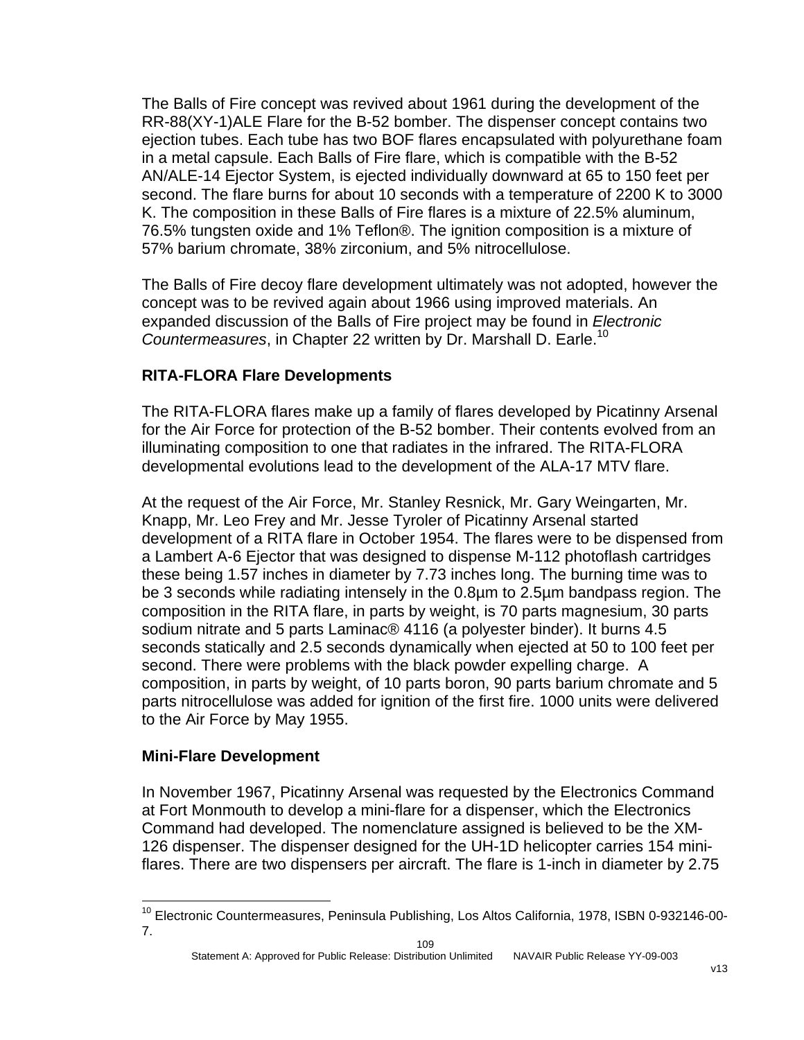The Balls of Fire concept was revived about 1961 during the development of the RR-88(XY-1)ALE Flare for the B-52 bomber. The dispenser concept contains two ejection tubes. Each tube has two BOF flares encapsulated with polyurethane foam in a metal capsule. Each Balls of Fire flare, which is compatible with the B-52 AN/ALE-14 Ejector System, is ejected individually downward at 65 to 150 feet per second. The flare burns for about 10 seconds with a temperature of 2200 K to 3000 K. The composition in these Balls of Fire flares is a mixture of 22.5% aluminum, 76.5% tungsten oxide and 1% Teflon®. The ignition composition is a mixture of 57% barium chromate, 38% zirconium, and 5% nitrocellulose.

The Balls of Fire decoy flare development ultimately was not adopted, however the concept was to be revived again about 1966 using improved materials. An expanded discussion of the Balls of Fire project may be found in *Electronic Countermeasures*, in Chapter 22 written by Dr. Marshall D. Earle.[10](#page-109-0) 

# **RITA-FLORA Flare Developments**

The RITA-FLORA flares make up a family of flares developed by Picatinny Arsenal for the Air Force for protection of the B-52 bomber. Their contents evolved from an illuminating composition to one that radiates in the infrared. The RITA-FLORA developmental evolutions lead to the development of the ALA-17 MTV flare.

At the request of the Air Force, Mr. Stanley Resnick, Mr. Gary Weingarten, Mr. Knapp, Mr. Leo Frey and Mr. Jesse Tyroler of Picatinny Arsenal started development of a RITA flare in October 1954. The flares were to be dispensed from a Lambert A-6 Ejector that was designed to dispense M-112 photoflash cartridges these being 1.57 inches in diameter by 7.73 inches long. The burning time was to be 3 seconds while radiating intensely in the 0.8µm to 2.5µm bandpass region. The composition in the RITA flare, in parts by weight, is 70 parts magnesium, 30 parts sodium nitrate and 5 parts Laminac® 4116 (a polyester binder). It burns 4.5 seconds statically and 2.5 seconds dynamically when ejected at 50 to 100 feet per second. There were problems with the black powder expelling charge. A composition, in parts by weight, of 10 parts boron, 90 parts barium chromate and 5 parts nitrocellulose was added for ignition of the first fire. 1000 units were delivered to the Air Force by May 1955.

# **Mini-Flare Development**

1

In November 1967, Picatinny Arsenal was requested by the Electronics Command at Fort Monmouth to develop a mini-flare for a dispenser, which the Electronics Command had developed. The nomenclature assigned is believed to be the XM-126 dispenser. The dispenser designed for the UH-1D helicopter carries 154 miniflares. There are two dispensers per aircraft. The flare is 1-inch in diameter by 2.75

<span id="page-109-0"></span><sup>10</sup> Electronic Countermeasures, Peninsula Publishing, Los Altos California, 1978, ISBN 0-932146-00- 7.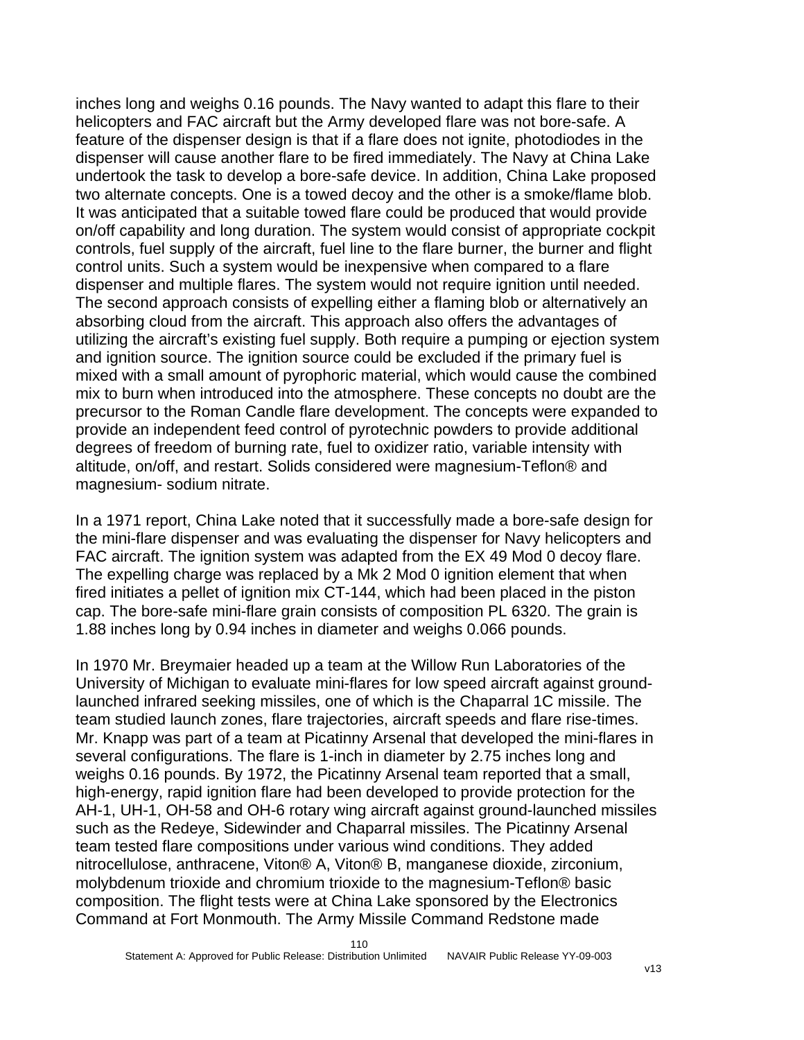inches long and weighs 0.16 pounds. The Navy wanted to adapt this flare to their helicopters and FAC aircraft but the Army developed flare was not bore-safe. A feature of the dispenser design is that if a flare does not ignite, photodiodes in the dispenser will cause another flare to be fired immediately. The Navy at China Lake undertook the task to develop a bore-safe device. In addition, China Lake proposed two alternate concepts. One is a towed decoy and the other is a smoke/flame blob. It was anticipated that a suitable towed flare could be produced that would provide on/off capability and long duration. The system would consist of appropriate cockpit controls, fuel supply of the aircraft, fuel line to the flare burner, the burner and flight control units. Such a system would be inexpensive when compared to a flare dispenser and multiple flares. The system would not require ignition until needed. The second approach consists of expelling either a flaming blob or alternatively an absorbing cloud from the aircraft. This approach also offers the advantages of utilizing the aircraft's existing fuel supply. Both require a pumping or ejection system and ignition source. The ignition source could be excluded if the primary fuel is mixed with a small amount of pyrophoric material, which would cause the combined mix to burn when introduced into the atmosphere. These concepts no doubt are the precursor to the Roman Candle flare development. The concepts were expanded to provide an independent feed control of pyrotechnic powders to provide additional degrees of freedom of burning rate, fuel to oxidizer ratio, variable intensity with altitude, on/off, and restart. Solids considered were magnesium-Teflon® and magnesium- sodium nitrate.

In a 1971 report, China Lake noted that it successfully made a bore-safe design for the mini-flare dispenser and was evaluating the dispenser for Navy helicopters and FAC aircraft. The ignition system was adapted from the EX 49 Mod 0 decoy flare. The expelling charge was replaced by a Mk 2 Mod 0 ignition element that when fired initiates a pellet of ignition mix CT-144, which had been placed in the piston cap. The bore-safe mini-flare grain consists of composition PL 6320. The grain is 1.88 inches long by 0.94 inches in diameter and weighs 0.066 pounds.

In 1970 Mr. Breymaier headed up a team at the Willow Run Laboratories of the University of Michigan to evaluate mini-flares for low speed aircraft against groundlaunched infrared seeking missiles, one of which is the Chaparral 1C missile. The team studied launch zones, flare trajectories, aircraft speeds and flare rise-times. Mr. Knapp was part of a team at Picatinny Arsenal that developed the mini-flares in several configurations. The flare is 1-inch in diameter by 2.75 inches long and weighs 0.16 pounds. By 1972, the Picatinny Arsenal team reported that a small, high-energy, rapid ignition flare had been developed to provide protection for the AH-1, UH-1, OH-58 and OH-6 rotary wing aircraft against ground-launched missiles such as the Redeye, Sidewinder and Chaparral missiles. The Picatinny Arsenal team tested flare compositions under various wind conditions. They added nitrocellulose, anthracene, Viton® A, Viton® B, manganese dioxide, zirconium, molybdenum trioxide and chromium trioxide to the magnesium-Teflon® basic composition. The flight tests were at China Lake sponsored by the Electronics Command at Fort Monmouth. The Army Missile Command Redstone made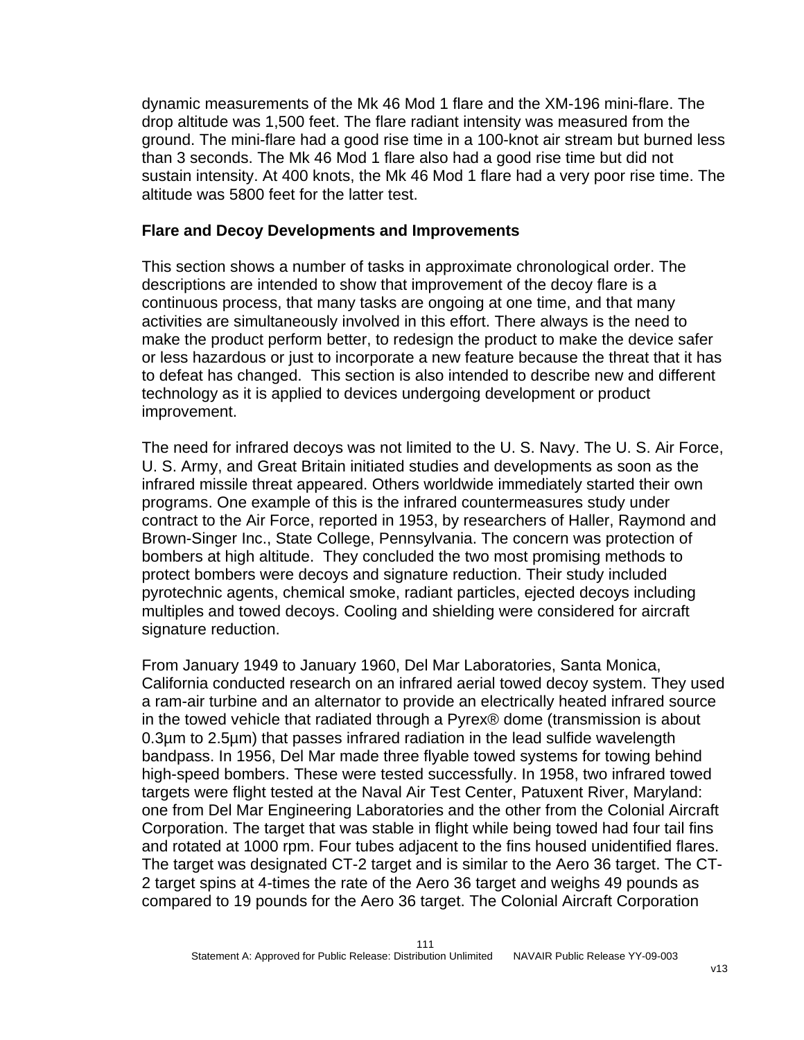dynamic measurements of the Mk 46 Mod 1 flare and the XM-196 mini-flare. The drop altitude was 1,500 feet. The flare radiant intensity was measured from the ground. The mini-flare had a good rise time in a 100-knot air stream but burned less than 3 seconds. The Mk 46 Mod 1 flare also had a good rise time but did not sustain intensity. At 400 knots, the Mk 46 Mod 1 flare had a very poor rise time. The altitude was 5800 feet for the latter test.

#### **Flare and Decoy Developments and Improvements**

This section shows a number of tasks in approximate chronological order. The descriptions are intended to show that improvement of the decoy flare is a continuous process, that many tasks are ongoing at one time, and that many activities are simultaneously involved in this effort. There always is the need to make the product perform better, to redesign the product to make the device safer or less hazardous or just to incorporate a new feature because the threat that it has to defeat has changed. This section is also intended to describe new and different technology as it is applied to devices undergoing development or product improvement.

The need for infrared decoys was not limited to the U. S. Navy. The U. S. Air Force, U. S. Army, and Great Britain initiated studies and developments as soon as the infrared missile threat appeared. Others worldwide immediately started their own programs. One example of this is the infrared countermeasures study under contract to the Air Force, reported in 1953, by researchers of Haller, Raymond and Brown-Singer Inc., State College, Pennsylvania. The concern was protection of bombers at high altitude. They concluded the two most promising methods to protect bombers were decoys and signature reduction. Their study included pyrotechnic agents, chemical smoke, radiant particles, ejected decoys including multiples and towed decoys. Cooling and shielding were considered for aircraft signature reduction.

From January 1949 to January 1960, Del Mar Laboratories, Santa Monica, California conducted research on an infrared aerial towed decoy system. They used a ram-air turbine and an alternator to provide an electrically heated infrared source in the towed vehicle that radiated through a Pyrex® dome (transmission is about 0.3µm to 2.5µm) that passes infrared radiation in the lead sulfide wavelength bandpass. In 1956, Del Mar made three flyable towed systems for towing behind high-speed bombers. These were tested successfully. In 1958, two infrared towed targets were flight tested at the Naval Air Test Center, Patuxent River, Maryland: one from Del Mar Engineering Laboratories and the other from the Colonial Aircraft Corporation. The target that was stable in flight while being towed had four tail fins and rotated at 1000 rpm. Four tubes adjacent to the fins housed unidentified flares. The target was designated CT-2 target and is similar to the Aero 36 target. The CT-2 target spins at 4-times the rate of the Aero 36 target and weighs 49 pounds as compared to 19 pounds for the Aero 36 target. The Colonial Aircraft Corporation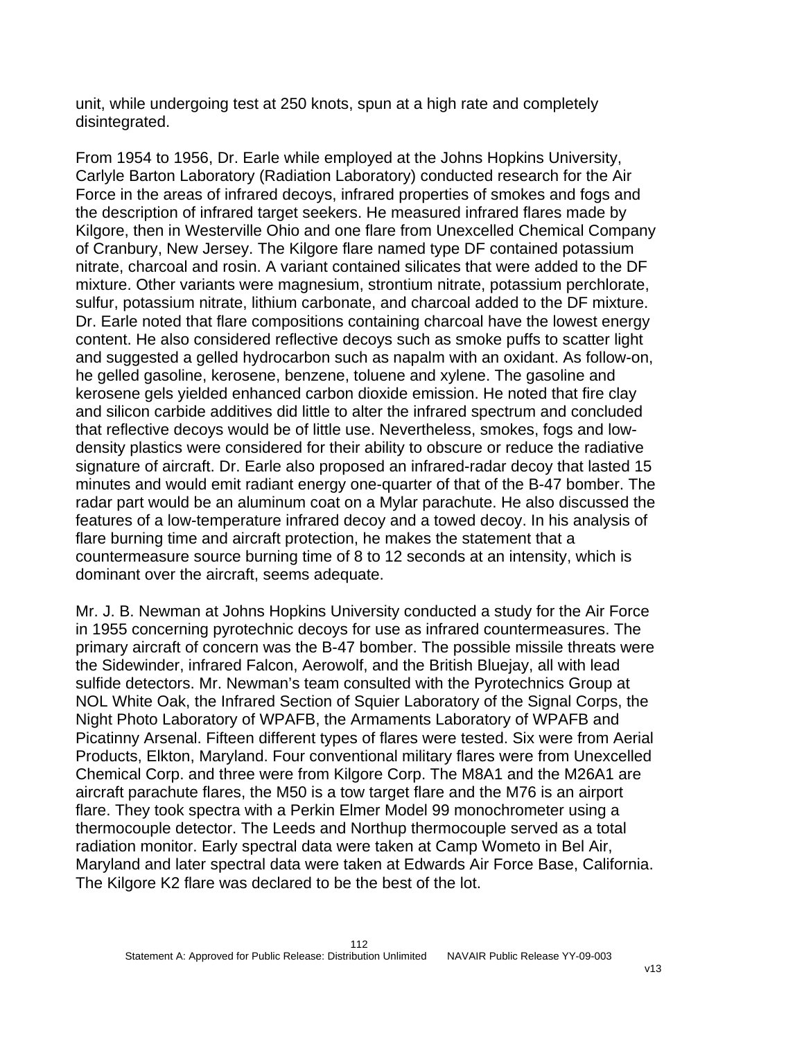unit, while undergoing test at 250 knots, spun at a high rate and completely disintegrated.

From 1954 to 1956, Dr. Earle while employed at the Johns Hopkins University, Carlyle Barton Laboratory (Radiation Laboratory) conducted research for the Air Force in the areas of infrared decoys, infrared properties of smokes and fogs and the description of infrared target seekers. He measured infrared flares made by Kilgore, then in Westerville Ohio and one flare from Unexcelled Chemical Company of Cranbury, New Jersey. The Kilgore flare named type DF contained potassium nitrate, charcoal and rosin. A variant contained silicates that were added to the DF mixture. Other variants were magnesium, strontium nitrate, potassium perchlorate, sulfur, potassium nitrate, lithium carbonate, and charcoal added to the DF mixture. Dr. Earle noted that flare compositions containing charcoal have the lowest energy content. He also considered reflective decoys such as smoke puffs to scatter light and suggested a gelled hydrocarbon such as napalm with an oxidant. As follow-on, he gelled gasoline, kerosene, benzene, toluene and xylene. The gasoline and kerosene gels yielded enhanced carbon dioxide emission. He noted that fire clay and silicon carbide additives did little to alter the infrared spectrum and concluded that reflective decoys would be of little use. Nevertheless, smokes, fogs and lowdensity plastics were considered for their ability to obscure or reduce the radiative signature of aircraft. Dr. Earle also proposed an infrared-radar decoy that lasted 15 minutes and would emit radiant energy one-quarter of that of the B-47 bomber. The radar part would be an aluminum coat on a Mylar parachute. He also discussed the features of a low-temperature infrared decoy and a towed decoy. In his analysis of flare burning time and aircraft protection, he makes the statement that a countermeasure source burning time of 8 to 12 seconds at an intensity, which is dominant over the aircraft, seems adequate.

Mr. J. B. Newman at Johns Hopkins University conducted a study for the Air Force in 1955 concerning pyrotechnic decoys for use as infrared countermeasures. The primary aircraft of concern was the B-47 bomber. The possible missile threats were the Sidewinder, infrared Falcon, Aerowolf, and the British Bluejay, all with lead sulfide detectors. Mr. Newman's team consulted with the Pyrotechnics Group at NOL White Oak, the Infrared Section of Squier Laboratory of the Signal Corps, the Night Photo Laboratory of WPAFB, the Armaments Laboratory of WPAFB and Picatinny Arsenal. Fifteen different types of flares were tested. Six were from Aerial Products, Elkton, Maryland. Four conventional military flares were from Unexcelled Chemical Corp. and three were from Kilgore Corp. The M8A1 and the M26A1 are aircraft parachute flares, the M50 is a tow target flare and the M76 is an airport flare. They took spectra with a Perkin Elmer Model 99 monochrometer using a thermocouple detector. The Leeds and Northup thermocouple served as a total radiation monitor. Early spectral data were taken at Camp Wometo in Bel Air, Maryland and later spectral data were taken at Edwards Air Force Base, California. The Kilgore K2 flare was declared to be the best of the lot.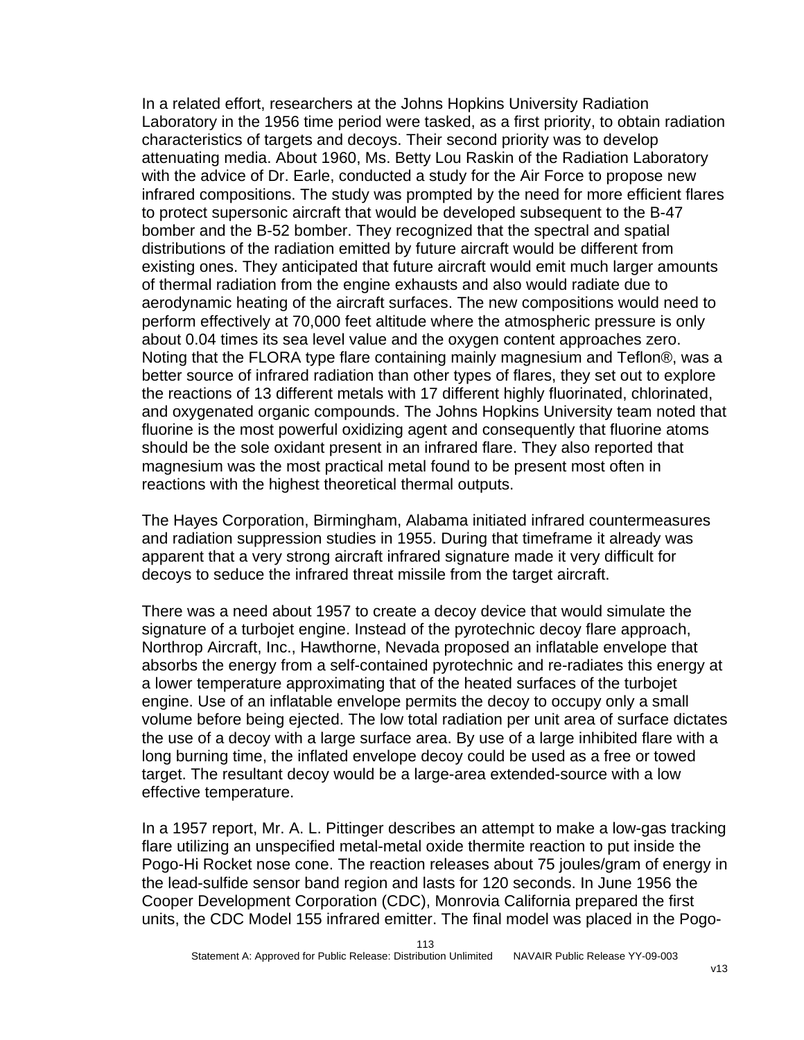In a related effort, researchers at the Johns Hopkins University Radiation Laboratory in the 1956 time period were tasked, as a first priority, to obtain radiation characteristics of targets and decoys. Their second priority was to develop attenuating media. About 1960, Ms. Betty Lou Raskin of the Radiation Laboratory with the advice of Dr. Earle, conducted a study for the Air Force to propose new infrared compositions. The study was prompted by the need for more efficient flares to protect supersonic aircraft that would be developed subsequent to the B-47 bomber and the B-52 bomber. They recognized that the spectral and spatial distributions of the radiation emitted by future aircraft would be different from existing ones. They anticipated that future aircraft would emit much larger amounts of thermal radiation from the engine exhausts and also would radiate due to aerodynamic heating of the aircraft surfaces. The new compositions would need to perform effectively at 70,000 feet altitude where the atmospheric pressure is only about 0.04 times its sea level value and the oxygen content approaches zero. Noting that the FLORA type flare containing mainly magnesium and Teflon®, was a better source of infrared radiation than other types of flares, they set out to explore the reactions of 13 different metals with 17 different highly fluorinated, chlorinated, and oxygenated organic compounds. The Johns Hopkins University team noted that fluorine is the most powerful oxidizing agent and consequently that fluorine atoms should be the sole oxidant present in an infrared flare. They also reported that magnesium was the most practical metal found to be present most often in reactions with the highest theoretical thermal outputs.

The Hayes Corporation, Birmingham, Alabama initiated infrared countermeasures and radiation suppression studies in 1955. During that timeframe it already was apparent that a very strong aircraft infrared signature made it very difficult for decoys to seduce the infrared threat missile from the target aircraft.

There was a need about 1957 to create a decoy device that would simulate the signature of a turbojet engine. Instead of the pyrotechnic decoy flare approach, Northrop Aircraft, Inc., Hawthorne, Nevada proposed an inflatable envelope that absorbs the energy from a self-contained pyrotechnic and re-radiates this energy at a lower temperature approximating that of the heated surfaces of the turbojet engine. Use of an inflatable envelope permits the decoy to occupy only a small volume before being ejected. The low total radiation per unit area of surface dictates the use of a decoy with a large surface area. By use of a large inhibited flare with a long burning time, the inflated envelope decoy could be used as a free or towed target. The resultant decoy would be a large-area extended-source with a low effective temperature.

In a 1957 report, Mr. A. L. Pittinger describes an attempt to make a low-gas tracking flare utilizing an unspecified metal-metal oxide thermite reaction to put inside the Pogo-Hi Rocket nose cone. The reaction releases about 75 joules/gram of energy in the lead-sulfide sensor band region and lasts for 120 seconds. In June 1956 the Cooper Development Corporation (CDC), Monrovia California prepared the first units, the CDC Model 155 infrared emitter. The final model was placed in the Pogo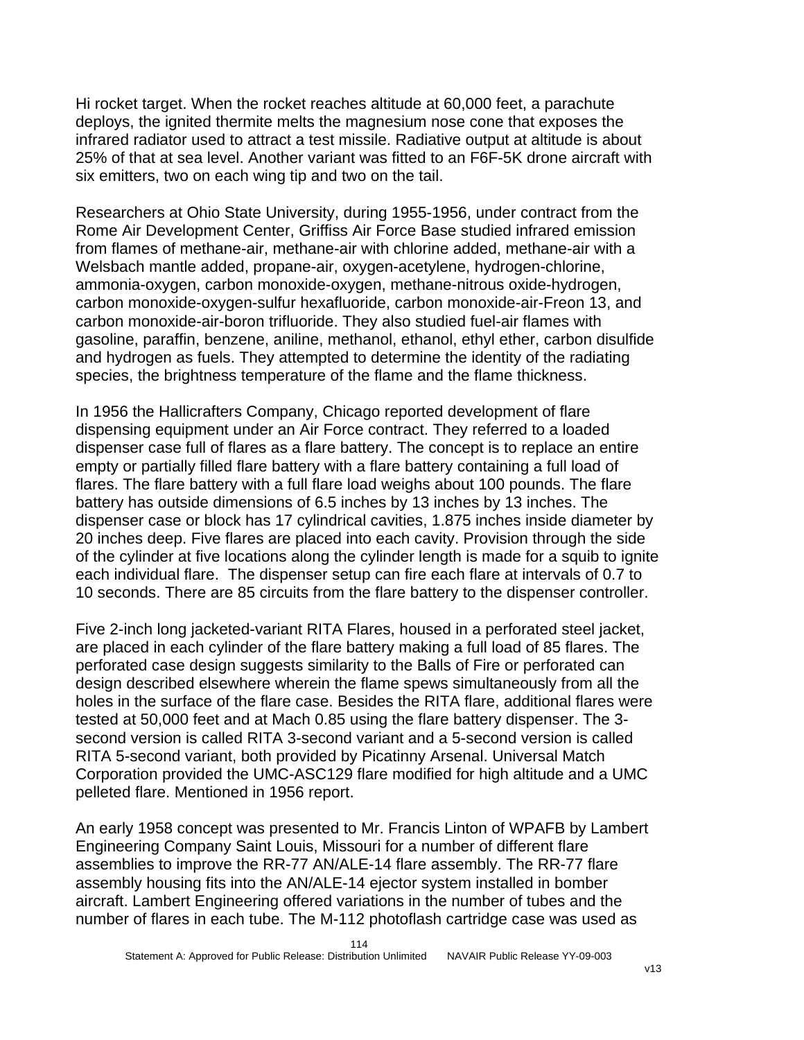Hi rocket target. When the rocket reaches altitude at 60,000 feet, a parachute deploys, the ignited thermite melts the magnesium nose cone that exposes the infrared radiator used to attract a test missile. Radiative output at altitude is about 25% of that at sea level. Another variant was fitted to an F6F-5K drone aircraft with six emitters, two on each wing tip and two on the tail.

Researchers at Ohio State University, during 1955-1956, under contract from the Rome Air Development Center, Griffiss Air Force Base studied infrared emission from flames of methane-air, methane-air with chlorine added, methane-air with a Welsbach mantle added, propane-air, oxygen-acetylene, hydrogen-chlorine, ammonia-oxygen, carbon monoxide-oxygen, methane-nitrous oxide-hydrogen, carbon monoxide-oxygen-sulfur hexafluoride, carbon monoxide-air-Freon 13, and carbon monoxide-air-boron trifluoride. They also studied fuel-air flames with gasoline, paraffin, benzene, aniline, methanol, ethanol, ethyl ether, carbon disulfide and hydrogen as fuels. They attempted to determine the identity of the radiating species, the brightness temperature of the flame and the flame thickness.

In 1956 the Hallicrafters Company, Chicago reported development of flare dispensing equipment under an Air Force contract. They referred to a loaded dispenser case full of flares as a flare battery. The concept is to replace an entire empty or partially filled flare battery with a flare battery containing a full load of flares. The flare battery with a full flare load weighs about 100 pounds. The flare battery has outside dimensions of 6.5 inches by 13 inches by 13 inches. The dispenser case or block has 17 cylindrical cavities, 1.875 inches inside diameter by 20 inches deep. Five flares are placed into each cavity. Provision through the side of the cylinder at five locations along the cylinder length is made for a squib to ignite each individual flare. The dispenser setup can fire each flare at intervals of 0.7 to 10 seconds. There are 85 circuits from the flare battery to the dispenser controller.

Five 2-inch long jacketed-variant RITA Flares, housed in a perforated steel jacket, are placed in each cylinder of the flare battery making a full load of 85 flares. The perforated case design suggests similarity to the Balls of Fire or perforated can design described elsewhere wherein the flame spews simultaneously from all the holes in the surface of the flare case. Besides the RITA flare, additional flares were tested at 50,000 feet and at Mach 0.85 using the flare battery dispenser. The 3 second version is called RITA 3-second variant and a 5-second version is called RITA 5-second variant, both provided by Picatinny Arsenal. Universal Match Corporation provided the UMC-ASC129 flare modified for high altitude and a UMC pelleted flare. Mentioned in 1956 report.

An early 1958 concept was presented to Mr. Francis Linton of WPAFB by Lambert Engineering Company Saint Louis, Missouri for a number of different flare assemblies to improve the RR-77 AN/ALE-14 flare assembly. The RR-77 flare assembly housing fits into the AN/ALE-14 ejector system installed in bomber aircraft. Lambert Engineering offered variations in the number of tubes and the number of flares in each tube. The M-112 photoflash cartridge case was used as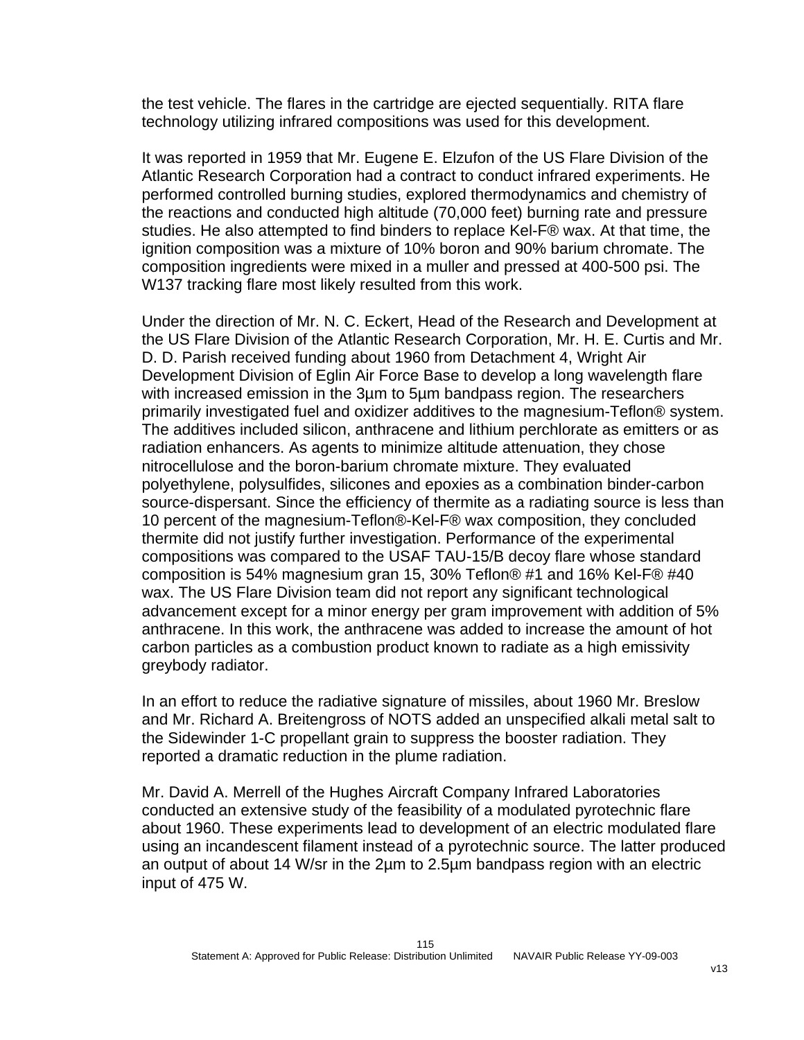the test vehicle. The flares in the cartridge are ejected sequentially. RITA flare technology utilizing infrared compositions was used for this development.

It was reported in 1959 that Mr. Eugene E. Elzufon of the US Flare Division of the Atlantic Research Corporation had a contract to conduct infrared experiments. He performed controlled burning studies, explored thermodynamics and chemistry of the reactions and conducted high altitude (70,000 feet) burning rate and pressure studies. He also attempted to find binders to replace Kel-F® wax. At that time, the ignition composition was a mixture of 10% boron and 90% barium chromate. The composition ingredients were mixed in a muller and pressed at 400-500 psi. The W137 tracking flare most likely resulted from this work.

Under the direction of Mr. N. C. Eckert, Head of the Research and Development at the US Flare Division of the Atlantic Research Corporation, Mr. H. E. Curtis and Mr. D. D. Parish received funding about 1960 from Detachment 4, Wright Air Development Division of Eglin Air Force Base to develop a long wavelength flare with increased emission in the 3µm to 5µm bandpass region. The researchers primarily investigated fuel and oxidizer additives to the magnesium-Teflon® system. The additives included silicon, anthracene and lithium perchlorate as emitters or as radiation enhancers. As agents to minimize altitude attenuation, they chose nitrocellulose and the boron-barium chromate mixture. They evaluated polyethylene, polysulfides, silicones and epoxies as a combination binder-carbon source-dispersant. Since the efficiency of thermite as a radiating source is less than 10 percent of the magnesium-Teflon®-Kel-F® wax composition, they concluded thermite did not justify further investigation. Performance of the experimental compositions was compared to the USAF TAU-15/B decoy flare whose standard composition is 54% magnesium gran 15, 30% Teflon® #1 and 16% Kel-F® #40 wax. The US Flare Division team did not report any significant technological advancement except for a minor energy per gram improvement with addition of 5% anthracene. In this work, the anthracene was added to increase the amount of hot carbon particles as a combustion product known to radiate as a high emissivity greybody radiator.

In an effort to reduce the radiative signature of missiles, about 1960 Mr. Breslow and Mr. Richard A. Breitengross of NOTS added an unspecified alkali metal salt to the Sidewinder 1-C propellant grain to suppress the booster radiation. They reported a dramatic reduction in the plume radiation.

Mr. David A. Merrell of the Hughes Aircraft Company Infrared Laboratories conducted an extensive study of the feasibility of a modulated pyrotechnic flare about 1960. These experiments lead to development of an electric modulated flare using an incandescent filament instead of a pyrotechnic source. The latter produced an output of about 14 W/sr in the 2µm to 2.5µm bandpass region with an electric input of 475 W.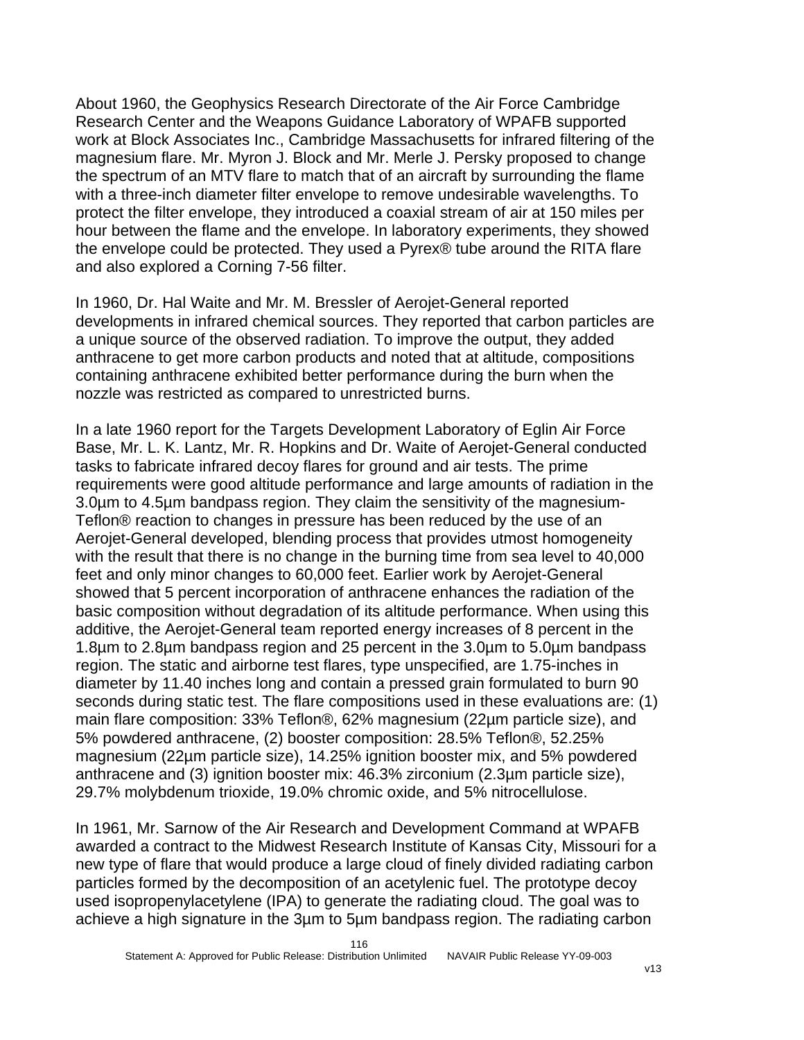About 1960, the Geophysics Research Directorate of the Air Force Cambridge Research Center and the Weapons Guidance Laboratory of WPAFB supported work at Block Associates Inc., Cambridge Massachusetts for infrared filtering of the magnesium flare. Mr. Myron J. Block and Mr. Merle J. Persky proposed to change the spectrum of an MTV flare to match that of an aircraft by surrounding the flame with a three-inch diameter filter envelope to remove undesirable wavelengths. To protect the filter envelope, they introduced a coaxial stream of air at 150 miles per hour between the flame and the envelope. In laboratory experiments, they showed the envelope could be protected. They used a Pyrex® tube around the RITA flare and also explored a Corning 7-56 filter.

In 1960, Dr. Hal Waite and Mr. M. Bressler of Aerojet-General reported developments in infrared chemical sources. They reported that carbon particles are a unique source of the observed radiation. To improve the output, they added anthracene to get more carbon products and noted that at altitude, compositions containing anthracene exhibited better performance during the burn when the nozzle was restricted as compared to unrestricted burns.

In a late 1960 report for the Targets Development Laboratory of Eglin Air Force Base, Mr. L. K. Lantz, Mr. R. Hopkins and Dr. Waite of Aerojet-General conducted tasks to fabricate infrared decoy flares for ground and air tests. The prime requirements were good altitude performance and large amounts of radiation in the 3.0µm to 4.5µm bandpass region. They claim the sensitivity of the magnesium-Teflon® reaction to changes in pressure has been reduced by the use of an Aerojet-General developed, blending process that provides utmost homogeneity with the result that there is no change in the burning time from sea level to 40,000 feet and only minor changes to 60,000 feet. Earlier work by Aerojet-General showed that 5 percent incorporation of anthracene enhances the radiation of the basic composition without degradation of its altitude performance. When using this additive, the Aerojet-General team reported energy increases of 8 percent in the 1.8µm to 2.8µm bandpass region and 25 percent in the 3.0µm to 5.0µm bandpass region. The static and airborne test flares, type unspecified, are 1.75-inches in diameter by 11.40 inches long and contain a pressed grain formulated to burn 90 seconds during static test. The flare compositions used in these evaluations are: (1) main flare composition: 33% Teflon®, 62% magnesium (22µm particle size), and 5% powdered anthracene, (2) booster composition: 28.5% Teflon®, 52.25% magnesium (22µm particle size), 14.25% ignition booster mix, and 5% powdered anthracene and (3) ignition booster mix: 46.3% zirconium (2.3µm particle size), 29.7% molybdenum trioxide, 19.0% chromic oxide, and 5% nitrocellulose.

In 1961, Mr. Sarnow of the Air Research and Development Command at WPAFB awarded a contract to the Midwest Research Institute of Kansas City, Missouri for a new type of flare that would produce a large cloud of finely divided radiating carbon particles formed by the decomposition of an acetylenic fuel. The prototype decoy used isopropenylacetylene (IPA) to generate the radiating cloud. The goal was to achieve a high signature in the 3µm to 5µm bandpass region. The radiating carbon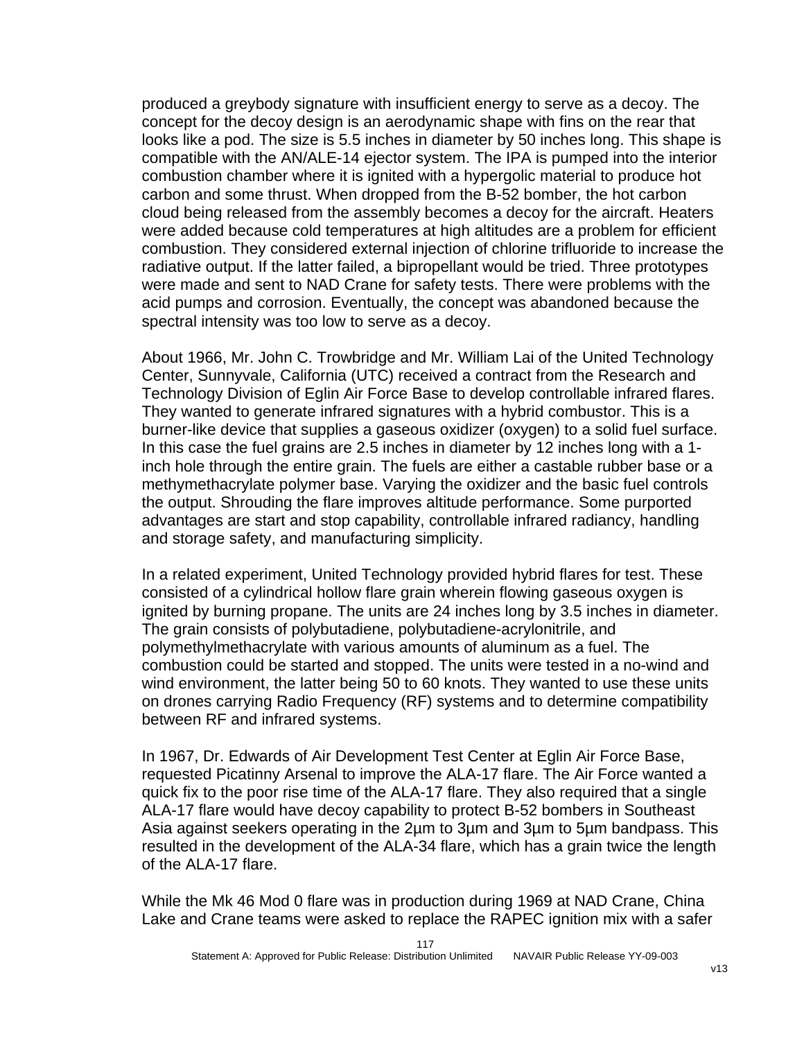produced a greybody signature with insufficient energy to serve as a decoy. The concept for the decoy design is an aerodynamic shape with fins on the rear that looks like a pod. The size is 5.5 inches in diameter by 50 inches long. This shape is compatible with the AN/ALE-14 ejector system. The IPA is pumped into the interior combustion chamber where it is ignited with a hypergolic material to produce hot carbon and some thrust. When dropped from the B-52 bomber, the hot carbon cloud being released from the assembly becomes a decoy for the aircraft. Heaters were added because cold temperatures at high altitudes are a problem for efficient combustion. They considered external injection of chlorine trifluoride to increase the radiative output. If the latter failed, a bipropellant would be tried. Three prototypes were made and sent to NAD Crane for safety tests. There were problems with the acid pumps and corrosion. Eventually, the concept was abandoned because the spectral intensity was too low to serve as a decoy.

About 1966, Mr. John C. Trowbridge and Mr. William Lai of the United Technology Center, Sunnyvale, California (UTC) received a contract from the Research and Technology Division of Eglin Air Force Base to develop controllable infrared flares. They wanted to generate infrared signatures with a hybrid combustor. This is a burner-like device that supplies a gaseous oxidizer (oxygen) to a solid fuel surface. In this case the fuel grains are 2.5 inches in diameter by 12 inches long with a 1 inch hole through the entire grain. The fuels are either a castable rubber base or a methymethacrylate polymer base. Varying the oxidizer and the basic fuel controls the output. Shrouding the flare improves altitude performance. Some purported advantages are start and stop capability, controllable infrared radiancy, handling and storage safety, and manufacturing simplicity.

In a related experiment, United Technology provided hybrid flares for test. These consisted of a cylindrical hollow flare grain wherein flowing gaseous oxygen is ignited by burning propane. The units are 24 inches long by 3.5 inches in diameter. The grain consists of polybutadiene, polybutadiene-acrylonitrile, and polymethylmethacrylate with various amounts of aluminum as a fuel. The combustion could be started and stopped. The units were tested in a no-wind and wind environment, the latter being 50 to 60 knots. They wanted to use these units on drones carrying Radio Frequency (RF) systems and to determine compatibility between RF and infrared systems.

In 1967, Dr. Edwards of Air Development Test Center at Eglin Air Force Base, requested Picatinny Arsenal to improve the ALA-17 flare. The Air Force wanted a quick fix to the poor rise time of the ALA-17 flare. They also required that a single ALA-17 flare would have decoy capability to protect B-52 bombers in Southeast Asia against seekers operating in the 2µm to 3µm and 3µm to 5µm bandpass. This resulted in the development of the ALA-34 flare, which has a grain twice the length of the ALA-17 flare.

While the Mk 46 Mod 0 flare was in production during 1969 at NAD Crane, China Lake and Crane teams were asked to replace the RAPEC ignition mix with a safer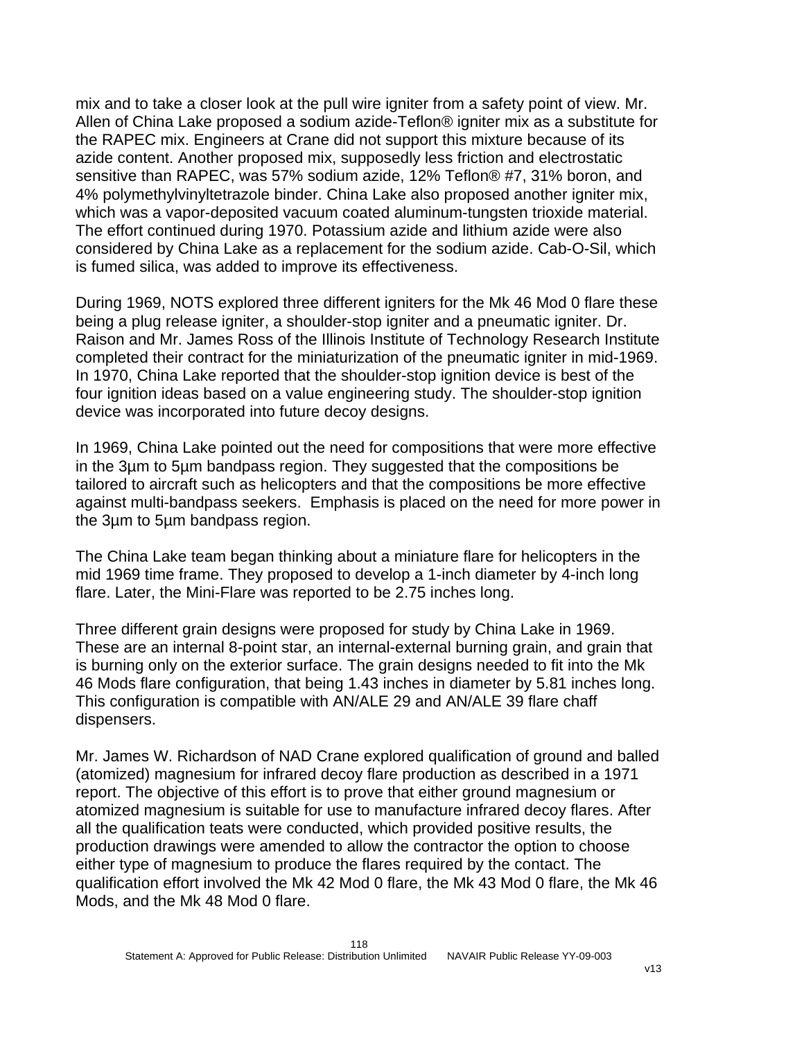mix and to take a closer look at the pull wire igniter from a safety point of view. Mr. Allen of China Lake proposed a sodium azide-Teflon® igniter mix as a substitute for the RAPEC mix. Engineers at Crane did not support this mixture because of its azide content. Another proposed mix, supposedly less friction and electrostatic sensitive than RAPEC, was 57% sodium azide, 12% Teflon® #7, 31% boron, and 4% polymethylvinyltetrazole binder. China Lake also proposed another igniter mix, which was a vapor-deposited vacuum coated aluminum-tungsten trioxide material. The effort continued during 1970. Potassium azide and lithium azide were also considered by China Lake as a replacement for the sodium azide. Cab-O-Sil, which is fumed silica, was added to improve its effectiveness.

During 1969, NOTS explored three different igniters for the Mk 46 Mod 0 flare these being a plug release igniter, a shoulder-stop igniter and a pneumatic igniter. Dr. Raison and Mr. James Ross of the Illinois Institute of Technology Research Institute completed their contract for the miniaturization of the pneumatic igniter in mid-1969. In 1970, China Lake reported that the shoulder-stop ignition device is best of the four ignition ideas based on a value engineering study. The shoulder-stop ignition device was incorporated into future decoy designs.

In 1969, China Lake pointed out the need for compositions that were more effective in the 3µm to 5µm bandpass region. They suggested that the compositions be tailored to aircraft such as helicopters and that the compositions be more effective against multi-bandpass seekers. Emphasis is placed on the need for more power in the 3µm to 5µm bandpass region.

The China Lake team began thinking about a miniature flare for helicopters in the mid 1969 time frame. They proposed to develop a 1-inch diameter by 4-inch long flare. Later, the Mini-Flare was reported to be 2.75 inches long.

Three different grain designs were proposed for study by China Lake in 1969. These are an internal 8-point star, an internal-external burning grain, and grain that is burning only on the exterior surface. The grain designs needed to fit into the Mk 46 Mods flare configuration, that being 1.43 inches in diameter by 5.81 inches long. This configuration is compatible with AN/ALE 29 and AN/ALE 39 flare chaff dispensers.

Mr. James W. Richardson of NAD Crane explored qualification of ground and balled (atomized) magnesium for infrared decoy flare production as described in a 1971 report. The objective of this effort is to prove that either ground magnesium or atomized magnesium is suitable for use to manufacture infrared decoy flares. After all the qualification teats were conducted, which provided positive results, the production drawings were amended to allow the contractor the option to choose either type of magnesium to produce the flares required by the contact. The qualification effort involved the Mk 42 Mod 0 flare, the Mk 43 Mod 0 flare, the Mk 46 Mods, and the Mk 48 Mod 0 flare.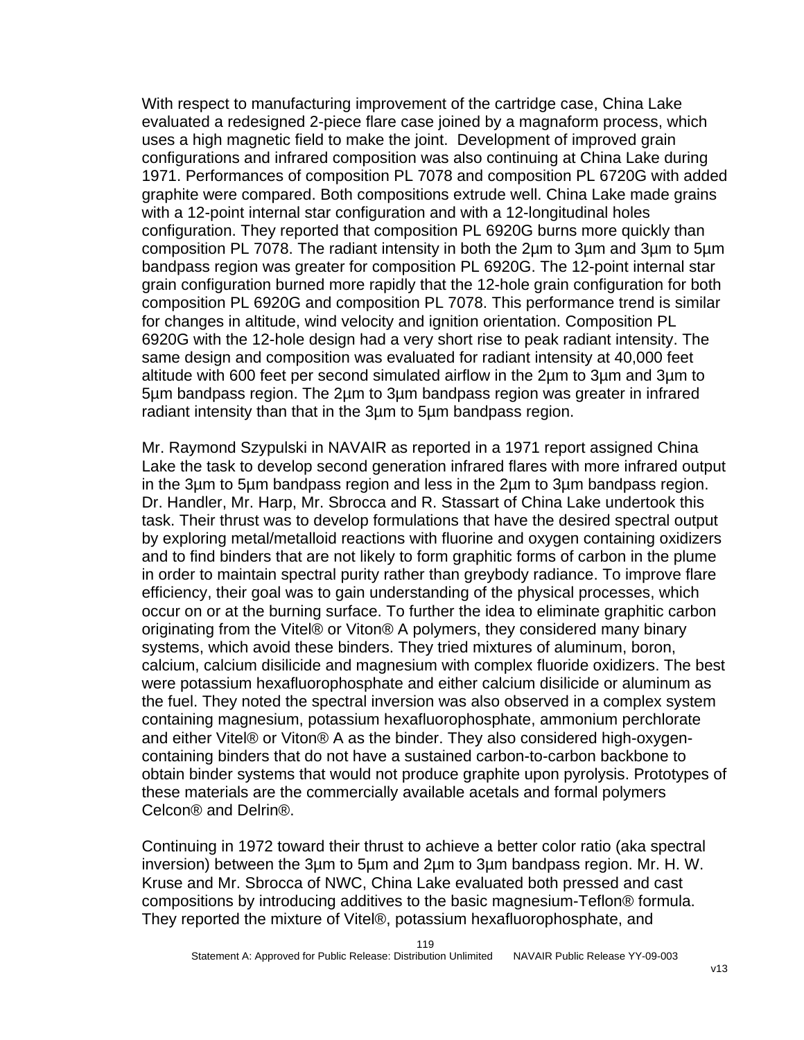With respect to manufacturing improvement of the cartridge case, China Lake evaluated a redesigned 2-piece flare case joined by a magnaform process, which uses a high magnetic field to make the joint. Development of improved grain configurations and infrared composition was also continuing at China Lake during 1971. Performances of composition PL 7078 and composition PL 6720G with added graphite were compared. Both compositions extrude well. China Lake made grains with a 12-point internal star configuration and with a 12-longitudinal holes configuration. They reported that composition PL 6920G burns more quickly than composition PL 7078. The radiant intensity in both the 2µm to 3µm and 3µm to 5µm bandpass region was greater for composition PL 6920G. The 12-point internal star grain configuration burned more rapidly that the 12-hole grain configuration for both composition PL 6920G and composition PL 7078. This performance trend is similar for changes in altitude, wind velocity and ignition orientation. Composition PL 6920G with the 12-hole design had a very short rise to peak radiant intensity. The same design and composition was evaluated for radiant intensity at 40,000 feet altitude with 600 feet per second simulated airflow in the 2µm to 3µm and 3µm to 5µm bandpass region. The 2µm to 3µm bandpass region was greater in infrared radiant intensity than that in the 3µm to 5µm bandpass region.

Mr. Raymond Szypulski in NAVAIR as reported in a 1971 report assigned China Lake the task to develop second generation infrared flares with more infrared output in the 3µm to 5µm bandpass region and less in the 2µm to 3µm bandpass region. Dr. Handler, Mr. Harp, Mr. Sbrocca and R. Stassart of China Lake undertook this task. Their thrust was to develop formulations that have the desired spectral output by exploring metal/metalloid reactions with fluorine and oxygen containing oxidizers and to find binders that are not likely to form graphitic forms of carbon in the plume in order to maintain spectral purity rather than greybody radiance. To improve flare efficiency, their goal was to gain understanding of the physical processes, which occur on or at the burning surface. To further the idea to eliminate graphitic carbon originating from the Vitel® or Viton® A polymers, they considered many binary systems, which avoid these binders. They tried mixtures of aluminum, boron, calcium, calcium disilicide and magnesium with complex fluoride oxidizers. The best were potassium hexafluorophosphate and either calcium disilicide or aluminum as the fuel. They noted the spectral inversion was also observed in a complex system containing magnesium, potassium hexafluorophosphate, ammonium perchlorate and either Vitel® or Viton® A as the binder. They also considered high-oxygencontaining binders that do not have a sustained carbon-to-carbon backbone to obtain binder systems that would not produce graphite upon pyrolysis. Prototypes of these materials are the commercially available acetals and formal polymers Celcon® and Delrin®.

Continuing in 1972 toward their thrust to achieve a better color ratio (aka spectral inversion) between the 3µm to 5µm and 2µm to 3µm bandpass region. Mr. H. W. Kruse and Mr. Sbrocca of NWC, China Lake evaluated both pressed and cast compositions by introducing additives to the basic magnesium-Teflon® formula. They reported the mixture of Vitel®, potassium hexafluorophosphate, and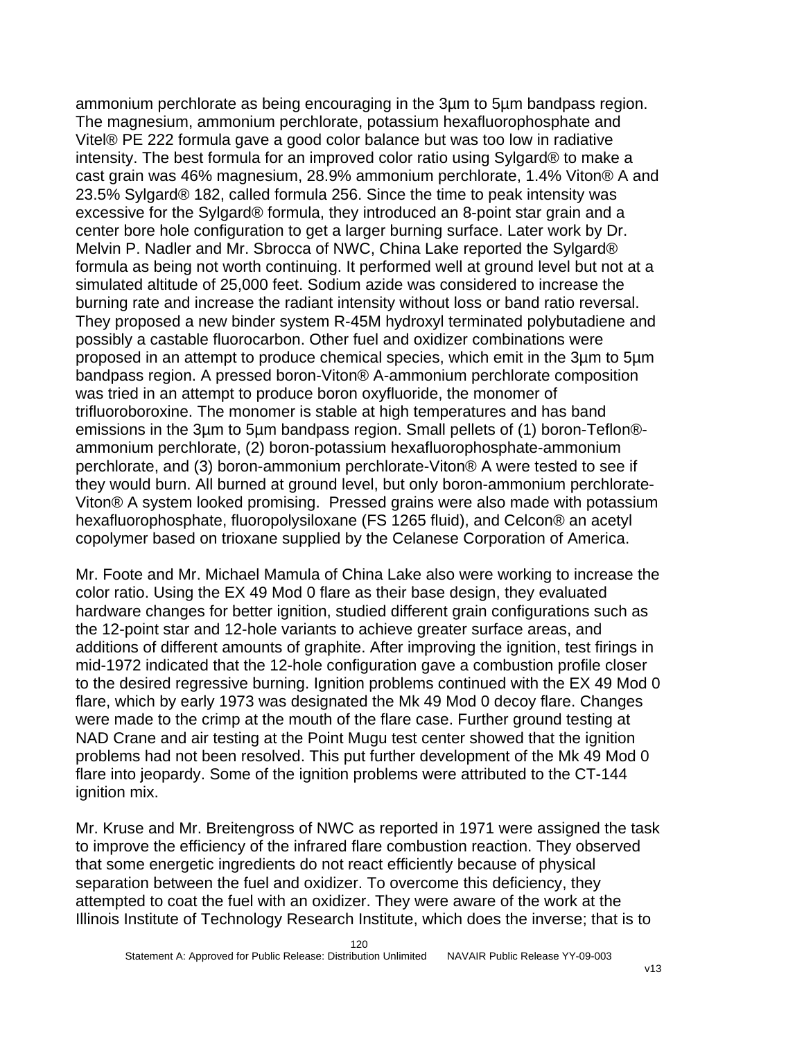ammonium perchlorate as being encouraging in the 3µm to 5µm bandpass region. The magnesium, ammonium perchlorate, potassium hexafluorophosphate and Vitel® PE 222 formula gave a good color balance but was too low in radiative intensity. The best formula for an improved color ratio using Sylgard® to make a cast grain was 46% magnesium, 28.9% ammonium perchlorate, 1.4% Viton® A and 23.5% Sylgard® 182, called formula 256. Since the time to peak intensity was excessive for the Sylgard® formula, they introduced an 8-point star grain and a center bore hole configuration to get a larger burning surface. Later work by Dr. Melvin P. Nadler and Mr. Sbrocca of NWC, China Lake reported the Sylgard® formula as being not worth continuing. It performed well at ground level but not at a simulated altitude of 25,000 feet. Sodium azide was considered to increase the burning rate and increase the radiant intensity without loss or band ratio reversal. They proposed a new binder system R-45M hydroxyl terminated polybutadiene and possibly a castable fluorocarbon. Other fuel and oxidizer combinations were proposed in an attempt to produce chemical species, which emit in the 3µm to 5µm bandpass region. A pressed boron-Viton® A-ammonium perchlorate composition was tried in an attempt to produce boron oxyfluoride, the monomer of trifluoroboroxine. The monomer is stable at high temperatures and has band emissions in the 3µm to 5µm bandpass region. Small pellets of (1) boron-Teflon® ammonium perchlorate, (2) boron-potassium hexafluorophosphate-ammonium perchlorate, and (3) boron-ammonium perchlorate-Viton® A were tested to see if they would burn. All burned at ground level, but only boron-ammonium perchlorate-Viton® A system looked promising. Pressed grains were also made with potassium hexafluorophosphate, fluoropolysiloxane (FS 1265 fluid), and Celcon® an acetyl copolymer based on trioxane supplied by the Celanese Corporation of America.

Mr. Foote and Mr. Michael Mamula of China Lake also were working to increase the color ratio. Using the EX 49 Mod 0 flare as their base design, they evaluated hardware changes for better ignition, studied different grain configurations such as the 12-point star and 12-hole variants to achieve greater surface areas, and additions of different amounts of graphite. After improving the ignition, test firings in mid-1972 indicated that the 12-hole configuration gave a combustion profile closer to the desired regressive burning. Ignition problems continued with the EX 49 Mod 0 flare, which by early 1973 was designated the Mk 49 Mod 0 decoy flare. Changes were made to the crimp at the mouth of the flare case. Further ground testing at NAD Crane and air testing at the Point Mugu test center showed that the ignition problems had not been resolved. This put further development of the Mk 49 Mod 0 flare into jeopardy. Some of the ignition problems were attributed to the CT-144 ignition mix.

Mr. Kruse and Mr. Breitengross of NWC as reported in 1971 were assigned the task to improve the efficiency of the infrared flare combustion reaction. They observed that some energetic ingredients do not react efficiently because of physical separation between the fuel and oxidizer. To overcome this deficiency, they attempted to coat the fuel with an oxidizer. They were aware of the work at the Illinois Institute of Technology Research Institute, which does the inverse; that is to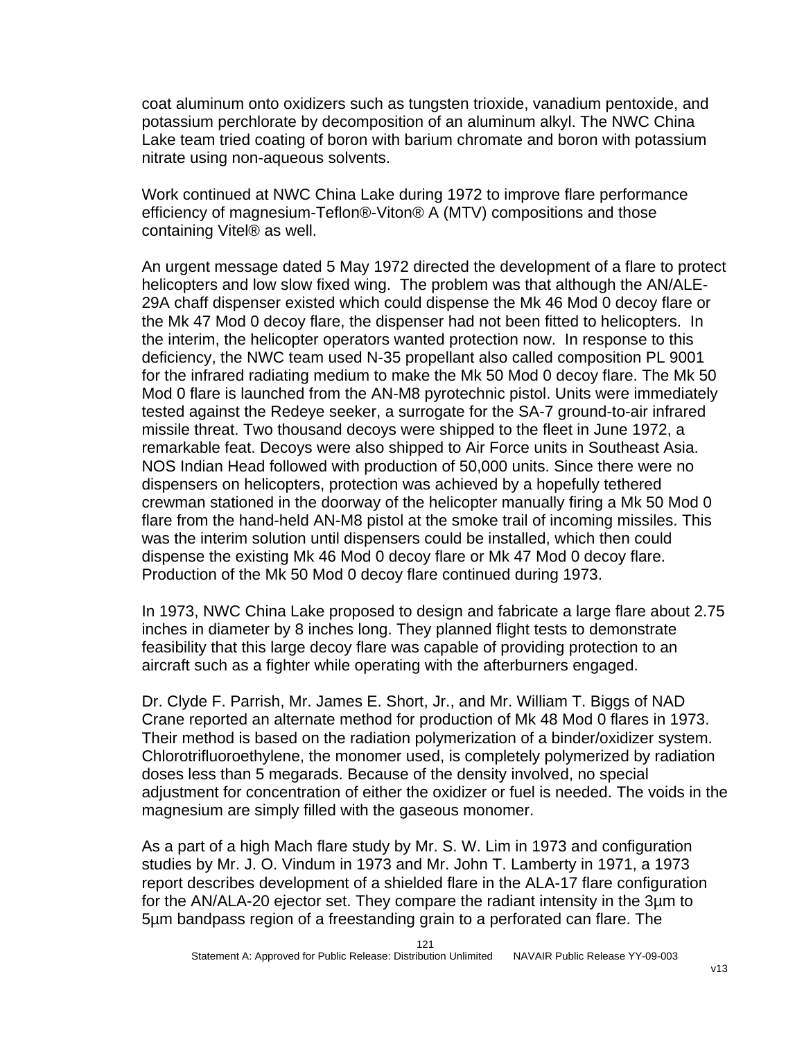coat aluminum onto oxidizers such as tungsten trioxide, vanadium pentoxide, and potassium perchlorate by decomposition of an aluminum alkyl. The NWC China Lake team tried coating of boron with barium chromate and boron with potassium nitrate using non-aqueous solvents.

Work continued at NWC China Lake during 1972 to improve flare performance efficiency of magnesium-Teflon®-Viton® A (MTV) compositions and those containing Vitel® as well.

An urgent message dated 5 May 1972 directed the development of a flare to protect helicopters and low slow fixed wing. The problem was that although the AN/ALE-29A chaff dispenser existed which could dispense the Mk 46 Mod 0 decoy flare or the Mk 47 Mod 0 decoy flare, the dispenser had not been fitted to helicopters. In the interim, the helicopter operators wanted protection now. In response to this deficiency, the NWC team used N-35 propellant also called composition PL 9001 for the infrared radiating medium to make the Mk 50 Mod 0 decoy flare. The Mk 50 Mod 0 flare is launched from the AN-M8 pyrotechnic pistol. Units were immediately tested against the Redeye seeker, a surrogate for the SA-7 ground-to-air infrared missile threat. Two thousand decoys were shipped to the fleet in June 1972, a remarkable feat. Decoys were also shipped to Air Force units in Southeast Asia. NOS Indian Head followed with production of 50,000 units. Since there were no dispensers on helicopters, protection was achieved by a hopefully tethered crewman stationed in the doorway of the helicopter manually firing a Mk 50 Mod 0 flare from the hand-held AN-M8 pistol at the smoke trail of incoming missiles. This was the interim solution until dispensers could be installed, which then could dispense the existing Mk 46 Mod 0 decoy flare or Mk 47 Mod 0 decoy flare. Production of the Mk 50 Mod 0 decoy flare continued during 1973.

In 1973, NWC China Lake proposed to design and fabricate a large flare about 2.75 inches in diameter by 8 inches long. They planned flight tests to demonstrate feasibility that this large decoy flare was capable of providing protection to an aircraft such as a fighter while operating with the afterburners engaged.

Dr. Clyde F. Parrish, Mr. James E. Short, Jr., and Mr. William T. Biggs of NAD Crane reported an alternate method for production of Mk 48 Mod 0 flares in 1973. Their method is based on the radiation polymerization of a binder/oxidizer system. Chlorotrifluoroethylene, the monomer used, is completely polymerized by radiation doses less than 5 megarads. Because of the density involved, no special adjustment for concentration of either the oxidizer or fuel is needed. The voids in the magnesium are simply filled with the gaseous monomer.

As a part of a high Mach flare study by Mr. S. W. Lim in 1973 and configuration studies by Mr. J. O. Vindum in 1973 and Mr. John T. Lamberty in 1971, a 1973 report describes development of a shielded flare in the ALA-17 flare configuration for the AN/ALA-20 ejector set. They compare the radiant intensity in the 3µm to 5µm bandpass region of a freestanding grain to a perforated can flare. The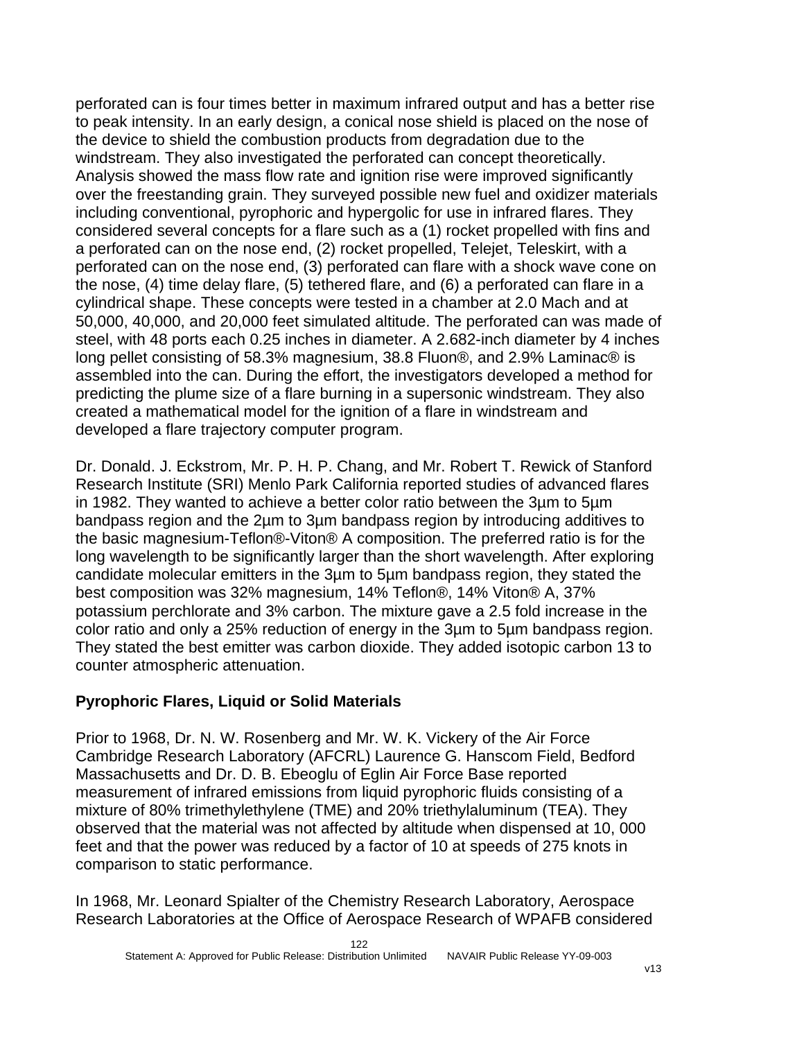perforated can is four times better in maximum infrared output and has a better rise to peak intensity. In an early design, a conical nose shield is placed on the nose of the device to shield the combustion products from degradation due to the windstream. They also investigated the perforated can concept theoretically. Analysis showed the mass flow rate and ignition rise were improved significantly over the freestanding grain. They surveyed possible new fuel and oxidizer materials including conventional, pyrophoric and hypergolic for use in infrared flares. They considered several concepts for a flare such as a (1) rocket propelled with fins and a perforated can on the nose end, (2) rocket propelled, Telejet, Teleskirt, with a perforated can on the nose end, (3) perforated can flare with a shock wave cone on the nose, (4) time delay flare, (5) tethered flare, and (6) a perforated can flare in a cylindrical shape. These concepts were tested in a chamber at 2.0 Mach and at 50,000, 40,000, and 20,000 feet simulated altitude. The perforated can was made of steel, with 48 ports each 0.25 inches in diameter. A 2.682-inch diameter by 4 inches long pellet consisting of 58.3% magnesium, 38.8 Fluon®, and 2.9% Laminac® is assembled into the can. During the effort, the investigators developed a method for predicting the plume size of a flare burning in a supersonic windstream. They also created a mathematical model for the ignition of a flare in windstream and developed a flare trajectory computer program.

Dr. Donald. J. Eckstrom, Mr. P. H. P. Chang, and Mr. Robert T. Rewick of Stanford Research Institute (SRI) Menlo Park California reported studies of advanced flares in 1982. They wanted to achieve a better color ratio between the 3µm to 5µm bandpass region and the 2µm to 3µm bandpass region by introducing additives to the basic magnesium-Teflon®-Viton® A composition. The preferred ratio is for the long wavelength to be significantly larger than the short wavelength. After exploring candidate molecular emitters in the 3µm to 5µm bandpass region, they stated the best composition was 32% magnesium, 14% Teflon®, 14% Viton® A, 37% potassium perchlorate and 3% carbon. The mixture gave a 2.5 fold increase in the color ratio and only a 25% reduction of energy in the 3µm to 5µm bandpass region. They stated the best emitter was carbon dioxide. They added isotopic carbon 13 to counter atmospheric attenuation.

# **Pyrophoric Flares, Liquid or Solid Materials**

Prior to 1968, Dr. N. W. Rosenberg and Mr. W. K. Vickery of the Air Force Cambridge Research Laboratory (AFCRL) Laurence G. Hanscom Field, Bedford Massachusetts and Dr. D. B. Ebeoglu of Eglin Air Force Base reported measurement of infrared emissions from liquid pyrophoric fluids consisting of a mixture of 80% trimethylethylene (TME) and 20% triethylaluminum (TEA). They observed that the material was not affected by altitude when dispensed at 10, 000 feet and that the power was reduced by a factor of 10 at speeds of 275 knots in comparison to static performance.

In 1968, Mr. Leonard Spialter of the Chemistry Research Laboratory, Aerospace Research Laboratories at the Office of Aerospace Research of WPAFB considered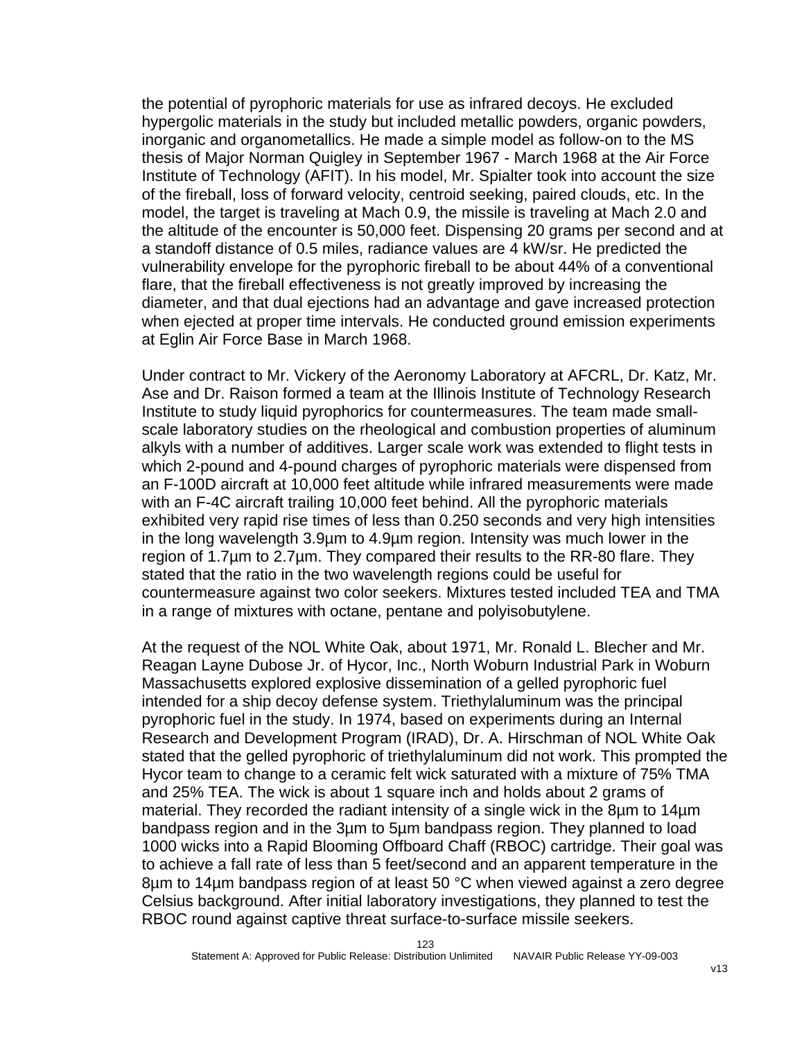the potential of pyrophoric materials for use as infrared decoys. He excluded hypergolic materials in the study but included metallic powders, organic powders, inorganic and organometallics. He made a simple model as follow-on to the MS thesis of Major Norman Quigley in September 1967 - March 1968 at the Air Force Institute of Technology (AFIT). In his model, Mr. Spialter took into account the size of the fireball, loss of forward velocity, centroid seeking, paired clouds, etc. In the model, the target is traveling at Mach 0.9, the missile is traveling at Mach 2.0 and the altitude of the encounter is 50,000 feet. Dispensing 20 grams per second and at a standoff distance of 0.5 miles, radiance values are 4 kW/sr. He predicted the vulnerability envelope for the pyrophoric fireball to be about 44% of a conventional flare, that the fireball effectiveness is not greatly improved by increasing the diameter, and that dual ejections had an advantage and gave increased protection when ejected at proper time intervals. He conducted ground emission experiments at Eglin Air Force Base in March 1968.

Under contract to Mr. Vickery of the Aeronomy Laboratory at AFCRL, Dr. Katz, Mr. Ase and Dr. Raison formed a team at the Illinois Institute of Technology Research Institute to study liquid pyrophorics for countermeasures. The team made smallscale laboratory studies on the rheological and combustion properties of aluminum alkyls with a number of additives. Larger scale work was extended to flight tests in which 2-pound and 4-pound charges of pyrophoric materials were dispensed from an F-100D aircraft at 10,000 feet altitude while infrared measurements were made with an F-4C aircraft trailing 10,000 feet behind. All the pyrophoric materials exhibited very rapid rise times of less than 0.250 seconds and very high intensities in the long wavelength 3.9µm to 4.9µm region. Intensity was much lower in the region of 1.7µm to 2.7µm. They compared their results to the RR-80 flare. They stated that the ratio in the two wavelength regions could be useful for countermeasure against two color seekers. Mixtures tested included TEA and TMA in a range of mixtures with octane, pentane and polyisobutylene.

At the request of the NOL White Oak, about 1971, Mr. Ronald L. Blecher and Mr. Reagan Layne Dubose Jr. of Hycor, Inc., North Woburn Industrial Park in Woburn Massachusetts explored explosive dissemination of a gelled pyrophoric fuel intended for a ship decoy defense system. Triethylaluminum was the principal pyrophoric fuel in the study. In 1974, based on experiments during an Internal Research and Development Program (IRAD), Dr. A. Hirschman of NOL White Oak stated that the gelled pyrophoric of triethylaluminum did not work. This prompted the Hycor team to change to a ceramic felt wick saturated with a mixture of 75% TMA and 25% TEA. The wick is about 1 square inch and holds about 2 grams of material. They recorded the radiant intensity of a single wick in the 8µm to 14µm bandpass region and in the 3µm to 5µm bandpass region. They planned to load 1000 wicks into a Rapid Blooming Offboard Chaff (RBOC) cartridge. Their goal was to achieve a fall rate of less than 5 feet/second and an apparent temperature in the 8µm to 14µm bandpass region of at least 50 °C when viewed against a zero degree Celsius background. After initial laboratory investigations, they planned to test the RBOC round against captive threat surface-to-surface missile seekers.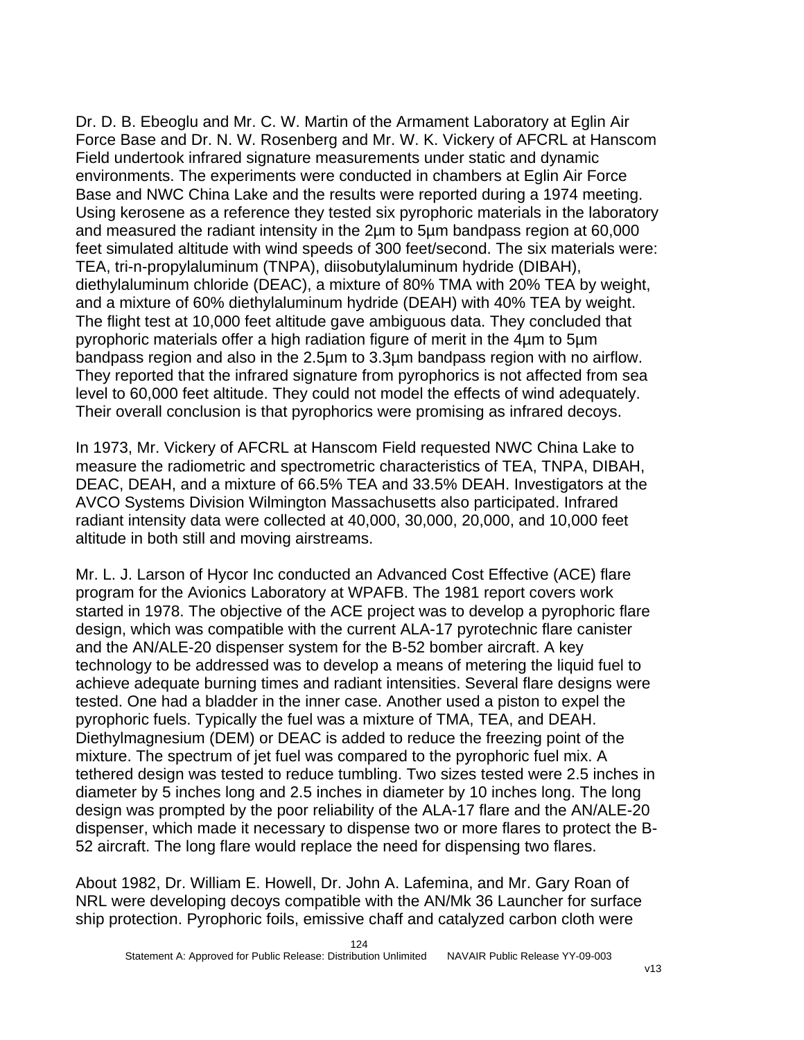Dr. D. B. Ebeoglu and Mr. C. W. Martin of the Armament Laboratory at Eglin Air Force Base and Dr. N. W. Rosenberg and Mr. W. K. Vickery of AFCRL at Hanscom Field undertook infrared signature measurements under static and dynamic environments. The experiments were conducted in chambers at Eglin Air Force Base and NWC China Lake and the results were reported during a 1974 meeting. Using kerosene as a reference they tested six pyrophoric materials in the laboratory and measured the radiant intensity in the 2µm to 5µm bandpass region at 60,000 feet simulated altitude with wind speeds of 300 feet/second. The six materials were: TEA, tri-n-propylaluminum (TNPA), diisobutylaluminum hydride (DIBAH), diethylaluminum chloride (DEAC), a mixture of 80% TMA with 20% TEA by weight, and a mixture of 60% diethylaluminum hydride (DEAH) with 40% TEA by weight. The flight test at 10,000 feet altitude gave ambiguous data. They concluded that pyrophoric materials offer a high radiation figure of merit in the 4µm to 5µm bandpass region and also in the 2.5µm to 3.3µm bandpass region with no airflow. They reported that the infrared signature from pyrophorics is not affected from sea level to 60,000 feet altitude. They could not model the effects of wind adequately. Their overall conclusion is that pyrophorics were promising as infrared decoys.

In 1973, Mr. Vickery of AFCRL at Hanscom Field requested NWC China Lake to measure the radiometric and spectrometric characteristics of TEA, TNPA, DIBAH, DEAC, DEAH, and a mixture of 66.5% TEA and 33.5% DEAH. Investigators at the AVCO Systems Division Wilmington Massachusetts also participated. Infrared radiant intensity data were collected at 40,000, 30,000, 20,000, and 10,000 feet altitude in both still and moving airstreams.

Mr. L. J. Larson of Hycor Inc conducted an Advanced Cost Effective (ACE) flare program for the Avionics Laboratory at WPAFB. The 1981 report covers work started in 1978. The objective of the ACE project was to develop a pyrophoric flare design, which was compatible with the current ALA-17 pyrotechnic flare canister and the AN/ALE-20 dispenser system for the B-52 bomber aircraft. A key technology to be addressed was to develop a means of metering the liquid fuel to achieve adequate burning times and radiant intensities. Several flare designs were tested. One had a bladder in the inner case. Another used a piston to expel the pyrophoric fuels. Typically the fuel was a mixture of TMA, TEA, and DEAH. Diethylmagnesium (DEM) or DEAC is added to reduce the freezing point of the mixture. The spectrum of jet fuel was compared to the pyrophoric fuel mix. A tethered design was tested to reduce tumbling. Two sizes tested were 2.5 inches in diameter by 5 inches long and 2.5 inches in diameter by 10 inches long. The long design was prompted by the poor reliability of the ALA-17 flare and the AN/ALE-20 dispenser, which made it necessary to dispense two or more flares to protect the B-52 aircraft. The long flare would replace the need for dispensing two flares.

About 1982, Dr. William E. Howell, Dr. John A. Lafemina, and Mr. Gary Roan of NRL were developing decoys compatible with the AN/Mk 36 Launcher for surface ship protection. Pyrophoric foils, emissive chaff and catalyzed carbon cloth were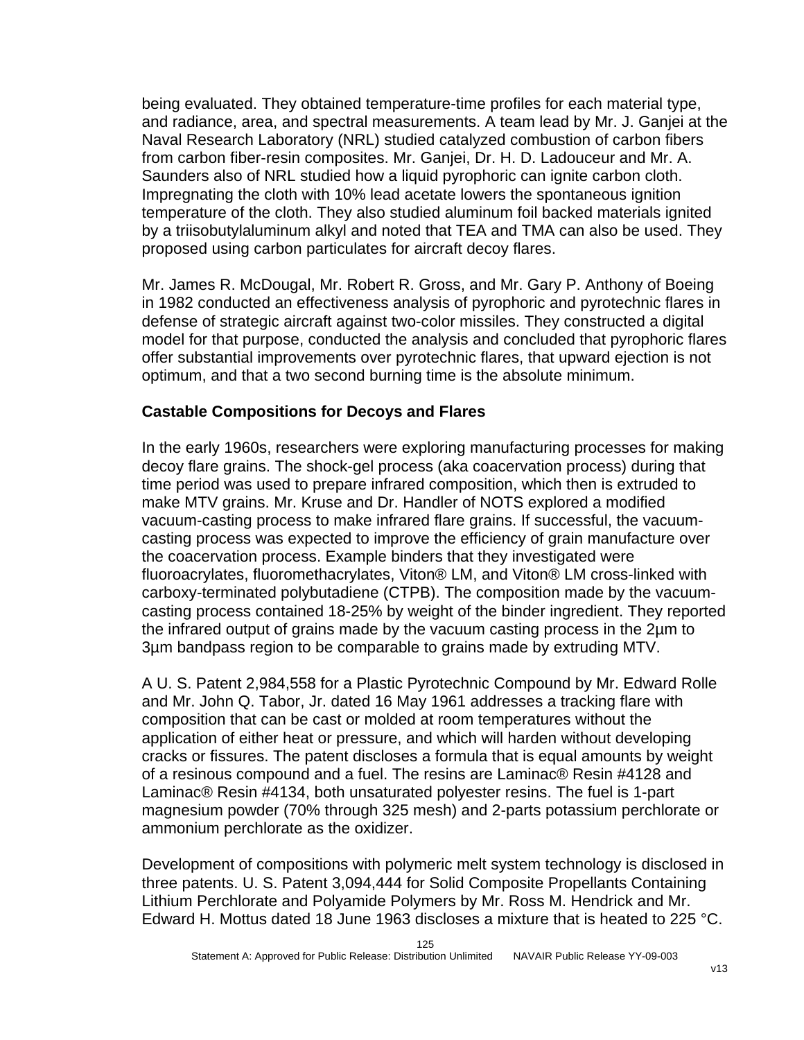being evaluated. They obtained temperature-time profiles for each material type, and radiance, area, and spectral measurements. A team lead by Mr. J. Ganjei at the Naval Research Laboratory (NRL) studied catalyzed combustion of carbon fibers from carbon fiber-resin composites. Mr. Ganjei, Dr. H. D. Ladouceur and Mr. A. Saunders also of NRL studied how a liquid pyrophoric can ignite carbon cloth. Impregnating the cloth with 10% lead acetate lowers the spontaneous ignition temperature of the cloth. They also studied aluminum foil backed materials ignited by a triisobutylaluminum alkyl and noted that TEA and TMA can also be used. They proposed using carbon particulates for aircraft decoy flares.

Mr. James R. McDougal, Mr. Robert R. Gross, and Mr. Gary P. Anthony of Boeing in 1982 conducted an effectiveness analysis of pyrophoric and pyrotechnic flares in defense of strategic aircraft against two-color missiles. They constructed a digital model for that purpose, conducted the analysis and concluded that pyrophoric flares offer substantial improvements over pyrotechnic flares, that upward ejection is not optimum, and that a two second burning time is the absolute minimum.

# **Castable Compositions for Decoys and Flares**

In the early 1960s, researchers were exploring manufacturing processes for making decoy flare grains. The shock-gel process (aka coacervation process) during that time period was used to prepare infrared composition, which then is extruded to make MTV grains. Mr. Kruse and Dr. Handler of NOTS explored a modified vacuum-casting process to make infrared flare grains. If successful, the vacuumcasting process was expected to improve the efficiency of grain manufacture over the coacervation process. Example binders that they investigated were fluoroacrylates, fluoromethacrylates, Viton® LM, and Viton® LM cross-linked with carboxy-terminated polybutadiene (CTPB). The composition made by the vacuumcasting process contained 18-25% by weight of the binder ingredient. They reported the infrared output of grains made by the vacuum casting process in the 2µm to 3µm bandpass region to be comparable to grains made by extruding MTV.

A U. S. Patent 2,984,558 for a Plastic Pyrotechnic Compound by Mr. Edward Rolle and Mr. John Q. Tabor, Jr. dated 16 May 1961 addresses a tracking flare with composition that can be cast or molded at room temperatures without the application of either heat or pressure, and which will harden without developing cracks or fissures. The patent discloses a formula that is equal amounts by weight of a resinous compound and a fuel. The resins are Laminac® Resin #4128 and Laminac® Resin #4134, both unsaturated polyester resins. The fuel is 1-part magnesium powder (70% through 325 mesh) and 2-parts potassium perchlorate or ammonium perchlorate as the oxidizer.

Development of compositions with polymeric melt system technology is disclosed in three patents. U. S. Patent 3,094,444 for Solid Composite Propellants Containing Lithium Perchlorate and Polyamide Polymers by Mr. Ross M. Hendrick and Mr. Edward H. Mottus dated 18 June 1963 discloses a mixture that is heated to 225 °C.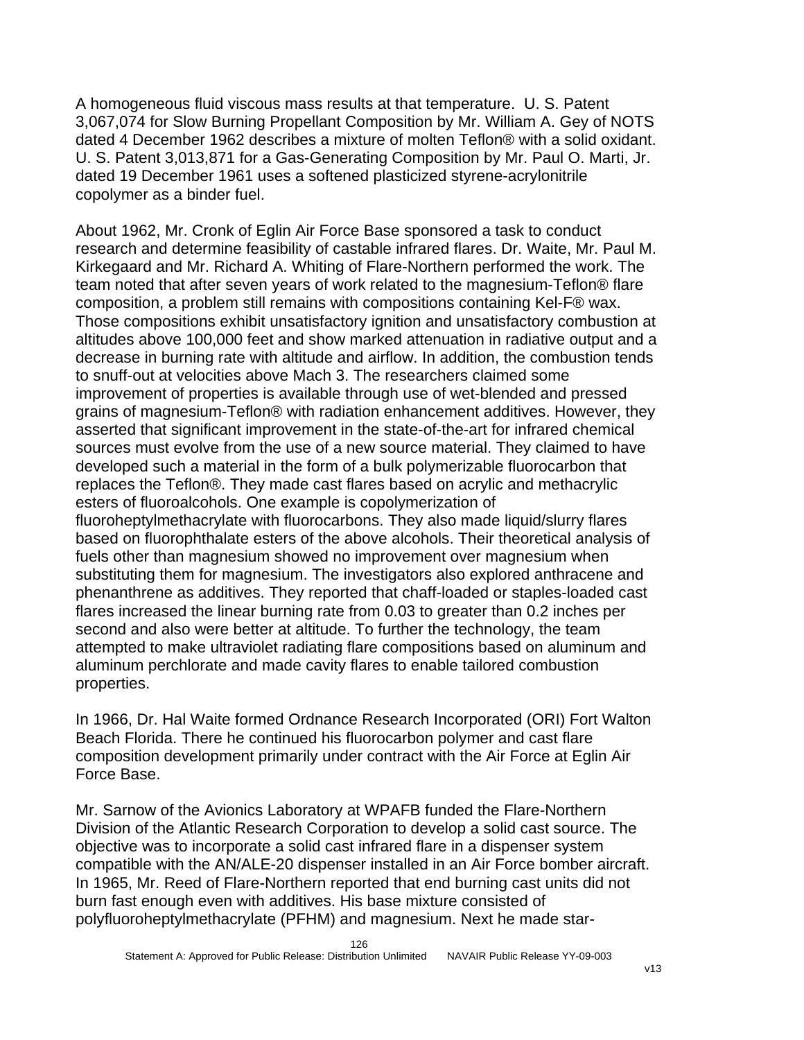A homogeneous fluid viscous mass results at that temperature. U. S. Patent 3,067,074 for Slow Burning Propellant Composition by Mr. William A. Gey of NOTS dated 4 December 1962 describes a mixture of molten Teflon® with a solid oxidant. U. S. Patent 3,013,871 for a Gas-Generating Composition by Mr. Paul O. Marti, Jr. dated 19 December 1961 uses a softened plasticized styrene-acrylonitrile copolymer as a binder fuel.

About 1962, Mr. Cronk of Eglin Air Force Base sponsored a task to conduct research and determine feasibility of castable infrared flares. Dr. Waite, Mr. Paul M. Kirkegaard and Mr. Richard A. Whiting of Flare-Northern performed the work. The team noted that after seven years of work related to the magnesium-Teflon® flare composition, a problem still remains with compositions containing Kel-F® wax. Those compositions exhibit unsatisfactory ignition and unsatisfactory combustion at altitudes above 100,000 feet and show marked attenuation in radiative output and a decrease in burning rate with altitude and airflow. In addition, the combustion tends to snuff-out at velocities above Mach 3. The researchers claimed some improvement of properties is available through use of wet-blended and pressed grains of magnesium-Teflon® with radiation enhancement additives. However, they asserted that significant improvement in the state-of-the-art for infrared chemical sources must evolve from the use of a new source material. They claimed to have developed such a material in the form of a bulk polymerizable fluorocarbon that replaces the Teflon®. They made cast flares based on acrylic and methacrylic esters of fluoroalcohols. One example is copolymerization of fluoroheptylmethacrylate with fluorocarbons. They also made liquid/slurry flares based on fluorophthalate esters of the above alcohols. Their theoretical analysis of fuels other than magnesium showed no improvement over magnesium when substituting them for magnesium. The investigators also explored anthracene and phenanthrene as additives. They reported that chaff-loaded or staples-loaded cast flares increased the linear burning rate from 0.03 to greater than 0.2 inches per second and also were better at altitude. To further the technology, the team attempted to make ultraviolet radiating flare compositions based on aluminum and aluminum perchlorate and made cavity flares to enable tailored combustion properties.

In 1966, Dr. Hal Waite formed Ordnance Research Incorporated (ORI) Fort Walton Beach Florida. There he continued his fluorocarbon polymer and cast flare composition development primarily under contract with the Air Force at Eglin Air Force Base.

Mr. Sarnow of the Avionics Laboratory at WPAFB funded the Flare-Northern Division of the Atlantic Research Corporation to develop a solid cast source. The objective was to incorporate a solid cast infrared flare in a dispenser system compatible with the AN/ALE-20 dispenser installed in an Air Force bomber aircraft. In 1965, Mr. Reed of Flare-Northern reported that end burning cast units did not burn fast enough even with additives. His base mixture consisted of polyfluoroheptylmethacrylate (PFHM) and magnesium. Next he made star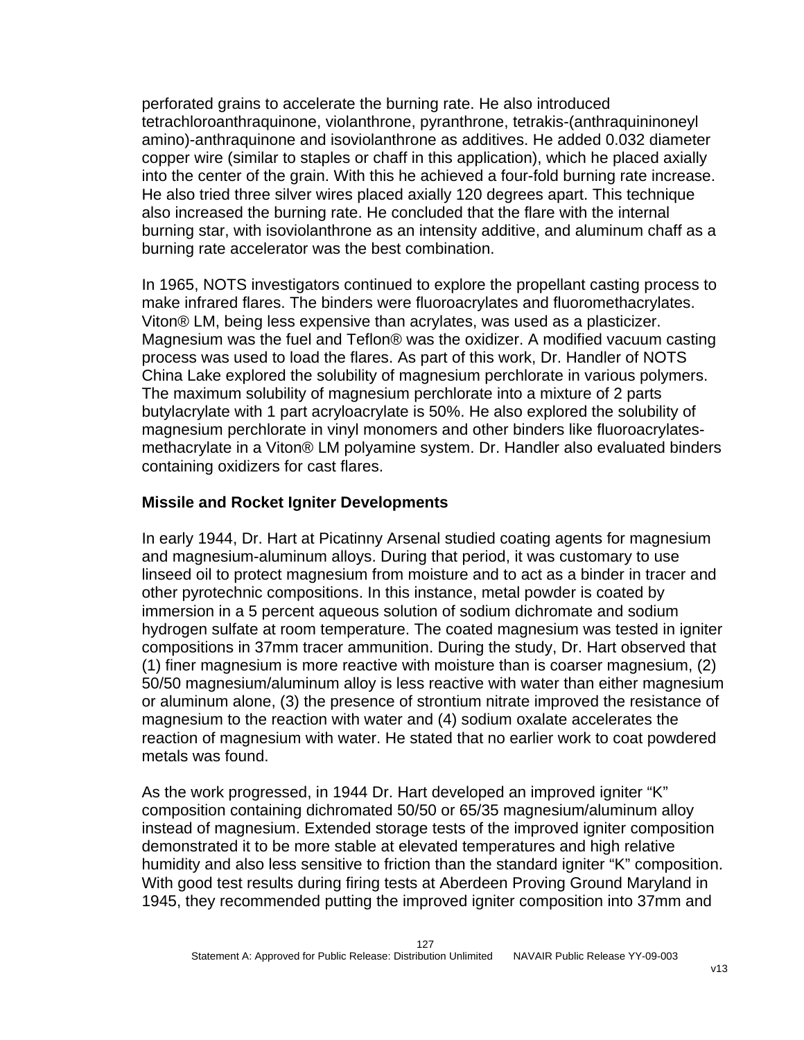perforated grains to accelerate the burning rate. He also introduced tetrachloroanthraquinone, violanthrone, pyranthrone, tetrakis-(anthraquininoneyl amino)-anthraquinone and isoviolanthrone as additives. He added 0.032 diameter copper wire (similar to staples or chaff in this application), which he placed axially into the center of the grain. With this he achieved a four-fold burning rate increase. He also tried three silver wires placed axially 120 degrees apart. This technique also increased the burning rate. He concluded that the flare with the internal burning star, with isoviolanthrone as an intensity additive, and aluminum chaff as a burning rate accelerator was the best combination.

In 1965, NOTS investigators continued to explore the propellant casting process to make infrared flares. The binders were fluoroacrylates and fluoromethacrylates. Viton® LM, being less expensive than acrylates, was used as a plasticizer. Magnesium was the fuel and Teflon® was the oxidizer. A modified vacuum casting process was used to load the flares. As part of this work, Dr. Handler of NOTS China Lake explored the solubility of magnesium perchlorate in various polymers. The maximum solubility of magnesium perchlorate into a mixture of 2 parts butylacrylate with 1 part acryloacrylate is 50%. He also explored the solubility of magnesium perchlorate in vinyl monomers and other binders like fluoroacrylatesmethacrylate in a Viton® LM polyamine system. Dr. Handler also evaluated binders containing oxidizers for cast flares.

#### **Missile and Rocket Igniter Developments**

In early 1944, Dr. Hart at Picatinny Arsenal studied coating agents for magnesium and magnesium-aluminum alloys. During that period, it was customary to use linseed oil to protect magnesium from moisture and to act as a binder in tracer and other pyrotechnic compositions. In this instance, metal powder is coated by immersion in a 5 percent aqueous solution of sodium dichromate and sodium hydrogen sulfate at room temperature. The coated magnesium was tested in igniter compositions in 37mm tracer ammunition. During the study, Dr. Hart observed that (1) finer magnesium is more reactive with moisture than is coarser magnesium, (2) 50/50 magnesium/aluminum alloy is less reactive with water than either magnesium or aluminum alone, (3) the presence of strontium nitrate improved the resistance of magnesium to the reaction with water and (4) sodium oxalate accelerates the reaction of magnesium with water. He stated that no earlier work to coat powdered metals was found.

As the work progressed, in 1944 Dr. Hart developed an improved igniter "K" composition containing dichromated 50/50 or 65/35 magnesium/aluminum alloy instead of magnesium. Extended storage tests of the improved igniter composition demonstrated it to be more stable at elevated temperatures and high relative humidity and also less sensitive to friction than the standard igniter "K" composition. With good test results during firing tests at Aberdeen Proving Ground Maryland in 1945, they recommended putting the improved igniter composition into 37mm and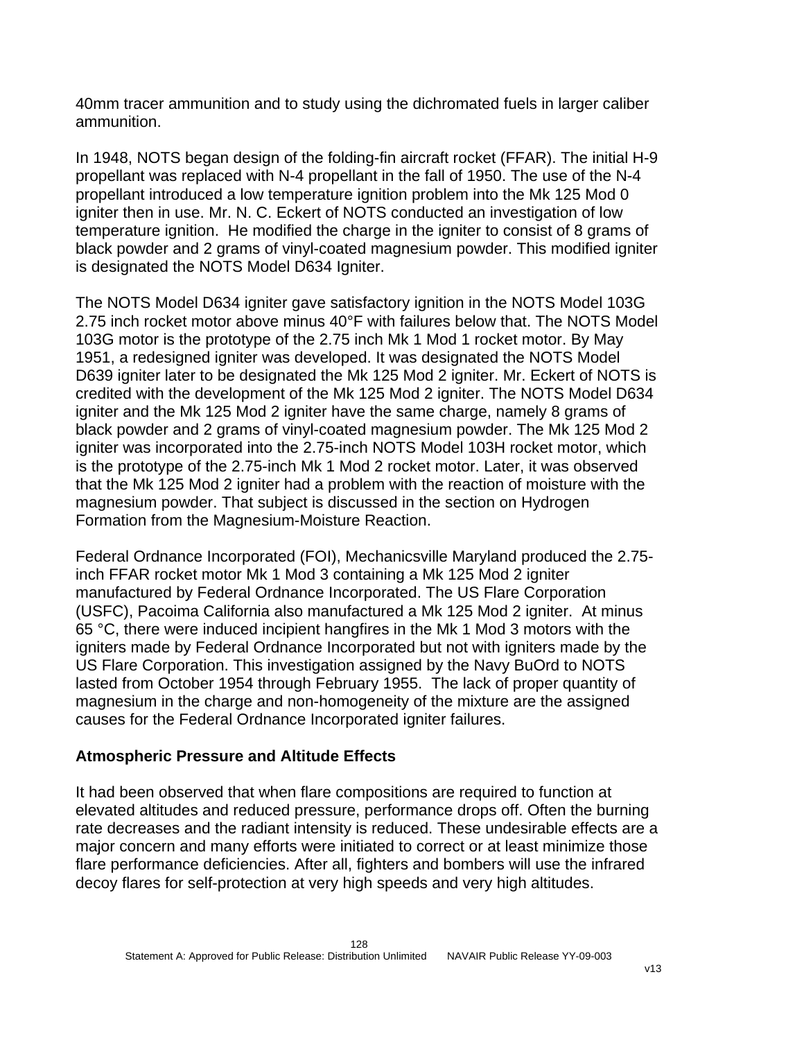40mm tracer ammunition and to study using the dichromated fuels in larger caliber ammunition.

In 1948, NOTS began design of the folding-fin aircraft rocket (FFAR). The initial H-9 propellant was replaced with N-4 propellant in the fall of 1950. The use of the N-4 propellant introduced a low temperature ignition problem into the Mk 125 Mod 0 igniter then in use. Mr. N. C. Eckert of NOTS conducted an investigation of low temperature ignition. He modified the charge in the igniter to consist of 8 grams of black powder and 2 grams of vinyl-coated magnesium powder. This modified igniter is designated the NOTS Model D634 Igniter.

The NOTS Model D634 igniter gave satisfactory ignition in the NOTS Model 103G 2.75 inch rocket motor above minus 40°F with failures below that. The NOTS Model 103G motor is the prototype of the 2.75 inch Mk 1 Mod 1 rocket motor. By May 1951, a redesigned igniter was developed. It was designated the NOTS Model D639 igniter later to be designated the Mk 125 Mod 2 igniter. Mr. Eckert of NOTS is credited with the development of the Mk 125 Mod 2 igniter. The NOTS Model D634 igniter and the Mk 125 Mod 2 igniter have the same charge, namely 8 grams of black powder and 2 grams of vinyl-coated magnesium powder. The Mk 125 Mod 2 igniter was incorporated into the 2.75-inch NOTS Model 103H rocket motor, which is the prototype of the 2.75-inch Mk 1 Mod 2 rocket motor. Later, it was observed that the Mk 125 Mod 2 igniter had a problem with the reaction of moisture with the magnesium powder. That subject is discussed in the section on Hydrogen Formation from the Magnesium-Moisture Reaction.

Federal Ordnance Incorporated (FOI), Mechanicsville Maryland produced the 2.75 inch FFAR rocket motor Mk 1 Mod 3 containing a Mk 125 Mod 2 igniter manufactured by Federal Ordnance Incorporated. The US Flare Corporation (USFC), Pacoima California also manufactured a Mk 125 Mod 2 igniter. At minus 65 °C, there were induced incipient hangfires in the Mk 1 Mod 3 motors with the igniters made by Federal Ordnance Incorporated but not with igniters made by the US Flare Corporation. This investigation assigned by the Navy BuOrd to NOTS lasted from October 1954 through February 1955. The lack of proper quantity of magnesium in the charge and non-homogeneity of the mixture are the assigned causes for the Federal Ordnance Incorporated igniter failures.

#### **Atmospheric Pressure and Altitude Effects**

It had been observed that when flare compositions are required to function at elevated altitudes and reduced pressure, performance drops off. Often the burning rate decreases and the radiant intensity is reduced. These undesirable effects are a major concern and many efforts were initiated to correct or at least minimize those flare performance deficiencies. After all, fighters and bombers will use the infrared decoy flares for self-protection at very high speeds and very high altitudes.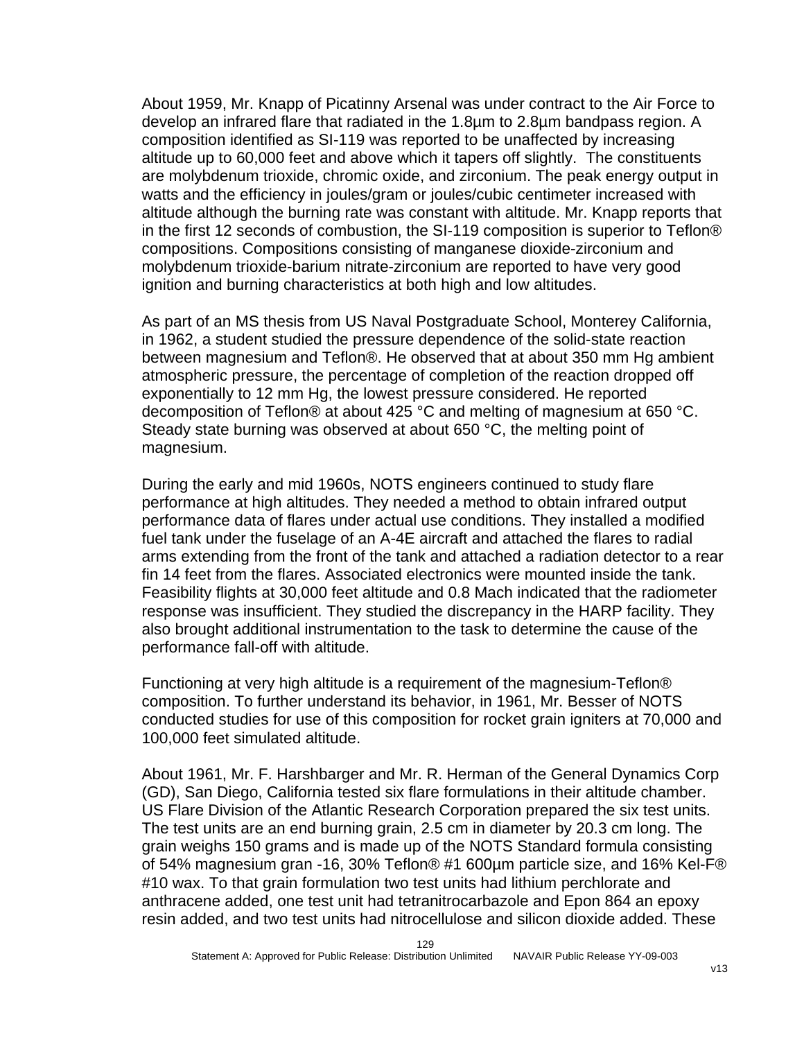About 1959, Mr. Knapp of Picatinny Arsenal was under contract to the Air Force to develop an infrared flare that radiated in the 1.8µm to 2.8µm bandpass region. A composition identified as SI-119 was reported to be unaffected by increasing altitude up to 60,000 feet and above which it tapers off slightly. The constituents are molybdenum trioxide, chromic oxide, and zirconium. The peak energy output in watts and the efficiency in joules/gram or joules/cubic centimeter increased with altitude although the burning rate was constant with altitude. Mr. Knapp reports that in the first 12 seconds of combustion, the SI-119 composition is superior to Teflon® compositions. Compositions consisting of manganese dioxide-zirconium and molybdenum trioxide-barium nitrate-zirconium are reported to have very good ignition and burning characteristics at both high and low altitudes.

As part of an MS thesis from US Naval Postgraduate School, Monterey California, in 1962, a student studied the pressure dependence of the solid-state reaction between magnesium and Teflon®. He observed that at about 350 mm Hg ambient atmospheric pressure, the percentage of completion of the reaction dropped off exponentially to 12 mm Hg, the lowest pressure considered. He reported decomposition of Teflon® at about 425 °C and melting of magnesium at 650 °C. Steady state burning was observed at about 650 °C, the melting point of magnesium.

During the early and mid 1960s, NOTS engineers continued to study flare performance at high altitudes. They needed a method to obtain infrared output performance data of flares under actual use conditions. They installed a modified fuel tank under the fuselage of an A-4E aircraft and attached the flares to radial arms extending from the front of the tank and attached a radiation detector to a rear fin 14 feet from the flares. Associated electronics were mounted inside the tank. Feasibility flights at 30,000 feet altitude and 0.8 Mach indicated that the radiometer response was insufficient. They studied the discrepancy in the HARP facility. They also brought additional instrumentation to the task to determine the cause of the performance fall-off with altitude.

Functioning at very high altitude is a requirement of the magnesium-Teflon® composition. To further understand its behavior, in 1961, Mr. Besser of NOTS conducted studies for use of this composition for rocket grain igniters at 70,000 and 100,000 feet simulated altitude.

About 1961, Mr. F. Harshbarger and Mr. R. Herman of the General Dynamics Corp (GD), San Diego, California tested six flare formulations in their altitude chamber. US Flare Division of the Atlantic Research Corporation prepared the six test units. The test units are an end burning grain, 2.5 cm in diameter by 20.3 cm long. The grain weighs 150 grams and is made up of the NOTS Standard formula consisting of 54% magnesium gran -16, 30% Teflon® #1 600µm particle size, and 16% Kel-F® #10 wax. To that grain formulation two test units had lithium perchlorate and anthracene added, one test unit had tetranitrocarbazole and Epon 864 an epoxy resin added, and two test units had nitrocellulose and silicon dioxide added. These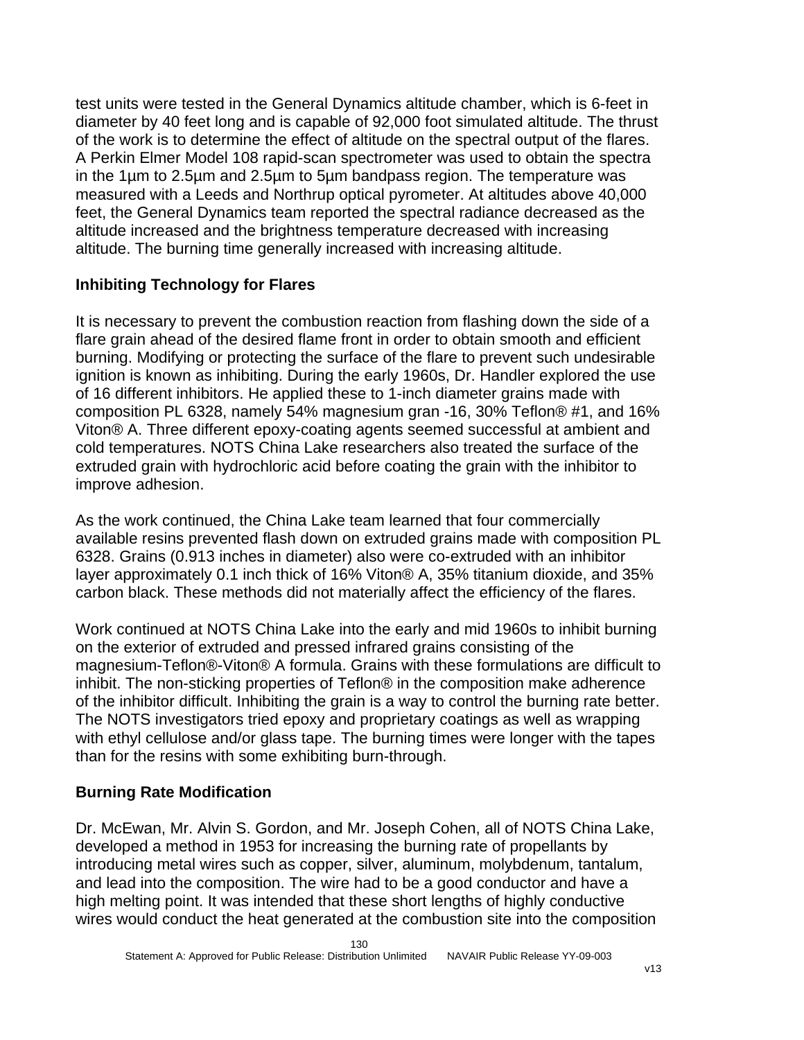test units were tested in the General Dynamics altitude chamber, which is 6-feet in diameter by 40 feet long and is capable of 92,000 foot simulated altitude. The thrust of the work is to determine the effect of altitude on the spectral output of the flares. A Perkin Elmer Model 108 rapid-scan spectrometer was used to obtain the spectra in the 1µm to 2.5µm and 2.5µm to 5µm bandpass region. The temperature was measured with a Leeds and Northrup optical pyrometer. At altitudes above 40,000 feet, the General Dynamics team reported the spectral radiance decreased as the altitude increased and the brightness temperature decreased with increasing altitude. The burning time generally increased with increasing altitude.

# **Inhibiting Technology for Flares**

It is necessary to prevent the combustion reaction from flashing down the side of a flare grain ahead of the desired flame front in order to obtain smooth and efficient burning. Modifying or protecting the surface of the flare to prevent such undesirable ignition is known as inhibiting. During the early 1960s, Dr. Handler explored the use of 16 different inhibitors. He applied these to 1-inch diameter grains made with composition PL 6328, namely 54% magnesium gran -16, 30% Teflon® #1, and 16% Viton® A. Three different epoxy-coating agents seemed successful at ambient and cold temperatures. NOTS China Lake researchers also treated the surface of the extruded grain with hydrochloric acid before coating the grain with the inhibitor to improve adhesion.

As the work continued, the China Lake team learned that four commercially available resins prevented flash down on extruded grains made with composition PL 6328. Grains (0.913 inches in diameter) also were co-extruded with an inhibitor layer approximately 0.1 inch thick of 16% Viton® A, 35% titanium dioxide, and 35% carbon black. These methods did not materially affect the efficiency of the flares.

Work continued at NOTS China Lake into the early and mid 1960s to inhibit burning on the exterior of extruded and pressed infrared grains consisting of the magnesium-Teflon®-Viton® A formula. Grains with these formulations are difficult to inhibit. The non-sticking properties of Teflon® in the composition make adherence of the inhibitor difficult. Inhibiting the grain is a way to control the burning rate better. The NOTS investigators tried epoxy and proprietary coatings as well as wrapping with ethyl cellulose and/or glass tape. The burning times were longer with the tapes than for the resins with some exhibiting burn-through.

# **Burning Rate Modification**

Dr. McEwan, Mr. Alvin S. Gordon, and Mr. Joseph Cohen, all of NOTS China Lake, developed a method in 1953 for increasing the burning rate of propellants by introducing metal wires such as copper, silver, aluminum, molybdenum, tantalum, and lead into the composition. The wire had to be a good conductor and have a high melting point. It was intended that these short lengths of highly conductive wires would conduct the heat generated at the combustion site into the composition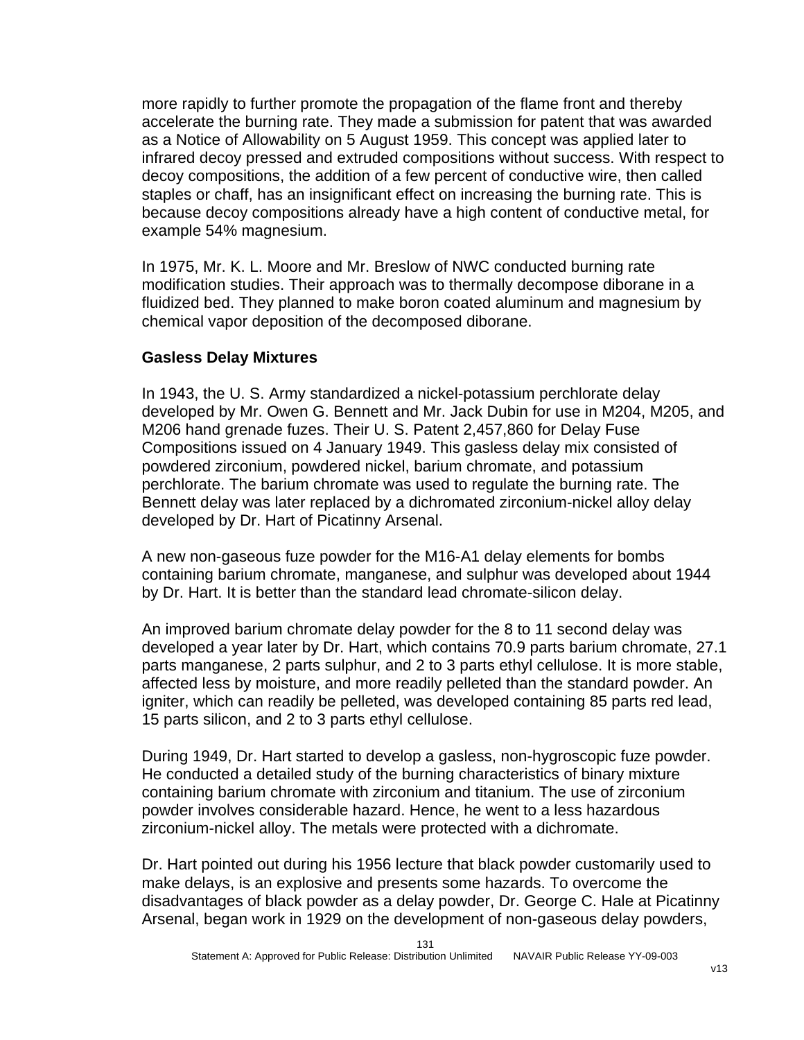more rapidly to further promote the propagation of the flame front and thereby accelerate the burning rate. They made a submission for patent that was awarded as a Notice of Allowability on 5 August 1959. This concept was applied later to infrared decoy pressed and extruded compositions without success. With respect to decoy compositions, the addition of a few percent of conductive wire, then called staples or chaff, has an insignificant effect on increasing the burning rate. This is because decoy compositions already have a high content of conductive metal, for example 54% magnesium.

In 1975, Mr. K. L. Moore and Mr. Breslow of NWC conducted burning rate modification studies. Their approach was to thermally decompose diborane in a fluidized bed. They planned to make boron coated aluminum and magnesium by chemical vapor deposition of the decomposed diborane.

### **Gasless Delay Mixtures**

In 1943, the U. S. Army standardized a nickel-potassium perchlorate delay developed by Mr. Owen G. Bennett and Mr. Jack Dubin for use in M204, M205, and M206 hand grenade fuzes. Their U. S. Patent 2,457,860 for Delay Fuse Compositions issued on 4 January 1949. This gasless delay mix consisted of powdered zirconium, powdered nickel, barium chromate, and potassium perchlorate. The barium chromate was used to regulate the burning rate. The Bennett delay was later replaced by a dichromated zirconium-nickel alloy delay developed by Dr. Hart of Picatinny Arsenal.

A new non-gaseous fuze powder for the M16-A1 delay elements for bombs containing barium chromate, manganese, and sulphur was developed about 1944 by Dr. Hart. It is better than the standard lead chromate-silicon delay.

An improved barium chromate delay powder for the 8 to 11 second delay was developed a year later by Dr. Hart, which contains 70.9 parts barium chromate, 27.1 parts manganese, 2 parts sulphur, and 2 to 3 parts ethyl cellulose. It is more stable, affected less by moisture, and more readily pelleted than the standard powder. An igniter, which can readily be pelleted, was developed containing 85 parts red lead, 15 parts silicon, and 2 to 3 parts ethyl cellulose.

During 1949, Dr. Hart started to develop a gasless, non-hygroscopic fuze powder. He conducted a detailed study of the burning characteristics of binary mixture containing barium chromate with zirconium and titanium. The use of zirconium powder involves considerable hazard. Hence, he went to a less hazardous zirconium-nickel alloy. The metals were protected with a dichromate.

Dr. Hart pointed out during his 1956 lecture that black powder customarily used to make delays, is an explosive and presents some hazards. To overcome the disadvantages of black powder as a delay powder, Dr. George C. Hale at Picatinny Arsenal, began work in 1929 on the development of non-gaseous delay powders,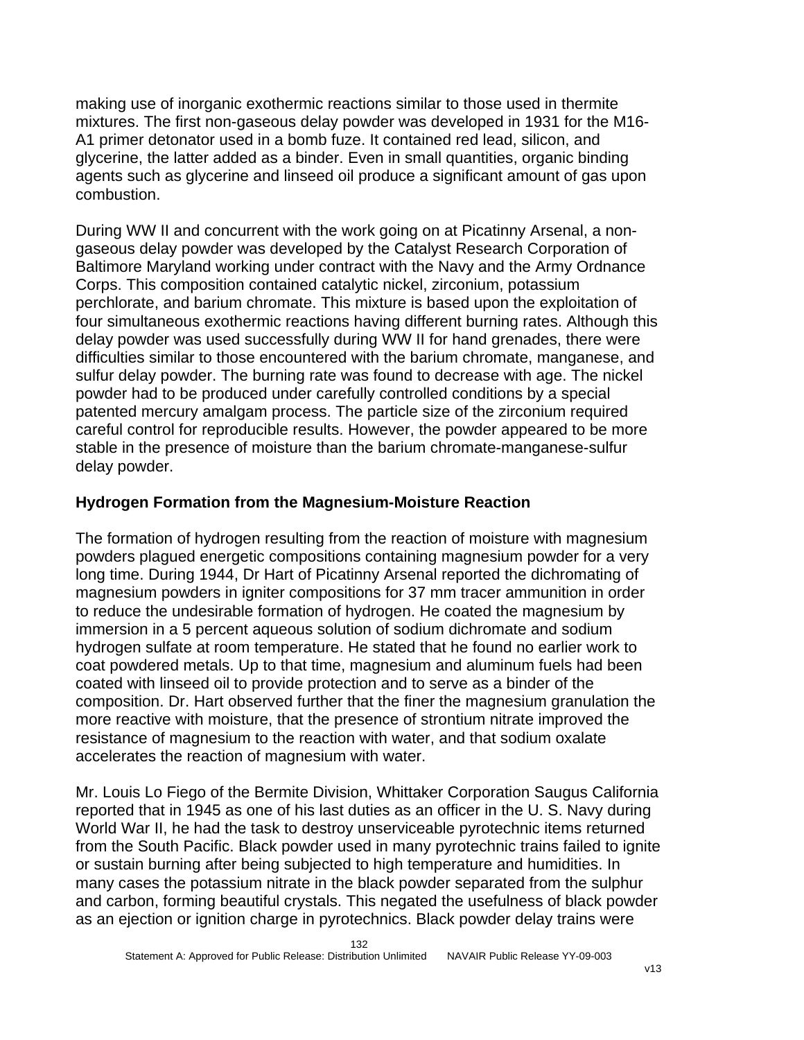making use of inorganic exothermic reactions similar to those used in thermite mixtures. The first non-gaseous delay powder was developed in 1931 for the M16- A1 primer detonator used in a bomb fuze. It contained red lead, silicon, and glycerine, the latter added as a binder. Even in small quantities, organic binding agents such as glycerine and linseed oil produce a significant amount of gas upon combustion.

During WW II and concurrent with the work going on at Picatinny Arsenal, a nongaseous delay powder was developed by the Catalyst Research Corporation of Baltimore Maryland working under contract with the Navy and the Army Ordnance Corps. This composition contained catalytic nickel, zirconium, potassium perchlorate, and barium chromate. This mixture is based upon the exploitation of four simultaneous exothermic reactions having different burning rates. Although this delay powder was used successfully during WW II for hand grenades, there were difficulties similar to those encountered with the barium chromate, manganese, and sulfur delay powder. The burning rate was found to decrease with age. The nickel powder had to be produced under carefully controlled conditions by a special patented mercury amalgam process. The particle size of the zirconium required careful control for reproducible results. However, the powder appeared to be more stable in the presence of moisture than the barium chromate-manganese-sulfur delay powder.

# **Hydrogen Formation from the Magnesium-Moisture Reaction**

The formation of hydrogen resulting from the reaction of moisture with magnesium powders plagued energetic compositions containing magnesium powder for a very long time. During 1944, Dr Hart of Picatinny Arsenal reported the dichromating of magnesium powders in igniter compositions for 37 mm tracer ammunition in order to reduce the undesirable formation of hydrogen. He coated the magnesium by immersion in a 5 percent aqueous solution of sodium dichromate and sodium hydrogen sulfate at room temperature. He stated that he found no earlier work to coat powdered metals. Up to that time, magnesium and aluminum fuels had been coated with linseed oil to provide protection and to serve as a binder of the composition. Dr. Hart observed further that the finer the magnesium granulation the more reactive with moisture, that the presence of strontium nitrate improved the resistance of magnesium to the reaction with water, and that sodium oxalate accelerates the reaction of magnesium with water.

Mr. Louis Lo Fiego of the Bermite Division, Whittaker Corporation Saugus California reported that in 1945 as one of his last duties as an officer in the U. S. Navy during World War II, he had the task to destroy unserviceable pyrotechnic items returned from the South Pacific. Black powder used in many pyrotechnic trains failed to ignite or sustain burning after being subjected to high temperature and humidities. In many cases the potassium nitrate in the black powder separated from the sulphur and carbon, forming beautiful crystals. This negated the usefulness of black powder as an ejection or ignition charge in pyrotechnics. Black powder delay trains were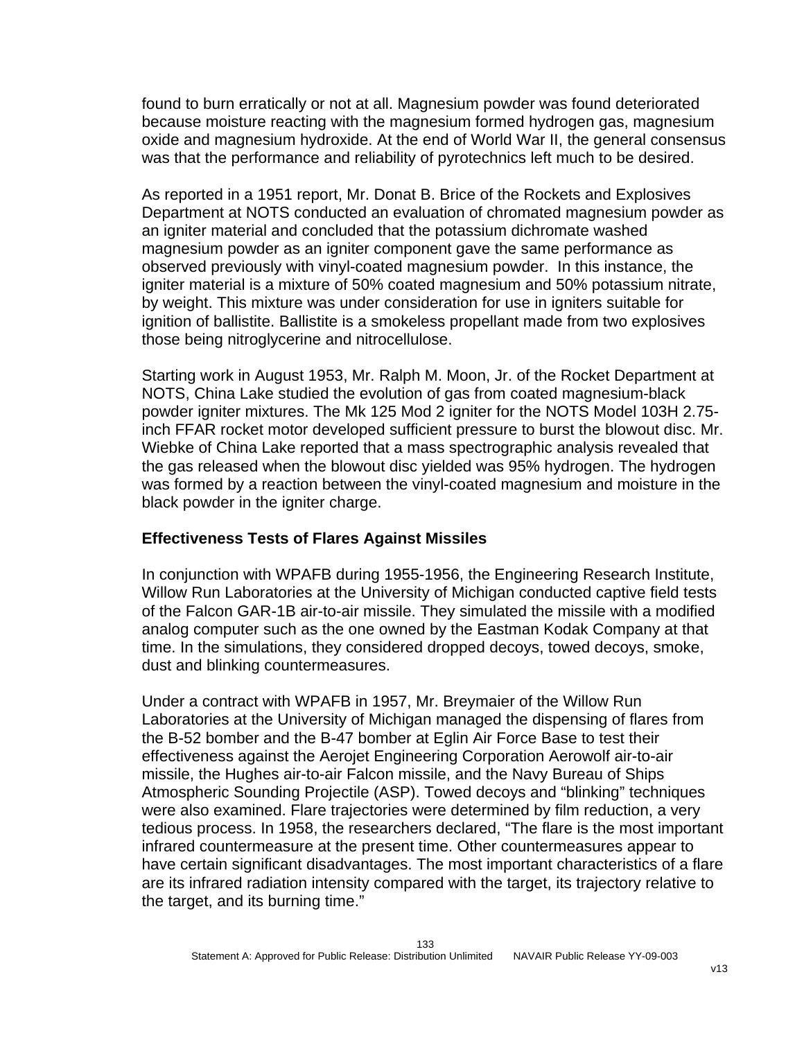found to burn erratically or not at all. Magnesium powder was found deteriorated because moisture reacting with the magnesium formed hydrogen gas, magnesium oxide and magnesium hydroxide. At the end of World War II, the general consensus was that the performance and reliability of pyrotechnics left much to be desired.

As reported in a 1951 report, Mr. Donat B. Brice of the Rockets and Explosives Department at NOTS conducted an evaluation of chromated magnesium powder as an igniter material and concluded that the potassium dichromate washed magnesium powder as an igniter component gave the same performance as observed previously with vinyl-coated magnesium powder. In this instance, the igniter material is a mixture of 50% coated magnesium and 50% potassium nitrate, by weight. This mixture was under consideration for use in igniters suitable for ignition of ballistite. Ballistite is a smokeless propellant made from two explosives those being nitroglycerine and nitrocellulose.

Starting work in August 1953, Mr. Ralph M. Moon, Jr. of the Rocket Department at NOTS, China Lake studied the evolution of gas from coated magnesium-black powder igniter mixtures. The Mk 125 Mod 2 igniter for the NOTS Model 103H 2.75 inch FFAR rocket motor developed sufficient pressure to burst the blowout disc. Mr. Wiebke of China Lake reported that a mass spectrographic analysis revealed that the gas released when the blowout disc yielded was 95% hydrogen. The hydrogen was formed by a reaction between the vinyl-coated magnesium and moisture in the black powder in the igniter charge.

#### **Effectiveness Tests of Flares Against Missiles**

In conjunction with WPAFB during 1955-1956, the Engineering Research Institute, Willow Run Laboratories at the University of Michigan conducted captive field tests of the Falcon GAR-1B air-to-air missile. They simulated the missile with a modified analog computer such as the one owned by the Eastman Kodak Company at that time. In the simulations, they considered dropped decoys, towed decoys, smoke, dust and blinking countermeasures.

Under a contract with WPAFB in 1957, Mr. Breymaier of the Willow Run Laboratories at the University of Michigan managed the dispensing of flares from the B-52 bomber and the B-47 bomber at Eglin Air Force Base to test their effectiveness against the Aerojet Engineering Corporation Aerowolf air-to-air missile, the Hughes air-to-air Falcon missile, and the Navy Bureau of Ships Atmospheric Sounding Projectile (ASP). Towed decoys and "blinking" techniques were also examined. Flare trajectories were determined by film reduction, a very tedious process. In 1958, the researchers declared, "The flare is the most important infrared countermeasure at the present time. Other countermeasures appear to have certain significant disadvantages. The most important characteristics of a flare are its infrared radiation intensity compared with the target, its trajectory relative to the target, and its burning time."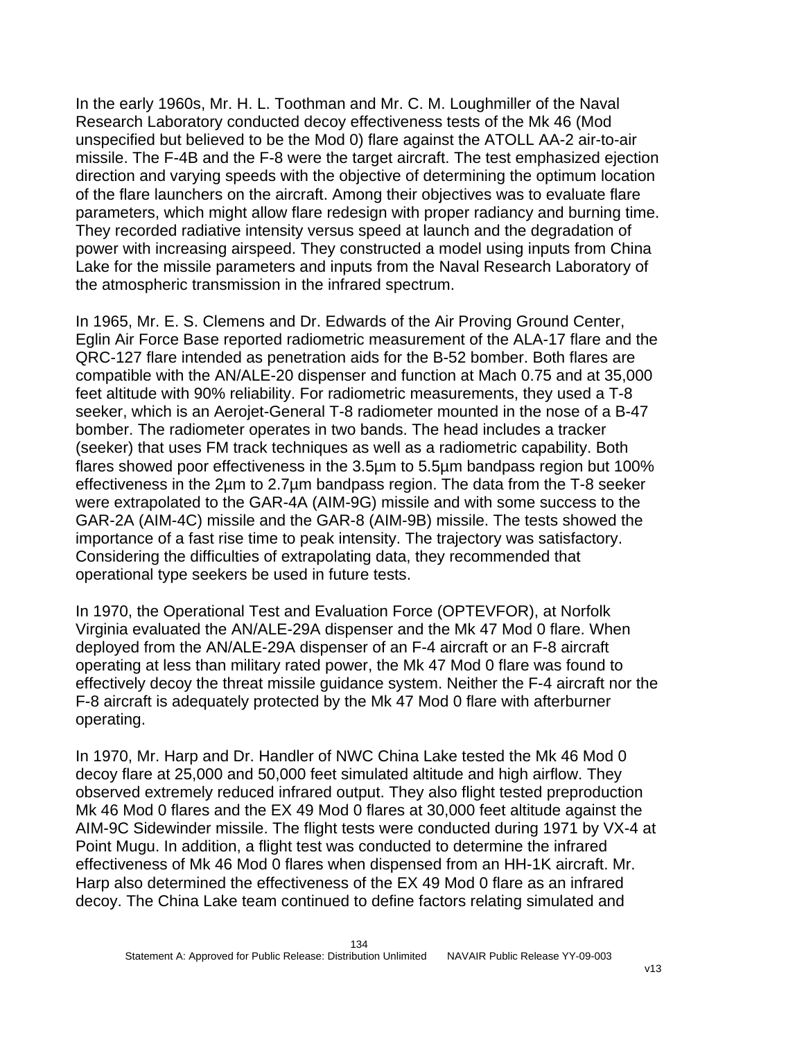In the early 1960s, Mr. H. L. Toothman and Mr. C. M. Loughmiller of the Naval Research Laboratory conducted decoy effectiveness tests of the Mk 46 (Mod unspecified but believed to be the Mod 0) flare against the ATOLL AA-2 air-to-air missile. The F-4B and the F-8 were the target aircraft. The test emphasized ejection direction and varying speeds with the objective of determining the optimum location of the flare launchers on the aircraft. Among their objectives was to evaluate flare parameters, which might allow flare redesign with proper radiancy and burning time. They recorded radiative intensity versus speed at launch and the degradation of power with increasing airspeed. They constructed a model using inputs from China Lake for the missile parameters and inputs from the Naval Research Laboratory of the atmospheric transmission in the infrared spectrum.

In 1965, Mr. E. S. Clemens and Dr. Edwards of the Air Proving Ground Center, Eglin Air Force Base reported radiometric measurement of the ALA-17 flare and the QRC-127 flare intended as penetration aids for the B-52 bomber. Both flares are compatible with the AN/ALE-20 dispenser and function at Mach 0.75 and at 35,000 feet altitude with 90% reliability. For radiometric measurements, they used a T-8 seeker, which is an Aerojet-General T-8 radiometer mounted in the nose of a B-47 bomber. The radiometer operates in two bands. The head includes a tracker (seeker) that uses FM track techniques as well as a radiometric capability. Both flares showed poor effectiveness in the 3.5µm to 5.5µm bandpass region but 100% effectiveness in the 2µm to 2.7µm bandpass region. The data from the T-8 seeker were extrapolated to the GAR-4A (AIM-9G) missile and with some success to the GAR-2A (AIM-4C) missile and the GAR-8 (AIM-9B) missile. The tests showed the importance of a fast rise time to peak intensity. The trajectory was satisfactory. Considering the difficulties of extrapolating data, they recommended that operational type seekers be used in future tests.

In 1970, the Operational Test and Evaluation Force (OPTEVFOR), at Norfolk Virginia evaluated the AN/ALE-29A dispenser and the Mk 47 Mod 0 flare. When deployed from the AN/ALE-29A dispenser of an F-4 aircraft or an F-8 aircraft operating at less than military rated power, the Mk 47 Mod 0 flare was found to effectively decoy the threat missile guidance system. Neither the F-4 aircraft nor the F-8 aircraft is adequately protected by the Mk 47 Mod 0 flare with afterburner operating.

In 1970, Mr. Harp and Dr. Handler of NWC China Lake tested the Mk 46 Mod 0 decoy flare at 25,000 and 50,000 feet simulated altitude and high airflow. They observed extremely reduced infrared output. They also flight tested preproduction Mk 46 Mod 0 flares and the EX 49 Mod 0 flares at 30,000 feet altitude against the AIM-9C Sidewinder missile. The flight tests were conducted during 1971 by VX-4 at Point Mugu. In addition, a flight test was conducted to determine the infrared effectiveness of Mk 46 Mod 0 flares when dispensed from an HH-1K aircraft. Mr. Harp also determined the effectiveness of the EX 49 Mod 0 flare as an infrared decoy. The China Lake team continued to define factors relating simulated and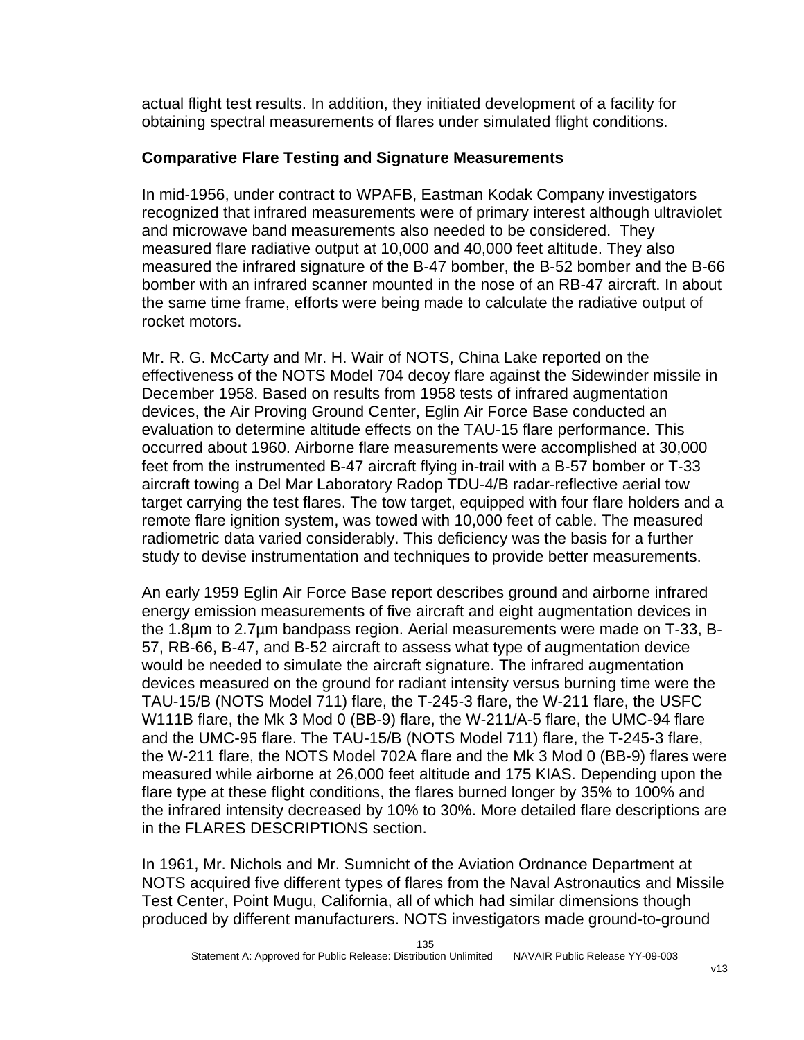actual flight test results. In addition, they initiated development of a facility for obtaining spectral measurements of flares under simulated flight conditions.

#### **Comparative Flare Testing and Signature Measurements**

In mid-1956, under contract to WPAFB, Eastman Kodak Company investigators recognized that infrared measurements were of primary interest although ultraviolet and microwave band measurements also needed to be considered. They measured flare radiative output at 10,000 and 40,000 feet altitude. They also measured the infrared signature of the B-47 bomber, the B-52 bomber and the B-66 bomber with an infrared scanner mounted in the nose of an RB-47 aircraft. In about the same time frame, efforts were being made to calculate the radiative output of rocket motors.

Mr. R. G. McCarty and Mr. H. Wair of NOTS, China Lake reported on the effectiveness of the NOTS Model 704 decoy flare against the Sidewinder missile in December 1958. Based on results from 1958 tests of infrared augmentation devices, the Air Proving Ground Center, Eglin Air Force Base conducted an evaluation to determine altitude effects on the TAU-15 flare performance. This occurred about 1960. Airborne flare measurements were accomplished at 30,000 feet from the instrumented B-47 aircraft flying in-trail with a B-57 bomber or T-33 aircraft towing a Del Mar Laboratory Radop TDU-4/B radar-reflective aerial tow target carrying the test flares. The tow target, equipped with four flare holders and a remote flare ignition system, was towed with 10,000 feet of cable. The measured radiometric data varied considerably. This deficiency was the basis for a further study to devise instrumentation and techniques to provide better measurements.

An early 1959 Eglin Air Force Base report describes ground and airborne infrared energy emission measurements of five aircraft and eight augmentation devices in the 1.8µm to 2.7µm bandpass region. Aerial measurements were made on T-33, B-57, RB-66, B-47, and B-52 aircraft to assess what type of augmentation device would be needed to simulate the aircraft signature. The infrared augmentation devices measured on the ground for radiant intensity versus burning time were the TAU-15/B (NOTS Model 711) flare, the T-245-3 flare, the W-211 flare, the USFC W111B flare, the Mk 3 Mod 0 (BB-9) flare, the W-211/A-5 flare, the UMC-94 flare and the UMC-95 flare. The TAU-15/B (NOTS Model 711) flare, the T-245-3 flare, the W-211 flare, the NOTS Model 702A flare and the Mk 3 Mod 0 (BB-9) flares were measured while airborne at 26,000 feet altitude and 175 KIAS. Depending upon the flare type at these flight conditions, the flares burned longer by 35% to 100% and the infrared intensity decreased by 10% to 30%. More detailed flare descriptions are in the FLARES DESCRIPTIONS section.

In 1961, Mr. Nichols and Mr. Sumnicht of the Aviation Ordnance Department at NOTS acquired five different types of flares from the Naval Astronautics and Missile Test Center, Point Mugu, California, all of which had similar dimensions though produced by different manufacturers. NOTS investigators made ground-to-ground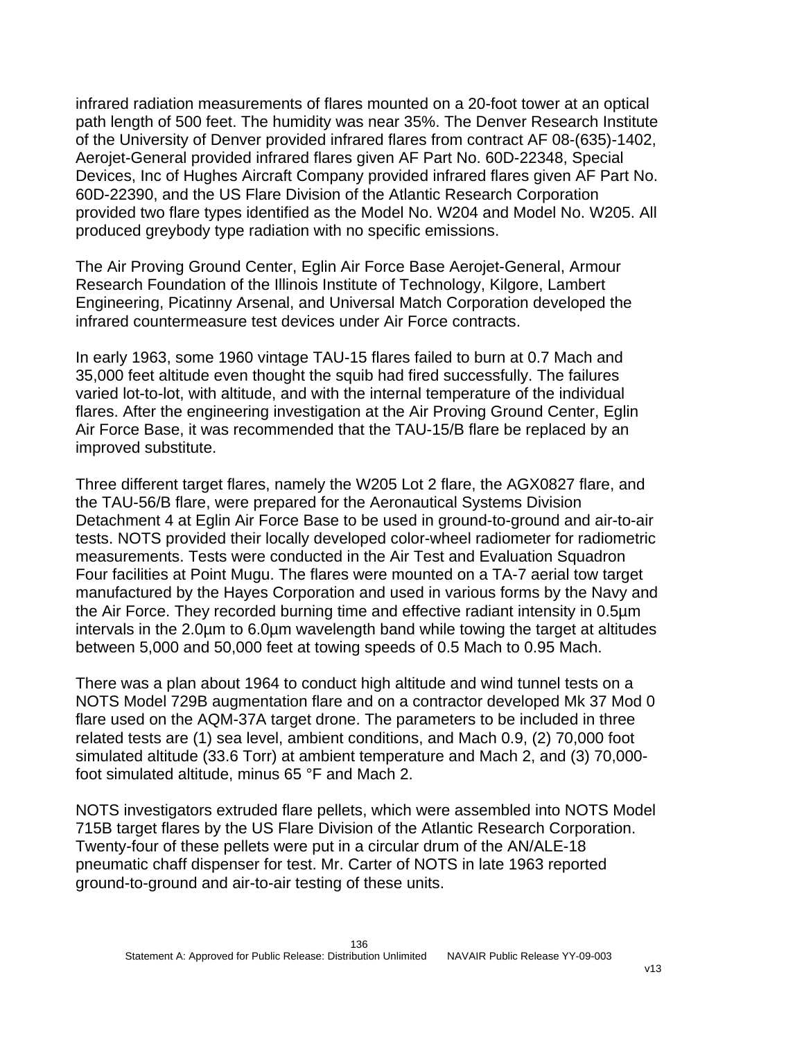infrared radiation measurements of flares mounted on a 20-foot tower at an optical path length of 500 feet. The humidity was near 35%. The Denver Research Institute of the University of Denver provided infrared flares from contract AF 08-(635)-1402, Aerojet-General provided infrared flares given AF Part No. 60D-22348, Special Devices, Inc of Hughes Aircraft Company provided infrared flares given AF Part No. 60D-22390, and the US Flare Division of the Atlantic Research Corporation provided two flare types identified as the Model No. W204 and Model No. W205. All produced greybody type radiation with no specific emissions.

The Air Proving Ground Center, Eglin Air Force Base Aerojet-General, Armour Research Foundation of the Illinois Institute of Technology, Kilgore, Lambert Engineering, Picatinny Arsenal, and Universal Match Corporation developed the infrared countermeasure test devices under Air Force contracts.

In early 1963, some 1960 vintage TAU-15 flares failed to burn at 0.7 Mach and 35,000 feet altitude even thought the squib had fired successfully. The failures varied lot-to-lot, with altitude, and with the internal temperature of the individual flares. After the engineering investigation at the Air Proving Ground Center, Eglin Air Force Base, it was recommended that the TAU-15/B flare be replaced by an improved substitute.

Three different target flares, namely the W205 Lot 2 flare, the AGX0827 flare, and the TAU-56/B flare, were prepared for the Aeronautical Systems Division Detachment 4 at Eglin Air Force Base to be used in ground-to-ground and air-to-air tests. NOTS provided their locally developed color-wheel radiometer for radiometric measurements. Tests were conducted in the Air Test and Evaluation Squadron Four facilities at Point Mugu. The flares were mounted on a TA-7 aerial tow target manufactured by the Hayes Corporation and used in various forms by the Navy and the Air Force. They recorded burning time and effective radiant intensity in 0.5µm intervals in the 2.0µm to 6.0µm wavelength band while towing the target at altitudes between 5,000 and 50,000 feet at towing speeds of 0.5 Mach to 0.95 Mach.

There was a plan about 1964 to conduct high altitude and wind tunnel tests on a NOTS Model 729B augmentation flare and on a contractor developed Mk 37 Mod 0 flare used on the AQM-37A target drone. The parameters to be included in three related tests are (1) sea level, ambient conditions, and Mach 0.9, (2) 70,000 foot simulated altitude (33.6 Torr) at ambient temperature and Mach 2, and (3) 70,000 foot simulated altitude, minus 65 °F and Mach 2.

NOTS investigators extruded flare pellets, which were assembled into NOTS Model 715B target flares by the US Flare Division of the Atlantic Research Corporation. Twenty-four of these pellets were put in a circular drum of the AN/ALE-18 pneumatic chaff dispenser for test. Mr. Carter of NOTS in late 1963 reported ground-to-ground and air-to-air testing of these units.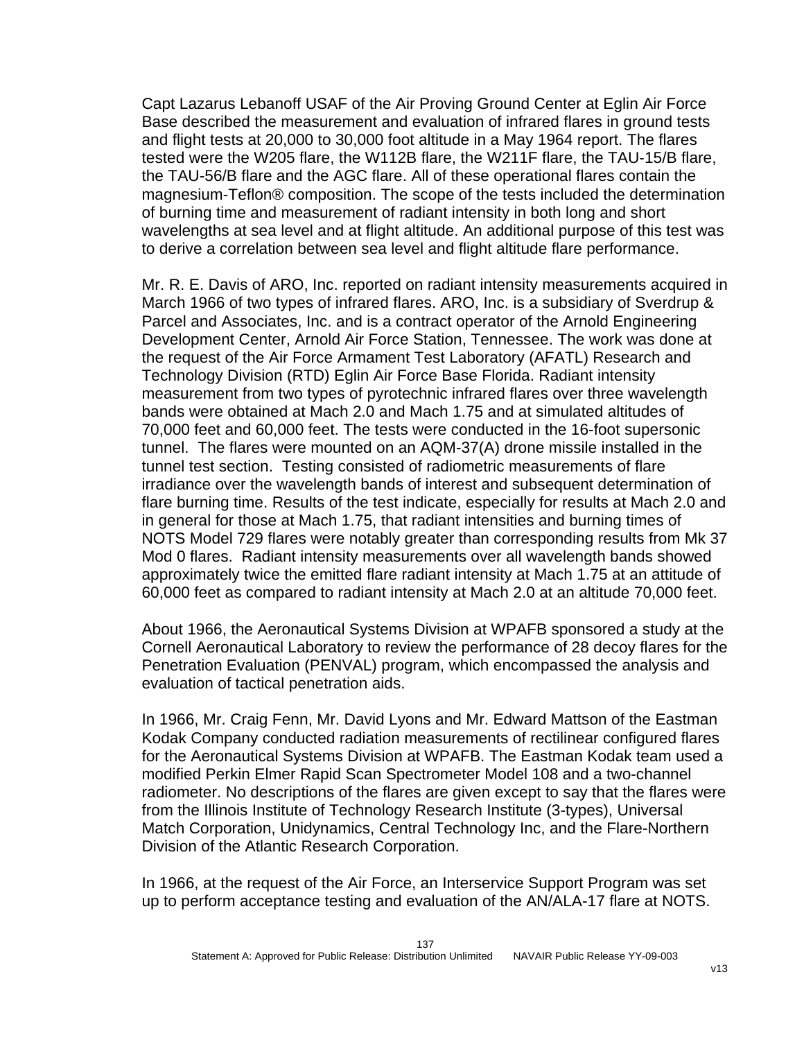Capt Lazarus Lebanoff USAF of the Air Proving Ground Center at Eglin Air Force Base described the measurement and evaluation of infrared flares in ground tests and flight tests at 20,000 to 30,000 foot altitude in a May 1964 report. The flares tested were the W205 flare, the W112B flare, the W211F flare, the TAU-15/B flare, the TAU-56/B flare and the AGC flare. All of these operational flares contain the magnesium-Teflon® composition. The scope of the tests included the determination of burning time and measurement of radiant intensity in both long and short wavelengths at sea level and at flight altitude. An additional purpose of this test was to derive a correlation between sea level and flight altitude flare performance.

Mr. R. E. Davis of ARO, Inc. reported on radiant intensity measurements acquired in March 1966 of two types of infrared flares. ARO, Inc. is a subsidiary of Sverdrup & Parcel and Associates, Inc. and is a contract operator of the Arnold Engineering Development Center, Arnold Air Force Station, Tennessee. The work was done at the request of the Air Force Armament Test Laboratory (AFATL) Research and Technology Division (RTD) Eglin Air Force Base Florida. Radiant intensity measurement from two types of pyrotechnic infrared flares over three wavelength bands were obtained at Mach 2.0 and Mach 1.75 and at simulated altitudes of 70,000 feet and 60,000 feet. The tests were conducted in the 16-foot supersonic tunnel. The flares were mounted on an AQM-37(A) drone missile installed in the tunnel test section. Testing consisted of radiometric measurements of flare irradiance over the wavelength bands of interest and subsequent determination of flare burning time. Results of the test indicate, especially for results at Mach 2.0 and in general for those at Mach 1.75, that radiant intensities and burning times of NOTS Model 729 flares were notably greater than corresponding results from Mk 37 Mod 0 flares. Radiant intensity measurements over all wavelength bands showed approximately twice the emitted flare radiant intensity at Mach 1.75 at an attitude of 60,000 feet as compared to radiant intensity at Mach 2.0 at an altitude 70,000 feet.

About 1966, the Aeronautical Systems Division at WPAFB sponsored a study at the Cornell Aeronautical Laboratory to review the performance of 28 decoy flares for the Penetration Evaluation (PENVAL) program, which encompassed the analysis and evaluation of tactical penetration aids.

In 1966, Mr. Craig Fenn, Mr. David Lyons and Mr. Edward Mattson of the Eastman Kodak Company conducted radiation measurements of rectilinear configured flares for the Aeronautical Systems Division at WPAFB. The Eastman Kodak team used a modified Perkin Elmer Rapid Scan Spectrometer Model 108 and a two-channel radiometer. No descriptions of the flares are given except to say that the flares were from the Illinois Institute of Technology Research Institute (3-types), Universal Match Corporation, Unidynamics, Central Technology Inc, and the Flare-Northern Division of the Atlantic Research Corporation.

In 1966, at the request of the Air Force, an Interservice Support Program was set up to perform acceptance testing and evaluation of the AN/ALA-17 flare at NOTS.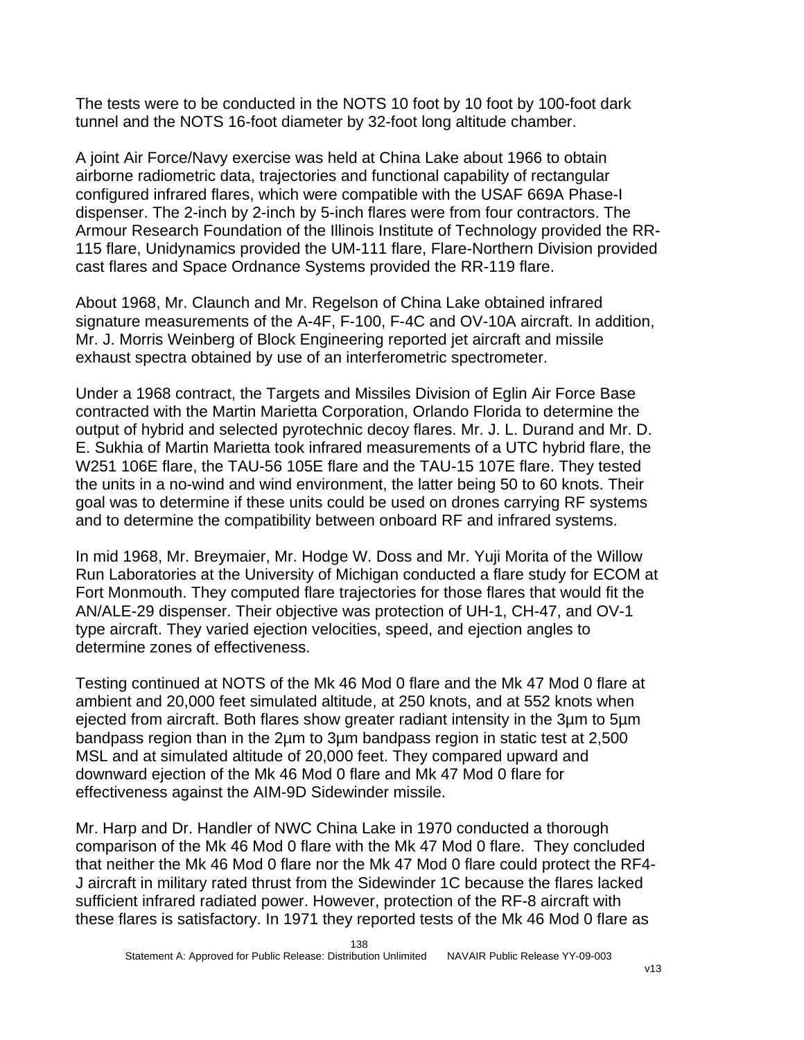The tests were to be conducted in the NOTS 10 foot by 10 foot by 100-foot dark tunnel and the NOTS 16-foot diameter by 32-foot long altitude chamber.

A joint Air Force/Navy exercise was held at China Lake about 1966 to obtain airborne radiometric data, trajectories and functional capability of rectangular configured infrared flares, which were compatible with the USAF 669A Phase-I dispenser. The 2-inch by 2-inch by 5-inch flares were from four contractors. The Armour Research Foundation of the Illinois Institute of Technology provided the RR-115 flare, Unidynamics provided the UM-111 flare, Flare-Northern Division provided cast flares and Space Ordnance Systems provided the RR-119 flare.

About 1968, Mr. Claunch and Mr. Regelson of China Lake obtained infrared signature measurements of the A-4F, F-100, F-4C and OV-10A aircraft. In addition, Mr. J. Morris Weinberg of Block Engineering reported jet aircraft and missile exhaust spectra obtained by use of an interferometric spectrometer.

Under a 1968 contract, the Targets and Missiles Division of Eglin Air Force Base contracted with the Martin Marietta Corporation, Orlando Florida to determine the output of hybrid and selected pyrotechnic decoy flares. Mr. J. L. Durand and Mr. D. E. Sukhia of Martin Marietta took infrared measurements of a UTC hybrid flare, the W251 106E flare, the TAU-56 105E flare and the TAU-15 107E flare. They tested the units in a no-wind and wind environment, the latter being 50 to 60 knots. Their goal was to determine if these units could be used on drones carrying RF systems and to determine the compatibility between onboard RF and infrared systems.

In mid 1968, Mr. Breymaier, Mr. Hodge W. Doss and Mr. Yuji Morita of the Willow Run Laboratories at the University of Michigan conducted a flare study for ECOM at Fort Monmouth. They computed flare trajectories for those flares that would fit the AN/ALE-29 dispenser. Their objective was protection of UH-1, CH-47, and OV-1 type aircraft. They varied ejection velocities, speed, and ejection angles to determine zones of effectiveness.

Testing continued at NOTS of the Mk 46 Mod 0 flare and the Mk 47 Mod 0 flare at ambient and 20,000 feet simulated altitude, at 250 knots, and at 552 knots when ejected from aircraft. Both flares show greater radiant intensity in the 3µm to 5µm bandpass region than in the 2µm to 3µm bandpass region in static test at 2,500 MSL and at simulated altitude of 20,000 feet. They compared upward and downward ejection of the Mk 46 Mod 0 flare and Mk 47 Mod 0 flare for effectiveness against the AIM-9D Sidewinder missile.

Mr. Harp and Dr. Handler of NWC China Lake in 1970 conducted a thorough comparison of the Mk 46 Mod 0 flare with the Mk 47 Mod 0 flare. They concluded that neither the Mk 46 Mod 0 flare nor the Mk 47 Mod 0 flare could protect the RF4- J aircraft in military rated thrust from the Sidewinder 1C because the flares lacked sufficient infrared radiated power. However, protection of the RF-8 aircraft with these flares is satisfactory. In 1971 they reported tests of the Mk 46 Mod 0 flare as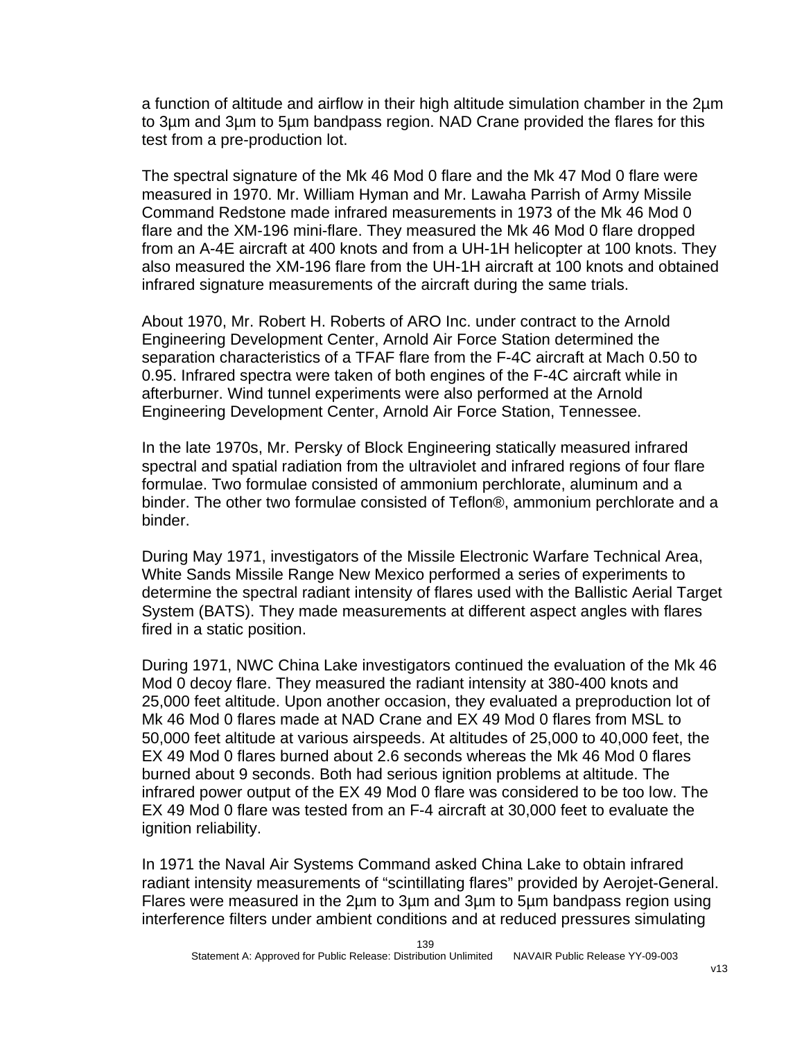a function of altitude and airflow in their high altitude simulation chamber in the 2µm to 3µm and 3µm to 5µm bandpass region. NAD Crane provided the flares for this test from a pre-production lot.

The spectral signature of the Mk 46 Mod 0 flare and the Mk 47 Mod 0 flare were measured in 1970. Mr. William Hyman and Mr. Lawaha Parrish of Army Missile Command Redstone made infrared measurements in 1973 of the Mk 46 Mod 0 flare and the XM-196 mini-flare. They measured the Mk 46 Mod 0 flare dropped from an A-4E aircraft at 400 knots and from a UH-1H helicopter at 100 knots. They also measured the XM-196 flare from the UH-1H aircraft at 100 knots and obtained infrared signature measurements of the aircraft during the same trials.

About 1970, Mr. Robert H. Roberts of ARO Inc. under contract to the Arnold Engineering Development Center, Arnold Air Force Station determined the separation characteristics of a TFAF flare from the F-4C aircraft at Mach 0.50 to 0.95. Infrared spectra were taken of both engines of the F-4C aircraft while in afterburner. Wind tunnel experiments were also performed at the Arnold Engineering Development Center, Arnold Air Force Station, Tennessee.

In the late 1970s, Mr. Persky of Block Engineering statically measured infrared spectral and spatial radiation from the ultraviolet and infrared regions of four flare formulae. Two formulae consisted of ammonium perchlorate, aluminum and a binder. The other two formulae consisted of Teflon®, ammonium perchlorate and a binder.

During May 1971, investigators of the Missile Electronic Warfare Technical Area, White Sands Missile Range New Mexico performed a series of experiments to determine the spectral radiant intensity of flares used with the Ballistic Aerial Target System (BATS). They made measurements at different aspect angles with flares fired in a static position.

During 1971, NWC China Lake investigators continued the evaluation of the Mk 46 Mod 0 decoy flare. They measured the radiant intensity at 380-400 knots and 25,000 feet altitude. Upon another occasion, they evaluated a preproduction lot of Mk 46 Mod 0 flares made at NAD Crane and EX 49 Mod 0 flares from MSL to 50,000 feet altitude at various airspeeds. At altitudes of 25,000 to 40,000 feet, the EX 49 Mod 0 flares burned about 2.6 seconds whereas the Mk 46 Mod 0 flares burned about 9 seconds. Both had serious ignition problems at altitude. The infrared power output of the EX 49 Mod 0 flare was considered to be too low. The EX 49 Mod 0 flare was tested from an F-4 aircraft at 30,000 feet to evaluate the ignition reliability.

In 1971 the Naval Air Systems Command asked China Lake to obtain infrared radiant intensity measurements of "scintillating flares" provided by Aerojet-General. Flares were measured in the 2µm to 3µm and 3µm to 5µm bandpass region using interference filters under ambient conditions and at reduced pressures simulating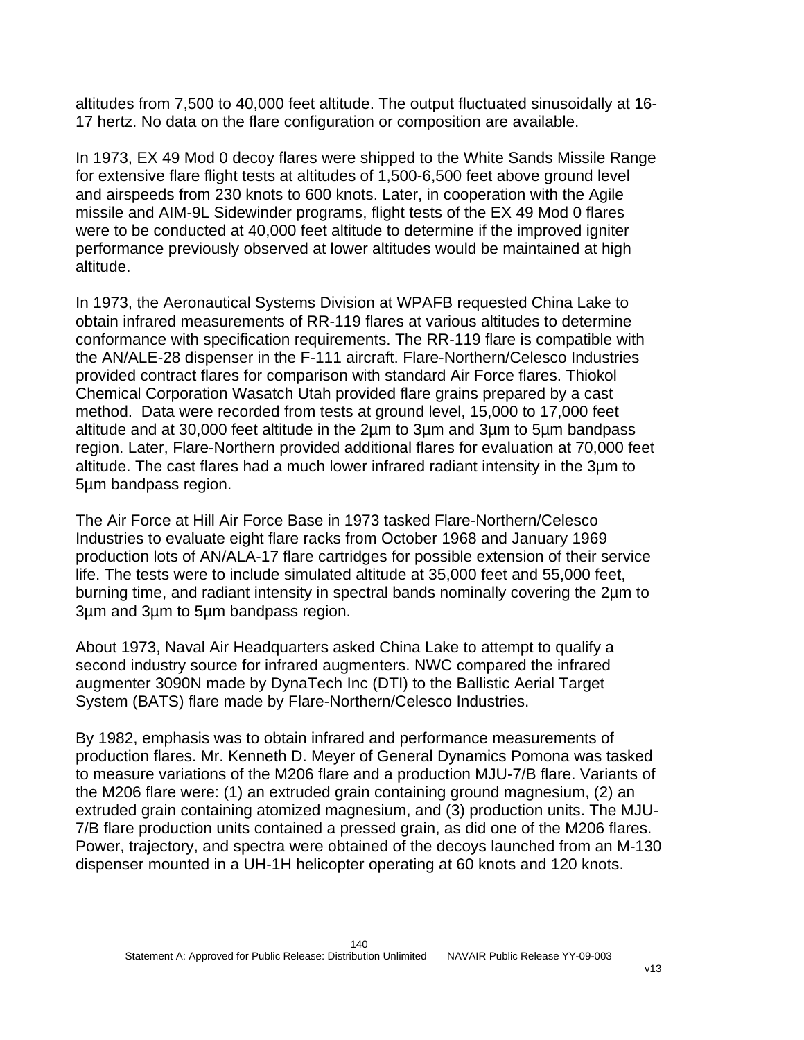altitudes from 7,500 to 40,000 feet altitude. The output fluctuated sinusoidally at 16- 17 hertz. No data on the flare configuration or composition are available.

In 1973, EX 49 Mod 0 decoy flares were shipped to the White Sands Missile Range for extensive flare flight tests at altitudes of 1,500-6,500 feet above ground level and airspeeds from 230 knots to 600 knots. Later, in cooperation with the Agile missile and AIM-9L Sidewinder programs, flight tests of the EX 49 Mod 0 flares were to be conducted at 40,000 feet altitude to determine if the improved igniter performance previously observed at lower altitudes would be maintained at high altitude.

In 1973, the Aeronautical Systems Division at WPAFB requested China Lake to obtain infrared measurements of RR-119 flares at various altitudes to determine conformance with specification requirements. The RR-119 flare is compatible with the AN/ALE-28 dispenser in the F-111 aircraft. Flare-Northern/Celesco Industries provided contract flares for comparison with standard Air Force flares. Thiokol Chemical Corporation Wasatch Utah provided flare grains prepared by a cast method. Data were recorded from tests at ground level, 15,000 to 17,000 feet altitude and at 30,000 feet altitude in the 2µm to 3µm and 3µm to 5µm bandpass region. Later, Flare-Northern provided additional flares for evaluation at 70,000 feet altitude. The cast flares had a much lower infrared radiant intensity in the 3µm to 5µm bandpass region.

The Air Force at Hill Air Force Base in 1973 tasked Flare-Northern/Celesco Industries to evaluate eight flare racks from October 1968 and January 1969 production lots of AN/ALA-17 flare cartridges for possible extension of their service life. The tests were to include simulated altitude at 35,000 feet and 55,000 feet, burning time, and radiant intensity in spectral bands nominally covering the 2µm to 3µm and 3µm to 5µm bandpass region.

About 1973, Naval Air Headquarters asked China Lake to attempt to qualify a second industry source for infrared augmenters. NWC compared the infrared augmenter 3090N made by DynaTech Inc (DTI) to the Ballistic Aerial Target System (BATS) flare made by Flare-Northern/Celesco Industries.

By 1982, emphasis was to obtain infrared and performance measurements of production flares. Mr. Kenneth D. Meyer of General Dynamics Pomona was tasked to measure variations of the M206 flare and a production MJU-7/B flare. Variants of the M206 flare were: (1) an extruded grain containing ground magnesium, (2) an extruded grain containing atomized magnesium, and (3) production units. The MJU-7/B flare production units contained a pressed grain, as did one of the M206 flares. Power, trajectory, and spectra were obtained of the decoys launched from an M-130 dispenser mounted in a UH-1H helicopter operating at 60 knots and 120 knots.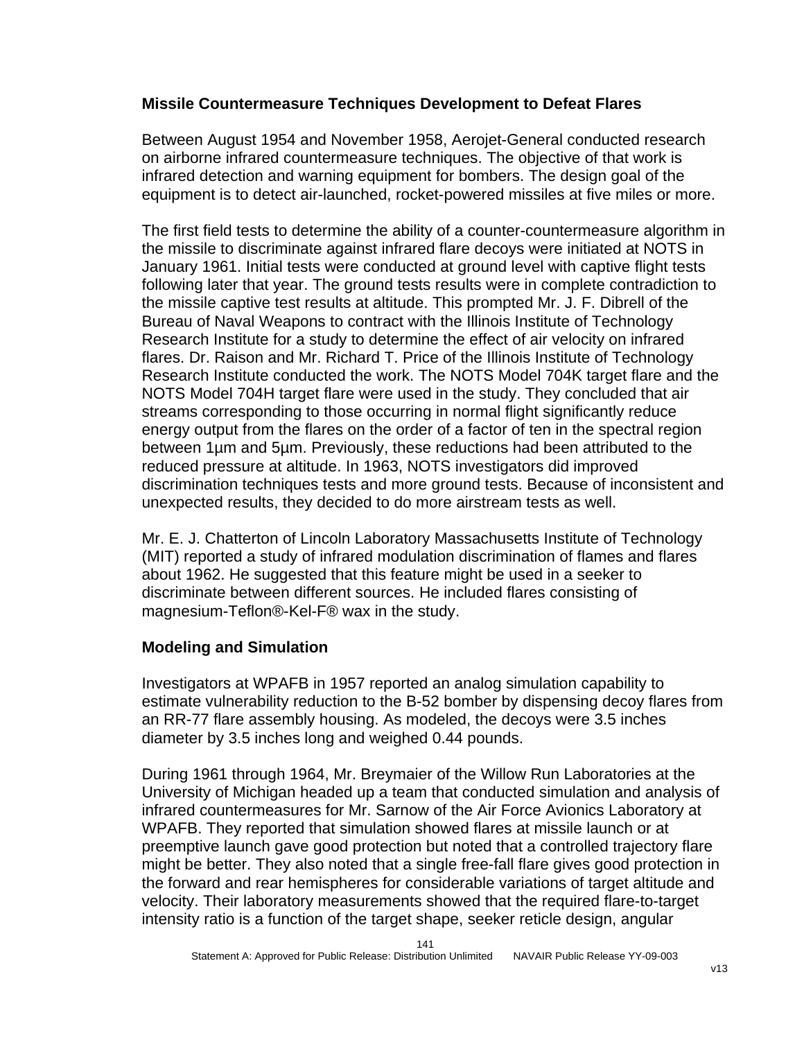### **Missile Countermeasure Techniques Development to Defeat Flares**

Between August 1954 and November 1958, Aerojet-General conducted research on airborne infrared countermeasure techniques. The objective of that work is infrared detection and warning equipment for bombers. The design goal of the equipment is to detect air-launched, rocket-powered missiles at five miles or more.

The first field tests to determine the ability of a counter-countermeasure algorithm in the missile to discriminate against infrared flare decoys were initiated at NOTS in January 1961. Initial tests were conducted at ground level with captive flight tests following later that year. The ground tests results were in complete contradiction to the missile captive test results at altitude. This prompted Mr. J. F. Dibrell of the Bureau of Naval Weapons to contract with the Illinois Institute of Technology Research Institute for a study to determine the effect of air velocity on infrared flares. Dr. Raison and Mr. Richard T. Price of the Illinois Institute of Technology Research Institute conducted the work. The NOTS Model 704K target flare and the NOTS Model 704H target flare were used in the study. They concluded that air streams corresponding to those occurring in normal flight significantly reduce energy output from the flares on the order of a factor of ten in the spectral region between 1µm and 5µm. Previously, these reductions had been attributed to the reduced pressure at altitude. In 1963, NOTS investigators did improved discrimination techniques tests and more ground tests. Because of inconsistent and unexpected results, they decided to do more airstream tests as well.

Mr. E. J. Chatterton of Lincoln Laboratory Massachusetts Institute of Technology (MIT) reported a study of infrared modulation discrimination of flames and flares about 1962. He suggested that this feature might be used in a seeker to discriminate between different sources. He included flares consisting of magnesium-Teflon®-Kel-F® wax in the study.

# **Modeling and Simulation**

Investigators at WPAFB in 1957 reported an analog simulation capability to estimate vulnerability reduction to the B-52 bomber by dispensing decoy flares from an RR-77 flare assembly housing. As modeled, the decoys were 3.5 inches diameter by 3.5 inches long and weighed 0.44 pounds.

During 1961 through 1964, Mr. Breymaier of the Willow Run Laboratories at the University of Michigan headed up a team that conducted simulation and analysis of infrared countermeasures for Mr. Sarnow of the Air Force Avionics Laboratory at WPAFB. They reported that simulation showed flares at missile launch or at preemptive launch gave good protection but noted that a controlled trajectory flare might be better. They also noted that a single free-fall flare gives good protection in the forward and rear hemispheres for considerable variations of target altitude and velocity. Their laboratory measurements showed that the required flare-to-target intensity ratio is a function of the target shape, seeker reticle design, angular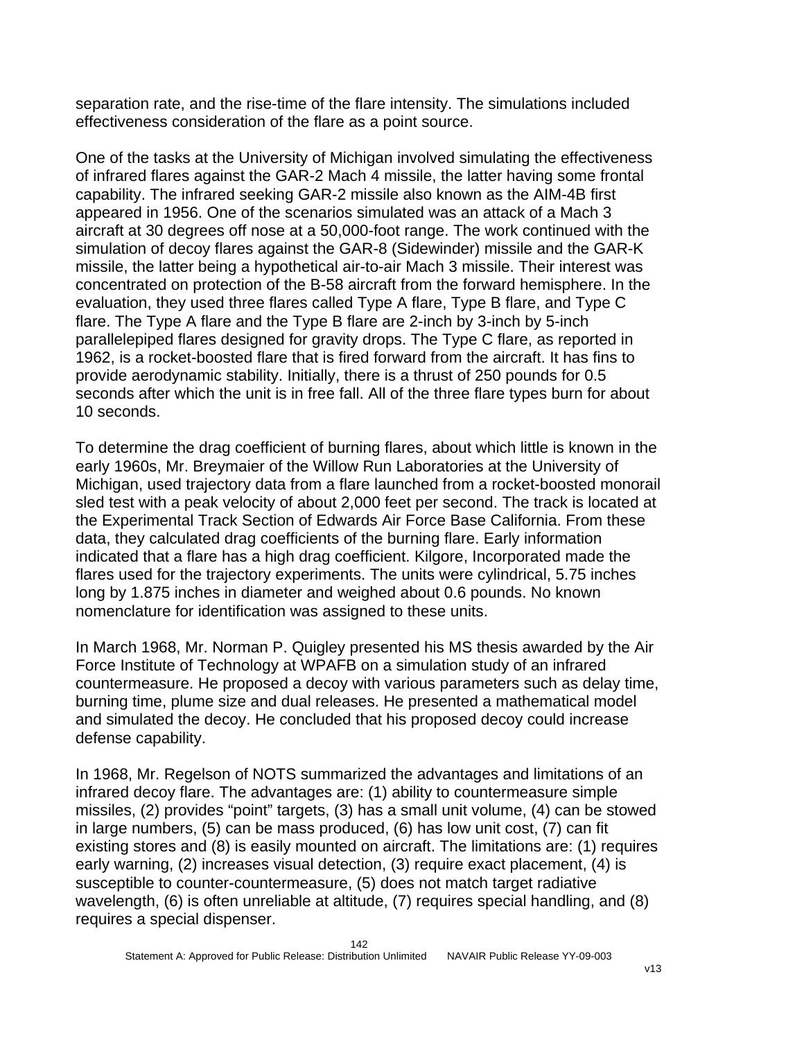separation rate, and the rise-time of the flare intensity. The simulations included effectiveness consideration of the flare as a point source.

One of the tasks at the University of Michigan involved simulating the effectiveness of infrared flares against the GAR-2 Mach 4 missile, the latter having some frontal capability. The infrared seeking GAR-2 missile also known as the AIM-4B first appeared in 1956. One of the scenarios simulated was an attack of a Mach 3 aircraft at 30 degrees off nose at a 50,000-foot range. The work continued with the simulation of decoy flares against the GAR-8 (Sidewinder) missile and the GAR-K missile, the latter being a hypothetical air-to-air Mach 3 missile. Their interest was concentrated on protection of the B-58 aircraft from the forward hemisphere. In the evaluation, they used three flares called Type A flare, Type B flare, and Type C flare. The Type A flare and the Type B flare are 2-inch by 3-inch by 5-inch parallelepiped flares designed for gravity drops. The Type C flare, as reported in 1962, is a rocket-boosted flare that is fired forward from the aircraft. It has fins to provide aerodynamic stability. Initially, there is a thrust of 250 pounds for 0.5 seconds after which the unit is in free fall. All of the three flare types burn for about 10 seconds.

To determine the drag coefficient of burning flares, about which little is known in the early 1960s, Mr. Breymaier of the Willow Run Laboratories at the University of Michigan, used trajectory data from a flare launched from a rocket-boosted monorail sled test with a peak velocity of about 2,000 feet per second. The track is located at the Experimental Track Section of Edwards Air Force Base California. From these data, they calculated drag coefficients of the burning flare. Early information indicated that a flare has a high drag coefficient. Kilgore, Incorporated made the flares used for the trajectory experiments. The units were cylindrical, 5.75 inches long by 1.875 inches in diameter and weighed about 0.6 pounds. No known nomenclature for identification was assigned to these units.

In March 1968, Mr. Norman P. Quigley presented his MS thesis awarded by the Air Force Institute of Technology at WPAFB on a simulation study of an infrared countermeasure. He proposed a decoy with various parameters such as delay time, burning time, plume size and dual releases. He presented a mathematical model and simulated the decoy. He concluded that his proposed decoy could increase defense capability.

In 1968, Mr. Regelson of NOTS summarized the advantages and limitations of an infrared decoy flare. The advantages are: (1) ability to countermeasure simple missiles, (2) provides "point" targets, (3) has a small unit volume, (4) can be stowed in large numbers, (5) can be mass produced, (6) has low unit cost, (7) can fit existing stores and (8) is easily mounted on aircraft. The limitations are: (1) requires early warning, (2) increases visual detection, (3) require exact placement, (4) is susceptible to counter-countermeasure, (5) does not match target radiative wavelength, (6) is often unreliable at altitude, (7) requires special handling, and (8) requires a special dispenser.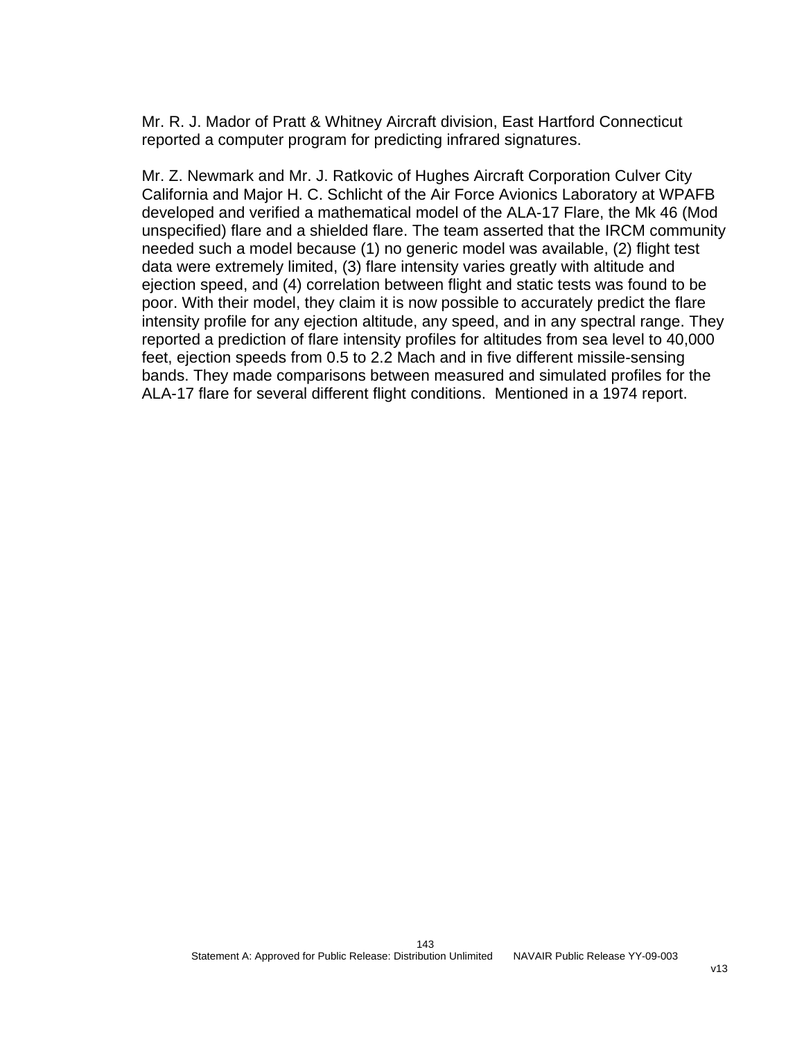Mr. R. J. Mador of Pratt & Whitney Aircraft division, East Hartford Connecticut reported a computer program for predicting infrared signatures.

Mr. Z. Newmark and Mr. J. Ratkovic of Hughes Aircraft Corporation Culver City California and Major H. C. Schlicht of the Air Force Avionics Laboratory at WPAFB developed and verified a mathematical model of the ALA-17 Flare, the Mk 46 (Mod unspecified) flare and a shielded flare. The team asserted that the IRCM community needed such a model because (1) no generic model was available, (2) flight test data were extremely limited, (3) flare intensity varies greatly with altitude and ejection speed, and (4) correlation between flight and static tests was found to be poor. With their model, they claim it is now possible to accurately predict the flare intensity profile for any ejection altitude, any speed, and in any spectral range. They reported a prediction of flare intensity profiles for altitudes from sea level to 40,000 feet, ejection speeds from 0.5 to 2.2 Mach and in five different missile-sensing bands. They made comparisons between measured and simulated profiles for the ALA-17 flare for several different flight conditions. Mentioned in a 1974 report.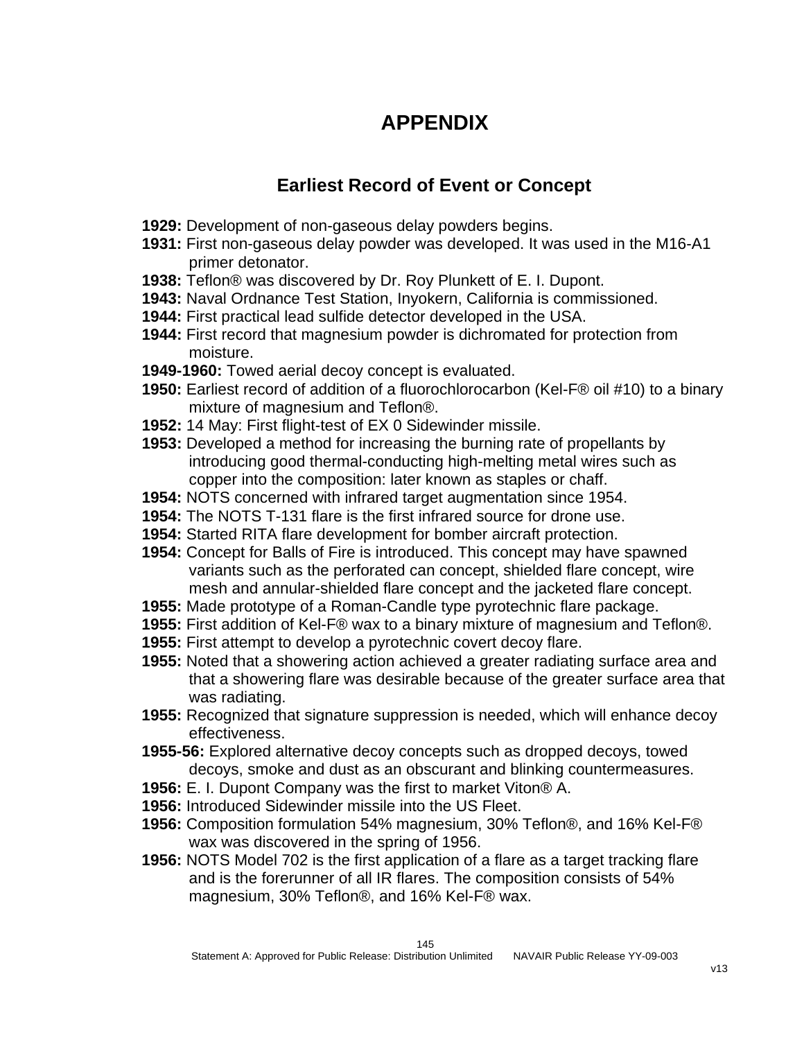# **APPENDIX**

# **Earliest Record of Event or Concept**

- **1929:** Development of non-gaseous delay powders begins.
- **1931:** First non-gaseous delay powder was developed. It was used in the M16-A1 primer detonator.
- **1938:** Teflon® was discovered by Dr. Roy Plunkett of E. I. Dupont.
- **1943:** Naval Ordnance Test Station, Inyokern, California is commissioned.
- **1944:** First practical lead sulfide detector developed in the USA.
- **1944:** First record that magnesium powder is dichromated for protection from moisture.
- **1949-1960:** Towed aerial decoy concept is evaluated.
- **1950:** Earliest record of addition of a fluorochlorocarbon (Kel-F® oil #10) to a binary mixture of magnesium and Teflon®.
- **1952:** 14 May: First flight-test of EX 0 Sidewinder missile.
- **1953:** Developed a method for increasing the burning rate of propellants by introducing good thermal-conducting high-melting metal wires such as copper into the composition: later known as staples or chaff.
- **1954:** NOTS concerned with infrared target augmentation since 1954.
- **1954:** The NOTS T-131 flare is the first infrared source for drone use.
- **1954:** Started RITA flare development for bomber aircraft protection.
- **1954:** Concept for Balls of Fire is introduced. This concept may have spawned variants such as the perforated can concept, shielded flare concept, wire mesh and annular-shielded flare concept and the jacketed flare concept.
- **1955:** Made prototype of a Roman-Candle type pyrotechnic flare package.
- **1955:** First addition of Kel-F® wax to a binary mixture of magnesium and Teflon®.
- **1955:** First attempt to develop a pyrotechnic covert decoy flare.
- **1955:** Noted that a showering action achieved a greater radiating surface area and that a showering flare was desirable because of the greater surface area that was radiating.
- **1955:** Recognized that signature suppression is needed, which will enhance decoy effectiveness.
- **1955-56:** Explored alternative decoy concepts such as dropped decoys, towed decoys, smoke and dust as an obscurant and blinking countermeasures.
- **1956:** E. I. Dupont Company was the first to market Viton® A.
- **1956:** Introduced Sidewinder missile into the US Fleet.
- **1956:** Composition formulation 54% magnesium, 30% Teflon®, and 16% Kel-F® wax was discovered in the spring of 1956.
- **1956:** NOTS Model 702 is the first application of a flare as a target tracking flare and is the forerunner of all IR flares. The composition consists of 54% magnesium, 30% Teflon®, and 16% Kel-F® wax.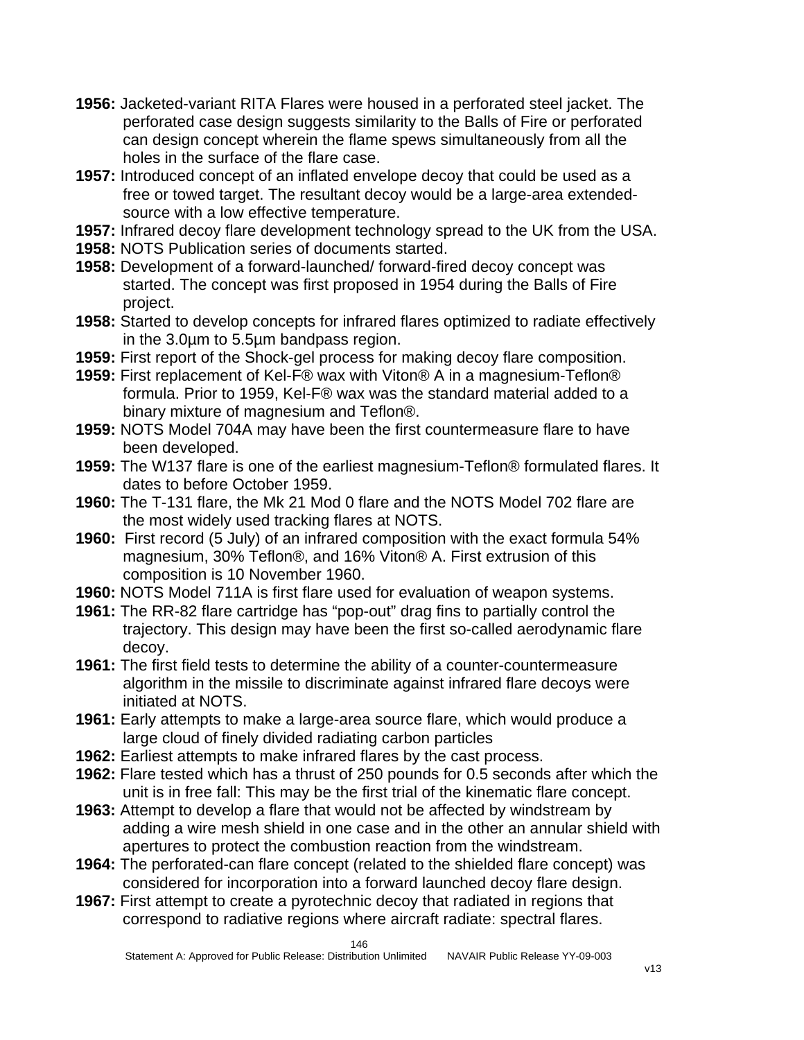- **1956:** Jacketed-variant RITA Flares were housed in a perforated steel jacket. The perforated case design suggests similarity to the Balls of Fire or perforated can design concept wherein the flame spews simultaneously from all the holes in the surface of the flare case.
- **1957:** Introduced concept of an inflated envelope decoy that could be used as a free or towed target. The resultant decoy would be a large-area extendedsource with a low effective temperature.
- **1957:** Infrared decoy flare development technology spread to the UK from the USA.
- **1958:** NOTS Publication series of documents started.
- **1958:** Development of a forward-launched/ forward-fired decoy concept was started. The concept was first proposed in 1954 during the Balls of Fire project.
- **1958:** Started to develop concepts for infrared flares optimized to radiate effectively in the 3.0µm to 5.5µm bandpass region.
- **1959:** First report of the Shock-gel process for making decoy flare composition.
- **1959:** First replacement of Kel-F® wax with Viton® A in a magnesium-Teflon® formula. Prior to 1959, Kel-F® wax was the standard material added to a binary mixture of magnesium and Teflon®.
- **1959:** NOTS Model 704A may have been the first countermeasure flare to have been developed.
- **1959:** The W137 flare is one of the earliest magnesium-Teflon® formulated flares. It dates to before October 1959.
- **1960:** The T-131 flare, the Mk 21 Mod 0 flare and the NOTS Model 702 flare are the most widely used tracking flares at NOTS.
- **1960:** First record (5 July) of an infrared composition with the exact formula 54% magnesium, 30% Teflon®, and 16% Viton® A. First extrusion of this composition is 10 November 1960.
- **1960:** NOTS Model 711A is first flare used for evaluation of weapon systems.
- **1961:** The RR-82 flare cartridge has "pop-out" drag fins to partially control the trajectory. This design may have been the first so-called aerodynamic flare decoy.
- **1961:** The first field tests to determine the ability of a counter-countermeasure algorithm in the missile to discriminate against infrared flare decoys were initiated at NOTS.
- **1961:** Early attempts to make a large-area source flare, which would produce a large cloud of finely divided radiating carbon particles
- **1962:** Earliest attempts to make infrared flares by the cast process.
- **1962:** Flare tested which has a thrust of 250 pounds for 0.5 seconds after which the unit is in free fall: This may be the first trial of the kinematic flare concept.
- **1963:** Attempt to develop a flare that would not be affected by windstream by adding a wire mesh shield in one case and in the other an annular shield with apertures to protect the combustion reaction from the windstream.
- **1964:** The perforated-can flare concept (related to the shielded flare concept) was considered for incorporation into a forward launched decoy flare design.
- **1967:** First attempt to create a pyrotechnic decoy that radiated in regions that correspond to radiative regions where aircraft radiate: spectral flares.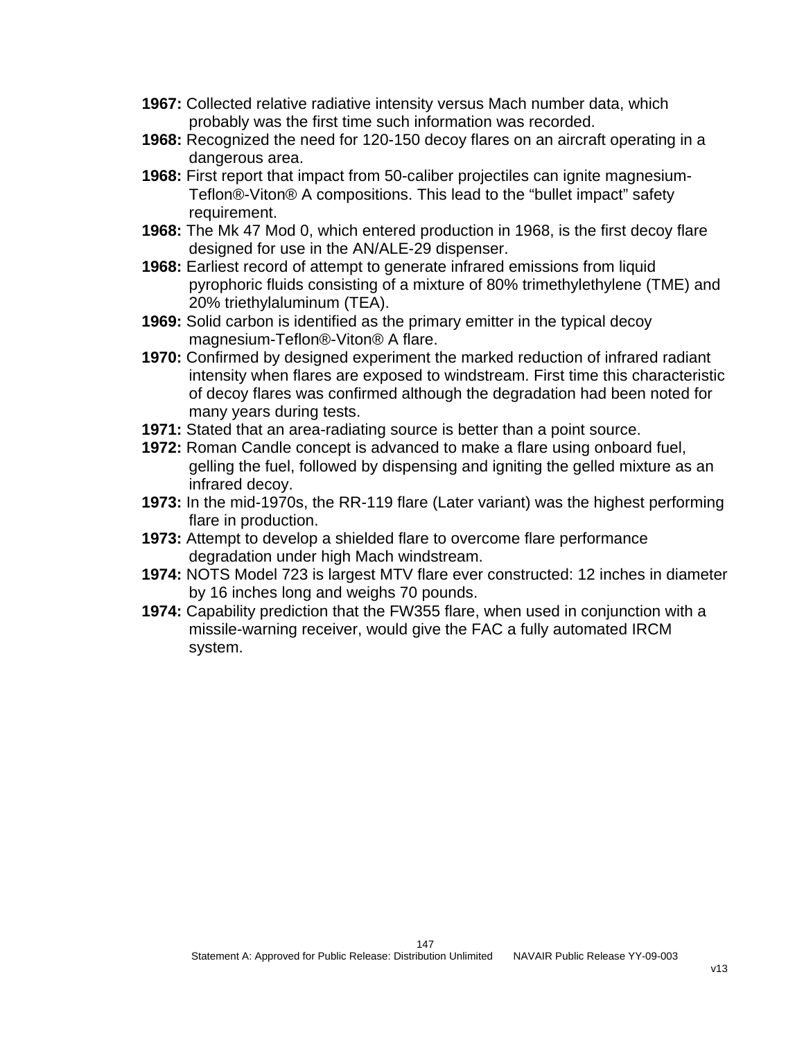- **1967:** Collected relative radiative intensity versus Mach number data, which probably was the first time such information was recorded.
- **1968:** Recognized the need for 120-150 decoy flares on an aircraft operating in a dangerous area.
- **1968:** First report that impact from 50-caliber projectiles can ignite magnesium-Teflon®-Viton® A compositions. This lead to the "bullet impact" safety requirement.
- **1968:** The Mk 47 Mod 0, which entered production in 1968, is the first decoy flare designed for use in the AN/ALE-29 dispenser.
- **1968:** Earliest record of attempt to generate infrared emissions from liquid pyrophoric fluids consisting of a mixture of 80% trimethylethylene (TME) and 20% triethylaluminum (TEA).
- **1969:** Solid carbon is identified as the primary emitter in the typical decoy magnesium-Teflon®-Viton® A flare.
- **1970:** Confirmed by designed experiment the marked reduction of infrared radiant intensity when flares are exposed to windstream. First time this characteristic of decoy flares was confirmed although the degradation had been noted for many years during tests.
- **1971:** Stated that an area-radiating source is better than a point source.
- **1972:** Roman Candle concept is advanced to make a flare using onboard fuel, gelling the fuel, followed by dispensing and igniting the gelled mixture as an infrared decoy.
- **1973:** In the mid-1970s, the RR-119 flare (Later variant) was the highest performing flare in production.
- **1973:** Attempt to develop a shielded flare to overcome flare performance degradation under high Mach windstream.
- **1974:** NOTS Model 723 is largest MTV flare ever constructed: 12 inches in diameter by 16 inches long and weighs 70 pounds.
- **1974:** Capability prediction that the FW355 flare, when used in conjunction with a missile-warning receiver, would give the FAC a fully automated IRCM system.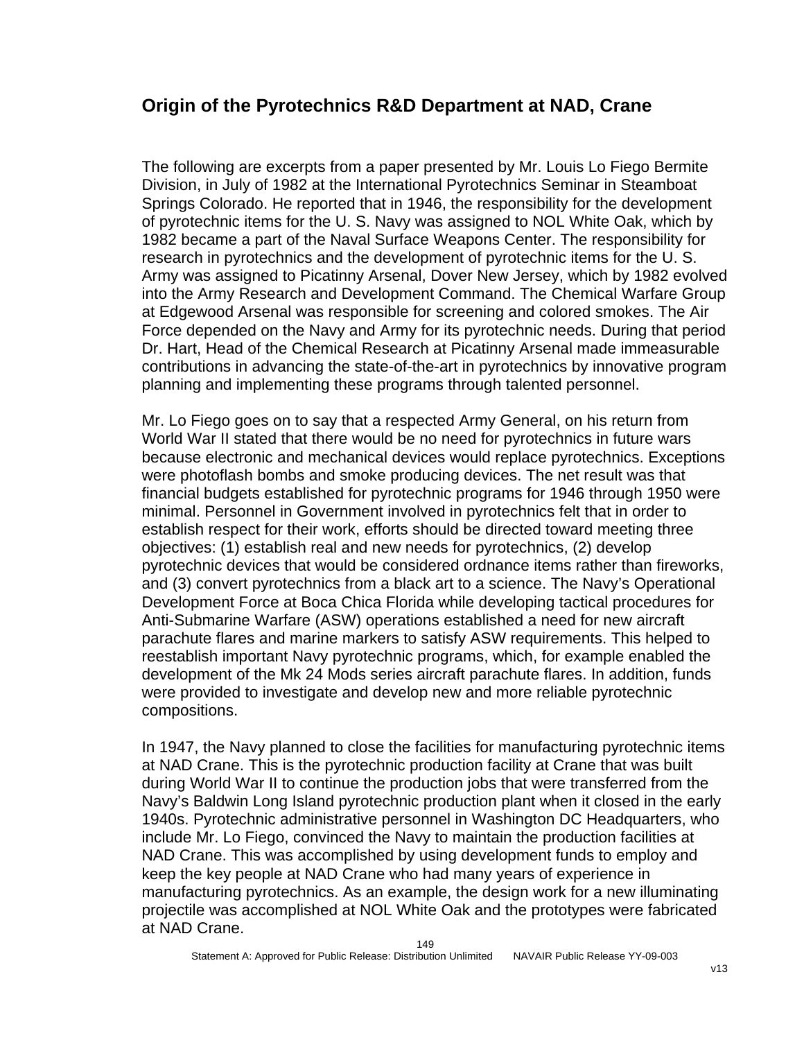#### **Origin of the Pyrotechnics R&D Department at NAD, Crane**

The following are excerpts from a paper presented by Mr. Louis Lo Fiego Bermite Division, in July of 1982 at the International Pyrotechnics Seminar in Steamboat Springs Colorado. He reported that in 1946, the responsibility for the development of pyrotechnic items for the U. S. Navy was assigned to NOL White Oak, which by 1982 became a part of the Naval Surface Weapons Center. The responsibility for research in pyrotechnics and the development of pyrotechnic items for the U. S. Army was assigned to Picatinny Arsenal, Dover New Jersey, which by 1982 evolved into the Army Research and Development Command. The Chemical Warfare Group at Edgewood Arsenal was responsible for screening and colored smokes. The Air Force depended on the Navy and Army for its pyrotechnic needs. During that period Dr. Hart, Head of the Chemical Research at Picatinny Arsenal made immeasurable contributions in advancing the state-of-the-art in pyrotechnics by innovative program planning and implementing these programs through talented personnel.

Mr. Lo Fiego goes on to say that a respected Army General, on his return from World War II stated that there would be no need for pyrotechnics in future wars because electronic and mechanical devices would replace pyrotechnics. Exceptions were photoflash bombs and smoke producing devices. The net result was that financial budgets established for pyrotechnic programs for 1946 through 1950 were minimal. Personnel in Government involved in pyrotechnics felt that in order to establish respect for their work, efforts should be directed toward meeting three objectives: (1) establish real and new needs for pyrotechnics, (2) develop pyrotechnic devices that would be considered ordnance items rather than fireworks, and (3) convert pyrotechnics from a black art to a science. The Navy's Operational Development Force at Boca Chica Florida while developing tactical procedures for Anti-Submarine Warfare (ASW) operations established a need for new aircraft parachute flares and marine markers to satisfy ASW requirements. This helped to reestablish important Navy pyrotechnic programs, which, for example enabled the development of the Mk 24 Mods series aircraft parachute flares. In addition, funds were provided to investigate and develop new and more reliable pyrotechnic compositions.

In 1947, the Navy planned to close the facilities for manufacturing pyrotechnic items at NAD Crane. This is the pyrotechnic production facility at Crane that was built during World War II to continue the production jobs that were transferred from the Navy's Baldwin Long Island pyrotechnic production plant when it closed in the early 1940s. Pyrotechnic administrative personnel in Washington DC Headquarters, who include Mr. Lo Fiego, convinced the Navy to maintain the production facilities at NAD Crane. This was accomplished by using development funds to employ and keep the key people at NAD Crane who had many years of experience in manufacturing pyrotechnics. As an example, the design work for a new illuminating projectile was accomplished at NOL White Oak and the prototypes were fabricated at NAD Crane.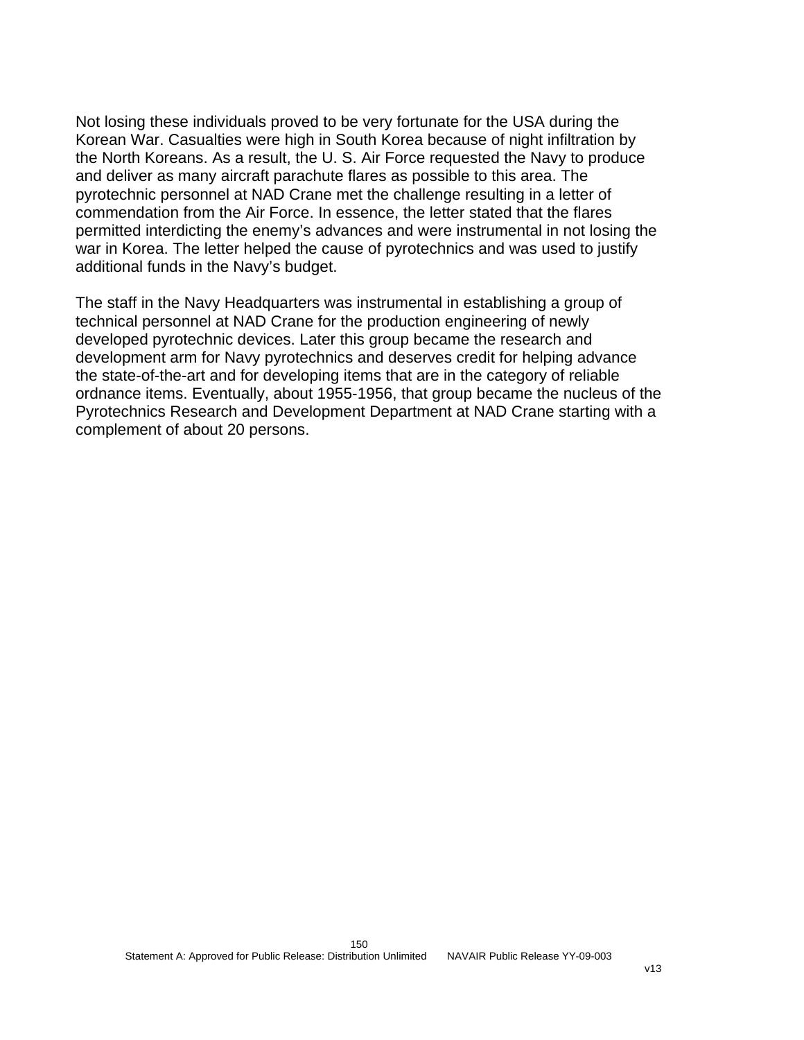Not losing these individuals proved to be very fortunate for the USA during the Korean War. Casualties were high in South Korea because of night infiltration by the North Koreans. As a result, the U. S. Air Force requested the Navy to produce and deliver as many aircraft parachute flares as possible to this area. The pyrotechnic personnel at NAD Crane met the challenge resulting in a letter of commendation from the Air Force. In essence, the letter stated that the flares permitted interdicting the enemy's advances and were instrumental in not losing the war in Korea. The letter helped the cause of pyrotechnics and was used to justify additional funds in the Navy's budget.

The staff in the Navy Headquarters was instrumental in establishing a group of technical personnel at NAD Crane for the production engineering of newly developed pyrotechnic devices. Later this group became the research and development arm for Navy pyrotechnics and deserves credit for helping advance the state-of-the-art and for developing items that are in the category of reliable ordnance items. Eventually, about 1955-1956, that group became the nucleus of the Pyrotechnics Research and Development Department at NAD Crane starting with a complement of about 20 persons.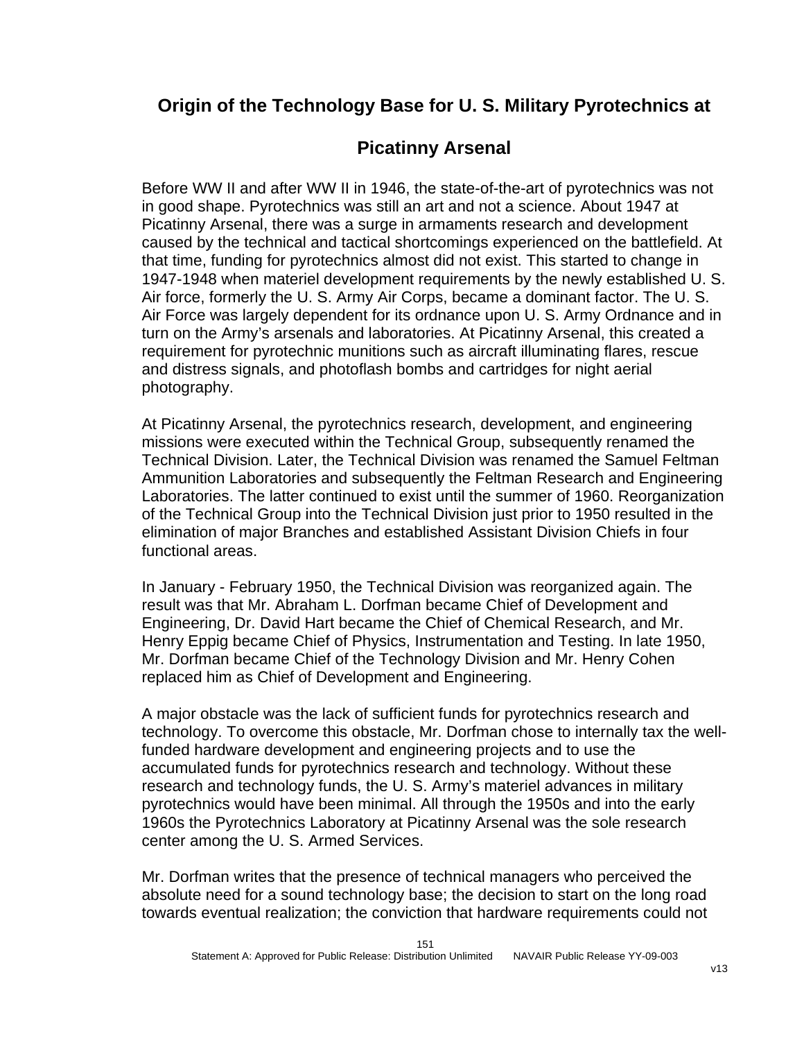### **Origin of the Technology Base for U. S. Military Pyrotechnics at**

### **Picatinny Arsenal**

Before WW II and after WW II in 1946, the state-of-the-art of pyrotechnics was not in good shape. Pyrotechnics was still an art and not a science. About 1947 at Picatinny Arsenal, there was a surge in armaments research and development caused by the technical and tactical shortcomings experienced on the battlefield. At that time, funding for pyrotechnics almost did not exist. This started to change in 1947-1948 when materiel development requirements by the newly established U. S. Air force, formerly the U. S. Army Air Corps, became a dominant factor. The U. S. Air Force was largely dependent for its ordnance upon U. S. Army Ordnance and in turn on the Army's arsenals and laboratories. At Picatinny Arsenal, this created a requirement for pyrotechnic munitions such as aircraft illuminating flares, rescue and distress signals, and photoflash bombs and cartridges for night aerial photography.

At Picatinny Arsenal, the pyrotechnics research, development, and engineering missions were executed within the Technical Group, subsequently renamed the Technical Division. Later, the Technical Division was renamed the Samuel Feltman Ammunition Laboratories and subsequently the Feltman Research and Engineering Laboratories. The latter continued to exist until the summer of 1960. Reorganization of the Technical Group into the Technical Division just prior to 1950 resulted in the elimination of major Branches and established Assistant Division Chiefs in four functional areas.

In January - February 1950, the Technical Division was reorganized again. The result was that Mr. Abraham L. Dorfman became Chief of Development and Engineering, Dr. David Hart became the Chief of Chemical Research, and Mr. Henry Eppig became Chief of Physics, Instrumentation and Testing. In late 1950, Mr. Dorfman became Chief of the Technology Division and Mr. Henry Cohen replaced him as Chief of Development and Engineering.

A major obstacle was the lack of sufficient funds for pyrotechnics research and technology. To overcome this obstacle, Mr. Dorfman chose to internally tax the wellfunded hardware development and engineering projects and to use the accumulated funds for pyrotechnics research and technology. Without these research and technology funds, the U. S. Army's materiel advances in military pyrotechnics would have been minimal. All through the 1950s and into the early 1960s the Pyrotechnics Laboratory at Picatinny Arsenal was the sole research center among the U. S. Armed Services.

Mr. Dorfman writes that the presence of technical managers who perceived the absolute need for a sound technology base; the decision to start on the long road towards eventual realization; the conviction that hardware requirements could not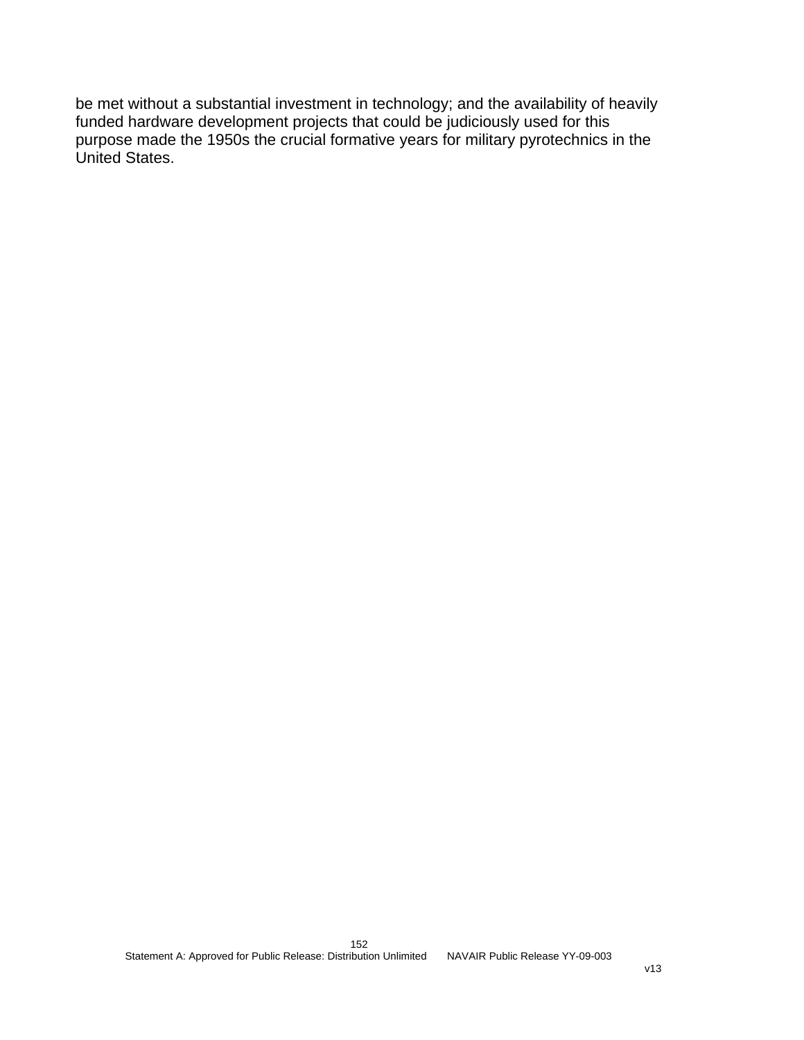be met without a substantial investment in technology; and the availability of heavily funded hardware development projects that could be judiciously used for this purpose made the 1950s the crucial formative years for military pyrotechnics in the United States.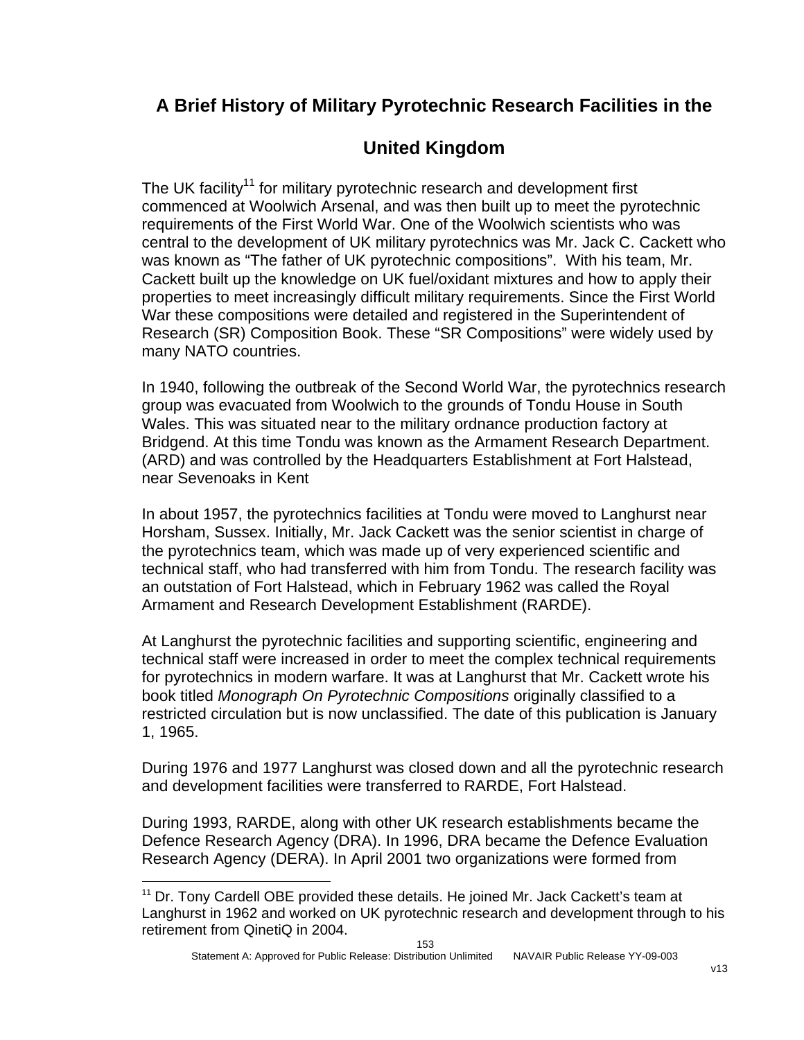### **A Brief History of Military Pyrotechnic Research Facilities in the**

## **United Kingdom**

The UK facility<sup>11</sup> for military pyrotechnic research and development first commenced at Woolwich Arsenal, and was then built up to meet the pyrotechnic requirements of the First World War. One of the Woolwich scientists who was central to the development of UK military pyrotechnics was Mr. Jack C. Cackett who was known as "The father of UK pyrotechnic compositions". With his team, Mr. Cackett built up the knowledge on UK fuel/oxidant mixtures and how to apply their properties to meet increasingly difficult military requirements. Since the First World War these compositions were detailed and registered in the Superintendent of Research (SR) Composition Book. These "SR Compositions" were widely used by many NATO countries.

In 1940, following the outbreak of the Second World War, the pyrotechnics research group was evacuated from Woolwich to the grounds of Tondu House in South Wales. This was situated near to the military ordnance production factory at Bridgend. At this time Tondu was known as the Armament Research Department. (ARD) and was controlled by the Headquarters Establishment at Fort Halstead, near Sevenoaks in Kent

In about 1957, the pyrotechnics facilities at Tondu were moved to Langhurst near Horsham, Sussex. Initially, Mr. Jack Cackett was the senior scientist in charge of the pyrotechnics team, which was made up of very experienced scientific and technical staff, who had transferred with him from Tondu. The research facility was an outstation of Fort Halstead, which in February 1962 was called the Royal Armament and Research Development Establishment (RARDE).

At Langhurst the pyrotechnic facilities and supporting scientific, engineering and technical staff were increased in order to meet the complex technical requirements for pyrotechnics in modern warfare. It was at Langhurst that Mr. Cackett wrote his book titled *Monograph On Pyrotechnic Compositions* originally classified to a restricted circulation but is now unclassified. The date of this publication is January 1, 1965.

During 1976 and 1977 Langhurst was closed down and all the pyrotechnic research and development facilities were transferred to RARDE, Fort Halstead.

During 1993, RARDE, along with other UK research establishments became the Defence Research Agency (DRA). In 1996, DRA became the Defence Evaluation Research Agency (DERA). In April 2001 two organizations were formed from

 $\overline{a}$ 

<span id="page-153-0"></span><sup>&</sup>lt;sup>11</sup> Dr. Tony Cardell OBE provided these details. He joined Mr. Jack Cackett's team at Langhurst in 1962 and worked on UK pyrotechnic research and development through to his retirement from QinetiQ in 2004.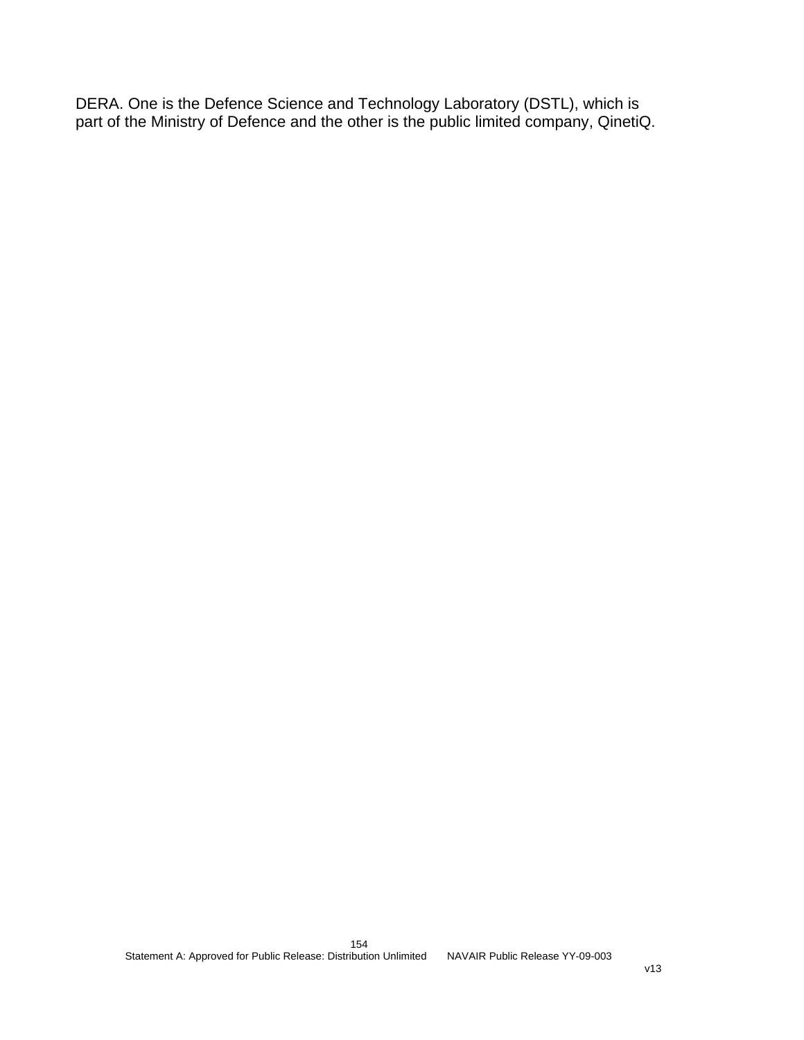DERA. One is the Defence Science and Technology Laboratory (DSTL), which is part of the Ministry of Defence and the other is the public limited company, QinetiQ.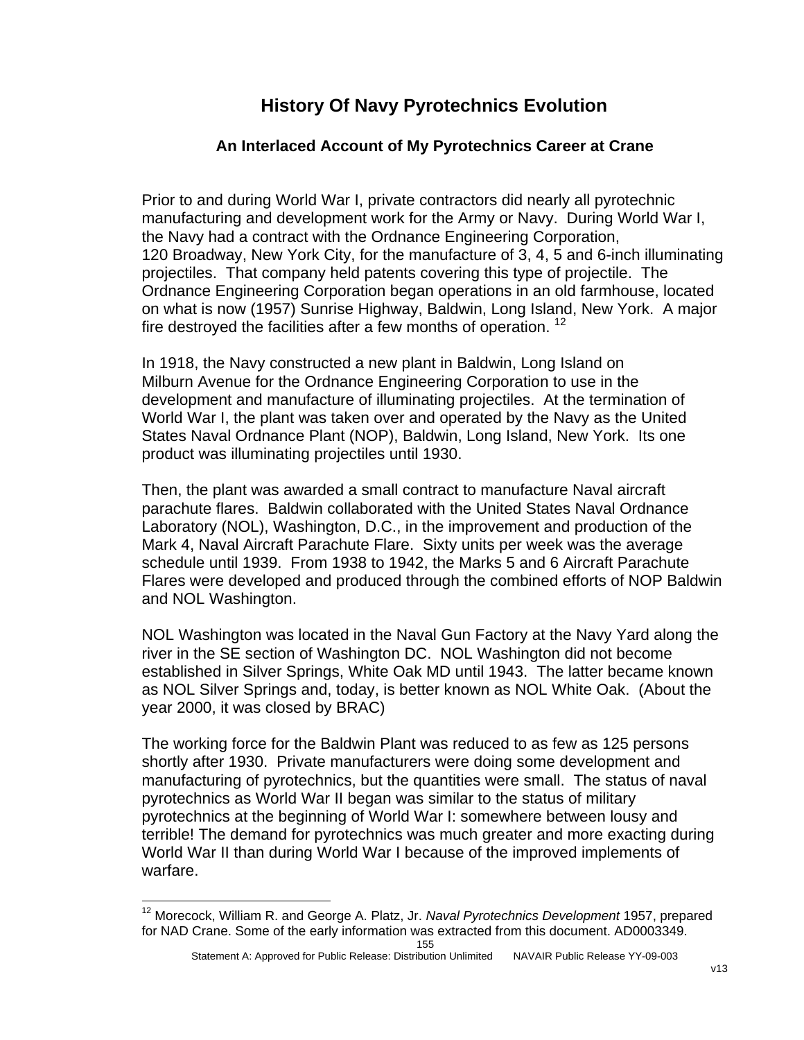### **History Of Navy Pyrotechnics Evolution**

#### **An Interlaced Account of My Pyrotechnics Career at Crane**

Prior to and during World War I, private contractors did nearly all pyrotechnic manufacturing and development work for the Army or Navy. During World War I, the Navy had a contract with the Ordnance Engineering Corporation, 120 Broadway, New York City, for the manufacture of 3, 4, 5 and 6-inch illuminating projectiles. That company held patents covering this type of projectile. The Ordnance Engineering Corporation began operations in an old farmhouse, located on what is now (1957) Sunrise Highway, Baldwin, Long Island, New York. A major fire destroyed the facilities after a few months of operation.<sup>12</sup>

In 1918, the Navy constructed a new plant in Baldwin, Long Island on Milburn Avenue for the Ordnance Engineering Corporation to use in the development and manufacture of illuminating projectiles. At the termination of World War I, the plant was taken over and operated by the Navy as the United States Naval Ordnance Plant (NOP), Baldwin, Long Island, New York. Its one product was illuminating projectiles until 1930.

Then, the plant was awarded a small contract to manufacture Naval aircraft parachute flares. Baldwin collaborated with the United States Naval Ordnance Laboratory (NOL), Washington, D.C., in the improvement and production of the Mark 4, Naval Aircraft Parachute Flare. Sixty units per week was the average schedule until 1939. From 1938 to 1942, the Marks 5 and 6 Aircraft Parachute Flares were developed and produced through the combined efforts of NOP Baldwin and NOL Washington.

NOL Washington was located in the Naval Gun Factory at the Navy Yard along the river in the SE section of Washington DC. NOL Washington did not become established in Silver Springs, White Oak MD until 1943. The latter became known as NOL Silver Springs and, today, is better known as NOL White Oak. (About the year 2000, it was closed by BRAC)

The working force for the Baldwin Plant was reduced to as few as 125 persons shortly after 1930. Private manufacturers were doing some development and manufacturing of pyrotechnics, but the quantities were small. The status of naval pyrotechnics as World War II began was similar to the status of military pyrotechnics at the beginning of World War I: somewhere between lousy and terrible! The demand for pyrotechnics was much greater and more exacting during World War II than during World War I because of the improved implements of warfare.

1

<span id="page-155-0"></span><sup>12</sup> Morecock, William R. and George A. Platz, Jr. *Naval Pyrotechnics Development* 1957, prepared for NAD Crane. Some of the early information was extracted from this document. AD0003349.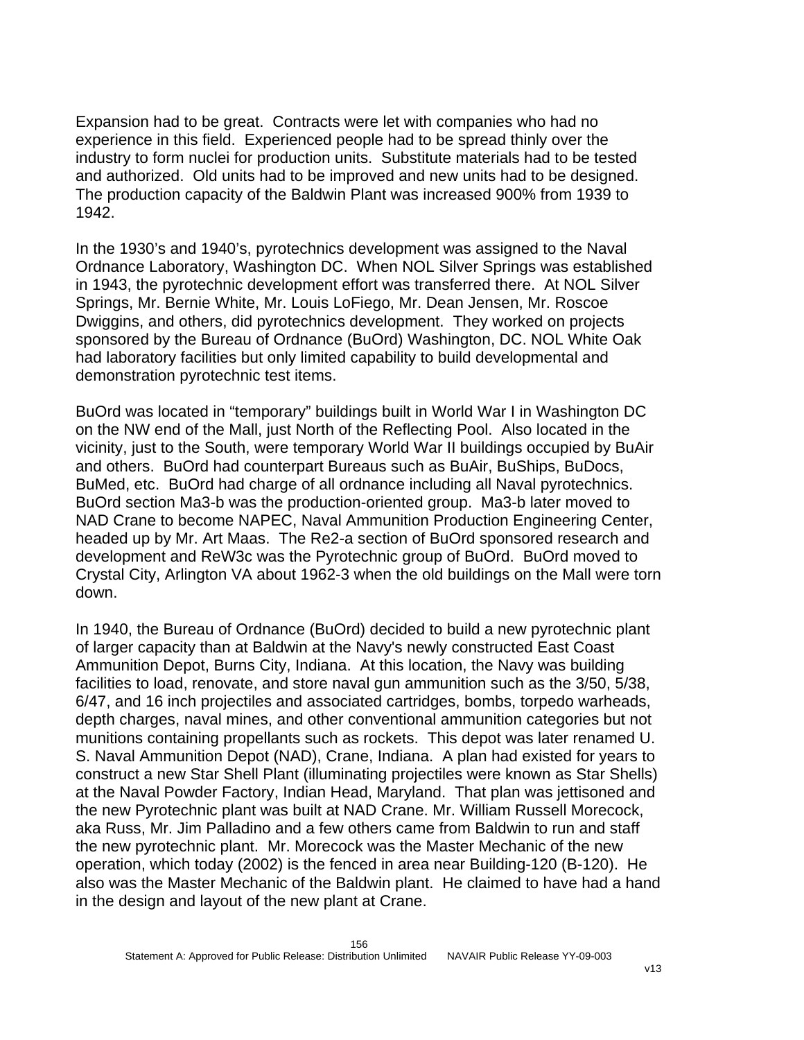Expansion had to be great. Contracts were let with companies who had no experience in this field. Experienced people had to be spread thinly over the industry to form nuclei for production units. Substitute materials had to be tested and authorized. Old units had to be improved and new units had to be designed. The production capacity of the Baldwin Plant was increased 900% from 1939 to 1942.

In the 1930's and 1940's, pyrotechnics development was assigned to the Naval Ordnance Laboratory, Washington DC. When NOL Silver Springs was established in 1943, the pyrotechnic development effort was transferred there. At NOL Silver Springs, Mr. Bernie White, Mr. Louis LoFiego, Mr. Dean Jensen, Mr. Roscoe Dwiggins, and others, did pyrotechnics development. They worked on projects sponsored by the Bureau of Ordnance (BuOrd) Washington, DC. NOL White Oak had laboratory facilities but only limited capability to build developmental and demonstration pyrotechnic test items.

BuOrd was located in "temporary" buildings built in World War I in Washington DC on the NW end of the Mall, just North of the Reflecting Pool. Also located in the vicinity, just to the South, were temporary World War II buildings occupied by BuAir and others. BuOrd had counterpart Bureaus such as BuAir, BuShips, BuDocs, BuMed, etc. BuOrd had charge of all ordnance including all Naval pyrotechnics. BuOrd section Ma3-b was the production-oriented group. Ma3-b later moved to NAD Crane to become NAPEC, Naval Ammunition Production Engineering Center, headed up by Mr. Art Maas. The Re2-a section of BuOrd sponsored research and development and ReW3c was the Pyrotechnic group of BuOrd. BuOrd moved to Crystal City, Arlington VA about 1962-3 when the old buildings on the Mall were torn down.

In 1940, the Bureau of Ordnance (BuOrd) decided to build a new pyrotechnic plant of larger capacity than at Baldwin at the Navy's newly constructed East Coast Ammunition Depot, Burns City, Indiana. At this location, the Navy was building facilities to load, renovate, and store naval gun ammunition such as the 3/50, 5/38, 6/47, and 16 inch projectiles and associated cartridges, bombs, torpedo warheads, depth charges, naval mines, and other conventional ammunition categories but not munitions containing propellants such as rockets. This depot was later renamed U. S. Naval Ammunition Depot (NAD), Crane, Indiana. A plan had existed for years to construct a new Star Shell Plant (illuminating projectiles were known as Star Shells) at the Naval Powder Factory, Indian Head, Maryland. That plan was jettisoned and the new Pyrotechnic plant was built at NAD Crane. Mr. William Russell Morecock, aka Russ, Mr. Jim Palladino and a few others came from Baldwin to run and staff the new pyrotechnic plant. Mr. Morecock was the Master Mechanic of the new operation, which today (2002) is the fenced in area near Building-120 (B-120). He also was the Master Mechanic of the Baldwin plant. He claimed to have had a hand in the design and layout of the new plant at Crane.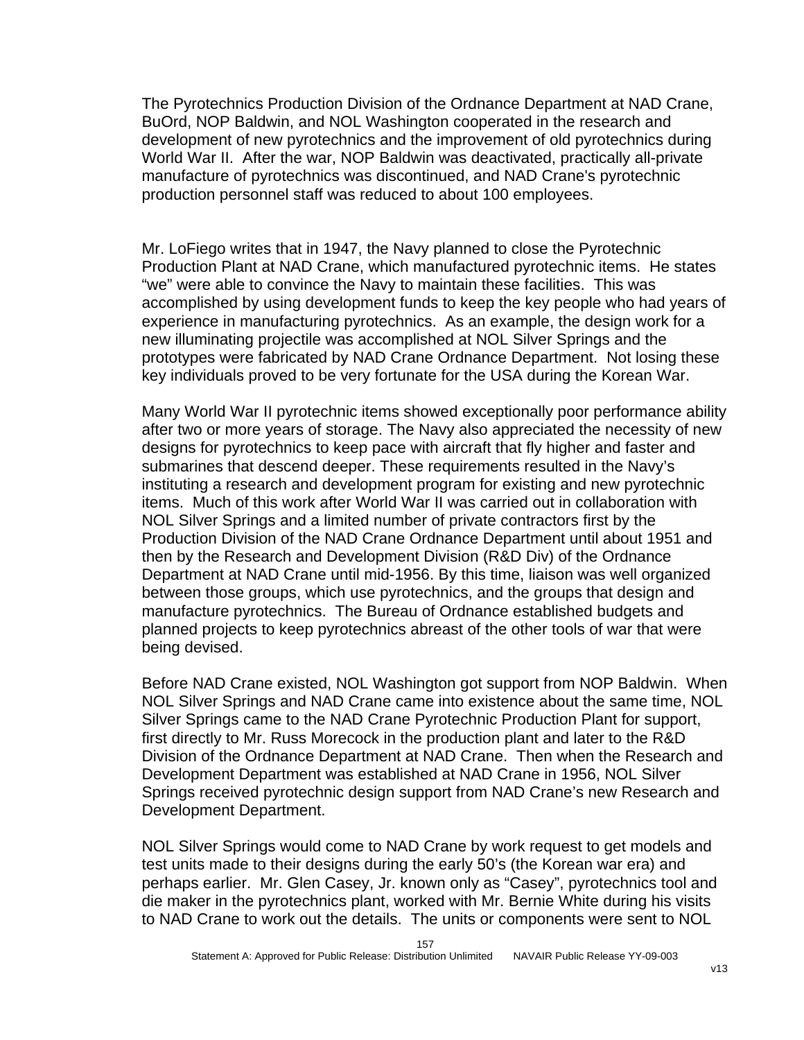The Pyrotechnics Production Division of the Ordnance Department at NAD Crane, BuOrd, NOP Baldwin, and NOL Washington cooperated in the research and development of new pyrotechnics and the improvement of old pyrotechnics during World War II. After the war, NOP Baldwin was deactivated, practically all-private manufacture of pyrotechnics was discontinued, and NAD Crane's pyrotechnic production personnel staff was reduced to about 100 employees.

Mr. LoFiego writes that in 1947, the Navy planned to close the Pyrotechnic Production Plant at NAD Crane, which manufactured pyrotechnic items. He states "we" were able to convince the Navy to maintain these facilities. This was accomplished by using development funds to keep the key people who had years of experience in manufacturing pyrotechnics. As an example, the design work for a new illuminating projectile was accomplished at NOL Silver Springs and the prototypes were fabricated by NAD Crane Ordnance Department. Not losing these key individuals proved to be very fortunate for the USA during the Korean War.

Many World War II pyrotechnic items showed exceptionally poor performance ability after two or more years of storage. The Navy also appreciated the necessity of new designs for pyrotechnics to keep pace with aircraft that fly higher and faster and submarines that descend deeper. These requirements resulted in the Navy's instituting a research and development program for existing and new pyrotechnic items. Much of this work after World War II was carried out in collaboration with NOL Silver Springs and a limited number of private contractors first by the Production Division of the NAD Crane Ordnance Department until about 1951 and then by the Research and Development Division (R&D Div) of the Ordnance Department at NAD Crane until mid-1956. By this time, liaison was well organized between those groups, which use pyrotechnics, and the groups that design and manufacture pyrotechnics. The Bureau of Ordnance established budgets and planned projects to keep pyrotechnics abreast of the other tools of war that were being devised.

Before NAD Crane existed, NOL Washington got support from NOP Baldwin. When NOL Silver Springs and NAD Crane came into existence about the same time, NOL Silver Springs came to the NAD Crane Pyrotechnic Production Plant for support, first directly to Mr. Russ Morecock in the production plant and later to the R&D Division of the Ordnance Department at NAD Crane. Then when the Research and Development Department was established at NAD Crane in 1956, NOL Silver Springs received pyrotechnic design support from NAD Crane's new Research and Development Department.

NOL Silver Springs would come to NAD Crane by work request to get models and test units made to their designs during the early 50's (the Korean war era) and perhaps earlier. Mr. Glen Casey, Jr. known only as "Casey", pyrotechnics tool and die maker in the pyrotechnics plant, worked with Mr. Bernie White during his visits to NAD Crane to work out the details. The units or components were sent to NOL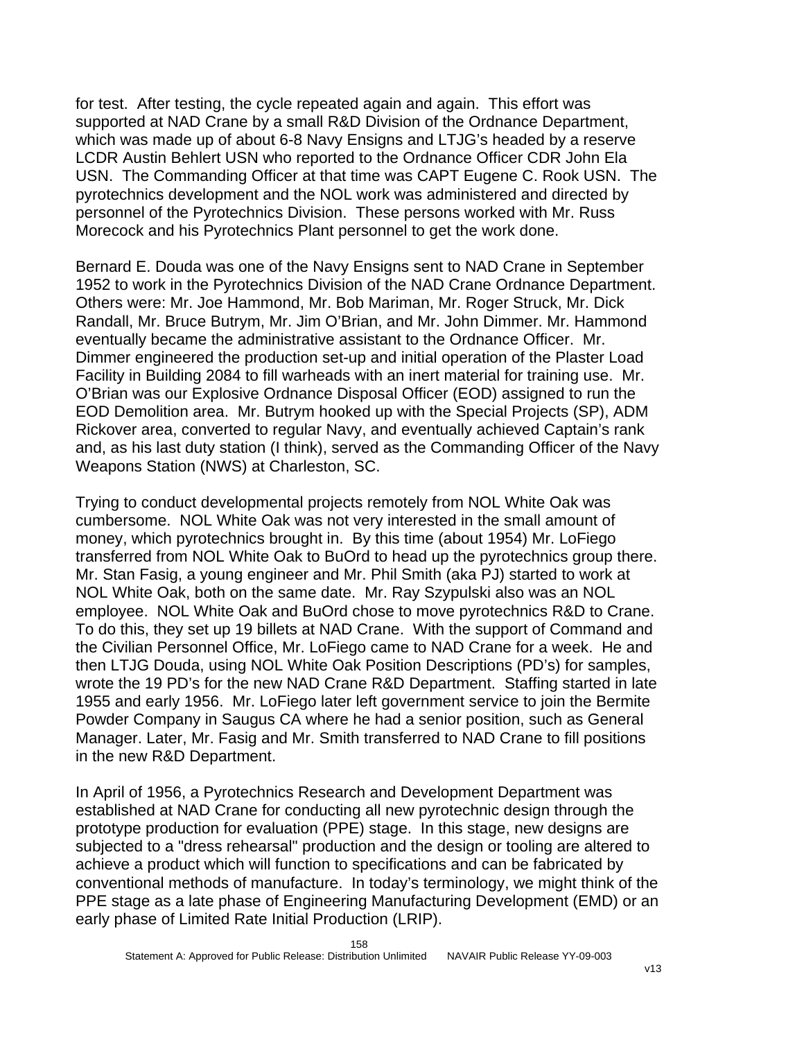for test. After testing, the cycle repeated again and again. This effort was supported at NAD Crane by a small R&D Division of the Ordnance Department, which was made up of about 6-8 Navy Ensigns and LTJG's headed by a reserve LCDR Austin Behlert USN who reported to the Ordnance Officer CDR John Ela USN. The Commanding Officer at that time was CAPT Eugene C. Rook USN. The pyrotechnics development and the NOL work was administered and directed by personnel of the Pyrotechnics Division. These persons worked with Mr. Russ Morecock and his Pyrotechnics Plant personnel to get the work done.

Bernard E. Douda was one of the Navy Ensigns sent to NAD Crane in September 1952 to work in the Pyrotechnics Division of the NAD Crane Ordnance Department. Others were: Mr. Joe Hammond, Mr. Bob Mariman, Mr. Roger Struck, Mr. Dick Randall, Mr. Bruce Butrym, Mr. Jim O'Brian, and Mr. John Dimmer. Mr. Hammond eventually became the administrative assistant to the Ordnance Officer. Mr. Dimmer engineered the production set-up and initial operation of the Plaster Load Facility in Building 2084 to fill warheads with an inert material for training use. Mr. O'Brian was our Explosive Ordnance Disposal Officer (EOD) assigned to run the EOD Demolition area. Mr. Butrym hooked up with the Special Projects (SP), ADM Rickover area, converted to regular Navy, and eventually achieved Captain's rank and, as his last duty station (I think), served as the Commanding Officer of the Navy Weapons Station (NWS) at Charleston, SC.

Trying to conduct developmental projects remotely from NOL White Oak was cumbersome. NOL White Oak was not very interested in the small amount of money, which pyrotechnics brought in. By this time (about 1954) Mr. LoFiego transferred from NOL White Oak to BuOrd to head up the pyrotechnics group there. Mr. Stan Fasig, a young engineer and Mr. Phil Smith (aka PJ) started to work at NOL White Oak, both on the same date. Mr. Ray Szypulski also was an NOL employee. NOL White Oak and BuOrd chose to move pyrotechnics R&D to Crane. To do this, they set up 19 billets at NAD Crane. With the support of Command and the Civilian Personnel Office, Mr. LoFiego came to NAD Crane for a week. He and then LTJG Douda, using NOL White Oak Position Descriptions (PD's) for samples, wrote the 19 PD's for the new NAD Crane R&D Department. Staffing started in late 1955 and early 1956. Mr. LoFiego later left government service to join the Bermite Powder Company in Saugus CA where he had a senior position, such as General Manager. Later, Mr. Fasig and Mr. Smith transferred to NAD Crane to fill positions in the new R&D Department.

In April of 1956, a Pyrotechnics Research and Development Department was established at NAD Crane for conducting all new pyrotechnic design through the prototype production for evaluation (PPE) stage. In this stage, new designs are subjected to a "dress rehearsal" production and the design or tooling are altered to achieve a product which will function to specifications and can be fabricated by conventional methods of manufacture. In today's terminology, we might think of the PPE stage as a late phase of Engineering Manufacturing Development (EMD) or an early phase of Limited Rate Initial Production (LRIP).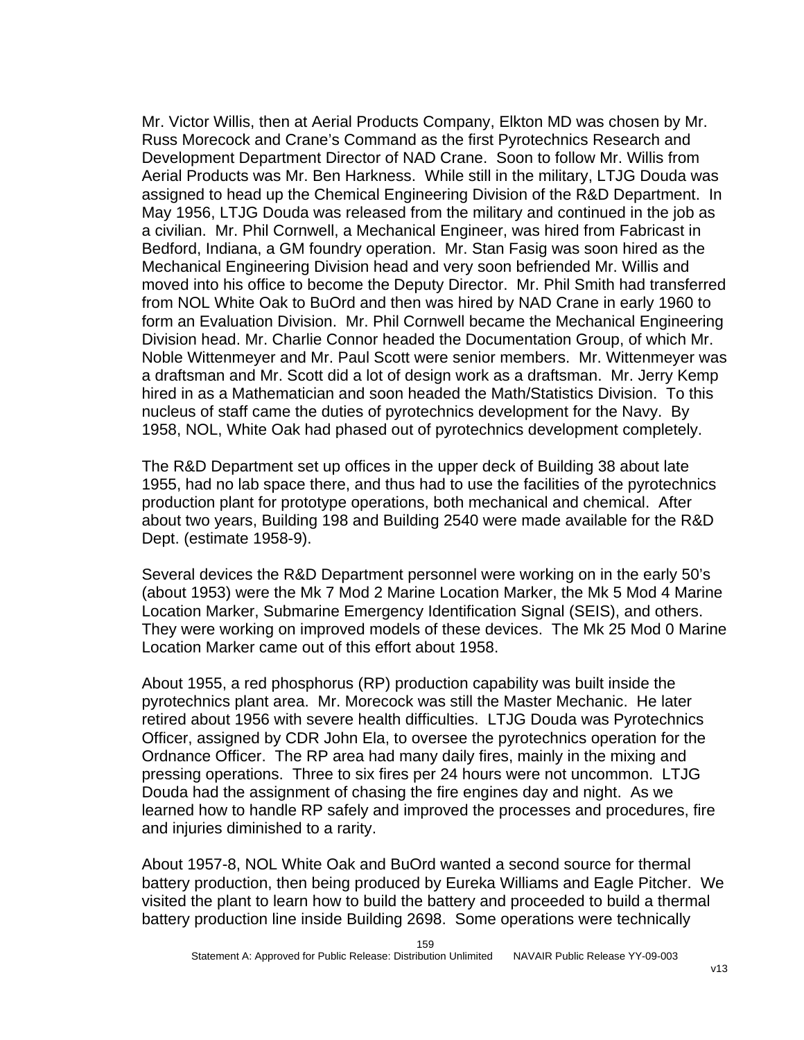Mr. Victor Willis, then at Aerial Products Company, Elkton MD was chosen by Mr. Russ Morecock and Crane's Command as the first Pyrotechnics Research and Development Department Director of NAD Crane. Soon to follow Mr. Willis from Aerial Products was Mr. Ben Harkness. While still in the military, LTJG Douda was assigned to head up the Chemical Engineering Division of the R&D Department. In May 1956, LTJG Douda was released from the military and continued in the job as a civilian. Mr. Phil Cornwell, a Mechanical Engineer, was hired from Fabricast in Bedford, Indiana, a GM foundry operation. Mr. Stan Fasig was soon hired as the Mechanical Engineering Division head and very soon befriended Mr. Willis and moved into his office to become the Deputy Director. Mr. Phil Smith had transferred from NOL White Oak to BuOrd and then was hired by NAD Crane in early 1960 to form an Evaluation Division. Mr. Phil Cornwell became the Mechanical Engineering Division head. Mr. Charlie Connor headed the Documentation Group, of which Mr. Noble Wittenmeyer and Mr. Paul Scott were senior members. Mr. Wittenmeyer was a draftsman and Mr. Scott did a lot of design work as a draftsman. Mr. Jerry Kemp hired in as a Mathematician and soon headed the Math/Statistics Division. To this nucleus of staff came the duties of pyrotechnics development for the Navy. By 1958, NOL, White Oak had phased out of pyrotechnics development completely.

The R&D Department set up offices in the upper deck of Building 38 about late 1955, had no lab space there, and thus had to use the facilities of the pyrotechnics production plant for prototype operations, both mechanical and chemical. After about two years, Building 198 and Building 2540 were made available for the R&D Dept. (estimate 1958-9).

Several devices the R&D Department personnel were working on in the early 50's (about 1953) were the Mk 7 Mod 2 Marine Location Marker, the Mk 5 Mod 4 Marine Location Marker, Submarine Emergency Identification Signal (SEIS), and others. They were working on improved models of these devices. The Mk 25 Mod 0 Marine Location Marker came out of this effort about 1958.

About 1955, a red phosphorus (RP) production capability was built inside the pyrotechnics plant area. Mr. Morecock was still the Master Mechanic. He later retired about 1956 with severe health difficulties. LTJG Douda was Pyrotechnics Officer, assigned by CDR John Ela, to oversee the pyrotechnics operation for the Ordnance Officer. The RP area had many daily fires, mainly in the mixing and pressing operations. Three to six fires per 24 hours were not uncommon. LTJG Douda had the assignment of chasing the fire engines day and night. As we learned how to handle RP safely and improved the processes and procedures, fire and injuries diminished to a rarity.

About 1957-8, NOL White Oak and BuOrd wanted a second source for thermal battery production, then being produced by Eureka Williams and Eagle Pitcher. We visited the plant to learn how to build the battery and proceeded to build a thermal battery production line inside Building 2698. Some operations were technically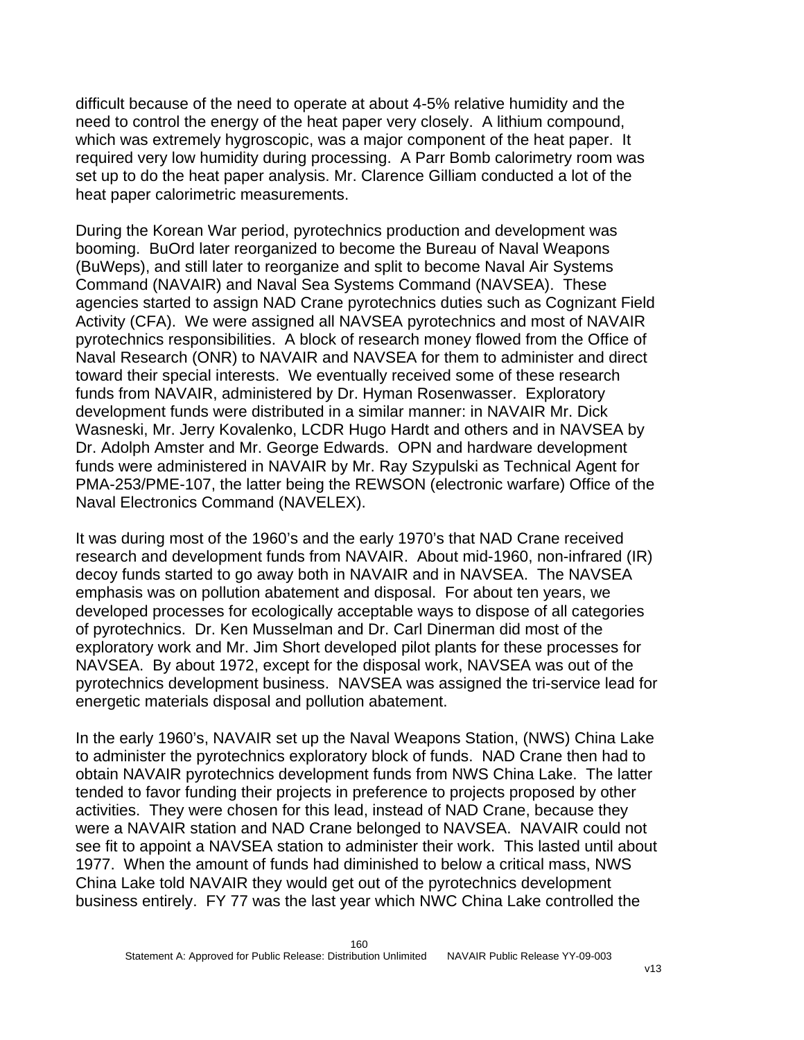difficult because of the need to operate at about 4-5% relative humidity and the need to control the energy of the heat paper very closely. A lithium compound, which was extremely hygroscopic, was a major component of the heat paper. It required very low humidity during processing. A Parr Bomb calorimetry room was set up to do the heat paper analysis. Mr. Clarence Gilliam conducted a lot of the heat paper calorimetric measurements.

During the Korean War period, pyrotechnics production and development was booming. BuOrd later reorganized to become the Bureau of Naval Weapons (BuWeps), and still later to reorganize and split to become Naval Air Systems Command (NAVAIR) and Naval Sea Systems Command (NAVSEA). These agencies started to assign NAD Crane pyrotechnics duties such as Cognizant Field Activity (CFA). We were assigned all NAVSEA pyrotechnics and most of NAVAIR pyrotechnics responsibilities. A block of research money flowed from the Office of Naval Research (ONR) to NAVAIR and NAVSEA for them to administer and direct toward their special interests. We eventually received some of these research funds from NAVAIR, administered by Dr. Hyman Rosenwasser. Exploratory development funds were distributed in a similar manner: in NAVAIR Mr. Dick Wasneski, Mr. Jerry Kovalenko, LCDR Hugo Hardt and others and in NAVSEA by Dr. Adolph Amster and Mr. George Edwards. OPN and hardware development funds were administered in NAVAIR by Mr. Ray Szypulski as Technical Agent for PMA-253/PME-107, the latter being the REWSON (electronic warfare) Office of the Naval Electronics Command (NAVELEX).

It was during most of the 1960's and the early 1970's that NAD Crane received research and development funds from NAVAIR. About mid-1960, non-infrared (IR) decoy funds started to go away both in NAVAIR and in NAVSEA. The NAVSEA emphasis was on pollution abatement and disposal. For about ten years, we developed processes for ecologically acceptable ways to dispose of all categories of pyrotechnics. Dr. Ken Musselman and Dr. Carl Dinerman did most of the exploratory work and Mr. Jim Short developed pilot plants for these processes for NAVSEA. By about 1972, except for the disposal work, NAVSEA was out of the pyrotechnics development business. NAVSEA was assigned the tri-service lead for energetic materials disposal and pollution abatement.

In the early 1960's, NAVAIR set up the Naval Weapons Station, (NWS) China Lake to administer the pyrotechnics exploratory block of funds. NAD Crane then had to obtain NAVAIR pyrotechnics development funds from NWS China Lake. The latter tended to favor funding their projects in preference to projects proposed by other activities. They were chosen for this lead, instead of NAD Crane, because they were a NAVAIR station and NAD Crane belonged to NAVSEA. NAVAIR could not see fit to appoint a NAVSEA station to administer their work. This lasted until about 1977. When the amount of funds had diminished to below a critical mass, NWS China Lake told NAVAIR they would get out of the pyrotechnics development business entirely. FY 77 was the last year which NWC China Lake controlled the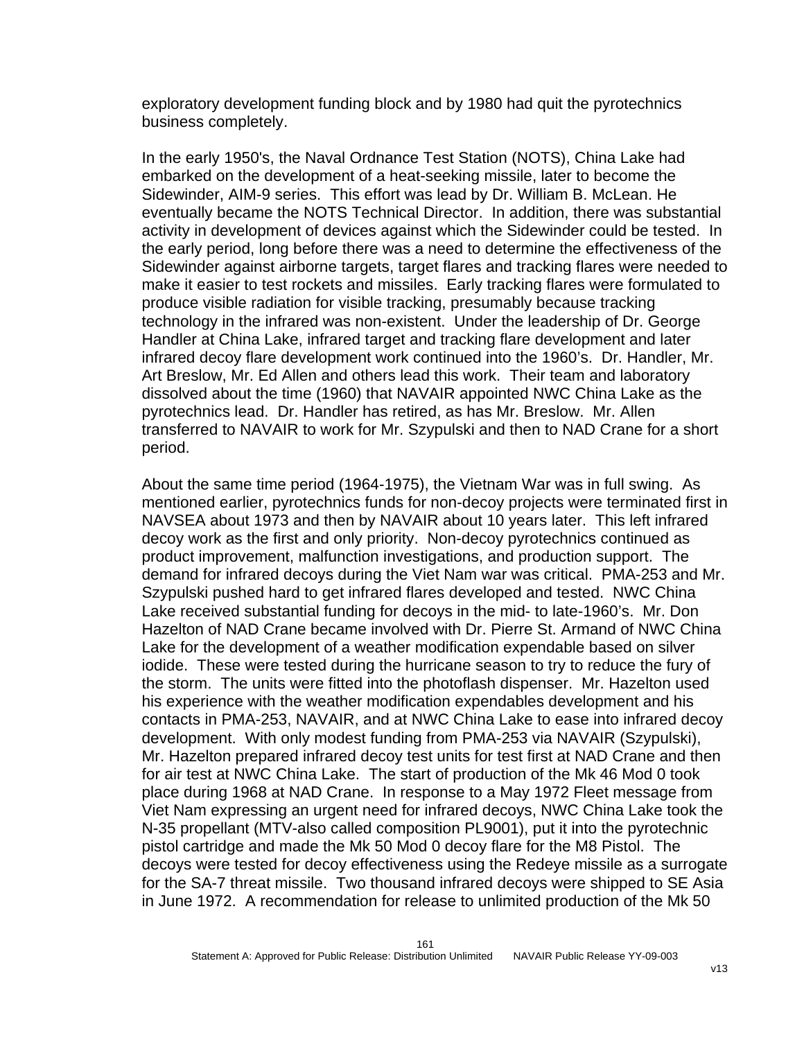exploratory development funding block and by 1980 had quit the pyrotechnics business completely.

In the early 1950's, the Naval Ordnance Test Station (NOTS), China Lake had embarked on the development of a heat-seeking missile, later to become the Sidewinder, AIM-9 series. This effort was lead by Dr. William B. McLean. He eventually became the NOTS Technical Director. In addition, there was substantial activity in development of devices against which the Sidewinder could be tested. In the early period, long before there was a need to determine the effectiveness of the Sidewinder against airborne targets, target flares and tracking flares were needed to make it easier to test rockets and missiles. Early tracking flares were formulated to produce visible radiation for visible tracking, presumably because tracking technology in the infrared was non-existent. Under the leadership of Dr. George Handler at China Lake, infrared target and tracking flare development and later infrared decoy flare development work continued into the 1960's. Dr. Handler, Mr. Art Breslow, Mr. Ed Allen and others lead this work. Their team and laboratory dissolved about the time (1960) that NAVAIR appointed NWC China Lake as the pyrotechnics lead. Dr. Handler has retired, as has Mr. Breslow. Mr. Allen transferred to NAVAIR to work for Mr. Szypulski and then to NAD Crane for a short period.

About the same time period (1964-1975), the Vietnam War was in full swing. As mentioned earlier, pyrotechnics funds for non-decoy projects were terminated first in NAVSEA about 1973 and then by NAVAIR about 10 years later. This left infrared decoy work as the first and only priority. Non-decoy pyrotechnics continued as product improvement, malfunction investigations, and production support. The demand for infrared decoys during the Viet Nam war was critical. PMA-253 and Mr. Szypulski pushed hard to get infrared flares developed and tested. NWC China Lake received substantial funding for decoys in the mid- to late-1960's. Mr. Don Hazelton of NAD Crane became involved with Dr. Pierre St. Armand of NWC China Lake for the development of a weather modification expendable based on silver iodide. These were tested during the hurricane season to try to reduce the fury of the storm. The units were fitted into the photoflash dispenser. Mr. Hazelton used his experience with the weather modification expendables development and his contacts in PMA-253, NAVAIR, and at NWC China Lake to ease into infrared decoy development. With only modest funding from PMA-253 via NAVAIR (Szypulski), Mr. Hazelton prepared infrared decoy test units for test first at NAD Crane and then for air test at NWC China Lake. The start of production of the Mk 46 Mod 0 took place during 1968 at NAD Crane. In response to a May 1972 Fleet message from Viet Nam expressing an urgent need for infrared decoys, NWC China Lake took the N-35 propellant (MTV-also called composition PL9001), put it into the pyrotechnic pistol cartridge and made the Mk 50 Mod 0 decoy flare for the M8 Pistol. The decoys were tested for decoy effectiveness using the Redeye missile as a surrogate for the SA-7 threat missile. Two thousand infrared decoys were shipped to SE Asia in June 1972. A recommendation for release to unlimited production of the Mk 50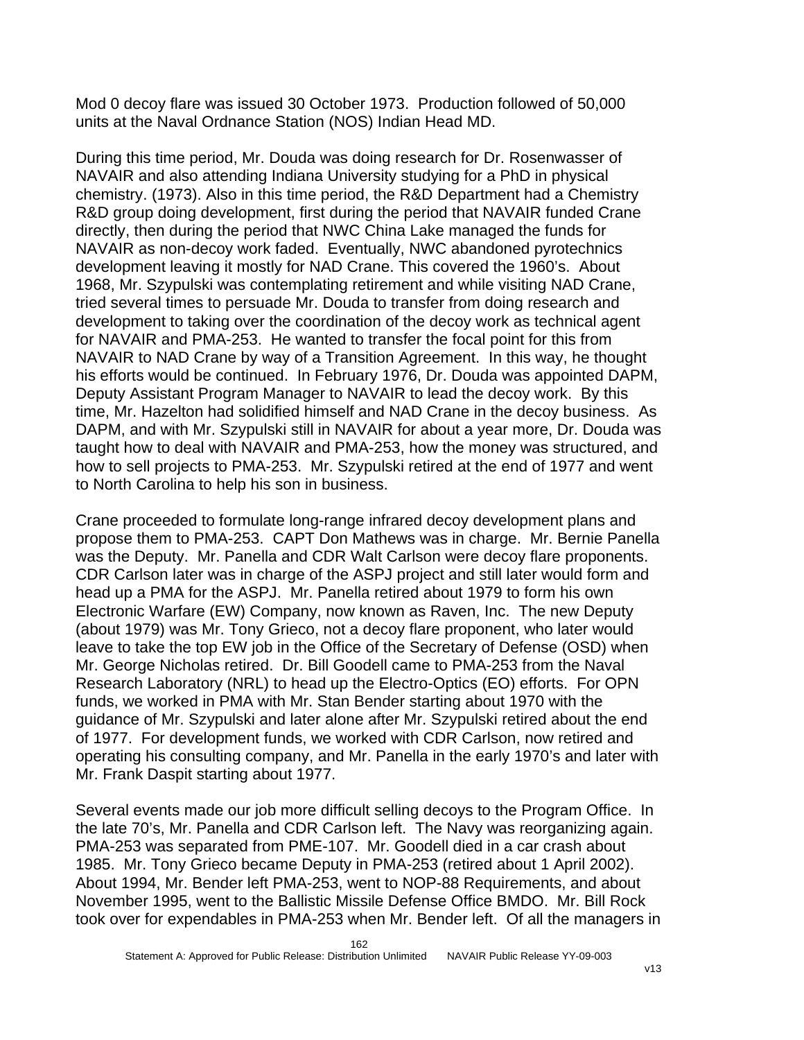Mod 0 decoy flare was issued 30 October 1973. Production followed of 50,000 units at the Naval Ordnance Station (NOS) Indian Head MD.

During this time period, Mr. Douda was doing research for Dr. Rosenwasser of NAVAIR and also attending Indiana University studying for a PhD in physical chemistry. (1973). Also in this time period, the R&D Department had a Chemistry R&D group doing development, first during the period that NAVAIR funded Crane directly, then during the period that NWC China Lake managed the funds for NAVAIR as non-decoy work faded. Eventually, NWC abandoned pyrotechnics development leaving it mostly for NAD Crane. This covered the 1960's. About 1968, Mr. Szypulski was contemplating retirement and while visiting NAD Crane, tried several times to persuade Mr. Douda to transfer from doing research and development to taking over the coordination of the decoy work as technical agent for NAVAIR and PMA-253. He wanted to transfer the focal point for this from NAVAIR to NAD Crane by way of a Transition Agreement. In this way, he thought his efforts would be continued. In February 1976, Dr. Douda was appointed DAPM, Deputy Assistant Program Manager to NAVAIR to lead the decoy work. By this time, Mr. Hazelton had solidified himself and NAD Crane in the decoy business. As DAPM, and with Mr. Szypulski still in NAVAIR for about a year more, Dr. Douda was taught how to deal with NAVAIR and PMA-253, how the money was structured, and how to sell projects to PMA-253. Mr. Szypulski retired at the end of 1977 and went to North Carolina to help his son in business.

Crane proceeded to formulate long-range infrared decoy development plans and propose them to PMA-253. CAPT Don Mathews was in charge. Mr. Bernie Panella was the Deputy. Mr. Panella and CDR Walt Carlson were decoy flare proponents. CDR Carlson later was in charge of the ASPJ project and still later would form and head up a PMA for the ASPJ. Mr. Panella retired about 1979 to form his own Electronic Warfare (EW) Company, now known as Raven, Inc. The new Deputy (about 1979) was Mr. Tony Grieco, not a decoy flare proponent, who later would leave to take the top EW job in the Office of the Secretary of Defense (OSD) when Mr. George Nicholas retired. Dr. Bill Goodell came to PMA-253 from the Naval Research Laboratory (NRL) to head up the Electro-Optics (EO) efforts. For OPN funds, we worked in PMA with Mr. Stan Bender starting about 1970 with the guidance of Mr. Szypulski and later alone after Mr. Szypulski retired about the end of 1977. For development funds, we worked with CDR Carlson, now retired and operating his consulting company, and Mr. Panella in the early 1970's and later with Mr. Frank Daspit starting about 1977.

Several events made our job more difficult selling decoys to the Program Office. In the late 70's, Mr. Panella and CDR Carlson left. The Navy was reorganizing again. PMA-253 was separated from PME-107. Mr. Goodell died in a car crash about 1985. Mr. Tony Grieco became Deputy in PMA-253 (retired about 1 April 2002). About 1994, Mr. Bender left PMA-253, went to NOP-88 Requirements, and about November 1995, went to the Ballistic Missile Defense Office BMDO. Mr. Bill Rock took over for expendables in PMA-253 when Mr. Bender left. Of all the managers in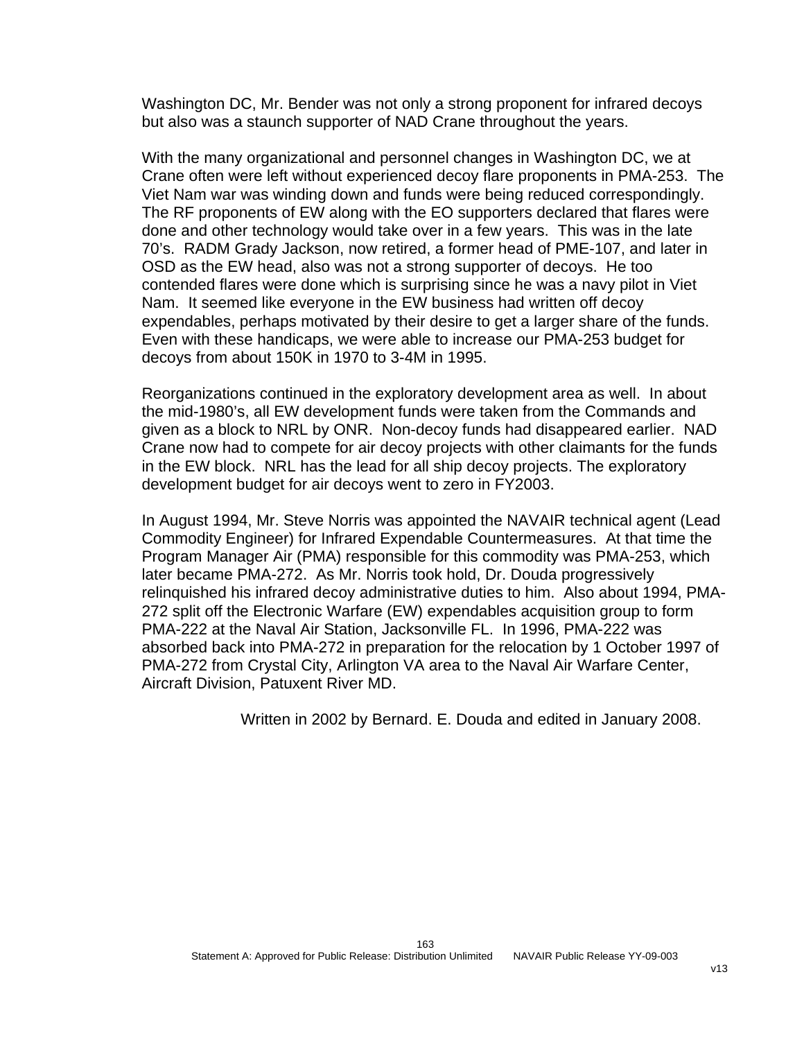Washington DC, Mr. Bender was not only a strong proponent for infrared decoys but also was a staunch supporter of NAD Crane throughout the years.

With the many organizational and personnel changes in Washington DC, we at Crane often were left without experienced decoy flare proponents in PMA-253. The Viet Nam war was winding down and funds were being reduced correspondingly. The RF proponents of EW along with the EO supporters declared that flares were done and other technology would take over in a few years. This was in the late 70's. RADM Grady Jackson, now retired, a former head of PME-107, and later in OSD as the EW head, also was not a strong supporter of decoys. He too contended flares were done which is surprising since he was a navy pilot in Viet Nam. It seemed like everyone in the EW business had written off decoy expendables, perhaps motivated by their desire to get a larger share of the funds. Even with these handicaps, we were able to increase our PMA-253 budget for decoys from about 150K in 1970 to 3-4M in 1995.

Reorganizations continued in the exploratory development area as well. In about the mid-1980's, all EW development funds were taken from the Commands and given as a block to NRL by ONR. Non-decoy funds had disappeared earlier. NAD Crane now had to compete for air decoy projects with other claimants for the funds in the EW block. NRL has the lead for all ship decoy projects. The exploratory development budget for air decoys went to zero in FY2003.

In August 1994, Mr. Steve Norris was appointed the NAVAIR technical agent (Lead Commodity Engineer) for Infrared Expendable Countermeasures. At that time the Program Manager Air (PMA) responsible for this commodity was PMA-253, which later became PMA-272. As Mr. Norris took hold, Dr. Douda progressively relinquished his infrared decoy administrative duties to him. Also about 1994, PMA-272 split off the Electronic Warfare (EW) expendables acquisition group to form PMA-222 at the Naval Air Station, Jacksonville FL. In 1996, PMA-222 was absorbed back into PMA-272 in preparation for the relocation by 1 October 1997 of PMA-272 from Crystal City, Arlington VA area to the Naval Air Warfare Center, Aircraft Division, Patuxent River MD.

Written in 2002 by Bernard. E. Douda and edited in January 2008.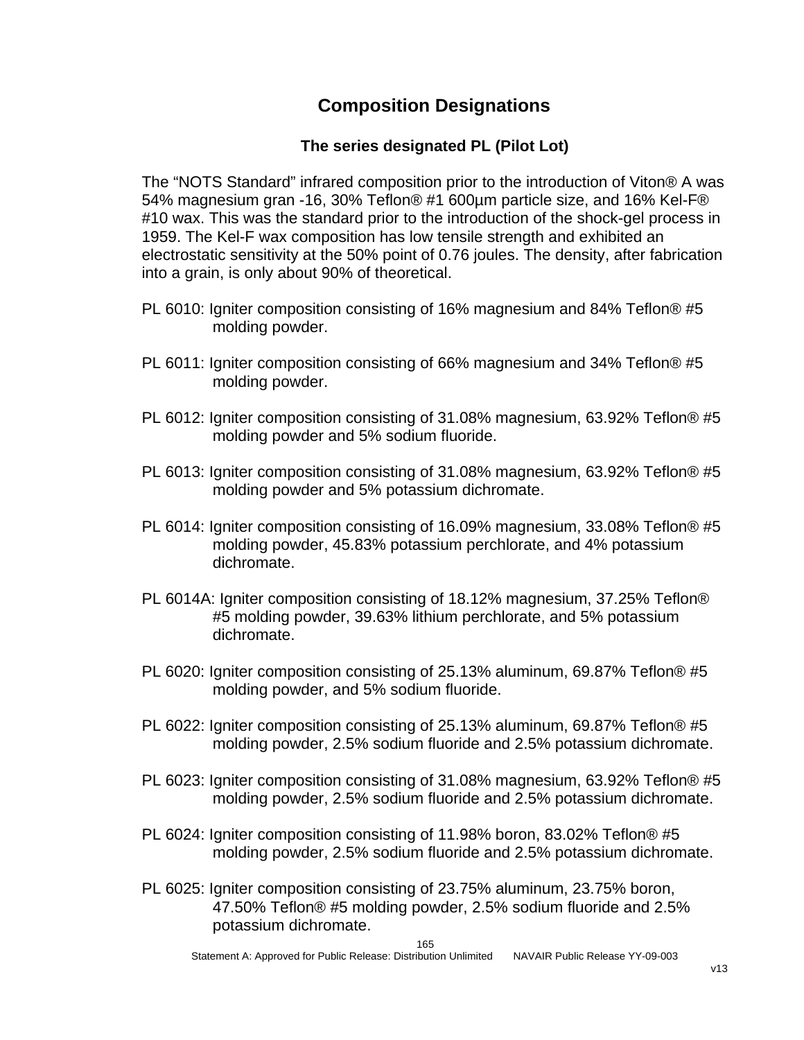### **Composition Designations**

#### **The series designated PL (Pilot Lot)**

The "NOTS Standard" infrared composition prior to the introduction of Viton® A was 54% magnesium gran -16, 30% Teflon® #1 600µm particle size, and 16% Kel-F® #10 wax. This was the standard prior to the introduction of the shock-gel process in 1959. The Kel-F wax composition has low tensile strength and exhibited an electrostatic sensitivity at the 50% point of 0.76 joules. The density, after fabrication into a grain, is only about 90% of theoretical.

- PL 6010: Igniter composition consisting of 16% magnesium and 84% Teflon® #5 molding powder.
- PL 6011: Igniter composition consisting of 66% magnesium and 34% Teflon® #5 molding powder.
- PL 6012: Igniter composition consisting of 31.08% magnesium, 63.92% Teflon® #5 molding powder and 5% sodium fluoride.
- PL 6013: Igniter composition consisting of 31.08% magnesium, 63.92% Teflon® #5 molding powder and 5% potassium dichromate.
- PL 6014: Igniter composition consisting of 16.09% magnesium, 33.08% Teflon® #5 molding powder, 45.83% potassium perchlorate, and 4% potassium dichromate.
- PL 6014A: Igniter composition consisting of 18.12% magnesium, 37.25% Teflon® #5 molding powder, 39.63% lithium perchlorate, and 5% potassium dichromate.
- PL 6020: Igniter composition consisting of 25.13% aluminum, 69.87% Teflon® #5 molding powder, and 5% sodium fluoride.
- PL 6022: Igniter composition consisting of 25.13% aluminum, 69.87% Teflon® #5 molding powder, 2.5% sodium fluoride and 2.5% potassium dichromate.
- PL 6023: Igniter composition consisting of 31.08% magnesium, 63.92% Teflon® #5 molding powder, 2.5% sodium fluoride and 2.5% potassium dichromate.
- PL 6024: Igniter composition consisting of 11.98% boron, 83.02% Teflon® #5 molding powder, 2.5% sodium fluoride and 2.5% potassium dichromate.
- PL 6025: Igniter composition consisting of 23.75% aluminum, 23.75% boron, 47.50% Teflon® #5 molding powder, 2.5% sodium fluoride and 2.5% potassium dichromate.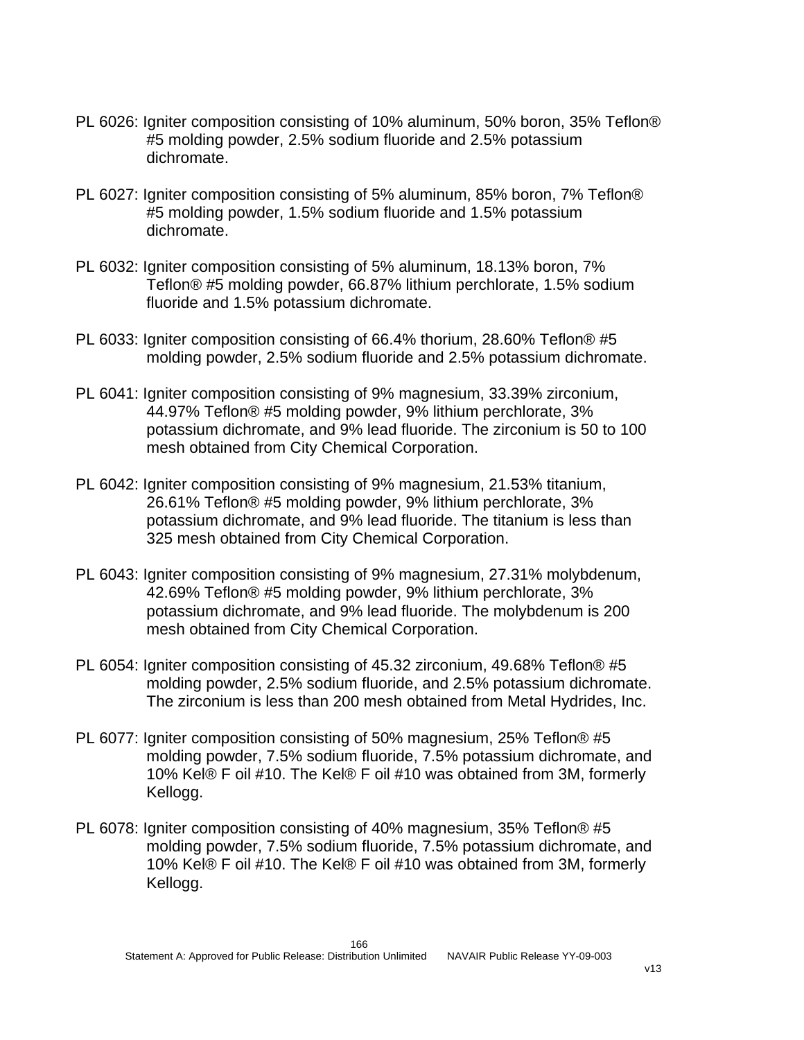- PL 6026: Igniter composition consisting of 10% aluminum, 50% boron, 35% Teflon® #5 molding powder, 2.5% sodium fluoride and 2.5% potassium dichromate.
- PL 6027: Igniter composition consisting of 5% aluminum, 85% boron, 7% Teflon® #5 molding powder, 1.5% sodium fluoride and 1.5% potassium dichromate.
- PL 6032: Igniter composition consisting of 5% aluminum, 18.13% boron, 7% Teflon® #5 molding powder, 66.87% lithium perchlorate, 1.5% sodium fluoride and 1.5% potassium dichromate.
- PL 6033: Igniter composition consisting of 66.4% thorium, 28.60% Teflon® #5 molding powder, 2.5% sodium fluoride and 2.5% potassium dichromate.
- PL 6041: Igniter composition consisting of 9% magnesium, 33.39% zirconium, 44.97% Teflon® #5 molding powder, 9% lithium perchlorate, 3% potassium dichromate, and 9% lead fluoride. The zirconium is 50 to 100 mesh obtained from City Chemical Corporation.
- PL 6042: Igniter composition consisting of 9% magnesium, 21.53% titanium, 26.61% Teflon® #5 molding powder, 9% lithium perchlorate, 3% potassium dichromate, and 9% lead fluoride. The titanium is less than 325 mesh obtained from City Chemical Corporation.
- PL 6043: Igniter composition consisting of 9% magnesium, 27.31% molybdenum, 42.69% Teflon® #5 molding powder, 9% lithium perchlorate, 3% potassium dichromate, and 9% lead fluoride. The molybdenum is 200 mesh obtained from City Chemical Corporation.
- PL 6054: Igniter composition consisting of 45.32 zirconium, 49.68% Teflon® #5 molding powder, 2.5% sodium fluoride, and 2.5% potassium dichromate. The zirconium is less than 200 mesh obtained from Metal Hydrides, Inc.
- PL 6077: Igniter composition consisting of 50% magnesium, 25% Teflon® #5 molding powder, 7.5% sodium fluoride, 7.5% potassium dichromate, and 10% Kel® F oil #10. The Kel® F oil #10 was obtained from 3M, formerly Kellogg.
- PL 6078: Igniter composition consisting of 40% magnesium, 35% Teflon® #5 molding powder, 7.5% sodium fluoride, 7.5% potassium dichromate, and 10% Kel® F oil #10. The Kel® F oil #10 was obtained from 3M, formerly Kellogg.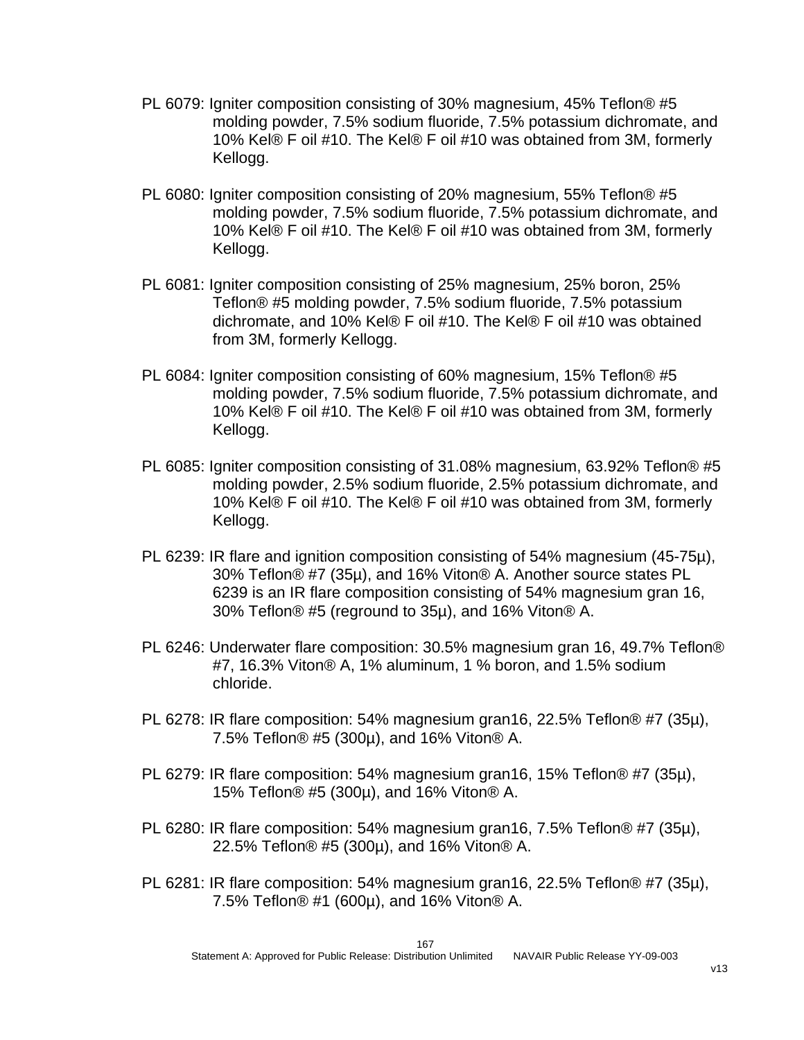- PL 6079: Igniter composition consisting of 30% magnesium, 45% Teflon® #5 molding powder, 7.5% sodium fluoride, 7.5% potassium dichromate, and 10% Kel® F oil #10. The Kel® F oil #10 was obtained from 3M, formerly Kellogg.
- PL 6080: Igniter composition consisting of 20% magnesium, 55% Teflon® #5 molding powder, 7.5% sodium fluoride, 7.5% potassium dichromate, and 10% Kel® F oil #10. The Kel® F oil #10 was obtained from 3M, formerly Kellogg.
- PL 6081: Igniter composition consisting of 25% magnesium, 25% boron, 25% Teflon® #5 molding powder, 7.5% sodium fluoride, 7.5% potassium dichromate, and 10% Kel® F oil #10. The Kel® F oil #10 was obtained from 3M, formerly Kellogg.
- PL 6084: Igniter composition consisting of 60% magnesium, 15% Teflon® #5 molding powder, 7.5% sodium fluoride, 7.5% potassium dichromate, and 10% Kel® F oil #10. The Kel® F oil #10 was obtained from 3M, formerly Kellogg.
- PL 6085: Igniter composition consisting of 31.08% magnesium, 63.92% Teflon® #5 molding powder, 2.5% sodium fluoride, 2.5% potassium dichromate, and 10% Kel® F oil #10. The Kel® F oil #10 was obtained from 3M, formerly Kellogg.
- PL 6239: IR flare and ignition composition consisting of 54% magnesium (45-75µ), 30% Teflon® #7 (35µ), and 16% Viton® A. Another source states PL 6239 is an IR flare composition consisting of 54% magnesium gran 16, 30% Teflon® #5 (reground to 35µ), and 16% Viton® A.
- PL 6246: Underwater flare composition: 30.5% magnesium gran 16, 49.7% Teflon® #7, 16.3% Viton® A, 1% aluminum, 1 % boron, and 1.5% sodium chloride.
- PL 6278: IR flare composition: 54% magnesium gran16, 22.5% Teflon® #7 (35µ), 7.5% Teflon® #5 (300µ), and 16% Viton® A.
- PL 6279: IR flare composition: 54% magnesium gran16, 15% Teflon® #7 (35µ), 15% Teflon® #5 (300µ), and 16% Viton® A.
- PL 6280: IR flare composition: 54% magnesium gran16, 7.5% Teflon® #7 (35µ), 22.5% Teflon® #5 (300µ), and 16% Viton® A.
- PL 6281: IR flare composition: 54% magnesium gran16, 22.5% Teflon® #7 (35µ), 7.5% Teflon® #1 (600µ), and 16% Viton® A.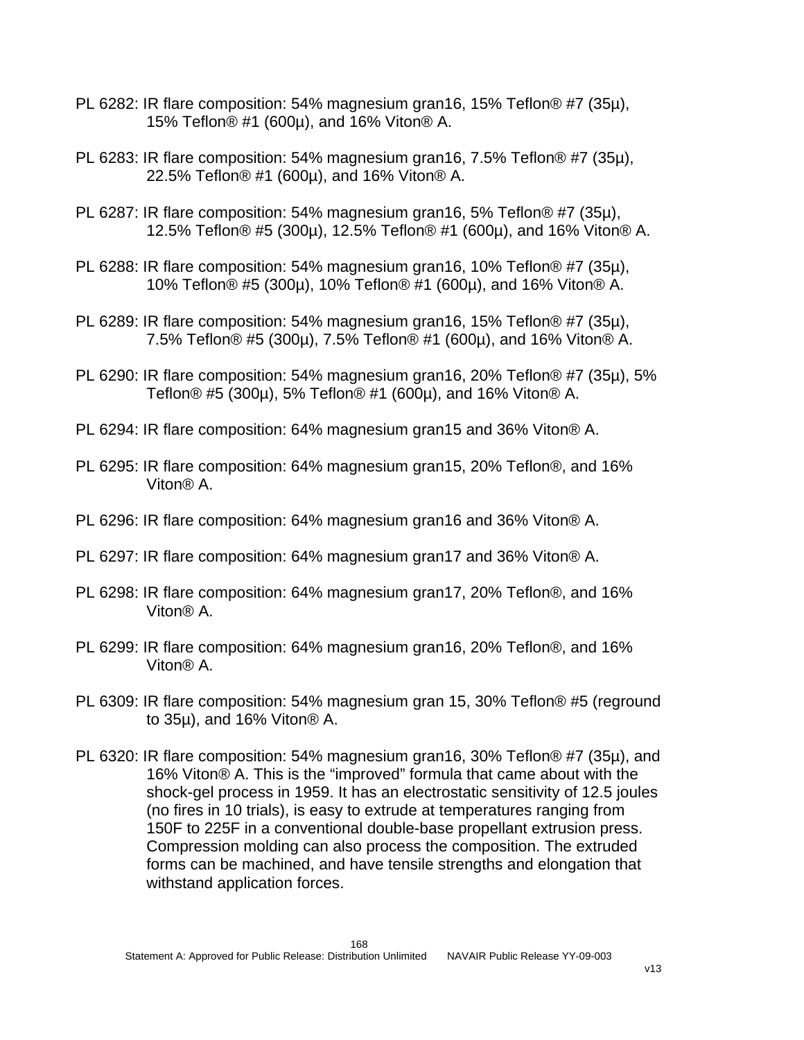- PL 6282: IR flare composition: 54% magnesium gran16, 15% Teflon® #7 (35µ), 15% Teflon® #1 (600µ), and 16% Viton® A.
- PL 6283: IR flare composition: 54% magnesium gran16, 7.5% Teflon® #7 (35µ), 22.5% Teflon® #1 (600µ), and 16% Viton® A.
- PL 6287: IR flare composition: 54% magnesium gran16, 5% Teflon® #7 (35µ), 12.5% Teflon® #5 (300µ), 12.5% Teflon® #1 (600µ), and 16% Viton® A.
- PL 6288: IR flare composition: 54% magnesium gran16, 10% Teflon® #7 (35µ), 10% Teflon® #5 (300µ), 10% Teflon® #1 (600µ), and 16% Viton® A.
- PL 6289: IR flare composition: 54% magnesium gran16, 15% Teflon® #7 (35µ), 7.5% Teflon® #5 (300µ), 7.5% Teflon® #1 (600µ), and 16% Viton® A.
- PL 6290: IR flare composition: 54% magnesium gran16, 20% Teflon® #7 (35µ), 5% Teflon® #5 (300µ), 5% Teflon® #1 (600µ), and 16% Viton® A.
- PL 6294: IR flare composition: 64% magnesium gran15 and 36% Viton® A.
- PL 6295: IR flare composition: 64% magnesium gran15, 20% Teflon®, and 16% Viton® A.
- PL 6296: IR flare composition: 64% magnesium gran16 and 36% Viton® A.
- PL 6297: IR flare composition: 64% magnesium gran17 and 36% Viton® A.
- PL 6298: IR flare composition: 64% magnesium gran17, 20% Teflon®, and 16% Viton® A.
- PL 6299: IR flare composition: 64% magnesium gran16, 20% Teflon®, and 16% Viton® A.
- PL 6309: IR flare composition: 54% magnesium gran 15, 30% Teflon® #5 (reground to 35µ), and 16% Viton® A.
- PL 6320: IR flare composition: 54% magnesium gran16, 30% Teflon® #7 (35µ), and 16% Viton® A. This is the "improved" formula that came about with the shock-gel process in 1959. It has an electrostatic sensitivity of 12.5 joules (no fires in 10 trials), is easy to extrude at temperatures ranging from 150F to 225F in a conventional double-base propellant extrusion press. Compression molding can also process the composition. The extruded forms can be machined, and have tensile strengths and elongation that withstand application forces.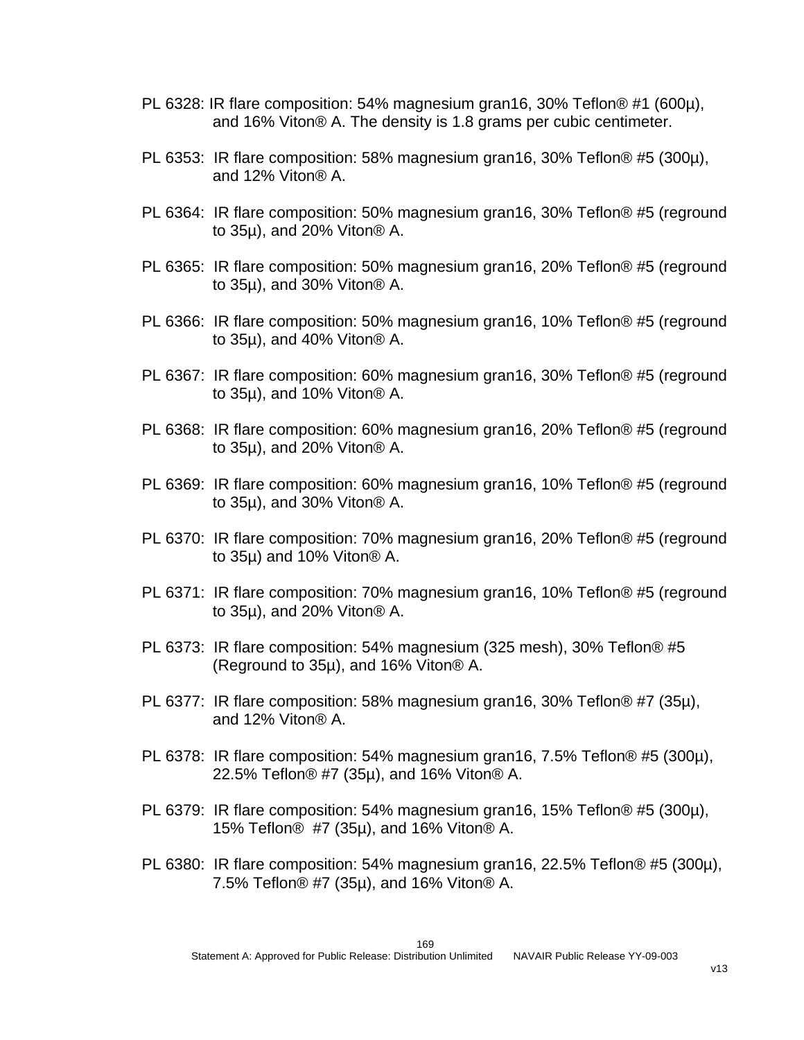- PL 6328: IR flare composition: 54% magnesium gran16, 30% Teflon® #1 (600µ), and 16% Viton® A. The density is 1.8 grams per cubic centimeter.
- PL 6353: IR flare composition: 58% magnesium gran16, 30% Teflon® #5 (300µ), and 12% Viton® A.
- PL 6364: IR flare composition: 50% magnesium gran16, 30% Teflon® #5 (reground to 35µ), and 20% Viton® A.
- PL 6365: IR flare composition: 50% magnesium gran16, 20% Teflon® #5 (reground to 35µ), and 30% Viton® A.
- PL 6366: IR flare composition: 50% magnesium gran16, 10% Teflon® #5 (reground to 35µ), and 40% Viton® A.
- PL 6367: IR flare composition: 60% magnesium gran16, 30% Teflon® #5 (reground to 35µ), and 10% Viton® A.
- PL 6368: IR flare composition: 60% magnesium gran16, 20% Teflon® #5 (reground to 35µ), and 20% Viton® A.
- PL 6369: IR flare composition: 60% magnesium gran16, 10% Teflon® #5 (reground to 35µ), and 30% Viton® A.
- PL 6370: IR flare composition: 70% magnesium gran16, 20% Teflon® #5 (reground to 35µ) and 10% Viton® A.
- PL 6371: IR flare composition: 70% magnesium gran16, 10% Teflon® #5 (reground to 35µ), and 20% Viton® A.
- PL 6373: IR flare composition: 54% magnesium (325 mesh), 30% Teflon® #5 (Reground to 35µ), and 16% Viton® A.
- PL 6377: IR flare composition: 58% magnesium gran16, 30% Teflon® #7 (35µ), and 12% Viton® A.
- PL 6378: IR flare composition: 54% magnesium gran16, 7.5% Teflon® #5 (300µ), 22.5% Teflon® #7 (35µ), and 16% Viton® A.
- PL 6379: IR flare composition: 54% magnesium gran16, 15% Teflon® #5 (300µ), 15% Teflon® #7 (35µ), and 16% Viton® A.
- PL 6380: IR flare composition: 54% magnesium gran16, 22.5% Teflon® #5 (300µ), 7.5% Teflon® #7 (35µ), and 16% Viton® A.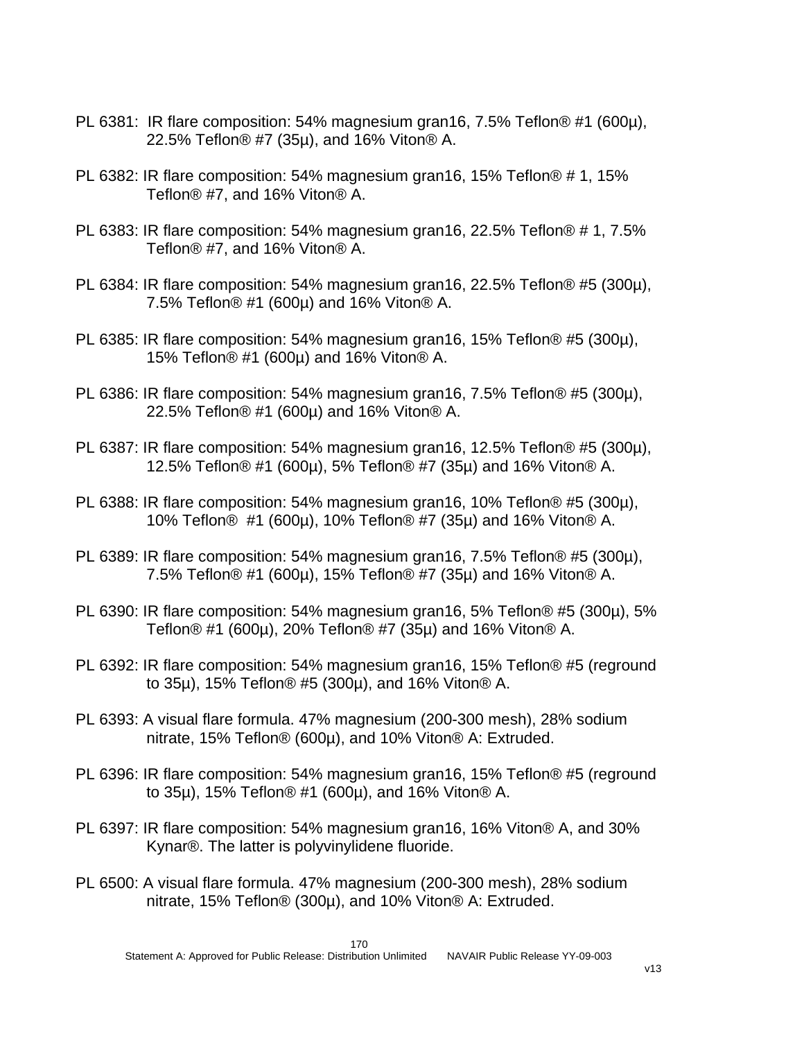- PL 6381: IR flare composition: 54% magnesium gran16, 7.5% Teflon® #1 (600µ), 22.5% Teflon® #7 (35µ), and 16% Viton® A.
- PL 6382: IR flare composition: 54% magnesium gran16, 15% Teflon® # 1, 15% Teflon® #7, and 16% Viton® A.
- PL 6383: IR flare composition: 54% magnesium gran16, 22.5% Teflon® # 1, 7.5% Teflon® #7, and 16% Viton® A.
- PL 6384: IR flare composition: 54% magnesium gran16, 22.5% Teflon® #5 (300µ), 7.5% Teflon® #1 (600µ) and 16% Viton® A.
- PL 6385: IR flare composition: 54% magnesium gran16, 15% Teflon® #5 (300µ), 15% Teflon® #1 (600µ) and 16% Viton® A.
- PL 6386: IR flare composition: 54% magnesium gran16, 7.5% Teflon® #5 (300µ), 22.5% Teflon® #1 (600µ) and 16% Viton® A.
- PL 6387: IR flare composition: 54% magnesium gran16, 12.5% Teflon® #5 (300µ), 12.5% Teflon® #1 (600µ), 5% Teflon® #7 (35µ) and 16% Viton® A.
- PL 6388: IR flare composition: 54% magnesium gran16, 10% Teflon® #5 (300µ), 10% Teflon® #1 (600µ), 10% Teflon® #7 (35µ) and 16% Viton® A.
- PL 6389: IR flare composition: 54% magnesium gran16, 7.5% Teflon® #5 (300µ), 7.5% Teflon® #1 (600µ), 15% Teflon® #7 (35µ) and 16% Viton® A.
- PL 6390: IR flare composition: 54% magnesium gran16, 5% Teflon® #5 (300µ), 5% Teflon® #1 (600µ), 20% Teflon® #7 (35µ) and 16% Viton® A.
- PL 6392: IR flare composition: 54% magnesium gran16, 15% Teflon® #5 (reground to 35µ), 15% Teflon® #5 (300µ), and 16% Viton® A.
- PL 6393: A visual flare formula. 47% magnesium (200-300 mesh), 28% sodium nitrate, 15% Teflon® (600µ), and 10% Viton® A: Extruded.
- PL 6396: IR flare composition: 54% magnesium gran16, 15% Teflon® #5 (reground to 35µ), 15% Teflon® #1 (600µ), and 16% Viton® A.
- PL 6397: IR flare composition: 54% magnesium gran16, 16% Viton® A, and 30% Kynar®. The latter is polyvinylidene fluoride.
- PL 6500: A visual flare formula. 47% magnesium (200-300 mesh), 28% sodium nitrate, 15% Teflon® (300µ), and 10% Viton® A: Extruded.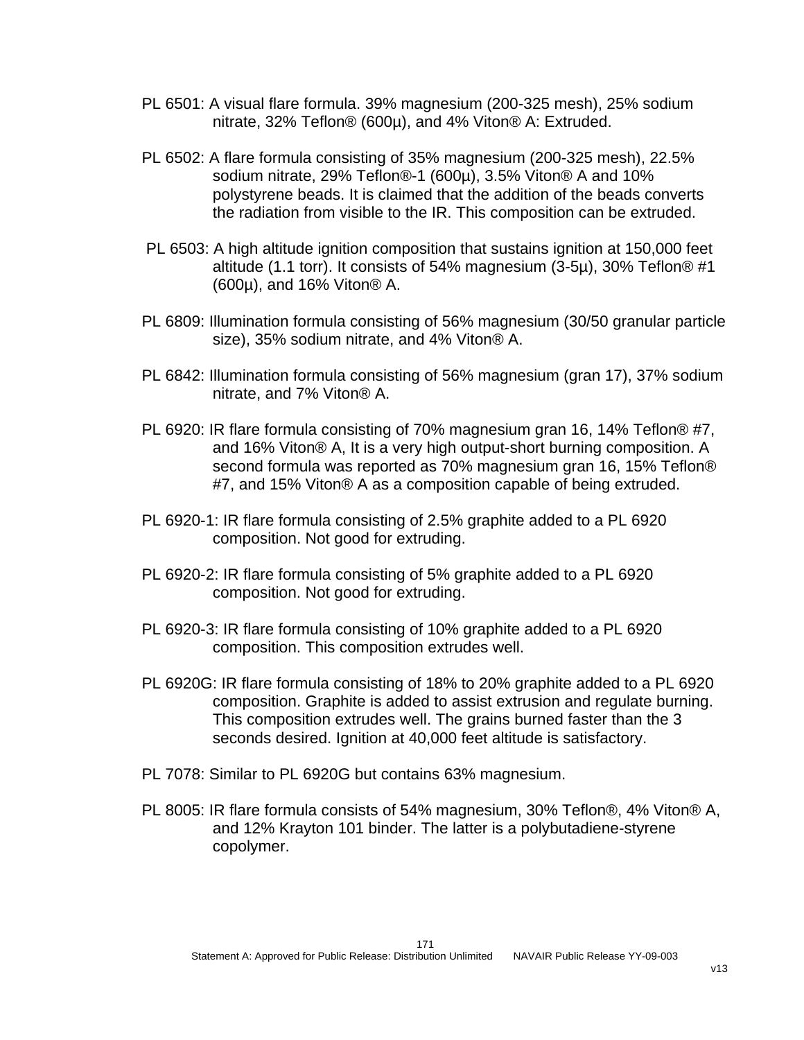- PL 6501: A visual flare formula. 39% magnesium (200-325 mesh), 25% sodium nitrate, 32% Teflon® (600µ), and 4% Viton® A: Extruded.
- PL 6502: A flare formula consisting of 35% magnesium (200-325 mesh), 22.5% sodium nitrate, 29% Teflon®-1 (600µ), 3.5% Viton® A and 10% polystyrene beads. It is claimed that the addition of the beads converts the radiation from visible to the IR. This composition can be extruded.
- PL 6503: A high altitude ignition composition that sustains ignition at 150,000 feet altitude (1.1 torr). It consists of 54% magnesium (3-5µ), 30% Teflon® #1 (600µ), and 16% Viton® A.
- PL 6809: Illumination formula consisting of 56% magnesium (30/50 granular particle size), 35% sodium nitrate, and 4% Viton® A.
- PL 6842: Illumination formula consisting of 56% magnesium (gran 17), 37% sodium nitrate, and 7% Viton® A.
- PL 6920: IR flare formula consisting of 70% magnesium gran 16, 14% Teflon® #7, and 16% Viton® A, It is a very high output-short burning composition. A second formula was reported as 70% magnesium gran 16, 15% Teflon® #7, and 15% Viton® A as a composition capable of being extruded.
- PL 6920-1: IR flare formula consisting of 2.5% graphite added to a PL 6920 composition. Not good for extruding.
- PL 6920-2: IR flare formula consisting of 5% graphite added to a PL 6920 composition. Not good for extruding.
- PL 6920-3: IR flare formula consisting of 10% graphite added to a PL 6920 composition. This composition extrudes well.
- PL 6920G: IR flare formula consisting of 18% to 20% graphite added to a PL 6920 composition. Graphite is added to assist extrusion and regulate burning. This composition extrudes well. The grains burned faster than the 3 seconds desired. Ignition at 40,000 feet altitude is satisfactory.
- PL 7078: Similar to PL 6920G but contains 63% magnesium.
- PL 8005: IR flare formula consists of 54% magnesium, 30% Teflon®, 4% Viton® A, and 12% Krayton 101 binder. The latter is a polybutadiene-styrene copolymer.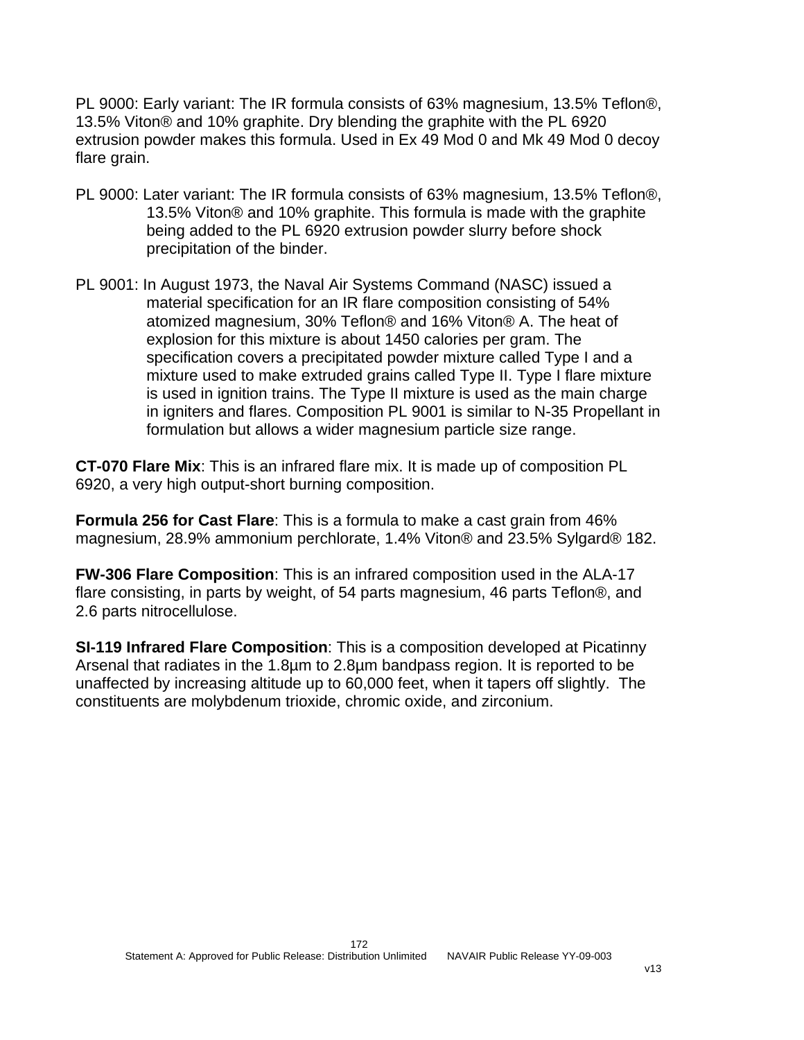PL 9000: Early variant: The IR formula consists of 63% magnesium, 13.5% Teflon®, 13.5% Viton® and 10% graphite. Dry blending the graphite with the PL 6920 extrusion powder makes this formula. Used in Ex 49 Mod 0 and Mk 49 Mod 0 decoy flare grain.

- PL 9000: Later variant: The IR formula consists of 63% magnesium, 13.5% Teflon®, 13.5% Viton® and 10% graphite. This formula is made with the graphite being added to the PL 6920 extrusion powder slurry before shock precipitation of the binder.
- PL 9001: In August 1973, the Naval Air Systems Command (NASC) issued a material specification for an IR flare composition consisting of 54% atomized magnesium, 30% Teflon® and 16% Viton® A. The heat of explosion for this mixture is about 1450 calories per gram. The specification covers a precipitated powder mixture called Type I and a mixture used to make extruded grains called Type II. Type I flare mixture is used in ignition trains. The Type II mixture is used as the main charge in igniters and flares. Composition PL 9001 is similar to N-35 Propellant in formulation but allows a wider magnesium particle size range.

**CT-070 Flare Mix**: This is an infrared flare mix. It is made up of composition PL 6920, a very high output-short burning composition.

**Formula 256 for Cast Flare**: This is a formula to make a cast grain from 46% magnesium, 28.9% ammonium perchlorate, 1.4% Viton® and 23.5% Sylgard® 182.

**FW-306 Flare Composition**: This is an infrared composition used in the ALA-17 flare consisting, in parts by weight, of 54 parts magnesium, 46 parts Teflon®, and 2.6 parts nitrocellulose.

**SI-119 Infrared Flare Composition**: This is a composition developed at Picatinny Arsenal that radiates in the 1.8µm to 2.8µm bandpass region. It is reported to be unaffected by increasing altitude up to 60,000 feet, when it tapers off slightly. The constituents are molybdenum trioxide, chromic oxide, and zirconium.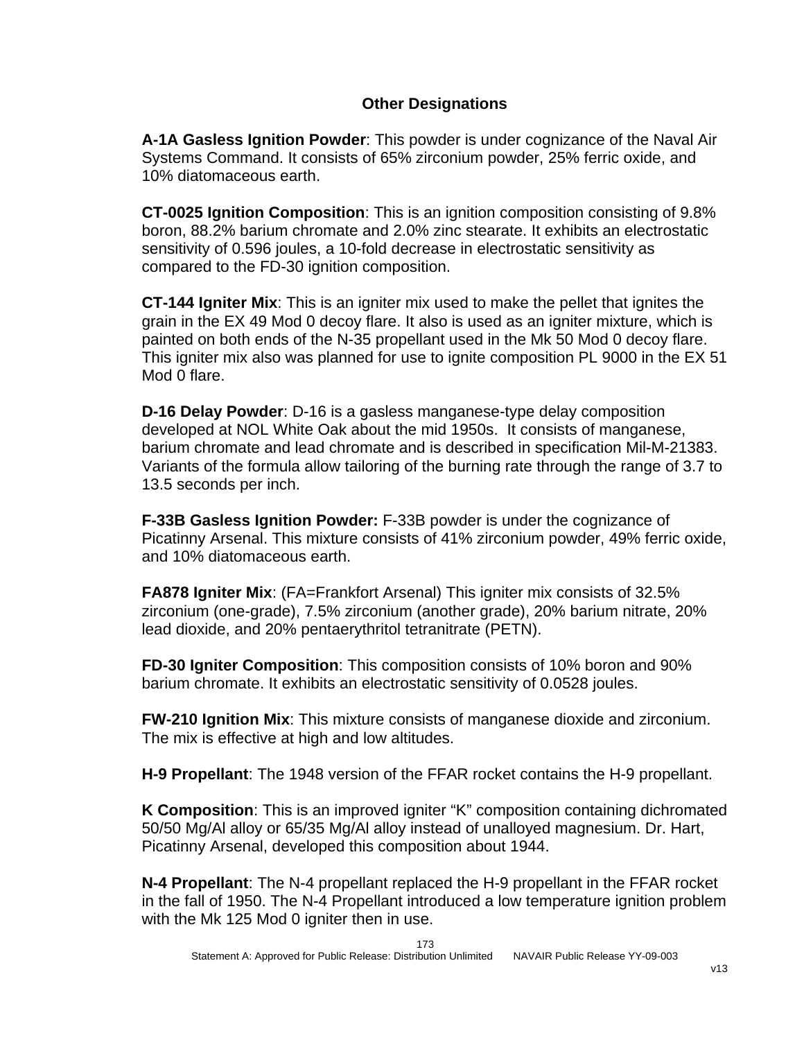#### **Other Designations**

**A-1A Gasless Ignition Powder**: This powder is under cognizance of the Naval Air Systems Command. It consists of 65% zirconium powder, 25% ferric oxide, and 10% diatomaceous earth.

**CT-0025 Ignition Composition**: This is an ignition composition consisting of 9.8% boron, 88.2% barium chromate and 2.0% zinc stearate. It exhibits an electrostatic sensitivity of 0.596 joules, a 10-fold decrease in electrostatic sensitivity as compared to the FD-30 ignition composition.

**CT-144 Igniter Mix**: This is an igniter mix used to make the pellet that ignites the grain in the EX 49 Mod 0 decoy flare. It also is used as an igniter mixture, which is painted on both ends of the N-35 propellant used in the Mk 50 Mod 0 decoy flare. This igniter mix also was planned for use to ignite composition PL 9000 in the EX 51 Mod 0 flare.

**D-16 Delay Powder**: D-16 is a gasless manganese-type delay composition developed at NOL White Oak about the mid 1950s. It consists of manganese, barium chromate and lead chromate and is described in specification Mil-M-21383. Variants of the formula allow tailoring of the burning rate through the range of 3.7 to 13.5 seconds per inch.

**F-33B Gasless Ignition Powder:** F-33B powder is under the cognizance of Picatinny Arsenal. This mixture consists of 41% zirconium powder, 49% ferric oxide, and 10% diatomaceous earth.

**FA878 Igniter Mix**: (FA=Frankfort Arsenal) This igniter mix consists of 32.5% zirconium (one-grade), 7.5% zirconium (another grade), 20% barium nitrate, 20% lead dioxide, and 20% pentaerythritol tetranitrate (PETN).

**FD-30 Igniter Composition**: This composition consists of 10% boron and 90% barium chromate. It exhibits an electrostatic sensitivity of 0.0528 joules.

**FW-210 Ignition Mix**: This mixture consists of manganese dioxide and zirconium. The mix is effective at high and low altitudes.

**H-9 Propellant**: The 1948 version of the FFAR rocket contains the H-9 propellant.

**K Composition**: This is an improved igniter "K" composition containing dichromated 50/50 Mg/Al alloy or 65/35 Mg/Al alloy instead of unalloyed magnesium. Dr. Hart, Picatinny Arsenal, developed this composition about 1944.

**N-4 Propellant**: The N-4 propellant replaced the H-9 propellant in the FFAR rocket in the fall of 1950. The N-4 Propellant introduced a low temperature ignition problem with the Mk 125 Mod 0 igniter then in use.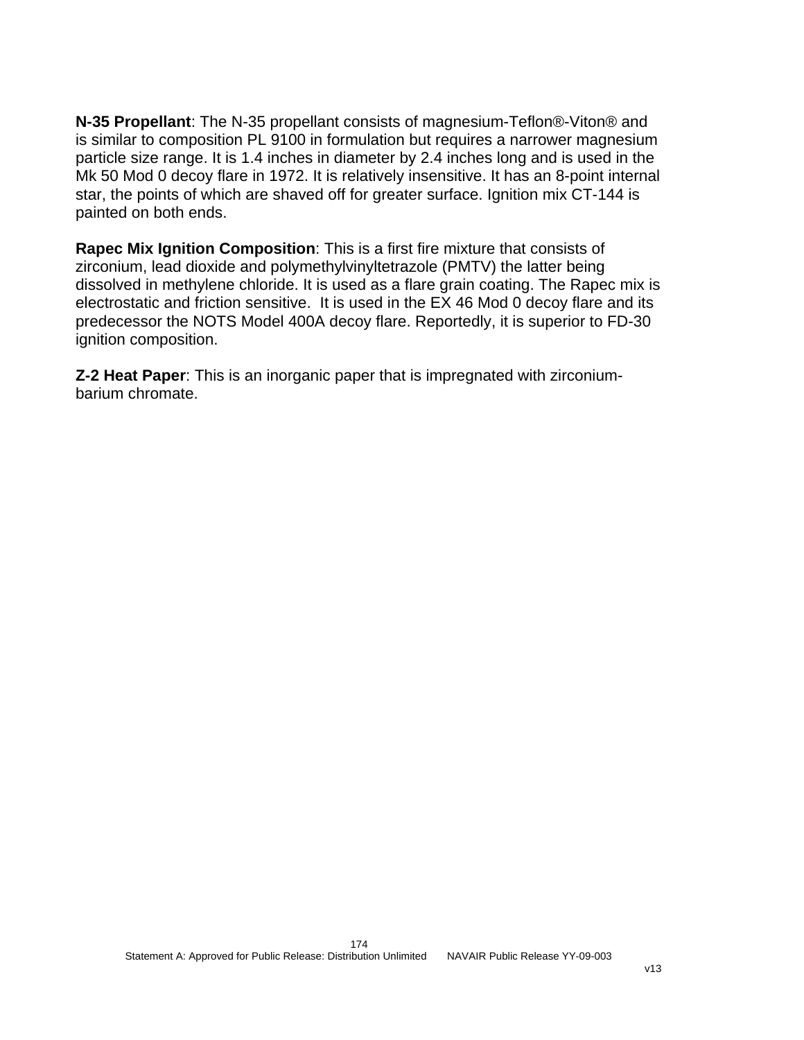**N-35 Propellant**: The N-35 propellant consists of magnesium-Teflon®-Viton® and is similar to composition PL 9100 in formulation but requires a narrower magnesium particle size range. It is 1.4 inches in diameter by 2.4 inches long and is used in the Mk 50 Mod 0 decoy flare in 1972. It is relatively insensitive. It has an 8-point internal star, the points of which are shaved off for greater surface. Ignition mix CT-144 is painted on both ends.

**Rapec Mix Ignition Composition**: This is a first fire mixture that consists of zirconium, lead dioxide and polymethylvinyltetrazole (PMTV) the latter being dissolved in methylene chloride. It is used as a flare grain coating. The Rapec mix is electrostatic and friction sensitive. It is used in the EX 46 Mod 0 decoy flare and its predecessor the NOTS Model 400A decoy flare. Reportedly, it is superior to FD-30 ignition composition.

**Z-2 Heat Paper**: This is an inorganic paper that is impregnated with zirconiumbarium chromate.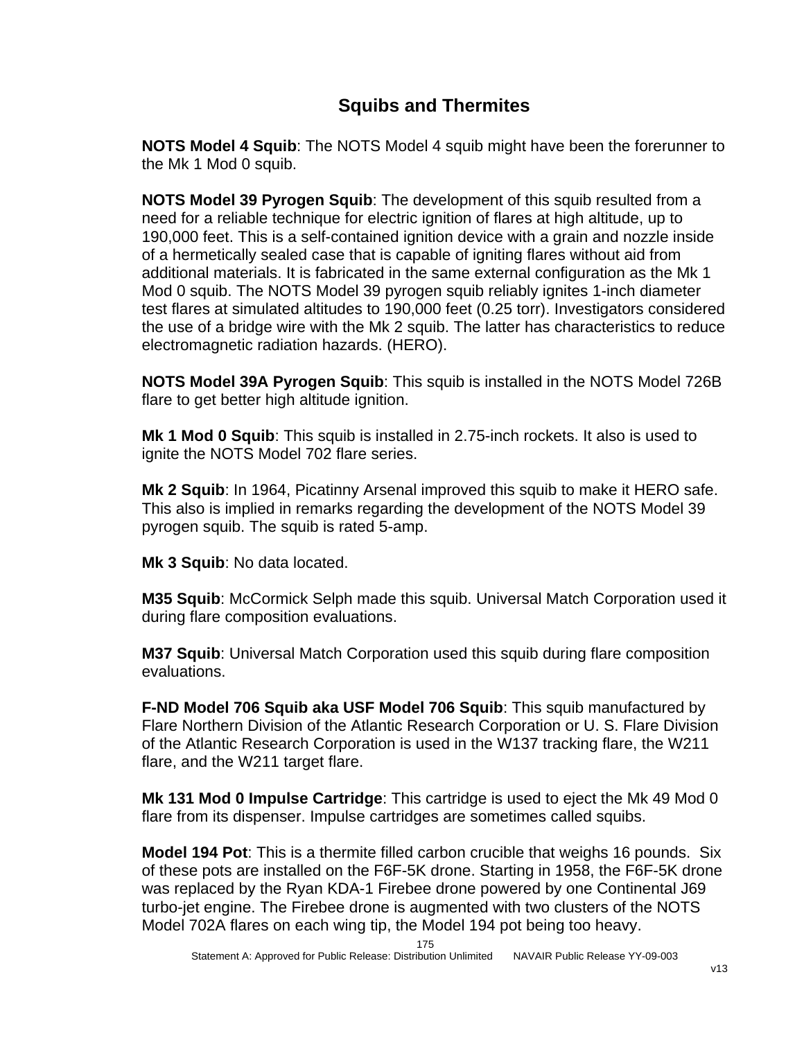### **Squibs and Thermites**

**NOTS Model 4 Squib**: The NOTS Model 4 squib might have been the forerunner to the Mk 1 Mod 0 squib.

**NOTS Model 39 Pyrogen Squib**: The development of this squib resulted from a need for a reliable technique for electric ignition of flares at high altitude, up to 190,000 feet. This is a self-contained ignition device with a grain and nozzle inside of a hermetically sealed case that is capable of igniting flares without aid from additional materials. It is fabricated in the same external configuration as the Mk 1 Mod 0 squib. The NOTS Model 39 pyrogen squib reliably ignites 1-inch diameter test flares at simulated altitudes to 190,000 feet (0.25 torr). Investigators considered the use of a bridge wire with the Mk 2 squib. The latter has characteristics to reduce electromagnetic radiation hazards. (HERO).

**NOTS Model 39A Pyrogen Squib**: This squib is installed in the NOTS Model 726B flare to get better high altitude ignition.

**Mk 1 Mod 0 Squib**: This squib is installed in 2.75-inch rockets. It also is used to ignite the NOTS Model 702 flare series.

**Mk 2 Squib**: In 1964, Picatinny Arsenal improved this squib to make it HERO safe. This also is implied in remarks regarding the development of the NOTS Model 39 pyrogen squib. The squib is rated 5-amp.

**Mk 3 Squib**: No data located.

**M35 Squib**: McCormick Selph made this squib. Universal Match Corporation used it during flare composition evaluations.

**M37 Squib**: Universal Match Corporation used this squib during flare composition evaluations.

**F-ND Model 706 Squib aka USF Model 706 Squib**: This squib manufactured by Flare Northern Division of the Atlantic Research Corporation or U. S. Flare Division of the Atlantic Research Corporation is used in the W137 tracking flare, the W211 flare, and the W211 target flare.

**Mk 131 Mod 0 Impulse Cartridge**: This cartridge is used to eject the Mk 49 Mod 0 flare from its dispenser. Impulse cartridges are sometimes called squibs.

**Model 194 Pot**: This is a thermite filled carbon crucible that weighs 16 pounds. Six of these pots are installed on the F6F-5K drone. Starting in 1958, the F6F-5K drone was replaced by the Ryan KDA-1 Firebee drone powered by one Continental J69 turbo-jet engine. The Firebee drone is augmented with two clusters of the NOTS Model 702A flares on each wing tip, the Model 194 pot being too heavy.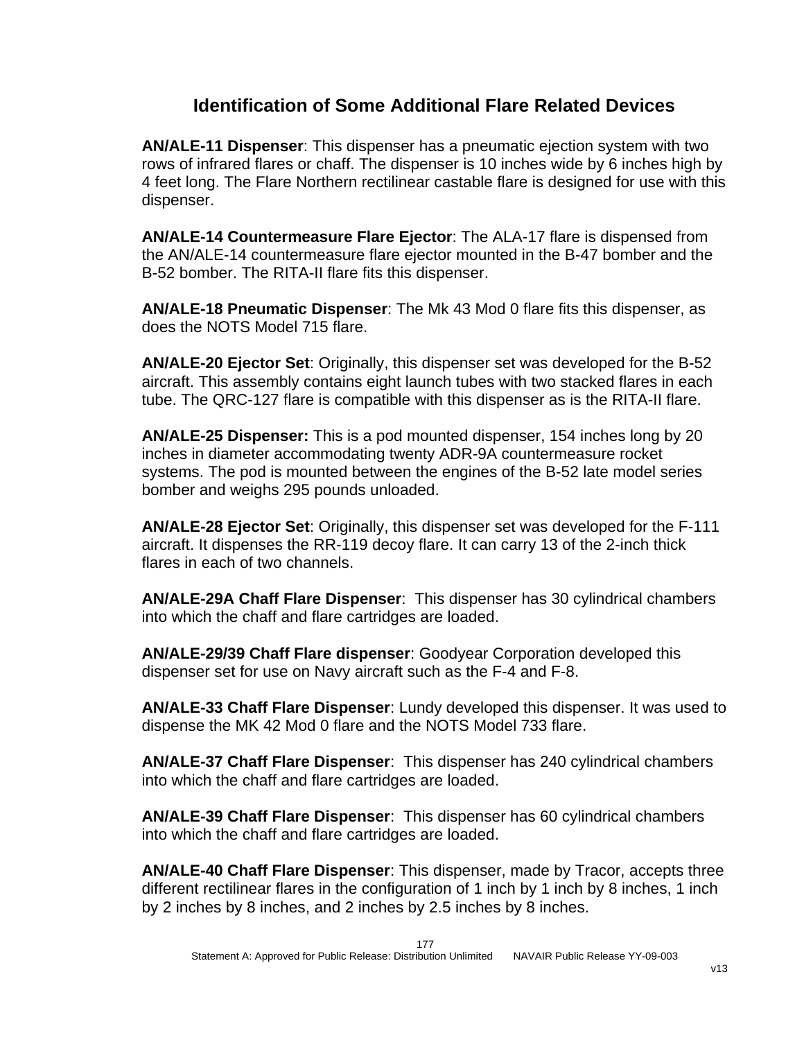#### **Identification of Some Additional Flare Related Devices**

**AN/ALE-11 Dispenser**: This dispenser has a pneumatic ejection system with two rows of infrared flares or chaff. The dispenser is 10 inches wide by 6 inches high by 4 feet long. The Flare Northern rectilinear castable flare is designed for use with this dispenser.

**AN/ALE-14 Countermeasure Flare Ejector**: The ALA-17 flare is dispensed from the AN/ALE-14 countermeasure flare ejector mounted in the B-47 bomber and the B-52 bomber. The RITA-II flare fits this dispenser.

**AN/ALE-18 Pneumatic Dispenser**: The Mk 43 Mod 0 flare fits this dispenser, as does the NOTS Model 715 flare.

**AN/ALE-20 Ejector Set**: Originally, this dispenser set was developed for the B-52 aircraft. This assembly contains eight launch tubes with two stacked flares in each tube. The QRC-127 flare is compatible with this dispenser as is the RITA-II flare.

**AN/ALE-25 Dispenser:** This is a pod mounted dispenser, 154 inches long by 20 inches in diameter accommodating twenty ADR-9A countermeasure rocket systems. The pod is mounted between the engines of the B-52 late model series bomber and weighs 295 pounds unloaded.

**AN/ALE-28 Ejector Set**: Originally, this dispenser set was developed for the F-111 aircraft. It dispenses the RR-119 decoy flare. It can carry 13 of the 2-inch thick flares in each of two channels.

**AN/ALE-29A Chaff Flare Dispenser**: This dispenser has 30 cylindrical chambers into which the chaff and flare cartridges are loaded.

**AN/ALE-29/39 Chaff Flare dispenser**: Goodyear Corporation developed this dispenser set for use on Navy aircraft such as the F-4 and F-8.

**AN/ALE-33 Chaff Flare Dispenser**: Lundy developed this dispenser. It was used to dispense the MK 42 Mod 0 flare and the NOTS Model 733 flare.

**AN/ALE-37 Chaff Flare Dispenser**: This dispenser has 240 cylindrical chambers into which the chaff and flare cartridges are loaded.

**AN/ALE-39 Chaff Flare Dispenser**: This dispenser has 60 cylindrical chambers into which the chaff and flare cartridges are loaded.

**AN/ALE-40 Chaff Flare Dispenser**: This dispenser, made by Tracor, accepts three different rectilinear flares in the configuration of 1 inch by 1 inch by 8 inches, 1 inch by 2 inches by 8 inches, and 2 inches by 2.5 inches by 8 inches.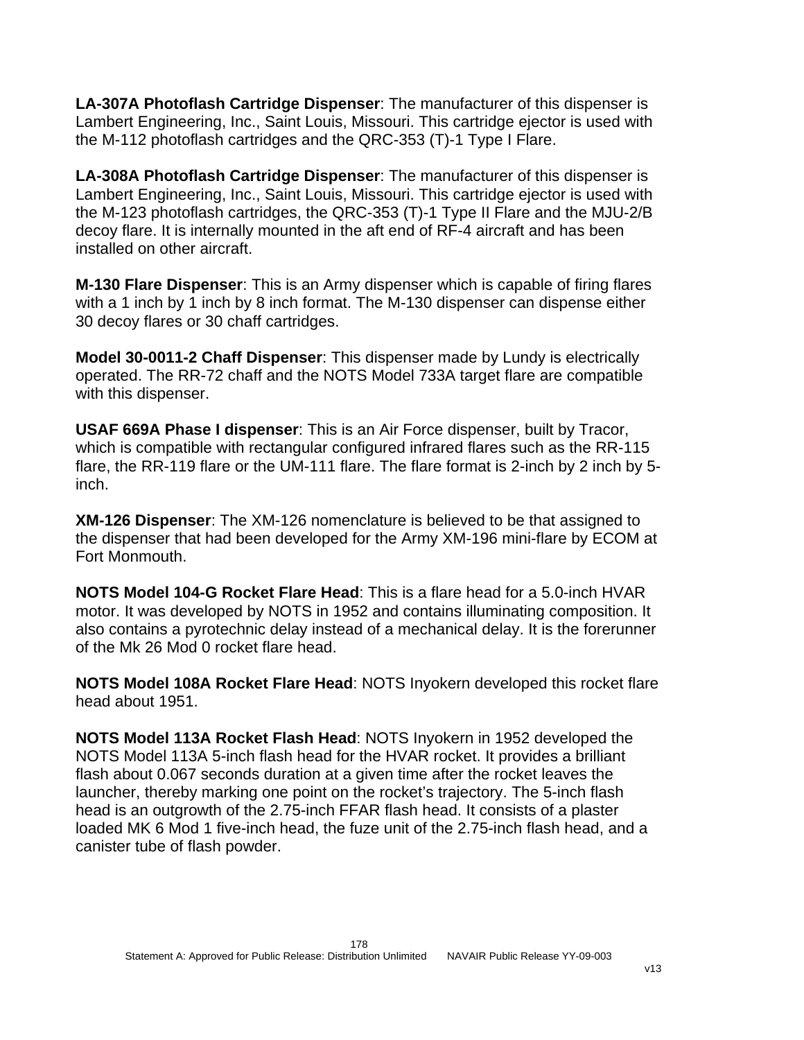**LA-307A Photoflash Cartridge Dispenser**: The manufacturer of this dispenser is Lambert Engineering, Inc., Saint Louis, Missouri. This cartridge ejector is used with the M-112 photoflash cartridges and the QRC-353 (T)-1 Type I Flare.

**LA-308A Photoflash Cartridge Dispenser**: The manufacturer of this dispenser is Lambert Engineering, Inc., Saint Louis, Missouri. This cartridge ejector is used with the M-123 photoflash cartridges, the QRC-353 (T)-1 Type II Flare and the MJU-2/B decoy flare. It is internally mounted in the aft end of RF-4 aircraft and has been installed on other aircraft.

**M-130 Flare Dispenser**: This is an Army dispenser which is capable of firing flares with a 1 inch by 1 inch by 8 inch format. The M-130 dispenser can dispense either 30 decoy flares or 30 chaff cartridges.

**Model 30-0011-2 Chaff Dispenser**: This dispenser made by Lundy is electrically operated. The RR-72 chaff and the NOTS Model 733A target flare are compatible with this dispenser.

**USAF 669A Phase I dispenser**: This is an Air Force dispenser, built by Tracor, which is compatible with rectangular configured infrared flares such as the RR-115 flare, the RR-119 flare or the UM-111 flare. The flare format is 2-inch by 2 inch by 5 inch.

**XM-126 Dispenser**: The XM-126 nomenclature is believed to be that assigned to the dispenser that had been developed for the Army XM-196 mini-flare by ECOM at Fort Monmouth.

**NOTS Model 104-G Rocket Flare Head**: This is a flare head for a 5.0-inch HVAR motor. It was developed by NOTS in 1952 and contains illuminating composition. It also contains a pyrotechnic delay instead of a mechanical delay. It is the forerunner of the Mk 26 Mod 0 rocket flare head.

**NOTS Model 108A Rocket Flare Head**: NOTS Inyokern developed this rocket flare head about 1951.

**NOTS Model 113A Rocket Flash Head**: NOTS Inyokern in 1952 developed the NOTS Model 113A 5-inch flash head for the HVAR rocket. It provides a brilliant flash about 0.067 seconds duration at a given time after the rocket leaves the launcher, thereby marking one point on the rocket's trajectory. The 5-inch flash head is an outgrowth of the 2.75-inch FFAR flash head. It consists of a plaster loaded MK 6 Mod 1 five-inch head, the fuze unit of the 2.75-inch flash head, and a canister tube of flash powder.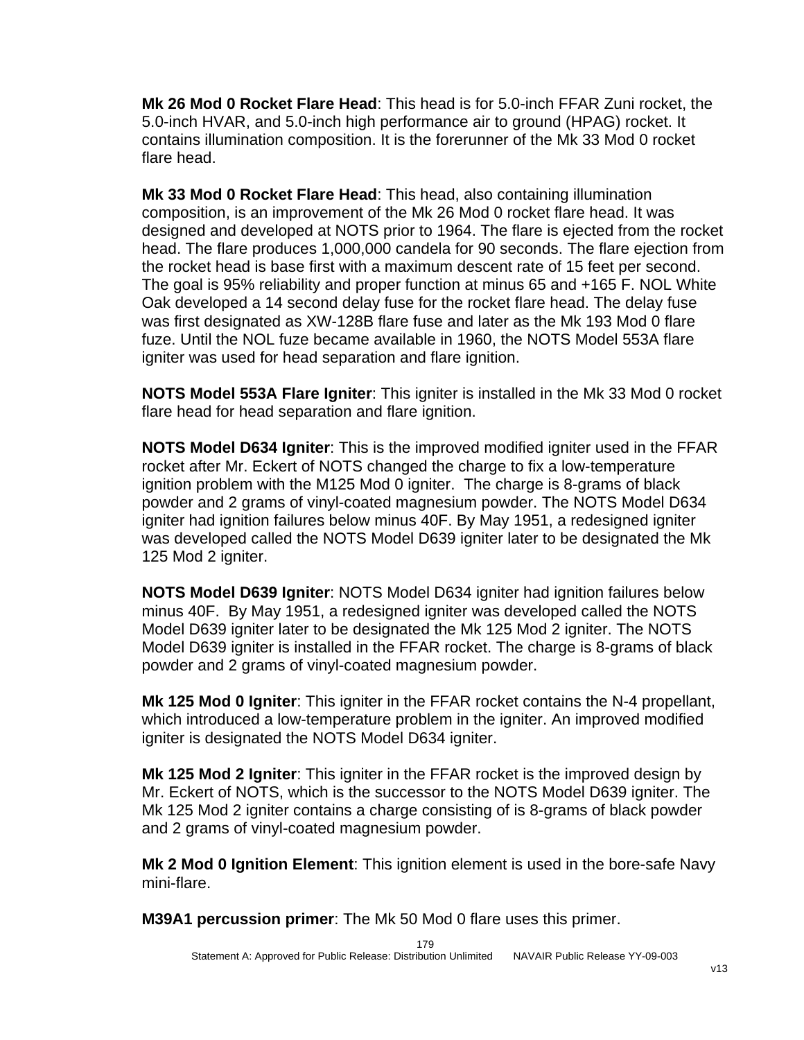**Mk 26 Mod 0 Rocket Flare Head**: This head is for 5.0-inch FFAR Zuni rocket, the 5.0-inch HVAR, and 5.0-inch high performance air to ground (HPAG) rocket. It contains illumination composition. It is the forerunner of the Mk 33 Mod 0 rocket flare head.

**Mk 33 Mod 0 Rocket Flare Head**: This head, also containing illumination composition, is an improvement of the Mk 26 Mod 0 rocket flare head. It was designed and developed at NOTS prior to 1964. The flare is ejected from the rocket head. The flare produces 1,000,000 candela for 90 seconds. The flare ejection from the rocket head is base first with a maximum descent rate of 15 feet per second. The goal is 95% reliability and proper function at minus 65 and +165 F. NOL White Oak developed a 14 second delay fuse for the rocket flare head. The delay fuse was first designated as XW-128B flare fuse and later as the Mk 193 Mod 0 flare fuze. Until the NOL fuze became available in 1960, the NOTS Model 553A flare igniter was used for head separation and flare ignition.

**NOTS Model 553A Flare Igniter**: This igniter is installed in the Mk 33 Mod 0 rocket flare head for head separation and flare ignition.

**NOTS Model D634 Igniter**: This is the improved modified igniter used in the FFAR rocket after Mr. Eckert of NOTS changed the charge to fix a low-temperature ignition problem with the M125 Mod 0 igniter. The charge is 8-grams of black powder and 2 grams of vinyl-coated magnesium powder. The NOTS Model D634 igniter had ignition failures below minus 40F. By May 1951, a redesigned igniter was developed called the NOTS Model D639 igniter later to be designated the Mk 125 Mod 2 igniter.

**NOTS Model D639 Igniter**: NOTS Model D634 igniter had ignition failures below minus 40F. By May 1951, a redesigned igniter was developed called the NOTS Model D639 igniter later to be designated the Mk 125 Mod 2 igniter. The NOTS Model D639 igniter is installed in the FFAR rocket. The charge is 8-grams of black powder and 2 grams of vinyl-coated magnesium powder.

**Mk 125 Mod 0 Igniter**: This igniter in the FFAR rocket contains the N-4 propellant, which introduced a low-temperature problem in the igniter. An improved modified igniter is designated the NOTS Model D634 igniter.

**Mk 125 Mod 2 Igniter**: This igniter in the FFAR rocket is the improved design by Mr. Eckert of NOTS, which is the successor to the NOTS Model D639 igniter. The Mk 125 Mod 2 igniter contains a charge consisting of is 8-grams of black powder and 2 grams of vinyl-coated magnesium powder.

**Mk 2 Mod 0 Ignition Element**: This ignition element is used in the bore-safe Navy mini-flare.

**M39A1 percussion primer**: The Mk 50 Mod 0 flare uses this primer.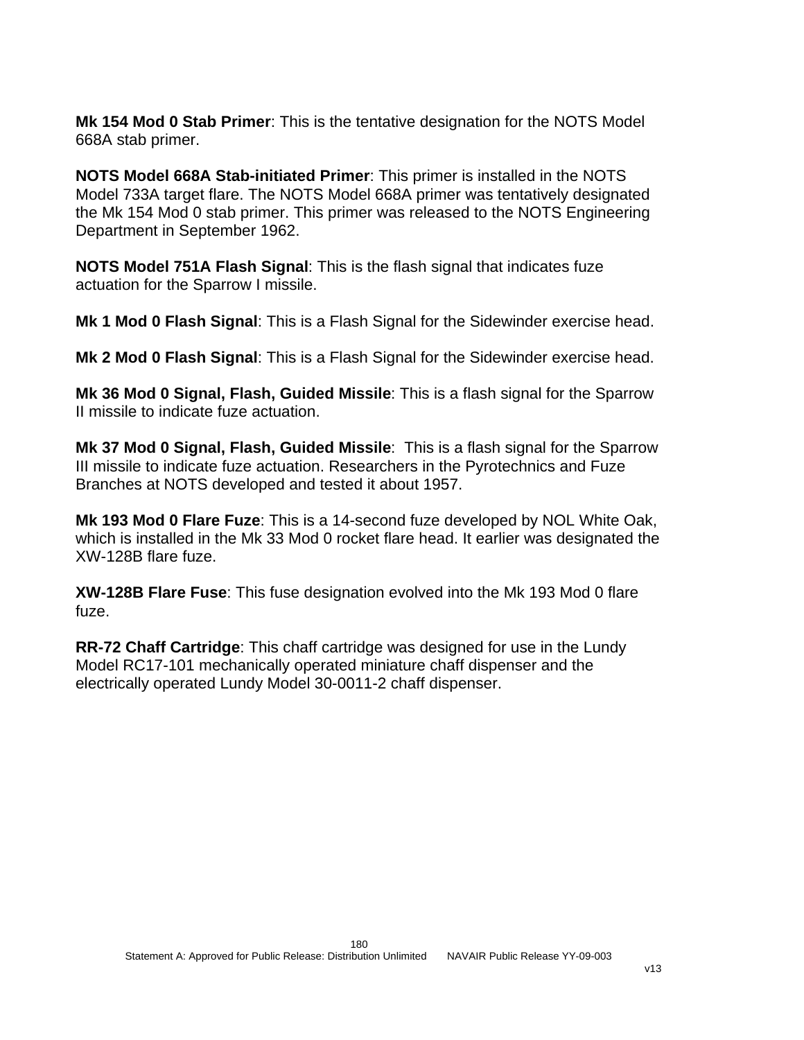**Mk 154 Mod 0 Stab Primer**: This is the tentative designation for the NOTS Model 668A stab primer.

**NOTS Model 668A Stab-initiated Primer**: This primer is installed in the NOTS Model 733A target flare. The NOTS Model 668A primer was tentatively designated the Mk 154 Mod 0 stab primer. This primer was released to the NOTS Engineering Department in September 1962.

**NOTS Model 751A Flash Signal**: This is the flash signal that indicates fuze actuation for the Sparrow I missile.

**Mk 1 Mod 0 Flash Signal**: This is a Flash Signal for the Sidewinder exercise head.

**Mk 2 Mod 0 Flash Signal**: This is a Flash Signal for the Sidewinder exercise head.

**Mk 36 Mod 0 Signal, Flash, Guided Missile**: This is a flash signal for the Sparrow II missile to indicate fuze actuation.

**Mk 37 Mod 0 Signal, Flash, Guided Missile**: This is a flash signal for the Sparrow III missile to indicate fuze actuation. Researchers in the Pyrotechnics and Fuze Branches at NOTS developed and tested it about 1957.

**Mk 193 Mod 0 Flare Fuze**: This is a 14-second fuze developed by NOL White Oak, which is installed in the Mk 33 Mod 0 rocket flare head. It earlier was designated the XW-128B flare fuze.

**XW-128B Flare Fuse**: This fuse designation evolved into the Mk 193 Mod 0 flare fuze.

**RR-72 Chaff Cartridge**: This chaff cartridge was designed for use in the Lundy Model RC17-101 mechanically operated miniature chaff dispenser and the electrically operated Lundy Model 30-0011-2 chaff dispenser.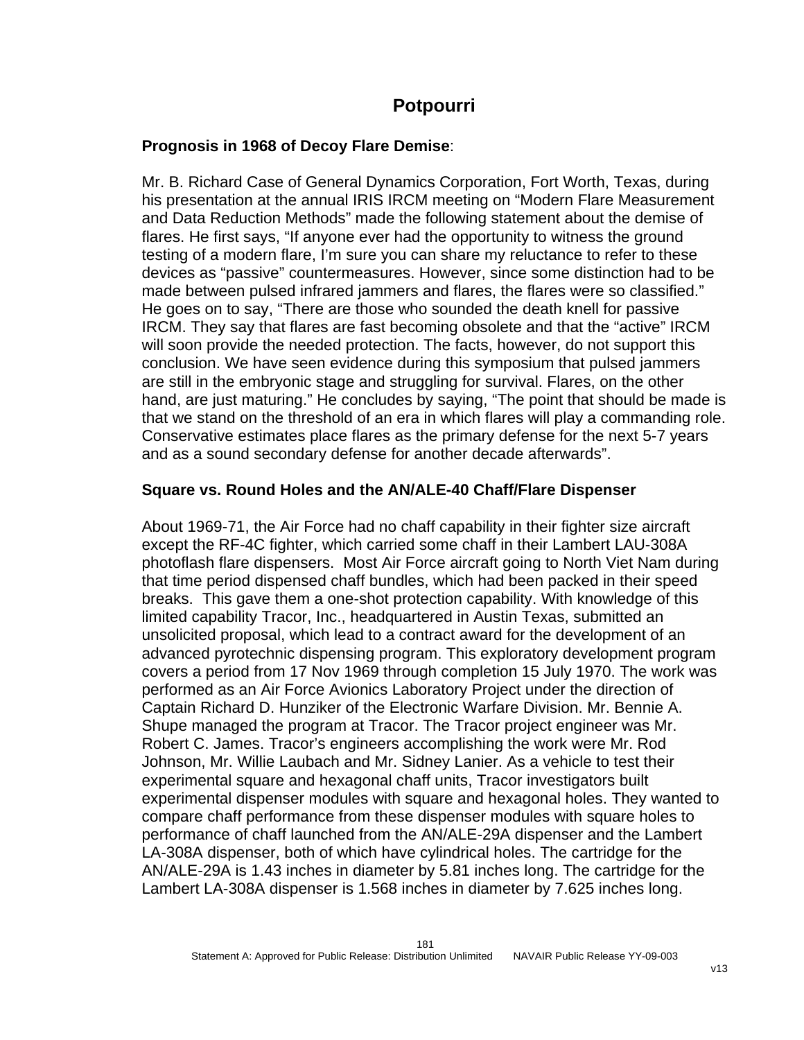## **Potpourri**

## **Prognosis in 1968 of Decoy Flare Demise**:

Mr. B. Richard Case of General Dynamics Corporation, Fort Worth, Texas, during his presentation at the annual IRIS IRCM meeting on "Modern Flare Measurement and Data Reduction Methods" made the following statement about the demise of flares. He first says, "If anyone ever had the opportunity to witness the ground testing of a modern flare, I'm sure you can share my reluctance to refer to these devices as "passive" countermeasures. However, since some distinction had to be made between pulsed infrared jammers and flares, the flares were so classified." He goes on to say, "There are those who sounded the death knell for passive IRCM. They say that flares are fast becoming obsolete and that the "active" IRCM will soon provide the needed protection. The facts, however, do not support this conclusion. We have seen evidence during this symposium that pulsed jammers are still in the embryonic stage and struggling for survival. Flares, on the other hand, are just maturing." He concludes by saying, "The point that should be made is that we stand on the threshold of an era in which flares will play a commanding role. Conservative estimates place flares as the primary defense for the next 5-7 years and as a sound secondary defense for another decade afterwards".

## **Square vs. Round Holes and the AN/ALE-40 Chaff/Flare Dispenser**

About 1969-71, the Air Force had no chaff capability in their fighter size aircraft except the RF-4C fighter, which carried some chaff in their Lambert LAU-308A photoflash flare dispensers. Most Air Force aircraft going to North Viet Nam during that time period dispensed chaff bundles, which had been packed in their speed breaks. This gave them a one-shot protection capability. With knowledge of this limited capability Tracor, Inc., headquartered in Austin Texas, submitted an unsolicited proposal, which lead to a contract award for the development of an advanced pyrotechnic dispensing program. This exploratory development program covers a period from 17 Nov 1969 through completion 15 July 1970. The work was performed as an Air Force Avionics Laboratory Project under the direction of Captain Richard D. Hunziker of the Electronic Warfare Division. Mr. Bennie A. Shupe managed the program at Tracor. The Tracor project engineer was Mr. Robert C. James. Tracor's engineers accomplishing the work were Mr. Rod Johnson, Mr. Willie Laubach and Mr. Sidney Lanier. As a vehicle to test their experimental square and hexagonal chaff units, Tracor investigators built experimental dispenser modules with square and hexagonal holes. They wanted to compare chaff performance from these dispenser modules with square holes to performance of chaff launched from the AN/ALE-29A dispenser and the Lambert LA-308A dispenser, both of which have cylindrical holes. The cartridge for the AN/ALE-29A is 1.43 inches in diameter by 5.81 inches long. The cartridge for the Lambert LA-308A dispenser is 1.568 inches in diameter by 7.625 inches long.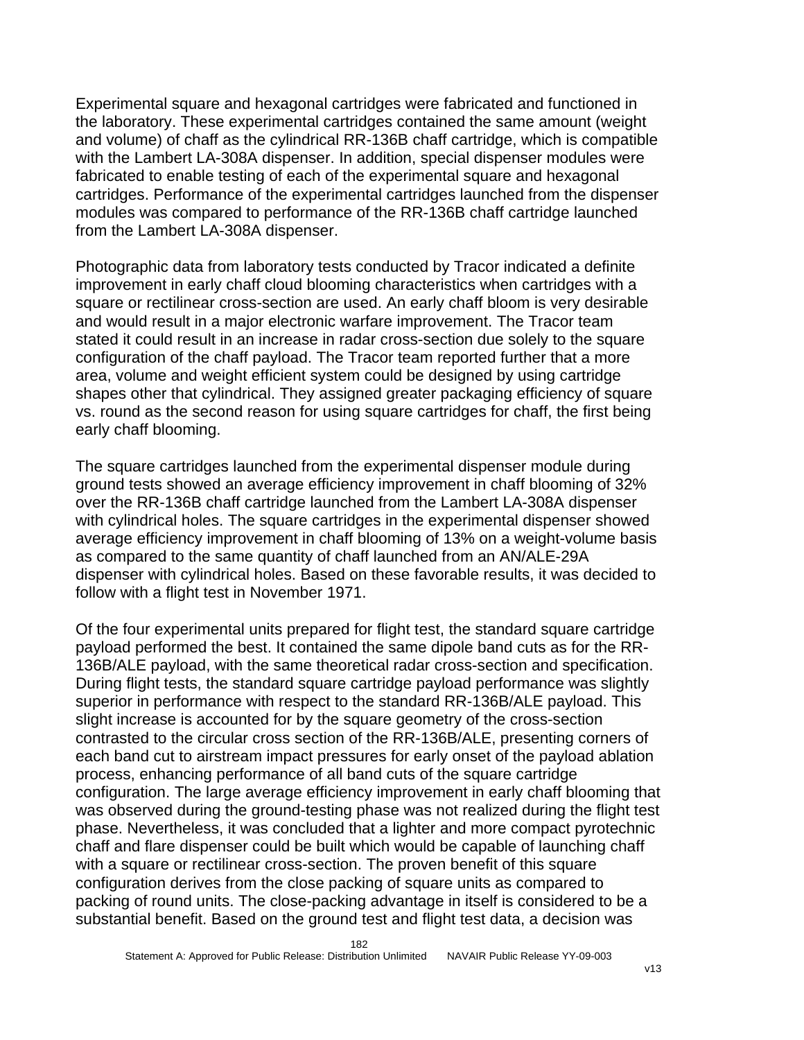Experimental square and hexagonal cartridges were fabricated and functioned in the laboratory. These experimental cartridges contained the same amount (weight and volume) of chaff as the cylindrical RR-136B chaff cartridge, which is compatible with the Lambert LA-308A dispenser. In addition, special dispenser modules were fabricated to enable testing of each of the experimental square and hexagonal cartridges. Performance of the experimental cartridges launched from the dispenser modules was compared to performance of the RR-136B chaff cartridge launched from the Lambert LA-308A dispenser.

Photographic data from laboratory tests conducted by Tracor indicated a definite improvement in early chaff cloud blooming characteristics when cartridges with a square or rectilinear cross-section are used. An early chaff bloom is very desirable and would result in a major electronic warfare improvement. The Tracor team stated it could result in an increase in radar cross-section due solely to the square configuration of the chaff payload. The Tracor team reported further that a more area, volume and weight efficient system could be designed by using cartridge shapes other that cylindrical. They assigned greater packaging efficiency of square vs. round as the second reason for using square cartridges for chaff, the first being early chaff blooming.

The square cartridges launched from the experimental dispenser module during ground tests showed an average efficiency improvement in chaff blooming of 32% over the RR-136B chaff cartridge launched from the Lambert LA-308A dispenser with cylindrical holes. The square cartridges in the experimental dispenser showed average efficiency improvement in chaff blooming of 13% on a weight-volume basis as compared to the same quantity of chaff launched from an AN/ALE-29A dispenser with cylindrical holes. Based on these favorable results, it was decided to follow with a flight test in November 1971.

Of the four experimental units prepared for flight test, the standard square cartridge payload performed the best. It contained the same dipole band cuts as for the RR-136B/ALE payload, with the same theoretical radar cross-section and specification. During flight tests, the standard square cartridge payload performance was slightly superior in performance with respect to the standard RR-136B/ALE payload. This slight increase is accounted for by the square geometry of the cross-section contrasted to the circular cross section of the RR-136B/ALE, presenting corners of each band cut to airstream impact pressures for early onset of the payload ablation process, enhancing performance of all band cuts of the square cartridge configuration. The large average efficiency improvement in early chaff blooming that was observed during the ground-testing phase was not realized during the flight test phase. Nevertheless, it was concluded that a lighter and more compact pyrotechnic chaff and flare dispenser could be built which would be capable of launching chaff with a square or rectilinear cross-section. The proven benefit of this square configuration derives from the close packing of square units as compared to packing of round units. The close-packing advantage in itself is considered to be a substantial benefit. Based on the ground test and flight test data, a decision was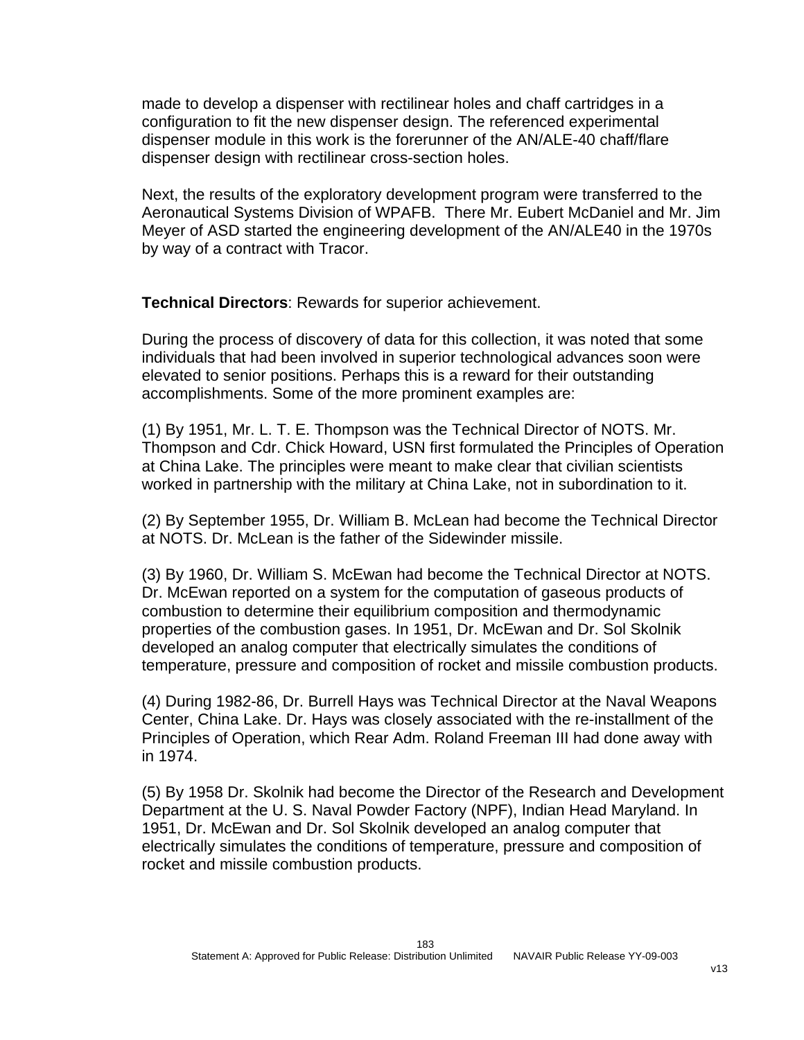made to develop a dispenser with rectilinear holes and chaff cartridges in a configuration to fit the new dispenser design. The referenced experimental dispenser module in this work is the forerunner of the AN/ALE-40 chaff/flare dispenser design with rectilinear cross-section holes.

Next, the results of the exploratory development program were transferred to the Aeronautical Systems Division of WPAFB. There Mr. Eubert McDaniel and Mr. Jim Meyer of ASD started the engineering development of the AN/ALE40 in the 1970s by way of a contract with Tracor.

**Technical Directors**: Rewards for superior achievement.

During the process of discovery of data for this collection, it was noted that some individuals that had been involved in superior technological advances soon were elevated to senior positions. Perhaps this is a reward for their outstanding accomplishments. Some of the more prominent examples are:

(1) By 1951, Mr. L. T. E. Thompson was the Technical Director of NOTS. Mr. Thompson and Cdr. Chick Howard, USN first formulated the Principles of Operation at China Lake. The principles were meant to make clear that civilian scientists worked in partnership with the military at China Lake, not in subordination to it.

(2) By September 1955, Dr. William B. McLean had become the Technical Director at NOTS. Dr. McLean is the father of the Sidewinder missile.

(3) By 1960, Dr. William S. McEwan had become the Technical Director at NOTS. Dr. McEwan reported on a system for the computation of gaseous products of combustion to determine their equilibrium composition and thermodynamic properties of the combustion gases. In 1951, Dr. McEwan and Dr. Sol Skolnik developed an analog computer that electrically simulates the conditions of temperature, pressure and composition of rocket and missile combustion products.

(4) During 1982-86, Dr. Burrell Hays was Technical Director at the Naval Weapons Center, China Lake. Dr. Hays was closely associated with the re-installment of the Principles of Operation, which Rear Adm. Roland Freeman III had done away with in 1974.

(5) By 1958 Dr. Skolnik had become the Director of the Research and Development Department at the U. S. Naval Powder Factory (NPF), Indian Head Maryland. In 1951, Dr. McEwan and Dr. Sol Skolnik developed an analog computer that electrically simulates the conditions of temperature, pressure and composition of rocket and missile combustion products.